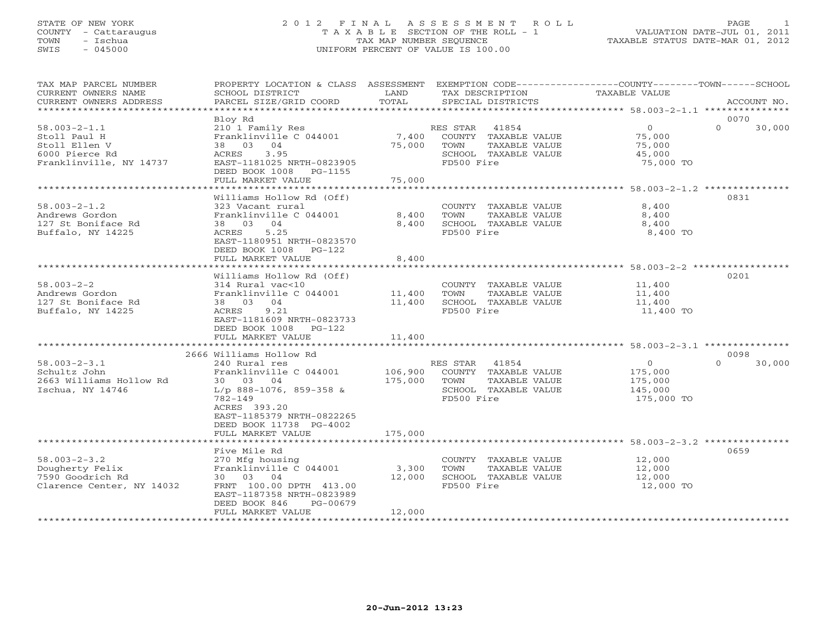#### STATE OF NEW YORK 2 0 1 2 F I N A L A S S E S S M E N T R O L L PAGE 1 COUNTY - Cattaraugus T A X A B L E SECTION OF THE ROLL - 1 VALUATION DATE-JUL 01, 2011 TOWN - Ischua TAX MAP NUMBER SEQUENCE TAXABLE STATUS DATE-MAR 01, 2012 SWIS - 045000 UNIFORM PERCENT OF VALUE IS 100.00UNIFORM PERCENT OF VALUE IS 100.00

| TAX MAP PARCEL NUMBER<br>CURRENT OWNERS NAME<br>CURRENT OWNERS ADDRESS                                                                                             | PROPERTY LOCATION & CLASS ASSESSMENT<br>SCHOOL DISTRICT<br>PARCEL SIZE/GRID COORD                                                                                                                                                                                                                                                                                                | LAND<br>TOTAL                                      | TAX DESCRIPTION<br>SPECIAL DISTRICTS                                                                                                                                                            | EXEMPTION CODE-----------------COUNTY-------TOWN------SCHOOL<br>TAXABLE VALUE                      | ACCOUNT NO.                        |
|--------------------------------------------------------------------------------------------------------------------------------------------------------------------|----------------------------------------------------------------------------------------------------------------------------------------------------------------------------------------------------------------------------------------------------------------------------------------------------------------------------------------------------------------------------------|----------------------------------------------------|-------------------------------------------------------------------------------------------------------------------------------------------------------------------------------------------------|----------------------------------------------------------------------------------------------------|------------------------------------|
| *************************                                                                                                                                          |                                                                                                                                                                                                                                                                                                                                                                                  |                                                    |                                                                                                                                                                                                 |                                                                                                    |                                    |
| $58.003 - 2 - 1.1$<br>Stoll Paul H<br>Stoll Ellen V<br>6000 Pierce Rd<br>Franklinville, NY 14737                                                                   | Bloy Rd<br>210 1 Family Res<br>Franklinville C 044001<br>04<br>38 03<br>ACRES<br>3.95<br>EAST-1181025 NRTH-0823905<br>DEED BOOK 1008 PG-1155                                                                                                                                                                                                                                     | 7,400<br>75,000                                    | RES STAR<br>41854<br>COUNTY TAXABLE VALUE<br>TAXABLE VALUE<br>TOWN<br>SCHOOL TAXABLE VALUE<br>FD500 Fire                                                                                        | $\circ$<br>75,000<br>75,000<br>45,000<br>75,000 TO                                                 | 0070<br>$\Omega$<br>30,000         |
|                                                                                                                                                                    | FULL MARKET VALUE                                                                                                                                                                                                                                                                                                                                                                | 75,000                                             |                                                                                                                                                                                                 |                                                                                                    |                                    |
| $58.003 - 2 - 1.2$<br>Andrews Gordon<br>127 St Boniface Rd<br>Buffalo, NY 14225                                                                                    | Williams Hollow Rd (Off)<br>323 Vacant rural<br>Franklinville C 044001<br>38 03 04<br>5.25<br>ACRES<br>EAST-1180951 NRTH-0823570                                                                                                                                                                                                                                                 | 8,400<br>8,400                                     | COUNTY TAXABLE VALUE<br>TOWN<br>TAXABLE VALUE<br>SCHOOL TAXABLE VALUE<br>FD500 Fire                                                                                                             | 8,400<br>8,400<br>8,400<br>8,400 TO                                                                | 0831                               |
|                                                                                                                                                                    | DEED BOOK 1008 PG-122                                                                                                                                                                                                                                                                                                                                                            |                                                    |                                                                                                                                                                                                 |                                                                                                    |                                    |
|                                                                                                                                                                    | FULL MARKET VALUE                                                                                                                                                                                                                                                                                                                                                                | 8,400                                              |                                                                                                                                                                                                 |                                                                                                    |                                    |
| $58.003 - 2 - 2$<br>Andrews Gordon<br>127 St Boniface Rd<br>Buffalo, NY 14225<br>$58.003 - 2 - 3.1$<br>Schultz John<br>2663 Williams Hollow Rd<br>Ischua, NY 14746 | Williams Hollow Rd (Off)<br>314 Rural vac<10<br>Franklinville C 044001<br>38 03 04<br>9.21<br>ACRES<br>EAST-1181609 NRTH-0823733<br>DEED BOOK 1008 PG-122<br>FULL MARKET VALUE<br>2666 Williams Hollow Rd<br>240 Rural res<br>Franklinville C 044001<br>30 03 04<br>$L/p$ 888-1076, 859-358 &<br>782-149<br>ACRES 393.20<br>EAST-1185379 NRTH-0822265<br>DEED BOOK 11738 PG-4002 | 11,400<br>11,400<br>11,400<br>106,900<br>175,000   | COUNTY TAXABLE VALUE<br>TAXABLE VALUE<br>TOWN<br>SCHOOL TAXABLE VALUE<br>FD500 Fire<br>RES STAR<br>41854<br>COUNTY TAXABLE VALUE<br>TOWN<br>TAXABLE VALUE<br>SCHOOL TAXABLE VALUE<br>FD500 Fire | 11,400<br>11,400<br>11,400<br>11,400 TO<br>$\Omega$<br>175,000<br>175,000<br>145,000<br>175,000 TO | 0201<br>0098<br>$\Omega$<br>30,000 |
| $58.003 - 2 - 3.2$<br>Dougherty Felix<br>7590 Goodrich Rd<br>Clarence Center, NY 14032                                                                             | FULL MARKET VALUE<br><b>++++++++++++++++++++</b><br>Five Mile Rd<br>270 Mfg housing<br>Franklinville C 044001<br>30 03 04<br>FRNT 100.00 DPTH 413.00<br>EAST-1187358 NRTH-0823989<br>DEED BOOK 846<br>PG-00679<br>FULL MARKET VALUE                                                                                                                                              | 175,000<br>**********<br>3,300<br>12,000<br>12,000 | COUNTY TAXABLE VALUE<br>TAXABLE VALUE<br>TOWN<br>SCHOOL TAXABLE VALUE<br>FD500 Fire                                                                                                             | *************************** 58.003-2-3.2 ***********<br>12,000<br>12,000<br>12,000<br>12,000 TO    | 0659                               |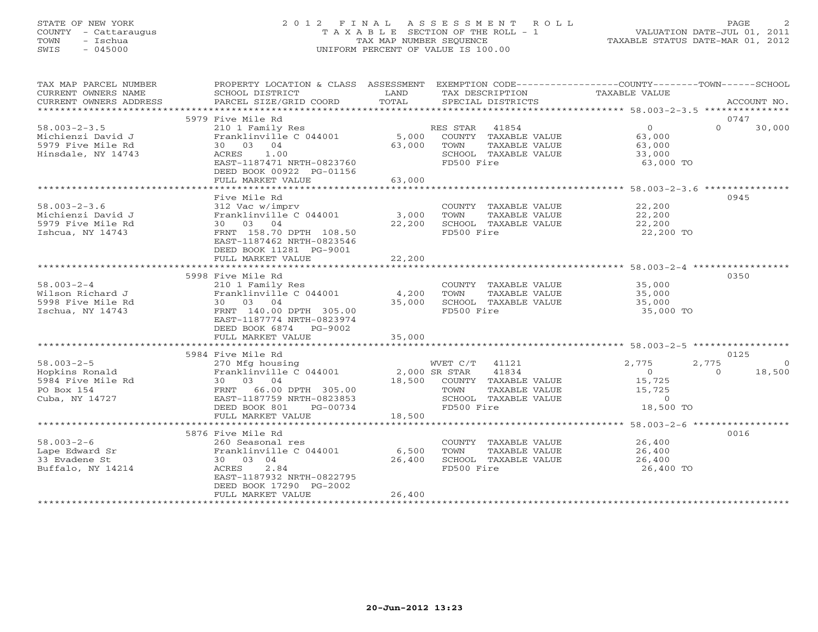### STATE OF NEW YORK 2 0 1 2 F I N A L A S S E S S M E N T R O L L PAGE 2 COUNTY - Cattaraugus T A X A B L E SECTION OF THE ROLL - 1 VALUATION DATE-JUL 01, 2011 TOWN - Ischua TAX MAP NUMBER SEQUENCE TAXABLE STATUS DATE-MAR 01, 2012 SWIS - 045000 UNIFORM PERCENT OF VALUE IS 100.00UNIFORM PERCENT OF VALUE IS 100.00

| TAX MAP PARCEL NUMBER<br>CURRENT OWNERS NAME<br>CURRENT OWNERS ADDRESS                  | PROPERTY LOCATION & CLASS ASSESSMENT<br>SCHOOL DISTRICT<br>and the contract of the LAND<br>PARCEL SIZE/GRID COORD                                                               | TOTAL                 | TAX DESCRIPTION<br>SPECIAL DISTRICTS                                                                           | EXEMPTION CODE-----------------COUNTY-------TOWN------SCHOOL<br>TAXABLE VALUE                                                  | ACCOUNT NO.                      |
|-----------------------------------------------------------------------------------------|---------------------------------------------------------------------------------------------------------------------------------------------------------------------------------|-----------------------|----------------------------------------------------------------------------------------------------------------|--------------------------------------------------------------------------------------------------------------------------------|----------------------------------|
|                                                                                         | 5979 Five Mile Rd                                                                                                                                                               |                       |                                                                                                                |                                                                                                                                | 0747                             |
| $58.003 - 2 - 3.5$<br>Michienzi David J<br>5979 Five Mile Rd<br>Hinsdale, NY 14743      | 210 1 Family Res<br>Franklinville C 044001 5,000 COUNTY TAXABLE VALUE<br>30 03 04<br>ACRES 1.00<br>EAST-1187471 NRTH-0823760<br>DEED BOOK 00922 PG-01156<br>FULL MARKET VALUE   | 63,000 TOWN<br>63,000 | RES STAR 41854<br>TAXABLE VALUE<br>SCHOOL TAXABLE VALUE<br>FD500 Fire                                          | $\overline{0}$<br>$\Omega$<br>63,000<br>63,000<br>33,000<br>63,000 TO                                                          | 30,000                           |
|                                                                                         |                                                                                                                                                                                 |                       |                                                                                                                |                                                                                                                                |                                  |
| $58.003 - 2 - 3.6$<br>Michienzi David J<br>5979 Five Mile Rd<br>Ishcua, NY 14743        | Five Mile Rd<br>312 Vac w/imprv<br>Franklinville C 044001<br>30 03 04<br>FRNT 158.70 DPTH 108.50<br>EAST-1187462 NRTH-0823546<br>DEED BOOK 11281 PG-9001                        | 3,000<br>22,200       | COUNTY TAXABLE VALUE 22,200<br>TOWN<br>SCHOOL TAXABLE VALUE<br>FD500 Fire                                      | TAXABLE VALUE 22,200<br>TAXABLE VALUE 22,200<br>22,200 TO                                                                      | 0945                             |
|                                                                                         | FULL MARKET VALUE                                                                                                                                                               | 22,200                |                                                                                                                |                                                                                                                                |                                  |
|                                                                                         | ****************************                                                                                                                                                    | ******************    |                                                                                                                | ***********************************58.003-2-4 ******************                                                               |                                  |
| $58.003 - 2 - 4$<br>Wilson Richard J<br>5998 Five Mile Rd<br>Ischua, NY 14743           | 5998 Five Mile Rd<br>210 1 Family Res<br>Franklinville C 044001 4,200<br>30 03 04<br>FRNT 140.00 DPTH 305.00<br>EAST-1187774 NRTH-0823974<br>DEED BOOK 6874 PG-9002             | 35,000                | COUNTY TAXABLE VALUE 35,000<br>TOWN<br>TAXABLE VALUE<br>SCHOOL TAXABLE VALUE<br>FD500 Fire                     | 35,000<br>35,000<br>35,000 TO                                                                                                  | 0350                             |
|                                                                                         | FULL MARKET VALUE                                                                                                                                                               | 35,000                |                                                                                                                |                                                                                                                                |                                  |
|                                                                                         |                                                                                                                                                                                 |                       |                                                                                                                |                                                                                                                                |                                  |
| $58.003 - 2 - 5$<br>58.003-2-5<br>Hopkins Ronald<br>5984 Five Mile Rd<br>Cuba, NY 14727 | 5984 Five Mile Rd<br>270 Mfg housing<br>Franklinville C 044001 2,000 SR STAR<br>EAST-1187759 NRTH-0823853<br>DEED BOOK 801<br>PG-00734                                          |                       | WVET C/T 41121<br>4100<br>TAXABLE VALUE<br>TAXABLE VALUE<br>TIARLE VALUE<br>SCHOOL TAXABLE VALUE<br>FD500 Fire | 2,775<br>2,775<br>$\overline{0}$<br>$\Omega$<br>15,725<br>15,725<br>$\begin{smallmatrix}&&0\18,500&\text{TO}\end{smallmatrix}$ | 0125<br>$\overline{0}$<br>18,500 |
|                                                                                         | FULL MARKET VALUE                                                                                                                                                               | 18,500                |                                                                                                                |                                                                                                                                |                                  |
| $58.003 - 2 - 6$<br>Lape Edward Sr<br>33 Evadene St<br>Buffalo, NY 14214                | 5876 Five Mile Rd<br>260 Seasonal res<br>Franklinville C 044001 6,500<br>30 03 04<br>ACRES<br>2.84<br>EAST-1187932 NRTH-0822795<br>DEED BOOK 17290 PG-2002<br>FULL MARKET VALUE | 26,400<br>26,400      | COUNTY TAXABLE VALUE 26,400<br>TAXABLE VALUE<br>TOWN<br>SCHOOL TAXABLE VALUE<br>FD500 Fire                     | 26,400<br>26,400<br>26,400 TO                                                                                                  | 0016                             |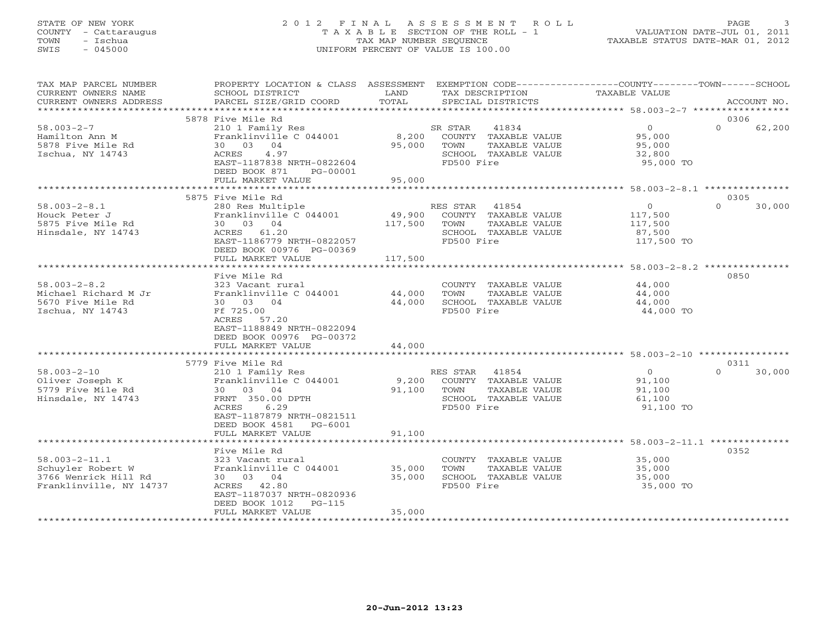### STATE OF NEW YORK 2 0 1 2 F I N A L A S S E S S M E N T R O L L PAGE 3 COUNTY - Cattaraugus T A X A B L E SECTION OF THE ROLL - 1 VALUATION DATE-JUL 01, 2011 TOWN - Ischua TAX MAP NUMBER SEQUENCE TAXABLE STATUS DATE-MAR 01, 2012 SWIS - 045000 UNIFORM PERCENT OF VALUE IS 100.00UNIFORM PERCENT OF VALUE IS 100.00

| TAX MAP PARCEL NUMBER                       | PROPERTY LOCATION & CLASS ASSESSMENT |         |            |                      | EXEMPTION CODE-----------------COUNTY-------TOWN------SCHOOL |          |             |
|---------------------------------------------|--------------------------------------|---------|------------|----------------------|--------------------------------------------------------------|----------|-------------|
| CURRENT OWNERS NAME                         | SCHOOL DISTRICT                      | LAND    |            | TAX DESCRIPTION      | TAXABLE VALUE                                                |          |             |
| CURRENT OWNERS ADDRESS<br>***************** | PARCEL SIZE/GRID COORD               | TOTAL   |            | SPECIAL DISTRICTS    |                                                              |          | ACCOUNT NO. |
|                                             |                                      |         |            |                      |                                                              |          |             |
|                                             | 5878 Five Mile Rd                    |         |            |                      |                                                              | 0306     |             |
| $58.003 - 2 - 7$                            | 210 1 Family Res                     |         | SR STAR    | 41834                | $\circ$                                                      | $\Omega$ | 62,200      |
| Hamilton Ann M                              | Franklinville C 044001               | 8,200   |            | COUNTY TAXABLE VALUE | 95,000                                                       |          |             |
| 5878 Five Mile Rd                           | 30 03 04                             | 95,000  | TOWN       | TAXABLE VALUE        | 95,000                                                       |          |             |
| Ischua, NY 14743                            | ACRES<br>4.97                        |         |            | SCHOOL TAXABLE VALUE | 32,800                                                       |          |             |
|                                             | EAST-1187838 NRTH-0822604            |         | FD500 Fire |                      | 95,000 TO                                                    |          |             |
|                                             | DEED BOOK 871<br>PG-00001            |         |            |                      |                                                              |          |             |
|                                             | FULL MARKET VALUE                    | 95,000  |            |                      |                                                              |          |             |
|                                             |                                      |         |            |                      |                                                              |          |             |
|                                             | 5875 Five Mile Rd                    |         |            |                      |                                                              | 0305     |             |
| $58.003 - 2 - 8.1$                          | 280 Res Multiple                     |         | RES STAR   | 41854                | $\overline{O}$                                               | $\Omega$ | 30,000      |
| Houck Peter J                               | Franklinville C 044001               | 49,900  |            | COUNTY TAXABLE VALUE | 117,500                                                      |          |             |
| 5875 Five Mile Rd                           | 30 03 04                             | 117,500 | TOWN       | TAXABLE VALUE        | 117,500                                                      |          |             |
| Hinsdale, NY 14743                          | ACRES 61.20                          |         |            | SCHOOL TAXABLE VALUE | 87,500                                                       |          |             |
|                                             | EAST-1186779 NRTH-0822057            |         | FD500 Fire |                      | 117,500 TO                                                   |          |             |
|                                             | DEED BOOK 00976 PG-00369             |         |            |                      |                                                              |          |             |
|                                             | FULL MARKET VALUE                    | 117,500 |            |                      |                                                              |          |             |
|                                             |                                      |         |            |                      |                                                              |          |             |
|                                             | Five Mile Rd                         |         |            |                      |                                                              | 0850     |             |
| $58.003 - 2 - 8.2$                          | 323 Vacant rural                     |         |            | COUNTY TAXABLE VALUE | 44,000                                                       |          |             |
| Michael Richard M Jr                        | Franklinville C 044001               | 44,000  | TOWN       | TAXABLE VALUE        | 44,000                                                       |          |             |
| 5670 Five Mile Rd                           | 30 03 04                             | 44,000  |            | SCHOOL TAXABLE VALUE | 44,000                                                       |          |             |
| Ischua, NY 14743                            | Ff 725.00                            |         | FD500 Fire |                      | 44,000 TO                                                    |          |             |
|                                             | ACRES 57.20                          |         |            |                      |                                                              |          |             |
|                                             | EAST-1188849 NRTH-0822094            |         |            |                      |                                                              |          |             |
|                                             | DEED BOOK 00976 PG-00372             |         |            |                      |                                                              |          |             |
|                                             | FULL MARKET VALUE                    | 44,000  |            |                      |                                                              |          |             |
|                                             |                                      |         |            |                      |                                                              |          |             |
|                                             | 5779 Five Mile Rd                    |         |            |                      |                                                              | 0311     |             |
| $58.003 - 2 - 10$                           | 210 1 Family Res                     |         | RES STAR   | 41854                | $\circ$                                                      | $\Omega$ | 30,000      |
| Oliver Joseph K                             | Franklinville C 044001               | 9,200   |            | COUNTY TAXABLE VALUE | 91,100                                                       |          |             |
| 5779 Five Mile Rd                           | 30 03 04                             | 91,100  | TOWN       | TAXABLE VALUE        | 91,100                                                       |          |             |
| Hinsdale, NY 14743                          | FRNT 350.00 DPTH                     |         |            | SCHOOL TAXABLE VALUE | 61,100                                                       |          |             |
|                                             | ACRES<br>6.29                        |         | FD500 Fire |                      | 91,100 TO                                                    |          |             |
|                                             | EAST-1187879 NRTH-0821511            |         |            |                      |                                                              |          |             |
|                                             | DEED BOOK 4581<br>PG-6001            |         |            |                      |                                                              |          |             |
|                                             | FULL MARKET VALUE                    | 91,100  |            |                      |                                                              |          |             |
|                                             | ************************             |         |            |                      |                                                              |          |             |
|                                             | Five Mile Rd                         |         |            |                      |                                                              | 0352     |             |
| $58.003 - 2 - 11.1$                         | 323 Vacant rural                     |         |            | COUNTY TAXABLE VALUE | 35,000                                                       |          |             |
| Schuyler Robert W                           | Franklinville C 044001               | 35,000  | TOWN       | TAXABLE VALUE        | 35,000                                                       |          |             |
| 3766 Wenrick Hill Rd                        | 30 03 04                             | 35,000  |            | SCHOOL TAXABLE VALUE | 35,000                                                       |          |             |
| Franklinville, NY 14737                     | ACRES 42.80                          |         | FD500 Fire |                      | 35,000 TO                                                    |          |             |
|                                             | EAST-1187037 NRTH-0820936            |         |            |                      |                                                              |          |             |
|                                             | DEED BOOK 1012<br>$PG-115$           |         |            |                      |                                                              |          |             |
|                                             | FULL MARKET VALUE                    | 35,000  |            |                      |                                                              |          |             |
|                                             |                                      |         |            |                      |                                                              |          |             |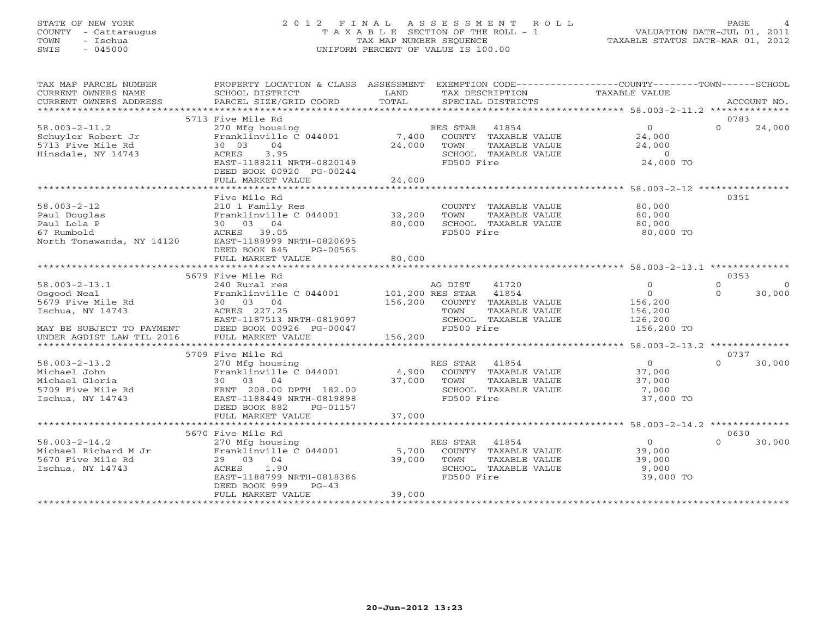# STATE OF NEW YORK 2 0 1 2 F I N A L A S S E S S M E N T R O L L PAGE 4 COUNTY - Cattaraugus T A X A B L E SECTION OF THE ROLL - 1 VALUATION DATE-JUL 01, 2011 TOWN - Ischua TAX MAP NUMBER SEQUENCE TAXABLE STATUS DATE-MAR 01, 2012 SWIS - 045000 UNIFORM PERCENT OF VALUE IS 100.00

| TAX MAP PARCEL NUMBER                               | PROPERTY LOCATION & CLASS ASSESSMENT            |               | EXEMPTION CODE-----------------COUNTY-------TOWN------SCHOOL |                                                    |                      |
|-----------------------------------------------------|-------------------------------------------------|---------------|--------------------------------------------------------------|----------------------------------------------------|----------------------|
| CURRENT OWNERS NAME                                 | SCHOOL DISTRICT                                 | LAND<br>TOTAL | TAX DESCRIPTION                                              | TAXABLE VALUE                                      |                      |
| CURRENT OWNERS ADDRESS<br>************************* | PARCEL SIZE/GRID COORD                          |               | SPECIAL DISTRICTS                                            |                                                    | ACCOUNT NO.          |
|                                                     | 5713 Five Mile Rd                               |               |                                                              |                                                    | 0783                 |
| $58.003 - 2 - 11.2$                                 | 270 Mfg housing                                 |               | RES STAR 41854                                               | $\overline{0}$                                     | $\Omega$<br>24,000   |
| Schuyler Robert Jr                                  | Franklinville C 044001                          | 7,400         | COUNTY TAXABLE VALUE                                         | 24,000                                             |                      |
| 5713 Five Mile Rd                                   | 04<br>30 03                                     | 24,000        | TOWN<br>TAXABLE VALUE                                        | 24,000                                             |                      |
| Hinsdale, NY 14743                                  | ACRES<br>3.95                                   |               | SCHOOL TAXABLE VALUE                                         | $\overline{0}$                                     |                      |
|                                                     | EAST-1188211 NRTH-0820149                       |               | FD500 Fire                                                   | 24,000 TO                                          |                      |
|                                                     | DEED BOOK 00920 PG-00244                        |               |                                                              |                                                    |                      |
|                                                     | FULL MARKET VALUE                               | 24,000        |                                                              |                                                    |                      |
|                                                     | ******************                              | **********    |                                                              | ******************** 58.003-2-12 ***************** |                      |
|                                                     | Five Mile Rd                                    |               |                                                              |                                                    | 0351                 |
| $58.003 - 2 - 12$                                   | 210 1 Family Res                                |               | COUNTY TAXABLE VALUE                                         | 80,000                                             |                      |
| Paul Douglas                                        | Franklinville C 044001                          | 32,200        | TOWN<br>TAXABLE VALUE                                        | 80,000                                             |                      |
| Paul Lola P                                         | 30 03 04                                        | 80,000        | SCHOOL TAXABLE VALUE                                         | 80,000                                             |                      |
| 67 Rumbold                                          | ACRES 39.05                                     |               | FD500 Fire                                                   | 80,000 TO                                          |                      |
| North Tonawanda, NY 14120                           | EAST-1188999 NRTH-0820695                       |               |                                                              |                                                    |                      |
|                                                     | DEED BOOK 845<br>PG-00565                       |               |                                                              |                                                    |                      |
|                                                     | FULL MARKET VALUE<br>************************** | 80,000        |                                                              |                                                    |                      |
|                                                     | 5679 Five Mile Rd                               |               |                                                              |                                                    | 0353                 |
| $58.003 - 2 - 13.1$                                 | 240 Rural res                                   |               | AG DIST<br>41720                                             | $\mathbf{0}$                                       | $\Omega$<br>$\Omega$ |
| Osgood Neal                                         | Franklinville C 044001                          |               | 101,200 RES STAR 41854                                       | $\circ$                                            | $\Omega$<br>30,000   |
| 5679 Five Mile Rd                                   | 30 03 04                                        | 156,200       | COUNTY TAXABLE VALUE                                         | 156,200                                            |                      |
| Ischua, NY 14743                                    | ACRES 227.25                                    |               | TAXABLE VALUE<br>TOWN                                        | 156,200                                            |                      |
|                                                     | EAST-1187513 NRTH-0819097                       |               | SCHOOL TAXABLE VALUE                                         | 126,200                                            |                      |
| MAY BE SUBJECT TO PAYMENT                           | DEED BOOK 00926 PG-00047                        |               | FD500 Fire                                                   | 156,200 TO                                         |                      |
| UNDER AGDIST LAW TIL 2016                           | FULL MARKET VALUE                               | 156,200       |                                                              |                                                    |                      |
|                                                     |                                                 |               |                                                              |                                                    |                      |
|                                                     | 5709 Five Mile Rd                               |               |                                                              |                                                    | 0737                 |
| $58.003 - 2 - 13.2$                                 | 270 Mfg housing                                 |               | RES STAR 41854                                               | $\overline{0}$                                     | $\cap$<br>30,000     |
| Michael John                                        | Franklinville C 044001                          | 4,900         | COUNTY TAXABLE VALUE                                         | 37,000                                             |                      |
| Michael Gloria                                      | 30 03 04                                        | 37,000        | TOWN<br>TAXABLE VALUE                                        | 37,000                                             |                      |
| 5709 Five Mile Rd                                   | FRNT 208.00 DPTH 182.00                         |               | SCHOOL TAXABLE VALUE                                         | 7,000                                              |                      |
| Ischua, NY 14743                                    | EAST-1188449 NRTH-0819898                       |               | FD500 Fire                                                   | 37,000 TO                                          |                      |
|                                                     | DEED BOOK 882<br>PG-01157<br>FULL MARKET VALUE  | 37,000        |                                                              |                                                    |                      |
|                                                     |                                                 |               |                                                              |                                                    |                      |
|                                                     | 5670 Five Mile Rd                               |               |                                                              |                                                    | 0630                 |
| $58.003 - 2 - 14.2$                                 | 270 Mfg housing                                 |               | RES STAR<br>41854                                            | $\overline{0}$                                     | 30,000<br>$\cap$     |
| Michael Richard M Jr                                | Franklinville C 044001                          | 5,700         | COUNTY TAXABLE VALUE                                         | 39,000                                             |                      |
| 5670 Five Mile Rd                                   | 29 03 04                                        | 39,000        | TOWN<br>TAXABLE VALUE                                        | 39,000                                             |                      |
| Ischua, NY 14743                                    | ACRES 1.90                                      |               | SCHOOL TAXABLE VALUE                                         | 9,000                                              |                      |
|                                                     | EAST-1188799 NRTH-0818386                       |               | FD500 Fire                                                   | 39,000 TO                                          |                      |
|                                                     | DEED BOOK 999<br>$PG-43$                        |               |                                                              |                                                    |                      |
|                                                     | FULL MARKET VALUE                               | 39,000        |                                                              |                                                    |                      |
|                                                     |                                                 |               |                                                              |                                                    |                      |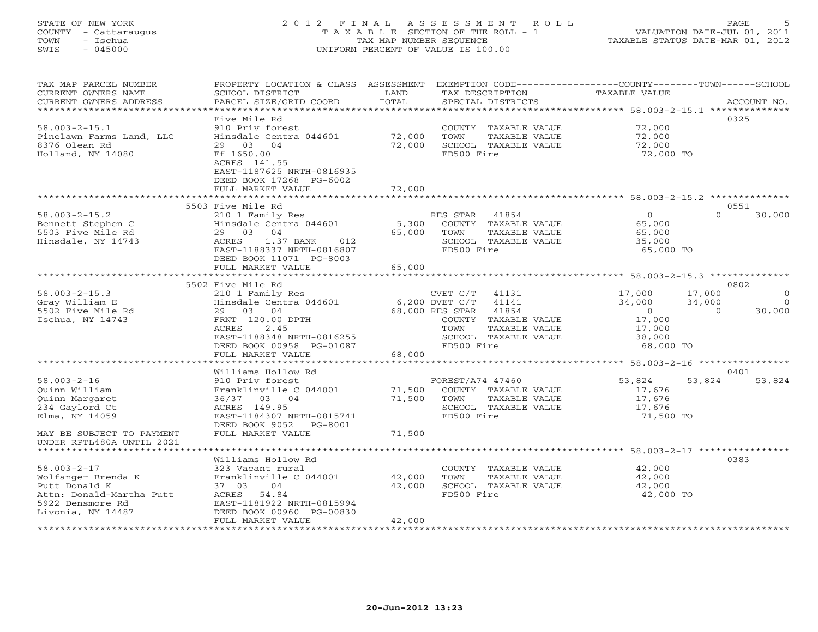### STATE OF NEW YORK 2 0 1 2 F I N A L A S S E S S M E N T R O L L PAGE 5 COUNTY - Cattaraugus T A X A B L E SECTION OF THE ROLL - 1 VALUATION DATE-JUL 01, 2011 TOWN - Ischua TAX MAP NUMBER SEQUENCE TAXABLE STATUS DATE-MAR 01, 2012 SWIS - 045000 UNIFORM PERCENT OF VALUE IS 100.00UNIFORM PERCENT OF VALUE IS 100.00

| TAX MAP PARCEL NUMBER<br>CURRENT OWNERS NAME<br>CURRENT OWNERS ADDRESS                                           | PROPERTY LOCATION & CLASS ASSESSMENT<br>SCHOOL DISTRICT<br>PARCEL SIZE/GRID COORD                                                              | LAND<br>TOTAL    |                                | TAX DESCRIPTION<br>SPECIAL DISTRICTS                                   | EXEMPTION CODE-----------------COUNTY-------TOWN------SCHOOL<br>TAXABLE VALUE | ACCOUNT NO.        |              |
|------------------------------------------------------------------------------------------------------------------|------------------------------------------------------------------------------------------------------------------------------------------------|------------------|--------------------------------|------------------------------------------------------------------------|-------------------------------------------------------------------------------|--------------------|--------------|
| ***********************<br>$58.003 - 2 - 15.1$<br>Pinelawn Farms Land, LLC<br>8376 Olean Rd<br>Holland, NY 14080 | Five Mile Rd<br>910 Priv forest<br>Hinsdale Centra 044601<br>29 03 04<br>Ff 1650.00                                                            | 72,000<br>72,000 | TOWN<br>FD500 Fire             | COUNTY TAXABLE VALUE<br>TAXABLE VALUE<br>SCHOOL TAXABLE VALUE          | 72,000<br>72,000<br>72,000<br>72,000 TO                                       | 0325               |              |
|                                                                                                                  | ACRES 141.55<br>EAST-1187625 NRTH-0816935<br>DEED BOOK 17268 PG-6002<br>FULL MARKET VALUE                                                      | 72,000           |                                |                                                                        |                                                                               |                    |              |
|                                                                                                                  | 5503 Five Mile Rd                                                                                                                              |                  |                                |                                                                        |                                                                               | 0551               |              |
| $58.003 - 2 - 15.2$<br>Bennett Stephen C<br>5503 Five Mile Rd<br>Hinsdale, NY 14743                              | 210 1 Family Res<br>Hinsdale Centra 044601<br>29 03<br>04<br>ACRES<br>1.37 BANK<br>012<br>EAST-1188337 NRTH-0816807<br>DEED BOOK 11071 PG-8003 | 5,300<br>65,000  | RES STAR<br>TOWN<br>FD500 Fire | 41854<br>COUNTY TAXABLE VALUE<br>TAXABLE VALUE<br>SCHOOL TAXABLE VALUE | $\Omega$<br>65,000<br>65,000<br>35,000<br>65,000 TO                           | $\Omega$<br>30,000 |              |
|                                                                                                                  | FULL MARKET VALUE                                                                                                                              | 65,000           |                                |                                                                        |                                                                               |                    |              |
|                                                                                                                  | ***************************                                                                                                                    |                  |                                |                                                                        |                                                                               | 0802               |              |
| $58.003 - 2 - 15.3$                                                                                              | 5502 Five Mile Rd<br>210 1 Family Res                                                                                                          |                  | CVET C/T                       | 41131                                                                  | 17,000                                                                        | 17,000             | $\mathbf{0}$ |
| Gray William E                                                                                                   | Hinsdale Centra 044601                                                                                                                         |                  | 6,200 DVET C/T                 | 41141                                                                  | 34,000                                                                        | 34,000             | $\Omega$     |
| 5502 Five Mile Rd                                                                                                | 29 03 04                                                                                                                                       |                  | 68,000 RES STAR                | 41854                                                                  | $\overline{0}$                                                                | 30,000<br>$\Omega$ |              |
| Ischua, NY 14743                                                                                                 | FRNT 120.00 DPTH                                                                                                                               |                  |                                | COUNTY TAXABLE VALUE                                                   | 17,000                                                                        |                    |              |
|                                                                                                                  | 2.45<br>ACRES                                                                                                                                  |                  | TOWN                           | TAXABLE VALUE                                                          | 17,000                                                                        |                    |              |
|                                                                                                                  | EAST-1188348 NRTH-0816255                                                                                                                      |                  |                                | SCHOOL TAXABLE VALUE                                                   | 38,000                                                                        |                    |              |
|                                                                                                                  | DEED BOOK 00958 PG-01087                                                                                                                       |                  | FD500 Fire                     |                                                                        | 68,000 TO                                                                     |                    |              |
|                                                                                                                  | FULL MARKET VALUE<br>* * * * * * * * * * * * * * * * *                                                                                         | 68,000           |                                |                                                                        |                                                                               |                    |              |
|                                                                                                                  | Williams Hollow Rd                                                                                                                             |                  |                                |                                                                        | ********************* 58.003-2-16 *****************                           | 0401               |              |
| $58.003 - 2 - 16$                                                                                                | 910 Priv forest                                                                                                                                |                  | FOREST/A74 47460               |                                                                        | 53,824                                                                        | 53,824<br>53,824   |              |
| Ouinn William                                                                                                    | Franklinville C 044001                                                                                                                         | 71,500           |                                | COUNTY TAXABLE VALUE                                                   | 17,676                                                                        |                    |              |
| Quinn Margaret                                                                                                   | 36/37 03 04                                                                                                                                    | 71,500           | TOWN                           | TAXABLE VALUE                                                          | 17,676                                                                        |                    |              |
| 234 Gaylord Ct                                                                                                   | ACRES 149.95                                                                                                                                   |                  |                                | SCHOOL TAXABLE VALUE                                                   | 17,676                                                                        |                    |              |
| Elma, NY 14059                                                                                                   | EAST-1184307 NRTH-0815741<br>DEED BOOK 9052<br>PG-8001                                                                                         |                  | FD500 Fire                     |                                                                        | 71,500 TO                                                                     |                    |              |
| MAY BE SUBJECT TO PAYMENT<br>UNDER RPTL480A UNTIL 2021                                                           | FULL MARKET VALUE                                                                                                                              | 71,500           |                                |                                                                        |                                                                               |                    |              |
|                                                                                                                  |                                                                                                                                                |                  |                                |                                                                        |                                                                               |                    |              |
|                                                                                                                  | Williams Hollow Rd                                                                                                                             |                  |                                |                                                                        |                                                                               | 0383               |              |
| $58.003 - 2 - 17$                                                                                                | 323 Vacant rural<br>Franklinville C 044001                                                                                                     | 42,000           | TOWN                           | COUNTY TAXABLE VALUE<br>TAXABLE VALUE                                  | 42,000<br>42,000                                                              |                    |              |
| Wolfanger Brenda K<br>Putt Donald K                                                                              | 37 03<br>04                                                                                                                                    | 42,000           |                                | SCHOOL TAXABLE VALUE                                                   | 42,000                                                                        |                    |              |
| Attn: Donald-Martha Putt                                                                                         | ACRES<br>54.84                                                                                                                                 |                  | FD500 Fire                     |                                                                        | 42,000 TO                                                                     |                    |              |
| 5922 Densmore Rd                                                                                                 | EAST-1181922 NRTH-0815994                                                                                                                      |                  |                                |                                                                        |                                                                               |                    |              |
| Livonia, NY 14487                                                                                                | DEED BOOK 00960 PG-00830                                                                                                                       |                  |                                |                                                                        |                                                                               |                    |              |
|                                                                                                                  | FULL MARKET VALUE                                                                                                                              | 42,000           |                                |                                                                        |                                                                               |                    |              |
|                                                                                                                  |                                                                                                                                                |                  |                                |                                                                        |                                                                               |                    |              |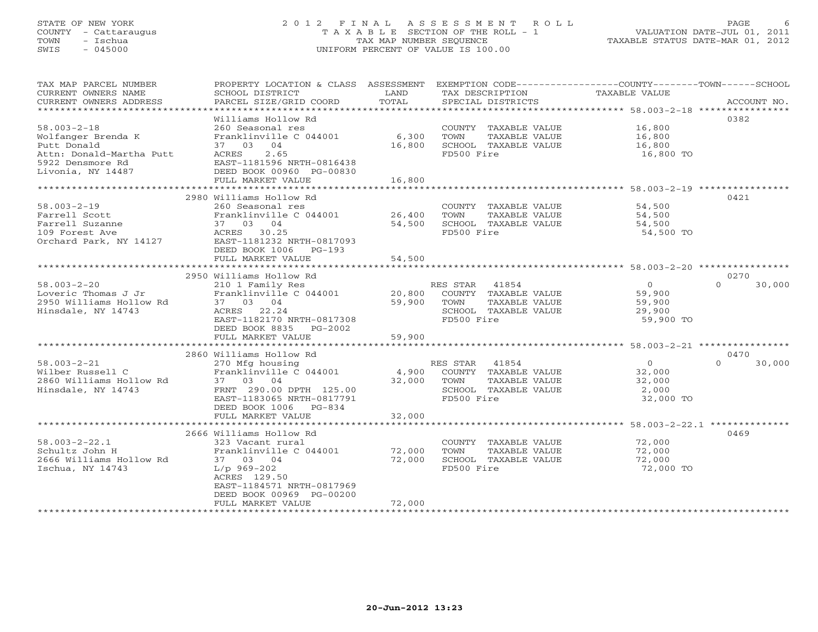### STATE OF NEW YORK 2 0 1 2 F I N A L A S S E S S M E N T R O L L PAGE 6 COUNTY - Cattaraugus T A X A B L E SECTION OF THE ROLL - 1 VALUATION DATE-JUL 01, 2011 TOWN - Ischua TAX MAP NUMBER SEQUENCE TAXABLE STATUS DATE-MAR 01, 2012 SWIS - 045000 UNIFORM PERCENT OF VALUE IS 100.00UNIFORM PERCENT OF VALUE IS 100.00

| TAX MAP PARCEL NUMBER<br>CURRENT OWNERS NAME<br>CURRENT OWNERS ADDRESS                                                      | PROPERTY LOCATION & CLASS ASSESSMENT EXEMPTION CODE----------------COUNTY-------TOWN------SCHOOL<br>SCHOOL DISTRICT<br>PARCEL SIZE/GRID COORD                                                                               | LAND<br>TOTAL              | TAX DESCRIPTION TAXABLE VALUE<br>SPECIAL DISTRICTS                                                                            |                                                           | ACCOUNT NO.                |
|-----------------------------------------------------------------------------------------------------------------------------|-----------------------------------------------------------------------------------------------------------------------------------------------------------------------------------------------------------------------------|----------------------------|-------------------------------------------------------------------------------------------------------------------------------|-----------------------------------------------------------|----------------------------|
| $58.003 - 2 - 18$<br>Wolfanger Brenda K<br>Putt Donald<br>Attn: Donald-Martha Putt<br>5922 Densmore Rd<br>Livonia, NY 14487 | Williams Hollow Rd<br>260 Seasonal res<br>Franklinville C 044001<br>37 03 04<br>2.65<br>ACRES<br>EAST-1181596 NRTH-0816438<br>DEED BOOK 00960 PG-00830<br>FULL MARKET VALUE                                                 | 6,300<br>16,800<br>16,800  | COUNTY TAXABLE VALUE<br>TOWN<br>TAXABLE VALUE<br>SCHOOL TAXABLE VALUE<br>FD500 Fire                                           | 16,800<br>16,800<br>16,800<br>16,800 TO                   | 0382                       |
|                                                                                                                             |                                                                                                                                                                                                                             |                            |                                                                                                                               |                                                           |                            |
| $58.003 - 2 - 19$<br>Farrell Scott<br>Farrell Suzanne<br>109 Forest Ave<br>Orchard Park, NY 14127                           | 2980 Williams Hollow Rd<br>260 Seasonal res<br>Franklinville C 044001<br>37 03 04<br>ACRES 30.25<br>EAST-1181232 NRTH-0817093<br>DEED BOOK 1006 PG-193                                                                      | 26,400<br>54,500           | COUNTY TAXABLE VALUE<br>TOWN<br>TAXABLE VALUE<br>SCHOOL TAXABLE VALUE<br>FD500 Fire                                           | 54,500<br>54,500<br>54,500<br>54,500 TO                   | 0421                       |
|                                                                                                                             | FULL MARKET VALUE                                                                                                                                                                                                           | 54,500                     |                                                                                                                               |                                                           |                            |
|                                                                                                                             | 2950 Williams Hollow Rd                                                                                                                                                                                                     |                            |                                                                                                                               |                                                           | 0270                       |
| $58.003 - 2 - 20$<br>Loveric Thomas J Jr<br>2950 Williams Hollow Rd<br>Hinsdale, NY 14743                                   | 210 1 Family Res<br>Franklinville C 044001<br>37 03 04<br>ACRES 22.24<br>EAST-1182170 NRTH-0817308<br>DEED BOOK 8835 PG-2002<br>FULL MARKET VALUE                                                                           | 20,800<br>59,900<br>59,900 | RES STAR 41854<br>COUNTY TAXABLE VALUE<br>TOWN<br>TAXABLE VALUE<br>SCHOOL TAXABLE VALUE<br>FD500 Fire                         | $\overline{0}$<br>59,900<br>59,900<br>29,900<br>59,900 TO | $\Omega$<br>30,000         |
|                                                                                                                             |                                                                                                                                                                                                                             |                            |                                                                                                                               |                                                           |                            |
| $58.003 - 2 - 21$<br>Wilber Russell C<br>2860 Williams Hollow Rd<br>Hinsdale, NY 14743                                      | 2860 Williams Hollow Rd<br>270 Mfg housing<br>Franklinville C 044001<br>37 03 04<br>FRNT 290.00 DPTH 125.00<br>EAST-1183065 NRTH-0817791<br>DEED BOOK 1006 PG-834                                                           | 4,900<br>32,000 TOWN       | RES STAR 41854<br>COUNTY TAXABLE VALUE<br>TAXABLE VALUE<br>SCHOOL TAXABLE VALUE<br>FD500 Fire                                 | $\Omega$<br>32,000<br>32,000<br>2,000<br>32,000 TO        | 0470<br>$\Omega$<br>30,000 |
|                                                                                                                             | FULL MARKET VALUE                                                                                                                                                                                                           | 32,000                     |                                                                                                                               |                                                           |                            |
|                                                                                                                             |                                                                                                                                                                                                                             |                            |                                                                                                                               |                                                           |                            |
| $58.003 - 2 - 22.1$<br>Schultz John H<br>2666 Williams Hollow Rd<br>Ischua, NY 14743                                        | 2666 Williams Hollow Rd<br>323 Vacant rural<br>Franklinville C 044001<br>37 03 04<br>$L/p$ 969-202<br>ACRES 129.50<br>EAST-1184571 NRTH-0817969<br>DEED BOOK 00969 PG-00200<br>FULL MARKET VALUE<br>*********************** | 72,000<br>72,000<br>72,000 | COUNTY TAXABLE VALUE<br>TOWN<br>TAXABLE VALUE<br>SCHOOL TAXABLE VALUE<br>FD500 Fire<br>************************************** | 72,000<br>72,000<br>72,000<br>72,000 TO                   | 0469                       |
|                                                                                                                             |                                                                                                                                                                                                                             |                            |                                                                                                                               |                                                           |                            |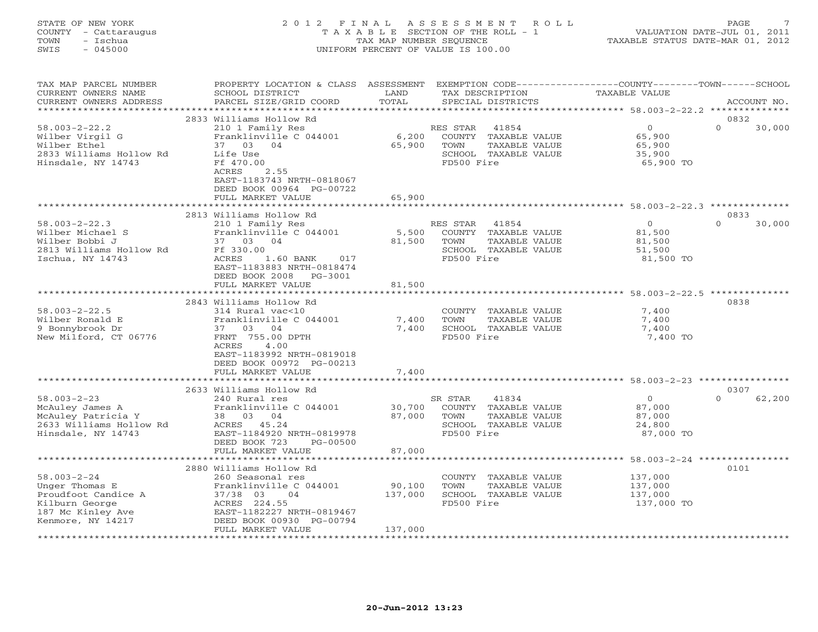| STATE OF NEW YORK    | 2012 FINAL ASSESSMENT ROLL            | <b>PAGE</b>                      |
|----------------------|---------------------------------------|----------------------------------|
| COUNTY - Cattaraugus | T A X A B L E SECTION OF THE ROLL - 1 | VALUATION DATE-JUL 01, 2011      |
| - Ischua<br>TOWN     | TAX MAP NUMBER SEOUENCE               | TAXABLE STATUS DATE-MAR 01, 2012 |
| $-045000$<br>SWIS    | UNIFORM PERCENT OF VALUE IS 100.00    |                                  |
|                      |                                       |                                  |
|                      |                                       |                                  |

| TAX MAP PARCEL NUMBER<br>CURRENT OWNERS NAME<br>CURRENT OWNERS ADDRESS                                                 | PROPERTY LOCATION & CLASS ASSESSMENT<br>SCHOOL DISTRICT<br>PARCEL SIZE/GRID COORD                                                                              | LAND<br>TOTAL          | EXEMPTION CODE-----------------COUNTY-------TOWN-----SCHOOL<br>TAX DESCRIPTION<br>SPECIAL DISTRICTS      | TAXABLE VALUE                                             | ACCOUNT NO.                |
|------------------------------------------------------------------------------------------------------------------------|----------------------------------------------------------------------------------------------------------------------------------------------------------------|------------------------|----------------------------------------------------------------------------------------------------------|-----------------------------------------------------------|----------------------------|
| *********************                                                                                                  |                                                                                                                                                                |                        |                                                                                                          |                                                           |                            |
| $58.003 - 2 - 22.2$<br>Wilber Virgil G<br>Wilber Ethel<br>2833 Williams Hollow Rd<br>Hinsdale, NY 14743                | 2833 Williams Hollow Rd<br>210 1 Family Res<br>Franklinville C 044001<br>37<br>03 04<br>Life Use<br>Ff 470.00<br>2.55<br>ACRES                                 | 6,200<br>65,900        | RES STAR<br>41854<br>COUNTY TAXABLE VALUE<br>TOWN<br>TAXABLE VALUE<br>SCHOOL TAXABLE VALUE<br>FD500 Fire | $\circ$<br>65,900<br>65,900<br>35,900<br>65,900 TO        | 0832<br>$\Omega$<br>30,000 |
|                                                                                                                        | EAST-1183743 NRTH-0818067<br>DEED BOOK 00964 PG-00722<br>FULL MARKET VALUE                                                                                     | 65,900                 |                                                                                                          |                                                           |                            |
|                                                                                                                        | 2813 Williams Hollow Rd                                                                                                                                        |                        |                                                                                                          |                                                           | 0833                       |
| $58.003 - 2 - 22.3$<br>Wilber Michael S<br>Wilber Bobbi J<br>2813 Williams Hollow Rd<br>Ischua, NY 14743               | 210 1 Family Res<br>Franklinville C 044001<br>37 03 04<br>Ff 330.00<br>ACRES<br>$1.60$ BANK<br>017<br>EAST-1183883 NRTH-0818474                                | 5,500<br>81,500        | RES STAR<br>41854<br>COUNTY TAXABLE VALUE<br>TOWN<br>TAXABLE VALUE<br>SCHOOL TAXABLE VALUE<br>FD500 Fire | $\Omega$<br>81,500<br>81,500<br>51,500<br>81,500 TO       | $\Omega$<br>30,000         |
|                                                                                                                        | DEED BOOK 2008<br>PG-3001<br>FULL MARKET VALUE                                                                                                                 | 81,500                 |                                                                                                          |                                                           |                            |
|                                                                                                                        | 2843 Williams Hollow Rd                                                                                                                                        |                        |                                                                                                          |                                                           | 0838                       |
| $58.003 - 2 - 22.5$<br>Wilber Ronald E<br>9 Bonnybrook Dr<br>New Milford, CT 06776                                     | 314 Rural vac<10<br>Franklinville C 044001<br>37 03<br>04<br>FRNT 755.00 DPTH<br><b>ACRES</b><br>4.00<br>EAST-1183992 NRTH-0819018<br>DEED BOOK 00972 PG-00213 | 7,400<br>7,400         | COUNTY TAXABLE VALUE<br>TOWN<br>TAXABLE VALUE<br>SCHOOL TAXABLE VALUE<br>FD500 Fire                      | 7,400<br>7,400<br>7,400<br>7,400 TO                       |                            |
|                                                                                                                        | FULL MARKET VALUE<br>*******************************                                                                                                           | 7,400                  |                                                                                                          |                                                           |                            |
|                                                                                                                        | 2633 Williams Hollow Rd                                                                                                                                        |                        |                                                                                                          |                                                           | 0307                       |
| $58.003 - 2 - 23$<br>McAuley James A<br>McAuley Patricia Y<br>2633 Williams Hollow Rd<br>Hinsdale, NY 14743            | 240 Rural res<br>Franklinville C 044001<br>38 03 04<br>ACRES 45.24<br>EAST-1184920 NRTH-0819978<br>DEED BOOK 723<br>PG-00500                                   | 30,700<br>87,000       | SR STAR<br>41834<br>COUNTY TAXABLE VALUE<br>TOWN<br>TAXABLE VALUE<br>SCHOOL TAXABLE VALUE<br>FD500 Fire  | $\overline{0}$<br>87,000<br>87,000<br>24,800<br>87,000 TO | $\Omega$<br>62,200         |
|                                                                                                                        | FULL MARKET VALUE                                                                                                                                              | 87,000<br>************ |                                                                                                          | ******************** 58.003-2-24 *****************        |                            |
|                                                                                                                        | 2880 Williams Hollow Rd                                                                                                                                        |                        |                                                                                                          |                                                           | 0101                       |
| $58.003 - 2 - 24$<br>Unger Thomas E<br>Proudfoot Candice A<br>Kilburn George<br>187 Mc Kinley Ave<br>Kenmore, NY 14217 | 260 Seasonal res<br>Franklinville C 044001<br>37/38 03<br>04<br>ACRES 224.55<br>EAST-1182227 NRTH-0819467<br>DEED BOOK 00930 PG-00794                          | 90,100<br>137,000      | COUNTY<br>TAXABLE VALUE<br>TOWN<br>TAXABLE VALUE<br>SCHOOL TAXABLE VALUE<br>FD500 Fire                   | 137,000<br>137,000<br>137,000<br>137,000 TO               |                            |
|                                                                                                                        | FULL MARKET VALUE                                                                                                                                              | 137,000                |                                                                                                          |                                                           |                            |
|                                                                                                                        |                                                                                                                                                                |                        |                                                                                                          |                                                           |                            |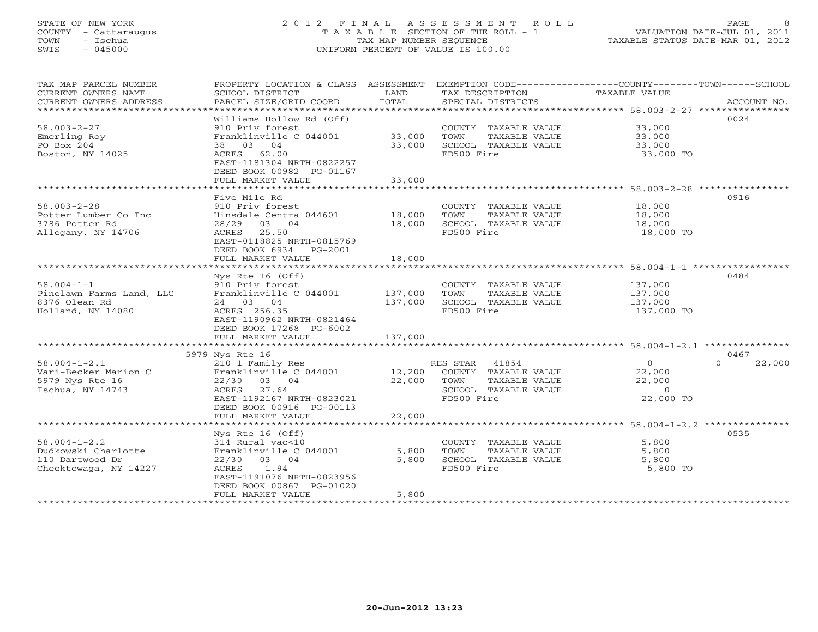# STATE OF NEW YORK 2 0 1 2 F I N A L A S S E S S M E N T R O L L PAGE 8 COUNTY - Cattaraugus T A X A B L E SECTION OF THE ROLL - 1 VALUATION DATE-JUL 01, 2011 TOWN - Ischua TAX MAP NUMBER SEQUENCE TAXABLE STATUS DATE-MAR 01, 2012 SWIS - 045000 UNIFORM PERCENT OF VALUE IS 100.00

| TAX MAP PARCEL NUMBER<br>CURRENT OWNERS NAME<br>CURRENT OWNERS ADDRESS                | PROPERTY LOCATION & CLASS ASSESSMENT<br>SCHOOL DISTRICT<br>PARCEL SIZE/GRID COORD                                                                                                                         | LAND<br>TOTAL                 | TAX DESCRIPTION<br>SPECIAL DISTRICTS                                                                  | EXEMPTION CODE-----------------COUNTY-------TOWN------SCHOOL<br>TAXABLE VALUE<br>ACCOUNT NO. |
|---------------------------------------------------------------------------------------|-----------------------------------------------------------------------------------------------------------------------------------------------------------------------------------------------------------|-------------------------------|-------------------------------------------------------------------------------------------------------|----------------------------------------------------------------------------------------------|
| $58.003 - 2 - 27$<br>Emerling Roy<br>PO Box 204<br>Boston, NY 14025                   | Williams Hollow Rd (Off)<br>910 Priv forest<br>Franklinville C 044001<br>38 03 04<br>ACRES 62.00<br>EAST-1181304 NRTH-0822257<br>DEED BOOK 00982 PG-01167<br>FULL MARKET VALUE                            | 33,000<br>33,000<br>33,000    | COUNTY TAXABLE VALUE<br>TOWN<br>TAXABLE VALUE<br>SCHOOL TAXABLE VALUE<br>FD500 Fire                   | 0024<br>33,000<br>33,000<br>33,000<br>33,000 TO                                              |
| $58.003 - 2 - 28$<br>Potter Lumber Co Inc<br>3786 Potter Rd<br>Allegany, NY 14706     | Five Mile Rd<br>910 Priv forest<br>Hinsdale Centra 044601<br>28/29 03 04<br>25.50<br>ACRES<br>EAST-0118825 NRTH-0815769<br>DEED BOOK 6934<br>$PG-2001$<br>FULL MARKET VALUE                               | 18,000<br>18,000<br>18,000    | COUNTY TAXABLE VALUE<br>TOWN<br>TAXABLE VALUE<br>SCHOOL TAXABLE VALUE<br>FD500 Fire                   | 0916<br>18,000<br>18,000<br>18,000<br>18,000 TO                                              |
| $58.004 - 1 - 1$<br>Pinelawn Farms Land, LLC<br>8376 Olean Rd<br>Holland, NY 14080    | $Nys$ Rte 16 (Off)<br>910 Priv forest<br>Franklinville C 044001<br>24 03 04<br>ACRES 256.35<br>EAST-1190962 NRTH-0821464<br>DEED BOOK 17268 PG-6002<br>FULL MARKET VALUE                                  | 137,000<br>137,000<br>137,000 | COUNTY TAXABLE VALUE<br>TOWN<br>TAXABLE VALUE<br>SCHOOL TAXABLE VALUE<br>FD500 Fire                   | 0484<br>137,000<br>137,000<br>137,000<br>137,000 TO                                          |
| $58.004 - 1 - 2.1$<br>Vari-Becker Marion C<br>5979 Nys Rte 16<br>Ischua, NY 14743     | 5979 Nys Rte 16<br>210 1 Family Res<br>Franklinville C 044001<br>22/30 03 04<br>ACRES 27.64<br>EAST-1192167 NRTH-0823021<br>DEED BOOK 00916 PG-00113<br>FULL MARKET VALUE                                 | 12,200<br>22,000<br>22,000    | RES STAR 41854<br>COUNTY TAXABLE VALUE<br>TOWN<br>TAXABLE VALUE<br>SCHOOL TAXABLE VALUE<br>FD500 Fire | 0467<br>$\Omega$<br>$\Omega$<br>22,000<br>22,000<br>22,000<br>$\overline{0}$<br>22,000 TO    |
| $58.004 - 1 - 2.2$<br>Dudkowski Charlotte<br>110 Dartwood Dr<br>Cheektowaga, NY 14227 | $Nys$ Rte 16 (Off)<br>314 Rural vac<10<br>Franklinville C 044001<br>22/30 03 04<br>ACRES<br>1.94<br>EAST-1191076 NRTH-0823956<br>DEED BOOK 00867 PG-01020<br>FULL MARKET VALUE<br>*********************** | 5,800<br>5,800<br>5,800       | COUNTY TAXABLE VALUE<br>TOWN<br>TAXABLE VALUE<br>SCHOOL TAXABLE VALUE<br>FD500 Fire                   | 0535<br>5,800<br>5,800<br>5,800<br>5,800 TO                                                  |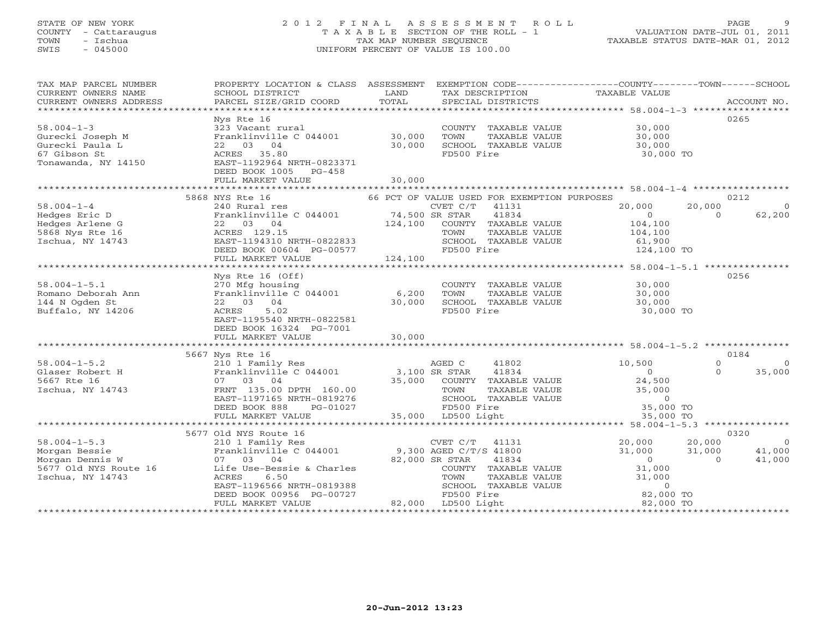### STATE OF NEW YORK 2 0 1 2 F I N A L A S S E S S M E N T R O L L PAGE 9 COUNTY - Cattaraugus T A X A B L E SECTION OF THE ROLL - 1 VALUATION DATE-JUL 01, 2011 TOWN - Ischua TAX MAP NUMBER SEQUENCE TAXABLE STATUS DATE-MAR 01, 2012 SWIS - 045000 UNIFORM PERCENT OF VALUE IS 100.00UNIFORM PERCENT OF VALUE IS 100.00

| TAX MAP PARCEL NUMBER<br>CURRENT OWNERS NAME<br>CURRENT OWNERS ADDRESS                              | PROPERTY LOCATION & CLASS ASSESSMENT<br>SCHOOL DISTRICT<br>PARCEL SIZE/GRID COORD                                              | LAND<br>TOTAL                         | EXEMPTION CODE-----------------COUNTY-------TOWN------SCHOOL<br>TAX DESCRIPTION<br>SPECIAL DISTRICTS                 | TAXABLE VALUE                                                | ACCOUNT NO.                                                              |
|-----------------------------------------------------------------------------------------------------|--------------------------------------------------------------------------------------------------------------------------------|---------------------------------------|----------------------------------------------------------------------------------------------------------------------|--------------------------------------------------------------|--------------------------------------------------------------------------|
| $58.004 - 1 - 3$<br>Gurecki Joseph M                                                                | Nys Rte 16<br>323 Vacant rural<br>Franklinville C 044001                                                                       | 30,000                                | COUNTY TAXABLE VALUE<br>TOWN<br>TAXABLE VALUE                                                                        | 30,000                                                       | 0265                                                                     |
| Gurecki Paula L<br>67 Gibson St<br>Tonawanda, NY 14150                                              | 22 03 04<br>ACRES 35.80<br>EAST-1192964 NRTH-0823371<br>DEED BOOK 1005 PG-458                                                  | 30,000                                | SCHOOL TAXABLE VALUE<br>FD500 Fire                                                                                   | 30,000<br>30,000<br>30,000 TO                                |                                                                          |
|                                                                                                     | FULL MARKET VALUE                                                                                                              | 30,000                                |                                                                                                                      |                                                              |                                                                          |
| $58.004 - 1 - 4$                                                                                    | 5868 NYS Rte 16<br>240 Rural res                                                                                               |                                       | 66 PCT OF VALUE USED FOR EXEMPTION PURPOSES<br>$CVET C/T$ 41131                                                      | 20,000                                                       | 0212<br>20,000<br>$\Omega$                                               |
| Hedges Eric D<br>Hedges Arlene G<br>5868 Nys Rte 16<br>Ischua, NY 14743                             | Franklinville C 044001<br>22 03 04<br>ACRES 129.15<br>EAST-1194310 NRTH-0822833<br>DEED BOOK 00604 PG-00577                    | CVET C/T<br>74,500 SR STAR<br>124,100 | 41834<br>COUNTY TAXABLE VALUE<br>TOWN<br>TAXABLE VALUE<br>SCHOOL TAXABLE VALUE<br>FD500 Fire                         | $\overline{0}$<br>104,100<br>104,100<br>61,900<br>124,100 TO | 62,200<br>$\Omega$                                                       |
|                                                                                                     | FULL MARKET VALUE                                                                                                              | 124,100                               |                                                                                                                      |                                                              |                                                                          |
|                                                                                                     | Nys Rte $16$ (Off)                                                                                                             |                                       |                                                                                                                      |                                                              | 0256                                                                     |
| $58.004 - 1 - 5.1$<br>Romano Deborah Ann<br>144 N Ogden St<br>Buffalo, NY 14206                     | 270 Mfg housing<br>Franklinville C 044001<br>22 03 04<br>ACRES<br>5.02<br>EAST-1195540 NRTH-0822581<br>DEED BOOK 16324 PG-7001 | 6,200<br>30,000                       | COUNTY TAXABLE VALUE<br>TAXABLE VALUE<br>TOWN<br>SCHOOL TAXABLE VALUE<br>FD500 Fire                                  | 30,000<br>30,000<br>30,000<br>30,000 TO                      |                                                                          |
|                                                                                                     | FULL MARKET VALUE                                                                                                              | 30,000                                |                                                                                                                      |                                                              |                                                                          |
| $58.004 - 1 - 5.2$                                                                                  | 5667 Nys Rte 16<br>210 1 Family Res                                                                                            |                                       | AGED C<br>41802                                                                                                      | 10,500                                                       | 0184<br>$\Omega$<br>$\Omega$                                             |
| Glaser Robert H<br>5667 Rte 16<br>Ischua, NY 14743                                                  | Franklinville C 044001<br>07 03 04<br>FRNT 135.00 DPTH 160.00<br>EAST-1197165 NRTH-0819276<br>DEED BOOK 888<br>PG-01027        | 3,100 SR STAR                         | 41834<br>35,000 COUNTY TAXABLE VALUE<br>TOWN<br>TAXABLE VALUE<br>SCHOOL TAXABLE VALUE<br>FD500 Fire                  | $\Omega$<br>24,500<br>35,000<br>$\overline{0}$<br>35,000 TO  | $\Omega$<br>35,000                                                       |
|                                                                                                     | FULL MARKET VALUE                                                                                                              |                                       | 35,000 LD500 Light                                                                                                   | 35,000 TO                                                    |                                                                          |
|                                                                                                     | 5677 Old NYS Route 16                                                                                                          |                                       |                                                                                                                      |                                                              | 0320                                                                     |
| $58.004 - 1 - 5.3$<br>Morgan Bessie<br>Morgan Dennis W<br>5677 Old NYS Route 16<br>Ischua, NY 14743 | 210 1 Family Res<br>Franklinville C 044001<br>07 03 04<br>Life Use-Bessie & Charles<br>ACRES<br>6.50                           |                                       | CVET C/T 41131<br>9,300 AGED C/T/S 41800<br>82,000 SR STAR<br>41834<br>COUNTY TAXABLE VALUE<br>TOWN<br>TAXABLE VALUE | 20,000<br>31,000<br>$\overline{0}$<br>31,000<br>31,000       | 20,000<br>$\overline{0}$<br>41,000<br>31,000<br>$\overline{0}$<br>41,000 |
|                                                                                                     | EAST-1196566 NRTH-0819388<br>DEED BOOK 00956 PG-00727<br>FULL MARKET VALUE                                                     |                                       | SCHOOL TAXABLE VALUE<br>FD500 Fire<br>82,000 LD500 Light                                                             | $\circ$<br>82,000 TO<br>82,000 TO                            |                                                                          |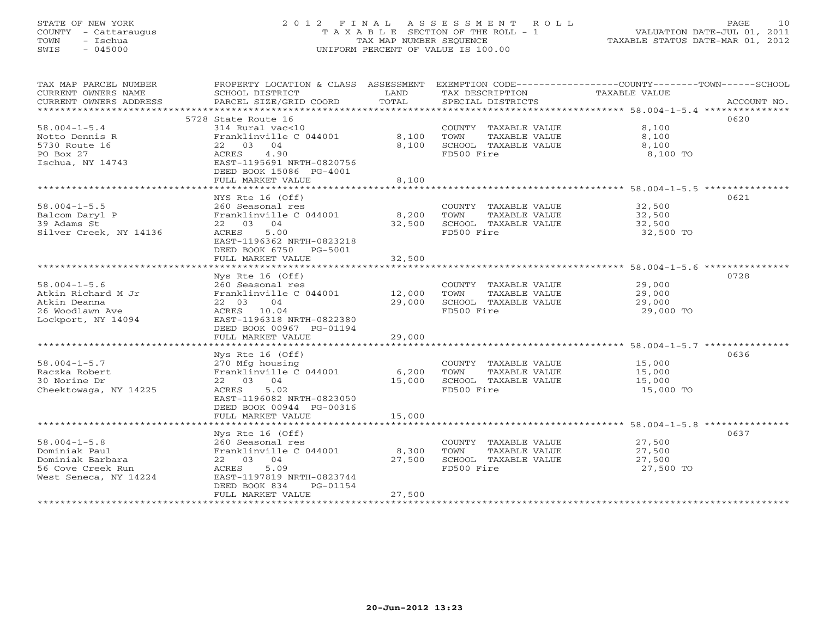### STATE OF NEW YORK 2 0 1 2 F I N A L A S S E S S M E N T R O L L PAGE 10 COUNTY - Cattaraugus T A X A B L E SECTION OF THE ROLL - 1 VALUATION DATE-JUL 01, 2011 TOWN - Ischua TAX MAP NUMBER SEQUENCE TAXABLE STATUS DATE-MAR 01, 2012 SWIS - 045000 UNIFORM PERCENT OF VALUE IS 100.00UNIFORM PERCENT OF VALUE IS 100.00

| TAX MAP PARCEL NUMBER<br>CURRENT OWNERS NAME<br>CURRENT OWNERS ADDRESS                                | PROPERTY LOCATION & CLASS ASSESSMENT<br>SCHOOL DISTRICT<br>PARCEL SIZE/GRID COORD                                                                                           | LAND<br>TOTAL           | TAX DESCRIPTION<br>SPECIAL DISTRICTS                                                | EXEMPTION CODE-----------------COUNTY-------TOWN------SCHOOL<br>TAXABLE VALUE<br>ACCOUNT NO. |
|-------------------------------------------------------------------------------------------------------|-----------------------------------------------------------------------------------------------------------------------------------------------------------------------------|-------------------------|-------------------------------------------------------------------------------------|----------------------------------------------------------------------------------------------|
| $58.004 - 1 - 5.4$<br>Notto Dennis R<br>5730 Route 16<br>PO Box 27<br>Ischua, NY 14743                | 5728 State Route 16<br>314 Rural vac<10<br>Franklinville C 044001<br>22 03 04<br>4.90<br>ACRES<br>EAST-1195691 NRTH-0820756<br>DEED BOOK 15086 PG-4001<br>FULL MARKET VALUE | 8,100<br>8,100<br>8,100 | COUNTY TAXABLE VALUE<br>TOWN<br>TAXABLE VALUE<br>SCHOOL TAXABLE VALUE<br>FD500 Fire | 0620<br>8,100<br>8,100<br>8,100<br>8,100 TO                                                  |
|                                                                                                       | NYS Rte 16 (Off)                                                                                                                                                            |                         |                                                                                     | 0621                                                                                         |
| $58.004 - 1 - 5.5$<br>Balcom Daryl P<br>39 Adams St<br>Silver Creek, NY 14136                         | 260 Seasonal res<br>Franklinville C 044001<br>22 03 04<br>5.00<br>ACRES<br>EAST-1196362 NRTH-0823218<br>DEED BOOK 6750 PG-5001                                              | 8,200<br>32,500         | COUNTY TAXABLE VALUE<br>TOWN<br>TAXABLE VALUE<br>SCHOOL TAXABLE VALUE<br>FD500 Fire | 32,500<br>32,500<br>32,500<br>32,500 TO                                                      |
|                                                                                                       | FULL MARKET VALUE                                                                                                                                                           | 32,500                  |                                                                                     |                                                                                              |
| $58.004 - 1 - 5.6$<br>Atkin Richard M Jr<br>Atkin Deanna<br>26 Woodlawn Ave<br>Lockport, NY 14094     | Nys Rte 16 (Off)<br>260 Seasonal res<br>Franklinville C 044001<br>22 03<br>04<br>ACRES 10.04<br>EAST-1196318 NRTH-0822380                                                   | 12,000<br>29,000        | COUNTY TAXABLE VALUE<br>TAXABLE VALUE<br>TOWN<br>SCHOOL TAXABLE VALUE<br>FD500 Fire | 0728<br>29,000<br>29,000<br>29,000<br>29,000 TO                                              |
|                                                                                                       | DEED BOOK 00967 PG-01194<br>FULL MARKET VALUE                                                                                                                               | 29,000                  |                                                                                     |                                                                                              |
| $58.004 - 1 - 5.7$<br>Raczka Robert<br>30 Norine Dr<br>Cheektowaga, NY 14225                          | Nys Rte $16$ (Off)<br>270 Mfg housing<br>Franklinville C 044001<br>22 03 04<br>ACRES<br>5.02<br>EAST-1196082 NRTH-0823050                                                   | 6,200<br>15,000         | COUNTY TAXABLE VALUE<br>TAXABLE VALUE<br>TOWN<br>SCHOOL TAXABLE VALUE<br>FD500 Fire | 0636<br>15,000<br>15,000<br>15,000<br>15,000 TO                                              |
|                                                                                                       | DEED BOOK 00944 PG-00316<br>FULL MARKET VALUE                                                                                                                               | 15,000                  |                                                                                     |                                                                                              |
|                                                                                                       | Nys Rte 16 (Off)                                                                                                                                                            |                         |                                                                                     | 0637                                                                                         |
| $58.004 - 1 - 5.8$<br>Dominiak Paul<br>Dominiak Barbara<br>56 Cove Creek Run<br>West Seneca, NY 14224 | 260 Seasonal res<br>Franklinville C 044001<br>22 03 04<br>5.09<br>ACRES<br>EAST-1197819 NRTH-0823744<br>DEED BOOK 834<br>PG-01154                                           | 8,300<br>27,500         | COUNTY TAXABLE VALUE<br>TOWN<br>TAXABLE VALUE<br>SCHOOL TAXABLE VALUE<br>FD500 Fire | 27,500<br>27,500<br>27,500<br>27,500 TO                                                      |
| *******************                                                                                   | FULL MARKET VALUE                                                                                                                                                           | 27,500                  |                                                                                     |                                                                                              |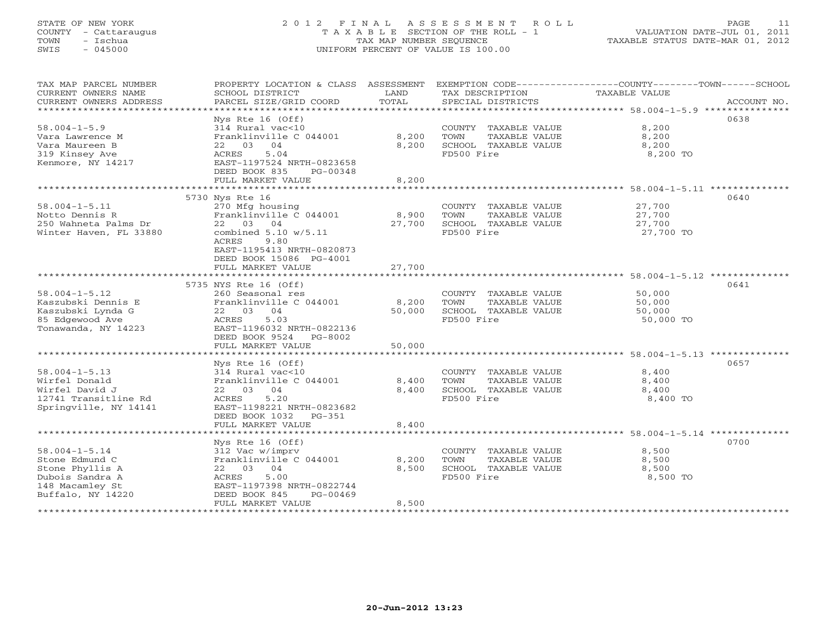### STATE OF NEW YORK 2 0 1 2 F I N A L A S S E S S M E N T R O L L PAGE 11 COUNTY - Cattaraugus T A X A B L E SECTION OF THE ROLL - 1 VALUATION DATE-JUL 01, 2011 TOWN - Ischua TAX MAP NUMBER SEQUENCE TAXABLE STATUS DATE-MAR 01, 2012 SWIS - 045000 UNIFORM PERCENT OF VALUE IS 100.00UNIFORM PERCENT OF VALUE IS 100.00

| TAX MAP PARCEL NUMBER                         | PROPERTY LOCATION & CLASS                             | ASSESSMENT      |                                      | EXEMPTION CODE----------------COUNTY-------TOWN-----SCHOOL      |
|-----------------------------------------------|-------------------------------------------------------|-----------------|--------------------------------------|-----------------------------------------------------------------|
| CURRENT OWNERS NAME<br>CURRENT OWNERS ADDRESS | SCHOOL DISTRICT<br>PARCEL SIZE/GRID COORD             | LAND<br>TOTAL   | TAX DESCRIPTION<br>SPECIAL DISTRICTS | TAXABLE VALUE<br>ACCOUNT NO.                                    |
|                                               |                                                       | *************** |                                      | ********************************** 58.004-1-5.9 *************** |
|                                               | Nys Rte 16 (Off)                                      |                 |                                      | 0638                                                            |
| $58.004 - 1 - 5.9$                            | 314 Rural vac<10                                      |                 | COUNTY TAXABLE VALUE                 | 8,200                                                           |
| Vara Lawrence M                               | Franklinville C 044001                                | 8,200           | TOWN<br>TAXABLE VALUE                | 8,200                                                           |
| Vara Maureen B                                | 03<br>04<br>22                                        | 8,200           | SCHOOL TAXABLE VALUE                 | 8,200                                                           |
| 319 Kinsey Ave                                | <b>ACRES</b><br>5.04                                  |                 | FD500 Fire                           | 8,200 TO                                                        |
| Kenmore, NY 14217                             | EAST-1197524 NRTH-0823658                             |                 |                                      |                                                                 |
|                                               | DEED BOOK 835<br>PG-00348                             |                 |                                      |                                                                 |
|                                               | FULL MARKET VALUE                                     | 8,200           |                                      |                                                                 |
|                                               | ******************                                    | ***********     |                                      | ************************* 58.004-1-5.11 **********              |
|                                               | 5730 Nys Rte 16                                       |                 |                                      | 0640                                                            |
| $58.004 - 1 - 5.11$                           | 270 Mfg housing                                       |                 | COUNTY TAXABLE VALUE                 | 27,700                                                          |
| Notto Dennis R                                | Franklinville C 044001                                | 8,900           | TAXABLE VALUE<br>TOWN                | 27,700                                                          |
| 250 Wahneta Palms Dr                          | 22 03<br>04                                           | 27,700          | SCHOOL TAXABLE VALUE                 | 27,700                                                          |
| Winter Haven, FL 33880                        | combined $5.10 w/5.11$                                |                 | FD500 Fire                           | 27,700 TO                                                       |
|                                               | ACRES<br>9.80                                         |                 |                                      |                                                                 |
|                                               | EAST-1195413 NRTH-0820873                             |                 |                                      |                                                                 |
|                                               | DEED BOOK 15086 PG-4001                               |                 |                                      |                                                                 |
|                                               | FULL MARKET VALUE                                     | 27,700          |                                      |                                                                 |
|                                               |                                                       |                 |                                      |                                                                 |
|                                               | 5735 NYS Rte 16 (Off)                                 |                 |                                      | 0641                                                            |
| $58.004 - 1 - 5.12$                           | 260 Seasonal res                                      |                 | COUNTY TAXABLE VALUE                 | 50,000                                                          |
| Kaszubski Dennis E                            | Franklinville C 044001                                | 8,200           | TOWN<br>TAXABLE VALUE                | 50,000                                                          |
| Kaszubski Lynda G                             | 22 03<br>04                                           | 50,000          | SCHOOL TAXABLE VALUE                 | 50,000                                                          |
| 85 Edgewood Ave                               | ACRES<br>5.03                                         |                 | FD500 Fire                           | 50,000 TO                                                       |
| Tonawanda, NY 14223                           | EAST-1196032 NRTH-0822136                             |                 |                                      |                                                                 |
|                                               | DEED BOOK 9524<br>$PG-8002$                           |                 |                                      |                                                                 |
|                                               | FULL MARKET VALUE                                     | 50,000          |                                      |                                                                 |
|                                               |                                                       | ************    |                                      | ********************** 58.004-1-5.13 *************              |
|                                               | $Nys$ Rte 16 (Off)                                    |                 |                                      | 0657                                                            |
| $58.004 - 1 - 5.13$                           | 314 Rural vac<10                                      |                 | COUNTY TAXABLE VALUE                 | 8,400                                                           |
| Wirfel Donald                                 | Franklinville C 044001                                | 8,400           | TOWN<br>TAXABLE VALUE                | 8,400                                                           |
| Wirfel David J                                | 22 03<br>04                                           | 8,400           | SCHOOL TAXABLE VALUE                 | 8,400                                                           |
| 12741 Transitline Rd                          | ACRES<br>5.20                                         |                 | FD500 Fire                           | 8,400 TO                                                        |
| Springville, NY 14141                         | EAST-1198221 NRTH-0823682<br>DEED BOOK 1032<br>PG-351 |                 |                                      |                                                                 |
|                                               | FULL MARKET VALUE                                     | 8,400           |                                      |                                                                 |
|                                               | ******************                                    | ***********     |                                      | ****************************** 58.004-1-5.14 **********         |
|                                               | Nys Rte $16$ (Off)                                    |                 |                                      | 0700                                                            |
| $58.004 - 1 - 5.14$                           | 312 Vac w/imprv                                       |                 | COUNTY TAXABLE VALUE                 | 8,500                                                           |
| Stone Edmund C                                | Franklinville C 044001                                | 8,200           | TOWN<br>TAXABLE VALUE                | 8,500                                                           |
| Stone Phyllis A                               | 03<br>04<br>22                                        | 8,500           | SCHOOL TAXABLE VALUE                 | 8,500                                                           |
| Dubois Sandra A                               | ACRES<br>5.00                                         |                 | FD500 Fire                           | 8,500 TO                                                        |
| 148 Macamley St                               | EAST-1197398 NRTH-0822744                             |                 |                                      |                                                                 |
| Buffalo, NY 14220                             | DEED BOOK 845<br>$PG-00469$                           |                 |                                      |                                                                 |
|                                               | FULL MARKET VALUE                                     | 8,500           |                                      |                                                                 |
|                                               |                                                       |                 |                                      |                                                                 |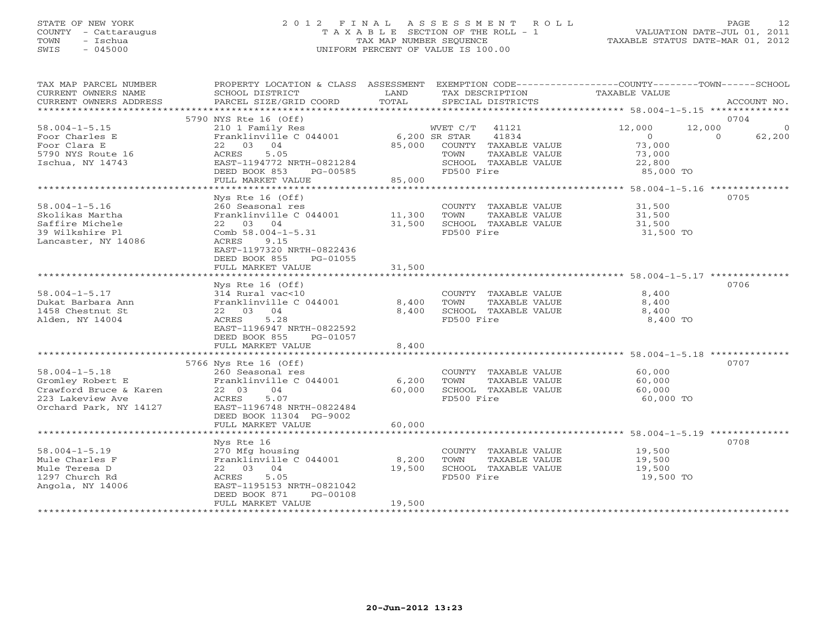#### STATE OF NEW YORK 2 0 1 2 F I N A L A S S E S S M E N T R O L L PAGE 12 COUNTY - Cattaraugus T A X A B L E SECTION OF THE ROLL - 1 VALUATION DATE-JUL 01, 2011 TOWN - Ischua TAX MAP NUMBER SEQUENCE TAXABLE STATUS DATE-MAR 01, 2012 SWIS - 045000 UNIFORM PERCENT OF VALUE IS 100.00UNIFORM PERCENT OF VALUE IS 100.00

| TAX MAP PARCEL NUMBER<br>CURRENT OWNERS NAME<br>CURRENT OWNERS ADDRESS                                          | PROPERTY LOCATION & CLASS ASSESSMENT EXEMPTION CODE---------------COUNTY-------TOWN------SCHOOL<br>SCHOOL DISTRICT<br>PARCEL SIZE/GRID COORD                                      | LAND<br>TOTAL             | TAX DESCRIPTION<br>SPECIAL DISTRICTS                                                                | TAXABLE VALUE                                             | ACCOUNT NO.                                         |
|-----------------------------------------------------------------------------------------------------------------|-----------------------------------------------------------------------------------------------------------------------------------------------------------------------------------|---------------------------|-----------------------------------------------------------------------------------------------------|-----------------------------------------------------------|-----------------------------------------------------|
|                                                                                                                 |                                                                                                                                                                                   |                           |                                                                                                     |                                                           |                                                     |
| $58.004 - 1 - 5.15$                                                                                             | 5790 NYS Rte 16 (Off)<br>210 1 Family Res                                                                                                                                         |                           | WVET C/T<br>41121                                                                                   | 12,000                                                    | 0704<br>12,000<br>$\overline{0}$                    |
| Foor Charles E<br>Foor Clara E<br>5790 NYS Route 16<br>Ischua, NY 14743                                         | Franklinville C 044001<br>22 03 04<br>ACRES<br>5.05<br>EAST-1194772 NRTH-0821284<br>DEED BOOK 853<br>PG-00585                                                                     | 6,200 SR STAR             | 41834<br>85,000 COUNTY TAXABLE VALUE<br>TOWN<br>TAXABLE VALUE<br>SCHOOL TAXABLE VALUE<br>FD500 Fire | $\overline{O}$<br>73,000<br>73,000<br>22,800<br>85,000 TO | $\Omega$<br>62,200                                  |
|                                                                                                                 | FULL MARKET VALUE                                                                                                                                                                 | 85,000                    |                                                                                                     |                                                           |                                                     |
|                                                                                                                 | ********************                                                                                                                                                              | *************             |                                                                                                     |                                                           | ********************* 58.004-1-5.16 *************** |
| $58.004 - 1 - 5.16$<br>Skolikas Martha<br>Saffire Michele<br>39 Wilkshire Pl<br>Lancaster, NY 14086             | Nys Rte 16 (Off)<br>260 Seasonal res<br>Franklinville C 044001<br>22 03 04<br>Comb $58.004 - 1 - 5.31$<br>ACRES<br>9.15<br>EAST-1197320 NRTH-0822436<br>DEED BOOK 855<br>PG-01055 | 11,300<br>31,500          | COUNTY TAXABLE VALUE<br>TOWN<br>TAXABLE VALUE<br>SCHOOL TAXABLE VALUE<br>FD500 Fire                 | 31,500<br>31,500<br>31,500<br>31,500 TO                   | 0705                                                |
|                                                                                                                 | FULL MARKET VALUE                                                                                                                                                                 | 31,500                    |                                                                                                     |                                                           |                                                     |
|                                                                                                                 |                                                                                                                                                                                   |                           |                                                                                                     |                                                           |                                                     |
| $58.004 - 1 - 5.17$<br>Dukat Barbara Ann<br>1458 Chestnut St<br>Alden, NY 14004                                 | Nys Rte $16$ (Off)<br>314 Rural vac<10<br>Franklinville C 044001<br>22 03 04<br>ACRES<br>5.28<br>EAST-1196947 NRTH-0822592<br>DEED BOOK 855<br>PG-01057<br>FULL MARKET VALUE      | 8,400<br>8,400<br>8,400   | COUNTY TAXABLE VALUE<br>TOWN<br>TAXABLE VALUE<br>SCHOOL TAXABLE VALUE<br>FD500 Fire                 | 8,400<br>8,400<br>8,400<br>8,400 TO                       | 0706                                                |
|                                                                                                                 |                                                                                                                                                                                   |                           |                                                                                                     |                                                           |                                                     |
| $58.004 - 1 - 5.18$<br>Gromley Robert E<br>Crawford Bruce & Karen<br>223 Lakeview Ave<br>Orchard Park, NY 14127 | 5766 Nys Rte 16 (Off)<br>260 Seasonal res<br>Franklinville C 044001<br>22 03<br>04<br>ACRES<br>5.07<br>EAST-1196748 NRTH-0822484<br>DEED BOOK 11304 PG-9002<br>FULL MARKET VALUE  | 6,200<br>60,000<br>60,000 | COUNTY TAXABLE VALUE<br>TOWN<br>TAXABLE VALUE<br>SCHOOL TAXABLE VALUE<br>FD500 Fire                 | 60,000<br>60,000<br>60,000<br>60,000 TO                   | 0707                                                |
|                                                                                                                 |                                                                                                                                                                                   |                           |                                                                                                     |                                                           |                                                     |
| $58.004 - 1 - 5.19$<br>Mule Charles F<br>Mule Teresa D<br>1297 Church Rd<br>Angola, NY 14006                    | Nys Rte 16<br>270 Mfg housing<br>Franklinville C 044001<br>22 03 04<br>ACRES<br>5.05<br>EAST-1195153 NRTH-0821042<br>DEED BOOK 871<br>PG-00108                                    | 8,200<br>19,500           | COUNTY TAXABLE VALUE<br>TOWN<br>TAXABLE VALUE<br>SCHOOL TAXABLE VALUE<br>FD500 Fire                 | 19,500<br>19,500<br>19,500<br>19,500 TO                   | 0708                                                |
|                                                                                                                 | FULL MARKET VALUE                                                                                                                                                                 | 19,500                    |                                                                                                     |                                                           |                                                     |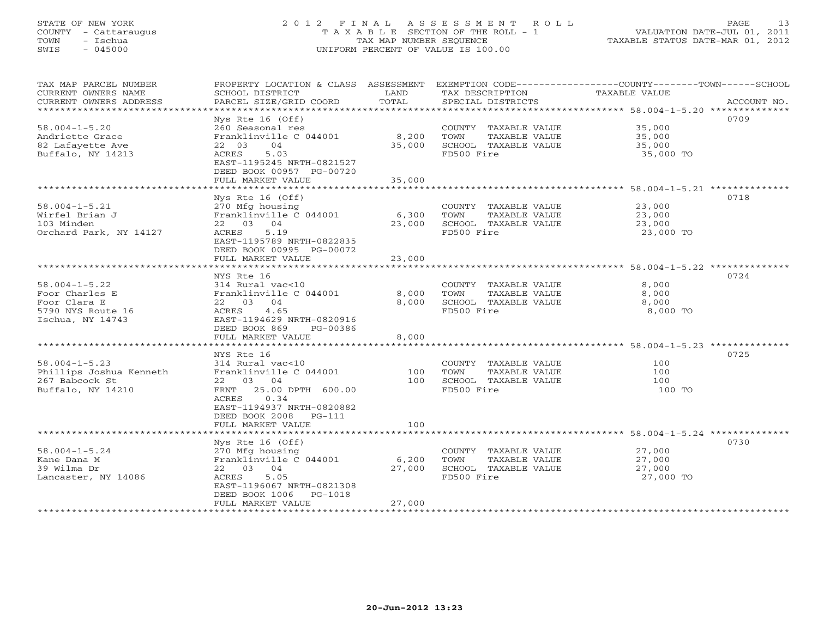#### STATE OF NEW YORK 2 0 1 2 F I N A L A S S E S S M E N T R O L L PAGE 13COUNTY - Cattaraugus T A X A B L E SECTION OF THE ROLL - 1<br>TOWN - Ischua TOWN - Ischua TAX MAP NUMBER SEQUENCE TAXABLE STATUS DATE-MAR 01, 2012<br>TAXABLE STATUS DATE-MAR 01, 2012 SWIS - 045000 UNIFORM PERCENT OF VALUE IS 100.00

| TAX MAP PARCEL NUMBER<br>CURRENT OWNERS NAME<br>CURRENT OWNERS ADDRESS                         | PROPERTY LOCATION & CLASS ASSESSMENT<br>SCHOOL DISTRICT<br>PARCEL SIZE/GRID COORD                                                                                             | LAND<br>TOTAL             | TAX DESCRIPTION<br>SPECIAL DISTRICTS                                                | EXEMPTION CODE-----------------COUNTY-------TOWN------SCHOOL<br><b>TAXABLE VALUE</b><br>ACCOUNT NO. |
|------------------------------------------------------------------------------------------------|-------------------------------------------------------------------------------------------------------------------------------------------------------------------------------|---------------------------|-------------------------------------------------------------------------------------|-----------------------------------------------------------------------------------------------------|
| *******************                                                                            |                                                                                                                                                                               |                           |                                                                                     |                                                                                                     |
| $58.004 - 1 - 5.20$<br>Andriette Grace<br>82 Lafayette Ave<br>Buffalo, NY 14213                | $Nys$ Rte 16 (Off)<br>260 Seasonal res<br>Franklinville C 044001<br>04<br>22 03<br>5.03<br>ACRES<br>EAST-1195245 NRTH-0821527<br>DEED BOOK 00957 PG-00720                     | 8,200<br>35,000           | COUNTY TAXABLE VALUE<br>TOWN<br>TAXABLE VALUE<br>SCHOOL TAXABLE VALUE<br>FD500 Fire | 0709<br>35,000<br>35,000<br>35,000<br>35,000 TO                                                     |
|                                                                                                | FULL MARKET VALUE<br>*******************                                                                                                                                      | 35,000                    |                                                                                     |                                                                                                     |
| $58.004 - 1 - 5.21$<br>Wirfel Brian J<br>103 Minden<br>Orchard Park, NY 14127                  | Nys Rte $16$ (Off)<br>270 Mfg housing<br>Franklinville C 044001<br>22 03 04<br>5.19<br>ACRES<br>EAST-1195789 NRTH-0822835<br>DEED BOOK 00995 PG-00072                         | 6,300<br>23,000           | COUNTY TAXABLE VALUE<br>TOWN<br>TAXABLE VALUE<br>SCHOOL TAXABLE VALUE<br>FD500 Fire | 0718<br>23,000<br>23,000<br>23,000<br>23,000 TO                                                     |
|                                                                                                | FULL MARKET VALUE                                                                                                                                                             | 23,000                    |                                                                                     |                                                                                                     |
|                                                                                                | NYS Rte 16                                                                                                                                                                    |                           |                                                                                     | ********************* 58.004-1-5.22 ***<br>0724                                                     |
| $58.004 - 1 - 5.22$<br>Foor Charles E<br>Foor Clara E<br>5790 NYS Route 16<br>Ischua, NY 14743 | 314 Rural vac<10<br>Franklinville C 044001<br>22 03 04<br>4.65<br>ACRES<br>EAST-1194629 NRTH-0820916<br>DEED BOOK 869<br>PG-00386                                             | 8,000<br>8,000            | COUNTY TAXABLE VALUE<br>TAXABLE VALUE<br>TOWN<br>SCHOOL TAXABLE VALUE<br>FD500 Fire | 8,000<br>8,000<br>8,000<br>8,000 TO                                                                 |
|                                                                                                | FULL MARKET VALUE<br>*********************                                                                                                                                    | 8,000                     |                                                                                     | ************************ 58.004-1-5.23 **************                                               |
| $58.004 - 1 - 5.23$<br>Phillips Joshua Kenneth<br>267 Babcock St<br>Buffalo, NY 14210          | NYS Rte 16<br>314 Rural vac<10<br>Franklinville C 044001<br>22 03 04<br>25.00 DPTH 600.00<br>FRNT<br>0.34<br>ACRES<br>EAST-1194937 NRTH-0820882<br>DEED BOOK 2008<br>$PG-111$ | 100<br>100                | COUNTY TAXABLE VALUE<br>TAXABLE VALUE<br>TOWN<br>SCHOOL TAXABLE VALUE<br>FD500 Fire | 0725<br>100<br>100<br>100<br>100 TO                                                                 |
|                                                                                                | FULL MARKET VALUE                                                                                                                                                             | 100                       |                                                                                     | ****************** 58.004-1-5.24 *******                                                            |
| $58.004 - 1 - 5.24$<br>Kane Dana M<br>39 Wilma Dr<br>Lancaster, NY 14086                       | Nys Rte 16 (Off)<br>270 Mfg housing<br>Franklinville C 044001<br>22 03 04<br>5.05<br>ACRES<br>EAST-1196067 NRTH-0821308<br>DEED BOOK 1006<br>PG-1018<br>FULL MARKET VALUE     | 6,200<br>27,000<br>27,000 | COUNTY TAXABLE VALUE<br>TAXABLE VALUE<br>TOWN<br>SCHOOL TAXABLE VALUE<br>FD500 Fire | 0730<br>27,000<br>27,000<br>27,000<br>27,000 TO                                                     |
|                                                                                                |                                                                                                                                                                               |                           |                                                                                     |                                                                                                     |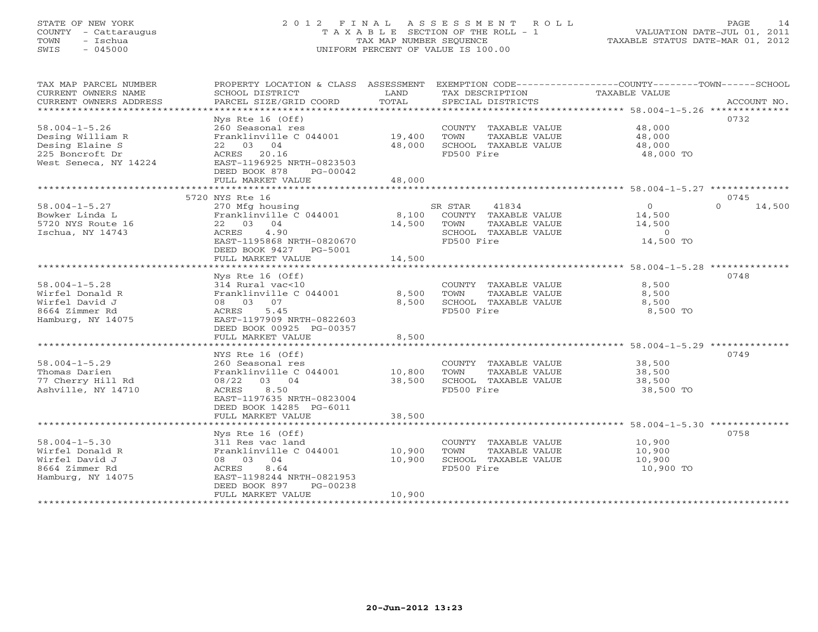### STATE OF NEW YORK 2 0 1 2 F I N A L A S S E S S M E N T R O L L PAGE 14 COUNTY - Cattaraugus T A X A B L E SECTION OF THE ROLL - 1 VALUATION DATE-JUL 01, 2011 TOWN - Ischua TAX MAP NUMBER SEQUENCE TAXABLE STATUS DATE-MAR 01, 2012 SWIS - 045000 UNIFORM PERCENT OF VALUE IS 100.00UNIFORM PERCENT OF VALUE IS 100.00

| TAX MAP PARCEL NUMBER<br>CURRENT OWNERS NAME<br>CURRENT OWNERS ADDRESS                                 | PROPERTY LOCATION & CLASS ASSESSMENT<br>SCHOOL DISTRICT<br>PARCEL SIZE/GRID COORD                                                                                              | LAND<br>TOTAL              | TAX DESCRIPTION<br>SPECIAL DISTRICTS                                                                    | EXEMPTION CODE-----------------COUNTY-------TOWN------SCHOOL<br>TAXABLE VALUE<br>ACCOUNT NO. |  |
|--------------------------------------------------------------------------------------------------------|--------------------------------------------------------------------------------------------------------------------------------------------------------------------------------|----------------------------|---------------------------------------------------------------------------------------------------------|----------------------------------------------------------------------------------------------|--|
| $58.004 - 1 - 5.26$<br>Desing William R<br>Desing Elaine S<br>225 Boncroft Dr<br>West Seneca, NY 14224 | $Nys$ Rte 16 (Off)<br>260 Seasonal res<br>Franklinville C 044001<br>22 03 04<br>ACRES 20.16<br>EAST-1196925 NRTH-0823503<br>DEED BOOK 878<br>PG-00042<br>FULL MARKET VALUE     | 19,400<br>48,000<br>48,000 | COUNTY TAXABLE VALUE<br>TOWN<br>TAXABLE VALUE<br>SCHOOL TAXABLE VALUE<br>FD500 Fire                     | 0732<br>48,000<br>48,000<br>48,000<br>48,000 TO                                              |  |
|                                                                                                        | 5720 NYS Rte 16                                                                                                                                                                |                            |                                                                                                         | 0745                                                                                         |  |
| $58.004 - 1 - 5.27$<br>Bowker Linda L<br>5720 NYS Route 16<br>Ischua, NY 14743                         | 270 Mfg housing<br>Franklinville C 044001<br>22 03 04<br>ACRES<br>4.90<br>EAST-1195868 NRTH-0820670<br>DEED BOOK 9427 PG-5001<br>FULL MARKET VALUE                             | 8,100<br>14,500<br>14,500  | 41834<br>SR STAR<br>COUNTY TAXABLE VALUE<br>TOWN<br>TAXABLE VALUE<br>SCHOOL TAXABLE VALUE<br>FD500 Fire | $\circ$<br>$\Omega$<br>14,500<br>14,500<br>14,500<br>$\Omega$<br>14,500 TO                   |  |
|                                                                                                        |                                                                                                                                                                                |                            |                                                                                                         | 0748                                                                                         |  |
| $58.004 - 1 - 5.28$<br>Wirfel Donald R<br>Wirfel David J<br>8664 Zimmer Rd<br>Hamburg, NY 14075        | $Nys$ Rte 16 (Off)<br>314 Rural vac<10<br>Franklinville C 044001<br>08 03 07<br>5.45<br>ACRES<br>EAST-1197909 NRTH-0822603<br>DEED BOOK 00925 PG-00357<br>FULL MARKET VALUE    | 8,500<br>8,500<br>8,500    | COUNTY TAXABLE VALUE<br>TOWN<br>TAXABLE VALUE<br>SCHOOL TAXABLE VALUE<br>FD500 Fire                     | 8,500<br>8,500<br>8,500<br>8,500 TO                                                          |  |
|                                                                                                        |                                                                                                                                                                                |                            |                                                                                                         |                                                                                              |  |
| $58.004 - 1 - 5.29$<br>Thomas Darien<br>77 Cherry Hill Rd<br>Ashville, NY 14710                        | NYS Rte 16 (Off)<br>260 Seasonal res<br>Franklinville C 044001<br>08/22<br>03 04<br>8.50<br>ACRES<br>EAST-1197635 NRTH-0823004<br>DEED BOOK 14285 PG-6011<br>FULL MARKET VALUE | 10,800<br>38,500<br>38,500 | COUNTY TAXABLE VALUE<br>TOWN<br>TAXABLE VALUE<br>SCHOOL TAXABLE VALUE<br>FD500 Fire                     | 0749<br>38,500<br>38,500<br>38,500<br>38,500 TO                                              |  |
| **************************                                                                             |                                                                                                                                                                                |                            |                                                                                                         |                                                                                              |  |
| $58.004 - 1 - 5.30$<br>Wirfel Donald R<br>Wirfel David J<br>8664 Zimmer Rd<br>Hamburg, NY 14075        | Nys Rte $16$ (Off)<br>311 Res vac land<br>Franklinville C 044001<br>08 03 04<br>8.64<br>ACRES<br>EAST-1198244 NRTH-0821953<br>DEED BOOK 897<br>PG-00238<br>FULL MARKET VALUE   | 10,900<br>10,900<br>10,900 | COUNTY TAXABLE VALUE<br>TOWN<br>TAXABLE VALUE<br>SCHOOL TAXABLE VALUE<br>FD500 Fire                     | 0758<br>10,900<br>10,900<br>10,900<br>10,900 TO                                              |  |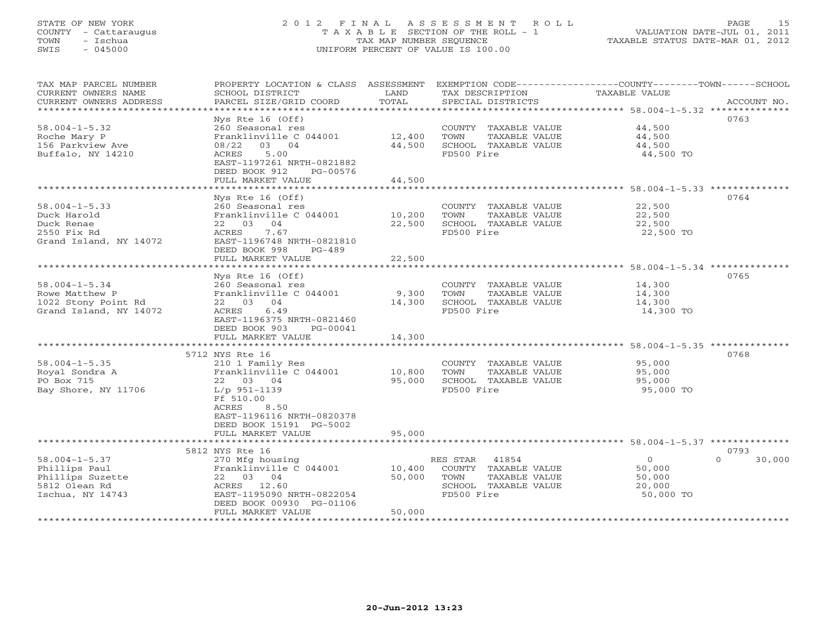### STATE OF NEW YORK 2 0 1 2 F I N A L A S S E S S M E N T R O L L PAGE 15 COUNTY - Cattaraugus T A X A B L E SECTION OF THE ROLL - 1 VALUATION DATE-JUL 01, 2011 TOWN - Ischua TAX MAP NUMBER SEQUENCE TAXABLE STATUS DATE-MAR 01, 2012 SWIS - 045000 UNIFORM PERCENT OF VALUE IS 100.00UNIFORM PERCENT OF VALUE IS 100.00

| TAX MAP PARCEL NUMBER<br>CURRENT OWNERS NAME      | PROPERTY LOCATION & CLASS ASSESSMENT<br>SCHOOL DISTRICT                 | LAND                | TAX DESCRIPTION                    | EXEMPTION CODE-----------------COUNTY-------TOWN-----SCHOOL<br>TAXABLE VALUE |
|---------------------------------------------------|-------------------------------------------------------------------------|---------------------|------------------------------------|------------------------------------------------------------------------------|
| CURRENT OWNERS ADDRESS<br>*********************** | PARCEL SIZE/GRID COORD                                                  | TOTAL               | SPECIAL DISTRICTS                  | ACCOUNT NO.                                                                  |
|                                                   | $Nys$ Rte 16 (Off)                                                      |                     |                                    | 0763                                                                         |
| $58.004 - 1 - 5.32$                               | 260 Seasonal res                                                        |                     | COUNTY TAXABLE VALUE               | 44,500                                                                       |
| Roche Mary P                                      | Franklinville C 044001                                                  | 12,400              | TOWN<br>TAXABLE VALUE              | 44,500                                                                       |
| 156 Parkview Ave                                  | 08/22<br>03 04                                                          | 44,500              | SCHOOL TAXABLE VALUE               | 44,500                                                                       |
| Buffalo, NY 14210                                 | ACRES<br>5.00<br>EAST-1197261 NRTH-0821882<br>DEED BOOK 912<br>PG-00576 |                     | FD500 Fire                         | 44,500 TO                                                                    |
|                                                   | FULL MARKET VALUE                                                       | 44,500              |                                    |                                                                              |
|                                                   | *******************                                                     | ***********         |                                    | ******************** 58.004-1-5.33 **************                            |
|                                                   | Nys Rte 16 (Off)                                                        |                     |                                    | 0764                                                                         |
| $58.004 - 1 - 5.33$                               | 260 Seasonal res                                                        |                     | COUNTY TAXABLE VALUE               | 22,500                                                                       |
| Duck Harold                                       | Franklinville C 044001                                                  | 10,200              | TOWN<br>TAXABLE VALUE              | 22,500                                                                       |
| Duck Renae                                        | 22 03 04                                                                | 22,500              | SCHOOL TAXABLE VALUE               | 22,500                                                                       |
| 2550 Fix Rd                                       | 7.67<br>ACRES                                                           |                     | FD500 Fire                         | 22,500 TO                                                                    |
| Grand Island, NY 14072                            | EAST-1196748 NRTH-0821810<br>DEED BOOK 998<br>$PG-489$                  |                     |                                    |                                                                              |
|                                                   | FULL MARKET VALUE                                                       | 22,500              |                                    |                                                                              |
|                                                   |                                                                         |                     |                                    | ******************************** 58.004-1-5.34 **************                |
|                                                   | Nys Rte 16 (Off)                                                        |                     |                                    | 0765                                                                         |
| $58.004 - 1 - 5.34$                               | 260 Seasonal res                                                        |                     | COUNTY TAXABLE VALUE               | 14,300                                                                       |
| Rowe Matthew P                                    | Franklinville C 044001                                                  | 9,300               | TOWN<br>TAXABLE VALUE              | 14,300                                                                       |
| 1022 Stony Point Rd                               | 22 03 04                                                                | 14,300              | SCHOOL TAXABLE VALUE               | 14,300                                                                       |
| Grand Island, NY 14072                            | ACRES<br>6.49                                                           |                     | FD500 Fire                         | 14,300 TO                                                                    |
|                                                   | EAST-1196375 NRTH-0821460                                               |                     |                                    |                                                                              |
|                                                   | DEED BOOK 903<br>PG-00041                                               |                     |                                    |                                                                              |
|                                                   | FULL MARKET VALUE<br>*******************                                | 14,300<br>********* |                                    | ****************** 58.004-1-5.35 ***************                             |
|                                                   | 5712 NYS Rte 16                                                         |                     |                                    | 0768                                                                         |
| $58.004 - 1 - 5.35$                               | 210 1 Family Res                                                        |                     | COUNTY TAXABLE VALUE               | 95,000                                                                       |
| Royal Sondra A                                    | Franklinville C 044001                                                  | 10,800              | TOWN<br>TAXABLE VALUE              | 95,000                                                                       |
| PO Box 715                                        | 22 03 04                                                                | 95,000              | SCHOOL TAXABLE VALUE               | 95,000                                                                       |
| Bay Shore, NY 11706                               | $L/p$ 951-1139                                                          |                     | FD500 Fire                         | 95,000 TO                                                                    |
|                                                   | Ff 510.00                                                               |                     |                                    |                                                                              |
|                                                   | 8.50<br>ACRES                                                           |                     |                                    |                                                                              |
|                                                   | EAST-1196116 NRTH-0820378                                               |                     |                                    |                                                                              |
|                                                   | DEED BOOK 15191 PG-5002                                                 |                     |                                    |                                                                              |
|                                                   | FULL MARKET VALUE                                                       | 95,000              |                                    |                                                                              |
|                                                   | ***********************************                                     |                     |                                    |                                                                              |
|                                                   | 5812 NYS Rte 16                                                         |                     |                                    | 0793                                                                         |
| $58.004 - 1 - 5.37$                               | 270 Mfg housing                                                         |                     | RES STAR<br>41854                  | $\circ$<br>30,000<br>$\Omega$                                                |
| Phillips Paul                                     | Franklinville C 044001                                                  | 10,400              | COUNTY TAXABLE VALUE               | 50,000                                                                       |
| Phillips Suzette<br>5812 Olean Rd                 | 22 03 04<br>ACRES 12.60                                                 | 50,000              | TOWN<br>TAXABLE VALUE              | 50,000                                                                       |
| Ischua, NY 14743                                  | EAST-1195090 NRTH-0822054                                               |                     | SCHOOL TAXABLE VALUE<br>FD500 Fire | 20,000<br>50,000 TO                                                          |
|                                                   | DEED BOOK 00930 PG-01106                                                |                     |                                    |                                                                              |
|                                                   | FULL MARKET VALUE                                                       | 50,000              |                                    |                                                                              |
|                                                   |                                                                         |                     |                                    |                                                                              |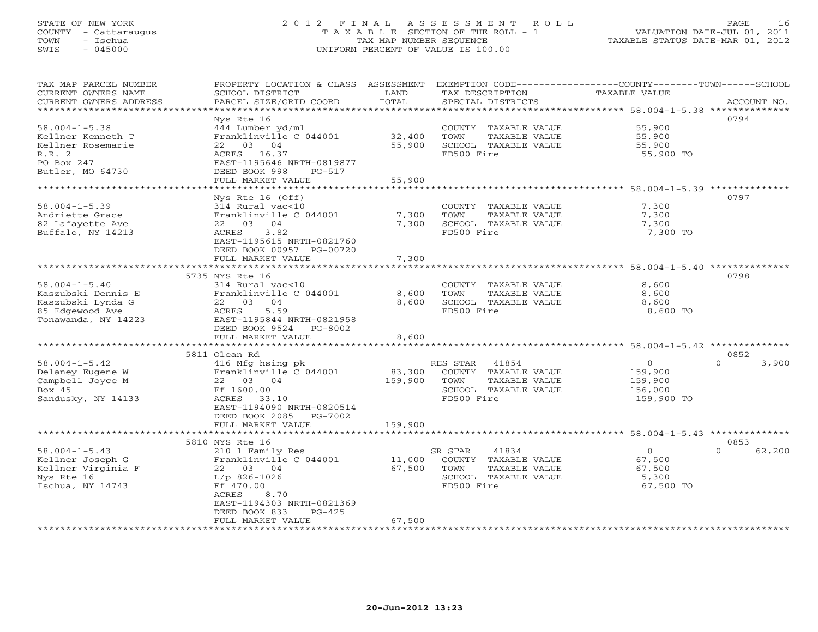### STATE OF NEW YORK 2 0 1 2 F I N A L A S S E S S M E N T R O L L PAGE 16 COUNTY - Cattaraugus T A X A B L E SECTION OF THE ROLL - 1 VALUATION DATE-JUL 01, 2011 TOWN - Ischua TAX MAP NUMBER SEQUENCE TAXABLE STATUS DATE-MAR 01, 2012 SWIS - 045000 UNIFORM PERCENT OF VALUE IS 100.00UNIFORM PERCENT OF VALUE IS 100.00

| TAX MAP PARCEL NUMBER<br>CURRENT OWNERS NAME<br>CURRENT OWNERS ADDRESS                                   | PROPERTY LOCATION & CLASS ASSESSMENT<br>SCHOOL DISTRICT<br>PARCEL SIZE/GRID COORD                                                                                                                        | LAND<br>TOTAL                | EXEMPTION CODE-----------------COUNTY-------TOWN------SCHOOL<br>TAX DESCRIPTION<br>SPECIAL DISTRICTS     | TAXABLE VALUE                                          | ACCOUNT NO.                |
|----------------------------------------------------------------------------------------------------------|----------------------------------------------------------------------------------------------------------------------------------------------------------------------------------------------------------|------------------------------|----------------------------------------------------------------------------------------------------------|--------------------------------------------------------|----------------------------|
|                                                                                                          | Nys Rte 16                                                                                                                                                                                               |                              |                                                                                                          |                                                        | 0794                       |
| $58.004 - 1 - 5.38$<br>Kellner Kenneth T<br>Kellner Rosemarie<br>R.R.2<br>PO Box 247                     | 444 Lumber yd/ml<br>Franklinville C 044001<br>22 03 04<br>ACRES 16.37<br>EAST-1195646 NRTH-0819877                                                                                                       | 32,400<br>55,900             | COUNTY TAXABLE VALUE<br>TOWN<br>TAXABLE VALUE<br>SCHOOL TAXABLE VALUE<br>FD500 Fire                      | 55,900<br>55,900<br>55,900<br>55,900 TO                |                            |
| Butler, MO 64730                                                                                         | DEED BOOK 998<br>PG-517<br>FULL MARKET VALUE                                                                                                                                                             | 55,900                       |                                                                                                          |                                                        |                            |
|                                                                                                          |                                                                                                                                                                                                          |                              |                                                                                                          |                                                        |                            |
| $58.004 - 1 - 5.39$<br>Andriette Grace<br>82 Lafayette Ave<br>Buffalo, NY 14213                          | Nys Rte $16$ (Off)<br>314 Rural vac<10<br>Franklinville C 044001<br>22 03<br>04<br>ACRES<br>3.82<br>EAST-1195615 NRTH-0821760<br>DEED BOOK 00957 PG-00720                                                | 7,300<br>7,300               | COUNTY TAXABLE VALUE<br>TOWN<br>TAXABLE VALUE<br>SCHOOL TAXABLE VALUE<br>FD500 Fire                      | 7,300<br>7,300<br>7,300<br>7,300 TO                    | 0797                       |
|                                                                                                          | FULL MARKET VALUE                                                                                                                                                                                        | 7,300                        |                                                                                                          |                                                        |                            |
|                                                                                                          |                                                                                                                                                                                                          |                              |                                                                                                          |                                                        |                            |
| $58.004 - 1 - 5.40$<br>Kaszubski Dennis E<br>Kaszubski Lynda G<br>85 Edgewood Ave<br>Tonawanda, NY 14223 | 5735 NYS Rte 16<br>314 Rural vac<10<br>Franklinville C 044001<br>22 03<br>04<br>ACRES<br>5.59<br>EAST-1195844 NRTH-0821958<br>DEED BOOK 9524 PG-8002<br>FULL MARKET VALUE                                | 8,600<br>8,600<br>8,600      | COUNTY TAXABLE VALUE<br>TOWN<br>TAXABLE VALUE<br>SCHOOL TAXABLE VALUE<br>FD500 Fire                      | 8,600<br>8,600<br>8,600<br>8,600 TO                    | 0798                       |
|                                                                                                          | 5811 Olean Rd                                                                                                                                                                                            |                              |                                                                                                          |                                                        | 0852                       |
| $58.004 - 1 - 5.42$<br>Delaney Eugene W<br>Campbell Joyce M<br>Bo $\times$ 45<br>Sandusky, NY 14133      | 416 Mfg hsing pk<br>Franklinville C 044001<br>22 03 04<br>Ff 1600.00<br>ACRES 33.10<br>EAST-1194090 NRTH-0820514<br>DEED BOOK 2085<br>PG-7002<br>FULL MARKET VALUE                                       | 83,300<br>159,900<br>159,900 | RES STAR<br>41854<br>COUNTY TAXABLE VALUE<br>TOWN<br>TAXABLE VALUE<br>SCHOOL TAXABLE VALUE<br>FD500 Fire | $\circ$<br>159,900<br>159,900<br>156,000<br>159,900 TO | 3,900<br>$\cap$            |
|                                                                                                          |                                                                                                                                                                                                          |                              |                                                                                                          |                                                        |                            |
| $58.004 - 1 - 5.43$<br>Kellner Joseph G<br>Kellner Virginia F<br>Nys Rte 16<br>Ischua, NY 14743          | 5810 NYS Rte 16<br>210 1 Family Res<br>Franklinville C 044001<br>22 03 04<br>$L/p$ 826-1026<br>Ff 470.00<br>ACRES<br>8.70<br>EAST-1194303 NRTH-0821369<br>DEED BOOK 833<br>$PG-425$<br>FULL MARKET VALUE | 11,000<br>67,500<br>67,500   | SR STAR<br>41834<br>COUNTY TAXABLE VALUE<br>TOWN<br>TAXABLE VALUE<br>SCHOOL TAXABLE VALUE<br>FD500 Fire  | $\circ$<br>67,500<br>67,500<br>5,300<br>67,500 TO      | 0853<br>$\Omega$<br>62,200 |
| *********************                                                                                    |                                                                                                                                                                                                          |                              |                                                                                                          |                                                        |                            |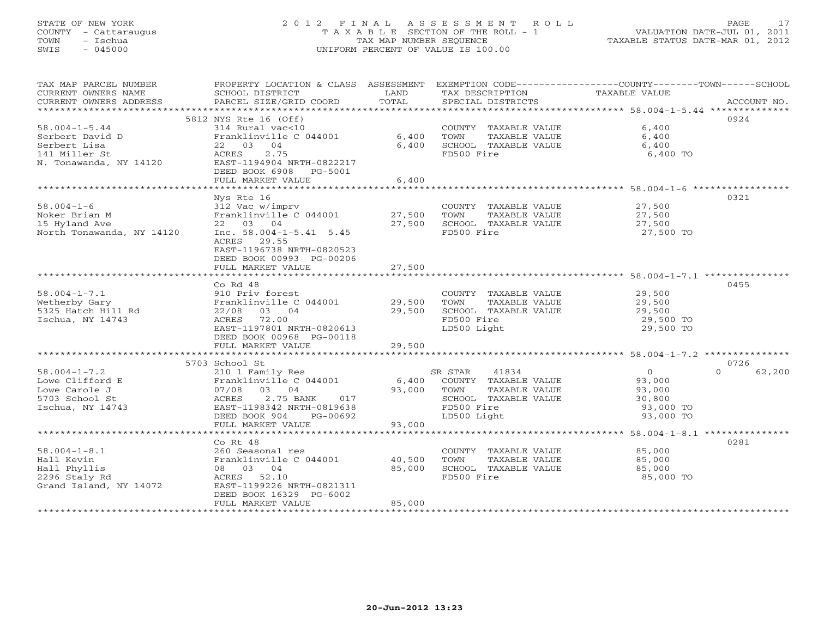### STATE OF NEW YORK 2 0 1 2 F I N A L A S S E S S M E N T R O L L PAGE 17 COUNTY - Cattaraugus T A X A B L E SECTION OF THE ROLL - 1 VALUATION DATE-JUL 01, 2011 TOWN - Ischua TAX MAP NUMBER SEQUENCE TAXABLE STATUS DATE-MAR 01, 2012 SWIS - 045000 UNIFORM PERCENT OF VALUE IS 100.00UNIFORM PERCENT OF VALUE IS 100.00

| TAX MAP PARCEL NUMBER<br>CURRENT OWNERS NAME | PROPERTY LOCATION & CLASS ASSESSMENT<br>SCHOOL DISTRICT | LAND   | TAX DESCRIPTION             | EXEMPTION CODE-----------------COUNTY-------TOWN------SCHOOL<br>TAXABLE VALUE |
|----------------------------------------------|---------------------------------------------------------|--------|-----------------------------|-------------------------------------------------------------------------------|
| CURRENT OWNERS ADDRESS                       | PARCEL SIZE/GRID COORD                                  | TOTAL  | SPECIAL DISTRICTS           | ACCOUNT NO.                                                                   |
|                                              |                                                         |        |                             |                                                                               |
|                                              | 5812 NYS Rte 16 (Off)                                   |        |                             | 0924                                                                          |
| $58.004 - 1 - 5.44$                          | 314 Rural vac<10                                        |        | COUNTY TAXABLE VALUE        | 6,400                                                                         |
| Serbert David D                              | Franklinville C 044001                                  | 6,400  | TOWN<br>TAXABLE VALUE       | 6,400                                                                         |
| Serbert Lisa                                 | 22 03 04                                                | 6,400  | SCHOOL TAXABLE VALUE        | 6,400                                                                         |
| 141 Miller St                                | ACRES<br>2.75                                           |        | FD500 Fire                  | 6,400 TO                                                                      |
| N. Tonawanda, NY 14120                       | EAST-1194904 NRTH-0822217                               |        |                             |                                                                               |
|                                              | DEED BOOK 6908 PG-5001                                  |        |                             |                                                                               |
|                                              | FULL MARKET VALUE                                       | 6,400  |                             |                                                                               |
|                                              |                                                         |        |                             |                                                                               |
|                                              | Nys Rte 16                                              |        |                             | 0321                                                                          |
| $58.004 - 1 - 6$                             | 312 Vac w/imprv                                         |        | COUNTY TAXABLE VALUE        | 27,500                                                                        |
| Noker Brian M                                | Franklinville C 044001 27,500                           |        | TAXABLE VALUE<br>TOWN       | 27,500                                                                        |
| 15 Hyland Ave                                | 22 03 04                                                | 27,500 | SCHOOL TAXABLE VALUE        | 27,500                                                                        |
| North Tonawanda, NY 14120                    | Inc. $58.004 - 1 - 5.41$ 5.45                           |        | FD500 Fire                  | 27,500 TO                                                                     |
|                                              | ACRES 29.55                                             |        |                             |                                                                               |
|                                              | EAST-1196738 NRTH-0820523                               |        |                             |                                                                               |
|                                              | DEED BOOK 00993 PG-00206                                |        |                             |                                                                               |
|                                              | FULL MARKET VALUE                                       | 27,500 |                             |                                                                               |
|                                              |                                                         |        |                             |                                                                               |
|                                              | Co Rd 48                                                |        |                             | 0455                                                                          |
| $58.004 - 1 - 7.1$                           | 910 Priv forest                                         |        | COUNTY TAXABLE VALUE        | 29,500<br>29,500                                                              |
| Wetherby Gary                                | Franklinville C 044001 29,500<br>Rd 22/08 03 04 29,500  |        | TOWN<br>TAXABLE VALUE       |                                                                               |
| 5325 Hatch Hill Rd                           |                                                         |        | SCHOOL TAXABLE VALUE        | 29,500                                                                        |
| Ischua, NY 14743                             | ACRES 72.00                                             |        | FD500 Fire                  | 29,500 TO                                                                     |
|                                              | EAST-1197801 NRTH-0820613                               |        | LD500 Light                 | 29,500 TO                                                                     |
|                                              | DEED BOOK 00968 PG-00118                                |        |                             |                                                                               |
|                                              | FULL MARKET VALUE                                       | 29,500 |                             |                                                                               |
|                                              |                                                         |        |                             |                                                                               |
|                                              | 5703 School St                                          |        |                             | 0726                                                                          |
| $58.004 - 1 - 7.2$                           |                                                         |        |                             | $\begin{smallmatrix}&&0\0&93\end{smallmatrix}$ ,000<br>$\cap$<br>62,200       |
| Lowe Clifford E                              |                                                         |        |                             |                                                                               |
| Lowe Carole J                                | 07/08 03 04                                             | 93,000 | TOWN<br>TAXABLE VALUE       | 93,000                                                                        |
| 5703 School St                               | 2.75 BANK 017<br>ACRES                                  |        | SCHOOL TAXABLE VALUE        | 30,800                                                                        |
| Ischua, NY 14743                             | EAST-1198342 NRTH-0819638                               |        | FD500 Fire                  | 93,000 TO                                                                     |
|                                              | DEED BOOK 904 PG-00692                                  |        | LD500 Light                 | 93,000 TO                                                                     |
|                                              | FULL MARKET VALUE                                       | 93,000 |                             |                                                                               |
|                                              |                                                         |        |                             |                                                                               |
|                                              | $Co$ Rt $48$                                            |        |                             | 0281                                                                          |
| $58.004 - 1 - 8.1$                           | 260 Seasonal res<br>Franklinville C 044001 40,500       |        | COUNTY TAXABLE VALUE 85,000 |                                                                               |
| Hall Kevin                                   |                                                         |        | TOWN<br>TAXABLE VALUE       | 85,000                                                                        |
| Hall Phyllis                                 | 08 03 04                                                | 85,000 | SCHOOL TAXABLE VALUE        | 85,000                                                                        |
| 2296 Staly Rd                                | ACRES 52.10                                             |        | FD500 Fire                  | 85,000 TO                                                                     |
| Grand Island, NY 14072                       | EAST-1199226 NRTH-0821311                               |        |                             |                                                                               |
|                                              | DEED BOOK 16329 PG-6002                                 |        |                             |                                                                               |
|                                              | FULL MARKET VALUE                                       | 85,000 |                             |                                                                               |
|                                              |                                                         |        |                             |                                                                               |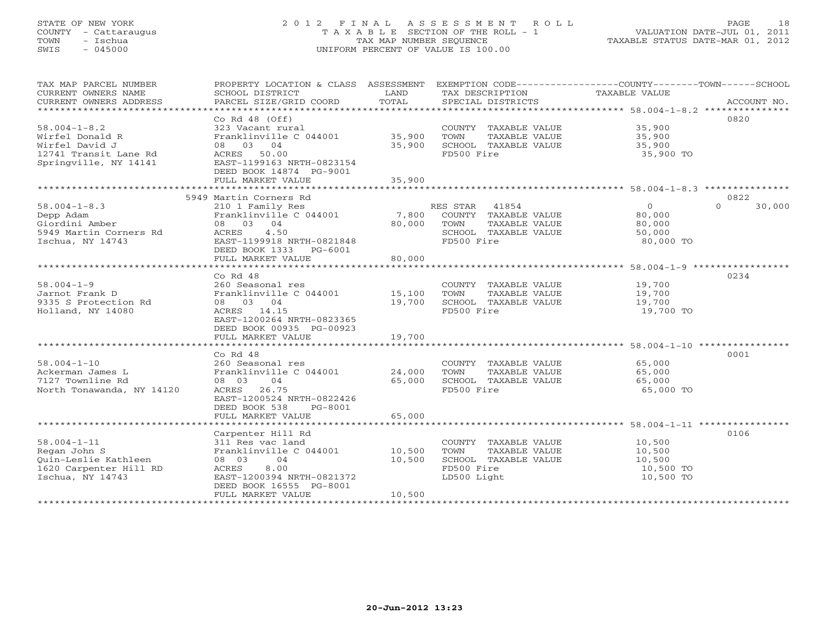### STATE OF NEW YORK 2 0 1 2 F I N A L A S S E S S M E N T R O L L PAGE 18 COUNTY - Cattaraugus T A X A B L E SECTION OF THE ROLL - 1 VALUATION DATE-JUL 01, 2011 TOWN - Ischua TAX MAP NUMBER SEQUENCE TAXABLE STATUS DATE-MAR 01, 2012 SWIS - 045000 UNIFORM PERCENT OF VALUE IS 100.00UNIFORM PERCENT OF VALUE IS 100.00

| TAX MAP PARCEL NUMBER<br>CURRENT OWNERS NAME<br>CURRENT OWNERS ADDRESS                                    | PROPERTY LOCATION & CLASS ASSESSMENT<br>SCHOOL DISTRICT<br>PARCEL SIZE/GRID COORD                                                                                            | LAND<br>TOTAL              | EXEMPTION CODE-----------------COUNTY-------TOWN------SCHOOL<br>TAX DESCRIPTION<br>SPECIAL DISTRICTS  | TAXABLE VALUE                                        | ACCOUNT NO.        |
|-----------------------------------------------------------------------------------------------------------|------------------------------------------------------------------------------------------------------------------------------------------------------------------------------|----------------------------|-------------------------------------------------------------------------------------------------------|------------------------------------------------------|--------------------|
| $58.004 - 1 - 8.2$<br>Wirfel Donald R<br>Wirfel David J<br>12741 Transit Lane Rd<br>Springville, NY 14141 | Co Rd $48$ (Off)<br>323 Vacant rural<br>Franklinville C 044001<br>08 03 04<br>ACRES 50.00<br>EAST-1199163 NRTH-0823154<br>DEED BOOK 14874 PG-9001<br>FULL MARKET VALUE       | 35,900<br>35,900<br>35,900 | COUNTY TAXABLE VALUE<br>TOWN<br>TAXABLE VALUE<br>SCHOOL TAXABLE VALUE<br>FD500 Fire                   | 35,900<br>35,900<br>35,900<br>35,900 TO              | 0820               |
|                                                                                                           | 5949 Martin Corners Rd                                                                                                                                                       |                            |                                                                                                       |                                                      | 0822               |
| $58.004 - 1 - 8.3$<br>Depp Adam<br>Giordini Amber<br>5949 Martin Corners Rd<br>Ischua, NY 14743           | 210 1 Family Res<br>Franklinville C 044001<br>08 03 04<br>4.50<br>ACRES<br>EAST-1199918 NRTH-0821848<br>DEED BOOK 1333<br>PG-6001<br>FULL MARKET VALUE                       | 7,800<br>80,000<br>80,000  | RES STAR 41854<br>COUNTY TAXABLE VALUE<br>TOWN<br>TAXABLE VALUE<br>SCHOOL TAXABLE VALUE<br>FD500 Fire | $\circ$<br>80,000<br>80,000<br>50,000<br>80,000 TO   | $\Omega$<br>30,000 |
|                                                                                                           |                                                                                                                                                                              |                            |                                                                                                       |                                                      |                    |
| $58.004 - 1 - 9$<br>Jarnot Frank D<br>9335 S Protection Rd<br>Holland, NY 14080                           | Co Rd 48<br>260 Seasonal res<br>Franklinville C 044001<br>08 03 04<br>ACRES 14.15<br>EAST-1200264 NRTH-0823365<br>DEED BOOK 00935 PG-00923                                   | 15,100<br>19,700           | COUNTY TAXABLE VALUE<br>TOWN<br>TAXABLE VALUE<br>SCHOOL TAXABLE VALUE<br>FD500 Fire                   | 19,700<br>19,700<br>19,700<br>19,700 TO              | 0234               |
|                                                                                                           | FULL MARKET VALUE                                                                                                                                                            | 19,700                     |                                                                                                       |                                                      |                    |
| $58.004 - 1 - 10$<br>Ackerman James L<br>7127 Townline Rd<br>North Tonawanda, NY 14120                    | Co Rd 48<br>260 Seasonal res<br>Franklinville C 044001<br>08 03<br>04<br>ACRES 26.75<br>EAST-1200524 NRTH-0822426                                                            | 24,000<br>65,000           | COUNTY TAXABLE VALUE<br>TOWN<br>TAXABLE VALUE<br>SCHOOL TAXABLE VALUE<br>FD500 Fire                   | 65,000<br>65,000<br>65,000<br>65,000 TO              | 0001               |
|                                                                                                           | DEED BOOK 538<br>PG-8001                                                                                                                                                     |                            |                                                                                                       |                                                      |                    |
|                                                                                                           | FULL MARKET VALUE                                                                                                                                                            | 65,000                     |                                                                                                       |                                                      |                    |
| $58.004 - 1 - 11$<br>Regan John S<br>Ouin-Leslie Kathleen<br>1620 Carpenter Hill RD<br>Ischua, NY 14743   | Carpenter Hill Rd<br>311 Res vac land<br>Franklinville C 044001<br>08 03<br>04<br>8.00<br>ACRES<br>EAST-1200394 NRTH-0821372<br>DEED BOOK 16555 PG-8001<br>FULL MARKET VALUE | 10,500<br>10,500<br>10,500 | COUNTY TAXABLE VALUE<br>TAXABLE VALUE<br>TOWN<br>SCHOOL TAXABLE VALUE<br>FD500 Fire<br>LD500 Light    | 10,500<br>10,500<br>10,500<br>10,500 TO<br>10,500 TO | 0106               |
|                                                                                                           |                                                                                                                                                                              |                            |                                                                                                       |                                                      |                    |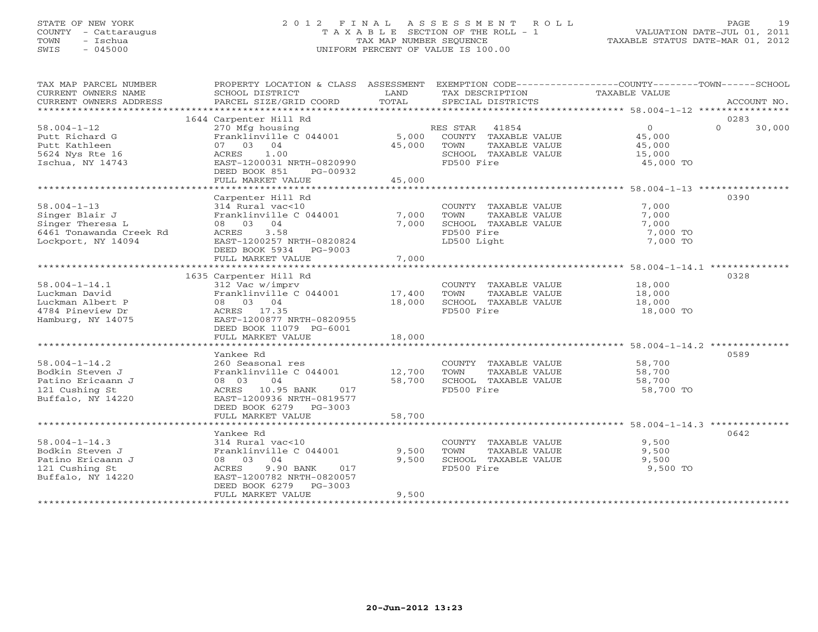### STATE OF NEW YORK 2 0 1 2 F I N A L A S S E S S M E N T R O L L PAGE 19 COUNTY - Cattaraugus T A X A B L E SECTION OF THE ROLL - 1 VALUATION DATE-JUL 01, 2011 TOWN - Ischua TAX MAP NUMBER SEQUENCE TAXABLE STATUS DATE-MAR 01, 2012 SWIS - 045000 UNIFORM PERCENT OF VALUE IS 100.00

| TAX MAP PARCEL NUMBER<br>CURRENT OWNERS NAME<br>CURRENT OWNERS ADDRESS                                   | PROPERTY LOCATION & CLASS ASSESSMENT<br>SCHOOL DISTRICT<br>PARCEL SIZE/GRID COORD                                                                                                 | LAND<br>TOTAL             | TAX DESCRIPTION<br>SPECIAL DISTRICTS                                                 | EXEMPTION CODE-----------------COUNTY-------TOWN------SCHOOL<br>TAXABLE VALUE | ACCOUNT NO.                |
|----------------------------------------------------------------------------------------------------------|-----------------------------------------------------------------------------------------------------------------------------------------------------------------------------------|---------------------------|--------------------------------------------------------------------------------------|-------------------------------------------------------------------------------|----------------------------|
|                                                                                                          |                                                                                                                                                                                   |                           |                                                                                      |                                                                               |                            |
| $58.004 - 1 - 12$<br>Putt Richard G<br>Putt Kathleen<br>5624 Nys Rte 16<br>Ischua, NY 14743              | 1644 Carpenter Hill Rd<br>270 Mfg housing<br>Franklinville C 044001<br>07 03 04<br>1.00<br>ACRES<br>EAST-1200031 NRTH-0820990<br>DEED BOOK 851<br>PG-00932<br>FULL MARKET VALUE   | 5,000<br>45,000<br>45,000 | RES STAR 41854<br>COUNTY TAXABLE VALUE<br>TOWN<br>SCHOOL TAXABLE VALUE<br>FD500 Fire | $\overline{0}$<br>45,000<br>TAXABLE VALUE<br>45,000<br>15,000<br>45,000 TO    | 0283<br>$\Omega$<br>30,000 |
|                                                                                                          |                                                                                                                                                                                   |                           |                                                                                      |                                                                               |                            |
| $58.004 - 1 - 13$<br>Singer Blair J<br>Singer Theresa L<br>6461 Tonawanda Creek Rd<br>Lockport, NY 14094 | Carpenter Hill Rd<br>314 Rural vac<10<br>Franklinville C 044001<br>08 03 04<br>3.58<br>ACRES<br>EAST-1200257 NRTH-0820824<br>DEED BOOK 5934 PG-9003<br>FULL MARKET VALUE          | 7,000<br>7,000<br>7,000   | COUNTY TAXABLE VALUE<br>TOWN<br>SCHOOL TAXABLE VALUE<br>FD500 Fire<br>LD500 Light    | 7,000<br>TAXABLE VALUE<br>7,000<br>7,000<br>7,000 TO<br>7,000 TO              | 0390                       |
|                                                                                                          |                                                                                                                                                                                   |                           |                                                                                      |                                                                               |                            |
| $58.004 - 1 - 14.1$<br>Luckman David<br>Luckman Albert P<br>4784 Pineview Dr<br>Hamburg, NY 14075        | 1635 Carpenter Hill Rd<br>312 Vac w/imprv<br>Franklinville C 044001<br>08 03 04<br>ACRES 17.35<br>EAST-1200877 NRTH-0820955<br>DEED BOOK 11079 PG-6001                            | 17,400<br>18,000          | COUNTY TAXABLE VALUE<br>TOWN<br>SCHOOL TAXABLE VALUE<br>FD500 Fire                   | 18,000<br>TAXABLE VALUE<br>18,000<br>18,000<br>18,000 TO                      | 0328                       |
|                                                                                                          | FULL MARKET VALUE                                                                                                                                                                 | 18,000                    |                                                                                      |                                                                               |                            |
| $58.004 - 1 - 14.2$<br>Bodkin Steven J<br>Patino Ericaann J<br>121 Cushing St<br>Buffalo, NY 14220       | Yankee Rd<br>260 Seasonal res<br>Franklinville C 044001<br>04<br>08 03<br>ACRES 10.95 BANK<br>017<br>EAST-1200936 NRTH-0819577<br>DEED BOOK 6279 PG-3003                          | 12,700<br>58,700          | COUNTY TAXABLE VALUE<br>TOWN<br>SCHOOL TAXABLE VALUE<br>FD500 Fire                   | 58,700<br>TAXABLE VALUE<br>58,700<br>58,700<br>58,700 TO                      | 0589                       |
|                                                                                                          | FULL MARKET VALUE                                                                                                                                                                 | 58,700                    |                                                                                      |                                                                               |                            |
|                                                                                                          |                                                                                                                                                                                   |                           |                                                                                      |                                                                               |                            |
| $58.004 - 1 - 14.3$<br>Bodkin Steven J<br>Patino Ericaann J<br>121 Cushing St<br>Buffalo, NY 14220       | Yankee Rd<br>314 Rural vac<10<br>Franklinville C 044001<br>08 03 04<br>9.90 BANK<br>ACRES<br>017<br>EAST-1200782 NRTH-0820057<br>DEED BOOK 6279<br>$PG-3003$<br>FULL MARKET VALUE | 9,500<br>9,500<br>9,500   | COUNTY TAXABLE VALUE<br>TOWN<br>SCHOOL TAXABLE VALUE<br>FD500 Fire                   | 9,500<br>TAXABLE VALUE<br>9,500<br>9,500<br>9,500 TO                          | 0642                       |
|                                                                                                          |                                                                                                                                                                                   |                           |                                                                                      |                                                                               |                            |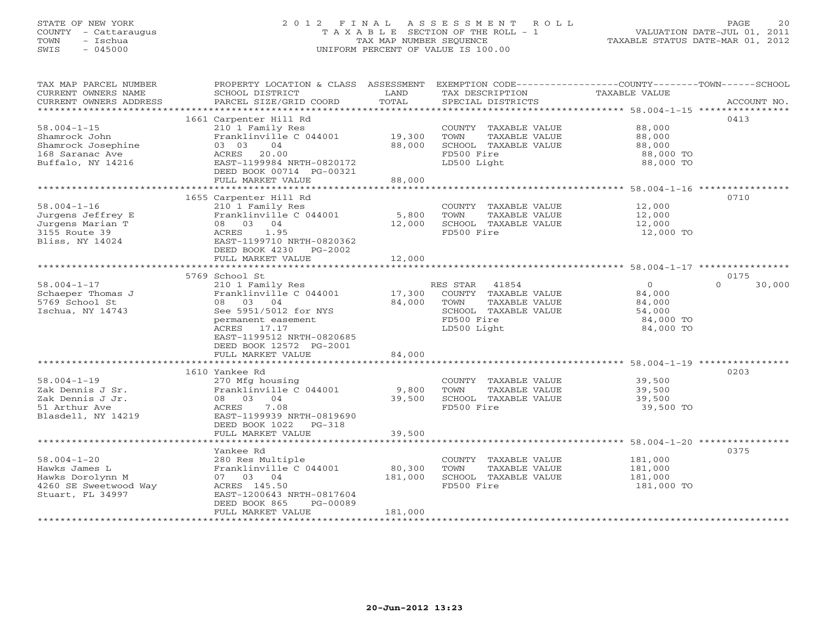### STATE OF NEW YORK 2 0 1 2 F I N A L A S S E S S M E N T R O L L PAGE 20 COUNTY - Cattaraugus T A X A B L E SECTION OF THE ROLL - 1 VALUATION DATE-JUL 01, 2011 TOWN - Ischua TAX MAP NUMBER SEQUENCE TAXABLE STATUS DATE-MAR 01, 2012 SWIS - 045000 UNIFORM PERCENT OF VALUE IS 100.00UNIFORM PERCENT OF VALUE IS 100.00

| TAX MAP PARCEL NUMBER<br>CURRENT OWNERS NAME<br>CURRENT OWNERS ADDRESS | PROPERTY LOCATION & CLASS ASSESSMENT EXEMPTION CODE---------------COUNTY-------TOWN------SCHOOL<br>SCHOOL DISTRICT<br>PARCEL SIZE/GRID COORD | LAND<br>TOTAL  | TAX DESCRIPTION<br>SPECIAL DISTRICTS          | TAXABLE VALUE                                                 | ACCOUNT NO.        |
|------------------------------------------------------------------------|----------------------------------------------------------------------------------------------------------------------------------------------|----------------|-----------------------------------------------|---------------------------------------------------------------|--------------------|
|                                                                        |                                                                                                                                              |                |                                               |                                                               |                    |
|                                                                        | 1661 Carpenter Hill Rd                                                                                                                       |                |                                               |                                                               | 0413               |
| $58.004 - 1 - 15$                                                      | 210 1 Family Res                                                                                                                             |                | COUNTY TAXABLE VALUE                          | 88,000                                                        |                    |
| Shamrock John                                                          | Franklinville C 044001                                                                                                                       | 19,300         | TOWN<br>TAXABLE VALUE                         | 88,000                                                        |                    |
| Shamrock Josephine                                                     | 04<br>03 03                                                                                                                                  | 88,000         | SCHOOL TAXABLE VALUE                          | 88,000                                                        |                    |
| 168 Saranac Ave                                                        | 20.00<br>ACRES                                                                                                                               |                | FD500 Fire                                    | 88,000 TO                                                     |                    |
| Buffalo, NY 14216                                                      | EAST-1199984 NRTH-0820172                                                                                                                    |                | LD500 Light                                   | 88,000 TO                                                     |                    |
|                                                                        | DEED BOOK 00714 PG-00321<br>FULL MARKET VALUE                                                                                                | 88,000         |                                               |                                                               |                    |
|                                                                        |                                                                                                                                              |                |                                               |                                                               |                    |
|                                                                        | 1655 Carpenter Hill Rd                                                                                                                       |                |                                               |                                                               | 0710               |
| $58.004 - 1 - 16$                                                      | 210 1 Family Res                                                                                                                             |                | COUNTY TAXABLE VALUE                          | 12,000                                                        |                    |
| Jurgens Jeffrey E                                                      | Franklinville C 044001                                                                                                                       | 5,800          | TOWN<br>TAXABLE VALUE                         | 12,000                                                        |                    |
| Jurgens Marian T                                                       | 08 03 04                                                                                                                                     | 12,000         | SCHOOL TAXABLE VALUE                          | 12,000                                                        |                    |
| 3155 Route 39                                                          | ACRES 1.95                                                                                                                                   |                | FD500 Fire                                    | 12,000 TO                                                     |                    |
| Bliss, NY 14024                                                        | EAST-1199710 NRTH-0820362                                                                                                                    |                |                                               |                                                               |                    |
|                                                                        | DEED BOOK 4230 PG-2002                                                                                                                       |                |                                               |                                                               |                    |
|                                                                        | FULL MARKET VALUE                                                                                                                            | 12,000         |                                               |                                                               |                    |
|                                                                        |                                                                                                                                              |                |                                               |                                                               | 0175               |
| $58.004 - 1 - 17$                                                      | 5769 School St<br>210 1 Family Res                                                                                                           |                | RES STAR 41854                                | $\Omega$                                                      | $\Omega$<br>30,000 |
| Schaeper Thomas J                                                      | Franklinville C 044001                                                                                                                       | 17,300         | COUNTY TAXABLE VALUE                          | 84,000                                                        |                    |
| 5769 School St                                                         | 08 03 04                                                                                                                                     | 84,000         | TOWN<br>TAXABLE VALUE                         | 84,000                                                        |                    |
| Ischua, NY 14743                                                       | See 5951/5012 for NYS                                                                                                                        |                | SCHOOL TAXABLE VALUE                          | 54,000                                                        |                    |
|                                                                        | permanent easement                                                                                                                           |                | FD500 Fire                                    | 84,000 TO                                                     |                    |
|                                                                        | ACRES 17.17                                                                                                                                  |                | LD500 Light                                   | 84,000 TO                                                     |                    |
|                                                                        | EAST-1199512 NRTH-0820685                                                                                                                    |                |                                               |                                                               |                    |
|                                                                        | DEED BOOK 12572 PG-2001                                                                                                                      |                |                                               |                                                               |                    |
|                                                                        | FULL MARKET VALUE                                                                                                                            | 84,000         |                                               |                                                               |                    |
|                                                                        |                                                                                                                                              |                |                                               |                                                               |                    |
| $58.004 - 1 - 19$                                                      | 1610 Yankee Rd                                                                                                                               |                |                                               |                                                               | 0203               |
| Zak Dennis J Sr.                                                       | 270 Mfg housing<br>Franklinville C 044001                                                                                                    | 9,800          | COUNTY TAXABLE VALUE<br>TAXABLE VALUE<br>TOWN | 39,500<br>39,500                                              |                    |
| Zak Dennis J Jr.                                                       | 08 03 04                                                                                                                                     | 39,500         | SCHOOL TAXABLE VALUE                          | 39,500                                                        |                    |
| 51 Arthur Ave                                                          | ACRES<br>7.08                                                                                                                                |                | FD500 Fire                                    | 39,500 TO                                                     |                    |
| Blasdell, NY 14219                                                     | EAST-1199939 NRTH-0819690                                                                                                                    |                |                                               |                                                               |                    |
|                                                                        | DEED BOOK 1022<br>$PG-318$                                                                                                                   |                |                                               |                                                               |                    |
|                                                                        | FULL MARKET VALUE                                                                                                                            | 39,500         |                                               |                                                               |                    |
|                                                                        | *******************************                                                                                                              | ************** |                                               | ******************************** 58.004-1-20 **************** |                    |
|                                                                        | Yankee Rd                                                                                                                                    |                |                                               |                                                               | 0375               |
| $58.004 - 1 - 20$                                                      | 280 Res Multiple                                                                                                                             |                | COUNTY TAXABLE VALUE                          | 181,000                                                       |                    |
| Hawks James L                                                          | Franklinville C 044001                                                                                                                       | 80,300         | TOWN<br>TAXABLE VALUE                         | 181,000                                                       |                    |
| Hawks Dorolynn M                                                       | 07 03 04<br>ACRES 145.50                                                                                                                     | 181,000        | SCHOOL TAXABLE VALUE<br>FD500 Fire            | 181,000                                                       |                    |
| 4260 SE Sweetwood Way<br>Stuart, FL 34997                              | EAST-1200643 NRTH-0817604                                                                                                                    |                |                                               | 181,000 TO                                                    |                    |
|                                                                        | DEED BOOK 865<br>PG-00089                                                                                                                    |                |                                               |                                                               |                    |
|                                                                        | FULL MARKET VALUE                                                                                                                            | 181,000        |                                               |                                                               |                    |
|                                                                        |                                                                                                                                              |                |                                               |                                                               |                    |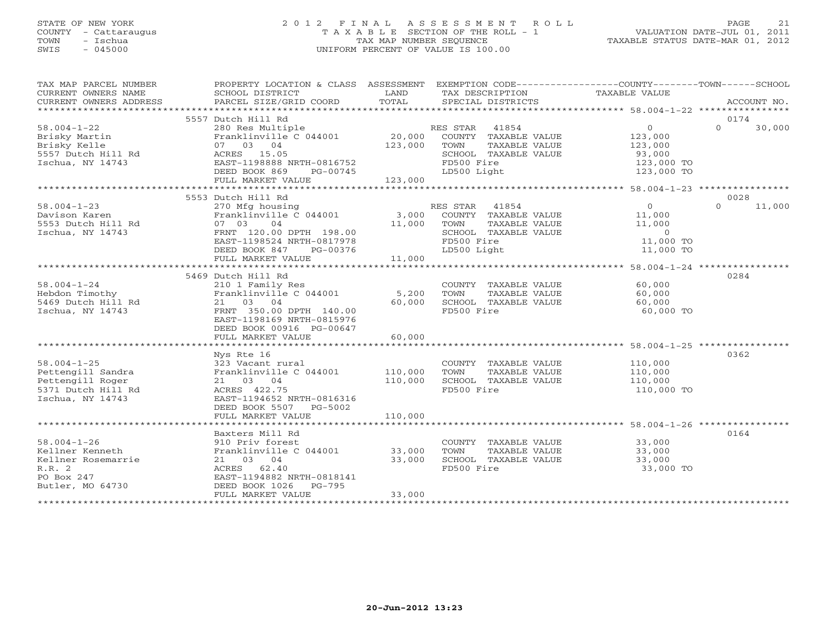### STATE OF NEW YORK 2 0 1 2 F I N A L A S S E S S M E N T R O L L PAGE 21 COUNTY - Cattaraugus T A X A B L E SECTION OF THE ROLL - 1 VALUATION DATE-JUL 01, 2011 TOWN - Ischua TAX MAP NUMBER SEQUENCE TAXABLE STATUS DATE-MAR 01, 2012 SWIS - 045000 UNIFORM PERCENT OF VALUE IS 100.00

| TAX MAP PARCEL NUMBER<br>CURRENT OWNERS NAME<br>- CURRENT OWNERS ADDRESS PARCEL SIZE/GRID COORD TOTAL SPECIAL DISTRICTS ACCOUNT NO.<br>- TOTAL SPECIAL DISTRICTS PARCEL SIZE/GRID COORD TOTAL SPECIAL DISTRICTS ACCOUNT NO ACCOUNT NO ACCOUNT NO AND RESERT OWNERS ADDRESS<br>CURRENT OWNERS ADDRESS | PROPERTY LOCATION & CLASS ASSESSMENT<br>SCHOOL DISTRICT                                                                                                                    | LAND                         | TAX DESCRIPTION                                        |                                                               | EXEMPTION CODE-----------------COUNTY-------TOWN------SCHOOL<br>TAXABLE VALUE  |          |                |
|------------------------------------------------------------------------------------------------------------------------------------------------------------------------------------------------------------------------------------------------------------------------------------------------------|----------------------------------------------------------------------------------------------------------------------------------------------------------------------------|------------------------------|--------------------------------------------------------|---------------------------------------------------------------|--------------------------------------------------------------------------------|----------|----------------|
|                                                                                                                                                                                                                                                                                                      |                                                                                                                                                                            |                              |                                                        |                                                               |                                                                                |          |                |
| $58.004 - 1 - 22$<br>Brisky Martin<br>Brisky Kelle<br>5557 Dutch Hill Rd<br>Ischua, NY 14743                                                                                                                                                                                                         | 5557 Dutch Hill Rd<br>280 Res Multiple<br>Franklinville C 044001<br>07 03 04<br>ACRES 15.05<br>EAST-1198888 NRTH-0816752<br>DEED BOOK 869<br>PG-00745<br>FULL MARKET VALUE | 20,000<br>123,000<br>123,000 | RES STAR 41854<br>TOWN<br>FD500 Fire<br>LD500 Light    | COUNTY TAXABLE VALUE<br>TAXABLE VALUE<br>SCHOOL TAXABLE VALUE | $\Omega$<br>123,000<br>123,000<br>93,000<br>123,000 TO<br>123,000 TO           | $\Omega$ | 0174<br>30,000 |
|                                                                                                                                                                                                                                                                                                      | 5553 Dutch Hill Rd                                                                                                                                                         |                              |                                                        |                                                               |                                                                                |          | 0028           |
| $58.004 - 1 - 23$<br>Davison Karen<br>5553 Dutch Hill Rd<br>Ischua, NY 14743                                                                                                                                                                                                                         | 270 Mfg housing<br>Franklinville C 044001<br>04<br>07 03<br>FRNT 120.00 DPTH 198.00<br>EAST-1198524 NRTH-0817978<br>DEED BOOK 847<br>PG-00376                              | 3,000<br>11,000              | 41854<br>RES STAR<br>TOWN<br>FD500 Fire<br>LD500 Light | COUNTY TAXABLE VALUE<br>TAXABLE VALUE<br>SCHOOL TAXABLE VALUE | $\overline{0}$<br>11,000<br>11,000<br>$\overline{0}$<br>11,000 TO<br>11,000 TO | $\Omega$ | 11,000         |
|                                                                                                                                                                                                                                                                                                      | FULL MARKET VALUE                                                                                                                                                          | 11,000                       |                                                        |                                                               |                                                                                |          |                |
|                                                                                                                                                                                                                                                                                                      |                                                                                                                                                                            |                              |                                                        |                                                               |                                                                                |          |                |
| $58.004 - 1 - 24$<br>Hebdon Timothy<br>$5469$ Dutch Hill Rd<br>Ischua, NY 14743                                                                                                                                                                                                                      | 5469 Dutch Hill Rd<br>210 1 Family Res<br>Franklinville C 044001<br>21 03 04<br>FRNT 350.00 DPTH 140.00<br>EAST-1198169 NRTH-0815976<br>DEED BOOK 00916 PG-00647           | 5,200<br>60,000              | TOWN<br>FD500 Fire                                     | COUNTY TAXABLE VALUE<br>TAXABLE VALUE<br>SCHOOL TAXABLE VALUE | 60,000<br>60,000<br>60,000<br>60,000 TO                                        |          | 0284           |
|                                                                                                                                                                                                                                                                                                      | FULL MARKET VALUE                                                                                                                                                          | 60,000                       |                                                        |                                                               |                                                                                |          |                |
|                                                                                                                                                                                                                                                                                                      | Nys Rte 16                                                                                                                                                                 |                              |                                                        |                                                               |                                                                                |          | 0362           |
| $58.004 - 1 - 25$<br>Pettengill Sandra<br>Pettengill Roger<br>5371 Dutch Hill Rd<br>Ischua, NY 14743                                                                                                                                                                                                 | 323 Vacant rural<br>Franklinville C 044001<br>21 03 04<br>ACRES 422.75<br>EAST-1194652 NRTH-0816316<br>DEED BOOK 5507 PG-5002                                              | 110,000<br>110,000           | TOWN<br>FD500 Fire                                     | COUNTY TAXABLE VALUE<br>TAXABLE VALUE<br>SCHOOL TAXABLE VALUE | 110,000<br>110,000<br>110,000<br>110,000 TO                                    |          |                |
|                                                                                                                                                                                                                                                                                                      | FULL MARKET VALUE                                                                                                                                                          | 110,000                      |                                                        |                                                               |                                                                                |          |                |
|                                                                                                                                                                                                                                                                                                      |                                                                                                                                                                            |                              |                                                        |                                                               |                                                                                |          |                |
| $58.004 - 1 - 26$<br>Kellner Kenneth<br>Kellner Rosemarrie<br>R.R.2<br>PO Box 247<br>Butler, MO 64730                                                                                                                                                                                                | Baxters Mill Rd<br>910 Priv forest<br>Franklinville C 044001<br>21 03 04<br>ACRES 62.40<br>EAST-1194882 NRTH-0818141<br>DEED BOOK 1026<br>PG-795                           | 33,000<br>33,000             | TOWN<br>FD500 Fire                                     | COUNTY TAXABLE VALUE<br>TAXABLE VALUE<br>SCHOOL TAXABLE VALUE | 33,000<br>33,000<br>33,000<br>33,000 TO                                        |          | 0164           |
|                                                                                                                                                                                                                                                                                                      | FULL MARKET VALUE                                                                                                                                                          | 33,000                       |                                                        |                                                               |                                                                                |          |                |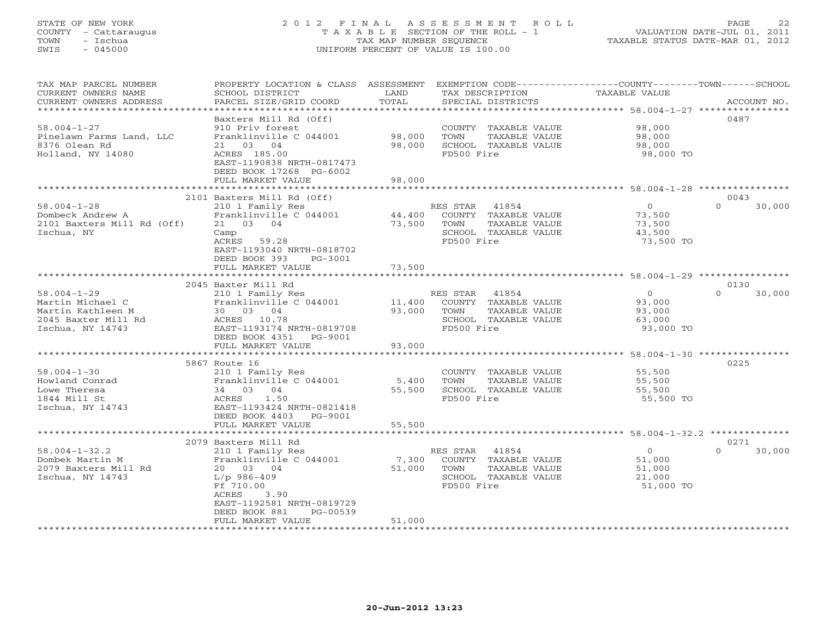### STATE OF NEW YORK 2 0 1 2 F I N A L A S S E S S M E N T R O L L PAGE 22 COUNTY - Cattaraugus T A X A B L E SECTION OF THE ROLL - 1 VALUATION DATE-JUL 01, 2011 TOWN - Ischua TAX MAP NUMBER SEQUENCE TAXABLE STATUS DATE-MAR 01, 2012 SWIS - 045000 UNIFORM PERCENT OF VALUE IS 100.00UNIFORM PERCENT OF VALUE IS 100.00

| TAX MAP PARCEL NUMBER<br>CURRENT OWNERS NAME<br>CURRENT OWNERS ADDRESS                                | PROPERTY LOCATION & CLASS ASSESSMENT<br>SCHOOL DISTRICT<br>PARCEL SIZE/GRID COORD                                                                                                                           | LAND<br>TOTAL<br>* * * * * * * * * * * | TAX DESCRIPTION<br>SPECIAL DISTRICTS                                                                     | EXEMPTION CODE----------------COUNTY-------TOWN-----SCHOOL<br><b>TAXABLE VALUE</b><br>*********************************** 58.004-1-27 **************** | ACCOUNT NO.                |
|-------------------------------------------------------------------------------------------------------|-------------------------------------------------------------------------------------------------------------------------------------------------------------------------------------------------------------|----------------------------------------|----------------------------------------------------------------------------------------------------------|--------------------------------------------------------------------------------------------------------------------------------------------------------|----------------------------|
| $58.004 - 1 - 27$<br>Pinelawn Farms Land, LLC<br>8376 Olean Rd<br>Holland, NY 14080                   | Baxters Mill Rd (Off)<br>910 Priv forest<br>Franklinville C 044001<br>04<br>21 03<br>ACRES 185.00<br>EAST-1190838 NRTH-0817473<br>DEED BOOK 17268 PG-6002<br>FULL MARKET VALUE                              | 98,000<br>98,000<br>98,000             | COUNTY TAXABLE VALUE<br>TOWN<br>TAXABLE VALUE<br>SCHOOL TAXABLE VALUE<br>FD500 Fire                      | 98,000<br>98,000<br>98,000<br>98,000 TO                                                                                                                | 0487                       |
|                                                                                                       |                                                                                                                                                                                                             |                                        |                                                                                                          |                                                                                                                                                        |                            |
| $58.004 - 1 - 28$<br>Dombeck Andrew A<br>2101 Baxters Mill Rd (Off)<br>Ischua, NY                     | 2101 Baxters Mill Rd (Off)<br>210 1 Family Res<br>Franklinville C 044001<br>21 03 04<br>Camp<br>ACRES<br>59.28<br>EAST-1193040 NRTH-0818702<br>DEED BOOK 393<br>PG-3001                                     | 44,400<br>73,500                       | RES STAR<br>41854<br>COUNTY TAXABLE VALUE<br>TAXABLE VALUE<br>TOWN<br>SCHOOL TAXABLE VALUE<br>FD500 Fire | $\circ$<br>73,500<br>73,500<br>43,500<br>73,500 TO                                                                                                     | 0043<br>$\Omega$<br>30,000 |
|                                                                                                       | FULL MARKET VALUE                                                                                                                                                                                           | 73,500                                 |                                                                                                          |                                                                                                                                                        |                            |
|                                                                                                       |                                                                                                                                                                                                             |                                        |                                                                                                          |                                                                                                                                                        |                            |
| $58.004 - 1 - 29$<br>Martin Michael C<br>Martin Kathleen M<br>2045 Baxter Mill Rd<br>Ischua, NY 14743 | 2045 Baxter Mill Rd<br>210 1 Family Res<br>Franklinville C 044001<br>30 03 04<br>ACRES 10.78<br>EAST-1193174 NRTH-0819708<br>DEED BOOK 4351<br>PG-9001<br>FULL MARKET VALUE<br>**************************** | 11,400<br>93,000<br>93,000             | RES STAR<br>41854<br>COUNTY TAXABLE VALUE<br>TAXABLE VALUE<br>TOWN<br>SCHOOL TAXABLE VALUE<br>FD500 Fire | $\circ$<br>93,000<br>93,000<br>63,000<br>93,000 TO                                                                                                     | 0130<br>$\Omega$<br>30,000 |
|                                                                                                       | 5867 Route 16                                                                                                                                                                                               |                                        |                                                                                                          |                                                                                                                                                        | 0225                       |
| $58.004 - 1 - 30$<br>Howland Conrad<br>Lowe Theresa<br>1844 Mill St<br>Ischua, NY 14743               | 210 1 Family Res<br>Franklinville C 044001<br>04<br>34 03<br>1.50<br>ACRES<br>EAST-1193424 NRTH-0821418<br>DEED BOOK 4403<br>PG-9001                                                                        | 5,400<br>55,500                        | COUNTY TAXABLE VALUE<br>TOWN<br>TAXABLE VALUE<br>SCHOOL TAXABLE VALUE<br>FD500 Fire                      | 55,500<br>55,500<br>55,500<br>55,500 TO                                                                                                                |                            |
|                                                                                                       | FULL MARKET VALUE                                                                                                                                                                                           | 55,500                                 |                                                                                                          | ********************* 58.004-1-32.2 *********                                                                                                          |                            |
|                                                                                                       | 2079 Baxters Mill Rd                                                                                                                                                                                        |                                        |                                                                                                          |                                                                                                                                                        | 0271                       |
| $58.004 - 1 - 32.2$<br>Dombek Martin M<br>2079 Baxters Mill Rd<br>Ischua, NY 14743                    | 210 1 Family Res<br>Franklinville C 044001<br>20 03 04<br>$L/p$ 986-409<br>Ff 710.00<br>ACRES<br>3.90<br>EAST-1192581 NRTH-0819729<br>DEED BOOK 881<br>$PG-00539$                                           | 7,300<br>51,000                        | RES STAR<br>41854<br>COUNTY TAXABLE VALUE<br>TOWN<br>TAXABLE VALUE<br>SCHOOL TAXABLE VALUE<br>FD500 Fire | $\circ$<br>51,000<br>51,000<br>21,000<br>51,000 TO                                                                                                     | $\Omega$<br>30,000         |
|                                                                                                       | FULL MARKET VALUE                                                                                                                                                                                           | 51,000                                 |                                                                                                          |                                                                                                                                                        |                            |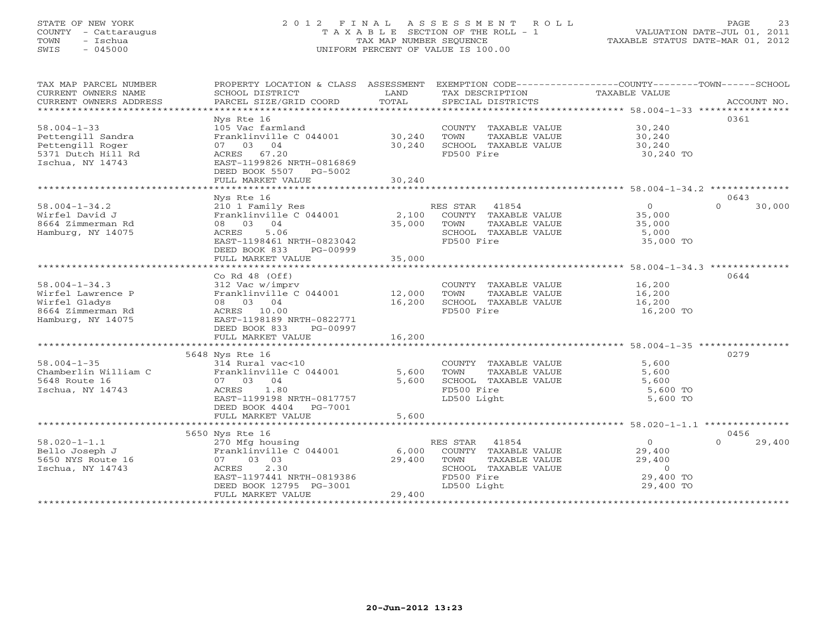#### STATE OF NEW YORK 2 0 1 2 F I N A L A S S E S S M E N T R O L L PAGE 23 COUNTY - Cattaraugus T A X A B L E SECTION OF THE ROLL - 1 VALUATION DATE-JUL 01, 2011 TOWN - Ischua TAX MAP NUMBER SEQUENCE TAXABLE STATUS DATE-MAR 01, 2012 SWIS - 045000 UNIFORM PERCENT OF VALUE IS 100.00UNIFORM PERCENT OF VALUE IS 100.00

| TAX MAP PARCEL NUMBER<br>CURRENT OWNERS NAME<br>CURRENT OWNERS ADDRESS                               | PROPERTY LOCATION & CLASS ASSESSMENT<br>SCHOOL DISTRICT<br>PARCEL SIZE/GRID COORD                                                                               | LAND<br>TOTAL              | EXEMPTION CODE----------------COUNTY-------TOWN------SCHOOL<br>TAX DESCRIPTION<br>SPECIAL DISTRICTS                  | TAXABLE VALUE                                                           | ACCOUNT NO.        |
|------------------------------------------------------------------------------------------------------|-----------------------------------------------------------------------------------------------------------------------------------------------------------------|----------------------------|----------------------------------------------------------------------------------------------------------------------|-------------------------------------------------------------------------|--------------------|
| $58.004 - 1 - 33$<br>Pettengill Sandra<br>Pettengill Roger<br>5371 Dutch Hill Rd<br>Ischua, NY 14743 | Nys Rte 16<br>105 Vac farmland<br>Franklinville C 044001<br>07 03 04<br>ACRES 67.20<br>EAST-1199826 NRTH-0816869<br>DEED BOOK 5507 PG-5002<br>FULL MARKET VALUE | 30,240<br>30,240<br>30,240 | COUNTY TAXABLE VALUE<br>TOWN<br>TAXABLE VALUE<br>SCHOOL TAXABLE VALUE<br>FD500 Fire                                  | 30,240<br>30,240<br>30,240<br>30,240 TO                                 | 0361               |
|                                                                                                      | Nys Rte 16                                                                                                                                                      |                            |                                                                                                                      |                                                                         | 0643               |
| $58.004 - 1 - 34.2$<br>Wirfel David J<br>8664 Zimmerman Rd<br>Hamburg, NY 14075                      | 210 1 Family Res<br>Franklinville C 044001<br>08 03 04<br>ACRES<br>5.06<br>EAST-1198461 NRTH-0823042<br>DEED BOOK 833<br>PG-00999<br>FULL MARKET VALUE          | 2,100<br>35,000<br>35,000  | RES STAR 41854<br>COUNTY TAXABLE VALUE<br>TOWN<br>TAXABLE VALUE<br>SCHOOL TAXABLE VALUE<br>FD500 Fire                | $\overline{O}$<br>35,000<br>35,000<br>5,000<br>35,000 TO                | $\Omega$<br>30,000 |
|                                                                                                      |                                                                                                                                                                 |                            |                                                                                                                      |                                                                         |                    |
| $58.004 - 1 - 34.3$<br>Wirfel Lawrence P<br>Wirfel Gladys<br>8664 Zimmerman Rd<br>Hamburg, NY 14075  | Co Rd $48$ (Off)<br>312 Vac w/imprv<br>Franklinville C 044001<br>08 03 04<br>ACRES 10.00<br>EAST-1198189 NRTH-0822771<br>DEED BOOK 833<br>PG-00997              | 12,000<br>16,200           | COUNTY TAXABLE VALUE<br>TOWN<br>TAXABLE VALUE<br>SCHOOL TAXABLE VALUE<br>FD500 Fire                                  | 16,200<br>16,200<br>16,200<br>16,200 TO                                 | 0644               |
|                                                                                                      | FULL MARKET VALUE                                                                                                                                               | 16,200                     |                                                                                                                      |                                                                         |                    |
|                                                                                                      |                                                                                                                                                                 |                            |                                                                                                                      |                                                                         |                    |
| $58.004 - 1 - 35$<br>Chamberlin William C<br>5648 Route 16<br>Ischua, NY 14743                       | 5648 Nys Rte 16<br>314 Rural vac<10<br>Franklinville C 044001<br>07 03 04<br>ACRES<br>1.80<br>EAST-1199198 NRTH-0817757<br>DEED BOOK 4404 PG-7001               | 5,600<br>5,600             | COUNTY TAXABLE VALUE<br>TOWN<br>TAXABLE VALUE<br>SCHOOL TAXABLE VALUE<br>FD500 Fire<br>LD500 Light                   | 5,600<br>5,600<br>5,600<br>5,600 TO<br>5,600 TO                         | 0279               |
|                                                                                                      | FULL MARKET VALUE                                                                                                                                               | 5,600                      |                                                                                                                      |                                                                         |                    |
|                                                                                                      | 5650 Nys Rte 16                                                                                                                                                 |                            |                                                                                                                      |                                                                         | 0456               |
| $58.020 - 1 - 1.1$<br>Bello Joseph J<br>5650 NYS Route 16<br>Ischua, NY 14743                        | 270 Mfg housing<br>Franklinville C 044001<br>03 03<br>07 —<br>2.30<br>ACRES<br>EAST-1197441 NRTH-0819386<br>DEED BOOK 12795 PG-3001<br>FULL MARKET VALUE        | 6,000<br>29,400<br>29,400  | RES STAR 41854<br>COUNTY TAXABLE VALUE<br>TOWN<br>TAXABLE VALUE<br>SCHOOL TAXABLE VALUE<br>FD500 Fire<br>LD500 Light | $\overline{0}$<br>29,400<br>29,400<br>$\circ$<br>29,400 TO<br>29,400 TO | 29,400             |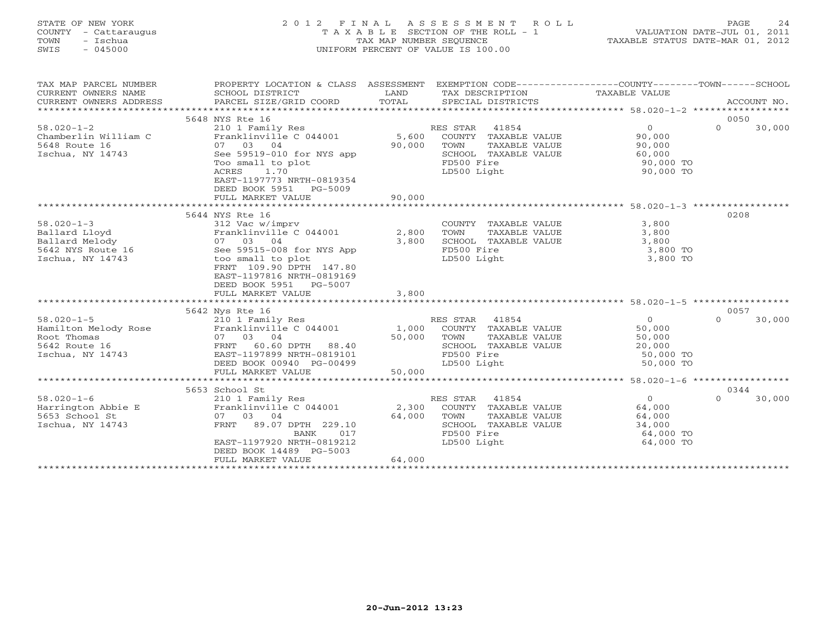| STATE OF NEW YORK    | 2012 FINAL ASSESSMENT ROLL            | 2.4<br>PAGE                      |
|----------------------|---------------------------------------|----------------------------------|
| COUNTY - Cattaraugus | T A X A B L E SECTION OF THE ROLL - 1 | VALUATION DATE-JUL 01, 2011      |
| TOWN<br>– Ischua     | TAX MAP NUMBER SEOUENCE               | TAXABLE STATUS DATE-MAR 01, 2012 |
| SWIS<br>$-045000$    | UNIFORM PERCENT OF VALUE IS 100.00    |                                  |
|                      |                                       |                                  |
|                      |                                       |                                  |
|                      |                                       |                                  |

| TAX MAP PARCEL NUMBER<br>CURRENT OWNERS NAME<br>CURRENT OWNERS ADDRESS | PROPERTY LOCATION & CLASS ASSESSMENT EXEMPTION CODE---------------COUNTY-------TOWN-----SCHOOL<br>SCHOOL DISTRICT<br>PARCEL SIZE/GRID COORD | LAND<br>TOTAL |                | TAX DESCRIPTION<br>SPECIAL DISTRICTS | TAXABLE VALUE  |          | ACCOUNT NO. |
|------------------------------------------------------------------------|---------------------------------------------------------------------------------------------------------------------------------------------|---------------|----------------|--------------------------------------|----------------|----------|-------------|
|                                                                        | 5648 NYS Rte 16                                                                                                                             |               |                |                                      |                | 0050     |             |
| $58.020 - 1 - 2$                                                       | 210 1 Family Res                                                                                                                            |               | RES STAR       | 41854                                | $\overline{0}$ | $\Omega$ | 30,000      |
| Chamberlin William C                                                   | Franklinville C 044001 5,600                                                                                                                |               |                | COUNTY TAXABLE VALUE                 | 90,000         |          |             |
| 5648 Route 16                                                          | 07 03 04                                                                                                                                    | 90,000        | TOWN           | TAXABLE VALUE                        | 90,000         |          |             |
| Ischua, NY 14743                                                       | See 59519-010 for NYS app                                                                                                                   |               |                | SCHOOL TAXABLE VALUE                 | 60,000         |          |             |
|                                                                        | Too small to plot                                                                                                                           |               | FD500 Fire     |                                      | 90,000 TO      |          |             |
|                                                                        | ACRES<br>1.70                                                                                                                               |               | LD500 Light    |                                      | 90,000 TO      |          |             |
|                                                                        | EAST-1197773 NRTH-0819354                                                                                                                   |               |                |                                      |                |          |             |
|                                                                        | DEED BOOK 5951 PG-5009                                                                                                                      |               |                |                                      |                |          |             |
|                                                                        | FULL MARKET VALUE                                                                                                                           | 90,000        |                |                                      |                |          |             |
|                                                                        |                                                                                                                                             |               |                |                                      |                |          |             |
|                                                                        | 5644 NYS Rte 16                                                                                                                             |               |                |                                      |                | 0208     |             |
| $58.020 - 1 - 3$                                                       | 312 Vac w/imprv                                                                                                                             |               |                | COUNTY TAXABLE VALUE                 | 3,800          |          |             |
| Ballard Lloyd                                                          | Franklinville C 044001                                                                                                                      | 2,800         | TOWN           | TAXABLE VALUE                        | 3,800          |          |             |
| Ballard Melody                                                         | 07 03 04                                                                                                                                    | 3,800         |                | SCHOOL TAXABLE VALUE                 | 3,800          |          |             |
| 5642 NYS Route 16                                                      | See 59515-008 for NYS App                                                                                                                   |               | FD500 Fire     |                                      | 3,800 TO       |          |             |
| Ischua, NY 14743                                                       | too small to plot                                                                                                                           |               | LD500 Light    |                                      | 3,800 TO       |          |             |
|                                                                        | FRNT 109.90 DPTH 147.80                                                                                                                     |               |                |                                      |                |          |             |
|                                                                        | EAST-1197816 NRTH-0819169                                                                                                                   |               |                |                                      |                |          |             |
|                                                                        | DEED BOOK 5951 PG-5007                                                                                                                      |               |                |                                      |                |          |             |
|                                                                        | FULL MARKET VALUE                                                                                                                           | 3,800         |                |                                      |                |          |             |
|                                                                        | 5642 Nys Rte 16                                                                                                                             |               |                |                                      |                | 0057     |             |
| $58.020 - 1 - 5$                                                       | 210 1 Family Res                                                                                                                            |               | RES STAR 41854 |                                      | $\Omega$       | $\Omega$ | 30,000      |
| Hamilton Melody Rose                                                   | Franklinville C 044001 1,000                                                                                                                |               |                | COUNTY TAXABLE VALUE                 | 50,000         |          |             |
| Root Thomas                                                            | 07 03 04                                                                                                                                    | 50,000        | TOWN           | TAXABLE VALUE                        | 50,000         |          |             |
| 5642 Route 16                                                          | 60.60 DPTH 88.40<br>FRNT                                                                                                                    |               |                | SCHOOL TAXABLE VALUE                 | 20,000         |          |             |
| Ischua, NY 14743                                                       | EAST-1197899 NRTH-0819101                                                                                                                   |               | FD500 Fire     |                                      | 50,000 TO      |          |             |
|                                                                        | DEED BOOK 00940 PG-00499                                                                                                                    |               | LD500 Light    |                                      | 50,000 TO      |          |             |
|                                                                        | FULL MARKET VALUE                                                                                                                           | 50,000        |                |                                      |                |          |             |
|                                                                        |                                                                                                                                             |               |                |                                      |                |          |             |
|                                                                        | 5653 School St                                                                                                                              |               |                |                                      |                | 0344     |             |
| $58.020 - 1 - 6$                                                       | 210 1 Family Res                                                                                                                            |               | RES STAR       | 41854                                | $\overline{0}$ | $\Omega$ | 30,000      |
| Harrington Abbie E                                                     | Franklinville C 044001                                                                                                                      | 2,300         |                | COUNTY TAXABLE VALUE                 | 64,000         |          |             |
| 5653 School St                                                         | 07 03 04                                                                                                                                    | 64,000        | TOWN           | TAXABLE VALUE                        | 64,000         |          |             |
| Ischua, NY 14743                                                       | FRNT<br>89.07 DPTH 229.10                                                                                                                   |               |                | SCHOOL TAXABLE VALUE                 | 34,000         |          |             |
|                                                                        | BANK<br>017                                                                                                                                 |               | FD500 Fire     |                                      | 64,000 TO      |          |             |
|                                                                        | EAST-1197920 NRTH-0819212                                                                                                                   |               | LD500 Light    |                                      | 64,000 TO      |          |             |
|                                                                        | DEED BOOK 14489 PG-5003                                                                                                                     |               |                |                                      |                |          |             |
|                                                                        | FULL MARKET VALUE                                                                                                                           | 64,000        |                |                                      |                |          |             |
|                                                                        |                                                                                                                                             |               |                |                                      |                |          |             |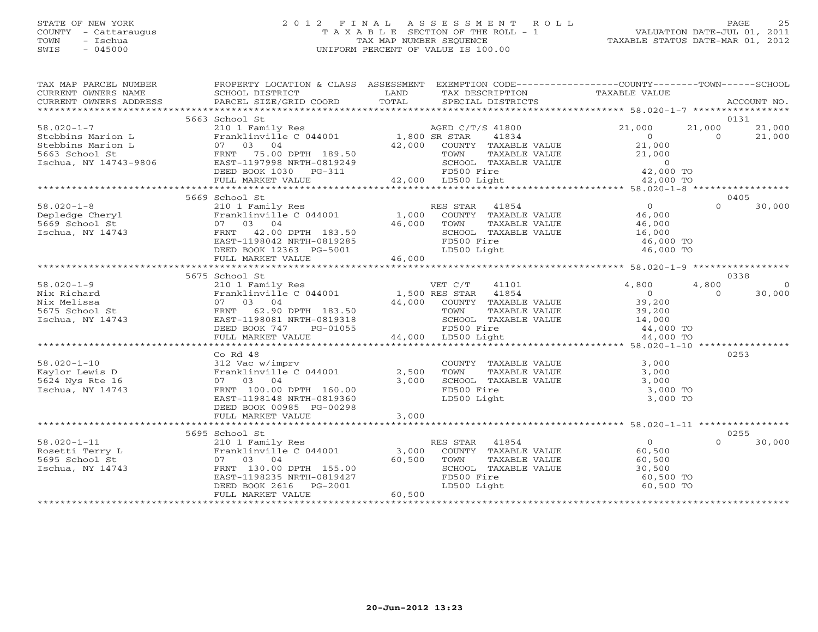### STATE OF NEW YORK 2 0 1 2 F I N A L A S S E S S M E N T R O L L PAGE 25 COUNTY - Cattaraugus T A X A B L E SECTION OF THE ROLL - 1 VALUATION DATE-JUL 01, 2011 TOWN - Ischua TAX MAP NUMBER SEQUENCE TAXABLE STATUS DATE-MAR 01, 2012 SWIS - 045000 UNIFORM PERCENT OF VALUE IS 100.00UNIFORM PERCENT OF VALUE IS 100.00

| TAX MAP PARCEL NUMBER                                                                                                                                                                     | PROPERTY LOCATION & CLASS ASSESSMENT EXEMPTION CODE----------------COUNTY-------TOWN------SCHOOL |        |                                                                                                                                               |                                                                             |                          |
|-------------------------------------------------------------------------------------------------------------------------------------------------------------------------------------------|--------------------------------------------------------------------------------------------------|--------|-----------------------------------------------------------------------------------------------------------------------------------------------|-----------------------------------------------------------------------------|--------------------------|
|                                                                                                                                                                                           |                                                                                                  |        |                                                                                                                                               |                                                                             |                          |
|                                                                                                                                                                                           | 5663 School St                                                                                   |        |                                                                                                                                               |                                                                             | 0131                     |
| $58.020 - 1 - 7$                                                                                                                                                                          | 210 1 Family Res<br>Franklinville C 044001 1,800 SR STAR 41834                                   |        |                                                                                                                                               | 21,000                                                                      | 21,000<br>21,000         |
| Stebbins Marion L<br>Stebbins Marion L<br>Stebbins Marion L<br>5663 School St<br>Ischua, NY 14743-9806<br>TERNT 75.00 DPTH 189.50<br>EAST-1197998 NRTH-0819249<br>NET-197998 NRTH-0819249 |                                                                                                  |        | 41834                                                                                                                                         | $\overline{0}$                                                              | $\Omega$<br>21,000       |
|                                                                                                                                                                                           |                                                                                                  |        |                                                                                                                                               | 21,000                                                                      |                          |
|                                                                                                                                                                                           |                                                                                                  |        |                                                                                                                                               |                                                                             |                          |
|                                                                                                                                                                                           |                                                                                                  |        | PTH 189.50 42,000 COUNTY TAXABLE VALUE<br>PTH 189.50 TOWN TAXABLE VALUE<br>RTH-0819249 SCHOOL TAXABLE VALUE<br>PG-311 FD500 Fire              | TAXABLE VALUE<br>TAXABLE VALUE<br>ire 0<br>ight 42,000 TO<br>ight 42,000 TO |                          |
|                                                                                                                                                                                           | DEED BOOK 1030 PG-311                                                                            |        |                                                                                                                                               |                                                                             |                          |
|                                                                                                                                                                                           | FULL MARKET VALUE                                                                                |        | 42,000 LD500 Light                                                                                                                            |                                                                             |                          |
|                                                                                                                                                                                           | 5669 School St                                                                                   |        |                                                                                                                                               |                                                                             | 0405                     |
| $58.020 - 1 - 8$                                                                                                                                                                          |                                                                                                  |        |                                                                                                                                               |                                                                             | $\Omega$<br>30,000       |
| Depledge Cheryl                                                                                                                                                                           |                                                                                                  |        |                                                                                                                                               |                                                                             |                          |
| 5669 School St                                                                                                                                                                            |                                                                                                  |        |                                                                                                                                               |                                                                             |                          |
| Ischua, NY 14743                                                                                                                                                                          | FRNT 42.00 DPTH 183.50                                                                           | 46,000 | SCHOOL TAXABLE VALUE                                                                                                                          | 16,000                                                                      |                          |
|                                                                                                                                                                                           | EAST-1198042 NRTH-0819285                                                                        |        | FD500 Fire                                                                                                                                    | 46,000 TO                                                                   |                          |
|                                                                                                                                                                                           | DEED BOOK 12363 PG-5001                                                                          |        | LD500 Light                                                                                                                                   | 46,000 TO                                                                   |                          |
|                                                                                                                                                                                           | FULL MARKET VALUE                                                                                | 46,000 |                                                                                                                                               |                                                                             |                          |
|                                                                                                                                                                                           |                                                                                                  |        |                                                                                                                                               |                                                                             |                          |
|                                                                                                                                                                                           | 5675 School St                                                                                   |        |                                                                                                                                               |                                                                             | 0338                     |
| $58.020 - 1 - 9$                                                                                                                                                                          | 210 1 Family Res<br>210 1 Family Res<br>Franklinville C 044001 1,500 RES STAR 41854              |        | 41101                                                                                                                                         | 4,800                                                                       | 4,800<br>$\bigcirc$      |
| Nix Richard<br>Nix Melissa<br>5675 School St<br>Ischua, NY 14743                                                                                                                          |                                                                                                  |        |                                                                                                                                               | $\begin{array}{c}\n 3\sigma \\  \downarrow \\  \downarrow \\  \end{array}$  | 30,000<br>$\overline{0}$ |
|                                                                                                                                                                                           | 07 03 04<br>FRNT 62.90 DPTH 183.50<br>10001 NPTH 0819318                                         |        | 44,000 COUNTY TAXABLE VALUE                                                                                                                   | 39,200                                                                      |                          |
|                                                                                                                                                                                           |                                                                                                  |        |                                                                                                                                               |                                                                             |                          |
|                                                                                                                                                                                           |                                                                                                  |        |                                                                                                                                               |                                                                             |                          |
|                                                                                                                                                                                           | DEED BOOK 747<br>PG-01055                                                                        |        | TOWN TAXABLE VALUE 39,200<br>SCHOOL TAXABLE VALUE 14,000<br>FD500 Fire 44,000 TO<br>LD500 Light 44,000 TO<br>FD500 Fire<br>44,000 LD500 Light |                                                                             |                          |
|                                                                                                                                                                                           | FULL MARKET VALUE                                                                                |        |                                                                                                                                               |                                                                             |                          |
|                                                                                                                                                                                           |                                                                                                  |        |                                                                                                                                               |                                                                             |                          |
| $58.020 - 1 - 10$                                                                                                                                                                         | $Co$ Rd $48$                                                                                     |        |                                                                                                                                               | 3,000                                                                       | 0253                     |
| Kaylor Lewis D                                                                                                                                                                            | 312 Vac w/imprv<br>Franklinville C 044001                                                        | 2,500  |                                                                                                                                               | 3,000                                                                       |                          |
| 5624 Nys Rte 16                                                                                                                                                                           | 07 03 04                                                                                         | 3,000  | COUNTY TAXABLE VALUE<br>TOWN TAXABLE VALUE<br>SCHOOL TAXABLE VALUE                                                                            | 3,000                                                                       |                          |
| Ischua, NY 14743                                                                                                                                                                          | FRNT 100.00 DPTH 160.00                                                                          |        | FD500 Fire                                                                                                                                    | 3,000 TO                                                                    |                          |
|                                                                                                                                                                                           | EAST-1198148 NRTH-0819360                                                                        |        | LD500 Light                                                                                                                                   | 3,000 TO                                                                    |                          |
|                                                                                                                                                                                           | DEED BOOK 00985 PG-00298                                                                         |        |                                                                                                                                               |                                                                             |                          |
|                                                                                                                                                                                           | FULL MARKET VALUE                                                                                | 3,000  |                                                                                                                                               |                                                                             |                          |
|                                                                                                                                                                                           |                                                                                                  |        |                                                                                                                                               |                                                                             |                          |
|                                                                                                                                                                                           | 5695 School St                                                                                   |        |                                                                                                                                               |                                                                             | 0255                     |
| $58.020 - 1 - 11$                                                                                                                                                                         | 210 1 Family Res<br>Franklinville C 044001 3,000                                                 |        | RES STAR 41854<br>ES STAR 41854<br>COUNTY TAXABLE VALUE                                                                                       | $\overline{0}$                                                              | $\Omega$<br>30,000       |
| Rosetti Terry L                                                                                                                                                                           |                                                                                                  |        |                                                                                                                                               | 60,500                                                                      |                          |
| 5695 School St                                                                                                                                                                            | 07 03 04                                                                                         | 60,500 | TOWN<br>TAXABLE VALUE                                                                                                                         | 60,500<br>60,500<br>30,500                                                  |                          |
| Ischua, NY 14743                                                                                                                                                                          |                                                                                                  |        | SCHOOL TAXABLE VALUE                                                                                                                          |                                                                             |                          |
|                                                                                                                                                                                           | FRNT 130.00 DPTH 155.00<br>EAST-1198235 NRTH-0819427<br>DEED BOOK 2616 PG-2001                   |        |                                                                                                                                               | 60,500 TO                                                                   |                          |
|                                                                                                                                                                                           |                                                                                                  |        | FD500 Fire<br>LD500 Light                                                                                                                     | 60,500 TO                                                                   |                          |
|                                                                                                                                                                                           | FULL MARKET VALUE                                                                                | 60,500 |                                                                                                                                               |                                                                             |                          |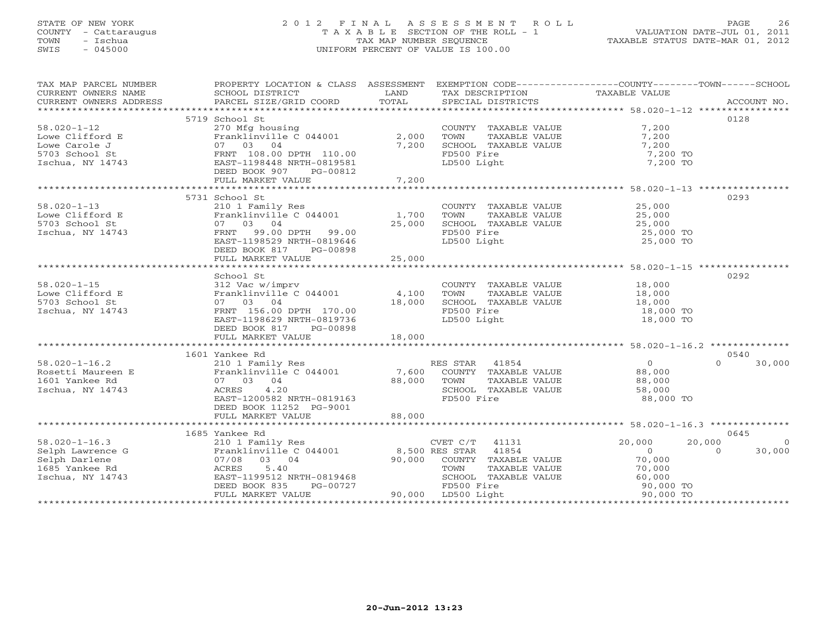#### STATE OF NEW YORK 2 0 1 2 F I N A L A S S E S S M E N T R O L L PAGE 26 COUNTY - Cattaraugus T A X A B L E SECTION OF THE ROLL - 1 VALUATION DATE-JUL 01, 2011 TOWN - Ischua TAX MAP NUMBER SEQUENCE TAXABLE STATUS DATE-MAR 01, 2012 SWIS - 045000 UNIFORM PERCENT OF VALUE IS 100.00UNIFORM PERCENT OF VALUE IS 100.00

| TAX MAP PARCEL NUMBER | PROPERTY LOCATION & CLASS ASSESSMENT EXEMPTION CODE----------------COUNTY-------TOWN------SCHOOL                                                                                                                                                                                                                                                                                                                                                                                         |       |                                                                                                             |                                            |                |
|-----------------------|------------------------------------------------------------------------------------------------------------------------------------------------------------------------------------------------------------------------------------------------------------------------------------------------------------------------------------------------------------------------------------------------------------------------------------------------------------------------------------------|-------|-------------------------------------------------------------------------------------------------------------|--------------------------------------------|----------------|
|                       |                                                                                                                                                                                                                                                                                                                                                                                                                                                                                          |       | TAX DESCRIPTION                                                                                             | TAXABLE VALUE                              |                |
|                       |                                                                                                                                                                                                                                                                                                                                                                                                                                                                                          |       | SPECIAL DISTRICTS                                                                                           |                                            | ACCOUNT NO.    |
|                       |                                                                                                                                                                                                                                                                                                                                                                                                                                                                                          |       |                                                                                                             |                                            |                |
|                       | 5719 School St                                                                                                                                                                                                                                                                                                                                                                                                                                                                           |       |                                                                                                             |                                            | 0128           |
|                       |                                                                                                                                                                                                                                                                                                                                                                                                                                                                                          |       | COUNTY TAXABLE VALUE 7,200<br>TOWN TAXABLE VALUE 7,200<br>SCHOOL TAXABLE VALUE 7,200<br>FD500 Fire 7,200 TO |                                            |                |
|                       |                                                                                                                                                                                                                                                                                                                                                                                                                                                                                          |       |                                                                                                             |                                            |                |
|                       |                                                                                                                                                                                                                                                                                                                                                                                                                                                                                          |       |                                                                                                             |                                            |                |
|                       |                                                                                                                                                                                                                                                                                                                                                                                                                                                                                          |       |                                                                                                             |                                            |                |
|                       | 58.020-1-12<br>Lowe Clifford E<br>Lowe Carole J<br>5703 School St<br>15203 School St<br>16200 12200<br>5703 School St<br>16200 199448 NRTH-0819581<br>17,200<br>17,200<br>17,200<br>17,200<br>17,200<br>17,200<br>17,200<br>18,200<br>18,200<br>18,200<br>17,200<br>                                                                                                                                                                                                                     |       |                                                                                                             |                                            |                |
|                       |                                                                                                                                                                                                                                                                                                                                                                                                                                                                                          |       | LD500 Light                                                                                                 | 7,200 TO                                   |                |
|                       | DEED BOOK 907 PG-00812                                                                                                                                                                                                                                                                                                                                                                                                                                                                   |       |                                                                                                             |                                            |                |
|                       | FULL MARKET VALUE                                                                                                                                                                                                                                                                                                                                                                                                                                                                        | 7,200 |                                                                                                             |                                            |                |
|                       |                                                                                                                                                                                                                                                                                                                                                                                                                                                                                          |       |                                                                                                             |                                            |                |
|                       |                                                                                                                                                                                                                                                                                                                                                                                                                                                                                          |       |                                                                                                             |                                            |                |
|                       | 5731 School St                                                                                                                                                                                                                                                                                                                                                                                                                                                                           |       |                                                                                                             |                                            | 0293           |
|                       |                                                                                                                                                                                                                                                                                                                                                                                                                                                                                          |       |                                                                                                             |                                            |                |
|                       |                                                                                                                                                                                                                                                                                                                                                                                                                                                                                          |       |                                                                                                             |                                            |                |
|                       |                                                                                                                                                                                                                                                                                                                                                                                                                                                                                          |       |                                                                                                             |                                            |                |
|                       | 58.020-1-13<br>Lowe Clifford E<br>Solution of the country of the country TAXABLE VALUE<br>Solution of the country of the country TAXABLE VALUE<br>Solution of the country of the country of the country of the country of the country<br>                                                                                                                                                                                                                                                |       |                                                                                                             | 25,000 TO                                  |                |
|                       |                                                                                                                                                                                                                                                                                                                                                                                                                                                                                          |       |                                                                                                             | 25,000 TO                                  |                |
|                       |                                                                                                                                                                                                                                                                                                                                                                                                                                                                                          |       |                                                                                                             |                                            |                |
|                       | DEED BOOK 817 PG-00898                                                                                                                                                                                                                                                                                                                                                                                                                                                                   |       |                                                                                                             |                                            |                |
|                       |                                                                                                                                                                                                                                                                                                                                                                                                                                                                                          |       |                                                                                                             |                                            |                |
|                       |                                                                                                                                                                                                                                                                                                                                                                                                                                                                                          |       |                                                                                                             |                                            |                |
|                       | School St                                                                                                                                                                                                                                                                                                                                                                                                                                                                                |       |                                                                                                             |                                            | 0292           |
|                       |                                                                                                                                                                                                                                                                                                                                                                                                                                                                                          |       | COUNTY TAXABLE VALUE 18,000                                                                                 |                                            |                |
|                       |                                                                                                                                                                                                                                                                                                                                                                                                                                                                                          |       | TAXABLE VALUE 18,000<br>TOWN                                                                                |                                            |                |
|                       |                                                                                                                                                                                                                                                                                                                                                                                                                                                                                          |       |                                                                                                             |                                            |                |
|                       | 07 03 04 18,000<br>FRNT 156.00 DPTH 170.00 18,000                                                                                                                                                                                                                                                                                                                                                                                                                                        |       | SCHOOL TAXABLE VALUE 18,000<br>FD500 Fire 18,000 TO                                                         |                                            |                |
| Ischua, NY 14743      |                                                                                                                                                                                                                                                                                                                                                                                                                                                                                          |       |                                                                                                             |                                            |                |
|                       | EAST-1198629 NRTH-0819736<br>---- ----- 915                                                                                                                                                                                                                                                                                                                                                                                                                                              |       | LD500 Light                                                                                                 | 18,000 TO                                  |                |
|                       | DEED BOOK 817 PG-00898                                                                                                                                                                                                                                                                                                                                                                                                                                                                   |       |                                                                                                             |                                            |                |
|                       |                                                                                                                                                                                                                                                                                                                                                                                                                                                                                          |       |                                                                                                             |                                            |                |
|                       |                                                                                                                                                                                                                                                                                                                                                                                                                                                                                          |       |                                                                                                             |                                            |                |
|                       | 1601 Yankee Rd                                                                                                                                                                                                                                                                                                                                                                                                                                                                           |       |                                                                                                             |                                            | 0540           |
|                       |                                                                                                                                                                                                                                                                                                                                                                                                                                                                                          |       |                                                                                                             |                                            |                |
|                       |                                                                                                                                                                                                                                                                                                                                                                                                                                                                                          |       |                                                                                                             |                                            | $0 \t 30,000$  |
|                       |                                                                                                                                                                                                                                                                                                                                                                                                                                                                                          |       |                                                                                                             |                                            |                |
|                       |                                                                                                                                                                                                                                                                                                                                                                                                                                                                                          |       |                                                                                                             |                                            |                |
| Ischua, NY 14743      | 07 03 04 88,000 TOWN<br>ACRES 4.20 SCHOO<br>EAST-1200582 NRTH-0819163 FD500                                                                                                                                                                                                                                                                                                                                                                                                              |       | SCHOOL TAXABLE VALUE 58,000                                                                                 |                                            |                |
|                       |                                                                                                                                                                                                                                                                                                                                                                                                                                                                                          |       | FD500 Fire                                                                                                  | 88,000 TO                                  |                |
|                       | <b>EASI-1200002</b><br>DEED BOOK 11252 PG-9001<br>FIILL MARKET VALUE 88,000                                                                                                                                                                                                                                                                                                                                                                                                              |       |                                                                                                             |                                            |                |
|                       |                                                                                                                                                                                                                                                                                                                                                                                                                                                                                          |       |                                                                                                             |                                            |                |
|                       |                                                                                                                                                                                                                                                                                                                                                                                                                                                                                          |       |                                                                                                             |                                            |                |
|                       |                                                                                                                                                                                                                                                                                                                                                                                                                                                                                          |       |                                                                                                             |                                            |                |
|                       |                                                                                                                                                                                                                                                                                                                                                                                                                                                                                          |       |                                                                                                             |                                            | 0645           |
|                       |                                                                                                                                                                                                                                                                                                                                                                                                                                                                                          |       | CVET C/T 41131 20,000                                                                                       | 20,000                                     | $\overline{0}$ |
|                       |                                                                                                                                                                                                                                                                                                                                                                                                                                                                                          |       |                                                                                                             | $\begin{array}{c} 0 \\ 70,000 \end{array}$ | $0 \t30,000$   |
|                       |                                                                                                                                                                                                                                                                                                                                                                                                                                                                                          |       |                                                                                                             |                                            |                |
|                       |                                                                                                                                                                                                                                                                                                                                                                                                                                                                                          |       |                                                                                                             |                                            |                |
|                       |                                                                                                                                                                                                                                                                                                                                                                                                                                                                                          |       |                                                                                                             |                                            |                |
|                       |                                                                                                                                                                                                                                                                                                                                                                                                                                                                                          |       |                                                                                                             |                                            |                |
|                       |                                                                                                                                                                                                                                                                                                                                                                                                                                                                                          |       |                                                                                                             |                                            |                |
|                       | 38.020-1-16.3<br>Selph Lawrence G<br>Selph Darlene G<br>Selph Darlene (17.01 1201 120201 120201 120201 120201 120201 131<br>Selph Darlene (17.08 03 04 90,000 COUNTY TAXABLE VALUE<br>1685 Yankee Rd<br>Ischua, NY 14743 EAST-1199512 NRTH<br>1685 Yankee Rd 2000 2011 2012 1685 2012<br>1685 Yankee Rd 20,000<br>1685 Yankee Rd 20,000<br>20,000 DEED BOOK 835 PG-00727 PD500 Fire<br>FULL MARKET VALUE 20,000 DEED BOOK 835 PG-00727<br>20,000 TO 20 20,000 ED500 Light<br>20,000 TO 2 |       |                                                                                                             |                                            |                |
|                       |                                                                                                                                                                                                                                                                                                                                                                                                                                                                                          |       |                                                                                                             |                                            |                |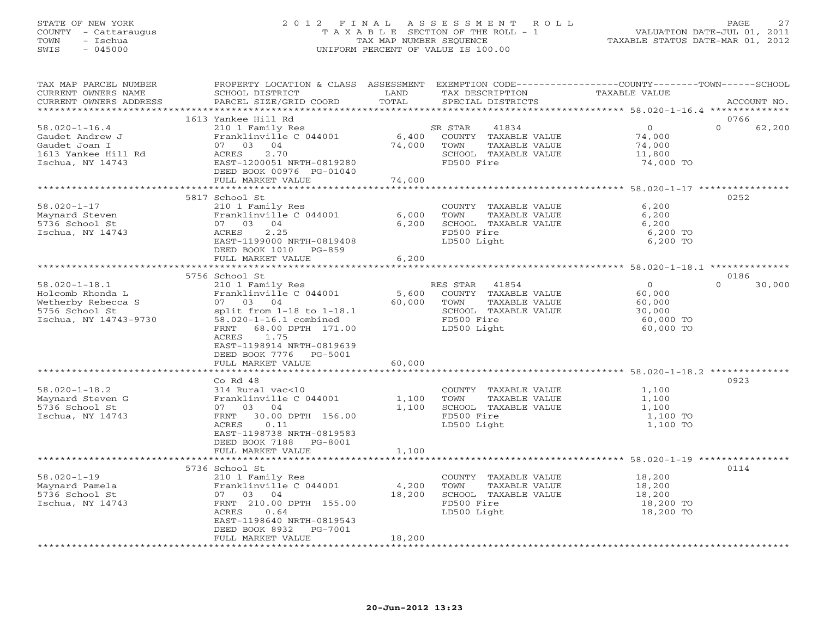#### STATE OF NEW YORK 2 0 1 2 F I N A L A S S E S S M E N T R O L L PAGE 27 COUNTY - Cattaraugus T A X A B L E SECTION OF THE ROLL - 1 VALUATION DATE-JUL 01, 2011 TOWN - Ischua TAX MAP NUMBER SEQUENCE TAXABLE STATUS DATE-MAR 01, 2012 SWIS - 045000 UNIFORM PERCENT OF VALUE IS 100.00UNIFORM PERCENT OF VALUE IS 100.00

| TAX MAP PARCEL NUMBER<br>CURRENT OWNERS NAME                                                             | PROPERTY LOCATION & CLASS ASSESSMENT<br>SCHOOL DISTRICT                                                                                                                                                                | LAND            | TAX DESCRIPTION                                                                                                         | EXEMPTION CODE-----------------COUNTY-------TOWN------SCHOOL<br>TAXABLE VALUE |          |             |
|----------------------------------------------------------------------------------------------------------|------------------------------------------------------------------------------------------------------------------------------------------------------------------------------------------------------------------------|-----------------|-------------------------------------------------------------------------------------------------------------------------|-------------------------------------------------------------------------------|----------|-------------|
| CURRENT OWNERS ADDRESS<br>*********************                                                          | PARCEL SIZE/GRID COORD                                                                                                                                                                                                 | TOTAL           | SPECIAL DISTRICTS                                                                                                       |                                                                               |          | ACCOUNT NO. |
|                                                                                                          | 1613 Yankee Hill Rd                                                                                                                                                                                                    |                 |                                                                                                                         |                                                                               | 0766     |             |
| $58.020 - 1 - 16.4$<br>Gaudet Andrew J<br>Gaudet Joan I<br>1613 Yankee Hill Rd<br>Ischua, NY 14743       | 210 1 Family Res<br>Franklinville C 044001<br>07 03 04<br>ACRES<br>2.70<br>EAST-1200051 NRTH-0819280                                                                                                                   | 6,400<br>74,000 | SR STAR<br>41834<br>COUNTY TAXABLE VALUE<br>TOWN<br>TAXABLE VALUE<br>SCHOOL TAXABLE VALUE<br>FD500 Fire                 | 0<br>74,000<br>74,000<br>11,800<br>74,000 TO                                  | $\Omega$ | 62,200      |
|                                                                                                          | DEED BOOK 00976 PG-01040                                                                                                                                                                                               |                 |                                                                                                                         |                                                                               |          |             |
|                                                                                                          | FULL MARKET VALUE                                                                                                                                                                                                      | 74,000          |                                                                                                                         |                                                                               |          |             |
|                                                                                                          | 5817 School St                                                                                                                                                                                                         |                 |                                                                                                                         |                                                                               | 0252     |             |
| $58.020 - 1 - 17$<br>Maynard Steven<br>5736 School St<br>Ischua, NY 14743                                | 210 1 Family Res<br>Franklinville C 044001<br>07 03 04<br>2.25<br>ACRES<br>EAST-1199000 NRTH-0819408<br>DEED BOOK 1010 PG-859                                                                                          | 6,000<br>6,200  | COUNTY TAXABLE VALUE<br>TOWN<br>TAXABLE VALUE<br>SCHOOL TAXABLE VALUE<br>FD500 Fire<br>LD500 Light                      | 6,200<br>6,200<br>6,200<br>6,200 TO<br>6,200 TO                               |          |             |
|                                                                                                          | FULL MARKET VALUE                                                                                                                                                                                                      | 6,200           |                                                                                                                         |                                                                               |          |             |
|                                                                                                          |                                                                                                                                                                                                                        |                 |                                                                                                                         |                                                                               |          |             |
|                                                                                                          | 5756 School St                                                                                                                                                                                                         |                 |                                                                                                                         |                                                                               | 0186     |             |
| $58.020 - 1 - 18.1$<br>Holcomb Rhonda L<br>Wetherby Rebecca S<br>5756 School St<br>Ischua, NY 14743-9730 | 210 1 Family Res<br>Franklinville C 044001<br>07 03 04<br>split from $1-18$ to $1-18.1$<br>58.020-1-16.1 combined<br>FRNT<br>68.00 DPTH 171.00<br>ACRES<br>1.75<br>EAST-1198914 NRTH-0819639<br>DEED BOOK 7776 PG-5001 | 5,600<br>60,000 | RES STAR<br>41854<br>COUNTY TAXABLE VALUE<br>TOWN<br>TAXABLE VALUE<br>SCHOOL TAXABLE VALUE<br>FD500 Fire<br>LD500 Light | $\overline{0}$<br>60,000<br>60,000<br>30,000<br>60,000 TO<br>60,000 TO        | $\Omega$ | 30,000      |
|                                                                                                          | FULL MARKET VALUE                                                                                                                                                                                                      | 60,000          |                                                                                                                         |                                                                               |          |             |
|                                                                                                          |                                                                                                                                                                                                                        |                 |                                                                                                                         |                                                                               |          |             |
| $58.020 - 1 - 18.2$<br>Maynard Steven G<br>5736 School St<br>Ischua, NY 14743                            | Co Rd 48<br>314 Rural vac<10<br>Franklinville C 044001<br>07 03 04<br>30.00 DPTH 156.00<br>FRNT<br>ACRES<br>0.11<br>EAST-1198738 NRTH-0819583<br>DEED BOOK 7188 PG-8001                                                | 1,100<br>1,100  | COUNTY TAXABLE VALUE<br>TOWN<br>TAXABLE VALUE<br>SCHOOL TAXABLE VALUE<br>FD500 Fire<br>LD500 Light                      | 1,100<br>1,100<br>1,100<br>1,100 TO<br>1,100 TO                               | 0923     |             |
|                                                                                                          | FULL MARKET VALUE                                                                                                                                                                                                      | 1,100           |                                                                                                                         |                                                                               |          |             |
|                                                                                                          |                                                                                                                                                                                                                        |                 |                                                                                                                         | ************************ 58.020-1-19 **********                               |          |             |
| $58.020 - 1 - 19$<br>Maynard Pamela<br>5736 School St<br>Ischua, NY 14743                                | 5736 School St<br>210 1 Family Res<br>Franklinville C 044001<br>07 03 04<br>FRNT 210.00 DPTH 155.00<br>ACRES<br>0.64<br>EAST-1198640 NRTH-0819543<br>DEED BOOK 8932 PG-7001                                            | 4,200<br>18,200 | COUNTY TAXABLE VALUE<br>TOWN<br>TAXABLE VALUE<br>SCHOOL TAXABLE VALUE<br>FD500 Fire<br>LD500 Light                      | 18,200<br>18,200<br>18,200<br>18,200 TO<br>18,200 TO                          | 0114     |             |
|                                                                                                          | FULL MARKET VALUE                                                                                                                                                                                                      | 18,200          |                                                                                                                         |                                                                               |          |             |
| **********************                                                                                   |                                                                                                                                                                                                                        |                 |                                                                                                                         |                                                                               |          |             |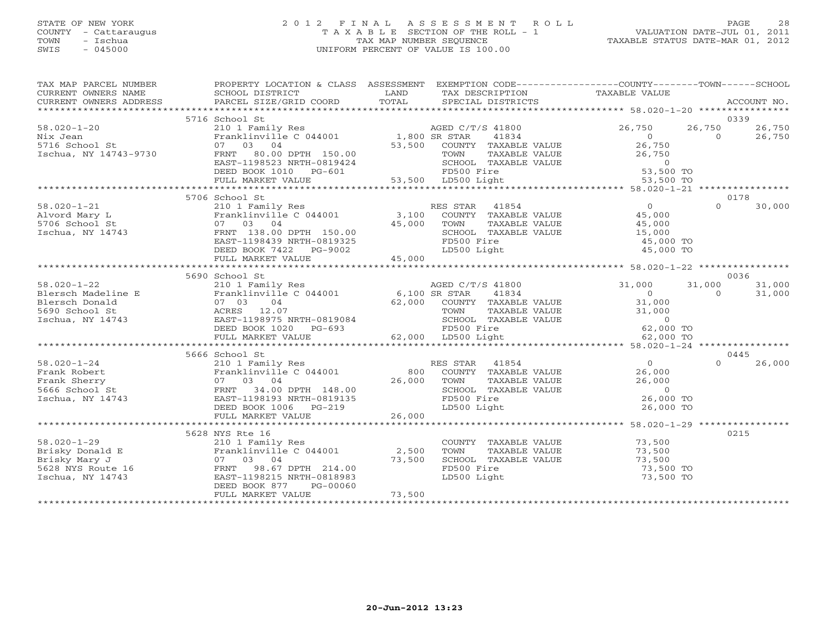### STATE OF NEW YORK 2 0 1 2 F I N A L A S S E S S M E N T R O L L PAGE 28COUNTY - Cattaraugus T A X A B L E SECTION OF THE ROLL - 1 VALUATION DATE-JUL 01, 2011 SWIS - 045000 UNIFORM PERCENT OF VALUE IS 100.00

| TAX MAP PARCEL NUMBER                                                                    | PROPERTY LOCATION & CLASS ASSESSMENT EXEMPTION CODE---------------COUNTY-------TOWN-----SCHOOL                                                                                                                                           |                               |                                                                                                      |                     |                    |  |
|------------------------------------------------------------------------------------------|------------------------------------------------------------------------------------------------------------------------------------------------------------------------------------------------------------------------------------------|-------------------------------|------------------------------------------------------------------------------------------------------|---------------------|--------------------|--|
|                                                                                          |                                                                                                                                                                                                                                          |                               |                                                                                                      |                     |                    |  |
|                                                                                          | 5716 School St                                                                                                                                                                                                                           |                               |                                                                                                      |                     | 0339               |  |
| $58.020 - 1 - 20$                                                                        | 210 1 Family Res<br>Franklinville C 044001 1,800 SR STAR                                                                                                                                                                                 |                               | AGED C/T/S 41800                                                                                     | 26,750              | 26,750<br>26,750   |  |
|                                                                                          |                                                                                                                                                                                                                                          |                               |                                                                                                      |                     | $\Omega$<br>26,750 |  |
|                                                                                          |                                                                                                                                                                                                                                          |                               |                                                                                                      |                     |                    |  |
| nix Jean<br>5716 School St<br>Ischua, NY 14743-9730                                      |                                                                                                                                                                                                                                          |                               |                                                                                                      |                     |                    |  |
|                                                                                          |                                                                                                                                                                                                                                          |                               |                                                                                                      |                     |                    |  |
|                                                                                          |                                                                                                                                                                                                                                          |                               |                                                                                                      |                     |                    |  |
|                                                                                          | Franklinville C 044001 1,800 SR STAR 41834 0<br>07 03 04 53,500 COUNTY TAXABLE VALUE 26,750<br>FRNT 80.00 DPTH 150.00 50<br>EAST-1198523 NRTH-0819424 SCHOOL TAXABLE VALUE 26,750<br>DEED BOOK 1010 PG-601 FD500 Fire 53,500 TONN 53,5   |                               |                                                                                                      |                     |                    |  |
|                                                                                          |                                                                                                                                                                                                                                          |                               |                                                                                                      |                     |                    |  |
|                                                                                          | 5706 School St                                                                                                                                                                                                                           |                               |                                                                                                      |                     | 0178               |  |
| $58.020 - 1 - 21$                                                                        |                                                                                                                                                                                                                                          |                               |                                                                                                      |                     | $\Omega$<br>30,000 |  |
|                                                                                          |                                                                                                                                                                                                                                          |                               |                                                                                                      |                     |                    |  |
| Alvord Mary L<br>5706 School St<br>Ischua, NY 14743                                      |                                                                                                                                                                                                                                          | 45,000 TOWN<br>SCHOO<br>FD500 |                                                                                                      |                     |                    |  |
|                                                                                          | FRNT 138.00 DPTH 150.00                                                                                                                                                                                                                  |                               | SCHOOL TAXABLE VALUE                                                                                 | 15,000<br>45,000 TO |                    |  |
|                                                                                          | EAST-1198439 NRTH-0819325                                                                                                                                                                                                                |                               | FD500 Fire                                                                                           |                     |                    |  |
|                                                                                          | DEED BOOK 7422 PG-9002                                                                                                                                                                                                                   |                               | LD500 Light                                                                                          | 45,000 TO           |                    |  |
|                                                                                          | FULL MARKET VALUE                                                                                                                                                                                                                        | 45,000                        |                                                                                                      |                     |                    |  |
|                                                                                          |                                                                                                                                                                                                                                          |                               |                                                                                                      |                     |                    |  |
|                                                                                          | 5690 School St                                                                                                                                                                                                                           |                               |                                                                                                      |                     | 0036               |  |
| $58.020 - 1 - 22$                                                                        | 210 1 Family Res                                                                                                                                                                                                                         |                               | AGED C/T/S 41800                                                                                     | 31,000              | 31,000<br>31,000   |  |
|                                                                                          |                                                                                                                                                                                                                                          |                               |                                                                                                      |                     | 31,000<br>$\Omega$ |  |
|                                                                                          |                                                                                                                                                                                                                                          |                               |                                                                                                      | 31,000              |                    |  |
|                                                                                          |                                                                                                                                                                                                                                          |                               |                                                                                                      |                     |                    |  |
|                                                                                          |                                                                                                                                                                                                                                          |                               |                                                                                                      |                     |                    |  |
|                                                                                          | DEED BOOK 1020 PG-693                                                                                                                                                                                                                    |                               | TOWN TAXABLE VALUE 31,000<br>SCHOOL TAXABLE VALUE 0<br>FD500 Fire 62,000 TO<br>LD500 Light 62,000 TO |                     |                    |  |
|                                                                                          | FULL MARKET VALUE                                                                                                                                                                                                                        |                               | FD500 Fire<br>62,000 LD500 Light                                                                     |                     |                    |  |
|                                                                                          |                                                                                                                                                                                                                                          |                               |                                                                                                      |                     |                    |  |
|                                                                                          | 5666 School St                                                                                                                                                                                                                           |                               |                                                                                                      |                     | 0445               |  |
| $58.020 - 1 - 24$                                                                        |                                                                                                                                                                                                                                          |                               |                                                                                                      | $\overline{0}$      | 26,000             |  |
| Frank Robert                                                                             |                                                                                                                                                                                                                                          |                               |                                                                                                      | 26,000              |                    |  |
| Frank Sherry                                                                             |                                                                                                                                                                                                                                          |                               |                                                                                                      | 26,000              |                    |  |
| 210 1<br>Frank 67<br>5743 FRNT<br>743 EAST-<br>5666 School St                            | 210 1 Family Res<br>Pranklinville C 044001 800 COUNTY TAXABLE VALUE<br>07 03 04 26,000 TOWN TAXABLE VALUE<br>FRNT 34.00 DPTH 148.00 26,000 TOWN TAXABLE VALUE<br>EAST-1198193 NRTH-0819135 FD500 Fire<br>DEED BOOK 1006 PG-219 LD500 Lig |                               | TAXABLE VALUE<br>TAXABLE VALUE<br>LECTRICIAL                                                         | $\overline{0}$      |                    |  |
| Ischua, NY 14743                                                                         |                                                                                                                                                                                                                                          |                               |                                                                                                      | 26,000 TO           |                    |  |
|                                                                                          |                                                                                                                                                                                                                                          | 26,000                        |                                                                                                      | 26,000 TO           |                    |  |
|                                                                                          | FULL MARKET VALUE                                                                                                                                                                                                                        |                               |                                                                                                      |                     |                    |  |
|                                                                                          |                                                                                                                                                                                                                                          |                               |                                                                                                      |                     |                    |  |
|                                                                                          | 5628 NYS Rte 16                                                                                                                                                                                                                          |                               |                                                                                                      |                     | 0215               |  |
| $58.020 - 1 - 29$                                                                        | 210 1 Family Res                                                                                                                                                                                                                         |                               | COUNTY TAXABLE VALUE 73,500<br>TOWN TAXABLE VALUE 73,500                                             |                     |                    |  |
| 58.020-1-29<br>Brisky Donald E<br>Brisky Mary J<br>5628 NYS Route 16<br>Ischua, NY 14743 | Franklinville C 044001 2,500                                                                                                                                                                                                             |                               |                                                                                                      |                     |                    |  |
|                                                                                          | 07 03 04                                                                                                                                                                                                                                 | 73,500                        | SCHOOL TAXABLE VALUE                                                                                 | 73,500<br>73,500 TO |                    |  |
|                                                                                          | FRNT<br>98.67 DPTH 214.00                                                                                                                                                                                                                |                               | FD500 Fire                                                                                           |                     |                    |  |
|                                                                                          | EAST-1198215 NRTH-0818983                                                                                                                                                                                                                |                               | LD500 Light                                                                                          | 73,500 TO           |                    |  |
|                                                                                          | DEED BOOK 877<br>PG-00060                                                                                                                                                                                                                | 73,500                        |                                                                                                      |                     |                    |  |
|                                                                                          | FULL MARKET VALUE                                                                                                                                                                                                                        |                               |                                                                                                      |                     |                    |  |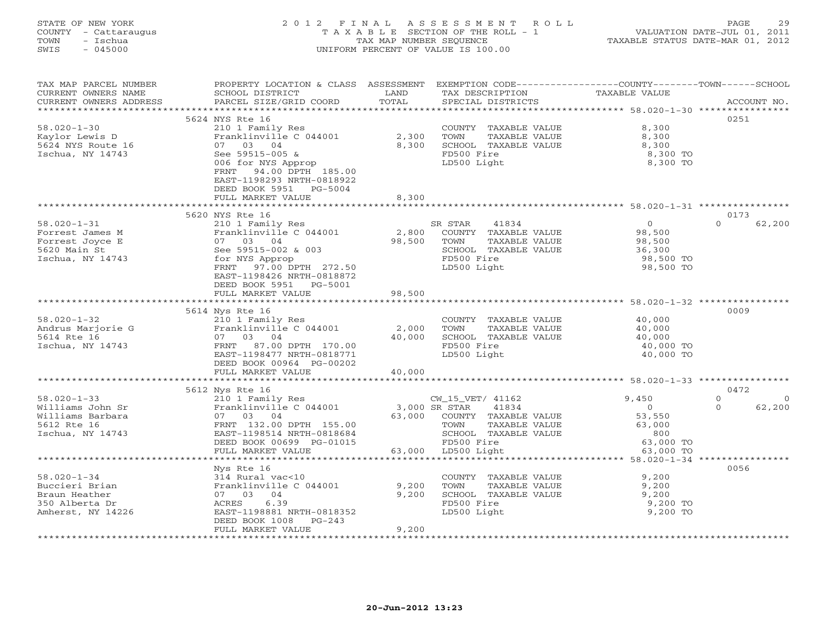#### STATE OF NEW YORK 2 0 1 2 F I N A L A S S E S S M E N T R O L L PAGE 29 COUNTY - Cattaraugus T A X A B L E SECTION OF THE ROLL - 1 VALUATION DATE-JUL 01, 2011 TOWN - Ischua TAX MAP NUMBER SEQUENCE TAXABLE STATUS DATE-MAR 01, 2012 SWIS - 045000 UNIFORM PERCENT OF VALUE IS 100.00UNIFORM PERCENT OF VALUE IS 100.00

| TAX MAP PARCEL NUMBER  | PROPERTY LOCATION & CLASS ASSESSMENT EXEMPTION CODE----------------COUNTY-------TOWN------SCHOOL |                       |                       |                                                      |                            |
|------------------------|--------------------------------------------------------------------------------------------------|-----------------------|-----------------------|------------------------------------------------------|----------------------------|
| CURRENT OWNERS NAME    | SCHOOL DISTRICT                                                                                  | LAND                  | TAX DESCRIPTION       | <b>TAXABLE VALUE</b>                                 |                            |
| CURRENT OWNERS ADDRESS | PARCEL SIZE/GRID COORD                                                                           | TOTAL                 | SPECIAL DISTRICTS     |                                                      | ACCOUNT NO.                |
|                        | 5624 NYS Rte 16                                                                                  |                       |                       |                                                      | 0251                       |
| $58.020 - 1 - 30$      | 210 1 Family Res                                                                                 |                       | COUNTY TAXABLE VALUE  | 8,300                                                |                            |
| Kaylor Lewis D         | Franklinville C 044001                                                                           | 2,300                 | TOWN<br>TAXABLE VALUE | 8,300                                                |                            |
| 5624 NYS Route 16      | 07 03 04                                                                                         | 8,300                 | SCHOOL TAXABLE VALUE  | 8,300                                                |                            |
| Ischua, NY 14743       | See 59515-005 &                                                                                  |                       | FD500 Fire            | 8,300 TO                                             |                            |
|                        | 006 for NYS Approp                                                                               |                       | LD500 Light           | 8,300 TO                                             |                            |
|                        | FRNT 94.00 DPTH 185.00                                                                           |                       |                       |                                                      |                            |
|                        | EAST-1198293 NRTH-0818922                                                                        |                       |                       |                                                      |                            |
|                        | DEED BOOK 5951 PG-5004                                                                           |                       |                       |                                                      |                            |
|                        | FULL MARKET VALUE                                                                                | 8,300                 |                       |                                                      |                            |
|                        | ************************                                                                         |                       |                       |                                                      |                            |
|                        | 5620 NYS Rte 16                                                                                  |                       |                       |                                                      | 0173                       |
| $58.020 - 1 - 31$      | 210 1 Family Res                                                                                 |                       | SR STAR<br>41834      | $\overline{0}$                                       | $\Omega$<br>62,200         |
| Forrest James M        | Franklinville C 044001                                                                           | 2,800                 | COUNTY TAXABLE VALUE  | 98,500                                               |                            |
| Forrest Joyce E        | 07 03 04                                                                                         | 98,500                | TOWN<br>TAXABLE VALUE | 98,500                                               |                            |
| 5620 Main St           | See 59515-002 & 003                                                                              |                       | SCHOOL TAXABLE VALUE  | 36,300                                               |                            |
| Ischua, NY 14743       | for NYS Approp                                                                                   |                       | FD500 Fire            | 98,500 TO                                            |                            |
|                        | FRNT 97.00 DPTH 272.50                                                                           |                       | LD500 Light           | 98,500 TO                                            |                            |
|                        | EAST-1198426 NRTH-0818872                                                                        |                       |                       |                                                      |                            |
|                        | DEED BOOK 5951 PG-5001                                                                           |                       |                       |                                                      |                            |
|                        | FULL MARKET VALUE<br>**********************                                                      | 98,500<br>*********** |                       | ***************************** 58.020-1-32 ********** |                            |
|                        | 5614 Nys Rte 16                                                                                  |                       |                       |                                                      | 0009                       |
| $58.020 - 1 - 32$      | 210 1 Family Res                                                                                 |                       | COUNTY TAXABLE VALUE  | 40,000                                               |                            |
| Andrus Marjorie G      | Franklinville C 044001                                                                           | 2,000                 | TOWN<br>TAXABLE VALUE | 40,000                                               |                            |
| 5614 Rte 16            | 07 03 04                                                                                         | 40,000                | SCHOOL TAXABLE VALUE  | 40,000                                               |                            |
| Ischua, NY 14743       | FRNT 87.00 DPTH 170.00                                                                           |                       | FD500 Fire            | 40,000 TO                                            |                            |
|                        | EAST-1198477 NRTH-0818771                                                                        |                       | LD500 Light           | 40,000 TO                                            |                            |
|                        | DEED BOOK 00964 PG-00202                                                                         |                       |                       |                                                      |                            |
|                        | FULL MARKET VALUE                                                                                | 40,000                |                       |                                                      |                            |
|                        |                                                                                                  |                       |                       |                                                      |                            |
|                        | 5612 Nys Rte 16                                                                                  |                       |                       |                                                      | 0472                       |
| $58.020 - 1 - 33$      | 210 1 Family Res                                                                                 |                       | CW_15_VET/ 41162      | 9,450                                                | $\Omega$<br>$\overline{0}$ |
| Williams John Sr       | Franklinville C 044001                                                                           | 3,000 SR STAR         | 41834                 | $\overline{0}$                                       | 62,200<br>$\Omega$         |
| Williams Barbara       | 07 03 04                                                                                         | 63,000                | COUNTY TAXABLE VALUE  | 53,550                                               |                            |
| 5612 Rte 16            | FRNT 132.00 DPTH 155.00                                                                          |                       | TOWN<br>TAXABLE VALUE | 63,000                                               |                            |
| Ischua, NY 14743       | EAST-1198514 NRTH-0818684                                                                        |                       | SCHOOL TAXABLE VALUE  | 800                                                  |                            |
|                        | DEED BOOK 00699 PG-01015                                                                         |                       | FD500 Fire            | 63,000 TO                                            |                            |
|                        | FULL MARKET VALUE                                                                                |                       | 63,000 LD500 Light    | 63,000 TO                                            |                            |
|                        |                                                                                                  |                       |                       |                                                      | 0056                       |
| $58.020 - 1 - 34$      | Nys Rte 16<br>314 Rural vac<10                                                                   |                       | COUNTY TAXABLE VALUE  | 9,200                                                |                            |
| Buccieri Brian         | Franklinville C 044001                                                                           | 9,200                 | TOWN<br>TAXABLE VALUE | 9,200                                                |                            |
| Braun Heather          | 07 03 04                                                                                         | 9,200                 | SCHOOL TAXABLE VALUE  | 9,200                                                |                            |
| 350 Alberta Dr         | 6.39<br>ACRES                                                                                    |                       | FD500 Fire            | 9,200 TO                                             |                            |
| Amherst, NY 14226      | EAST-1198881 NRTH-0818352                                                                        |                       | LD500 Light           | 9,200 TO                                             |                            |
|                        | DEED BOOK 1008<br>$PG-243$                                                                       |                       |                       |                                                      |                            |
|                        | FULL MARKET VALUE                                                                                | 9,200                 |                       |                                                      |                            |
|                        |                                                                                                  |                       |                       |                                                      |                            |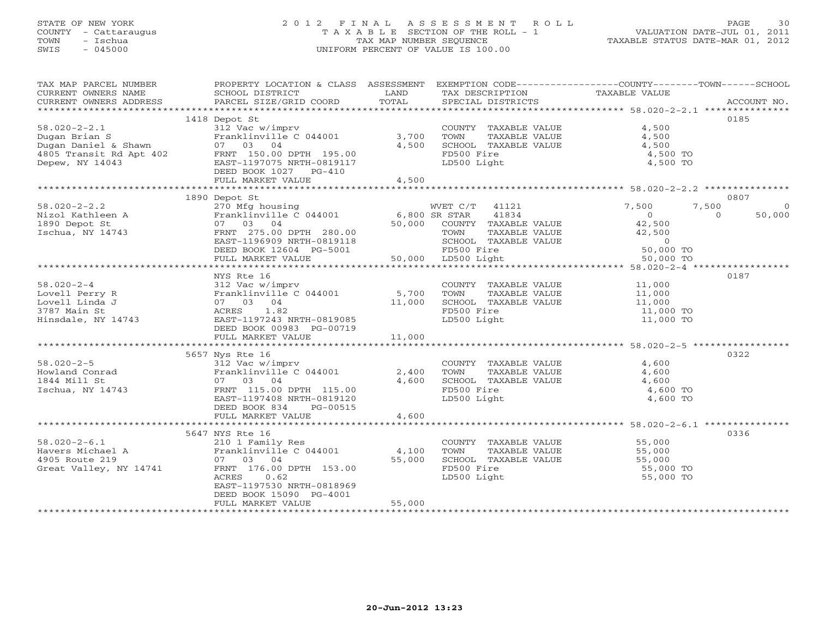### STATE OF NEW YORK 2 0 1 2 F I N A L A S S E S S M E N T R O L L PAGE 30 COUNTY - Cattaraugus T A X A B L E SECTION OF THE ROLL - 1 VALUATION DATE-JUL 01, 2011 TOWN - Ischua TAX MAP NUMBER SEQUENCE TAXABLE STATUS DATE-MAR 01, 2012 SWIS - 045000 UNIFORM PERCENT OF VALUE IS 100.00UNIFORM PERCENT OF VALUE IS 100.00

| TAX MAP PARCEL NUMBER<br>CURRENT OWNERS NAME                                                                                                   | SCHOOL DISTRICT<br><b>EXAMPLE SERVICE SERVICE SERVICE SERVICE SERVICE SERVICE SERVICE SERVICE SERVICE SERVICE SERVICE SERVICE SERVICE</b> |        | TAX DESCRIPTION                                                       | PROPERTY LOCATION & CLASS ASSESSMENT EXEMPTION CODE---------------COUNTY-------TOWN------SCHOOL<br>TAXABLE VALUE |             |
|------------------------------------------------------------------------------------------------------------------------------------------------|-------------------------------------------------------------------------------------------------------------------------------------------|--------|-----------------------------------------------------------------------|------------------------------------------------------------------------------------------------------------------|-------------|
| CURRENT OWNERS ADDRESS                                                                                                                         | PARCEL SIZE/GRID COORD                                                                                                                    | TOTAL  | SPECIAL DISTRICTS                                                     |                                                                                                                  | ACCOUNT NO. |
|                                                                                                                                                |                                                                                                                                           |        |                                                                       |                                                                                                                  |             |
|                                                                                                                                                | 1418 Depot St                                                                                                                             |        |                                                                       |                                                                                                                  | 0185        |
| $58.020 - 2 - 2.1$                                                                                                                             | 312 Vac w/imprv                                                                                                                           |        | COUNTY TAXABLE VALUE 4,500                                            |                                                                                                                  |             |
|                                                                                                                                                | Franklinville $C$ 044001 3,700                                                                                                            | 4,500  | TOWN       TAXABLE  VALUE<br>SCHOOL    TAXABLE  VALUE                 | 4,500<br>4,500                                                                                                   |             |
|                                                                                                                                                |                                                                                                                                           |        | FD500 Fire                                                            | 4,500 TO                                                                                                         |             |
| Dugan Brian S<br>Dugan Daniel & Shawn 07 03 04<br>4805 Transit Rd Apt 402 FRNT 150.00 DPTH 195.00<br>Depew, NY 14043 EAST-1197075 NRTH-0819117 |                                                                                                                                           |        | LD500 Light                                                           | 4,500 TO                                                                                                         |             |
|                                                                                                                                                | DEED BOOK 1027 PG-410                                                                                                                     |        |                                                                       |                                                                                                                  |             |
|                                                                                                                                                | FULL MARKET VALUE                                                                                                                         | 4,500  |                                                                       |                                                                                                                  |             |
|                                                                                                                                                |                                                                                                                                           |        |                                                                       |                                                                                                                  |             |
|                                                                                                                                                | 1890 Depot St                                                                                                                             |        |                                                                       |                                                                                                                  | 0807        |
| $58.020 - 2 - 2.2$                                                                                                                             | 270 Mfg housing                                                                                                                           |        | WVET C/T 41121                                                        | 7,500<br>7,500                                                                                                   | $\circ$     |
|                                                                                                                                                |                                                                                                                                           |        |                                                                       | $\overline{0}$<br>$\overline{a}$                                                                                 | 50,000      |
| 1890 Depot St                                                                                                                                  |                                                                                                                                           |        |                                                                       | 42,500<br>42,500                                                                                                 |             |
| Ischua, NY 14743                                                                                                                               |                                                                                                                                           |        |                                                                       |                                                                                                                  |             |
|                                                                                                                                                |                                                                                                                                           |        | SCHOOL TAXABLE VALUE<br>FD500 Fire 50,000 TO<br>LD500 Light 50,000 TO |                                                                                                                  |             |
|                                                                                                                                                |                                                                                                                                           |        |                                                                       |                                                                                                                  |             |
|                                                                                                                                                | EAST-1196909 NRTH-0819118 20000 12000 12000<br>DEED BOOK 12604 PG-5001 2000 FD500 Fire<br>FULL MARKET VALUE 50,000 LD500 Light            |        |                                                                       |                                                                                                                  |             |
|                                                                                                                                                |                                                                                                                                           |        |                                                                       |                                                                                                                  |             |
| $58.020 - 2 - 4$                                                                                                                               | NYS Rte 16                                                                                                                                |        | COUNTY TAXABLE VALUE 11,000                                           |                                                                                                                  | 0187        |
| 58.020-2-4<br>Lovell Perry R<br>Lovell Linda J<br>3787 Main St<br>Hinsdale, NY 14743                                                           | 312 Vac w/imprv                                                                                                                           |        |                                                                       |                                                                                                                  |             |
|                                                                                                                                                | Franklinville C 044001 5,700<br>07 03 04 11,000<br>ACRES 1.82 11.000                                                                      |        |                                                                       |                                                                                                                  |             |
|                                                                                                                                                |                                                                                                                                           |        | FD500 Fire                                                            | 11,000 TO                                                                                                        |             |
|                                                                                                                                                | EAST-1197243 NRTH-0819085                                                                                                                 |        | LD500 Light                                                           | 11,000 TO                                                                                                        |             |
|                                                                                                                                                | DEED BOOK 00983 PG-00719                                                                                                                  |        |                                                                       |                                                                                                                  |             |
|                                                                                                                                                | FULL MARKET VALUE                                                                                                                         | 11,000 |                                                                       |                                                                                                                  |             |
|                                                                                                                                                |                                                                                                                                           |        |                                                                       |                                                                                                                  |             |
|                                                                                                                                                | 5657 Nys Rte 16                                                                                                                           |        |                                                                       |                                                                                                                  | 0322        |
| $58.020 - 2 - 5$                                                                                                                               | 312 Vac w/imprv                                                                                                                           |        | COUNTY TAXABLE VALUE                                                  | 4,600                                                                                                            |             |
| Howland Conrad                                                                                                                                 | Franklinville C 044001 2,400                                                                                                              |        | TAXABLE VALUE<br>TOWN                                                 | 4,600                                                                                                            |             |
| 1844 Mill St                                                                                                                                   | 07 03 04                                                                                                                                  | 4,600  | SCHOOL TAXABLE VALUE                                                  | 4,600                                                                                                            |             |
| Ischua, NY 14743                                                                                                                               | FRNT 115.00 DPTH 115.00                                                                                                                   |        | FD500 Fire                                                            | 4,600 TO                                                                                                         |             |
|                                                                                                                                                | EAST-1197408 NRTH-0819120                                                                                                                 |        | LD500 Light                                                           | 4,600 TO                                                                                                         |             |
|                                                                                                                                                | DEED BOOK 834<br>PG-00515                                                                                                                 |        |                                                                       |                                                                                                                  |             |
|                                                                                                                                                | FULL MARKET VALUE                                                                                                                         | 4,600  |                                                                       |                                                                                                                  |             |
|                                                                                                                                                | 5647 NYS Rte 16                                                                                                                           |        |                                                                       |                                                                                                                  | 0336        |
| $58.020 - 2 - 6.1$                                                                                                                             | 210 1 Family Res                                                                                                                          |        | COUNTY TAXABLE VALUE 55,000                                           |                                                                                                                  |             |
|                                                                                                                                                | Franklinville C 044001 4,100                                                                                                              |        | TOWN<br>TAXABLE VALUE                                                 | 55,000                                                                                                           |             |
| 58.020-2-6.1<br>Havers Michael A<br>4905 Route 219                                                                                             | 07 03 04                                                                                                                                  | 55,000 | SCHOOL TAXABLE VALUE                                                  | 55,000                                                                                                           |             |
| Great Valley, NY 14741                                                                                                                         | FRNT 176.00 DPTH 153.00                                                                                                                   |        | FD500 Fire                                                            | 55,000 TO                                                                                                        |             |
|                                                                                                                                                | ACRES<br>0.62                                                                                                                             |        | LD500 Light                                                           | 55,000 TO                                                                                                        |             |
|                                                                                                                                                | EAST-1197530 NRTH-0818969                                                                                                                 |        |                                                                       |                                                                                                                  |             |
|                                                                                                                                                | DEED BOOK 15090 PG-4001                                                                                                                   |        |                                                                       |                                                                                                                  |             |
|                                                                                                                                                | FULL MARKET VALUE                                                                                                                         | 55,000 |                                                                       |                                                                                                                  |             |
|                                                                                                                                                |                                                                                                                                           |        |                                                                       |                                                                                                                  |             |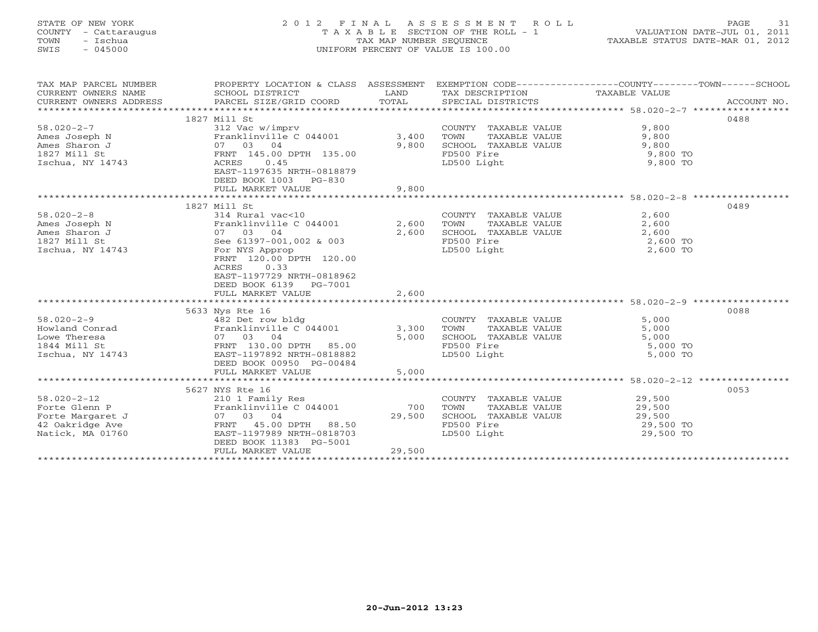### STATE OF NEW YORK 2 0 1 2 F I N A L A S S E S S M E N T R O L L PAGE 31 COUNTY - Cattaraugus T A X A B L E SECTION OF THE ROLL - 1 VALUATION DATE-JUL 01, 2011 TOWN - Ischua TAX MAP NUMBER SEQUENCE TAXABLE STATUS DATE-MAR 01, 2012 SWIS - 045000 UNIFORM PERCENT OF VALUE IS 100.00UNIFORM PERCENT OF VALUE IS 100.00

| TAX MAP PARCEL NUMBER  | PROPERTY LOCATION & CLASS ASSESSMENT |              |                               | EXEMPTION CODE-----------------COUNTY-------TOWN------SCHOOL |             |
|------------------------|--------------------------------------|--------------|-------------------------------|--------------------------------------------------------------|-------------|
| CURRENT OWNERS NAME    | SCHOOL DISTRICT                      | LAND         | TAX DESCRIPTION TAXABLE VALUE |                                                              |             |
| CURRENT OWNERS ADDRESS | PARCEL SIZE/GRID COORD               | TOTAL        | SPECIAL DISTRICTS             |                                                              | ACCOUNT NO. |
|                        |                                      |              |                               |                                                              |             |
|                        | 1827 Mill St                         |              |                               |                                                              | 0488        |
| $58.020 - 2 - 7$       | 312 Vac w/imprv                      |              | COUNTY TAXABLE VALUE          | 9,800                                                        |             |
| Ames Joseph N          | Franklinville $C$ 044001 3,400       |              | TAXABLE VALUE<br>TOWN         | 9,800                                                        |             |
| Ames Sharon J          | 07 03 04                             | 9,800        | SCHOOL TAXABLE VALUE          | 9,800                                                        |             |
| 1827 Mill St           | FRNT 145.00 DPTH 135.00              |              | FD500 Fire                    | 9,800 TO                                                     |             |
| Ischua, NY 14743       | ACRES<br>0.45                        |              | LD500 Light                   | 9,800 TO                                                     |             |
|                        | EAST-1197635 NRTH-0818879            |              |                               |                                                              |             |
|                        | DEED BOOK 1003 PG-830                |              |                               |                                                              |             |
|                        | FULL MARKET VALUE                    | 9,800        |                               |                                                              |             |
|                        |                                      |              |                               | ********************* 58.020-2-8 ******************          |             |
|                        | 1827 Mill St                         |              |                               |                                                              | 0489        |
| $58.020 - 2 - 8$       | 314 Rural vac<10                     |              | COUNTY TAXABLE VALUE          | 2,600                                                        |             |
| Ames Joseph N          | Franklinville C 044001               | 2,600        | TOWN<br>TAXABLE VALUE         | 2,600                                                        |             |
| Ames Sharon J          | 07 03 04                             | 2,600        | SCHOOL TAXABLE VALUE          | 2,600                                                        |             |
| 1827 Mill St           | See 61397-001,002 & 003              |              | FD500 Fire                    | 2,600 TO                                                     |             |
| Ischua, NY 14743       | For NYS Approp                       |              | LD500 Light                   | 2,600 TO                                                     |             |
|                        | FRNT 120.00 DPTH 120.00              |              |                               |                                                              |             |
|                        | 0.33<br>ACRES                        |              |                               |                                                              |             |
|                        | EAST-1197729 NRTH-0818962            |              |                               |                                                              |             |
|                        | DEED BOOK 6139 PG-7001               |              |                               |                                                              |             |
|                        | FULL MARKET VALUE                    | 2,600        |                               |                                                              |             |
|                        |                                      |              |                               |                                                              |             |
|                        | 5633 Nys Rte 16                      |              |                               |                                                              | 0088        |
| $58.020 - 2 - 9$       | 482 Det row bldg                     |              | COUNTY TAXABLE VALUE          | 5,000                                                        |             |
| Howland Conrad         | Franklinville C 044001               | 3,300        | TOWN<br>TAXABLE VALUE         | 5,000                                                        |             |
| Lowe Theresa           | 07 03 04                             | 5,000        | SCHOOL TAXABLE VALUE          | 5,000                                                        |             |
| 1844 Mill St           | FRNT 130.00 DPTH 85.00               |              | FD500 Fire                    | 5,000 TO                                                     |             |
| Ischua, NY 14743       | EAST-1197892 NRTH-0818882            |              | LD500 Light                   | 5,000 TO                                                     |             |
|                        | DEED BOOK 00950 PG-00484             |              |                               |                                                              |             |
|                        | FULL MARKET VALUE                    | 5,000        |                               |                                                              |             |
|                        |                                      | ************ |                               | ************************* 58.020-2-12 *****************      |             |
|                        | 5627 NYS Rte 16                      |              |                               |                                                              | 0053        |
| $58.020 - 2 - 12$      | 210 1 Family Res                     |              | COUNTY TAXABLE VALUE          | 29,500                                                       |             |
| Forte Glenn P          | Franklinville C 044001               | 700          | TOWN<br>TAXABLE VALUE         | 29,500                                                       |             |
| Forte Margaret J       | 07 03 04                             | 29,500       | SCHOOL TAXABLE VALUE          | 29,500                                                       |             |
| 42 Oakridge Ave        | FRNT 45.00 DPTH 88.50                |              | FD500 Fire                    | 29,500 TO                                                    |             |
| Natick, MA 01760       | EAST-1197989 NRTH-0818703            |              | LD500 Light                   | 29,500 TO                                                    |             |
|                        | DEED BOOK 11383 PG-5001              |              |                               |                                                              |             |
|                        | FULL MARKET VALUE                    | 29,500       |                               |                                                              |             |
|                        |                                      |              |                               |                                                              |             |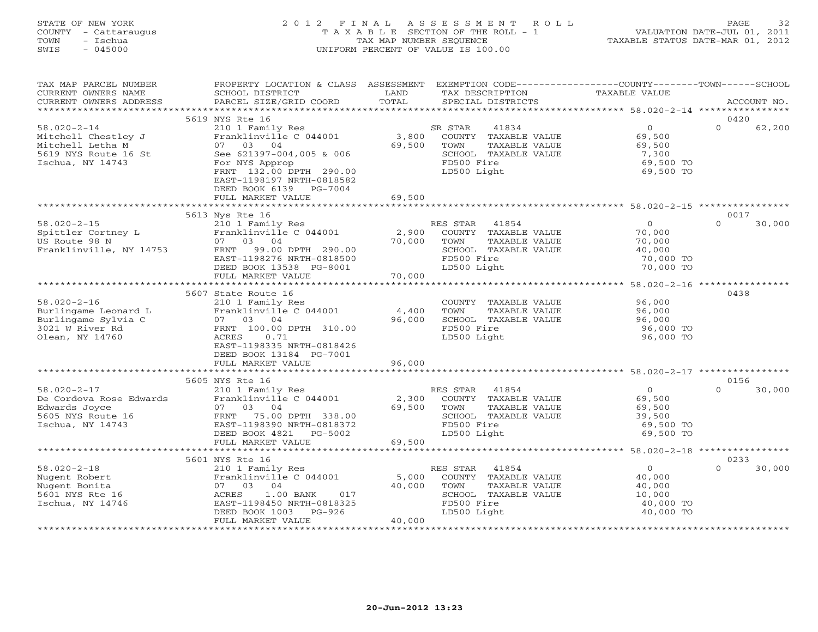### STATE OF NEW YORK 2 0 1 2 F I N A L A S S E S S M E N T R O L L PAGE 32 COUNTY - Cattaraugus T A X A B L E SECTION OF THE ROLL - 1 VALUATION DATE-JUL 01, 2011 TOWN - Ischua TAX MAP NUMBER SEQUENCE TAXABLE STATUS DATE-MAR 01, 2012 SWIS - 045000 UNIFORM PERCENT OF VALUE IS 100.00UNIFORM PERCENT OF VALUE IS 100.00

| TAX MAP PARCEL NUMBER<br>CURRENT OWNERS NAME<br>CURRENT OWNERS ADDRESS                                   | PROPERTY LOCATION & CLASS ASSESSMENT<br>SCHOOL DISTRICT<br>PARCEL SIZE/GRID COORD                                                                                                                      | LAND<br>TOTAL             | EXEMPTION CODE-----------------COUNTY-------TOWN------SCHOOL<br>TAX DESCRIPTION<br>SPECIAL DISTRICTS                    | TAXABLE VALUE                                                          | ACCOUNT NO.                |
|----------------------------------------------------------------------------------------------------------|--------------------------------------------------------------------------------------------------------------------------------------------------------------------------------------------------------|---------------------------|-------------------------------------------------------------------------------------------------------------------------|------------------------------------------------------------------------|----------------------------|
|                                                                                                          |                                                                                                                                                                                                        |                           |                                                                                                                         |                                                                        |                            |
| $58.020 - 2 - 14$<br>Mitchell Chestley J<br>Mitchell Letha M<br>5619 NYS Route 16 St<br>Ischua, NY 14743 | 5619 NYS Rte 16<br>210 1 Family Res<br>Franklinville C 044001<br>07 03 04<br>See 621397-004,005 & 006<br>For NYS Approp                                                                                | 3,800<br>69,500           | SR STAR<br>41834<br>COUNTY TAXABLE VALUE<br>TOWN<br>TAXABLE VALUE<br>SCHOOL TAXABLE VALUE<br>FD500 Fire                 | $\mathbf{0}$<br>69,500<br>69,500<br>7,300<br>69,500 TO                 | 0420<br>62,200<br>$\Omega$ |
|                                                                                                          | FRNT 132.00 DPTH 290.00<br>EAST-1198197 NRTH-0818582<br>DEED BOOK 6139 PG-7004<br>FULL MARKET VALUE                                                                                                    | 69,500                    | LD500 Light                                                                                                             | 69,500 TO                                                              |                            |
|                                                                                                          |                                                                                                                                                                                                        |                           |                                                                                                                         |                                                                        |                            |
| $58.020 - 2 - 15$<br>Spittler Cortney L<br>US Route 98 N<br>Franklinville, NY 14753                      | 5613 Nys Rte 16<br>210 1 Family Res<br>Franklinville C 044001<br>03 04<br>07<br>FRNT<br>99.00 DPTH 290.00<br>EAST-1198276 NRTH-0818500<br>DEED BOOK 13538 PG-8001                                      | 2,900<br>70,000           | RES STAR<br>41854<br>COUNTY TAXABLE VALUE<br>TOWN<br>TAXABLE VALUE<br>SCHOOL TAXABLE VALUE<br>FD500 Fire<br>LD500 Light | $\circ$<br>70,000<br>70,000<br>40,000<br>70,000 TO<br>70,000 TO        | 0017<br>30,000<br>$\Omega$ |
|                                                                                                          | FULL MARKET VALUE                                                                                                                                                                                      | 70,000                    |                                                                                                                         |                                                                        |                            |
|                                                                                                          |                                                                                                                                                                                                        |                           |                                                                                                                         |                                                                        |                            |
| $58.020 - 2 - 16$<br>Burlingame Leonard L<br>Burlingame Sylvia C<br>3021 W River Rd<br>Olean, NY 14760   | 5607 State Route 16<br>210 1 Family Res<br>Franklinville C 044001<br>07 03 04<br>FRNT 100.00 DPTH 310.00<br>ACRES<br>0.71<br>EAST-1198335 NRTH-0818426<br>DEED BOOK 13184 PG-7001<br>FULL MARKET VALUE | 4,400<br>96,000<br>96,000 | COUNTY TAXABLE VALUE<br>TOWN<br>TAXABLE VALUE<br>SCHOOL TAXABLE VALUE<br>FD500 Fire<br>LD500 Light                      | 96,000<br>96,000<br>96,000<br>96,000 TO<br>96,000 TO                   | 0438                       |
|                                                                                                          |                                                                                                                                                                                                        |                           |                                                                                                                         |                                                                        |                            |
| $58.020 - 2 - 17$<br>De Cordova Rose Edwards<br>Edwards Joyce<br>5605 NYS Route 16<br>Ischua, NY 14743   | 5605 NYS Rte 16<br>210 1 Family Res<br>Franklinville C 044001<br>07 03<br>04<br>FRNT 75.00 DPTH 338.00<br>EAST-1198390 NRTH-0818372<br>DEED BOOK 4821 PG-5002<br>FULL MARKET VALUE                     | 2,300<br>69,500<br>69,500 | RES STAR<br>41854<br>COUNTY TAXABLE VALUE<br>TOWN<br>TAXABLE VALUE<br>SCHOOL TAXABLE VALUE<br>FD500 Fire<br>LD500 Light | $\circ$<br>69,500<br>69,500<br>39,500<br>69,500 TO<br>69,500 TO        | 0156<br>$\cap$<br>30,000   |
|                                                                                                          |                                                                                                                                                                                                        |                           |                                                                                                                         |                                                                        |                            |
|                                                                                                          | 5601 NYS Rte 16                                                                                                                                                                                        |                           |                                                                                                                         |                                                                        | 0233                       |
| $58.020 - 2 - 18$<br>Nugent Robert<br>Nugent Bonita<br>5601 NYS Rte 16<br>Ischua, NY 14746               | 210 1 Family Res<br>Franklinville C 044001<br>07 03<br>04<br>ACRES<br>$1.00$ BANK<br>017<br>EAST-1198450 NRTH-0818325<br>DEED BOOK 1003<br>PG-926<br>FULL MARKET VALUE                                 | 5,000<br>40,000<br>40,000 | RES STAR<br>41854<br>COUNTY TAXABLE VALUE<br>TOWN<br>TAXABLE VALUE<br>SCHOOL TAXABLE VALUE<br>FD500 Fire<br>LD500 Light | $\overline{0}$<br>40,000<br>40,000<br>10,000<br>40,000 TO<br>40,000 TO | $\Omega$<br>30,000         |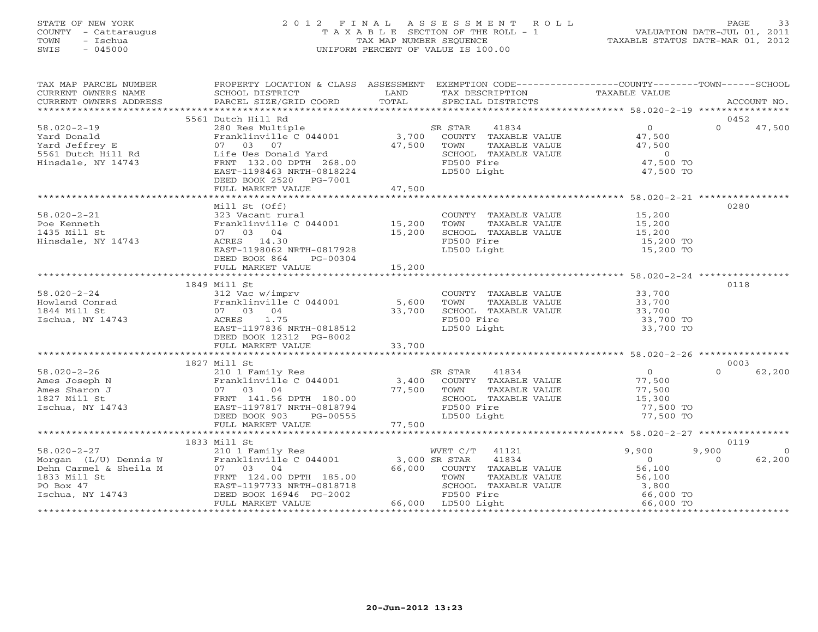#### STATE OF NEW YORK 2 0 1 2 F I N A L A S S E S S M E N T R O L L PAGE 33 COUNTY - Cattaraugus T A X A B L E SECTION OF THE ROLL - 1 VALUATION DATE-JUL 01, 2011 TOWN - Ischua TAX MAP NUMBER SEQUENCE TAXABLE STATUS DATE-MAR 01, 2012 SWIS - 045000 UNIFORM PERCENT OF VALUE IS 100.00UNIFORM PERCENT OF VALUE IS 100.00

| TAX MAP PARCEL NUMBER<br>CURRENT OWNERS NAME                            | PROPERTY LOCATION & CLASS ASSESSMENT EXEMPTION CODE---------------COUNTY-------TOWN------SCHOOL<br>SCHOOL DISTRICT | LAND        | TAX DESCRIPTION                    | TAXABLE VALUE       |                            |
|-------------------------------------------------------------------------|--------------------------------------------------------------------------------------------------------------------|-------------|------------------------------------|---------------------|----------------------------|
|                                                                         |                                                                                                                    |             |                                    |                     |                            |
| $58.020 - 2 - 19$                                                       | 5561 Dutch Hill Rd<br>280 Res Multiple                                                                             |             | SR STAR<br>41834                   | $\overline{0}$      | 0452<br>$\Omega$<br>47,500 |
| Yard Donald                                                             | Franklinville C 044001                                                                                             |             | 3,700 COUNTY TAXABLE VALUE         | 47,500              |                            |
| Yard Jeffrey E                                                          | 07 03 07                                                                                                           | 47,500      | TOWN<br>TAXABLE VALUE              | 47,500              |                            |
| 5561 Dutch Hill Rd                                                      | Life Ues Donald Yard                                                                                               |             | SCHOOL TAXABLE VALUE               | $\overline{0}$      |                            |
| Hinsdale, NY 14743                                                      | FRNT 132.00 DPTH 268.00                                                                                            |             | FD500 Fire                         | 47,500 TO           |                            |
|                                                                         | EAST-1198463 NRTH-0818224<br>DEED BOOK 2520 PG-7001                                                                |             | LD500 Light                        | 47,500 TO           |                            |
|                                                                         | FULL MARKET VALUE                                                                                                  | 47,500      |                                    |                     |                            |
|                                                                         |                                                                                                                    |             |                                    |                     |                            |
|                                                                         | Mill St (Off)                                                                                                      |             |                                    |                     | 0280                       |
| $58.020 - 2 - 21$                                                       | 323 Vacant rural                                                                                                   |             | COUNTY TAXABLE VALUE               | 15,200              |                            |
| Poe Kenneth                                                             | Franklinville C 044001 15,200                                                                                      |             | TOWN<br>TAXABLE VALUE              | 15,200              |                            |
| 1435 Mill St<br>Hinsdale, NY 14743                                      | 07 03 04<br>ACRES 14.30                                                                                            | 15,200      | SCHOOL TAXABLE VALUE<br>FD500 Fire | 15,200<br>15,200 TO |                            |
|                                                                         | EAST-1198062 NRTH-0817928                                                                                          |             | LD500 Light                        | 15,200 TO           |                            |
|                                                                         | DEED BOOK 864<br>PG-00304                                                                                          |             |                                    |                     |                            |
|                                                                         |                                                                                                                    |             |                                    |                     |                            |
|                                                                         |                                                                                                                    |             |                                    |                     |                            |
|                                                                         | 1849 Mill St                                                                                                       |             |                                    |                     | 0118                       |
| $58.020 - 2 - 24$                                                       | 312 Vac w/imprv                                                                                                    |             | COUNTY TAXABLE VALUE               | 33,700<br>33,700    |                            |
| Howland Conrad                                                          | Franklinville C 044001                                                                                             | 5,600       | TOWN<br>TAXABLE VALUE              |                     |                            |
| 1844 Mill St                                                            | 07 03 04                                                                                                           | 33,700      | SCHOOL TAXABLE VALUE               | 33,700              |                            |
| Ischua, NY 14743                                                        | ACRES 1.75                                                                                                         |             | FD500 Fire                         | 33,700 TO           |                            |
|                                                                         | EAST-1197836 NRTH-0818512                                                                                          |             | LD500 Light                        | 33,700 TO           |                            |
|                                                                         | DEED BOOK 12312 PG-8002                                                                                            |             |                                    |                     |                            |
|                                                                         | FULL MARKET VALUE                                                                                                  | 33,700      |                                    |                     |                            |
|                                                                         | 1827 Mill St                                                                                                       |             |                                    |                     | 0003                       |
| $58.020 - 2 - 26$                                                       |                                                                                                                    |             | SR STAR<br>41834                   | $\overline{0}$      | $\Omega$<br>62,200         |
| Ames Joseph N                                                           | Franklinville C 044001                                                                                             |             | 3,400 COUNTY TAXABLE VALUE         | 77,500              |                            |
| Ames Sharon J                                                           |                                                                                                                    | 77,500 TOWN | TAXABLE VALUE                      | 77,500              |                            |
| 1827 Mill St                                                            | Franklinviii<br>07 03 04<br>FRNT 141.56 DPTH 180.00<br>EAST-1197817 NRTH-0818794<br>PERD BOOK 903 PG-00555         |             | SCHOOL TAXABLE VALUE               | 15,300              |                            |
| Ischua, NY 14743                                                        |                                                                                                                    |             | FD500 Fire                         | 77,500 TO           |                            |
|                                                                         |                                                                                                                    |             | LD500 Light                        | 77,500 TO           |                            |
|                                                                         |                                                                                                                    | 77,500      |                                    |                     |                            |
|                                                                         |                                                                                                                    |             |                                    |                     |                            |
| $58.020 - 2 - 27$                                                       | 1833 Mill St                                                                                                       |             | 41121<br>WVET C/T                  | 9,900               | 0119<br>9,900<br>$\Omega$  |
| Morgan (L/U) Dennis W                                                   | 210 1 Family Res WVET C/T<br>Franklinville C 044001 3,000 SR STAR                                                  |             | 41834                              | $\overline{0}$      | $\Omega$<br>62,200         |
|                                                                         | 07 03 04                                                                                                           |             | 66,000 COUNTY TAXABLE VALUE        | 56,100              |                            |
| Dehn Carmel & Sheila M<br>1833 Mill St<br>PO Box 47<br>Ischua, NY 14743 | FRNT 124.00 DPTH 185.00                                                                                            |             | TAXABLE VALUE<br>TOWN              | 56,100              |                            |
|                                                                         | EAST-1197733 NRTH-0818718                                                                                          |             | SCHOOL TAXABLE VALUE               | 3,800               |                            |
|                                                                         | DEED BOOK 16946 PG-2002                                                                                            |             | FD500 Fire                         | 66,000 TO           |                            |
|                                                                         | FULL MARKET VALUE                                                                                                  |             | 66,000 LD500 Light                 | 66,000 TO           |                            |
|                                                                         |                                                                                                                    |             |                                    |                     |                            |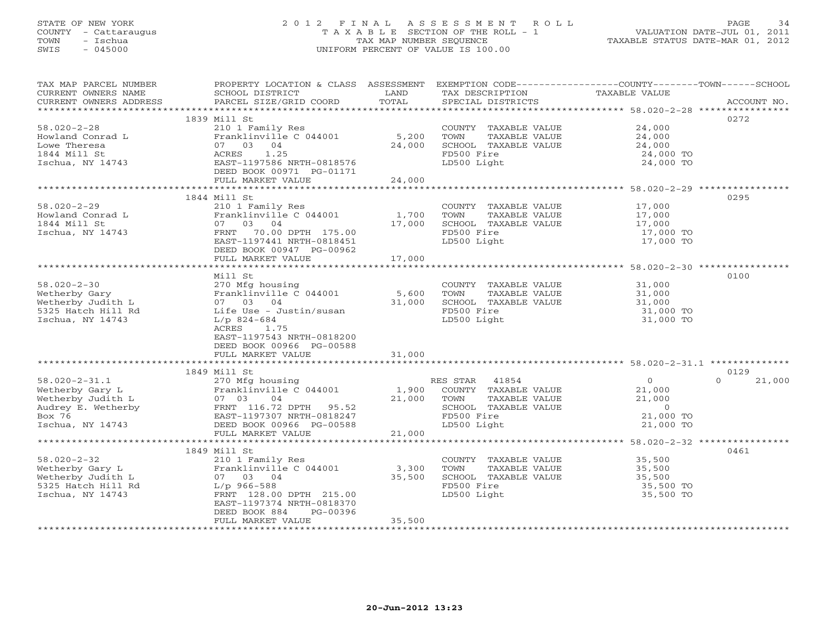### STATE OF NEW YORK 2 0 1 2 F I N A L A S S E S S M E N T R O L L PAGE 34 COUNTY - Cattaraugus T A X A B L E SECTION OF THE ROLL - 1 VALUATION DATE-JUL 01, 2011 TOWN - Ischua TAX MAP NUMBER SEQUENCE TAXABLE STATUS DATE-MAR 01, 2012 SWIS - 045000 UNIFORM PERCENT OF VALUE IS 100.00UNIFORM PERCENT OF VALUE IS 100.00

| TAX MAP PARCEL NUMBER                                                                                                                                                                                                                              | PROPERTY LOCATION & CLASS ASSESSMENT EXEMPTION CODE----------------COUNTY-------TOWN------SCHOOL |        |                                                         |                        |                    |
|----------------------------------------------------------------------------------------------------------------------------------------------------------------------------------------------------------------------------------------------------|--------------------------------------------------------------------------------------------------|--------|---------------------------------------------------------|------------------------|--------------------|
| CURRENT OWNERS NAME                                                                                                                                                                                                                                | SCHOOL DISTRICT                                                                                  | LAND   | TAX DESCRIPTION                                         | TAXABLE VALUE          |                    |
| CURRENT OWNERS ADDRESS                                                                                                                                                                                                                             | PARCEL SIZE/GRID COORD                                                                           | TOTAL  | SPECIAL DISTRICTS                                       |                        | ACCOUNT NO.        |
|                                                                                                                                                                                                                                                    |                                                                                                  |        |                                                         |                        |                    |
|                                                                                                                                                                                                                                                    | 1839 Mill St                                                                                     |        |                                                         |                        | 0272               |
| $58.020 - 2 - 28$                                                                                                                                                                                                                                  | 210 1 Family Res                                                                                 |        | COUNTY TAXABLE VALUE                                    | 24,000                 |                    |
| Howland Conrad L                                                                                                                                                                                                                                   | Franklinville C $044001$ 5,200                                                                   |        | TAXABLE VALUE<br>TOWN                                   | 24,000                 |                    |
| Lowe Theresa                                                                                                                                                                                                                                       | 07 03 04                                                                                         | 24,000 | SCHOOL TAXABLE VALUE                                    | 24,000                 |                    |
| Lowe Increase<br>1844 Mill St<br>Ischua, NY 14743                                                                                                                                                                                                  | ACRES 1.25                                                                                       |        | FD500 Fire                                              | 24,000 TO              |                    |
|                                                                                                                                                                                                                                                    | EAST-1197586 NRTH-0818576                                                                        |        | LD500 Light                                             | 24,000 TO              |                    |
|                                                                                                                                                                                                                                                    | DEED BOOK 00971 PG-01171                                                                         |        |                                                         |                        |                    |
|                                                                                                                                                                                                                                                    | FULL MARKET VALUE                                                                                | 24,000 |                                                         |                        |                    |
|                                                                                                                                                                                                                                                    |                                                                                                  |        |                                                         |                        |                    |
|                                                                                                                                                                                                                                                    | 1844 Mill St                                                                                     |        |                                                         |                        | 0295               |
| $58.020 - 2 - 29$                                                                                                                                                                                                                                  | 210 1 Family Res                                                                                 |        | COUNTY TAXABLE VALUE                                    | 17,000                 |                    |
| Howland Conrad L                                                                                                                                                                                                                                   | Franklinville C 044001 1,700                                                                     |        | TOWN<br>TAXABLE VALUE                                   | 17,000<br>17,000       |                    |
| 1844 Mill St                                                                                                                                                                                                                                       | 07 03 04                                                                                         | 17,000 | SCHOOL TAXABLE VALUE                                    |                        |                    |
| Ischua, NY 14743                                                                                                                                                                                                                                   | FRNT 70.00 DPTH 175.00                                                                           |        | FD500 Fire                                              | 17,000 TO              |                    |
|                                                                                                                                                                                                                                                    | EAST-1197441 NRTH-0818451                                                                        |        | LD500 Light                                             | 17,000 TO              |                    |
|                                                                                                                                                                                                                                                    | DEED BOOK 00947 PG-00962                                                                         |        |                                                         |                        |                    |
|                                                                                                                                                                                                                                                    | FULL MARKET VALUE                                                                                | 17,000 |                                                         |                        |                    |
|                                                                                                                                                                                                                                                    |                                                                                                  |        |                                                         |                        |                    |
|                                                                                                                                                                                                                                                    | Mill St                                                                                          |        |                                                         |                        | 0100               |
| $58.020 - 2 - 30$                                                                                                                                                                                                                                  | 270 Mfg housing                                                                                  |        | COUNTY TAXABLE VALUE                                    | 31,000                 |                    |
|                                                                                                                                                                                                                                                    |                                                                                                  |        | TOWN<br>TAXABLE VALUE                                   |                        |                    |
| oo.uzu-z-3u<br>Wetherby Gary<br>Wetherby Judith L                                                                                                                                                                                                  | Franklinville C 044001 5,600<br>07 03 04 31,000                                                  |        | SCHOOL TAXABLE VALUE                                    | 31,000<br>31,000       |                    |
| 5325 Hatch Hill Rd                                                                                                                                                                                                                                 | Life Use - Justin/susan                                                                          |        | FD500 Fire                                              | 31,000 TO<br>31,000 TO |                    |
| Ischua, NY 14743                                                                                                                                                                                                                                   | $L/p$ 824-684                                                                                    |        | LD500 Light                                             |                        |                    |
|                                                                                                                                                                                                                                                    | ACRES 1.75                                                                                       |        |                                                         |                        |                    |
|                                                                                                                                                                                                                                                    | EAST-1197543 NRTH-0818200                                                                        |        |                                                         |                        |                    |
|                                                                                                                                                                                                                                                    | DEED BOOK 00966 PG-00588                                                                         |        |                                                         |                        |                    |
|                                                                                                                                                                                                                                                    | FULL MARKET VALUE                                                                                | 31,000 |                                                         |                        |                    |
|                                                                                                                                                                                                                                                    |                                                                                                  |        |                                                         |                        |                    |
|                                                                                                                                                                                                                                                    | 1849 Mill St                                                                                     |        |                                                         |                        | 0129               |
|                                                                                                                                                                                                                                                    |                                                                                                  |        | RES STAR 41854                                          | $\overline{0}$         | $\Omega$<br>21,000 |
|                                                                                                                                                                                                                                                    |                                                                                                  |        | 1,900 COUNTY TAXABLE VALUE<br>21,000 TOWN TAXABLE VALUE | 21,000                 |                    |
|                                                                                                                                                                                                                                                    |                                                                                                  |        |                                                         | 21,000                 |                    |
|                                                                                                                                                                                                                                                    |                                                                                                  |        | SCHOOL TAXABLE VALUE                                    | $\overline{0}$         |                    |
| 58.020-2-31.1<br>Wetherby Gary L<br>Wetherby Judith L<br>Metherby Judith L<br>Metherby Sales (1970 Mighousing<br>Franklinville C 044001<br>PENT 116.72 DPTH 95.52<br>Box 76<br>EAST-1197307 NRTH-0818247<br>Ischua, NY 14743<br>PEED BOOK 00966 PG |                                                                                                  |        | FD500 Fire                                              | 21,000 TO              |                    |
|                                                                                                                                                                                                                                                    |                                                                                                  |        | LD500 Light                                             | 21,000 TO              |                    |
|                                                                                                                                                                                                                                                    | FULL MARKET VALUE                                                                                | 21,000 |                                                         |                        |                    |
|                                                                                                                                                                                                                                                    |                                                                                                  |        |                                                         |                        |                    |
|                                                                                                                                                                                                                                                    | 1849 Mill St                                                                                     |        |                                                         |                        | 0461               |
| $58.020 - 2 - 32$                                                                                                                                                                                                                                  | 210 1 Family Res                                                                                 |        | COUNTY TAXABLE VALUE 35,500                             |                        |                    |
| Wetherby Gary L<br>Wetherby Judith L                                                                                                                                                                                                               | Franklinville C 044001                                                                           | 3,300  | TOWN<br>TAXABLE VALUE                                   | 35,500<br>35,500       |                    |
|                                                                                                                                                                                                                                                    | 07 03 04                                                                                         | 35,500 | SCHOOL TAXABLE VALUE                                    |                        |                    |
| 5325 Hatch Hill Rd<br>Tschua, NY 14743                                                                                                                                                                                                             | $L/p$ 966-588                                                                                    |        | FD500 Fire                                              | 35,500 TO              |                    |
| Ischua, NY 14743                                                                                                                                                                                                                                   | FRNT 128.00 DPTH 215.00                                                                          |        | LD500 Light                                             | 35,500 TO              |                    |
|                                                                                                                                                                                                                                                    | EAST-1197374 NRTH-0818370                                                                        |        |                                                         |                        |                    |
|                                                                                                                                                                                                                                                    | DEED BOOK 884<br>PG-00396                                                                        |        |                                                         |                        |                    |
|                                                                                                                                                                                                                                                    | FULL MARKET VALUE                                                                                | 35,500 |                                                         |                        |                    |
|                                                                                                                                                                                                                                                    |                                                                                                  |        |                                                         |                        |                    |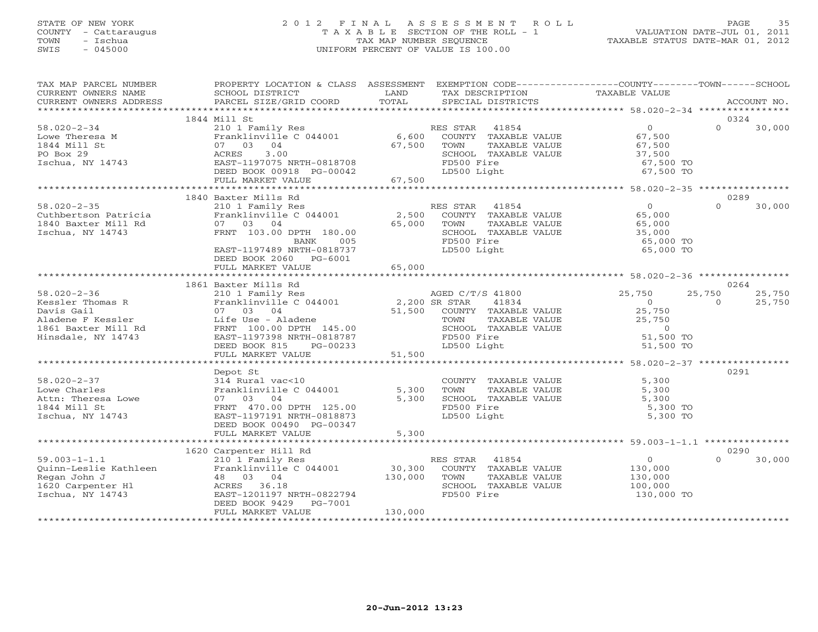#### STATE OF NEW YORK 2 0 1 2 F I N A L A S S E S S M E N T R O L L PAGE 35 COUNTY - Cattaraugus T A X A B L E SECTION OF THE ROLL - 1 VALUATION DATE-JUL 01, 2011 TOWN - Ischua TAX MAP NUMBER SEQUENCE TAXABLE STATUS DATE-MAR 01, 2012 SWIS - 045000 UNIFORM PERCENT OF VALUE IS 100.00UNIFORM PERCENT OF VALUE IS 100.00

| TAX MAP PARCEL NUMBER<br>CURRENT OWNERS NAME<br>CURRENT OWNERS ADDRESS                                                                                                                                                                       | PROPERTY LOCATION & CLASS ASSESSMENT EXEMPTION CODE---------------COUNTY-------TOWN------SCHOOL<br><b>EXAMPLE THE EXAMPLE THE EXAMPLE THE EXAMPLE THE EXAMPLE THE EXAMPLE THE EXAMPLE THE EXAMPLE THE EXAMPLE THE EXAMPLE THE EXAMPLE THE EXAMPLE THE EXAMPLE THE EXAMPLE THE EXAMPLE THE EXAMPLE THE EXAMPLE THE EXAMPLE THE EXAMP</b><br>SCHOOL DISTRICT<br>PARCEL SIZE/GRID COORD | TOTAL                 | TAX DESCRIPTION TAXABLE VALUE<br>SPECIAL DISTRICTS                                                                                          |                                                                                                                       | ACCOUNT NO.        |  |  |  |
|----------------------------------------------------------------------------------------------------------------------------------------------------------------------------------------------------------------------------------------------|--------------------------------------------------------------------------------------------------------------------------------------------------------------------------------------------------------------------------------------------------------------------------------------------------------------------------------------------------------------------------------------|-----------------------|---------------------------------------------------------------------------------------------------------------------------------------------|-----------------------------------------------------------------------------------------------------------------------|--------------------|--|--|--|
|                                                                                                                                                                                                                                              |                                                                                                                                                                                                                                                                                                                                                                                      |                       |                                                                                                                                             |                                                                                                                       |                    |  |  |  |
|                                                                                                                                                                                                                                              | 1844 Mill St                                                                                                                                                                                                                                                                                                                                                                         |                       |                                                                                                                                             |                                                                                                                       | 0324               |  |  |  |
| $58.020 - 2 - 34$<br>Lowe Theresa M<br>1844 Mill St<br>$5 - 20X - 29$<br>Ischua, NY 14743                                                                                                                                                    | 210 1 Family Res<br>Franklinville C 044001 6,600 COUNTY TAXABLE VALUE<br>07 03 04<br>3.00<br>ACRES<br>EAST-1197075 NRTH-0818708<br>DEED BOOK 00918 PG-00042<br>FULL MARKET VALUE                                                                                                                                                                                                     | 67,500 TOWN<br>67,500 | TAXABLE VALUE<br>SCHOOL TAXABLE VALUE<br>FD500 Fire<br>LD500 Light                                                                          | $\overline{0}$<br>67,500<br>67,500<br>37,500<br>67,500 TO<br>67,500 TO                                                | $\Omega$<br>30,000 |  |  |  |
|                                                                                                                                                                                                                                              |                                                                                                                                                                                                                                                                                                                                                                                      |                       |                                                                                                                                             |                                                                                                                       |                    |  |  |  |
|                                                                                                                                                                                                                                              | 1840 Baxter Mills Rd                                                                                                                                                                                                                                                                                                                                                                 |                       |                                                                                                                                             |                                                                                                                       | 0289               |  |  |  |
| $58.020 - 2 - 35$<br>Cuthbertson Patricia<br>1840 Baxter Mill Rd<br>Ischua, NY 14743                                                                                                                                                         | 210 1 Family Res<br>Franklinville C 044001 2,500 COUNTY TAXABLE VALUE 65,000<br>55,000 65,000 65,000 65,000 65,000<br>07 03 04<br>07 03 04 65,000<br>FRNT 103.00 DPTH 180.00<br>BANK 005<br>BANK 005<br>EAST-1197489 NRTH-0818737<br>DEED BOOK 2060 PG-6001                                                                                                                          |                       | RES STAR 41854<br>SCHOOL TAXABLE VALUE<br>FD500 Fire<br>LD500 Light                                                                         | $\overline{0}$<br>35,000<br>65,000 TO<br>65,000 TO                                                                    | $\Omega$<br>30,000 |  |  |  |
|                                                                                                                                                                                                                                              | FULL MARKET VALUE                                                                                                                                                                                                                                                                                                                                                                    | 65,000                |                                                                                                                                             |                                                                                                                       |                    |  |  |  |
|                                                                                                                                                                                                                                              | 1861 Baxter Mills Rd                                                                                                                                                                                                                                                                                                                                                                 |                       |                                                                                                                                             |                                                                                                                       | 0264               |  |  |  |
| $58.020 - 2 - 36$                                                                                                                                                                                                                            |                                                                                                                                                                                                                                                                                                                                                                                      |                       |                                                                                                                                             |                                                                                                                       | 25,750<br>25,750   |  |  |  |
| Franklinville C 044001<br>Davis Gail (1798)<br>National C 07 03 04<br>Aladene F Kessler (1861 Baxter Mill Rd FRNT 100.00 DPTH 145.00<br>Hinsdale, NY 14743 EAST-1197398 NRTH-0818733                                                         | Baxter Mills Rd<br>210 1 Family Res<br>Franklinville C 044001 2,200 SR STAR 41834 0<br>07 03 04 51,500 COUNTY TAXABLE VALUE 25,7<br>Life Use - Aladene TOWN TAXABLE VALUE 25,7<br>FRNT 100.00 DPTH 145.00 SR STAR SCHOOL TAXABLE VALUE 2<br>DEED BOOK 815<br>PG-00233                                                                                                                |                       | COUNTY TAARLED<br>TOWN TAXABLE VALUE<br>SCHOOL TAXABLE VALUE<br>LD500 Light                                                                 | $\overline{0}$<br>25,750<br>25,750<br>$\begin{array}{c} 0 \\ 51,500 \text{ TO} \end{array}$<br>51,500 TO<br>51,500 TO | 25,750<br>$\Omega$ |  |  |  |
| $G-00233$ 51,500<br>FULL MARKET VALUE                                                                                                                                                                                                        |                                                                                                                                                                                                                                                                                                                                                                                      |                       |                                                                                                                                             |                                                                                                                       |                    |  |  |  |
|                                                                                                                                                                                                                                              |                                                                                                                                                                                                                                                                                                                                                                                      | 0291                  |                                                                                                                                             |                                                                                                                       |                    |  |  |  |
| $58.020 - 2 - 37$<br>Lowe Charles<br>Attn: Theresa Lowe<br>1844 Mill St<br>Ischua, NY 14743                                                                                                                                                  | Depot St<br>314 Rural vac<10<br>Franklinville C 044001<br>07 03 04<br>FRNT 470.00 DPTH 125.00<br>EAST-1197191 NRTH-0818873<br>DEED BOOK 00490 PG-00347<br>FULL MARKET VALUE                                                                                                                                                                                                          | 5,300                 | COUNTY TAXABLE VALUE<br>TOWN TAXABLE VALUE<br>SCHOOL TAXABLE VALUE<br>5,300 TOWN<br>5,300 SCHOOL TAXABLE VALUE<br>FD500 Fire<br>LD500 Light | 5,300<br>5,300<br>5,300<br>5,300 TO<br>5,300 TO                                                                       |                    |  |  |  |
|                                                                                                                                                                                                                                              |                                                                                                                                                                                                                                                                                                                                                                                      |                       |                                                                                                                                             |                                                                                                                       |                    |  |  |  |
|                                                                                                                                                                                                                                              |                                                                                                                                                                                                                                                                                                                                                                                      |                       |                                                                                                                                             |                                                                                                                       | 0290               |  |  |  |
| 1620 Carpenter Hill Rd<br>210 1 Family Res<br>210 1 Family Res<br>Franklinville C 044001 20,300 COUNTY TAXABLE VALUE<br>Regan John J<br>48 03 04 130,000 TOWN TAXABLE VALUE<br>1620 Carpenter H1 ACRES 36.18<br>1620 Carpenter H1 ACRES 36.1 | DEED BOOK 9429 PG-7001<br>FULL MARKET VALUE                                                                                                                                                                                                                                                                                                                                          | 130,000               |                                                                                                                                             | $\begin{array}{c} 0 \\ 130,000 \end{array}$<br>130,000<br>100,000<br>130,000 TO                                       | $\cap$<br>30,000   |  |  |  |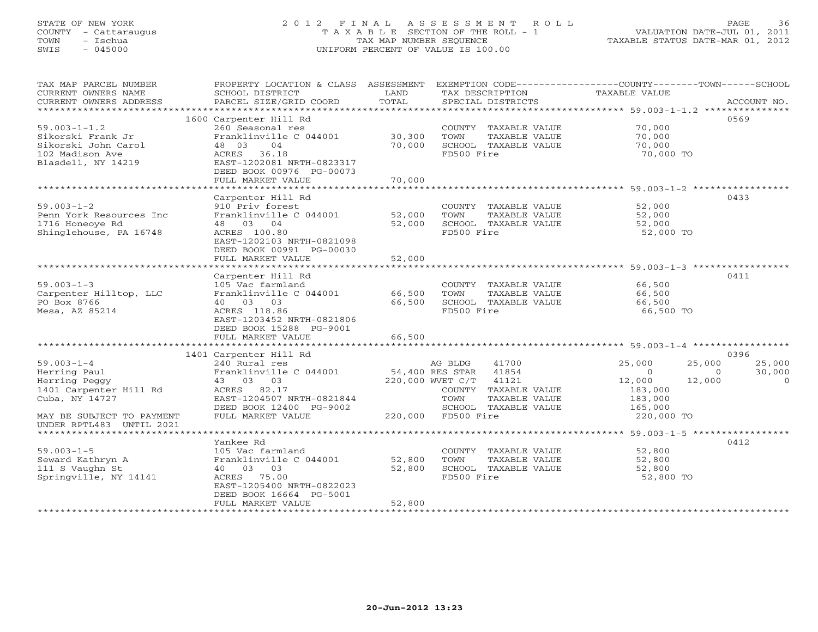### STATE OF NEW YORK 2 0 1 2 F I N A L A S S E S S M E N T R O L L PAGE 36 COUNTY - Cattaraugus T A X A B L E SECTION OF THE ROLL - 1 VALUATION DATE-JUL 01, 2011 TOWN - Ischua TAX MAP NUMBER SEQUENCE TAXABLE STATUS DATE-MAR 01, 2012 SWIS - 045000 UNIFORM PERCENT OF VALUE IS 100.00UNIFORM PERCENT OF VALUE IS 100.00

| TAX MAP PARCEL NUMBER     | PROPERTY LOCATION & CLASS ASSESSMENT |        |                           | EXEMPTION CODE-----------------COUNTY-------TOWN------SCHOOL |             |  |  |  |  |  |
|---------------------------|--------------------------------------|--------|---------------------------|--------------------------------------------------------------|-------------|--|--|--|--|--|
| CURRENT OWNERS NAME       | SCHOOL DISTRICT                      | LAND   | TAX DESCRIPTION           | TAXABLE VALUE                                                |             |  |  |  |  |  |
| CURRENT OWNERS ADDRESS    | PARCEL SIZE/GRID COORD               | TOTAL  | SPECIAL DISTRICTS         |                                                              | ACCOUNT NO. |  |  |  |  |  |
| *********************     |                                      |        |                           |                                                              |             |  |  |  |  |  |
|                           | 1600 Carpenter Hill Rd               |        |                           |                                                              | 0569        |  |  |  |  |  |
| $59.003 - 1 - 1.2$        | 260 Seasonal res                     |        | COUNTY TAXABLE VALUE      | 70,000                                                       |             |  |  |  |  |  |
| Sikorski Frank Jr         | Franklinville C 044001               | 30,300 | TOWN<br>TAXABLE VALUE     | 70,000                                                       |             |  |  |  |  |  |
| Sikorski John Carol       | 48 03<br>04                          | 70,000 | SCHOOL TAXABLE VALUE      | 70,000                                                       |             |  |  |  |  |  |
| 102 Madison Ave           | ACRES 36.18                          |        | FD500 Fire                | 70,000 TO                                                    |             |  |  |  |  |  |
| Blasdell, NY 14219        | EAST-1202081 NRTH-0823317            |        |                           |                                                              |             |  |  |  |  |  |
|                           | DEED BOOK 00976 PG-00073             |        |                           |                                                              |             |  |  |  |  |  |
|                           | FULL MARKET VALUE                    | 70,000 |                           |                                                              |             |  |  |  |  |  |
|                           |                                      |        |                           |                                                              |             |  |  |  |  |  |
|                           | Carpenter Hill Rd                    |        |                           |                                                              | 0433        |  |  |  |  |  |
| $59.003 - 1 - 2$          | 910 Priv forest                      |        | COUNTY TAXABLE VALUE      | 52,000                                                       |             |  |  |  |  |  |
| Penn York Resources Inc   | Franklinville C 044001               | 52,000 | TOWN<br>TAXABLE VALUE     | 52,000                                                       |             |  |  |  |  |  |
| 1716 Honeoye Rd           | 48 03 04                             | 52,000 | SCHOOL TAXABLE VALUE      | 52,000                                                       |             |  |  |  |  |  |
| Shinglehouse, PA 16748    | ACRES 100.80                         |        | FD500 Fire                | 52,000 TO                                                    |             |  |  |  |  |  |
|                           | EAST-1202103 NRTH-0821098            |        |                           |                                                              |             |  |  |  |  |  |
|                           | DEED BOOK 00991 PG-00030             |        |                           |                                                              |             |  |  |  |  |  |
|                           | FULL MARKET VALUE                    | 52,000 |                           |                                                              |             |  |  |  |  |  |
|                           |                                      |        |                           |                                                              |             |  |  |  |  |  |
|                           | Carpenter Hill Rd                    |        |                           |                                                              | 0411        |  |  |  |  |  |
| $59.003 - 1 - 3$          | 105 Vac farmland                     |        | COUNTY TAXABLE VALUE      | 66,500                                                       |             |  |  |  |  |  |
| Carpenter Hilltop, LLC    | Franklinville C 044001               | 66,500 | TOWN<br>TAXABLE VALUE     | 66,500                                                       |             |  |  |  |  |  |
| PO Box 8766               | 40 03 03                             | 66,500 | SCHOOL TAXABLE VALUE      | 66,500                                                       |             |  |  |  |  |  |
| Mesa, AZ 85214            | ACRES 118.86                         |        | FD500 Fire                | 66,500 TO                                                    |             |  |  |  |  |  |
|                           | EAST-1203452 NRTH-0821806            |        |                           |                                                              |             |  |  |  |  |  |
|                           | DEED BOOK 15288 PG-9001              |        |                           |                                                              |             |  |  |  |  |  |
|                           | FULL MARKET VALUE                    | 66,500 |                           |                                                              |             |  |  |  |  |  |
|                           |                                      |        |                           |                                                              |             |  |  |  |  |  |
|                           | 1401 Carpenter Hill Rd               |        |                           |                                                              | 0396        |  |  |  |  |  |
| $59.003 - 1 - 4$          | 240 Rural res                        |        | AG BLDG<br>41700          | 25,000<br>25,000                                             | 25,000      |  |  |  |  |  |
| Herring Paul              | Franklinville C 044001               |        | 54,400 RES STAR<br>41854  | $\Omega$<br>$\Omega$                                         | 30,000      |  |  |  |  |  |
| Herring Peggy             | 43 03 03                             |        | 220,000 WVET C/T<br>41121 | 12,000<br>12,000                                             | $\Omega$    |  |  |  |  |  |
| 1401 Carpenter Hill Rd    | ACRES 82.17                          |        | COUNTY TAXABLE VALUE      | 183,000                                                      |             |  |  |  |  |  |
| Cuba, NY 14727            | EAST-1204507 NRTH-0821844            |        | TOWN<br>TAXABLE VALUE     | 183,000                                                      |             |  |  |  |  |  |
|                           | DEED BOOK 12400 PG-9002              |        | SCHOOL TAXABLE VALUE      | 165,000                                                      |             |  |  |  |  |  |
| MAY BE SUBJECT TO PAYMENT | FULL MARKET VALUE                    |        | 220,000 FD500 Fire        | 220,000 TO                                                   |             |  |  |  |  |  |
| UNDER RPTL483 UNTIL 2021  |                                      |        |                           |                                                              |             |  |  |  |  |  |
|                           |                                      |        |                           |                                                              |             |  |  |  |  |  |
|                           | Yankee Rd                            |        |                           |                                                              | 0412        |  |  |  |  |  |
| $59.003 - 1 - 5$          | 105 Vac farmland                     |        | COUNTY TAXABLE VALUE      | 52,800                                                       |             |  |  |  |  |  |
| Seward Kathryn A          | Franklinville C 044001               | 52,800 | TOWN<br>TAXABLE VALUE     | 52,800                                                       |             |  |  |  |  |  |
| 111 S Vaughn St           | 40 03 03                             | 52,800 | SCHOOL TAXABLE VALUE      | 52,800                                                       |             |  |  |  |  |  |
| Springville, NY 14141     | ACRES 75.00                          |        | FD500 Fire                | 52,800 TO                                                    |             |  |  |  |  |  |
|                           | EAST-1205400 NRTH-0822023            |        |                           |                                                              |             |  |  |  |  |  |
|                           | DEED BOOK 16664 PG-5001              |        |                           |                                                              |             |  |  |  |  |  |
|                           | FULL MARKET VALUE                    | 52,800 |                           |                                                              |             |  |  |  |  |  |
|                           |                                      |        |                           |                                                              |             |  |  |  |  |  |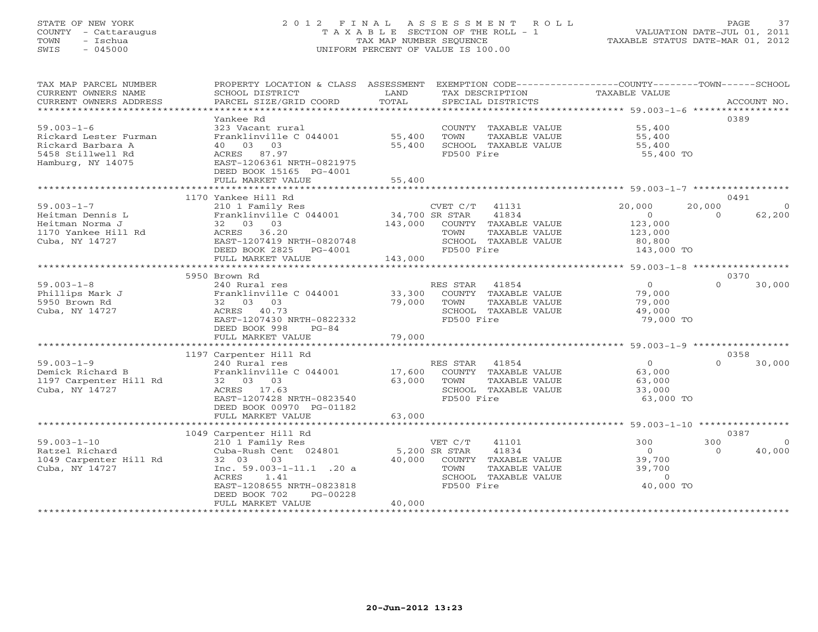## STATE OF NEW YORK 2 0 1 2 F I N A L A S S E S S M E N T R O L L PAGE 37 COUNTY - Cattaraugus T A X A B L E SECTION OF THE ROLL - 1 VALUATION DATE-JUL 01, 2011 TOWN - Ischua TAX MAP NUMBER SEQUENCE TAXABLE STATUS DATE-MAR 01, 2012 SWIS - 045000 UNIFORM PERCENT OF VALUE IS 100.00UNIFORM PERCENT OF VALUE IS 100.00

| TAX MAP PARCEL NUMBER<br>CURRENT OWNERS NAME<br>CURRENT OWNERS ADDRESS                                   | PROPERTY LOCATION & CLASS ASSESSMENT<br>SCHOOL DISTRICT<br>PARCEL SIZE/GRID COORD                                                                                                           | LAND<br>TOTAL              | EXEMPTION CODE-----------------COUNTY-------TOWN------SCHOOL<br>TAX DESCRIPTION<br>SPECIAL DISTRICTS                              | TAXABLE VALUE                                                    | ACCOUNT NO.                           |
|----------------------------------------------------------------------------------------------------------|---------------------------------------------------------------------------------------------------------------------------------------------------------------------------------------------|----------------------------|-----------------------------------------------------------------------------------------------------------------------------------|------------------------------------------------------------------|---------------------------------------|
|                                                                                                          |                                                                                                                                                                                             |                            |                                                                                                                                   |                                                                  |                                       |
| $59.003 - 1 - 6$<br>Rickard Lester Furman<br>Rickard Barbara A<br>5458 Stillwell Rd<br>Hamburg, NY 14075 | Yankee Rd<br>323 Vacant rural<br>Franklinville C 044001<br>40 03 03<br>ACRES 87.97<br>EAST-1206361 NRTH-0821975                                                                             | 55,400<br>55,400           | COUNTY TAXABLE VALUE<br>TOWN<br>TAXABLE VALUE<br>SCHOOL TAXABLE VALUE<br>FD500 Fire                                               | 55,400<br>55,400<br>55,400<br>55,400 TO                          | 0389                                  |
|                                                                                                          | DEED BOOK 15165 PG-4001<br>FULL MARKET VALUE                                                                                                                                                | 55,400                     |                                                                                                                                   |                                                                  |                                       |
|                                                                                                          | *************************                                                                                                                                                                   |                            |                                                                                                                                   |                                                                  |                                       |
|                                                                                                          | 1170 Yankee Hill Rd                                                                                                                                                                         |                            |                                                                                                                                   |                                                                  | 0491                                  |
| $59.003 - 1 - 7$<br>Heitman Dennis L<br>Heitman Norma J<br>1170 Yankee Hill Rd<br>Cuba, NY 14727         | 210 1 Family Res<br>Franklinville C 044001<br>32 03 03<br>ACRES 36.20<br>EAST-1207419 NRTH-0820748<br>DEED BOOK 2825<br>PG-4001                                                             | 34,700 SR STAR<br>143,000  | CVET C/T 41131<br>41834<br>COUNTY TAXABLE VALUE<br>TOWN<br>TAXABLE VALUE<br>SCHOOL TAXABLE VALUE<br>FD500 Fire                    | 20,000<br>$\Omega$<br>123,000<br>123,000<br>80,800<br>143,000 TO | 20,000<br>62,200<br>$\Omega$          |
|                                                                                                          | FULL MARKET VALUE                                                                                                                                                                           | 143,000                    |                                                                                                                                   |                                                                  |                                       |
|                                                                                                          | 5950 Brown Rd                                                                                                                                                                               |                            |                                                                                                                                   |                                                                  | 0370                                  |
| $59.003 - 1 - 8$<br>Phillips Mark J<br>5950 Brown Rd<br>Cuba, NY 14727                                   | 240 Rural res<br>Franklinville C 044001<br>32 03 03<br>ACRES 40.73<br>EAST-1207430 NRTH-0822332<br>DEED BOOK 998<br>$PG-84$<br>FULL MARKET VALUE                                            | 33,300<br>79,000<br>79,000 | RES STAR<br>41854<br>COUNTY TAXABLE VALUE<br>TOWN<br>TAXABLE VALUE<br>SCHOOL TAXABLE VALUE<br>FD500 Fire                          | $\overline{O}$<br>79,000<br>79,000<br>49,000<br>79,000 TO        | $\Omega$<br>30,000                    |
|                                                                                                          |                                                                                                                                                                                             |                            |                                                                                                                                   |                                                                  |                                       |
|                                                                                                          | 1197 Carpenter Hill Rd                                                                                                                                                                      |                            |                                                                                                                                   |                                                                  | 0358                                  |
| $59.003 - 1 - 9$<br>Demick Richard B<br>1197 Carpenter Hill Rd<br>Cuba, NY 14727                         | 240 Rural res<br>Franklinville C 044001<br>32 03 03<br>ACRES 17.63<br>EAST-1207428 NRTH-0823540<br>DEED BOOK 00970 PG-01182                                                                 | 17,600<br>63,000           | RES STAR 41854<br>COUNTY TAXABLE VALUE<br>TOWN<br>TAXABLE VALUE<br>SCHOOL TAXABLE VALUE<br>FD500 Fire                             | $\Omega$<br>63,000<br>63,000<br>33,000<br>63,000 TO              | 30,000<br>$\cap$                      |
|                                                                                                          | FULL MARKET VALUE<br>*******************************                                                                                                                                        | 63,000<br>************     |                                                                                                                                   | *********************** 59.003-1-10 ****************             |                                       |
|                                                                                                          | 1049 Carpenter Hill Rd                                                                                                                                                                      |                            |                                                                                                                                   |                                                                  | 0387                                  |
| $59.003 - 1 - 10$<br>Ratzel Richard<br>1049 Carpenter Hill Rd<br>Cuba, NY 14727                          | 210 1 Family Res<br>Cuba-Rush Cent 024801<br>32 03<br>03<br>Inc. $59.003 - 1 - 11.1$ . 20 a<br>ACRES<br>1.41<br>EAST-1208655 NRTH-0823818<br>DEED BOOK 702<br>PG-00228<br>FULL MARKET VALUE | 40,000<br>40,000           | VET C/T<br>41101<br>5,200 SR STAR<br>41834<br>COUNTY TAXABLE VALUE<br>TOWN<br>TAXABLE VALUE<br>SCHOOL TAXABLE VALUE<br>FD500 Fire | 300<br>$\circ$<br>39,700<br>39,700<br>$\sim$ 0<br>40,000 TO      | 300<br>$\Omega$<br>40,000<br>$\Omega$ |
|                                                                                                          |                                                                                                                                                                                             |                            |                                                                                                                                   |                                                                  |                                       |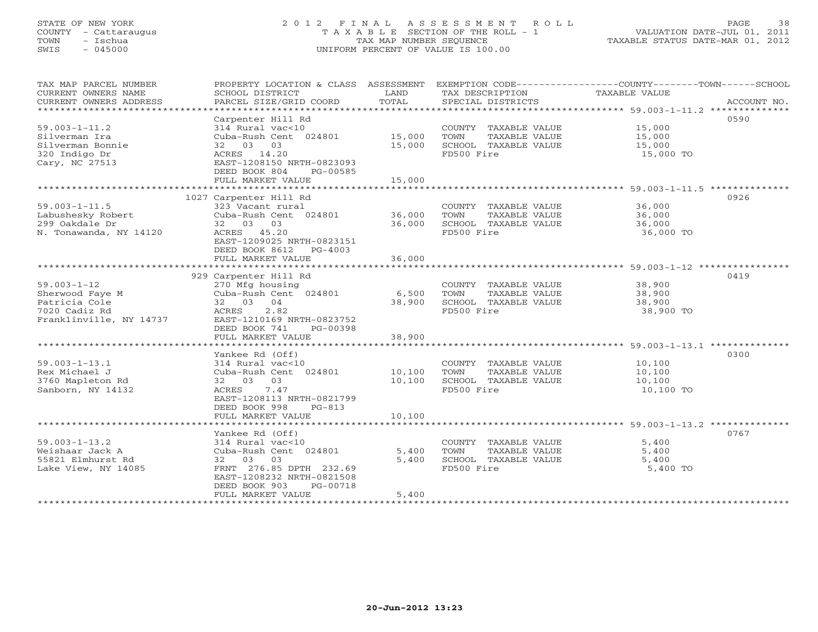## STATE OF NEW YORK 2 0 1 2 F I N A L A S S E S S M E N T R O L L PAGE 38 COUNTY - Cattaraugus T A X A B L E SECTION OF THE ROLL - 1 VALUATION DATE-JUL 01, 2011 TOWN - Ischua TAX MAP NUMBER SEQUENCE TAXABLE STATUS DATE-MAR 01, 2012 SWIS - 045000 UNIFORM PERCENT OF VALUE IS 100.00UNIFORM PERCENT OF VALUE IS 100.00

| TAX MAP PARCEL NUMBER                    |                                            |        |                       | PROPERTY LOCATION & CLASS ASSESSMENT EXEMPTION CODE----------------COUNTY-------TOWN------SCHOOL |
|------------------------------------------|--------------------------------------------|--------|-----------------------|--------------------------------------------------------------------------------------------------|
| CURRENT OWNERS NAME                      | SCHOOL DISTRICT                            | LAND   | TAX DESCRIPTION       | TAXABLE VALUE                                                                                    |
| CURRENT OWNERS ADDRESS                   | PARCEL SIZE/GRID COORD                     | TOTAL  | SPECIAL DISTRICTS     | ACCOUNT NO.                                                                                      |
| *********************                    |                                            |        |                       |                                                                                                  |
|                                          | Carpenter Hill Rd                          |        |                       | 0590                                                                                             |
| $59.003 - 1 - 11.2$                      | 314 Rural vac<10                           |        | COUNTY TAXABLE VALUE  | 15,000                                                                                           |
| Silverman Ira                            | Cuba-Rush Cent 024801                      | 15,000 | TOWN<br>TAXABLE VALUE | 15,000                                                                                           |
| Silverman Bonnie                         | 32 03 03                                   | 15,000 | SCHOOL TAXABLE VALUE  | 15,000                                                                                           |
| 320 Indigo Dr                            | ACRES 14.20                                |        | FD500 Fire            | 15,000 TO                                                                                        |
| Cary, NC 27513                           | EAST-1208150 NRTH-0823093                  |        |                       |                                                                                                  |
|                                          | DEED BOOK 804<br>PG-00585                  |        |                       |                                                                                                  |
|                                          | FULL MARKET VALUE                          | 15,000 |                       |                                                                                                  |
|                                          |                                            |        |                       |                                                                                                  |
|                                          | 1027 Carpenter Hill Rd                     |        |                       | 0926                                                                                             |
| $59.003 - 1 - 11.5$                      | 323 Vacant rural                           |        | COUNTY TAXABLE VALUE  | 36,000                                                                                           |
| Labushesky Robert                        | Cuba-Rush Cent 024801                      | 36,000 | TOWN<br>TAXABLE VALUE | 36,000                                                                                           |
| 299 Oakdale Dr                           | 32 03 03                                   | 36,000 | SCHOOL TAXABLE VALUE  | 36,000                                                                                           |
| N. Tonawanda, NY 14120                   | ACRES 45.20                                |        | FD500 Fire            | 36,000 TO                                                                                        |
|                                          | EAST-1209025 NRTH-0823151                  |        |                       |                                                                                                  |
|                                          | DEED BOOK 8612 PG-4003                     |        |                       |                                                                                                  |
|                                          | FULL MARKET VALUE                          | 36,000 |                       |                                                                                                  |
|                                          |                                            |        |                       |                                                                                                  |
|                                          | 929 Carpenter Hill Rd                      |        |                       | 0419                                                                                             |
| $59.003 - 1 - 12$                        | 270 Mfg housing                            |        | COUNTY TAXABLE VALUE  | 38,900                                                                                           |
| Sherwood Faye M                          | Cuba-Rush Cent 024801                      | 6,500  | TAXABLE VALUE<br>TOWN | 38,900                                                                                           |
| Patricia Cole                            | 32 03 04                                   | 38,900 | SCHOOL TAXABLE VALUE  | 38,900                                                                                           |
| 7020 Cadiz Rd<br>Franklinville, NY 14737 | 2.82<br>ACRES<br>EAST-1210169 NRTH-0823752 |        | FD500 Fire            | 38,900 TO                                                                                        |
|                                          | DEED BOOK 741<br>PG-00398                  |        |                       |                                                                                                  |
|                                          | FULL MARKET VALUE                          | 38,900 |                       |                                                                                                  |
|                                          |                                            |        |                       |                                                                                                  |
|                                          | Yankee Rd (Off)                            |        |                       | 0300                                                                                             |
| $59.003 - 1 - 13.1$                      | 314 Rural vac<10                           |        | COUNTY TAXABLE VALUE  | 10,100                                                                                           |
| Rex Michael J                            | Cuba-Rush Cent 024801                      | 10,100 | TOWN<br>TAXABLE VALUE | 10,100                                                                                           |
| 3760 Mapleton Rd                         | 32 03 03                                   | 10,100 | SCHOOL TAXABLE VALUE  | 10,100                                                                                           |
| Sanborn, NY 14132                        | ACRES<br>7.47                              |        | FD500 Fire            | 10,100 TO                                                                                        |
|                                          | EAST-1208113 NRTH-0821799                  |        |                       |                                                                                                  |
|                                          | DEED BOOK 998<br>$PG-813$                  |        |                       |                                                                                                  |
|                                          | FULL MARKET VALUE                          | 10,100 |                       |                                                                                                  |
|                                          |                                            |        |                       |                                                                                                  |
|                                          | Yankee Rd (Off)                            |        |                       | 0767                                                                                             |
| $59.003 - 1 - 13.2$                      | 314 Rural vac<10                           |        | COUNTY TAXABLE VALUE  | 5,400                                                                                            |
| Weishaar Jack A                          | Cuba-Rush Cent 024801                      | 5,400  | TAXABLE VALUE<br>TOWN | 5,400                                                                                            |
| 55821 Elmhurst Rd                        | 32 03 03                                   | 5,400  | SCHOOL TAXABLE VALUE  | 5,400                                                                                            |
| Lake View, NY 14085                      | FRNT 276.85 DPTH 232.69                    |        | FD500 Fire            | 5,400 TO                                                                                         |
|                                          | EAST-1208232 NRTH-0821508                  |        |                       |                                                                                                  |
|                                          | DEED BOOK 903<br>PG-00718                  |        |                       |                                                                                                  |
|                                          | FULL MARKET VALUE                          | 5,400  |                       |                                                                                                  |
|                                          |                                            |        |                       |                                                                                                  |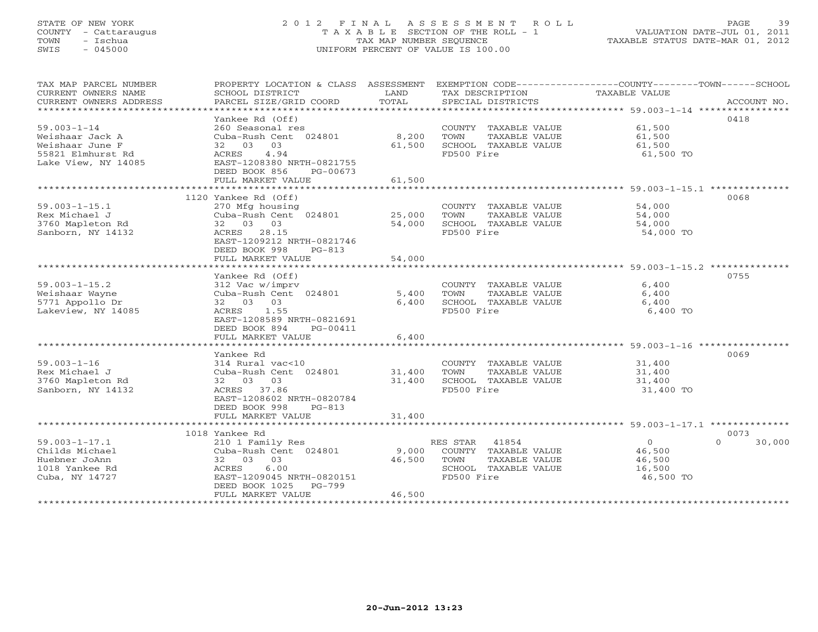## STATE OF NEW YORK 2 0 1 2 F I N A L A S S E S S M E N T R O L L PAGE 39 COUNTY - Cattaraugus T A X A B L E SECTION OF THE ROLL - 1 VALUATION DATE-JUL 01, 2011 TOWN - Ischua TAX MAP NUMBER SEQUENCE TAXABLE STATUS DATE-MAR 01, 2012 SWIS - 045000 UNIFORM PERCENT OF VALUE IS 100.00UNIFORM PERCENT OF VALUE IS 100.00

| TAX MAP PARCEL NUMBER<br>CURRENT OWNERS NAME<br>CURRENT OWNERS ADDRESS<br>****************************** | PROPERTY LOCATION & CLASS ASSESSMENT<br>SCHOOL DISTRICT<br>PARCEL SIZE/GRID COORD                                                                      | LAND<br>TOTAL             | TAX DESCRIPTION<br>SPECIAL DISTRICTS                                                                     | EXEMPTION CODE-----------------COUNTY-------TOWN------SCHOOL<br>TAXABLE VALUE<br>ACCOUNT NO. |
|----------------------------------------------------------------------------------------------------------|--------------------------------------------------------------------------------------------------------------------------------------------------------|---------------------------|----------------------------------------------------------------------------------------------------------|----------------------------------------------------------------------------------------------|
|                                                                                                          | Yankee Rd (Off)                                                                                                                                        |                           |                                                                                                          | 0418                                                                                         |
| $59.003 - 1 - 14$<br>Weishaar Jack A<br>Weishaar June F<br>55821 Elmhurst Rd                             | 260 Seasonal res<br>Cuba-Rush Cent 024801<br>32 03 03<br>4.94<br>ACRES                                                                                 | 8,200<br>61,500           | COUNTY TAXABLE VALUE<br>TOWN<br>TAXABLE VALUE<br>SCHOOL TAXABLE VALUE<br>FD500 Fire                      | 61,500<br>61,500<br>61,500<br>61,500 TO                                                      |
| Lake View, NY 14085                                                                                      | EAST-1208380 NRTH-0821755<br>DEED BOOK 856<br>PG-00673<br>FULL MARKET VALUE                                                                            | 61,500                    |                                                                                                          |                                                                                              |
|                                                                                                          | **************************                                                                                                                             |                           |                                                                                                          |                                                                                              |
| $59.003 - 1 - 15.1$<br>Rex Michael J<br>3760 Mapleton Rd<br>Sanborn, NY 14132                            | 1120 Yankee Rd (Off)<br>270 Mfg housing<br>Cuba-Rush Cent 024801<br>32 03 03<br>ACRES 28.15<br>EAST-1209212 NRTH-0821746                               | 25,000<br>54,000          | COUNTY TAXABLE VALUE<br>TOWN<br>TAXABLE VALUE<br>SCHOOL TAXABLE VALUE<br>FD500 Fire                      | 0068<br>54,000<br>54,000<br>54,000<br>54,000 TO                                              |
|                                                                                                          | DEED BOOK 998<br>$PG-813$<br>FULL MARKET VALUE                                                                                                         | 54,000                    |                                                                                                          |                                                                                              |
|                                                                                                          | ***************************                                                                                                                            | *************             |                                                                                                          | ************************ 59.003-1-15.2 **************                                        |
| $59.003 - 1 - 15.2$<br>Weishaar Wayne<br>5771 Appollo Dr<br>Lakeview, NY 14085                           | Yankee Rd (Off)<br>312 Vac w/imprv<br>Cuba-Rush Cent 024801<br>32 03 03<br>ACRES<br>1.55<br>EAST-1208589 NRTH-0821691                                  | 5,400<br>6,400            | COUNTY TAXABLE VALUE<br>TOWN<br>TAXABLE VALUE<br>SCHOOL TAXABLE VALUE<br>FD500 Fire                      | 0755<br>6,400<br>6,400<br>6,400<br>6,400 TO                                                  |
|                                                                                                          | DEED BOOK 894<br>PG-00411<br>FULL MARKET VALUE                                                                                                         | 6,400                     |                                                                                                          |                                                                                              |
|                                                                                                          |                                                                                                                                                        |                           |                                                                                                          |                                                                                              |
| $59.003 - 1 - 16$                                                                                        | Yankee Rd<br>314 Rural vac<10                                                                                                                          |                           | COUNTY TAXABLE VALUE                                                                                     | 0069<br>31,400                                                                               |
| Rex Michael J<br>3760 Mapleton Rd<br>Sanborn, NY 14132                                                   | Cuba-Rush Cent 024801<br>32 03 03<br>ACRES 37.86<br>EAST-1208602 NRTH-0820784<br>DEED BOOK 998<br>$PG-813$                                             | 31,400<br>31,400          | TOWN<br>TAXABLE VALUE<br>SCHOOL TAXABLE VALUE<br>FD500 Fire                                              | 31,400<br>31,400<br>31,400 TO                                                                |
|                                                                                                          | FULL MARKET VALUE                                                                                                                                      | 31,400                    |                                                                                                          |                                                                                              |
|                                                                                                          | 1018 Yankee Rd                                                                                                                                         |                           |                                                                                                          | 0073                                                                                         |
| $59.003 - 1 - 17.1$<br>Childs Michael<br>Huebner JoAnn<br>1018 Yankee Rd<br>Cuba, NY 14727               | 210 1 Family Res<br>Cuba-Rush Cent 024801<br>32 03 03<br>6.00<br>ACRES<br>EAST-1209045 NRTH-0820151<br>DEED BOOK 1025<br>$PG-799$<br>FULL MARKET VALUE | 9,000<br>46,500<br>46,500 | RES STAR<br>41854<br>COUNTY TAXABLE VALUE<br>TOWN<br>TAXABLE VALUE<br>SCHOOL TAXABLE VALUE<br>FD500 Fire | $\circ$<br>$\cap$<br>30,000<br>46,500<br>46,500<br>16,500<br>46,500 TO                       |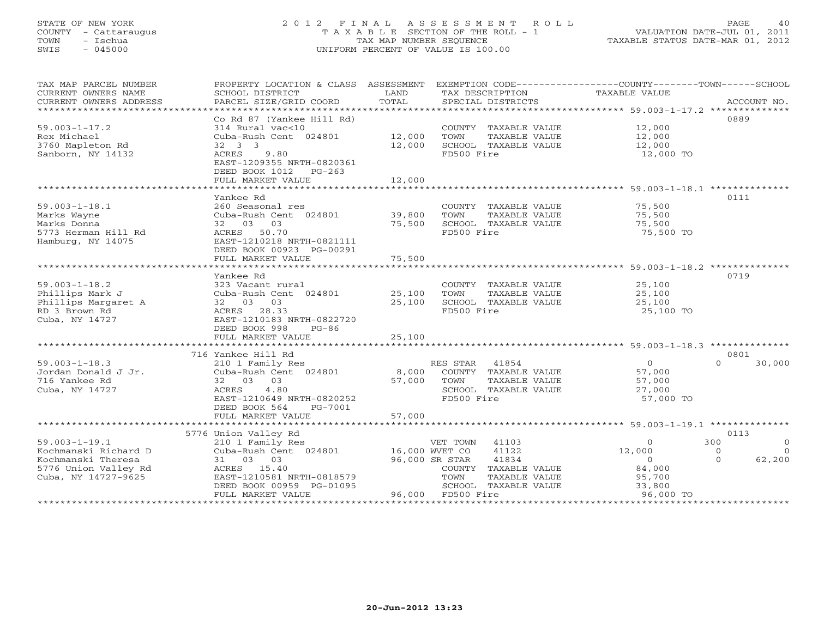# STATE OF NEW YORK 2 0 1 2 F I N A L A S S E S S M E N T R O L L PAGE 40 COUNTY - Cattaraugus T A X A B L E SECTION OF THE ROLL - 1 VALUATION DATE-JUL 01, 2011 TOWN - Ischua TAX MAP NUMBER SEQUENCE TAXABLE STATUS DATE-MAR 01, 2012 SWIS - 045000 UNIFORM PERCENT OF VALUE IS 100.00

| TAX MAP PARCEL NUMBER<br>CURRENT OWNERS NAME<br>CURRENT OWNERS ADDRESS | PROPERTY LOCATION & CLASS ASSESSMENT<br>SCHOOL DISTRICT<br>PARCEL SIZE/GRID COORD | LAND<br>TOTAL  | TAX DESCRIPTION<br>SPECIAL DISTRICTS      | EXEMPTION CODE-----------------COUNTY-------TOWN------SCHOOL<br>TAXABLE VALUE<br>ACCOUNT NO. |
|------------------------------------------------------------------------|-----------------------------------------------------------------------------------|----------------|-------------------------------------------|----------------------------------------------------------------------------------------------|
|                                                                        |                                                                                   |                |                                           |                                                                                              |
|                                                                        | Co Rd 87 (Yankee Hill Rd)                                                         |                |                                           | 0889                                                                                         |
| $59.003 - 1 - 17.2$                                                    | 314 Rural vac<10                                                                  |                | COUNTY TAXABLE VALUE                      | 12,000                                                                                       |
| Rex Michael                                                            | Cuba-Rush Cent 024801                                                             | 12,000         | TOWN<br>TAXABLE VALUE                     | 12,000                                                                                       |
| 3760 Mapleton Rd                                                       | 32 3 3                                                                            | 12,000         | SCHOOL TAXABLE VALUE                      | 12,000                                                                                       |
| Sanborn, NY 14132                                                      | 9.80<br>ACRES                                                                     |                | FD500 Fire                                | 12,000 TO                                                                                    |
|                                                                        | EAST-1209355 NRTH-0820361<br>DEED BOOK 1012 PG-263                                |                |                                           |                                                                                              |
|                                                                        | FULL MARKET VALUE                                                                 | 12,000         |                                           |                                                                                              |
|                                                                        |                                                                                   |                |                                           |                                                                                              |
|                                                                        | Yankee Rd                                                                         |                |                                           | 0111                                                                                         |
| $59.003 - 1 - 18.1$                                                    | 260 Seasonal res                                                                  |                | COUNTY TAXABLE VALUE                      | 75,500                                                                                       |
| Marks Wayne                                                            | Cuba-Rush Cent 024801                                                             | 39,800         | TOWN<br>TAXABLE VALUE                     | 75,500                                                                                       |
| Marks Donna                                                            | 32 03 03                                                                          | 75,500         | SCHOOL TAXABLE VALUE                      | 75,500                                                                                       |
| 5773 Herman Hill Rd                                                    | ACRES 50.70                                                                       |                | FD500 Fire                                | 75,500 TO                                                                                    |
| Hamburg, NY 14075                                                      | EAST-1210218 NRTH-0821111                                                         |                |                                           |                                                                                              |
|                                                                        | DEED BOOK 00923 PG-00291                                                          |                |                                           |                                                                                              |
|                                                                        | FULL MARKET VALUE                                                                 | 75,500         |                                           |                                                                                              |
|                                                                        | Yankee Rd                                                                         |                |                                           | 0719                                                                                         |
| $59.003 - 1 - 18.2$                                                    | 323 Vacant rural                                                                  |                | COUNTY TAXABLE VALUE                      | 25,100                                                                                       |
| Phillips Mark J                                                        | Cuba-Rush Cent 024801                                                             | 25,100         | TOWN<br>TAXABLE VALUE                     | 25,100                                                                                       |
| Phillips Margaret A                                                    | 32 03 03                                                                          | 25,100         | SCHOOL TAXABLE VALUE                      | 25,100                                                                                       |
| RD 3 Brown Rd                                                          | ACRES 28.33                                                                       |                | FD500 Fire                                | 25,100 TO                                                                                    |
| Cuba, NY 14727                                                         | EAST-1210183 NRTH-0822720                                                         |                |                                           |                                                                                              |
|                                                                        | DEED BOOK 998<br>$PG-86$                                                          |                |                                           |                                                                                              |
|                                                                        | FULL MARKET VALUE                                                                 | 25,100         |                                           |                                                                                              |
|                                                                        |                                                                                   |                |                                           |                                                                                              |
|                                                                        | 716 Yankee Hill Rd                                                                |                |                                           | 0801                                                                                         |
| $59.003 - 1 - 18.3$                                                    | 210 1 Family Res                                                                  |                | RES STAR 41854                            | $\overline{0}$<br>$\Omega$<br>30,000                                                         |
| Jordan Donald J Jr.                                                    | Cuba-Rush Cent 024801                                                             | 8,000          | COUNTY TAXABLE VALUE                      | 57,000                                                                                       |
| 716 Yankee Rd                                                          | 32 03 03<br>4.80                                                                  | 57,000         | TOWN<br>TAXABLE VALUE                     | 57,000                                                                                       |
| Cuba, NY 14727                                                         | ACRES<br>EAST-1210649 NRTH-0820252                                                |                | SCHOOL TAXABLE VALUE<br>FD500 Fire        | 27,000<br>57,000 TO                                                                          |
|                                                                        | DEED BOOK 564<br>PG-7001                                                          |                |                                           |                                                                                              |
|                                                                        | FULL MARKET VALUE                                                                 | 57,000         |                                           |                                                                                              |
|                                                                        |                                                                                   |                |                                           |                                                                                              |
|                                                                        | 5776 Union Valley Rd                                                              |                |                                           | 0113                                                                                         |
| $59.003 - 1 - 19.1$                                                    | 210 1 Family Res                                                                  |                | VET TOWN<br>41103                         | $\overline{0}$<br>300<br>$\circ$                                                             |
| Kochmanski Richard D                                                   | Cuba-Rush Cent 024801                                                             | 16,000 WVET CO | 41122                                     | 12,000<br>$\circ$<br>$\Omega$                                                                |
| Kochmanski Theresa                                                     | 31 03 03                                                                          |                | 96,000 SR STAR<br>41834                   | $\circ$<br>$\Omega$<br>62,200                                                                |
| 5776 Union Valley Rd                                                   | ACRES 15.40                                                                       |                | COUNTY TAXABLE VALUE                      | 84,000                                                                                       |
| Cuba, NY 14727-9625                                                    | EAST-1210581 NRTH-0818579                                                         |                | TOWN<br>TAXABLE VALUE                     | 95,700                                                                                       |
|                                                                        | DEED BOOK 00959 PG-01095<br>FULL MARKET VALUE                                     |                | SCHOOL TAXABLE VALUE<br>96,000 FD500 Fire | 33,800<br>96,000 TO                                                                          |
|                                                                        |                                                                                   |                |                                           |                                                                                              |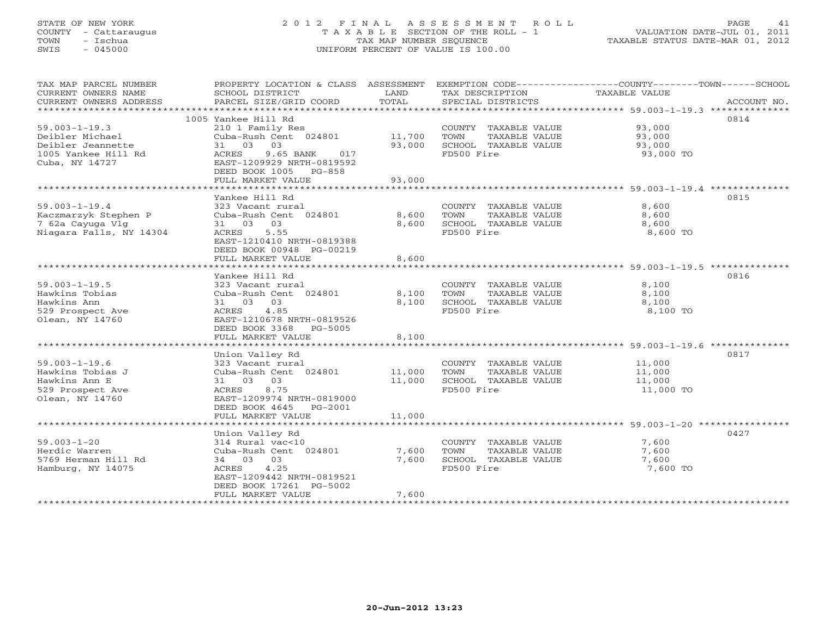## STATE OF NEW YORK 2 0 1 2 F I N A L A S S E S S M E N T R O L L PAGE 41 COUNTY - Cattaraugus T A X A B L E SECTION OF THE ROLL - 1 VALUATION DATE-JUL 01, 2011 TOWN - Ischua TAX MAP NUMBER SEQUENCE TAXABLE STATUS DATE-MAR 01, 2012 SWIS - 045000 UNIFORM PERCENT OF VALUE IS 100.00UNIFORM PERCENT OF VALUE IS 100.00

| TAX MAP PARCEL NUMBER   | PROPERTY LOCATION & CLASS ASSESSMENT |        |                       | EXEMPTION CODE-----------------COUNTY-------TOWN------SCHOOL |             |
|-------------------------|--------------------------------------|--------|-----------------------|--------------------------------------------------------------|-------------|
| CURRENT OWNERS NAME     | SCHOOL DISTRICT                      | LAND   | TAX DESCRIPTION       | TAXABLE VALUE                                                |             |
| CURRENT OWNERS ADDRESS  | PARCEL SIZE/GRID COORD               | TOTAL  | SPECIAL DISTRICTS     |                                                              | ACCOUNT NO. |
|                         |                                      |        |                       |                                                              |             |
|                         | 1005 Yankee Hill Rd                  |        |                       |                                                              | 0814        |
| $59.003 - 1 - 19.3$     | 210 1 Family Res                     |        | COUNTY TAXABLE VALUE  | 93,000                                                       |             |
| Deibler Michael         | Cuba-Rush Cent 024801                | 11,700 | TOWN<br>TAXABLE VALUE | 93,000                                                       |             |
| Deibler Jeannette       | 31 03<br>03                          | 93,000 | SCHOOL TAXABLE VALUE  | 93,000                                                       |             |
| 1005 Yankee Hill Rd     | ACRES<br>9.65 BANK<br>017            |        | FD500 Fire            | 93,000 TO                                                    |             |
| Cuba, NY 14727          | EAST-1209929 NRTH-0819592            |        |                       |                                                              |             |
|                         | DEED BOOK 1005 PG-858                |        |                       |                                                              |             |
|                         | FULL MARKET VALUE                    | 93,000 |                       |                                                              |             |
|                         |                                      |        |                       |                                                              |             |
|                         | Yankee Hill Rd                       |        |                       |                                                              | 0815        |
| $59.003 - 1 - 19.4$     | 323 Vacant rural                     |        | COUNTY TAXABLE VALUE  | 8,600                                                        |             |
| Kaczmarzyk Stephen P    | Cuba-Rush Cent 024801                | 8,600  | TOWN<br>TAXABLE VALUE | 8,600                                                        |             |
| 7 62a Cayuga Vlg        | 31 03<br>03                          | 8,600  | SCHOOL TAXABLE VALUE  | 8,600                                                        |             |
| Niagara Falls, NY 14304 | 5.55<br>ACRES                        |        | FD500 Fire            | 8,600 TO                                                     |             |
|                         | EAST-1210410 NRTH-0819388            |        |                       |                                                              |             |
|                         | DEED BOOK 00948 PG-00219             |        |                       |                                                              |             |
|                         | FULL MARKET VALUE                    | 8,600  |                       |                                                              |             |
|                         |                                      |        |                       |                                                              |             |
|                         | Yankee Hill Rd                       |        |                       |                                                              | 0816        |
| $59.003 - 1 - 19.5$     | 323 Vacant rural                     |        | COUNTY TAXABLE VALUE  | 8,100                                                        |             |
| Hawkins Tobias          | Cuba-Rush Cent 024801                | 8,100  | TOWN<br>TAXABLE VALUE | 8,100                                                        |             |
| Hawkins Ann             | 03<br>31 03                          | 8,100  | SCHOOL TAXABLE VALUE  | 8,100                                                        |             |
| 529 Prospect Ave        | 4.85<br>ACRES                        |        | FD500 Fire            | 8,100 TO                                                     |             |
| Olean, NY 14760         | EAST-1210678 NRTH-0819526            |        |                       |                                                              |             |
|                         | DEED BOOK 3368<br>PG-5005            |        |                       |                                                              |             |
|                         | FULL MARKET VALUE                    | 8,100  |                       |                                                              |             |
|                         |                                      |        |                       |                                                              |             |
|                         | Union Valley Rd                      |        |                       |                                                              | 0817        |
| $59.003 - 1 - 19.6$     | 323 Vacant rural                     |        | COUNTY TAXABLE VALUE  | 11,000                                                       |             |
| Hawkins Tobias J        | Cuba-Rush Cent 024801                | 11,000 | TOWN<br>TAXABLE VALUE | 11,000                                                       |             |
| Hawkins Ann E           | 31 03 03                             | 11,000 | SCHOOL TAXABLE VALUE  | 11,000                                                       |             |
| 529 Prospect Ave        | 8.75<br>ACRES                        |        | FD500 Fire            | 11,000 TO                                                    |             |
| Olean, NY 14760         | EAST-1209974 NRTH-0819000            |        |                       |                                                              |             |
|                         | DEED BOOK 4645<br>PG-2001            |        |                       |                                                              |             |
|                         | FULL MARKET VALUE                    | 11,000 |                       |                                                              |             |
|                         |                                      |        |                       |                                                              | 0427        |
| $59.003 - 1 - 20$       | Union Valley Rd<br>314 Rural vac<10  |        | COUNTY TAXABLE VALUE  | 7,600                                                        |             |
| Herdic Warren           | Cuba-Rush Cent 024801                | 7,600  | TOWN<br>TAXABLE VALUE | 7,600                                                        |             |
| 5769 Herman Hill Rd     | 34 03 03                             | 7,600  | SCHOOL TAXABLE VALUE  | 7,600                                                        |             |
| Hamburg, NY 14075       | ACRES<br>4.25                        |        | FD500 Fire            | 7,600 TO                                                     |             |
|                         | EAST-1209442 NRTH-0819521            |        |                       |                                                              |             |
|                         | DEED BOOK 17261 PG-5002              |        |                       |                                                              |             |
|                         | FULL MARKET VALUE                    | 7,600  |                       |                                                              |             |
|                         |                                      |        |                       |                                                              |             |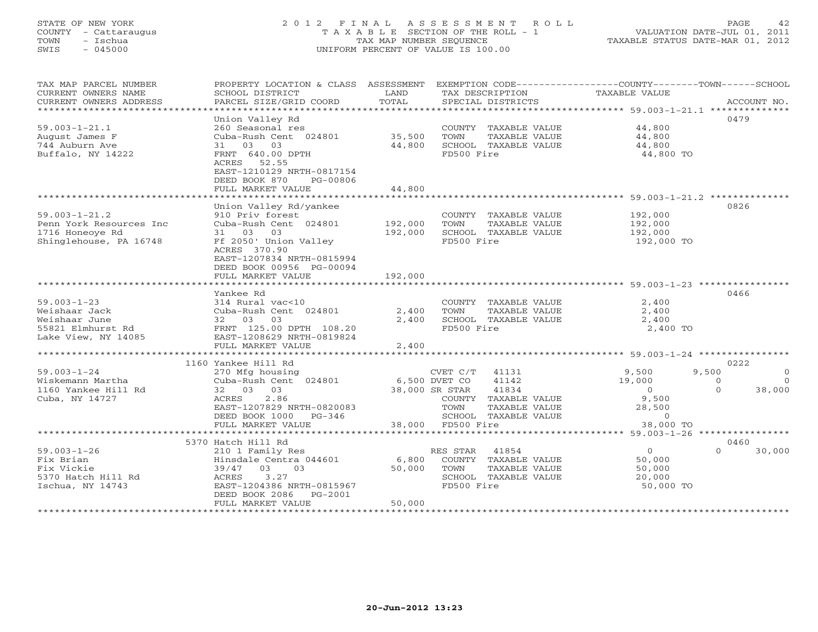## STATE OF NEW YORK 2 0 1 2 F I N A L A S S E S S M E N T R O L L PAGE 42 COUNTY - Cattaraugus T A X A B L E SECTION OF THE ROLL - 1 VALUATION DATE-JUL 01, 2011 TOWN - Ischua TAX MAP NUMBER SEQUENCE TAXABLE STATUS DATE-MAR 01, 2012 SWIS - 045000 UNIFORM PERCENT OF VALUE IS 100.00UNIFORM PERCENT OF VALUE IS 100.00

| TAX MAP PARCEL NUMBER<br>PROPERTY LOCATION & CLASS ASSESSMENT<br>EXEMPTION CODE----------------COUNTY-------TOWN------SCHOOL<br>CURRENT OWNERS NAME<br>SCHOOL DISTRICT<br>LAND<br>TAX DESCRIPTION<br><b>TAXABLE VALUE</b><br>TOTAL<br>CURRENT OWNERS ADDRESS<br>PARCEL SIZE/GRID COORD<br>SPECIAL DISTRICTS | ACCOUNT NO.         |
|-------------------------------------------------------------------------------------------------------------------------------------------------------------------------------------------------------------------------------------------------------------------------------------------------------------|---------------------|
| Union Valley Rd                                                                                                                                                                                                                                                                                             | 0479                |
| $59.003 - 1 - 21.1$<br>260 Seasonal res<br>COUNTY TAXABLE VALUE<br>44,800                                                                                                                                                                                                                                   |                     |
| Cuba-Rush Cent 024801<br>35,500<br>TOWN<br>TAXABLE VALUE<br>44,800<br>August James F                                                                                                                                                                                                                        |                     |
| 744 Auburn Ave<br>31 03 03<br>44,800<br>SCHOOL TAXABLE VALUE<br>44,800                                                                                                                                                                                                                                      |                     |
| Buffalo, NY 14222<br>FRNT 640.00 DPTH<br>FD500 Fire<br>44,800 TO                                                                                                                                                                                                                                            |                     |
| ACRES 52.55                                                                                                                                                                                                                                                                                                 |                     |
| EAST-1210129 NRTH-0817154                                                                                                                                                                                                                                                                                   |                     |
| DEED BOOK 870<br>PG-00806                                                                                                                                                                                                                                                                                   |                     |
| FULL MARKET VALUE<br>44,800                                                                                                                                                                                                                                                                                 |                     |
|                                                                                                                                                                                                                                                                                                             |                     |
| Union Valley Rd/yankee                                                                                                                                                                                                                                                                                      | 0826                |
| $59.003 - 1 - 21.2$<br>COUNTY TAXABLE VALUE<br>192,000<br>910 Priv forest                                                                                                                                                                                                                                   |                     |
| Penn York Resources Inc<br>Cuba-Rush Cent 024801<br>192,000<br>TOWN<br>TAXABLE VALUE<br>192,000                                                                                                                                                                                                             |                     |
| 31 03<br>03<br>192,000<br>SCHOOL TAXABLE VALUE<br>192,000<br>1716 Honeoye Rd                                                                                                                                                                                                                                |                     |
| FD500 Fire<br>Shinglehouse, PA 16748<br>Ff 2050' Union Valley<br>192,000 TO                                                                                                                                                                                                                                 |                     |
| ACRES 370.90                                                                                                                                                                                                                                                                                                |                     |
| EAST-1207834 NRTH-0815994                                                                                                                                                                                                                                                                                   |                     |
| DEED BOOK 00956 PG-00094<br>FULL MARKET VALUE<br>192,000                                                                                                                                                                                                                                                    |                     |
|                                                                                                                                                                                                                                                                                                             |                     |
| Yankee Rd                                                                                                                                                                                                                                                                                                   | 0466                |
| $59.003 - 1 - 23$<br>314 Rural vac<10<br>COUNTY TAXABLE VALUE<br>2,400                                                                                                                                                                                                                                      |                     |
| Weishaar Jack<br>Cuba-Rush Cent 024801<br>2,400<br>TOWN<br>TAXABLE VALUE<br>2,400                                                                                                                                                                                                                           |                     |
| 2,400<br>Weishaar June<br>32 03 03<br>SCHOOL TAXABLE VALUE<br>2,400                                                                                                                                                                                                                                         |                     |
| FD500 Fire<br>55821 Elmhurst Rd<br>FRNT 125.00 DPTH 108.20<br>2,400 TO                                                                                                                                                                                                                                      |                     |
| EAST-1208629 NRTH-0819824<br>Lake View, NY 14085                                                                                                                                                                                                                                                            |                     |
| 2,400<br>FULL MARKET VALUE                                                                                                                                                                                                                                                                                  |                     |
|                                                                                                                                                                                                                                                                                                             |                     |
| 1160 Yankee Hill Rd                                                                                                                                                                                                                                                                                         | 0222                |
| $59.003 - 1 - 24$<br>CVET $C/T$ 41131<br>9,500<br>270 Mfg housing                                                                                                                                                                                                                                           | 9,500<br>$\Omega$   |
| Cuba-Rush Cent 024801<br>41142<br>19,000<br>Wiskemann Martha<br>6,500 DVET CO                                                                                                                                                                                                                               | $\Omega$<br>$\circ$ |
| 1160 Yankee Hill Rd<br>32 03 03<br>38,000 SR STAR<br>41834<br>$\Omega$                                                                                                                                                                                                                                      | $\Omega$<br>38,000  |
| 2.86<br>9,500<br>Cuba, NY 14727<br>ACRES<br>COUNTY TAXABLE VALUE                                                                                                                                                                                                                                            |                     |
| EAST-1207829 NRTH-0820083<br>TOWN<br>TAXABLE VALUE<br>28,500<br>DEED BOOK 1000<br>SCHOOL TAXABLE VALUE<br>$\circ$<br>$PG-346$                                                                                                                                                                               |                     |
| 38,000 FD500 Fire<br>FULL MARKET VALUE<br>38,000 TO                                                                                                                                                                                                                                                         |                     |
| **************************                                                                                                                                                                                                                                                                                  |                     |
| 5370 Hatch Hill Rd                                                                                                                                                                                                                                                                                          | 0460                |
| $59.003 - 1 - 26$<br>41854<br>$\overline{0}$<br>210 1 Family Res<br>RES STAR                                                                                                                                                                                                                                | $\Omega$<br>30,000  |
| 6,800<br>Fix Brian<br>Hinsdale Centra 044601<br>COUNTY TAXABLE VALUE<br>50,000                                                                                                                                                                                                                              |                     |
| Fix Vickie<br>03<br>0.3<br>50,000<br>TOWN<br>TAXABLE VALUE<br>39/47<br>50,000                                                                                                                                                                                                                               |                     |
| 3.27<br>5370 Hatch Hill Rd<br>ACRES<br>SCHOOL TAXABLE VALUE<br>20,000                                                                                                                                                                                                                                       |                     |
| EAST-1204386 NRTH-0815967<br>FD500 Fire<br>50,000 TO<br>Ischua, NY 14743                                                                                                                                                                                                                                    |                     |
| DEED BOOK 2086<br>PG-2001                                                                                                                                                                                                                                                                                   |                     |
| FULL MARKET VALUE<br>50,000                                                                                                                                                                                                                                                                                 |                     |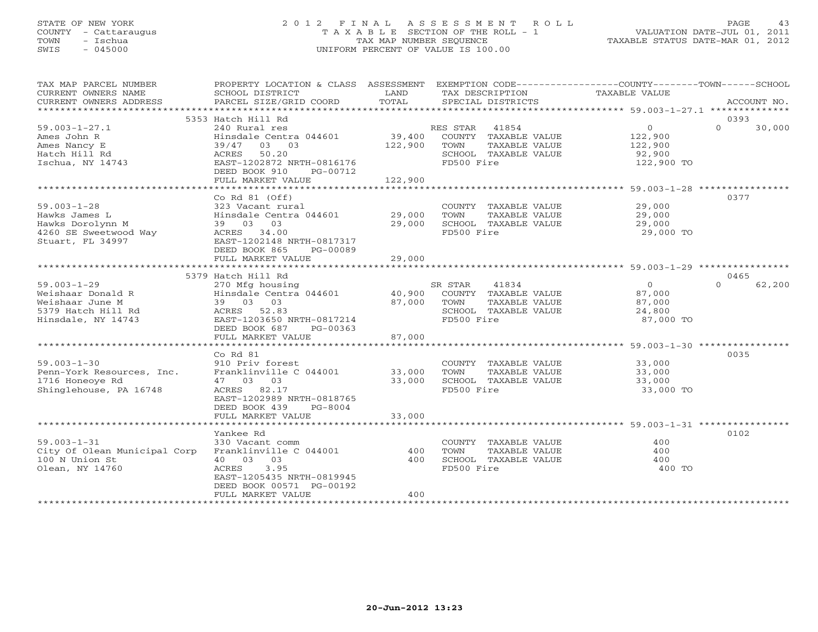## STATE OF NEW YORK 2 0 1 2 F I N A L A S S E S S M E N T R O L L PAGE 43 COUNTY - Cattaraugus T A X A B L E SECTION OF THE ROLL - 1 VALUATION DATE-JUL 01, 2011 TOWN - Ischua TAX MAP NUMBER SEQUENCE TAXABLE STATUS DATE-MAR 01, 2012 SWIS - 045000 UNIFORM PERCENT OF VALUE IS 100.00UNIFORM PERCENT OF VALUE IS 100.00

| TAX MAP PARCEL NUMBER<br>CURRENT OWNERS NAME<br>CURRENT OWNERS ADDRESS<br>***********************   | PROPERTY LOCATION & CLASS ASSESSMENT<br>SCHOOL DISTRICT<br>PARCEL SIZE/GRID COORD                                                                       | LAND<br>TOTAL                | TAX DESCRIPTION<br>SPECIAL DISTRICTS                                                                     | EXEMPTION CODE-----------------COUNTY-------TOWN------SCHOOL<br>TAXABLE VALUE | ACCOUNT NO.        |
|-----------------------------------------------------------------------------------------------------|---------------------------------------------------------------------------------------------------------------------------------------------------------|------------------------------|----------------------------------------------------------------------------------------------------------|-------------------------------------------------------------------------------|--------------------|
|                                                                                                     | 5353 Hatch Hill Rd                                                                                                                                      |                              |                                                                                                          |                                                                               | 0393               |
| $59.003 - 1 - 27.1$<br>Ames John R<br>Ames Nancy E<br>Hatch Hill Rd<br>Ischua, NY 14743             | 240 Rural res<br>Hinsdale Centra 044601<br>39/47 03 03<br>50.20<br>ACRES<br>EAST-1202872 NRTH-0816176<br>DEED BOOK 910<br>PG-00712<br>FULL MARKET VALUE | 39,400<br>122,900<br>122,900 | RES STAR<br>41854<br>COUNTY TAXABLE VALUE<br>TOWN<br>TAXABLE VALUE<br>SCHOOL TAXABLE VALUE<br>FD500 Fire | $\overline{0}$<br>122,900<br>122,900<br>92,900<br>122,900 TO                  | $\Omega$<br>30,000 |
|                                                                                                     | Co Rd $81$ (Off)                                                                                                                                        |                              |                                                                                                          |                                                                               | 0377               |
| $59.003 - 1 - 28$<br>Hawks James L<br>Hawks Dorolynn M<br>4260 SE Sweetwood Way<br>Stuart, FL 34997 | 323 Vacant rural<br>Hinsdale Centra 044601<br>39 03 03<br>ACRES 34.00<br>EAST-1202148 NRTH-0817317                                                      | 29,000<br>29,000             | COUNTY TAXABLE VALUE<br>TOWN<br>TAXABLE VALUE<br>SCHOOL TAXABLE VALUE<br>FD500 Fire                      | 29,000<br>29,000<br>29,000<br>29,000 TO                                       |                    |
|                                                                                                     | DEED BOOK 865<br>PG-00089<br>FULL MARKET VALUE                                                                                                          | 29,000                       |                                                                                                          |                                                                               |                    |
|                                                                                                     |                                                                                                                                                         |                              |                                                                                                          |                                                                               |                    |
|                                                                                                     | 5379 Hatch Hill Rd                                                                                                                                      |                              |                                                                                                          |                                                                               | 0465               |
| $59.003 - 1 - 29$                                                                                   | 270 Mfg housing                                                                                                                                         |                              | SR STAR<br>41834                                                                                         | $\overline{O}$                                                                | 62,200<br>$\Omega$ |
| Weishaar Donald R                                                                                   | Hinsdale Centra 044601                                                                                                                                  | 40,900                       | COUNTY TAXABLE VALUE                                                                                     | 87,000                                                                        |                    |
| Weishaar June M                                                                                     | 39 03 03                                                                                                                                                | 87,000                       | TAXABLE VALUE<br>TOWN                                                                                    | 87,000                                                                        |                    |
| 5379 Hatch Hill Rd<br>Hinsdale, NY 14743                                                            | ACRES 52.83<br>EAST-1203650 NRTH-0817214<br>DEED BOOK 687<br>PG-00363                                                                                   |                              | SCHOOL TAXABLE VALUE<br>FD500 Fire                                                                       | 24,800<br>87,000 TO                                                           |                    |
|                                                                                                     | FULL MARKET VALUE                                                                                                                                       | 87,000                       |                                                                                                          |                                                                               |                    |
|                                                                                                     |                                                                                                                                                         |                              |                                                                                                          |                                                                               |                    |
|                                                                                                     | $Co$ Rd $81$                                                                                                                                            |                              |                                                                                                          |                                                                               | 0035               |
| $59.003 - 1 - 30$                                                                                   | 910 Priv forest                                                                                                                                         |                              | COUNTY TAXABLE VALUE                                                                                     | 33,000                                                                        |                    |
| Penn-York Resources, Inc.                                                                           | Franklinville C 044001                                                                                                                                  | 33,000                       | TOWN<br>TAXABLE VALUE                                                                                    | 33,000                                                                        |                    |
| 1716 Honeoye Rd                                                                                     | 47 03 03                                                                                                                                                | 33,000                       | SCHOOL TAXABLE VALUE                                                                                     | 33,000                                                                        |                    |
| Shinglehouse, PA 16748                                                                              | ACRES 82.17<br>EAST-1202989 NRTH-0818765<br>DEED BOOK 439<br>PG-8004                                                                                    |                              | FD500 Fire                                                                                               | 33,000 TO                                                                     |                    |
|                                                                                                     | FULL MARKET VALUE                                                                                                                                       | 33,000                       |                                                                                                          |                                                                               |                    |
|                                                                                                     | Yankee Rd                                                                                                                                               |                              |                                                                                                          |                                                                               | 0102               |
| $59.003 - 1 - 31$                                                                                   | 330 Vacant comm                                                                                                                                         |                              | COUNTY TAXABLE VALUE                                                                                     | 400                                                                           |                    |
| City Of Olean Municipal Corp                                                                        | Franklinville C 044001                                                                                                                                  | 400                          | TOWN<br>TAXABLE VALUE                                                                                    | 400                                                                           |                    |
| 100 N Union St                                                                                      | 40 03 03                                                                                                                                                | 400                          | SCHOOL TAXABLE VALUE                                                                                     | 400                                                                           |                    |
| Olean, NY 14760                                                                                     | ACRES<br>3.95<br>EAST-1205435 NRTH-0819945<br>DEED BOOK 00571 PG-00192<br>FULL MARKET VALUE                                                             | 400                          | FD500 Fire                                                                                               | 400 TO                                                                        |                    |
|                                                                                                     |                                                                                                                                                         |                              |                                                                                                          |                                                                               |                    |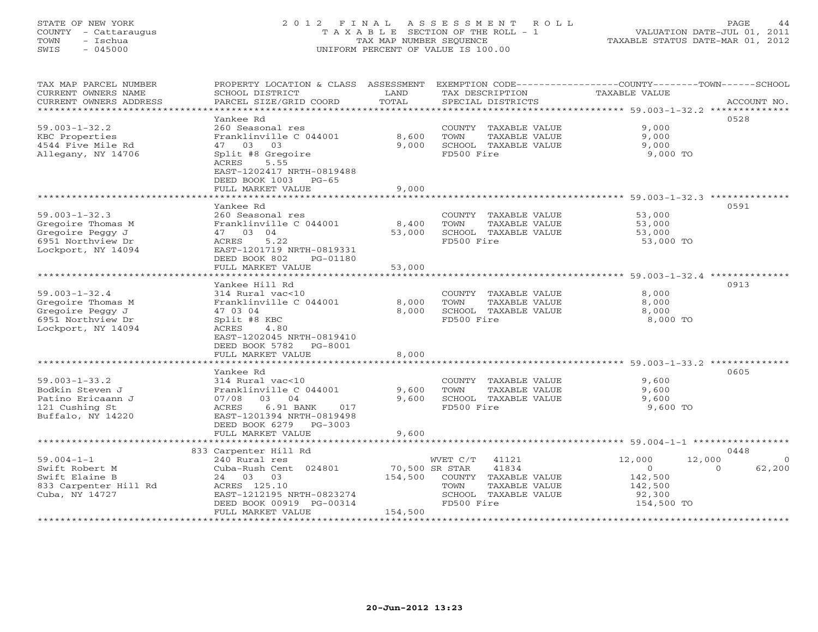# STATE OF NEW YORK 2 0 1 2 F I N A L A S S E S S M E N T R O L L PAGE 44 COUNTY - Cattaraugus T A X A B L E SECTION OF THE ROLL - 1 VALUATION DATE-JUL 01, 2011 TOWN - Ischua TAX MAP NUMBER SEQUENCE TAXABLE STATUS DATE-MAR 01, 2012 SWIS - 045000 UNIFORM PERCENT OF VALUE IS 100.00

| TAX MAP PARCEL NUMBER<br>CURRENT OWNERS NAME<br>CURRENT OWNERS ADDRESS | SCHOOL DISTRICT<br>PARCEL SIZE/GRID COORD      | LAND<br>TOTAL             | TAX DESCRIPTION<br>SPECIAL DISTRICTS | PROPERTY LOCATION & CLASS ASSESSMENT EXEMPTION CODE----------------COUNTY-------TOWN------SCHOOL<br>TAXABLE VALUE<br>ACCOUNT NO. |
|------------------------------------------------------------------------|------------------------------------------------|---------------------------|--------------------------------------|----------------------------------------------------------------------------------------------------------------------------------|
|                                                                        |                                                |                           |                                      |                                                                                                                                  |
| $59.003 - 1 - 32.2$                                                    | Yankee Rd<br>260 Seasonal res                  |                           | COUNTY TAXABLE VALUE                 | 0528<br>9,000                                                                                                                    |
| KBC Properties                                                         | Franklinville C 044001                         | 8,600                     | TOWN<br>TAXABLE VALUE                | 9,000                                                                                                                            |
| 4544 Five Mile Rd                                                      | 47 03<br>03                                    | 9,000                     | SCHOOL TAXABLE VALUE                 | 9,000                                                                                                                            |
| Allegany, NY 14706                                                     | Split #8 Gregoire                              |                           | FD500 Fire                           | 9,000 TO                                                                                                                         |
|                                                                        | 5.55<br>ACRES<br>EAST-1202417 NRTH-0819488     |                           |                                      |                                                                                                                                  |
|                                                                        | DEED BOOK 1003 PG-65                           |                           |                                      |                                                                                                                                  |
|                                                                        | FULL MARKET VALUE                              | 9,000                     |                                      |                                                                                                                                  |
|                                                                        | *************************                      |                           |                                      |                                                                                                                                  |
|                                                                        | Yankee Rd                                      |                           |                                      | 0591                                                                                                                             |
| $59.003 - 1 - 32.3$                                                    | 260 Seasonal res                               |                           | COUNTY TAXABLE VALUE                 | 53,000                                                                                                                           |
| Gregoire Thomas M                                                      | Franklinville C 044001                         | 8,400                     | TAXABLE VALUE<br>TOWN                | 53,000                                                                                                                           |
| Gregoire Peggy J                                                       | 47 03 04                                       | 53,000                    | SCHOOL TAXABLE VALUE                 | 53,000                                                                                                                           |
| 6951 Northview Dr                                                      | ACRES<br>5.22                                  |                           | FD500 Fire                           | 53,000 TO                                                                                                                        |
| Lockport, NY 14094                                                     | EAST-1201719 NRTH-0819331                      |                           |                                      |                                                                                                                                  |
|                                                                        | DEED BOOK 802<br>PG-01180                      |                           |                                      |                                                                                                                                  |
|                                                                        | FULL MARKET VALUE<br>************************* | 53,000                    |                                      |                                                                                                                                  |
|                                                                        | Yankee Hill Rd                                 |                           |                                      | 0913                                                                                                                             |
| $59.003 - 1 - 32.4$                                                    | 314 Rural vac<10                               |                           | COUNTY TAXABLE VALUE                 | 8,000                                                                                                                            |
| Gregoire Thomas M                                                      | Franklinville C 044001                         | 8,000                     | TOWN<br>TAXABLE VALUE                | 8,000                                                                                                                            |
| Gregoire Peggy J                                                       | 47 03 04                                       | 8,000                     | SCHOOL TAXABLE VALUE                 | 8,000                                                                                                                            |
| 6951 Northview Dr                                                      | Split #8 KBC                                   |                           | FD500 Fire                           | 8,000 TO                                                                                                                         |
| Lockport, NY 14094                                                     | 4.80<br>ACRES                                  |                           |                                      |                                                                                                                                  |
|                                                                        | EAST-1202045 NRTH-0819410                      |                           |                                      |                                                                                                                                  |
|                                                                        | DEED BOOK 5782 PG-8001                         |                           |                                      |                                                                                                                                  |
|                                                                        | FULL MARKET VALUE                              | 8,000                     |                                      |                                                                                                                                  |
|                                                                        |                                                |                           |                                      | ******************************** 59.003-1-33.2 **************                                                                    |
|                                                                        | Yankee Rd                                      |                           |                                      | 0605                                                                                                                             |
| $59.003 - 1 - 33.2$                                                    | 314 Rural vac<10                               |                           | COUNTY TAXABLE VALUE                 | 9,600                                                                                                                            |
| Bodkin Steven J                                                        | Franklinville C 044001                         | 9,600                     | TOWN<br>TAXABLE VALUE                | 9,600                                                                                                                            |
| Patino Ericaann J                                                      | 07/08 03 04                                    | 9,600                     | SCHOOL TAXABLE VALUE                 | 9,600                                                                                                                            |
| 121 Cushing St                                                         | 6.91 BANK<br>ACRES<br>017                      |                           | FD500 Fire                           | 9,600 TO                                                                                                                         |
| Buffalo, NY 14220                                                      | EAST-1201394 NRTH-0819498                      |                           |                                      |                                                                                                                                  |
|                                                                        | DEED BOOK 6279 PG-3003                         |                           |                                      |                                                                                                                                  |
|                                                                        | FULL MARKET VALUE                              | 9,600                     |                                      |                                                                                                                                  |
|                                                                        |                                                |                           |                                      |                                                                                                                                  |
|                                                                        | 833 Carpenter Hill Rd                          |                           |                                      | 0448                                                                                                                             |
| $59.004 - 1 - 1$                                                       | 240 Rural res                                  |                           | WVET C/T<br>41121                    | 12,000<br>12,000<br>$\Omega$                                                                                                     |
| Swift Robert M<br>Swift Elaine B                                       | Cuba-Rush Cent 024801<br>24 03 03              | 70,500 SR STAR<br>154,500 | 41834<br>COUNTY TAXABLE VALUE        | $\circ$<br>62,200<br>$\Omega$<br>142,500                                                                                         |
| 833 Carpenter Hill Rd                                                  | ACRES 125.10                                   |                           | TAXABLE VALUE<br>TOWN                | 142,500                                                                                                                          |
| Cuba, NY 14727                                                         | EAST-1212195 NRTH-0823274                      |                           | SCHOOL TAXABLE VALUE                 | 92,300                                                                                                                           |
|                                                                        | DEED BOOK 00919 PG-00314                       |                           | FD500 Fire                           | 154,500 TO                                                                                                                       |
|                                                                        | FULL MARKET VALUE                              | 154,500                   |                                      |                                                                                                                                  |
|                                                                        |                                                |                           |                                      |                                                                                                                                  |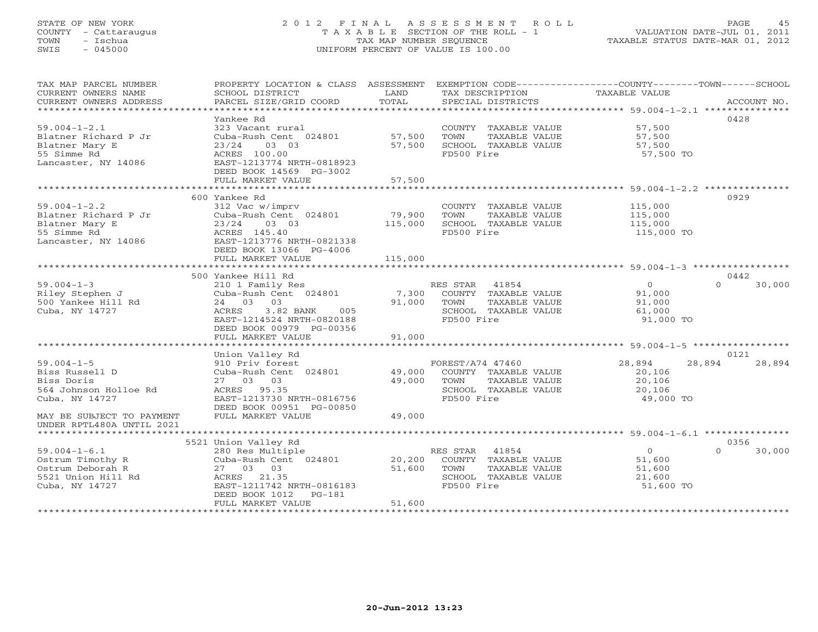## STATE OF NEW YORK 2 0 1 2 F I N A L A S S E S S M E N T R O L L PAGE 45 COUNTY - Cattaraugus T A X A B L E SECTION OF THE ROLL - 1 VALUATION DATE-JUL 01, 2011 TOWN - Ischua TAX MAP NUMBER SEQUENCE TAXABLE STATUS DATE-MAR 01, 2012 SWIS - 045000 UNIFORM PERCENT OF VALUE IS 100.00UNIFORM PERCENT OF VALUE IS 100.00

| TAX MAP PARCEL NUMBER<br>CURRENT OWNERS NAME<br>CURRENT OWNERS ADDRESS                                                                                | PROPERTY LOCATION & CLASS ASSESSMENT<br>SCHOOL DISTRICT<br>PARCEL SIZE/GRID COORD                                                                                     | LAND<br>TOTAL              | EXEMPTION CODE-----------------COUNTY-------TOWN------SCHOOL<br>TAX DESCRIPTION<br>SPECIAL DISTRICTS     | TAXABLE VALUE                                             | ACCOUNT NO.              |
|-------------------------------------------------------------------------------------------------------------------------------------------------------|-----------------------------------------------------------------------------------------------------------------------------------------------------------------------|----------------------------|----------------------------------------------------------------------------------------------------------|-----------------------------------------------------------|--------------------------|
| $59.004 - 1 - 2.1$<br>Blatner Richard P Jr<br>Blatner Mary E<br>55 Simme Rd<br>Lancaster, NY 14086                                                    | Yankee Rd<br>323 Vacant rural<br>Cuba-Rush Cent 024801<br>03 03<br>23/24<br>ACRES 100.00<br>EAST-1213774 NRTH-0818923<br>DEED BOOK 14569 PG-3002<br>FULL MARKET VALUE | 57,500<br>57,500<br>57,500 | COUNTY TAXABLE VALUE<br>TAXABLE VALUE<br>TOWN<br>SCHOOL TAXABLE VALUE<br>FD500 Fire                      | 57,500<br>57,500<br>57,500<br>57,500 TO                   | 0428                     |
|                                                                                                                                                       | 600 Yankee Rd                                                                                                                                                         |                            |                                                                                                          |                                                           | 0929                     |
| $59.004 - 1 - 2.2$<br>Blatner Richard P Jr<br>Blatner Mary E<br>55 Simme Rd<br>Lancaster, NY 14086                                                    | 312 Vac w/imprv<br>Cuba-Rush Cent 024801<br>23/24<br>03 03<br>ACRES 145.40<br>EAST-1213776 NRTH-0821338<br>DEED BOOK 13066 PG-4006                                    | 79,900<br>115,000          | COUNTY TAXABLE VALUE<br>TOWN<br>TAXABLE VALUE<br>SCHOOL TAXABLE VALUE<br>FD500 Fire                      | 115,000<br>115,000<br>115,000<br>115,000 TO               |                          |
|                                                                                                                                                       | FULL MARKET VALUE                                                                                                                                                     | 115,000                    |                                                                                                          |                                                           |                          |
|                                                                                                                                                       | 500 Yankee Hill Rd                                                                                                                                                    |                            |                                                                                                          |                                                           | 0442                     |
| $59.004 - 1 - 3$<br>Riley Stephen J<br>500 Yankee Hill Rd<br>Cuba, NY 14727                                                                           | 210 1 Family Res<br>Cuba-Rush Cent 024801<br>24 03 03<br>3.82 BANK<br>005<br>ACRES<br>EAST-1214524 NRTH-0820188<br>DEED BOOK 00979 PG-00356<br>FULL MARKET VALUE      | 7,300<br>91,000<br>91,000  | RES STAR<br>41854<br>COUNTY TAXABLE VALUE<br>TOWN<br>TAXABLE VALUE<br>SCHOOL TAXABLE VALUE<br>FD500 Fire | $\Omega$<br>91,000<br>91,000<br>61,000<br>91,000 TO       | $\Omega$<br>30,000       |
|                                                                                                                                                       |                                                                                                                                                                       |                            |                                                                                                          |                                                           |                          |
| $59.004 - 1 - 5$<br>Biss Russell D<br>Biss Doris<br>564 Johnson Holloe Rd<br>Cuba, NY 14727<br>MAY BE SUBJECT TO PAYMENT<br>UNDER RPTL480A UNTIL 2021 | Union Valley Rd<br>910 Priv forest<br>Cuba-Rush Cent 024801<br>27 03 03<br>ACRES 95.35<br>EAST-1213730 NRTH-0816756<br>DEED BOOK 00951 PG-00850<br>FULL MARKET VALUE  | 49,000<br>49,000<br>49,000 | FOREST/A74 47460<br>COUNTY TAXABLE VALUE<br>TOWN<br>TAXABLE VALUE<br>SCHOOL TAXABLE VALUE<br>FD500 Fire  | 28,894<br>20,106<br>20,106<br>20,106<br>49,000 TO         | 0121<br>28,894<br>28,894 |
|                                                                                                                                                       | 5521 Union Valley Rd                                                                                                                                                  |                            |                                                                                                          |                                                           | 0356                     |
| $59.004 - 1 - 6.1$<br>Ostrum Timothy R<br>Ostrum Deborah R<br>5521 Union Hill Rd<br>Cuba, NY 14727                                                    | 280 Res Multiple<br>Cuba-Rush Cent 024801<br>27 03 03<br>ACRES 21.35<br>EAST-1211742 NRTH-0816183<br>DEED BOOK 1012<br>$PG-181$<br>FULL MARKET VALUE                  | 20,200<br>51,600<br>51,600 | RES STAR<br>41854<br>COUNTY TAXABLE VALUE<br>TOWN<br>TAXABLE VALUE<br>SCHOOL TAXABLE VALUE<br>FD500 Fire | $\overline{0}$<br>51,600<br>51,600<br>21,600<br>51,600 TO | $\Omega$<br>30,000       |
|                                                                                                                                                       |                                                                                                                                                                       |                            |                                                                                                          |                                                           |                          |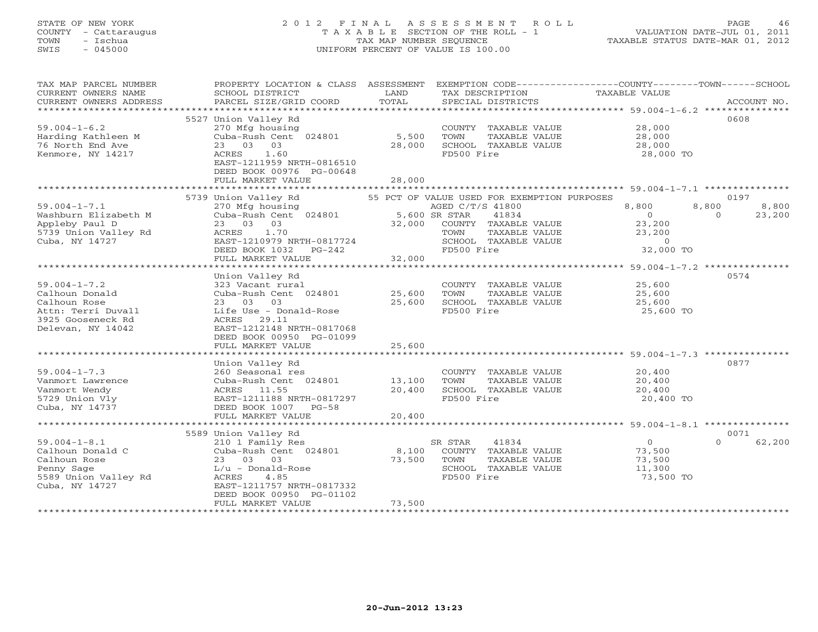# STATE OF NEW YORK 2 0 1 2 F I N A L A S S E S S M E N T R O L L PAGE 46 COUNTY - Cattaraugus T A X A B L E SECTION OF THE ROLL - 1 VALUATION DATE-JUL 01, 2011 TOWN - Ischua TAX MAP NUMBER SEQUENCE TAXABLE STATUS DATE-MAR 01, 2012 SWIS - 045000 UNIFORM PERCENT OF VALUE IS 100.00

| TAX MAP PARCEL NUMBER  |                                                                              |                      |                                                                                                                                                                                                                                                                                                                                                                                                                                                                                                               | PROPERTY LOCATION & CLASS ASSESSMENT EXEMPTION CODE---------------COUNTY-------TOWN------SCHOOL |             |
|------------------------|------------------------------------------------------------------------------|----------------------|---------------------------------------------------------------------------------------------------------------------------------------------------------------------------------------------------------------------------------------------------------------------------------------------------------------------------------------------------------------------------------------------------------------------------------------------------------------------------------------------------------------|-------------------------------------------------------------------------------------------------|-------------|
| CURRENT OWNERS NAME    | SCHOOL DISTRICT                                                              | LAND                 | TAX DESCRIPTION                                                                                                                                                                                                                                                                                                                                                                                                                                                                                               | TAXABLE VALUE                                                                                   |             |
| CURRENT OWNERS ADDRESS | PARCEL SIZE/GRID COORD                                                       | TOTAL                | SPECIAL DISTRICTS                                                                                                                                                                                                                                                                                                                                                                                                                                                                                             |                                                                                                 | ACCOUNT NO. |
|                        |                                                                              |                      |                                                                                                                                                                                                                                                                                                                                                                                                                                                                                                               |                                                                                                 |             |
|                        | 5527 Union Valley Rd                                                         |                      |                                                                                                                                                                                                                                                                                                                                                                                                                                                                                                               |                                                                                                 | 0608        |
| $59.004 - 1 - 6.2$     | 270 Mfg housing<br>Cuba-Rush Cent 024801 5,500                               |                      | $\begin{tabular}{lllllll} \multicolumn{2}{c}{\textbf{COUNTY}} & \textbf{TAXABLE VALUE} & & \\ \multicolumn{2}{c}{\textbf{COUNTY}} & \textbf{TAXABLE VALUE} & & \\ \multicolumn{2}{c}{\textbf{Cous }} & \textbf{Cous } & \\ \multicolumn{2}{c}{\textbf{Cous }} & \textbf{Cous } & \\ \multicolumn{2}{c}{\textbf{Cous }} & \textbf{Cous } & \\ \multicolumn{2}{c}{\textbf{Cous }} & \textbf{Cous } & \\ \multicolumn{2}{c}{\textbf{Cous }} & \textbf{Cous } & \\ \multicolumn{2}{c}{\textbf{Cous }} & \textbf{$ |                                                                                                 |             |
| Harding Kathleen M     |                                                                              |                      | TOWN<br>TAXABLE VALUE                                                                                                                                                                                                                                                                                                                                                                                                                                                                                         | 28,000                                                                                          |             |
| 76 North End Ave       | 23 03 03                                                                     | 28,000               | SCHOOL TAXABLE VALUE<br>FD500 Fire                                                                                                                                                                                                                                                                                                                                                                                                                                                                            | 28,000                                                                                          |             |
| Kenmore, NY 14217      | ACRES 1.60<br>EAST-1211959 NRTH-0816510                                      |                      |                                                                                                                                                                                                                                                                                                                                                                                                                                                                                                               | 28,000 TO                                                                                       |             |
|                        | DEED BOOK 00976 PG-00648                                                     |                      |                                                                                                                                                                                                                                                                                                                                                                                                                                                                                                               |                                                                                                 |             |
|                        | FULL MARKET VALUE                                                            | 28,000               |                                                                                                                                                                                                                                                                                                                                                                                                                                                                                                               |                                                                                                 |             |
|                        |                                                                              |                      |                                                                                                                                                                                                                                                                                                                                                                                                                                                                                                               |                                                                                                 |             |
|                        | 5739 Union Valley Rd                                                         |                      | 55 PCT OF VALUE USED FOR EXEMPTION PURPOSES                                                                                                                                                                                                                                                                                                                                                                                                                                                                   |                                                                                                 | 0197        |
| $59.004 - 1 - 7.1$     |                                                                              |                      | AGED C/T/S 41800                                                                                                                                                                                                                                                                                                                                                                                                                                                                                              | 8,800<br>8,800                                                                                  | 8,800       |
| Washburn Elizabeth M   | 270 Mfg housing<br>Cuba-Rush Cent 024801 5,600 SR STAR<br>COLLET 100 SR STAR |                      | 41834                                                                                                                                                                                                                                                                                                                                                                                                                                                                                                         | $\overline{0}$                                                                                  | 23,200      |
| Appleby Paul D         | 23 03 03                                                                     |                      | 32,000 COUNTY TAXABLE VALUE<br>TOWN TAXABLE VALUE                                                                                                                                                                                                                                                                                                                                                                                                                                                             | $\begin{smallmatrix}&&0\0&23\, ,200\end{smallmatrix}$<br>23,200                                 |             |
| 5739 Union Valley Rd   | ACRES 1.70                                                                   |                      | TAXABLE VALUE                                                                                                                                                                                                                                                                                                                                                                                                                                                                                                 | 23,200                                                                                          |             |
| Cuba, NY 14727         |                                                                              |                      | SCHOOL TAXABLE VALUE                                                                                                                                                                                                                                                                                                                                                                                                                                                                                          |                                                                                                 |             |
|                        | DEED BOOK 1032 PG-242                                                        |                      | FD500 Fire                                                                                                                                                                                                                                                                                                                                                                                                                                                                                                    | LUE $0$<br>32,000 TO                                                                            |             |
|                        | FULL MARKET VALUE                                                            | 32,000               |                                                                                                                                                                                                                                                                                                                                                                                                                                                                                                               |                                                                                                 |             |
|                        |                                                                              |                      |                                                                                                                                                                                                                                                                                                                                                                                                                                                                                                               |                                                                                                 |             |
|                        | Union Valley Rd                                                              |                      |                                                                                                                                                                                                                                                                                                                                                                                                                                                                                                               |                                                                                                 | 0574        |
| $59.004 - 1 - 7.2$     | 323 Vacant rural                                                             |                      | COUNTY TAXABLE VALUE 25,600                                                                                                                                                                                                                                                                                                                                                                                                                                                                                   |                                                                                                 |             |
| Calhoun Donald         | Cuba-Rush Cent 024801                                                        | 25,600               | TOWN<br>TAXABLE VALUE                                                                                                                                                                                                                                                                                                                                                                                                                                                                                         | 25,600                                                                                          |             |
| Calhoun Rose           | 23 03 03                                                                     |                      | 25,600 SCHOOL TAXABLE VALUE                                                                                                                                                                                                                                                                                                                                                                                                                                                                                   | 25,600                                                                                          |             |
| Attn: Terri Duvall     | Life Use - Donald-Rose                                                       |                      | FD500 Fire                                                                                                                                                                                                                                                                                                                                                                                                                                                                                                    | 25,600 TO                                                                                       |             |
| 3925 Gooseneck Rd      | ACRES 29.11                                                                  |                      |                                                                                                                                                                                                                                                                                                                                                                                                                                                                                                               |                                                                                                 |             |
| Delevan, NY 14042      | EAST-1212148 NRTH-0817068<br>DEED BOOK 00950 PG-01099                        |                      |                                                                                                                                                                                                                                                                                                                                                                                                                                                                                                               |                                                                                                 |             |
|                        | FULL MARKET VALUE                                                            | 25,600               |                                                                                                                                                                                                                                                                                                                                                                                                                                                                                                               |                                                                                                 |             |
|                        |                                                                              |                      |                                                                                                                                                                                                                                                                                                                                                                                                                                                                                                               |                                                                                                 |             |
|                        | Union Valley Rd                                                              |                      |                                                                                                                                                                                                                                                                                                                                                                                                                                                                                                               |                                                                                                 | 0877        |
| $59.004 - 1 - 7.3$     |                                                                              |                      | COUNTY TAXABLE VALUE 20,400                                                                                                                                                                                                                                                                                                                                                                                                                                                                                   |                                                                                                 |             |
| Vanmort Lawrence       | 260 Seasonal res<br>Cuba-Rush Cent 024801 13,100                             |                      | TOWN<br>TAXABLE VALUE                                                                                                                                                                                                                                                                                                                                                                                                                                                                                         | 20,400                                                                                          |             |
| Vanmort Wendy          | ACRES 11.55                                                                  | 20,400               | SCHOOL TAXABLE VALUE                                                                                                                                                                                                                                                                                                                                                                                                                                                                                          | 20,400                                                                                          |             |
| 5729 Union Vly         | EAST-1211188 NRTH-0817297                                                    |                      | FD500 Fire                                                                                                                                                                                                                                                                                                                                                                                                                                                                                                    | 20,400 TO                                                                                       |             |
| Cuba, NY 14737         | DEED BOOK 1007 PG-58                                                         |                      |                                                                                                                                                                                                                                                                                                                                                                                                                                                                                                               |                                                                                                 |             |
|                        | FULL MARKET VALUE                                                            | 20,400               |                                                                                                                                                                                                                                                                                                                                                                                                                                                                                                               |                                                                                                 |             |
|                        |                                                                              |                      |                                                                                                                                                                                                                                                                                                                                                                                                                                                                                                               |                                                                                                 |             |
|                        | 5589 Union Valley Rd                                                         |                      |                                                                                                                                                                                                                                                                                                                                                                                                                                                                                                               |                                                                                                 | 0071        |
| $59.004 - 1 - 8.1$     | 210 1 Family Res<br>Cuba-Rush Cent 024801                                    |                      | 41834<br>SR STAR                                                                                                                                                                                                                                                                                                                                                                                                                                                                                              | $\overline{0}$<br>$\Omega$                                                                      | 62,200      |
| Calhoun Donald C       |                                                                              |                      | 8,100 COUNTY TAXABLE VALUE                                                                                                                                                                                                                                                                                                                                                                                                                                                                                    | 73,500                                                                                          |             |
| Calhoun Rose           | 23 03 03                                                                     | 73,500 TOWN<br>SCHOO | TAXABLE VALUE                                                                                                                                                                                                                                                                                                                                                                                                                                                                                                 | 73,500<br>11,300                                                                                |             |
| Penny Sage             | $L/u$ - Donald-Rose                                                          |                      | SCHOOL TAXABLE VALUE                                                                                                                                                                                                                                                                                                                                                                                                                                                                                          |                                                                                                 |             |
| 5589 Union Valley Rd   | ACRES<br>4.85                                                                |                      | FD500 Fire                                                                                                                                                                                                                                                                                                                                                                                                                                                                                                    | 73,500 TO                                                                                       |             |
| Cuba, NY 14727         | EAST-1211757 NRTH-0817332<br>DEED BOOK 00950 PG-01102                        |                      |                                                                                                                                                                                                                                                                                                                                                                                                                                                                                                               |                                                                                                 |             |
|                        | FULL MARKET VALUE                                                            | 73,500               |                                                                                                                                                                                                                                                                                                                                                                                                                                                                                                               |                                                                                                 |             |
|                        |                                                                              |                      |                                                                                                                                                                                                                                                                                                                                                                                                                                                                                                               |                                                                                                 |             |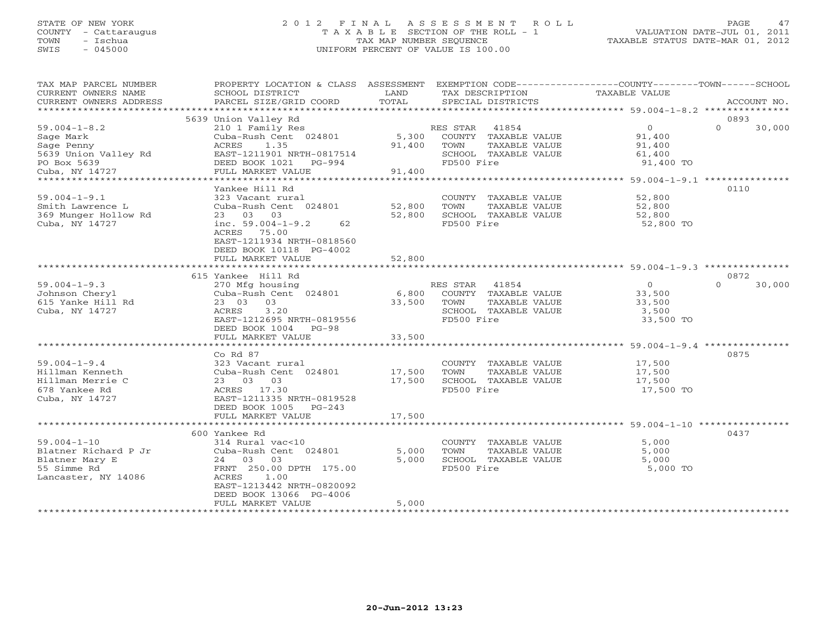## STATE OF NEW YORK 2 0 1 2 F I N A L A S S E S S M E N T R O L L PAGE 47 COUNTY - Cattaraugus T A X A B L E SECTION OF THE ROLL - 1 VALUATION DATE-JUL 01, 2011 TOWN - Ischua TAX MAP NUMBER SEQUENCE TAXABLE STATUS DATE-MAR 01, 2012 SWIS - 045000 UNIFORM PERCENT OF VALUE IS 100.00UNIFORM PERCENT OF VALUE IS 100.00

| TAX MAP PARCEL NUMBER<br>CURRENT OWNERS NAME<br>CURRENT OWNERS ADDRESS                                 | PROPERTY LOCATION & CLASS ASSESSMENT<br>SCHOOL DISTRICT<br>PARCEL SIZE/GRID COORD                                                                                                    | LAND<br>TOTAL             | EXEMPTION CODE-----------------COUNTY-------TOWN------SCHOOL<br>TAX DESCRIPTION<br>SPECIAL DISTRICTS     | <b>TAXABLE VALUE</b>                                      | ACCOUNT NO.                |
|--------------------------------------------------------------------------------------------------------|--------------------------------------------------------------------------------------------------------------------------------------------------------------------------------------|---------------------------|----------------------------------------------------------------------------------------------------------|-----------------------------------------------------------|----------------------------|
| *************************                                                                              |                                                                                                                                                                                      |                           |                                                                                                          |                                                           | ***************            |
| $59.004 - 1 - 8.2$<br>Sage Mark<br>Sage Penny<br>5639 Union Valley Rd<br>PO Box 5639<br>Cuba, NY 14727 | 5639 Union Valley Rd<br>210 1 Family Res<br>Cuba-Rush Cent 024801<br>ACRES<br>1.35<br>EAST-1211901 NRTH-0817514<br>DEED BOOK 1021<br>PG-994<br>FULL MARKET VALUE                     | 5,300<br>91,400<br>91,400 | RES STAR<br>41854<br>COUNTY TAXABLE VALUE<br>TOWN<br>TAXABLE VALUE<br>SCHOOL TAXABLE VALUE<br>FD500 Fire | $\overline{O}$<br>91,400<br>91,400<br>61,400<br>91,400 TO | 0893<br>$\Omega$<br>30,000 |
|                                                                                                        |                                                                                                                                                                                      |                           |                                                                                                          |                                                           |                            |
| $59.004 - 1 - 9.1$<br>Smith Lawrence L<br>369 Munger Hollow Rd<br>Cuba, NY 14727                       | Yankee Hill Rd<br>323 Vacant rural<br>Cuba-Rush Cent 024801<br>23 03 03<br>inc. $59.004 - 1 - 9.2$<br>62<br>ACRES 75.00<br>EAST-1211934 NRTH-0818560<br>DEED BOOK 10118 PG-4002      | 52,800<br>52,800          | COUNTY TAXABLE VALUE<br>TOWN<br>TAXABLE VALUE<br>SCHOOL TAXABLE VALUE<br>FD500 Fire                      | 52,800<br>52,800<br>52,800<br>52,800 TO                   | 0110                       |
|                                                                                                        | FULL MARKET VALUE                                                                                                                                                                    | 52,800                    |                                                                                                          |                                                           |                            |
|                                                                                                        |                                                                                                                                                                                      |                           |                                                                                                          |                                                           |                            |
| $59.004 - 1 - 9.3$<br>Johnson Cheryl<br>615 Yanke Hill Rd<br>Cuba, NY 14727                            | 615 Yankee Hill Rd<br>270 Mfg housing<br>Cuba-Rush Cent 024801<br>23 03<br>03<br><b>ACRES</b><br>3.20<br>EAST-1212695 NRTH-0819556<br>DEED BOOK 1004<br>$PG-98$<br>FULL MARKET VALUE | 6,800<br>33,500<br>33,500 | 41854<br>RES STAR<br>COUNTY TAXABLE VALUE<br>TOWN<br>TAXABLE VALUE<br>SCHOOL TAXABLE VALUE<br>FD500 Fire | $\Omega$<br>33,500<br>33,500<br>3,500<br>33,500 TO        | 0872<br>$\Omega$<br>30,000 |
|                                                                                                        |                                                                                                                                                                                      |                           |                                                                                                          |                                                           |                            |
| $59.004 - 1 - 9.4$<br>Hillman Kenneth<br>Hillman Merrie C<br>678 Yankee Rd<br>Cuba, NY 14727           | $Co$ Rd $87$<br>323 Vacant rural<br>Cuba-Rush Cent 024801<br>23 03 03<br>ACRES 17.30<br>EAST-1211335 NRTH-0819528                                                                    | 17,500<br>17,500          | COUNTY TAXABLE VALUE<br><b>TAXABLE VALUE</b><br><b>TOWN</b><br>SCHOOL TAXABLE VALUE<br>FD500 Fire        | 17,500<br>17,500<br>17,500<br>17,500 TO                   | 0875                       |
|                                                                                                        | DEED BOOK 1005<br>$PG-243$<br>FULL MARKET VALUE                                                                                                                                      | 17,500                    |                                                                                                          |                                                           |                            |
|                                                                                                        | ****************************                                                                                                                                                         | ************              | ******************************** 59.004-1-10 *****************                                           |                                                           |                            |
| $59.004 - 1 - 10$<br>Blatner Richard P Jr<br>Blatner Mary E<br>55 Simme Rd<br>Lancaster, NY 14086      | 600 Yankee Rd<br>314 Rural vac<10<br>Cuba-Rush Cent 024801<br>24 03<br>03<br>FRNT 250.00 DPTH 175.00<br>ACRES<br>1.00<br>EAST-1213442 NRTH-0820092<br>DEED BOOK 13066 PG-4006        | 5,000<br>5,000            | COUNTY TAXABLE VALUE<br>TAXABLE VALUE<br>TOWN<br>SCHOOL TAXABLE VALUE<br>FD500 Fire                      | 5,000<br>5,000<br>5,000<br>5,000 TO                       | 0437                       |
|                                                                                                        | FULL MARKET VALUE                                                                                                                                                                    | 5,000                     |                                                                                                          |                                                           |                            |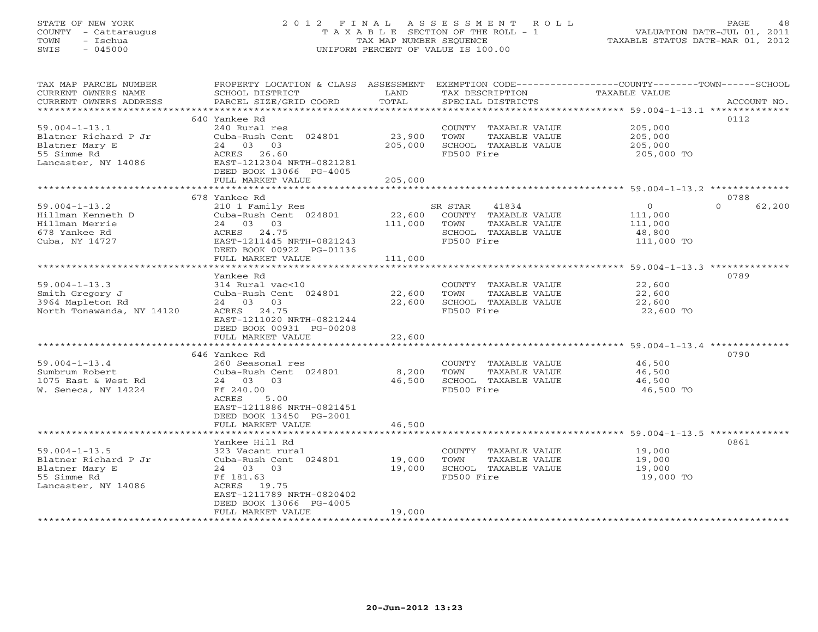# STATE OF NEW YORK 2 0 1 2 F I N A L A S S E S S M E N T R O L L PAGE 48 COUNTY - Cattaraugus T A X A B L E SECTION OF THE ROLL - 1 VALUATION DATE-JUL 01, 2011 TOWN - Ischua TAX MAP NUMBER SEQUENCE TAXABLE STATUS DATE-MAR 01, 2012 SWIS - 045000 UNIFORM PERCENT OF VALUE IS 100.00

| TAX MAP PARCEL NUMBER     | PROPERTY LOCATION & CLASS ASSESSMENT |         |                       | EXEMPTION CODE-----------------COUNTY-------TOWN------SCHOOL |
|---------------------------|--------------------------------------|---------|-----------------------|--------------------------------------------------------------|
| CURRENT OWNERS NAME       | SCHOOL DISTRICT                      | LAND    | TAX DESCRIPTION       | TAXABLE VALUE                                                |
| CURRENT OWNERS ADDRESS    | PARCEL SIZE/GRID COORD               | TOTAL   | SPECIAL DISTRICTS     | ACCOUNT NO.                                                  |
| ****************          | *************************            |         |                       |                                                              |
|                           | 640 Yankee Rd                        |         |                       | 0112                                                         |
| $59.004 - 1 - 13.1$       | 240 Rural res                        |         | COUNTY TAXABLE VALUE  | 205,000                                                      |
| Blatner Richard P Jr      | Cuba-Rush Cent 024801                | 23,900  | TOWN<br>TAXABLE VALUE | 205,000                                                      |
| Blatner Mary E            | 24 03 03                             | 205,000 | SCHOOL TAXABLE VALUE  | 205,000                                                      |
| 55 Simme Rd               | ACRES 26.60                          |         | FD500 Fire            | 205,000 TO                                                   |
| Lancaster, NY 14086       | EAST-1212304 NRTH-0821281            |         |                       |                                                              |
|                           | DEED BOOK 13066 PG-4005              |         |                       |                                                              |
|                           | FULL MARKET VALUE                    | 205,000 |                       |                                                              |
|                           |                                      |         |                       |                                                              |
|                           | 678 Yankee Rd                        |         |                       | 0788                                                         |
| $59.004 - 1 - 13.2$       | 210 1 Family Res                     |         | SR STAR<br>41834      | $\overline{O}$<br>$\Omega$<br>62,200                         |
| Hillman Kenneth D         | Cuba-Rush Cent 024801                | 22,600  | COUNTY TAXABLE VALUE  | 111,000                                                      |
| Hillman Merrie            | 24 03 03                             | 111,000 | TOWN<br>TAXABLE VALUE | 111,000                                                      |
| 678 Yankee Rd             | ACRES 24.75                          |         | SCHOOL TAXABLE VALUE  | 48,800                                                       |
| Cuba, NY 14727            | EAST-1211445 NRTH-0821243            |         | FD500 Fire            | 111,000 TO                                                   |
|                           | DEED BOOK 00922 PG-01136             |         |                       |                                                              |
|                           | FULL MARKET VALUE                    | 111,000 |                       |                                                              |
|                           |                                      |         |                       |                                                              |
|                           | Yankee Rd                            |         |                       | 0789                                                         |
| $59.004 - 1 - 13.3$       | 314 Rural vac<10                     |         | COUNTY TAXABLE VALUE  | 22,600                                                       |
| Smith Gregory J           | Cuba-Rush Cent 024801                | 22,600  | TAXABLE VALUE<br>TOWN | 22,600                                                       |
| 3964 Mapleton Rd          | 24 03 03                             | 22,600  | SCHOOL TAXABLE VALUE  | 22,600                                                       |
| North Tonawanda, NY 14120 | ACRES 24.75                          |         | FD500 Fire            | 22,600 TO                                                    |
|                           | EAST-1211020 NRTH-0821244            |         |                       |                                                              |
|                           | DEED BOOK 00931 PG-00208             |         |                       |                                                              |
|                           | FULL MARKET VALUE                    | 22,600  |                       |                                                              |
|                           |                                      |         |                       |                                                              |
|                           | 646 Yankee Rd                        |         |                       | 0790                                                         |
| $59.004 - 1 - 13.4$       | 260 Seasonal res                     |         | COUNTY TAXABLE VALUE  | 46,500                                                       |
| Sumbrum Robert            | Cuba-Rush Cent 024801                | 8,200   | TOWN<br>TAXABLE VALUE | 46,500                                                       |
| 1075 East & West Rd       | 24 03 03                             | 46,500  | SCHOOL TAXABLE VALUE  | 46,500                                                       |
| W. Seneca, NY 14224       | Ff 240.00                            |         | FD500 Fire            | 46,500 TO                                                    |
|                           | ACRES<br>5.00                        |         |                       |                                                              |
|                           | EAST-1211886 NRTH-0821451            |         |                       |                                                              |
|                           | DEED BOOK 13450 PG-2001              |         |                       |                                                              |
|                           | FULL MARKET VALUE                    | 46,500  |                       |                                                              |
|                           | Yankee Hill Rd                       |         |                       | 0861                                                         |
| $59.004 - 1 - 13.5$       | 323 Vacant rural                     |         | COUNTY TAXABLE VALUE  |                                                              |
| Blatner Richard P Jr      | Cuba-Rush Cent 024801                | 19,000  | TOWN<br>TAXABLE VALUE | 19,000<br>19,000                                             |
| Blatner Mary E            | 24 03 03                             | 19,000  | SCHOOL TAXABLE VALUE  | 19,000                                                       |
| 55 Simme Rd               | Ff 181.63                            |         | FD500 Fire            | 19,000 TO                                                    |
| Lancaster, NY 14086       | ACRES 19.75                          |         |                       |                                                              |
|                           | EAST-1211789 NRTH-0820402            |         |                       |                                                              |
|                           | DEED BOOK 13066 PG-4005              |         |                       |                                                              |
|                           | FULL MARKET VALUE                    | 19,000  |                       |                                                              |
|                           |                                      |         |                       |                                                              |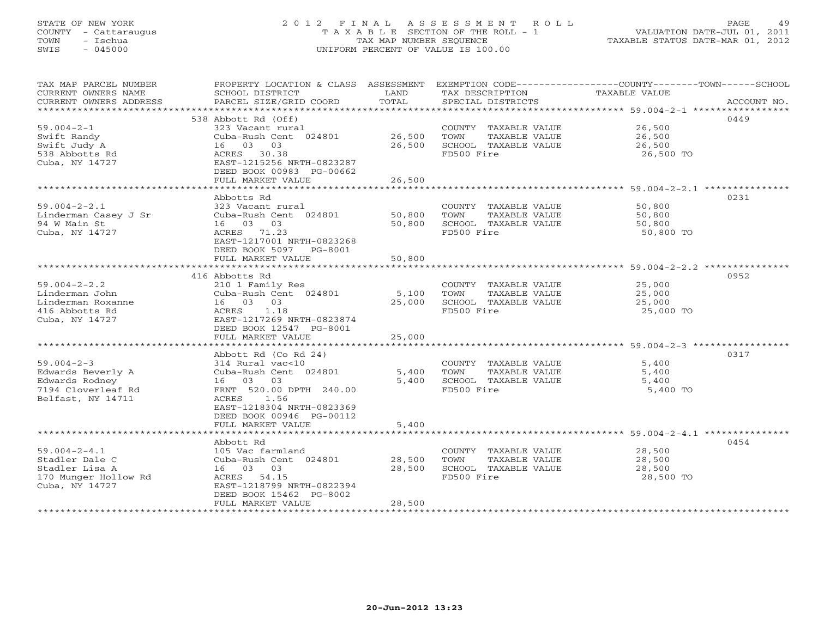# STATE OF NEW YORK 2 0 1 2 F I N A L A S S E S S M E N T R O L L PAGE 49 COUNTY - Cattaraugus T A X A B L E SECTION OF THE ROLL - 1 VALUATION DATE-JUL 01, 2011 TOWN - Ischua TAX MAP NUMBER SEQUENCE TAXABLE STATUS DATE-MAR 01, 2012 SWIS - 045000 UNIFORM PERCENT OF VALUE IS 100.00

| TAX MAP PARCEL NUMBER                  | PROPERTY LOCATION & CLASS ASSESSMENT EXEMPTION CODE---------------COUNTY-------TOWN------SCHOOL |        |                                    |                     |      |
|----------------------------------------|-------------------------------------------------------------------------------------------------|--------|------------------------------------|---------------------|------|
| CURRENT OWNERS NAME                    | SCHOOL DISTRICT                                                                                 | LAND   | TAX DESCRIPTION                    | TAXABLE VALUE       |      |
|                                        |                                                                                                 |        |                                    |                     |      |
|                                        |                                                                                                 |        |                                    |                     |      |
|                                        | 538 Abbott Rd (Off)                                                                             |        |                                    |                     | 0449 |
| $59.004 - 2 - 1$                       |                                                                                                 |        | COUNTY TAXABLE VALUE 26,500        |                     |      |
| Swift Randy                            |                                                                                                 |        | TAXABLE VALUE                      | 26,500              |      |
| Swift Judy A                           | 16 03 03                                                                                        | 26,500 | SCHOOL TAXABLE VALUE               | 26,500              |      |
| 538 Abbotts Rd                         | ACRES 30.38                                                                                     |        | FD500 Fire                         | 26,500 TO           |      |
| Cuba, NY 14727                         | EAST-1215256 NRTH-0823287                                                                       |        |                                    |                     |      |
|                                        | DEED BOOK 00983 PG-00662                                                                        |        |                                    |                     |      |
|                                        | FULL MARKET VALUE                                                                               | 26,500 |                                    |                     |      |
|                                        |                                                                                                 |        |                                    |                     |      |
|                                        | Abbotts Rd                                                                                      |        |                                    |                     | 0231 |
| $59.004 - 2 - 2.1$                     | 323 Vacant rural                                                                                |        | COUNTY TAXABLE VALUE               | 50,800              |      |
| Linderman Casey J Sr                   | Cuba-Rush Cent 024801 50,800                                                                    |        | TOWN<br>TAXABLE VALUE              | 50,800              |      |
| 94 W Main St                           | 16 03 03                                                                                        | 50,800 | SCHOOL TAXABLE VALUE               | 50,800              |      |
| Cuba, NY 14727                         | ACRES 71.23                                                                                     |        | FD500 Fire                         | 50,800 TO           |      |
|                                        | EAST-1217001 NRTH-0823268<br>DEED BOOK 5097 PG-8001                                             |        |                                    |                     |      |
|                                        | FULL MARKET VALUE                                                                               | 50,800 |                                    |                     |      |
|                                        |                                                                                                 |        |                                    |                     |      |
|                                        | 416 Abbotts Rd                                                                                  |        |                                    |                     | 0952 |
| $59.004 - 2 - 2.2$                     | 210 1 Family Res                                                                                |        | COUNTY TAXABLE VALUE 25,000        |                     |      |
| Linderman John                         | Cuba-Rush Cent 024801 5,100 TOWN                                                                |        | TAXABLE VALUE                      | 25,000              |      |
| Linderman Roxanne                      | 16 03 03                                                                                        |        | 25,000 SCHOOL TAXABLE VALUE        | 25,000              |      |
| 416 Abbotts Rd                         | ACRES 1.18                                                                                      |        | FD500 Fire                         | 25,000 TO           |      |
| Cuba, NY 14727                         | EAST-1217269 NRTH-0823874                                                                       |        |                                    |                     |      |
|                                        | DEED BOOK 12547 PG-8001                                                                         |        |                                    |                     |      |
|                                        | FULL MARKET VALUE                                                                               | 25,000 |                                    |                     |      |
|                                        |                                                                                                 |        |                                    |                     |      |
|                                        | Abbott Rd (Co Rd 24)                                                                            |        |                                    |                     | 0317 |
| $59.004 - 2 - 3$                       | 314 Rural vac<10                                                                                |        | COUNTY TAXABLE VALUE               | 5.400               |      |
| Edwards Beverly A                      | Cuba-Rush Cent 024801 5,400 TOWN                                                                |        | TAXABLE VALUE                      | 5,400               |      |
| Edwards Rodney                         | 16 03 03                                                                                        |        | 5,400 SCHOOL TAXABLE VALUE         | 5,400               |      |
| 7194 Cloverleaf Rd                     | FRNT 520.00 DPTH 240.00                                                                         |        | FD500 Fire                         | 5,400 TO            |      |
| Belfast, NY 14711                      | ACRES 1.56                                                                                      |        |                                    |                     |      |
|                                        | EAST-1218304 NRTH-0823369                                                                       |        |                                    |                     |      |
|                                        | DEED BOOK 00946 PG-00112                                                                        |        |                                    |                     |      |
|                                        | FULL MARKET VALUE                                                                               | 5,400  |                                    |                     |      |
|                                        |                                                                                                 |        |                                    |                     |      |
|                                        | Abbott Rd                                                                                       |        |                                    |                     | 0454 |
| $59.004 - 2 - 4.1$                     | 105 Vac farmland<br>Cuba-Rush Cent 024801 28,500                                                |        | COUNTY TAXABLE VALUE 28,500        |                     |      |
| Stadler Dale C                         |                                                                                                 |        | TOWN<br>TAXABLE VALUE              | 28,500              |      |
| Stadler Lisa A<br>170 Munger Hollow Rd | 16 03 03<br>ACRES 54.15                                                                         | 28,500 | SCHOOL TAXABLE VALUE<br>FD500 Fire | 28,500<br>28,500 TO |      |
|                                        | EAST-1218799 NRTH-0822394                                                                       |        |                                    |                     |      |
| Cuba, NY 14727                         | DEED BOOK 15462 PG-8002                                                                         |        |                                    |                     |      |
|                                        | FULL MARKET VALUE                                                                               | 28,500 |                                    |                     |      |
|                                        |                                                                                                 |        |                                    |                     |      |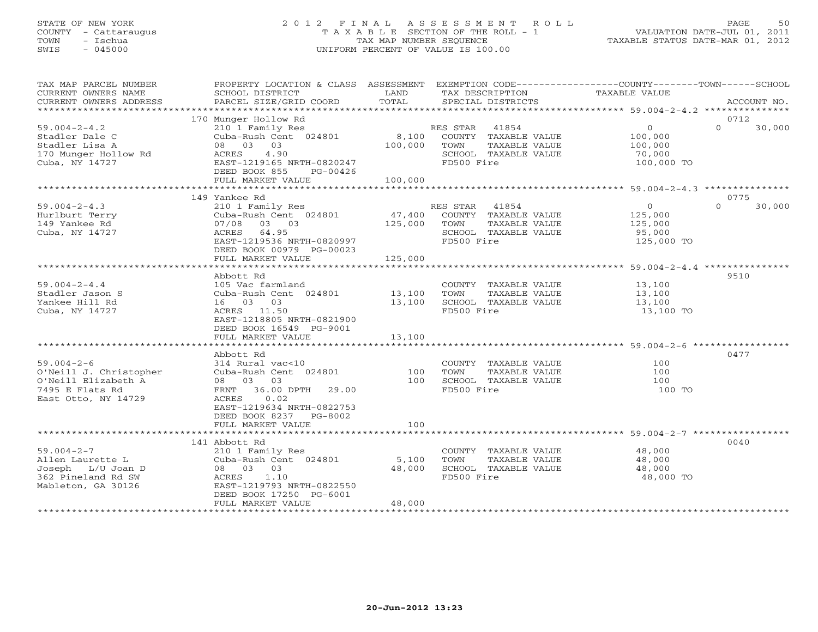## STATE OF NEW YORK 2 0 1 2 F I N A L A S S E S S M E N T R O L L PAGE 50 COUNTY - Cattaraugus T A X A B L E SECTION OF THE ROLL - 1 VALUATION DATE-JUL 01, 2011 TOWN - Ischua TAX MAP NUMBER SEQUENCE TAXABLE STATUS DATE-MAR 01, 2012 SWIS - 045000 UNIFORM PERCENT OF VALUE IS 100.00UNIFORM PERCENT OF VALUE IS 100.00

| TAX MAP PARCEL NUMBER<br>CURRENT OWNERS NAME<br>CURRENT OWNERS ADDRESS                                      | PROPERTY LOCATION & CLASS ASSESSMENT<br>SCHOOL DISTRICT<br>PARCEL SIZE/GRID COORD                                                                                   | LAND<br>TOTAL              | EXEMPTION CODE-----------------COUNTY-------TOWN------SCHOOL<br>TAX DESCRIPTION<br>SPECIAL DISTRICTS  | TAXABLE VALUE                                                | ACCOUNT NO.        |
|-------------------------------------------------------------------------------------------------------------|---------------------------------------------------------------------------------------------------------------------------------------------------------------------|----------------------------|-------------------------------------------------------------------------------------------------------|--------------------------------------------------------------|--------------------|
|                                                                                                             |                                                                                                                                                                     |                            |                                                                                                       |                                                              |                    |
|                                                                                                             | 170 Munger Hollow Rd                                                                                                                                                |                            |                                                                                                       |                                                              | 0712               |
| $59.004 - 2 - 4.2$<br>Stadler Dale C<br>Stadler Lisa A<br>170 Munger Hollow Rd<br>Cuba, NY 14727            | 210 1 Family Res<br>Cuba-Rush Cent 024801<br>08 03 03<br>4.90<br>ACRES<br>EAST-1219165 NRTH-0820247<br>DEED BOOK 855<br>PG-00426                                    | 8,100<br>100,000           | RES STAR 41854<br>COUNTY TAXABLE VALUE<br>TAXABLE VALUE<br>TOWN<br>SCHOOL TAXABLE VALUE<br>FD500 Fire | $\overline{0}$<br>100,000<br>100,000<br>70,000<br>100,000 TO | $\Omega$<br>30,000 |
|                                                                                                             | FULL MARKET VALUE                                                                                                                                                   | 100,000                    |                                                                                                       |                                                              |                    |
|                                                                                                             |                                                                                                                                                                     |                            |                                                                                                       |                                                              |                    |
|                                                                                                             | 149 Yankee Rd                                                                                                                                                       |                            |                                                                                                       |                                                              | 0775               |
| $59.004 - 2 - 4.3$<br>Hurlburt Terry<br>149 Yankee Rd<br>Cuba, NY 14727                                     | 210 1 Family Res<br>Cuba-Rush Cent 024801<br>03 03<br>07/08<br>ACRES 64.95<br>EAST-1219536 NRTH-0820997<br>DEED BOOK 00979 PG-00023                                 | 47,400<br>125,000          | RES STAR 41854<br>COUNTY TAXABLE VALUE<br>TOWN<br>TAXABLE VALUE<br>SCHOOL TAXABLE VALUE<br>FD500 Fire | $\overline{O}$<br>125,000<br>125,000<br>95,000<br>125,000 TO | $\Omega$<br>30,000 |
|                                                                                                             | FULL MARKET VALUE                                                                                                                                                   | 125,000                    |                                                                                                       |                                                              |                    |
|                                                                                                             | Abbott Rd                                                                                                                                                           |                            |                                                                                                       |                                                              | 9510               |
| $59.004 - 2 - 4.4$<br>Stadler Jason S<br>Yankee Hill Rd<br>Cuba, NY 14727                                   | 105 Vac farmland<br>Cuba-Rush Cent 024801<br>16 03 03<br>ACRES 11.50<br>EAST-1218805 NRTH-0821900<br>DEED BOOK 16549 PG-9001<br>FULL MARKET VALUE                   | 13,100<br>13,100<br>13,100 | COUNTY TAXABLE VALUE<br>TOWN<br>TAXABLE VALUE<br>SCHOOL TAXABLE VALUE<br>FD500 Fire                   | 13,100<br>13,100<br>13,100<br>13,100 TO                      |                    |
|                                                                                                             |                                                                                                                                                                     |                            |                                                                                                       |                                                              |                    |
| $59.004 - 2 - 6$<br>O'Neill J. Christopher<br>O'Neill Elizabeth A<br>7495 E Flats Rd<br>East Otto, NY 14729 | Abbott Rd<br>314 Rural vac<10<br>Cuba-Rush Cent 024801<br>08 03 03<br>FRNT 36.00 DPTH 29.00<br>0.02<br>ACRES<br>EAST-1219634 NRTH-0822753<br>DEED BOOK 8237 PG-8002 | 100<br>100                 | COUNTY TAXABLE VALUE<br>TOWN<br>TAXABLE VALUE<br>SCHOOL TAXABLE VALUE<br>FD500 Fire                   | 100<br>100<br>100<br>100 TO                                  | 0477               |
|                                                                                                             | FULL MARKET VALUE                                                                                                                                                   | 100                        |                                                                                                       |                                                              |                    |
|                                                                                                             |                                                                                                                                                                     |                            |                                                                                                       |                                                              |                    |
| $59.004 - 2 - 7$<br>Allen Laurette L<br>Joseph L/U Joan D<br>362 Pineland Rd SW<br>Mableton, GA 30126       | 141 Abbott Rd<br>210 1 Family Res<br>Cuba-Rush Cent 024801<br>08 03 03<br>1.10<br>ACRES<br>EAST-1219793 NRTH-0822550<br>DEED BOOK 17250 PG-6001                     | 5,100<br>48,000            | COUNTY TAXABLE VALUE<br>TOWN<br>TAXABLE VALUE<br>SCHOOL TAXABLE VALUE<br>FD500 Fire                   | 48,000<br>48,000<br>48,000<br>48,000 TO                      | 0040               |
|                                                                                                             | FULL MARKET VALUE                                                                                                                                                   | 48,000                     |                                                                                                       |                                                              |                    |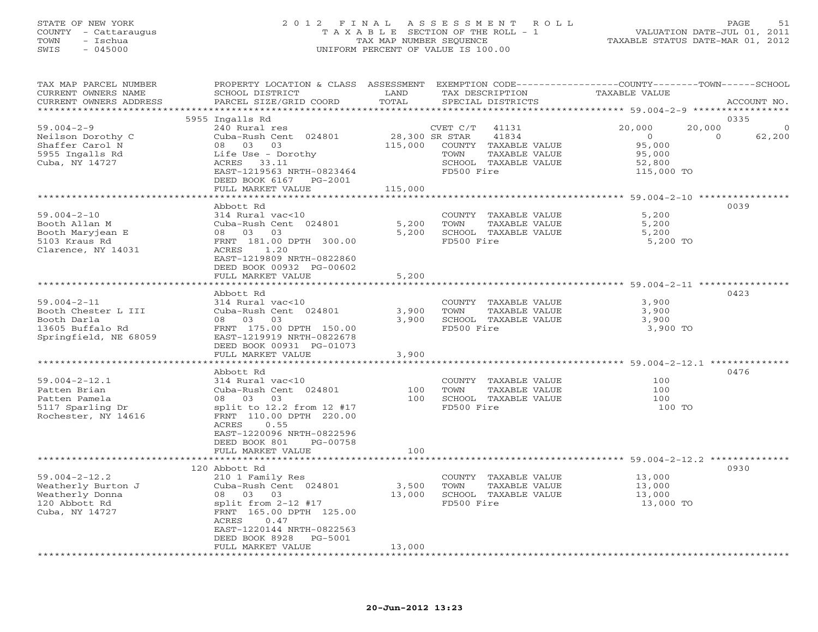## STATE OF NEW YORK 2 0 1 2 F I N A L A S S E S S M E N T R O L L PAGE 51 COUNTY - Cattaraugus T A X A B L E SECTION OF THE ROLL - 1 VALUATION DATE-JUL 01, 2011 TOWN - Ischua TAX MAP NUMBER SEQUENCE TAXABLE STATUS DATE-MAR 01, 2012 SWIS - 045000 UNIFORM PERCENT OF VALUE IS 100.00UNIFORM PERCENT OF VALUE IS 100.00

| TAX MAP PARCEL NUMBER<br>CURRENT OWNERS NAME<br>CURRENT OWNERS ADDRESS                               | PROPERTY LOCATION & CLASS ASSESSMENT<br>SCHOOL DISTRICT<br>PARCEL SIZE/GRID COORD                                                                                                                   | LAND<br>TOTAL           | EXEMPTION CODE-----------------COUNTY-------TOWN------SCHOOL<br>TAX DESCRIPTION<br>SPECIAL DISTRICTS                                | TAXABLE VALUE                                                           | ACCOUNT NO.                            |
|------------------------------------------------------------------------------------------------------|-----------------------------------------------------------------------------------------------------------------------------------------------------------------------------------------------------|-------------------------|-------------------------------------------------------------------------------------------------------------------------------------|-------------------------------------------------------------------------|----------------------------------------|
| *******************                                                                                  |                                                                                                                                                                                                     |                         |                                                                                                                                     |                                                                         |                                        |
| $59.004 - 2 - 9$<br>Neilson Dorothy C<br>Shaffer Carol N<br>5955 Ingalls Rd<br>Cuba, NY 14727        | 5955 Ingalls Rd<br>240 Rural res<br>Cuba-Rush Cent 024801<br>08 03 03<br>Life Use - Dorothy<br>ACRES 33.11<br>EAST-1219563 NRTH-0823464<br>DEED BOOK 6167 PG-2001<br>FULL MARKET VALUE              | 115,000<br>115,000      | CVET C/T<br>41131<br>28,300 SR STAR<br>41834<br>COUNTY TAXABLE VALUE<br>TOWN<br>TAXABLE VALUE<br>SCHOOL TAXABLE VALUE<br>FD500 Fire | 20,000<br>20,000<br>$\circ$<br>95,000<br>95,000<br>52,800<br>115,000 TO | 0335<br>$\Omega$<br>$\Omega$<br>62,200 |
|                                                                                                      | **********************                                                                                                                                                                              | *************           |                                                                                                                                     | ******************** 59.004-2-10 ****************                       |                                        |
| $59.004 - 2 - 10$<br>Booth Allan M<br>Booth Maryjean E<br>5103 Kraus Rd<br>Clarence, NY 14031        | Abbott Rd<br>314 Rural vac<10<br>Cuba-Rush Cent 024801<br>03<br>08 03<br>FRNT 181.00 DPTH 300.00<br>ACRES<br>1.20<br>EAST-1219809 NRTH-0822860<br>DEED BOOK 00932 PG-00602<br>FULL MARKET VALUE     | 5,200<br>5,200<br>5,200 | COUNTY TAXABLE VALUE<br>TOWN<br>TAXABLE VALUE<br>SCHOOL TAXABLE VALUE<br>FD500 Fire                                                 | 5,200<br>5,200<br>5,200<br>5,200 TO                                     | 0039                                   |
|                                                                                                      |                                                                                                                                                                                                     |                         |                                                                                                                                     |                                                                         |                                        |
| $59.004 - 2 - 11$<br>Booth Chester L III<br>Booth Darla<br>13605 Buffalo Rd<br>Springfield, NE 68059 | Abbott Rd<br>314 Rural vac<10<br>Cuba-Rush Cent 024801<br>08 03<br>03<br>FRNT 175.00 DPTH 150.00<br>EAST-1219919 NRTH-0822678<br>DEED BOOK 00931 PG-01073<br>FULL MARKET VALUE                      | 3,900<br>3,900<br>3,900 | COUNTY TAXABLE VALUE<br>TOWN<br>TAXABLE VALUE<br>SCHOOL TAXABLE VALUE<br>FD500 Fire                                                 | 3,900<br>3,900<br>3,900<br>3,900 TO                                     | 0423                                   |
|                                                                                                      | * * * * * * * * * * * * * * * *<br>Abbott Rd                                                                                                                                                        |                         |                                                                                                                                     | ******************** 59.004-2-12.1 *********                            | 0476                                   |
| $59.004 - 2 - 12.1$<br>Patten Brian<br>Patten Pamela<br>5117 Sparling Dr<br>Rochester, NY 14616      | 314 Rural vac<10<br>Cuba-Rush Cent 024801<br>08 03<br>03<br>split to $12.2$ from $12$ #17<br>FRNT 110.00 DPTH 220.00<br>ACRES<br>0.55<br>EAST-1220096 NRTH-0822596<br>DEED BOOK 801<br>PG-00758     | 100<br>100              | COUNTY TAXABLE VALUE<br>TOWN<br>TAXABLE VALUE<br>SCHOOL TAXABLE VALUE<br>FD500 Fire                                                 | 100<br>100<br>100<br>100 TO                                             |                                        |
|                                                                                                      | FULL MARKET VALUE                                                                                                                                                                                   | 100                     |                                                                                                                                     |                                                                         |                                        |
| $59.004 - 2 - 12.2$<br>Weatherly Burton J<br>Weatherly Donna<br>120 Abbott Rd<br>Cuba, NY 14727      | 120 Abbott Rd<br>210 1 Family Res<br>Cuba-Rush Cent 024801<br>08 03 03<br>split from 2-12 #17<br>FRNT 165.00 DPTH 125.00<br>ACRES<br>0.47<br>EAST-1220144 NRTH-0822563<br>DEED BOOK 8928<br>PG-5001 | 3,500<br>13,000         | COUNTY TAXABLE VALUE<br>TOWN<br>TAXABLE VALUE<br>SCHOOL TAXABLE VALUE<br>FD500 Fire                                                 | 13,000<br>13,000<br>13,000<br>13,000 TO                                 | 0930                                   |
| ******************                                                                                   | FULL MARKET VALUE                                                                                                                                                                                   | 13,000                  |                                                                                                                                     |                                                                         |                                        |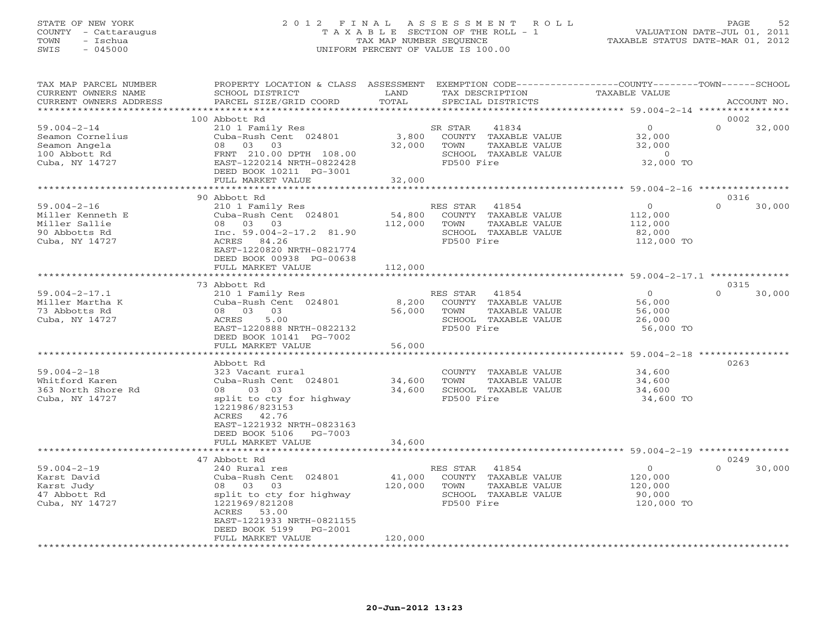#### STATE OF NEW YORK 2 0 1 2 F I N A L A S S E S S M E N T R O L L PAGE 52 COUNTY - Cattaraugus T A X A B L E SECTION OF THE ROLL - 1 VALUATION DATE-JUL 01, 2011 TOWN - Ischua TAX MAP NUMBER SEQUENCE TAXABLE STATUS DATE-MAR 01, 2012 SWIS - 045000 UNIFORM PERCENT OF VALUE IS 100.00UNIFORM PERCENT OF VALUE IS 100.00

| *********<br>********** 59.004-2-14 *****************<br>0002<br>100 Abbott Rd<br>$\circ$<br>$\Omega$<br>$59.004 - 2 - 14$<br>210 1 Family Res<br>41834<br>32,000<br>SR STAR<br>Seamon Cornelius<br>Cuba-Rush Cent 024801<br>3,800<br>COUNTY TAXABLE VALUE<br>32,000<br>32,000<br>Seamon Angela<br>08 03 03<br>TOWN<br>TAXABLE VALUE<br>32,000<br>100 Abbott Rd<br>SCHOOL TAXABLE VALUE<br>FRNT 210.00 DPTH 108.00<br>$\circ$<br>Cuba, NY 14727<br>EAST-1220214 NRTH-0822428<br>FD500 Fire<br>32,000 TO<br>DEED BOOK 10211 PG-3001<br>FULL MARKET VALUE<br>32,000<br>***************** 59.004-2-16 **********<br>90 Abbott Rd<br>0316<br>$59.004 - 2 - 16$<br>41854<br>$\Omega$<br>30,000<br>210 1 Family Res<br>RES STAR<br>$\circ$<br>54,800<br>Cuba-Rush Cent 024801<br>COUNTY TAXABLE VALUE<br>Miller Kenneth E<br>112,000<br>Miller Sallie<br>08 03 03<br>112,000<br>TOWN<br>TAXABLE VALUE<br>112,000<br>Inc. $59.004 - 2 - 17.2$ 81.90<br>90 Abbotts Rd<br>SCHOOL TAXABLE VALUE<br>82,000<br>Cuba, NY 14727<br>ACRES 84.26<br>FD500 Fire<br>112,000 TO<br>EAST-1220820 NRTH-0821774<br>DEED BOOK 00938 PG-00638<br>FULL MARKET VALUE<br>112,000<br>**************************<br>0315<br>73 Abbott Rd<br>$\Omega$<br>30,000<br>$59.004 - 2 - 17.1$<br>210 1 Family Res<br>RES STAR<br>41854<br>$\overline{0}$<br>8,200<br>COUNTY TAXABLE VALUE<br>Miller Martha K<br>Cuba-Rush Cent 024801<br>56,000<br>73 Abbotts Rd<br>08 03 03<br>56,000<br>TAXABLE VALUE<br>TOWN<br>56,000<br>Cuba, NY 14727<br>5.00<br>ACRES<br>SCHOOL TAXABLE VALUE<br>26,000<br>FD500 Fire<br>EAST-1220888 NRTH-0822132<br>56,000 TO<br>DEED BOOK 10141 PG-7002<br>56,000<br>FULL MARKET VALUE<br>0263<br>Abbott Rd<br>$59.004 - 2 - 18$<br>323 Vacant rural<br>COUNTY TAXABLE VALUE<br>34,600<br>Whitford Karen<br>Cuba-Rush Cent 024801<br>34,600<br>TOWN<br>TAXABLE VALUE<br>34,600<br>363 North Shore Rd<br>08 03 03<br>34,600<br>SCHOOL TAXABLE VALUE<br>34,600<br>FD500 Fire<br>34,600 TO<br>Cuba, NY 14727<br>split to cty for highway<br>1221986/823153<br>ACRES 42.76<br>EAST-1221932 NRTH-0823163<br>DEED BOOK 5106<br>PG-7003<br>34,600<br>FULL MARKET VALUE<br>0249<br>47 Abbott Rd<br>$59.004 - 2 - 19$<br>$\circ$<br>$\Omega$<br>30,000<br>240 Rural res<br>RES STAR<br>41854<br>Karst David<br>Cuba-Rush Cent 024801<br>41,000<br>COUNTY TAXABLE VALUE<br>120,000<br>08 03 03<br>120,000<br>TAXABLE VALUE<br>Karst Judy<br>TOWN<br>120,000<br>SCHOOL TAXABLE VALUE<br>47 Abbott Rd<br>split to cty for highway<br>90,000<br>Cuba, NY 14727<br>1221969/821208<br>FD500 Fire<br>120,000 TO<br>ACRES 53.00<br>EAST-1221933 NRTH-0821155<br>DEED BOOK 5199<br>PG-2001<br>FULL MARKET VALUE<br>120,000 | TAX MAP PARCEL NUMBER<br>CURRENT OWNERS NAME | PROPERTY LOCATION & CLASS ASSESSMENT<br>SCHOOL DISTRICT | LAND  | EXEMPTION CODE-----------------COUNTY-------TOWN-----SCHOOL<br>TAX DESCRIPTION | <b>TAXABLE VALUE</b> |             |
|-----------------------------------------------------------------------------------------------------------------------------------------------------------------------------------------------------------------------------------------------------------------------------------------------------------------------------------------------------------------------------------------------------------------------------------------------------------------------------------------------------------------------------------------------------------------------------------------------------------------------------------------------------------------------------------------------------------------------------------------------------------------------------------------------------------------------------------------------------------------------------------------------------------------------------------------------------------------------------------------------------------------------------------------------------------------------------------------------------------------------------------------------------------------------------------------------------------------------------------------------------------------------------------------------------------------------------------------------------------------------------------------------------------------------------------------------------------------------------------------------------------------------------------------------------------------------------------------------------------------------------------------------------------------------------------------------------------------------------------------------------------------------------------------------------------------------------------------------------------------------------------------------------------------------------------------------------------------------------------------------------------------------------------------------------------------------------------------------------------------------------------------------------------------------------------------------------------------------------------------------------------------------------------------------------------------------------------------------------------------------------------------------------------------------------------------------------------------------------------------------------------------------------------------------------------------------------------------------------------------------------------------------------------------------------------------------|----------------------------------------------|---------------------------------------------------------|-------|--------------------------------------------------------------------------------|----------------------|-------------|
|                                                                                                                                                                                                                                                                                                                                                                                                                                                                                                                                                                                                                                                                                                                                                                                                                                                                                                                                                                                                                                                                                                                                                                                                                                                                                                                                                                                                                                                                                                                                                                                                                                                                                                                                                                                                                                                                                                                                                                                                                                                                                                                                                                                                                                                                                                                                                                                                                                                                                                                                                                                                                                                                                               | CURRENT OWNERS ADDRESS                       | PARCEL SIZE/GRID COORD                                  | TOTAL | SPECIAL DISTRICTS                                                              |                      | ACCOUNT NO. |
|                                                                                                                                                                                                                                                                                                                                                                                                                                                                                                                                                                                                                                                                                                                                                                                                                                                                                                                                                                                                                                                                                                                                                                                                                                                                                                                                                                                                                                                                                                                                                                                                                                                                                                                                                                                                                                                                                                                                                                                                                                                                                                                                                                                                                                                                                                                                                                                                                                                                                                                                                                                                                                                                                               |                                              |                                                         |       |                                                                                |                      |             |
|                                                                                                                                                                                                                                                                                                                                                                                                                                                                                                                                                                                                                                                                                                                                                                                                                                                                                                                                                                                                                                                                                                                                                                                                                                                                                                                                                                                                                                                                                                                                                                                                                                                                                                                                                                                                                                                                                                                                                                                                                                                                                                                                                                                                                                                                                                                                                                                                                                                                                                                                                                                                                                                                                               |                                              |                                                         |       |                                                                                |                      |             |
|                                                                                                                                                                                                                                                                                                                                                                                                                                                                                                                                                                                                                                                                                                                                                                                                                                                                                                                                                                                                                                                                                                                                                                                                                                                                                                                                                                                                                                                                                                                                                                                                                                                                                                                                                                                                                                                                                                                                                                                                                                                                                                                                                                                                                                                                                                                                                                                                                                                                                                                                                                                                                                                                                               |                                              |                                                         |       |                                                                                |                      |             |
|                                                                                                                                                                                                                                                                                                                                                                                                                                                                                                                                                                                                                                                                                                                                                                                                                                                                                                                                                                                                                                                                                                                                                                                                                                                                                                                                                                                                                                                                                                                                                                                                                                                                                                                                                                                                                                                                                                                                                                                                                                                                                                                                                                                                                                                                                                                                                                                                                                                                                                                                                                                                                                                                                               |                                              |                                                         |       |                                                                                |                      |             |
|                                                                                                                                                                                                                                                                                                                                                                                                                                                                                                                                                                                                                                                                                                                                                                                                                                                                                                                                                                                                                                                                                                                                                                                                                                                                                                                                                                                                                                                                                                                                                                                                                                                                                                                                                                                                                                                                                                                                                                                                                                                                                                                                                                                                                                                                                                                                                                                                                                                                                                                                                                                                                                                                                               |                                              |                                                         |       |                                                                                |                      |             |
|                                                                                                                                                                                                                                                                                                                                                                                                                                                                                                                                                                                                                                                                                                                                                                                                                                                                                                                                                                                                                                                                                                                                                                                                                                                                                                                                                                                                                                                                                                                                                                                                                                                                                                                                                                                                                                                                                                                                                                                                                                                                                                                                                                                                                                                                                                                                                                                                                                                                                                                                                                                                                                                                                               |                                              |                                                         |       |                                                                                |                      |             |
|                                                                                                                                                                                                                                                                                                                                                                                                                                                                                                                                                                                                                                                                                                                                                                                                                                                                                                                                                                                                                                                                                                                                                                                                                                                                                                                                                                                                                                                                                                                                                                                                                                                                                                                                                                                                                                                                                                                                                                                                                                                                                                                                                                                                                                                                                                                                                                                                                                                                                                                                                                                                                                                                                               |                                              |                                                         |       |                                                                                |                      |             |
|                                                                                                                                                                                                                                                                                                                                                                                                                                                                                                                                                                                                                                                                                                                                                                                                                                                                                                                                                                                                                                                                                                                                                                                                                                                                                                                                                                                                                                                                                                                                                                                                                                                                                                                                                                                                                                                                                                                                                                                                                                                                                                                                                                                                                                                                                                                                                                                                                                                                                                                                                                                                                                                                                               |                                              |                                                         |       |                                                                                |                      |             |
|                                                                                                                                                                                                                                                                                                                                                                                                                                                                                                                                                                                                                                                                                                                                                                                                                                                                                                                                                                                                                                                                                                                                                                                                                                                                                                                                                                                                                                                                                                                                                                                                                                                                                                                                                                                                                                                                                                                                                                                                                                                                                                                                                                                                                                                                                                                                                                                                                                                                                                                                                                                                                                                                                               |                                              |                                                         |       |                                                                                |                      |             |
|                                                                                                                                                                                                                                                                                                                                                                                                                                                                                                                                                                                                                                                                                                                                                                                                                                                                                                                                                                                                                                                                                                                                                                                                                                                                                                                                                                                                                                                                                                                                                                                                                                                                                                                                                                                                                                                                                                                                                                                                                                                                                                                                                                                                                                                                                                                                                                                                                                                                                                                                                                                                                                                                                               |                                              |                                                         |       |                                                                                |                      |             |
|                                                                                                                                                                                                                                                                                                                                                                                                                                                                                                                                                                                                                                                                                                                                                                                                                                                                                                                                                                                                                                                                                                                                                                                                                                                                                                                                                                                                                                                                                                                                                                                                                                                                                                                                                                                                                                                                                                                                                                                                                                                                                                                                                                                                                                                                                                                                                                                                                                                                                                                                                                                                                                                                                               |                                              |                                                         |       |                                                                                |                      |             |
|                                                                                                                                                                                                                                                                                                                                                                                                                                                                                                                                                                                                                                                                                                                                                                                                                                                                                                                                                                                                                                                                                                                                                                                                                                                                                                                                                                                                                                                                                                                                                                                                                                                                                                                                                                                                                                                                                                                                                                                                                                                                                                                                                                                                                                                                                                                                                                                                                                                                                                                                                                                                                                                                                               |                                              |                                                         |       |                                                                                |                      |             |
|                                                                                                                                                                                                                                                                                                                                                                                                                                                                                                                                                                                                                                                                                                                                                                                                                                                                                                                                                                                                                                                                                                                                                                                                                                                                                                                                                                                                                                                                                                                                                                                                                                                                                                                                                                                                                                                                                                                                                                                                                                                                                                                                                                                                                                                                                                                                                                                                                                                                                                                                                                                                                                                                                               |                                              |                                                         |       |                                                                                |                      |             |
|                                                                                                                                                                                                                                                                                                                                                                                                                                                                                                                                                                                                                                                                                                                                                                                                                                                                                                                                                                                                                                                                                                                                                                                                                                                                                                                                                                                                                                                                                                                                                                                                                                                                                                                                                                                                                                                                                                                                                                                                                                                                                                                                                                                                                                                                                                                                                                                                                                                                                                                                                                                                                                                                                               |                                              |                                                         |       |                                                                                |                      |             |
|                                                                                                                                                                                                                                                                                                                                                                                                                                                                                                                                                                                                                                                                                                                                                                                                                                                                                                                                                                                                                                                                                                                                                                                                                                                                                                                                                                                                                                                                                                                                                                                                                                                                                                                                                                                                                                                                                                                                                                                                                                                                                                                                                                                                                                                                                                                                                                                                                                                                                                                                                                                                                                                                                               |                                              |                                                         |       |                                                                                |                      |             |
|                                                                                                                                                                                                                                                                                                                                                                                                                                                                                                                                                                                                                                                                                                                                                                                                                                                                                                                                                                                                                                                                                                                                                                                                                                                                                                                                                                                                                                                                                                                                                                                                                                                                                                                                                                                                                                                                                                                                                                                                                                                                                                                                                                                                                                                                                                                                                                                                                                                                                                                                                                                                                                                                                               |                                              |                                                         |       |                                                                                |                      |             |
|                                                                                                                                                                                                                                                                                                                                                                                                                                                                                                                                                                                                                                                                                                                                                                                                                                                                                                                                                                                                                                                                                                                                                                                                                                                                                                                                                                                                                                                                                                                                                                                                                                                                                                                                                                                                                                                                                                                                                                                                                                                                                                                                                                                                                                                                                                                                                                                                                                                                                                                                                                                                                                                                                               |                                              |                                                         |       |                                                                                |                      |             |
|                                                                                                                                                                                                                                                                                                                                                                                                                                                                                                                                                                                                                                                                                                                                                                                                                                                                                                                                                                                                                                                                                                                                                                                                                                                                                                                                                                                                                                                                                                                                                                                                                                                                                                                                                                                                                                                                                                                                                                                                                                                                                                                                                                                                                                                                                                                                                                                                                                                                                                                                                                                                                                                                                               |                                              |                                                         |       |                                                                                |                      |             |
|                                                                                                                                                                                                                                                                                                                                                                                                                                                                                                                                                                                                                                                                                                                                                                                                                                                                                                                                                                                                                                                                                                                                                                                                                                                                                                                                                                                                                                                                                                                                                                                                                                                                                                                                                                                                                                                                                                                                                                                                                                                                                                                                                                                                                                                                                                                                                                                                                                                                                                                                                                                                                                                                                               |                                              |                                                         |       |                                                                                |                      |             |
|                                                                                                                                                                                                                                                                                                                                                                                                                                                                                                                                                                                                                                                                                                                                                                                                                                                                                                                                                                                                                                                                                                                                                                                                                                                                                                                                                                                                                                                                                                                                                                                                                                                                                                                                                                                                                                                                                                                                                                                                                                                                                                                                                                                                                                                                                                                                                                                                                                                                                                                                                                                                                                                                                               |                                              |                                                         |       |                                                                                |                      |             |
|                                                                                                                                                                                                                                                                                                                                                                                                                                                                                                                                                                                                                                                                                                                                                                                                                                                                                                                                                                                                                                                                                                                                                                                                                                                                                                                                                                                                                                                                                                                                                                                                                                                                                                                                                                                                                                                                                                                                                                                                                                                                                                                                                                                                                                                                                                                                                                                                                                                                                                                                                                                                                                                                                               |                                              |                                                         |       |                                                                                |                      |             |
|                                                                                                                                                                                                                                                                                                                                                                                                                                                                                                                                                                                                                                                                                                                                                                                                                                                                                                                                                                                                                                                                                                                                                                                                                                                                                                                                                                                                                                                                                                                                                                                                                                                                                                                                                                                                                                                                                                                                                                                                                                                                                                                                                                                                                                                                                                                                                                                                                                                                                                                                                                                                                                                                                               |                                              |                                                         |       |                                                                                |                      |             |
|                                                                                                                                                                                                                                                                                                                                                                                                                                                                                                                                                                                                                                                                                                                                                                                                                                                                                                                                                                                                                                                                                                                                                                                                                                                                                                                                                                                                                                                                                                                                                                                                                                                                                                                                                                                                                                                                                                                                                                                                                                                                                                                                                                                                                                                                                                                                                                                                                                                                                                                                                                                                                                                                                               |                                              |                                                         |       |                                                                                |                      |             |
|                                                                                                                                                                                                                                                                                                                                                                                                                                                                                                                                                                                                                                                                                                                                                                                                                                                                                                                                                                                                                                                                                                                                                                                                                                                                                                                                                                                                                                                                                                                                                                                                                                                                                                                                                                                                                                                                                                                                                                                                                                                                                                                                                                                                                                                                                                                                                                                                                                                                                                                                                                                                                                                                                               |                                              |                                                         |       |                                                                                |                      |             |
|                                                                                                                                                                                                                                                                                                                                                                                                                                                                                                                                                                                                                                                                                                                                                                                                                                                                                                                                                                                                                                                                                                                                                                                                                                                                                                                                                                                                                                                                                                                                                                                                                                                                                                                                                                                                                                                                                                                                                                                                                                                                                                                                                                                                                                                                                                                                                                                                                                                                                                                                                                                                                                                                                               |                                              |                                                         |       |                                                                                |                      |             |
|                                                                                                                                                                                                                                                                                                                                                                                                                                                                                                                                                                                                                                                                                                                                                                                                                                                                                                                                                                                                                                                                                                                                                                                                                                                                                                                                                                                                                                                                                                                                                                                                                                                                                                                                                                                                                                                                                                                                                                                                                                                                                                                                                                                                                                                                                                                                                                                                                                                                                                                                                                                                                                                                                               |                                              |                                                         |       |                                                                                |                      |             |
|                                                                                                                                                                                                                                                                                                                                                                                                                                                                                                                                                                                                                                                                                                                                                                                                                                                                                                                                                                                                                                                                                                                                                                                                                                                                                                                                                                                                                                                                                                                                                                                                                                                                                                                                                                                                                                                                                                                                                                                                                                                                                                                                                                                                                                                                                                                                                                                                                                                                                                                                                                                                                                                                                               |                                              |                                                         |       |                                                                                |                      |             |
|                                                                                                                                                                                                                                                                                                                                                                                                                                                                                                                                                                                                                                                                                                                                                                                                                                                                                                                                                                                                                                                                                                                                                                                                                                                                                                                                                                                                                                                                                                                                                                                                                                                                                                                                                                                                                                                                                                                                                                                                                                                                                                                                                                                                                                                                                                                                                                                                                                                                                                                                                                                                                                                                                               |                                              |                                                         |       |                                                                                |                      |             |
|                                                                                                                                                                                                                                                                                                                                                                                                                                                                                                                                                                                                                                                                                                                                                                                                                                                                                                                                                                                                                                                                                                                                                                                                                                                                                                                                                                                                                                                                                                                                                                                                                                                                                                                                                                                                                                                                                                                                                                                                                                                                                                                                                                                                                                                                                                                                                                                                                                                                                                                                                                                                                                                                                               |                                              |                                                         |       |                                                                                |                      |             |
|                                                                                                                                                                                                                                                                                                                                                                                                                                                                                                                                                                                                                                                                                                                                                                                                                                                                                                                                                                                                                                                                                                                                                                                                                                                                                                                                                                                                                                                                                                                                                                                                                                                                                                                                                                                                                                                                                                                                                                                                                                                                                                                                                                                                                                                                                                                                                                                                                                                                                                                                                                                                                                                                                               |                                              |                                                         |       |                                                                                |                      |             |
|                                                                                                                                                                                                                                                                                                                                                                                                                                                                                                                                                                                                                                                                                                                                                                                                                                                                                                                                                                                                                                                                                                                                                                                                                                                                                                                                                                                                                                                                                                                                                                                                                                                                                                                                                                                                                                                                                                                                                                                                                                                                                                                                                                                                                                                                                                                                                                                                                                                                                                                                                                                                                                                                                               |                                              |                                                         |       |                                                                                |                      |             |
|                                                                                                                                                                                                                                                                                                                                                                                                                                                                                                                                                                                                                                                                                                                                                                                                                                                                                                                                                                                                                                                                                                                                                                                                                                                                                                                                                                                                                                                                                                                                                                                                                                                                                                                                                                                                                                                                                                                                                                                                                                                                                                                                                                                                                                                                                                                                                                                                                                                                                                                                                                                                                                                                                               |                                              |                                                         |       |                                                                                |                      |             |
|                                                                                                                                                                                                                                                                                                                                                                                                                                                                                                                                                                                                                                                                                                                                                                                                                                                                                                                                                                                                                                                                                                                                                                                                                                                                                                                                                                                                                                                                                                                                                                                                                                                                                                                                                                                                                                                                                                                                                                                                                                                                                                                                                                                                                                                                                                                                                                                                                                                                                                                                                                                                                                                                                               |                                              |                                                         |       |                                                                                |                      |             |
|                                                                                                                                                                                                                                                                                                                                                                                                                                                                                                                                                                                                                                                                                                                                                                                                                                                                                                                                                                                                                                                                                                                                                                                                                                                                                                                                                                                                                                                                                                                                                                                                                                                                                                                                                                                                                                                                                                                                                                                                                                                                                                                                                                                                                                                                                                                                                                                                                                                                                                                                                                                                                                                                                               |                                              |                                                         |       |                                                                                |                      |             |
|                                                                                                                                                                                                                                                                                                                                                                                                                                                                                                                                                                                                                                                                                                                                                                                                                                                                                                                                                                                                                                                                                                                                                                                                                                                                                                                                                                                                                                                                                                                                                                                                                                                                                                                                                                                                                                                                                                                                                                                                                                                                                                                                                                                                                                                                                                                                                                                                                                                                                                                                                                                                                                                                                               |                                              |                                                         |       |                                                                                |                      |             |
|                                                                                                                                                                                                                                                                                                                                                                                                                                                                                                                                                                                                                                                                                                                                                                                                                                                                                                                                                                                                                                                                                                                                                                                                                                                                                                                                                                                                                                                                                                                                                                                                                                                                                                                                                                                                                                                                                                                                                                                                                                                                                                                                                                                                                                                                                                                                                                                                                                                                                                                                                                                                                                                                                               |                                              |                                                         |       |                                                                                |                      |             |
|                                                                                                                                                                                                                                                                                                                                                                                                                                                                                                                                                                                                                                                                                                                                                                                                                                                                                                                                                                                                                                                                                                                                                                                                                                                                                                                                                                                                                                                                                                                                                                                                                                                                                                                                                                                                                                                                                                                                                                                                                                                                                                                                                                                                                                                                                                                                                                                                                                                                                                                                                                                                                                                                                               |                                              |                                                         |       |                                                                                |                      |             |
|                                                                                                                                                                                                                                                                                                                                                                                                                                                                                                                                                                                                                                                                                                                                                                                                                                                                                                                                                                                                                                                                                                                                                                                                                                                                                                                                                                                                                                                                                                                                                                                                                                                                                                                                                                                                                                                                                                                                                                                                                                                                                                                                                                                                                                                                                                                                                                                                                                                                                                                                                                                                                                                                                               |                                              |                                                         |       |                                                                                |                      |             |
|                                                                                                                                                                                                                                                                                                                                                                                                                                                                                                                                                                                                                                                                                                                                                                                                                                                                                                                                                                                                                                                                                                                                                                                                                                                                                                                                                                                                                                                                                                                                                                                                                                                                                                                                                                                                                                                                                                                                                                                                                                                                                                                                                                                                                                                                                                                                                                                                                                                                                                                                                                                                                                                                                               |                                              |                                                         |       |                                                                                |                      |             |
|                                                                                                                                                                                                                                                                                                                                                                                                                                                                                                                                                                                                                                                                                                                                                                                                                                                                                                                                                                                                                                                                                                                                                                                                                                                                                                                                                                                                                                                                                                                                                                                                                                                                                                                                                                                                                                                                                                                                                                                                                                                                                                                                                                                                                                                                                                                                                                                                                                                                                                                                                                                                                                                                                               |                                              |                                                         |       |                                                                                |                      |             |
|                                                                                                                                                                                                                                                                                                                                                                                                                                                                                                                                                                                                                                                                                                                                                                                                                                                                                                                                                                                                                                                                                                                                                                                                                                                                                                                                                                                                                                                                                                                                                                                                                                                                                                                                                                                                                                                                                                                                                                                                                                                                                                                                                                                                                                                                                                                                                                                                                                                                                                                                                                                                                                                                                               |                                              |                                                         |       |                                                                                |                      |             |
|                                                                                                                                                                                                                                                                                                                                                                                                                                                                                                                                                                                                                                                                                                                                                                                                                                                                                                                                                                                                                                                                                                                                                                                                                                                                                                                                                                                                                                                                                                                                                                                                                                                                                                                                                                                                                                                                                                                                                                                                                                                                                                                                                                                                                                                                                                                                                                                                                                                                                                                                                                                                                                                                                               |                                              |                                                         |       |                                                                                |                      |             |
|                                                                                                                                                                                                                                                                                                                                                                                                                                                                                                                                                                                                                                                                                                                                                                                                                                                                                                                                                                                                                                                                                                                                                                                                                                                                                                                                                                                                                                                                                                                                                                                                                                                                                                                                                                                                                                                                                                                                                                                                                                                                                                                                                                                                                                                                                                                                                                                                                                                                                                                                                                                                                                                                                               |                                              |                                                         |       |                                                                                |                      |             |
|                                                                                                                                                                                                                                                                                                                                                                                                                                                                                                                                                                                                                                                                                                                                                                                                                                                                                                                                                                                                                                                                                                                                                                                                                                                                                                                                                                                                                                                                                                                                                                                                                                                                                                                                                                                                                                                                                                                                                                                                                                                                                                                                                                                                                                                                                                                                                                                                                                                                                                                                                                                                                                                                                               |                                              |                                                         |       |                                                                                |                      |             |
|                                                                                                                                                                                                                                                                                                                                                                                                                                                                                                                                                                                                                                                                                                                                                                                                                                                                                                                                                                                                                                                                                                                                                                                                                                                                                                                                                                                                                                                                                                                                                                                                                                                                                                                                                                                                                                                                                                                                                                                                                                                                                                                                                                                                                                                                                                                                                                                                                                                                                                                                                                                                                                                                                               |                                              |                                                         |       |                                                                                |                      |             |
|                                                                                                                                                                                                                                                                                                                                                                                                                                                                                                                                                                                                                                                                                                                                                                                                                                                                                                                                                                                                                                                                                                                                                                                                                                                                                                                                                                                                                                                                                                                                                                                                                                                                                                                                                                                                                                                                                                                                                                                                                                                                                                                                                                                                                                                                                                                                                                                                                                                                                                                                                                                                                                                                                               |                                              |                                                         |       |                                                                                |                      |             |
|                                                                                                                                                                                                                                                                                                                                                                                                                                                                                                                                                                                                                                                                                                                                                                                                                                                                                                                                                                                                                                                                                                                                                                                                                                                                                                                                                                                                                                                                                                                                                                                                                                                                                                                                                                                                                                                                                                                                                                                                                                                                                                                                                                                                                                                                                                                                                                                                                                                                                                                                                                                                                                                                                               |                                              |                                                         |       |                                                                                |                      |             |
|                                                                                                                                                                                                                                                                                                                                                                                                                                                                                                                                                                                                                                                                                                                                                                                                                                                                                                                                                                                                                                                                                                                                                                                                                                                                                                                                                                                                                                                                                                                                                                                                                                                                                                                                                                                                                                                                                                                                                                                                                                                                                                                                                                                                                                                                                                                                                                                                                                                                                                                                                                                                                                                                                               |                                              |                                                         |       |                                                                                |                      |             |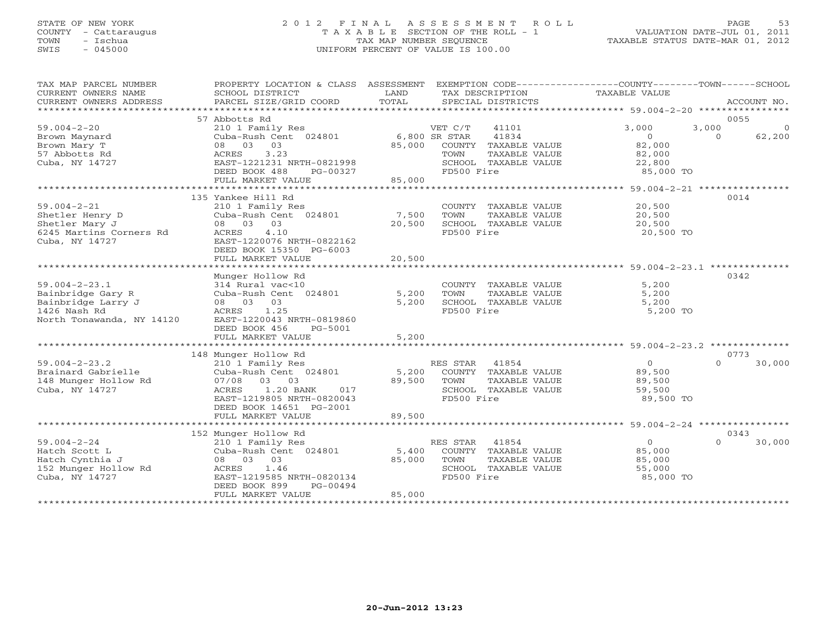## STATE OF NEW YORK 2 0 1 2 F I N A L A S S E S S M E N T R O L L PAGE 53 COUNTY - Cattaraugus T A X A B L E SECTION OF THE ROLL - 1 VALUATION DATE-JUL 01, 2011 TOWN - Ischua TAX MAP NUMBER SEQUENCE TAXABLE STATUS DATE-MAR 01, 2012 SWIS - 045000 UNIFORM PERCENT OF VALUE IS 100.00UNIFORM PERCENT OF VALUE IS 100.00

| TAX MAP PARCEL NUMBER<br>CURRENT OWNERS NAME<br>CURRENT OWNERS ADDRESS | PROPERTY LOCATION & CLASS ASSESSMENT<br>SCHOOL DISTRICT<br>PARCEL SIZE/GRID COORD | LAND<br>TOTAL   | EXEMPTION CODE-----------------COUNTY-------TOWN------SCHOOL<br>TAX DESCRIPTION<br>SPECIAL DISTRICTS | TAXABLE VALUE       | ACCOUNT NO.        |
|------------------------------------------------------------------------|-----------------------------------------------------------------------------------|-----------------|------------------------------------------------------------------------------------------------------|---------------------|--------------------|
|                                                                        |                                                                                   |                 |                                                                                                      |                     |                    |
|                                                                        | 57 Abbotts Rd                                                                     |                 |                                                                                                      |                     | 0055               |
| $59.004 - 2 - 20$                                                      | 210 1 Family Res                                                                  |                 | VET C/T<br>41101                                                                                     | 3,000<br>3,000      | $\overline{0}$     |
| Brown Maynard                                                          | Cuba-Rush Cent 024801 6,800 SR STAR                                               |                 | 41834                                                                                                | $\circ$             | 62,200<br>$\Omega$ |
| Brown Mary T                                                           | 08 03 03                                                                          | 85,000          | COUNTY TAXABLE VALUE                                                                                 | 82,000              |                    |
| 57 Abbotts Rd<br>Cuba, NY 14727                                        | 3.23<br>ACRES<br>EAST-1221231 NRTH-0821998                                        |                 | TOWN<br>TAXABLE VALUE<br>SCHOOL TAXABLE VALUE                                                        | 82,000              |                    |
|                                                                        | DEED BOOK 488<br>PG-00327                                                         |                 | FD500 Fire                                                                                           | 22,800<br>85,000 TO |                    |
|                                                                        | FULL MARKET VALUE                                                                 | 85,000          |                                                                                                      |                     |                    |
|                                                                        |                                                                                   |                 |                                                                                                      |                     |                    |
|                                                                        | 135 Yankee Hill Rd                                                                |                 |                                                                                                      |                     | 0014               |
| $59.004 - 2 - 21$                                                      | 210 1 Family Res                                                                  |                 | COUNTY TAXABLE VALUE                                                                                 | 20,500              |                    |
| Shetler Henry D                                                        | Cuba-Rush Cent 024801                                                             | 7,500           | TOWN<br>TAXABLE VALUE                                                                                | 20,500              |                    |
| Shetler Mary J                                                         | 08 03 03                                                                          | 20,500          | SCHOOL TAXABLE VALUE                                                                                 | 20,500              |                    |
| 6245 Martins Corners Rd                                                | 4.10<br>ACRES                                                                     |                 | FD500 Fire                                                                                           | 20,500 TO           |                    |
| Cuba, NY 14727                                                         | EAST-1220076 NRTH-0822162                                                         |                 |                                                                                                      |                     |                    |
|                                                                        | DEED BOOK 15350 PG-6003                                                           |                 |                                                                                                      |                     |                    |
|                                                                        | FULL MARKET VALUE                                                                 | 20,500          |                                                                                                      |                     |                    |
|                                                                        |                                                                                   |                 |                                                                                                      |                     |                    |
|                                                                        | Munger Hollow Rd                                                                  |                 |                                                                                                      |                     | 0342               |
| $59.004 - 2 - 23.1$                                                    | 314 Rural vac<10                                                                  |                 | COUNTY TAXABLE VALUE                                                                                 | 5,200               |                    |
| Bainbridge Gary R                                                      | Cuba-Rush Cent 024801                                                             | 5,200           | TOWN<br>TAXABLE VALUE                                                                                | 5,200               |                    |
| Bainbridge Larry J                                                     | 03<br>08 03                                                                       | 5,200           | SCHOOL TAXABLE VALUE                                                                                 | 5,200               |                    |
| 1426 Nash Rd                                                           | 1.25<br>ACRES                                                                     |                 | FD500 Fire                                                                                           | 5,200 TO            |                    |
| North Tonawanda, NY 14120                                              | EAST-1220043 NRTH-0819860                                                         |                 |                                                                                                      |                     |                    |
|                                                                        | DEED BOOK 456<br>PG-5001                                                          |                 |                                                                                                      |                     |                    |
|                                                                        | FULL MARKET VALUE                                                                 | 5,200           |                                                                                                      |                     |                    |
|                                                                        |                                                                                   |                 |                                                                                                      |                     |                    |
|                                                                        | 148 Munger Hollow Rd                                                              |                 |                                                                                                      | $\overline{0}$      | 0773<br>$\Omega$   |
| $59.004 - 2 - 23.2$                                                    | 210 1 Family Res                                                                  |                 | RES STAR<br>41854                                                                                    |                     | 30,000             |
| Brainard Gabrielle                                                     | Cuba-Rush Cent 024801<br>03<br>03                                                 | 5,200<br>89,500 | COUNTY TAXABLE VALUE<br>TOWN                                                                         | 89,500              |                    |
| 148 Munger Hollow Rd<br>Cuba, NY 14727                                 | 07/08<br>1.20 BANK<br>ACRES<br>017                                                |                 | TAXABLE VALUE<br>SCHOOL TAXABLE VALUE                                                                | 89,500<br>59,500    |                    |
|                                                                        | EAST-1219805 NRTH-0820043                                                         |                 | FD500 Fire                                                                                           | 89,500 TO           |                    |
|                                                                        | DEED BOOK 14651 PG-2001                                                           |                 |                                                                                                      |                     |                    |
|                                                                        | FULL MARKET VALUE                                                                 | 89,500          |                                                                                                      |                     |                    |
|                                                                        |                                                                                   |                 |                                                                                                      |                     |                    |
|                                                                        | 152 Munger Hollow Rd                                                              |                 |                                                                                                      |                     | 0343               |
| $59.004 - 2 - 24$                                                      | 210 1 Family Res                                                                  |                 | RES STAR<br>41854                                                                                    | $\overline{0}$      | $\Omega$<br>30,000 |
| Hatch Scott L                                                          | Cuba-Rush Cent 024801                                                             | 5,400           | COUNTY TAXABLE VALUE                                                                                 | 85,000              |                    |
| Hatch Cynthia J                                                        | 08 03 03                                                                          | 85,000          | TAXABLE VALUE<br>TOWN                                                                                | 85,000              |                    |
| 152 Munger Hollow Rd                                                   | 1.46<br>ACRES                                                                     |                 | SCHOOL TAXABLE VALUE                                                                                 | 55,000              |                    |
| Cuba, NY 14727                                                         | EAST-1219585 NRTH-0820134                                                         |                 | FD500 Fire                                                                                           | 85,000 TO           |                    |
|                                                                        | DEED BOOK 899<br>PG-00494                                                         |                 |                                                                                                      |                     |                    |
|                                                                        | FULL MARKET VALUE                                                                 | 85,000          |                                                                                                      |                     |                    |
|                                                                        |                                                                                   |                 |                                                                                                      |                     |                    |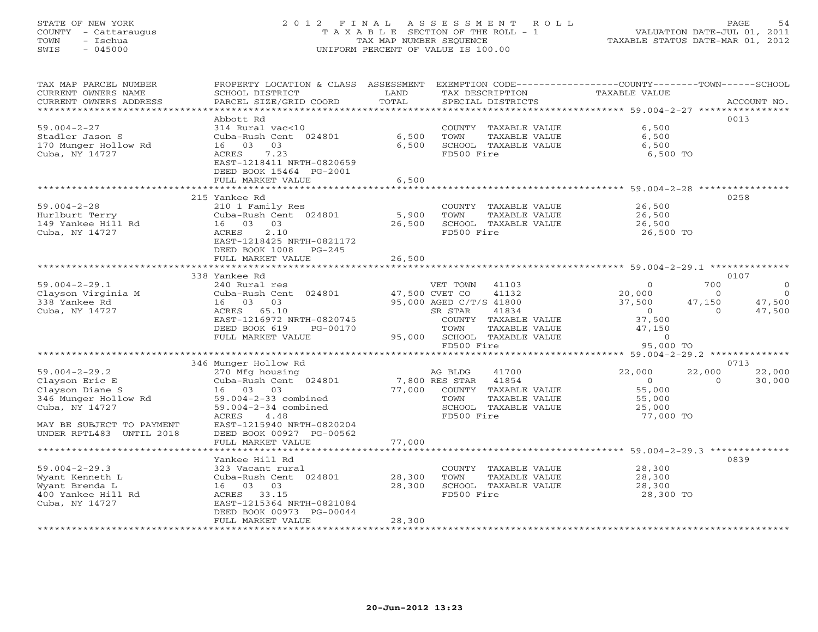## STATE OF NEW YORK 2 0 1 2 F I N A L A S S E S S M E N T R O L L PAGE 54 COUNTY - Cattaraugus T A X A B L E SECTION OF THE ROLL - 1 VALUATION DATE-JUL 01, 2011 TOWN - Ischua TAX MAP NUMBER SEQUENCE TAXABLE STATUS DATE-MAR 01, 2012 SWIS - 045000 UNIFORM PERCENT OF VALUE IS 100.00UNIFORM PERCENT OF VALUE IS 100.00

| TAX MAP PARCEL NUMBER<br>CURRENT OWNERS NAME<br>CURRENT OWNERS ADDRESS                                                                                                                                          | PROPERTY LOCATION & CLASS ASSESSMENT<br>SCHOOL DISTRICT<br>PARCEL SIZE/GRID COORD                                                                                                                                                                                                                                                                                                    | LAND<br>TOTAL              | TAX DESCRIPTION<br>SPECIAL DISTRICTS                                                                                                                                                                                                                                                                                     | EXEMPTION CODE----------------COUNTY-------TOWN------SCHOOL<br>TAXABLE VALUE                                                                                                                                             | ACCOUNT NO.                                                                        |
|-----------------------------------------------------------------------------------------------------------------------------------------------------------------------------------------------------------------|--------------------------------------------------------------------------------------------------------------------------------------------------------------------------------------------------------------------------------------------------------------------------------------------------------------------------------------------------------------------------------------|----------------------------|--------------------------------------------------------------------------------------------------------------------------------------------------------------------------------------------------------------------------------------------------------------------------------------------------------------------------|--------------------------------------------------------------------------------------------------------------------------------------------------------------------------------------------------------------------------|------------------------------------------------------------------------------------|
| *********************<br>$59.004 - 2 - 27$<br>Stadler Jason S<br>170 Munger Hollow Rd<br>Cuba, NY 14727                                                                                                         | Abbott Rd<br>314 Rural vac<10<br>Cuba-Rush Cent 024801<br>16 03<br>03<br>7.23<br>ACRES<br>EAST-1218411 NRTH-0820659<br>DEED BOOK 15464 PG-2001<br>FULL MARKET VALUE                                                                                                                                                                                                                  | 6,500<br>6,500<br>6,500    | COUNTY TAXABLE VALUE<br>TOWN<br>TAXABLE VALUE<br>SCHOOL TAXABLE VALUE<br>FD500 Fire                                                                                                                                                                                                                                      | 6,500<br>6,500<br>6,500<br>6,500 TO                                                                                                                                                                                      | 0013                                                                               |
|                                                                                                                                                                                                                 |                                                                                                                                                                                                                                                                                                                                                                                      |                            |                                                                                                                                                                                                                                                                                                                          | ********************************** 59.004-2-28 ****************                                                                                                                                                          |                                                                                    |
| $59.004 - 2 - 28$<br>Hurlburt Terry<br>149 Yankee Hill Rd<br>Cuba, NY 14727                                                                                                                                     | 215 Yankee Rd<br>210 1 Family Res<br>Cuba-Rush Cent 024801<br>03<br>16 03<br>2.10<br>ACRES<br>EAST-1218425 NRTH-0821172<br>DEED BOOK 1008<br>$PG-245$                                                                                                                                                                                                                                | 5,900<br>26,500            | COUNTY TAXABLE VALUE<br>TOWN<br>TAXABLE VALUE<br>SCHOOL TAXABLE VALUE<br>FD500 Fire                                                                                                                                                                                                                                      | 26,500<br>26,500<br>26,500<br>26,500 TO                                                                                                                                                                                  | 0258                                                                               |
|                                                                                                                                                                                                                 | FULL MARKET VALUE                                                                                                                                                                                                                                                                                                                                                                    | 26,500                     |                                                                                                                                                                                                                                                                                                                          |                                                                                                                                                                                                                          |                                                                                    |
|                                                                                                                                                                                                                 | ************************                                                                                                                                                                                                                                                                                                                                                             |                            |                                                                                                                                                                                                                                                                                                                          | ******************************* 59.004-2-29.1 *************                                                                                                                                                              |                                                                                    |
| $59.004 - 2 - 29.1$<br>Clayson Virginia M<br>338 Yankee Rd<br>Cuba, NY 14727<br>$59.004 - 2 - 29.2$<br>Clayson Eric E<br>Clayson Diane S<br>346 Munger Hollow Rd<br>Cuba, NY 14727<br>MAY BE SUBJECT TO PAYMENT | 338 Yankee Rd<br>240 Rural res<br>Cuba-Rush Cent 024801<br>16 03<br>03<br>ACRES 65.10<br>EAST-1216972 NRTH-0820745<br>DEED BOOK 619<br>PG-00170<br>FULL MARKET VALUE<br>346 Munger Hollow Rd<br>270 Mfg housing<br>Cuba-Rush Cent 024801<br>16 03 03<br>$59.004 - 2 - 33$ combined<br>59.004-2-34 combined<br>4.48<br>ACRES<br>EAST-1215940 NRTH-0820204<br>DEED BOOK 00927 PG-00562 | 95,000<br>77,000           | VET TOWN<br>41103<br>47,500 CVET CO<br>41132<br>95,000 AGED C/T/S 41800<br>SR STAR<br>41834<br>COUNTY TAXABLE VALUE<br>TOWN<br>TAXABLE VALUE<br>SCHOOL TAXABLE VALUE<br>FD500 Fire<br>41700<br>AG BLDG<br>7,800 RES STAR<br>41854<br>COUNTY TAXABLE VALUE<br>TOWN<br>TAXABLE VALUE<br>SCHOOL TAXABLE VALUE<br>FD500 Fire | 700<br>$\Omega$<br>20,000<br>$\Omega$<br>37,500<br>47,150<br>$\overline{0}$<br>$\Omega$<br>37,500<br>47,150<br>$\circ$<br>95,000 TO<br>22,000<br>22,000<br>$\circ$<br>$\circ$<br>55,000<br>55,000<br>25,000<br>77,000 TO | 0107<br>$\overline{0}$<br>$\Omega$<br>47,500<br>47,500<br>0713<br>22,000<br>30,000 |
| UNDER RPTL483 UNTIL 2018                                                                                                                                                                                        | FULL MARKET VALUE                                                                                                                                                                                                                                                                                                                                                                    | 77,000                     |                                                                                                                                                                                                                                                                                                                          |                                                                                                                                                                                                                          |                                                                                    |
|                                                                                                                                                                                                                 |                                                                                                                                                                                                                                                                                                                                                                                      |                            |                                                                                                                                                                                                                                                                                                                          |                                                                                                                                                                                                                          |                                                                                    |
| $59.004 - 2 - 29.3$<br>Wyant Kenneth L<br>Wyant Brenda L<br>400 Yankee Hill Rd<br>Cuba, NY 14727                                                                                                                | Yankee Hill Rd<br>323 Vacant rural<br>Cuba-Rush Cent 024801<br>16 03 03<br>ACRES 33.15<br>EAST-1215364 NRTH-0821084<br>DEED BOOK 00973 PG-00044<br>FULL MARKET VALUE                                                                                                                                                                                                                 | 28,300<br>28,300<br>28,300 | COUNTY TAXABLE VALUE<br>TOWN<br>TAXABLE VALUE<br>SCHOOL TAXABLE VALUE<br>FD500 Fire                                                                                                                                                                                                                                      | 28,300<br>28,300<br>28,300<br>28,300 TO                                                                                                                                                                                  | 0839                                                                               |
|                                                                                                                                                                                                                 |                                                                                                                                                                                                                                                                                                                                                                                      |                            |                                                                                                                                                                                                                                                                                                                          |                                                                                                                                                                                                                          |                                                                                    |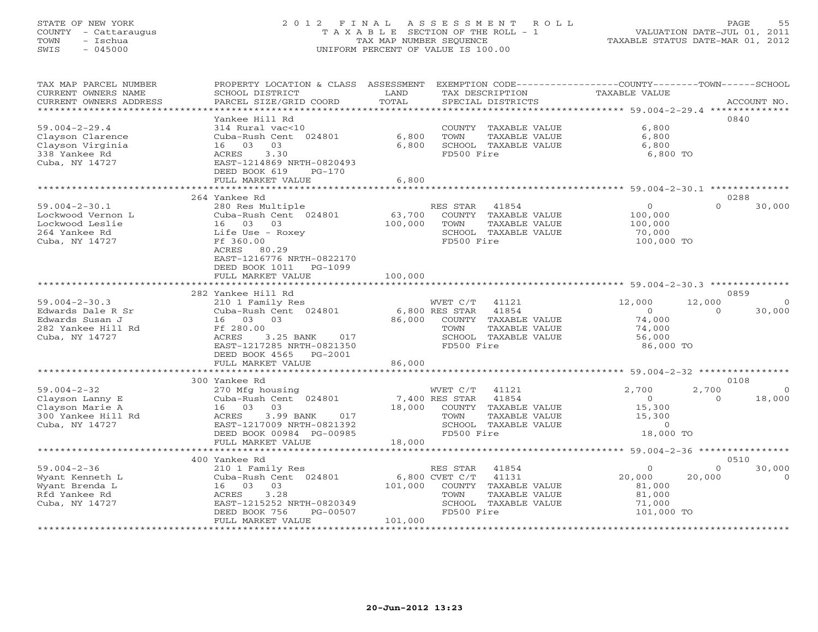## STATE OF NEW YORK 2 0 1 2 F I N A L A S S E S S M E N T R O L L PAGE 55 COUNTY - Cattaraugus T A X A B L E SECTION OF THE ROLL - 1 VALUATION DATE-JUL 01, 2011 TOWN - ISChua TAX MAP NUMBER SEQUENCE TAXABLE STATUS DATE-MAR 01, 2012<br>
TOWN - ISChua TAXABLE STATUS DATE-MAR 01, 2012<br>
SWIS - 045000 SWIS - 045000 UNIFORM PERCENT OF VALUE IS 100.00

| TAX MAP PARCEL NUMBER<br>CURRENT OWNERS NAME<br>CURRENT OWNERS ADDRESS                              | PROPERTY LOCATION & CLASS ASSESSMENT<br>SCHOOL DISTRICT<br>PARCEL SIZE/GRID COORD                                                                                                | LAND<br>TOTAL                          | EXEMPTION CODE-----------------COUNTY-------TOWN------SCHOOL<br>TAX DESCRIPTION<br>SPECIAL DISTRICTS                                   | TAXABLE VALUE                                                 | ACCOUNT NO.                                   |
|-----------------------------------------------------------------------------------------------------|----------------------------------------------------------------------------------------------------------------------------------------------------------------------------------|----------------------------------------|----------------------------------------------------------------------------------------------------------------------------------------|---------------------------------------------------------------|-----------------------------------------------|
| ***********************                                                                             | Yankee Hill Rd                                                                                                                                                                   |                                        |                                                                                                                                        |                                                               | 0840                                          |
| $59.004 - 2 - 29.4$<br>Clayson Clarence<br>Clayson Virginia<br>338 Yankee Rd<br>Cuba, NY 14727      | 314 Rural vac<10<br>Cuba-Rush Cent 024801<br>16 03<br>03<br>ACRES<br>3.30<br>EAST-1214869 NRTH-0820493<br>DEED BOOK 619<br>PG-170                                                | 6,800<br>6,800                         | COUNTY TAXABLE VALUE<br>TOWN<br>TAXABLE VALUE<br>SCHOOL TAXABLE VALUE<br>FD500 Fire                                                    | 6,800<br>6,800<br>6,800<br>6,800 TO                           |                                               |
|                                                                                                     | FULL MARKET VALUE                                                                                                                                                                | 6,800                                  |                                                                                                                                        |                                                               |                                               |
|                                                                                                     | ***********************                                                                                                                                                          | ************                           | ********************************* 59.004-2-30.1 **********                                                                             |                                                               |                                               |
| $59.004 - 2 - 30.1$<br>Lockwood Vernon L<br>Lockwood Leslie<br>264 Yankee Rd<br>Cuba, NY 14727      | 264 Yankee Rd<br>280 Res Multiple<br>Cuba-Rush Cent 024801<br>16 03 03<br>Life Use - Roxey<br>Ff 360.00<br>ACRES 80.29<br>EAST-1216776 NRTH-0822170<br>DEED BOOK 1011<br>PG-1099 | 63,700<br>100,000                      | RES STAR<br>41854<br>COUNTY TAXABLE VALUE<br>TOWN<br>TAXABLE VALUE<br>SCHOOL TAXABLE VALUE<br>FD500 Fire                               | $\circ$<br>100,000<br>100,000<br>70,000<br>100,000 TO         | 0288<br>$\Omega$<br>30,000                    |
|                                                                                                     | FULL MARKET VALUE                                                                                                                                                                | 100,000                                |                                                                                                                                        |                                                               |                                               |
|                                                                                                     | 282 Yankee Hill Rd                                                                                                                                                               |                                        |                                                                                                                                        |                                                               | 0859                                          |
| $59.004 - 2 - 30.3$<br>Edwards Dale R Sr<br>Edwards Susan J<br>282 Yankee Hill Rd<br>Cuba, NY 14727 | 210 1 Family Res<br>Cuba-Rush Cent 024801<br>16 03<br>03<br>Ff 280.00<br>ACRES<br>3.25 BANK<br>017<br>EAST-1217285 NRTH-0821350<br>DEED BOOK 4565 PG-2001<br>FULL MARKET VALUE   | 86,000<br>86,000                       | WVET C/T<br>41121<br>6,800 RES STAR<br>41854<br>COUNTY<br>TAXABLE VALUE<br>TOWN<br>TAXABLE VALUE<br>SCHOOL TAXABLE VALUE<br>FD500 Fire | 12,000<br>$\circ$<br>74,000<br>74,000<br>56,000<br>86,000 TO  | 12,000<br>$\Omega$<br>$\Omega$<br>30,000      |
|                                                                                                     | ************************<br>300 Yankee Rd                                                                                                                                        |                                        |                                                                                                                                        |                                                               | 0108                                          |
| $59.004 - 2 - 32$<br>Clayson Lanny E<br>Clayson Marie A<br>300 Yankee Hill Rd<br>Cuba, NY 14727     | 270 Mfg housing<br>Cuba-Rush Cent 024801<br>16 03<br>03<br>ACRES<br>3.99 BANK<br>017<br>EAST-1217009 NRTH-0821392<br>DEED BOOK 00984 PG-00985<br>FULL MARKET VALUE               | 18,000<br>18,000                       | WVET C/T<br>41121<br>7,400 RES STAR<br>41854<br>COUNTY TAXABLE VALUE<br>TOWN<br>TAXABLE VALUE<br>SCHOOL TAXABLE VALUE<br>FD500 Fire    | 2,700<br>$\circ$<br>15,300<br>15,300<br>$\circ$<br>18,000 TO  | 2,700<br>$\overline{0}$<br>$\Omega$<br>18,000 |
|                                                                                                     |                                                                                                                                                                                  |                                        |                                                                                                                                        |                                                               |                                               |
|                                                                                                     | 400 Yankee Rd                                                                                                                                                                    |                                        |                                                                                                                                        |                                                               | 0510                                          |
| $59.004 - 2 - 36$<br>Wyant Kenneth L<br>Wyant Brenda L<br>Rfd Yankee Rd<br>Cuba, NY 14727           | 210 1 Family Res<br>Cuba-Rush Cent 024801<br>16 03<br>03<br>3.28<br>ACRES<br>EAST-1215252 NRTH-0820349<br>DEED BOOK 756<br>PG-00507                                              | 6,800 CVET C/T<br>101,000              | RES STAR<br>41854<br>41131<br>COUNTY TAXABLE VALUE<br>TOWN<br>TAXABLE VALUE<br>SCHOOL TAXABLE VALUE<br>FD500 Fire                      | $\circ$<br>20,000<br>81,000<br>81,000<br>71,000<br>101,000 TO | $\circ$<br>30,000<br>20,000<br>$\Omega$       |
|                                                                                                     | FULL MARKET VALUE                                                                                                                                                                | 101,000<br>+ + + + + + + + + + + + + + |                                                                                                                                        |                                                               |                                               |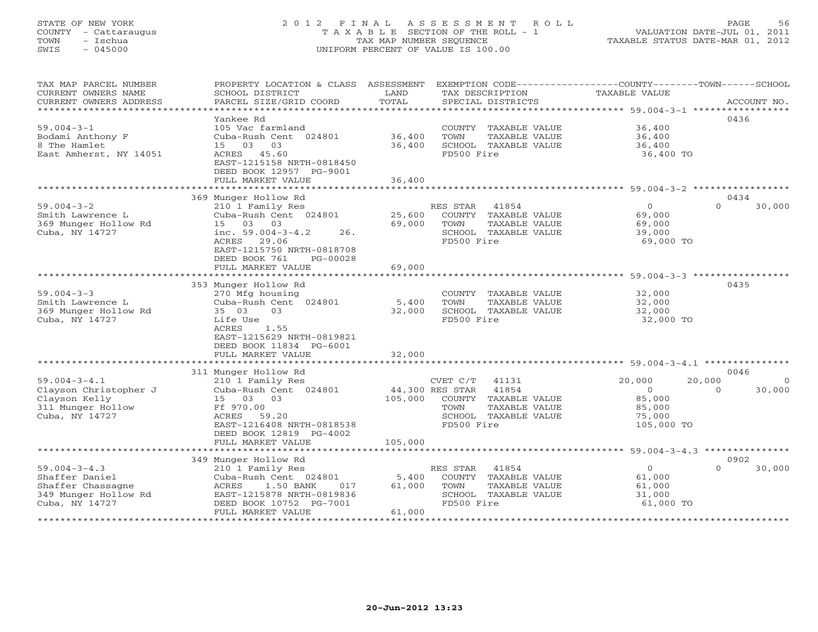## STATE OF NEW YORK 2 0 1 2 F I N A L A S S E S S M E N T R O L L PAGE 56 COUNTY - Cattaraugus T A X A B L E SECTION OF THE ROLL - 1 VALUATION DATE-JUL 01, 2011 TOWN - Ischua TAX MAP NUMBER SEQUENCE TAXABLE STATUS DATE-MAR 01, 2012 SWIS - 045000 UNIFORM PERCENT OF VALUE IS 100.00UNIFORM PERCENT OF VALUE IS 100.00

| TAX MAP PARCEL NUMBER<br>CURRENT OWNERS NAME<br>CURRENT OWNERS ADDRESS                              | PROPERTY LOCATION & CLASS ASSESSMENT<br>SCHOOL DISTRICT<br>PARCEL SIZE/GRID COORD                                                                                    | LAND<br>TOTAL              | EXEMPTION CODE----------------COUNTY-------TOWN------SCHOOL<br>TAX DESCRIPTION<br>SPECIAL DISTRICTS            | TAXABLE VALUE                                                           | ACCOUNT NO.                    |
|-----------------------------------------------------------------------------------------------------|----------------------------------------------------------------------------------------------------------------------------------------------------------------------|----------------------------|----------------------------------------------------------------------------------------------------------------|-------------------------------------------------------------------------|--------------------------------|
|                                                                                                     |                                                                                                                                                                      |                            |                                                                                                                |                                                                         |                                |
| $59.004 - 3 - 1$<br>Bodami Anthony F<br>8 The Hamlet<br>East Amherst, NY 14051                      | Yankee Rd<br>105 Vac farmland<br>Cuba-Rush Cent 024801<br>15 03<br>03<br>ACRES 45.60<br>EAST-1215158 NRTH-0818450<br>DEED BOOK 12957 PG-9001                         | 36,400<br>36,400           | COUNTY TAXABLE VALUE<br>TOWN<br>TAXABLE VALUE<br>SCHOOL TAXABLE VALUE<br>FD500 Fire                            | 36,400<br>36,400<br>36,400<br>36,400 TO                                 | 0436                           |
|                                                                                                     | FULL MARKET VALUE                                                                                                                                                    | 36,400                     |                                                                                                                |                                                                         |                                |
|                                                                                                     |                                                                                                                                                                      |                            |                                                                                                                |                                                                         |                                |
|                                                                                                     | 369 Munger Hollow Rd                                                                                                                                                 |                            |                                                                                                                |                                                                         | 0434                           |
| $59.004 - 3 - 2$<br>Smith Lawrence L<br>369 Munger Hollow Rd<br>Cuba, NY 14727                      | 210 1 Family Res<br>Cuba-Rush Cent 024801<br>15 03 03<br>inc. $59.004 - 3 - 4.2$<br>26.<br>ACRES 29.06<br>EAST-1215750 NRTH-0818708<br>DEED BOOK 761<br>PG-00028     | 25,600<br>69,000           | RES STAR 41854<br>COUNTY TAXABLE VALUE<br>TOWN<br>TAXABLE VALUE<br>SCHOOL TAXABLE VALUE<br>FD500 Fire          | $\Omega$<br>69,000<br>69,000<br>39,000<br>69,000 TO                     | 30,000<br>$\Omega$             |
|                                                                                                     | FULL MARKET VALUE                                                                                                                                                    | 69,000                     |                                                                                                                |                                                                         |                                |
|                                                                                                     |                                                                                                                                                                      |                            |                                                                                                                |                                                                         |                                |
| $59.004 - 3 - 3$<br>Smith Lawrence L<br>369 Munger Hollow Rd<br>Cuba, NY 14727                      | 353 Munger Hollow Rd<br>270 Mfg housing<br>Cuba-Rush Cent 024801<br>35 03<br>03<br>Life Use<br>ACRES<br>1.55<br>EAST-1215629 NRTH-0819821<br>DEED BOOK 11834 PG-6001 | 5,400<br>32,000            | COUNTY TAXABLE VALUE<br>TOWN<br>TAXABLE VALUE<br>SCHOOL TAXABLE VALUE<br>FD500 Fire                            | 32,000<br>32,000<br>32,000<br>32,000 TO                                 | 0435                           |
|                                                                                                     | FULL MARKET VALUE                                                                                                                                                    | 32,000                     |                                                                                                                |                                                                         |                                |
|                                                                                                     | 311 Munger Hollow Rd                                                                                                                                                 |                            |                                                                                                                |                                                                         | 0046                           |
| $59.004 - 3 - 4.1$<br>Clayson Christopher J<br>Clayson Kelly<br>311 Munger Hollow<br>Cuba, NY 14727 | 210 1 Family Res<br>Cuba-Rush Cent 024801<br>15 03 03<br>Ff 970.00<br>ACRES 59.20<br>EAST-1216408 NRTH-0818538<br>DEED BOOK 12819 PG-4002                            | 44,300 RES STAR<br>105,000 | CVET C/T 41131<br>41854<br>COUNTY TAXABLE VALUE<br>TOWN<br>TAXABLE VALUE<br>SCHOOL TAXABLE VALUE<br>FD500 Fire | 20,000<br>20,000<br>$\circ$<br>85,000<br>85,000<br>75,000<br>105,000 TO | $\Omega$<br>$\Omega$<br>30,000 |
|                                                                                                     | FULL MARKET VALUE                                                                                                                                                    | 105,000                    |                                                                                                                |                                                                         |                                |
|                                                                                                     |                                                                                                                                                                      |                            |                                                                                                                |                                                                         |                                |
|                                                                                                     | 349 Munger Hollow Rd                                                                                                                                                 |                            |                                                                                                                |                                                                         | 0902                           |
| $59.004 - 3 - 4.3$<br>Shaffer Daniel<br>Shaffer Chassagne<br>349 Munger Hollow Rd<br>Cuba, NY 14727 | 210 1 Family Res<br>Cuba-Rush Cent 024801<br>ACRES<br>1.50 BANK<br>017<br>EAST-1215878 NRTH-0819836<br>DEED BOOK 10752 PG-7001<br>FULL MARKET VALUE                  | 5,400<br>61,000<br>61,000  | 41854<br>RES STAR<br>COUNTY TAXABLE VALUE<br>TOWN<br>TAXABLE VALUE<br>SCHOOL TAXABLE VALUE<br>FD500 Fire       | $\circ$<br>61,000<br>61,000<br>31,000<br>61,000 TO                      | 30,000<br>$\Omega$             |
|                                                                                                     |                                                                                                                                                                      |                            |                                                                                                                |                                                                         |                                |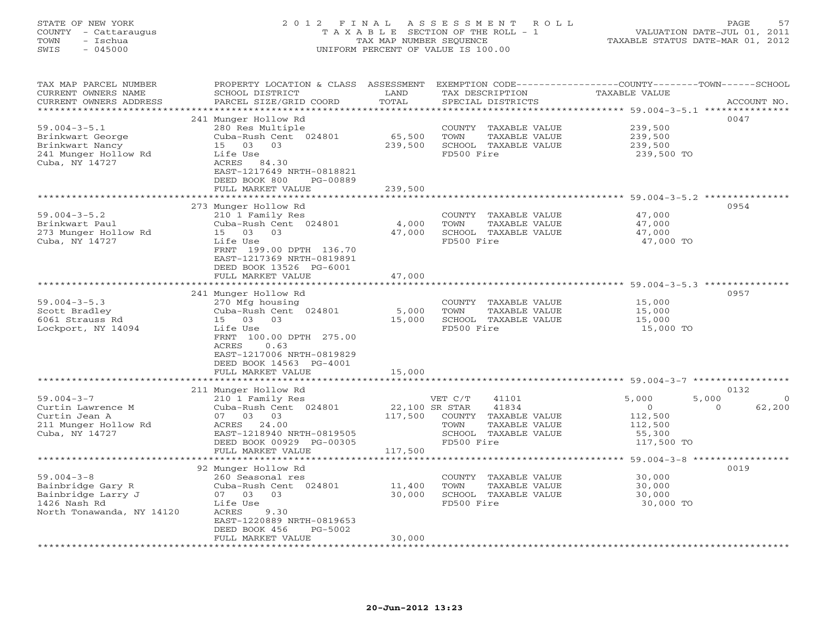## STATE OF NEW YORK 2 0 1 2 F I N A L A S S E S S M E N T R O L L PAGE 57 COUNTY - Cattaraugus T A X A B L E SECTION OF THE ROLL - 1 VALUATION DATE-JUL 01, 2011 TOWN - Ischua TAX MAP NUMBER SEQUENCE TAXABLE STATUS DATE-MAR 01, 2012 SWIS - 045000 UNIFORM PERCENT OF VALUE IS 100.00UNIFORM PERCENT OF VALUE IS 100.00

| TAX MAP PARCEL NUMBER<br>CURRENT OWNERS NAME<br>CURRENT OWNERS ADDRESS | PROPERTY LOCATION & CLASS ASSESSMENT<br>SCHOOL DISTRICT<br>PARCEL SIZE/GRID COORD | LAND<br>TOTAL               | TAX DESCRIPTION<br>SPECIAL DISTRICTS          | EXEMPTION CODE-----------------COUNTY-------TOWN------SCHOOL<br>TAXABLE VALUE | ACCOUNT NO. |
|------------------------------------------------------------------------|-----------------------------------------------------------------------------------|-----------------------------|-----------------------------------------------|-------------------------------------------------------------------------------|-------------|
| ********************                                                   |                                                                                   | * * * * * * * * * * * * * * |                                               | ********************************* 59.004-3-5.1 ***************                |             |
|                                                                        | 241 Munger Hollow Rd                                                              |                             |                                               | 0047                                                                          |             |
| $59.004 - 3 - 5.1$                                                     | 280 Res Multiple                                                                  |                             | COUNTY TAXABLE VALUE                          | 239,500                                                                       |             |
| Brinkwart George                                                       | Cuba-Rush Cent 024801                                                             | 65,500                      | TOWN<br>TAXABLE VALUE                         | 239,500                                                                       |             |
| Brinkwart Nancy                                                        | 15 03 03                                                                          | 239,500                     | SCHOOL TAXABLE VALUE                          | 239,500                                                                       |             |
| 241 Munger Hollow Rd                                                   | Life Use                                                                          |                             | FD500 Fire                                    | 239,500 TO                                                                    |             |
| Cuba, NY 14727                                                         | ACRES 84.30                                                                       |                             |                                               |                                                                               |             |
|                                                                        | EAST-1217649 NRTH-0818821                                                         |                             |                                               |                                                                               |             |
|                                                                        | DEED BOOK 800<br>PG-00889<br>FULL MARKET VALUE                                    | 239,500                     |                                               |                                                                               |             |
|                                                                        |                                                                                   |                             |                                               |                                                                               |             |
|                                                                        | 273 Munger Hollow Rd                                                              |                             |                                               | 0954                                                                          |             |
| $59.004 - 3 - 5.2$                                                     | 210 1 Family Res                                                                  |                             | COUNTY TAXABLE VALUE                          | 47,000                                                                        |             |
| Brinkwart Paul                                                         | Cuba-Rush Cent 024801                                                             | 4,000                       | TOWN<br>TAXABLE VALUE                         | 47,000                                                                        |             |
| 273 Munger Hollow Rd                                                   | 15 03<br>0.3                                                                      | 47,000                      | SCHOOL TAXABLE VALUE                          | 47,000                                                                        |             |
| Cuba, NY 14727                                                         | Life Use                                                                          |                             | FD500 Fire                                    | 47,000 TO                                                                     |             |
|                                                                        | FRNT 199.00 DPTH 136.70                                                           |                             |                                               |                                                                               |             |
|                                                                        | EAST-1217369 NRTH-0819891                                                         |                             |                                               |                                                                               |             |
|                                                                        | DEED BOOK 13526 PG-6001                                                           |                             |                                               |                                                                               |             |
|                                                                        | FULL MARKET VALUE                                                                 | 47,000                      |                                               |                                                                               |             |
|                                                                        |                                                                                   |                             |                                               |                                                                               |             |
| $59.004 - 3 - 5.3$                                                     | 241 Munger Hollow Rd<br>270 Mfg housing                                           |                             |                                               | 0957<br>15,000                                                                |             |
| Scott Bradley                                                          | Cuba-Rush Cent 024801                                                             | 5,000                       | COUNTY TAXABLE VALUE<br>TOWN<br>TAXABLE VALUE | 15,000                                                                        |             |
| 6061 Strauss Rd                                                        | 15 03<br>03                                                                       | 15,000                      | SCHOOL TAXABLE VALUE                          | 15,000                                                                        |             |
| Lockport, NY 14094                                                     | Life Use                                                                          |                             | FD500 Fire                                    | 15,000 TO                                                                     |             |
|                                                                        | FRNT 100.00 DPTH 275.00                                                           |                             |                                               |                                                                               |             |
|                                                                        | ACRES<br>0.63                                                                     |                             |                                               |                                                                               |             |
|                                                                        | EAST-1217006 NRTH-0819829                                                         |                             |                                               |                                                                               |             |
|                                                                        | DEED BOOK 14563 PG-4001                                                           |                             |                                               |                                                                               |             |
|                                                                        | FULL MARKET VALUE                                                                 | 15,000                      |                                               |                                                                               |             |
|                                                                        | *******************                                                               |                             |                                               |                                                                               |             |
|                                                                        | 211 Munger Hollow Rd                                                              |                             |                                               | 0132                                                                          |             |
| $59.004 - 3 - 7$                                                       | 210 1 Family Res                                                                  |                             | 41101<br>VET C/T                              | 5,000<br>5,000                                                                | $\Omega$    |
| Curtin Lawrence M<br>Curtin Jean A                                     | Cuba-Rush Cent 024801<br>07 03 03                                                 | 22,100 SR STAR<br>117,500   | 41834<br>TAXABLE VALUE<br>COUNTY              | $\circ$<br>$\Omega$<br>112,500                                                | 62,200      |
| 211 Munger Hollow Rd                                                   | ACRES 24.00                                                                       |                             | TAXABLE VALUE<br>TOWN                         | 112,500                                                                       |             |
| Cuba, NY 14727                                                         | EAST-1218940 NRTH-0819505                                                         |                             | SCHOOL TAXABLE VALUE                          | 55,300                                                                        |             |
|                                                                        | DEED BOOK 00929 PG-00305                                                          |                             | FD500 Fire                                    | 117,500 TO                                                                    |             |
|                                                                        | FULL MARKET VALUE                                                                 | 117,500                     |                                               |                                                                               |             |
|                                                                        |                                                                                   |                             |                                               |                                                                               |             |
|                                                                        | 92 Munger Hollow Rd                                                               |                             |                                               | 0019                                                                          |             |
| $59.004 - 3 - 8$                                                       | 260 Seasonal res                                                                  |                             | COUNTY TAXABLE VALUE                          | 30,000                                                                        |             |
| Bainbridge Gary R                                                      | Cuba-Rush Cent 024801                                                             | 11,400                      | TOWN<br>TAXABLE VALUE                         | 30,000                                                                        |             |
| Bainbridge Larry J                                                     | 07 03 03                                                                          | 30,000                      | SCHOOL TAXABLE VALUE                          | 30,000                                                                        |             |
| 1426 Nash Rd                                                           | Life Use                                                                          |                             | FD500 Fire                                    | 30,000 TO                                                                     |             |
| North Tonawanda, NY 14120                                              | ACRES<br>9.30<br>EAST-1220889 NRTH-0819653                                        |                             |                                               |                                                                               |             |
|                                                                        | DEED BOOK 456<br>PG-5002                                                          |                             |                                               |                                                                               |             |
|                                                                        | FULL MARKET VALUE                                                                 | 30,000                      |                                               |                                                                               |             |
|                                                                        |                                                                                   |                             |                                               |                                                                               |             |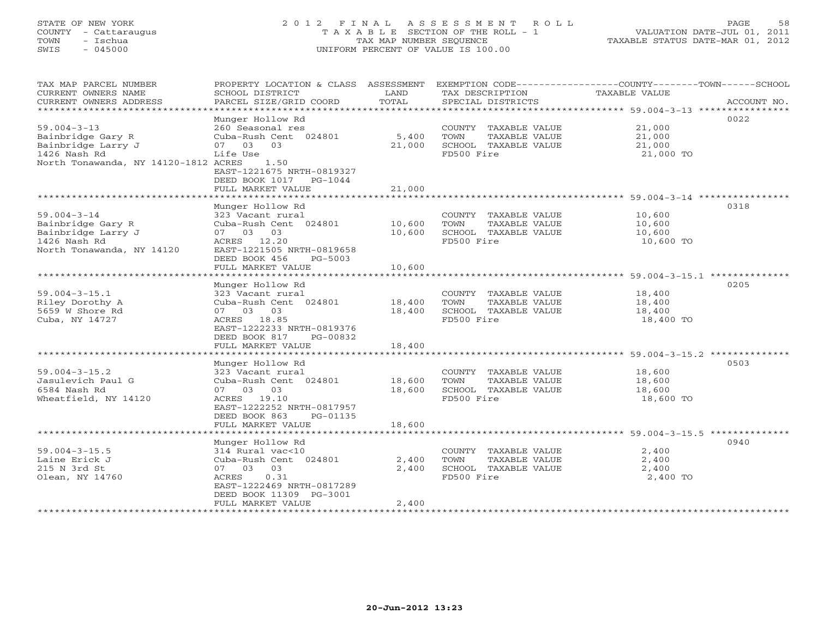## STATE OF NEW YORK 2 0 1 2 F I N A L A S S E S S M E N T R O L L PAGE 58 COUNTY - Cattaraugus T A X A B L E SECTION OF THE ROLL - 1 VALUATION DATE-JUL 01, 2011 TOWN - Ischua TAX MAP NUMBER SEQUENCE TAXABLE STATUS DATE-MAR 01, 2012 SWIS - 045000 UNIFORM PERCENT OF VALUE IS 100.00UNIFORM PERCENT OF VALUE IS 100.00

| TAX MAP PARCEL NUMBER<br>CURRENT OWNERS NAME<br>CURRENT OWNERS ADDRESS | PROPERTY LOCATION & CLASS ASSESSMENT<br>SCHOOL DISTRICT<br>PARCEL SIZE/GRID COORD | LAND<br>TOTAL | TAX DESCRIPTION<br>SPECIAL DISTRICTS | EXEMPTION CODE----------------COUNTY-------TOWN-----SCHOOL<br>TAXABLE VALUE | ACCOUNT NO. |
|------------------------------------------------------------------------|-----------------------------------------------------------------------------------|---------------|--------------------------------------|-----------------------------------------------------------------------------|-------------|
| **********************                                                 | *****************                                                                 |               |                                      |                                                                             |             |
| $59.004 - 3 - 13$                                                      | Munger Hollow Rd<br>260 Seasonal res                                              |               | COUNTY TAXABLE VALUE                 | 21,000                                                                      | 0022        |
| Bainbridge Gary R                                                      | Cuba-Rush Cent 024801                                                             | 5,400         | TOWN<br>TAXABLE VALUE                | 21,000                                                                      |             |
| Bainbridge Larry J                                                     | 07 03<br>03                                                                       | 21,000        | SCHOOL TAXABLE VALUE                 | 21,000                                                                      |             |
| 1426 Nash Rd                                                           | Life Use                                                                          |               | FD500 Fire                           | 21,000 TO                                                                   |             |
| North Tonawanda, NY 14120-1812 ACRES                                   | 1.50<br>EAST-1221675 NRTH-0819327<br>DEED BOOK 1017 PG-1044                       |               |                                      |                                                                             |             |
|                                                                        | FULL MARKET VALUE                                                                 | 21,000        |                                      |                                                                             |             |
|                                                                        |                                                                                   |               |                                      |                                                                             |             |
| $59.004 - 3 - 14$                                                      | Munger Hollow Rd<br>323 Vacant rural                                              |               | COUNTY TAXABLE VALUE                 | 10,600                                                                      | 0318        |
| Bainbridge Gary R                                                      | Cuba-Rush Cent 024801                                                             | 10,600        | TOWN<br>TAXABLE VALUE                | 10,600                                                                      |             |
| Bainbridge Larry J                                                     | 07 03 03                                                                          | 10,600        | SCHOOL TAXABLE VALUE                 | 10,600                                                                      |             |
| 1426 Nash Rd                                                           | ACRES 12.20                                                                       |               | FD500 Fire                           | 10,600 TO                                                                   |             |
| North Tonawanda, NY 14120                                              | EAST-1221505 NRTH-0819658                                                         |               |                                      |                                                                             |             |
|                                                                        | DEED BOOK 456<br>PG-5003                                                          |               |                                      |                                                                             |             |
|                                                                        | FULL MARKET VALUE                                                                 | 10,600        |                                      |                                                                             |             |
|                                                                        |                                                                                   |               |                                      |                                                                             |             |
| $59.004 - 3 - 15.1$                                                    | Munger Hollow Rd<br>323 Vacant rural                                              |               | COUNTY TAXABLE VALUE                 | 18,400                                                                      | 0205        |
| Riley Dorothy A                                                        | Cuba-Rush Cent 024801                                                             | 18,400        | TOWN<br>TAXABLE VALUE                | 18,400                                                                      |             |
| 5659 W Shore Rd                                                        | 07 03 03                                                                          | 18,400        | SCHOOL TAXABLE VALUE                 | 18,400                                                                      |             |
| Cuba, NY 14727                                                         | ACRES 18.85                                                                       |               | FD500 Fire                           | 18,400 TO                                                                   |             |
|                                                                        | EAST-1222233 NRTH-0819376                                                         |               |                                      |                                                                             |             |
|                                                                        | DEED BOOK 817<br>PG-00832                                                         |               |                                      |                                                                             |             |
|                                                                        | FULL MARKET VALUE                                                                 | 18,400        |                                      |                                                                             |             |
|                                                                        |                                                                                   |               |                                      |                                                                             |             |
| $59.004 - 3 - 15.2$                                                    | Munger Hollow Rd<br>323 Vacant rural                                              |               | COUNTY TAXABLE VALUE                 | 18,600                                                                      | 0503        |
| Jasulevich Paul G                                                      | Cuba-Rush Cent 024801                                                             | 18,600        | TOWN<br>TAXABLE VALUE                | 18,600                                                                      |             |
| 6584 Nash Rd                                                           | 07 03 03                                                                          | 18,600        | SCHOOL TAXABLE VALUE                 | 18,600                                                                      |             |
| Wheatfield, NY 14120                                                   | ACRES 19.10                                                                       |               | FD500 Fire                           | 18,600 TO                                                                   |             |
|                                                                        | EAST-1222252 NRTH-0817957                                                         |               |                                      |                                                                             |             |
|                                                                        | DEED BOOK 863<br>PG-01135                                                         |               |                                      |                                                                             |             |
|                                                                        | FULL MARKET VALUE                                                                 | 18,600        |                                      |                                                                             |             |
|                                                                        |                                                                                   |               |                                      |                                                                             | 0940        |
| $59.004 - 3 - 15.5$                                                    | Munger Hollow Rd<br>314 Rural vac<10                                              |               | COUNTY TAXABLE VALUE                 | 2,400                                                                       |             |
| Laine Erick J                                                          | Cuba-Rush Cent 024801                                                             | 2,400         | TOWN<br>TAXABLE VALUE                | 2,400                                                                       |             |
| 215 N 3rd St                                                           | 07 03 03                                                                          | 2,400         | SCHOOL TAXABLE VALUE                 | 2,400                                                                       |             |
| Olean, NY 14760                                                        | ACRES<br>0.31                                                                     |               | FD500 Fire                           | 2,400 TO                                                                    |             |
|                                                                        | EAST-1222469 NRTH-0817289                                                         |               |                                      |                                                                             |             |
|                                                                        | DEED BOOK 11309 PG-3001                                                           |               |                                      |                                                                             |             |
|                                                                        | FULL MARKET VALUE                                                                 | 2,400         |                                      |                                                                             |             |
|                                                                        |                                                                                   |               |                                      |                                                                             |             |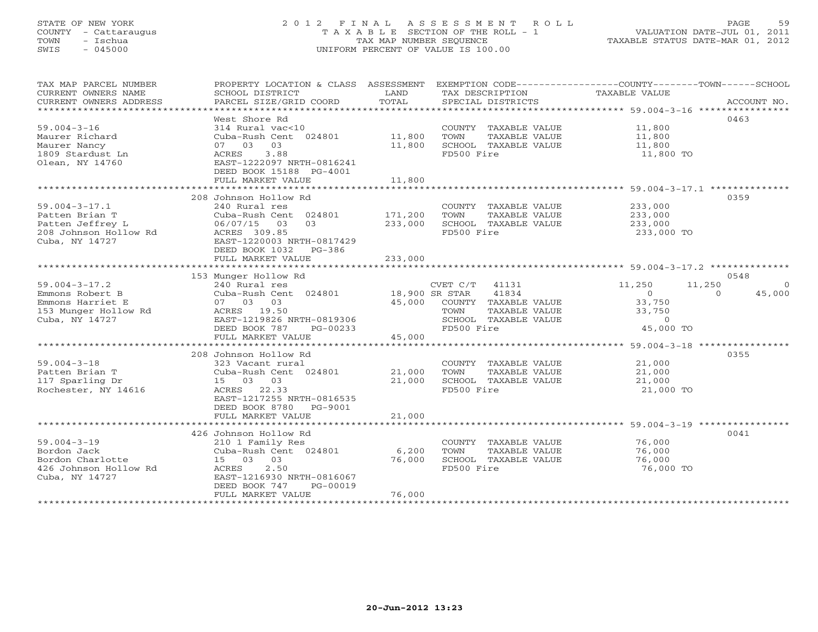## STATE OF NEW YORK 2 0 1 2 F I N A L A S S E S S M E N T R O L L PAGE 59 COUNTY - Cattaraugus T A X A B L E SECTION OF THE ROLL - 1 VALUATION DATE-JUL 01, 2011 TOWN - Ischua TAX MAP NUMBER SEQUENCE TAXABLE STATUS DATE-MAR 01, 2012 SWIS - 045000 UNIFORM PERCENT OF VALUE IS 100.00UNIFORM PERCENT OF VALUE IS 100.00

| TAX MAP PARCEL NUMBER<br>CURRENT OWNERS NAME<br>CURRENT OWNERS ADDRESS                               | PROPERTY LOCATION & CLASS ASSESSMENT<br>SCHOOL DISTRICT<br>PARCEL SIZE/GRID COORD                                                                                                       | LAND<br>TOTAL                 | TAX DESCRIPTION<br>SPECIAL DISTRICTS                                                                              | EXEMPTION CODE-----------------COUNTY-------TOWN------SCHOOL<br>TAXABLE VALUE | ACCOUNT NO.                    |
|------------------------------------------------------------------------------------------------------|-----------------------------------------------------------------------------------------------------------------------------------------------------------------------------------------|-------------------------------|-------------------------------------------------------------------------------------------------------------------|-------------------------------------------------------------------------------|--------------------------------|
| $59.004 - 3 - 16$<br>Maurer Richard<br>Maurer Nancy<br>1809 Stardust Ln<br>Olean, NY 14760           | West Shore Rd<br>314 Rural vac<10<br>Cuba-Rush Cent 024801<br>07 03 03<br>ACRES<br>3.88<br>EAST-1222097 NRTH-0816241<br>DEED BOOK 15188 PG-4001                                         | 11,800<br>11,800              | COUNTY TAXABLE VALUE<br>TAXABLE VALUE<br>TOWN<br>SCHOOL TAXABLE VALUE<br>FD500 Fire                               | 11,800<br>11,800<br>11,800<br>11,800 TO                                       | 0463                           |
|                                                                                                      | FULL MARKET VALUE                                                                                                                                                                       | 11,800                        |                                                                                                                   |                                                                               |                                |
| $59.004 - 3 - 17.1$<br>Patten Brian T<br>Patten Jeffrey L<br>208 Johnson Hollow Rd<br>Cuba, NY 14727 | 208 Johnson Hollow Rd<br>240 Rural res<br>Cuba-Rush Cent 024801<br>03<br>03<br>06/07/15<br>ACRES 309.85<br>EAST-1220003 NRTH-0817429<br>DEED BOOK 1032<br>$PG-386$<br>FULL MARKET VALUE | 171,200<br>233,000<br>233,000 | COUNTY TAXABLE VALUE<br>TOWN<br>TAXABLE VALUE<br>SCHOOL TAXABLE VALUE<br>FD500 Fire                               | 233,000<br>233,000<br>233,000<br>233,000 TO                                   | 0359                           |
|                                                                                                      |                                                                                                                                                                                         |                               |                                                                                                                   |                                                                               |                                |
|                                                                                                      | 153 Munger Hollow Rd                                                                                                                                                                    |                               |                                                                                                                   |                                                                               | 0548                           |
| $59.004 - 3 - 17.2$<br>Emmons Robert B<br>Emmons Harriet E<br>153 Munger Hollow Rd<br>Cuba, NY 14727 | 240 Rural res<br>Cuba-Rush Cent 024801<br>07 03 03<br>ACRES 19.50<br>EAST-1219826 NRTH-0819306<br>DEED BOOK 787<br>PG-00233                                                             | 18,900 SR STAR<br>45,000      | CVET C/T<br>41131<br>41834<br>COUNTY TAXABLE VALUE<br>TAXABLE VALUE<br>TOWN<br>SCHOOL TAXABLE VALUE<br>FD500 Fire | 11,250<br>11,250<br>$\circ$<br>33,750<br>33,750<br>$\circ$<br>45,000 TO       | $\Omega$<br>45,000<br>$\Omega$ |
|                                                                                                      | FULL MARKET VALUE                                                                                                                                                                       | 45,000                        |                                                                                                                   |                                                                               |                                |
| $59.004 - 3 - 18$<br>Patten Brian T<br>117 Sparling Dr<br>Rochester, NY 14616                        | 208 Johnson Hollow Rd<br>323 Vacant rural<br>Cuba-Rush Cent 024801<br>15 03 03<br>ACRES 22.33<br>EAST-1217255 NRTH-0816535<br>DEED BOOK 8780<br>PG-9001<br>FULL MARKET VALUE            | 21,000<br>21,000<br>21,000    | COUNTY TAXABLE VALUE<br>TOWN<br>TAXABLE VALUE<br>SCHOOL TAXABLE VALUE<br>FD500 Fire                               | 21,000<br>21,000<br>21,000<br>21,000 TO                                       | 0355                           |
|                                                                                                      |                                                                                                                                                                                         |                               |                                                                                                                   |                                                                               |                                |
| $59.004 - 3 - 19$<br>Bordon Jack<br>Bordon Charlotte<br>426 Johnson Hollow Rd<br>Cuba, NY 14727      | 426 Johnson Hollow Rd<br>210 1 Family Res<br>Cuba-Rush Cent 024801<br>15 03 03<br>2.50<br>ACRES<br>EAST-1216930 NRTH-0816067<br>DEED BOOK 747<br>PG-00019<br>FULL MARKET VALUE          | 6,200<br>76,000<br>76,000     | COUNTY TAXABLE VALUE<br>TOWN<br>TAXABLE VALUE<br>SCHOOL TAXABLE VALUE<br>FD500 Fire                               | 76,000<br>76,000<br>76,000<br>76,000 TO                                       | 0041                           |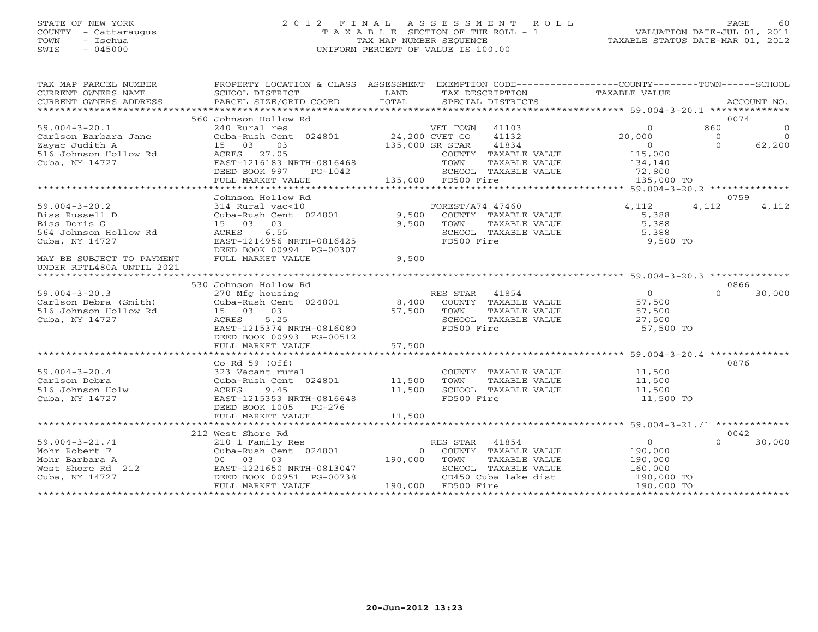## STATE OF NEW YORK 2 0 1 2 F I N A L A S S E S S M E N T R O L L PAGE 60 COUNTY - Cattaraugus T A X A B L E SECTION OF THE ROLL - 1 VALUATION DATE-JUL 01, 2011 TOWN - Ischua TAX MAP NUMBER SEQUENCE TAXABLE STATUS DATE-MAR 01, 2012 SWIS - 045000 UNIFORM PERCENT OF VALUE IS 100.00UNIFORM PERCENT OF VALUE IS 100.00

| TAX MAP PARCEL NUMBER<br>CURRENT OWNERS NAME | PROPERTY LOCATION & CLASS ASSESSMENT<br>SCHOOL DISTRICT | LAND                                                        | EXEMPTION CODE-----------------COUNTY-------TOWN------SCHOOL |
|----------------------------------------------|---------------------------------------------------------|-------------------------------------------------------------|--------------------------------------------------------------|
| CURRENT OWNERS ADDRESS                       | PARCEL SIZE/GRID COORD                                  | TAX DESCRIPTION TAXABLE VALUE<br>TOTAL<br>SPECIAL DISTRICTS | ACCOUNT NO.                                                  |
|                                              |                                                         |                                                             |                                                              |
|                                              | 560 Johnson Hollow Rd                                   |                                                             | 0074                                                         |
| $59.004 - 3 - 20.1$                          | 240 Rural res                                           | VET TOWN<br>41103                                           | 860<br>$\Omega$<br>$\Omega$                                  |
| Carlson Barbara Jane                         | Cuba-Rush Cent 024801                                   | 24,200 CVET CO<br>41132                                     | 20,000<br>$\overline{0}$<br>$\Omega$                         |
| Zayac Judith A                               | 15 03<br>03                                             | 135,000 SR STAR<br>41834                                    | $\Omega$<br>62,200<br>$\Omega$                               |
| 516 Johnson Hollow Rd                        | 27.05<br>ACRES                                          | COUNTY TAXABLE VALUE                                        | 115,000                                                      |
| Cuba, NY 14727                               | EAST-1216183 NRTH-0816468                               | TOWN<br>TAXABLE VALUE                                       | 134,140                                                      |
|                                              | DEED BOOK 997<br>PG-1042                                | SCHOOL TAXABLE VALUE                                        |                                                              |
|                                              | FULL MARKET VALUE                                       | 135,000 FD500 Fire                                          | 72,800<br>135,000 TO                                         |
|                                              |                                                         |                                                             |                                                              |
|                                              | Johnson Hollow Rd                                       |                                                             | 0759                                                         |
|                                              |                                                         |                                                             |                                                              |
| $59.004 - 3 - 20.2$                          | 314 Rural vac<10                                        | FOREST/A74 47460                                            | 4,112<br>4,112<br>4,112                                      |
| Biss Russell D                               | Cuba-Rush Cent 024801                                   | 9,500<br>COUNTY TAXABLE VALUE                               | 5,388                                                        |
| Biss Doris G                                 | 15 03<br>03                                             | 9,500<br>TOWN<br>TAXABLE VALUE                              | 5,388                                                        |
| 564 Johnson Hollow Rd                        | 6.55<br>ACRES                                           | SCHOOL TAXABLE VALUE                                        | 5,388                                                        |
| Cuba, NY 14727                               | EAST-1214956 NRTH-0816425                               | FD500 Fire                                                  | 9,500 TO                                                     |
|                                              | DEED BOOK 00994 PG-00307                                |                                                             |                                                              |
| MAY BE SUBJECT TO PAYMENT                    | FULL MARKET VALUE                                       | 9,500                                                       |                                                              |
| UNDER RPTL480A UNTIL 2021                    |                                                         |                                                             |                                                              |
|                                              |                                                         |                                                             |                                                              |
|                                              | 530 Johnson Hollow Rd                                   |                                                             | 0866                                                         |
| $59.004 - 3 - 20.3$                          | 270 Mfg housing                                         | RES STAR<br>41854                                           | $\overline{0}$<br>$\Omega$<br>30,000                         |
| Carlson Debra (Smith)                        | Cuba-Rush Cent 024801 8,400                             | COUNTY TAXABLE VALUE                                        | 57,500                                                       |
| 516 Johnson Hollow Rd                        | 15 03 03                                                | 57,500<br>TOWN<br>TAXABLE VALUE                             | 57,500                                                       |
| Cuba, NY 14727                               | ACRES<br>5.25                                           | SCHOOL TAXABLE VALUE                                        | 27,500                                                       |
|                                              | EAST-1215374 NRTH-0816080                               | FD500 Fire                                                  | 57,500 TO                                                    |
|                                              | DEED BOOK 00993 PG-00512                                |                                                             |                                                              |
|                                              | FULL MARKET VALUE                                       | 57,500                                                      |                                                              |
|                                              |                                                         |                                                             |                                                              |
|                                              | Co Rd $59$ (Off)                                        |                                                             | 0876                                                         |
| $59.004 - 3 - 20.4$                          | 323 Vacant rural                                        | COUNTY TAXABLE VALUE                                        | 11,500                                                       |
| Carlson Debra                                | Cuba-Rush Cent 024801                                   | 11,500<br>TOWN<br>TAXABLE VALUE                             | 11,500                                                       |
| 516 Johnson Holw                             | 9.45<br>ACRES                                           | 11,500<br>SCHOOL TAXABLE VALUE                              | 11,500                                                       |
| Cuba, NY 14727                               | EAST-1215353 NRTH-0816648                               | FD500 Fire                                                  | 11,500 TO                                                    |
|                                              |                                                         |                                                             |                                                              |
|                                              | DEED BOOK 1005 PG-276                                   |                                                             |                                                              |
|                                              | FULL MARKET VALUE                                       | 11,500                                                      |                                                              |
|                                              |                                                         |                                                             |                                                              |
|                                              | 212 West Shore Rd                                       |                                                             | 0042                                                         |
| $59.004 - 3 - 21.71$                         | 210 1 Family Res                                        | 41854<br>RES STAR                                           | $\overline{0}$<br>30,000<br>$\Omega$                         |
| Mohr Robert F                                | Cuba-Rush Cent 024801                                   | 0 COUNTY TAXABLE VALUE                                      | 190,000                                                      |
| Mohr Barbara A                               | 00 03 03                                                | 190,000<br>TAXABLE VALUE<br>TOWN                            | 190,000                                                      |
| West Shore Rd 212                            | EAST-1221650 NRTH-0813047                               | SCHOOL TAXABLE VALUE                                        | 160,000                                                      |
| Cuba, NY 14727                               | DEED BOOK 00951 PG-00738                                | CD450 Cuba lake dist                                        | 190,000 TO                                                   |
|                                              | FULL MARKET VALUE                                       | 190,000 FD500 Fire                                          | 190,000 TO                                                   |
|                                              |                                                         |                                                             |                                                              |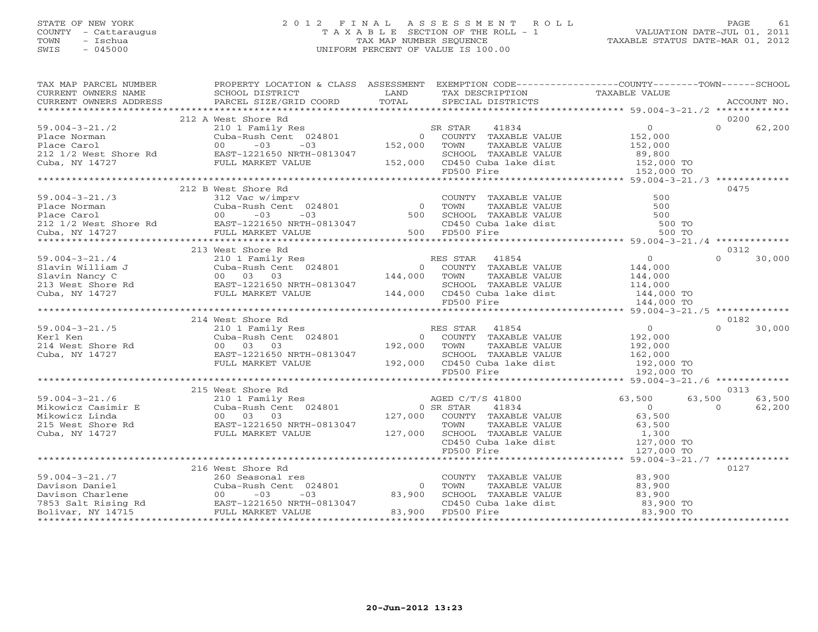## STATE OF NEW YORK 2 0 1 2 F I N A L A S S E S S M E N T R O L L PAGE 61 COUNTY - Cattaraugus T A X A B L E SECTION OF THE ROLL - 1 VALUATION DATE-JUL 01, 2011 TOWN - Ischua TAX MAP NUMBER SEQUENCE TAXABLE STATUS DATE-MAR 01, 2012 SWIS - 045000 UNIFORM PERCENT OF VALUE IS 100.00

| CURRENT OWNERS NAME CURRENT OWNERS NAME SCHOOL DISTRICT CURRENT OWNERS ADDRESS PARCEL SIZE/GRI<br>$\begin{array}{ccccccccc}\n\text{CURRENT} & \text{WNERS} & \text{NMEE} & \text{NMEE} & \text{SCHOOL} & \text{DISTRICT} & \text{LAND} & \text{TAX} & \text{DESCRIPTION} & \text{TAXABLE VALUE} & \text{ACCOUNT NO.} \end{array}$<br>0200<br>212 A West Shore Rd<br>West Shore ka<br>210 1 Family Res<br>Cuba-Rush Cent 024801 0<br>00 -03 -03 152,000<br>$\Omega$<br>$\begin{tabular}{lllllllll} \bf SR \mbox{ STAR} & 41834 & 0 \\ \bf O & \mbox{COUNTY} & \mbox{PAXABLE VALUE} & 152,000 \\ \end{tabular}$<br>$59.004 - 3 - 21.72$ | 62,200 |
|---------------------------------------------------------------------------------------------------------------------------------------------------------------------------------------------------------------------------------------------------------------------------------------------------------------------------------------------------------------------------------------------------------------------------------------------------------------------------------------------------------------------------------------------------------------------------------------------------------------------------------------|--------|
| 91.004 Johnan Cuba-Rush Cent 024801 0 COUNTY TAXABLE VALUE<br>Place Norman 0 -03 -03 -03 152,000 TOWN TAXABLE VALUE 152,000<br>212 1/2 West Shore Rd EAST-1221650 NRTH-0813047 5CHOOL TAXABLE VALUE 89,800<br>Cuba, NY 14727 FULL MARKE                                                                                                                                                                                                                                                                                                                                                                                               |        |
|                                                                                                                                                                                                                                                                                                                                                                                                                                                                                                                                                                                                                                       |        |
|                                                                                                                                                                                                                                                                                                                                                                                                                                                                                                                                                                                                                                       |        |
|                                                                                                                                                                                                                                                                                                                                                                                                                                                                                                                                                                                                                                       |        |
|                                                                                                                                                                                                                                                                                                                                                                                                                                                                                                                                                                                                                                       |        |
|                                                                                                                                                                                                                                                                                                                                                                                                                                                                                                                                                                                                                                       |        |
|                                                                                                                                                                                                                                                                                                                                                                                                                                                                                                                                                                                                                                       |        |
|                                                                                                                                                                                                                                                                                                                                                                                                                                                                                                                                                                                                                                       |        |
|                                                                                                                                                                                                                                                                                                                                                                                                                                                                                                                                                                                                                                       |        |
|                                                                                                                                                                                                                                                                                                                                                                                                                                                                                                                                                                                                                                       |        |
| 212 B West Shore Rd<br>0475                                                                                                                                                                                                                                                                                                                                                                                                                                                                                                                                                                                                           |        |
|                                                                                                                                                                                                                                                                                                                                                                                                                                                                                                                                                                                                                                       |        |
|                                                                                                                                                                                                                                                                                                                                                                                                                                                                                                                                                                                                                                       |        |
|                                                                                                                                                                                                                                                                                                                                                                                                                                                                                                                                                                                                                                       |        |
|                                                                                                                                                                                                                                                                                                                                                                                                                                                                                                                                                                                                                                       |        |
| COUNTY TAXABLE VALUE 500<br>TOWN TAXABLE VALUE 500<br>SCHOOL TAXABLE VALUE 500<br>CD450 Cuba lake dist 500 TO<br>FD500 Fire 500 TO                                                                                                                                                                                                                                                                                                                                                                                                                                                                                                    |        |
|                                                                                                                                                                                                                                                                                                                                                                                                                                                                                                                                                                                                                                       |        |
| 213 West Shore Rd<br>0312                                                                                                                                                                                                                                                                                                                                                                                                                                                                                                                                                                                                             |        |
| West shore ku<br>210 1 Family Res<br>Cuba-Rush Cent 024801<br>0 COUNTY TAXABLE VALUE<br>0 COUNTY TAXABLE VALUE<br>144,000 TOWN TAXABLE VALUE<br>144,000 TOWN TAXABLE VALUE<br>$\begin{tabular}{cc} \texttt{VALUE} & & 0 \\ \texttt{VALUE} & & 144,000 \\ \texttt{VALUE} & & 144,000 \\ \end{tabular}$<br>$59.004 - 3 - 21.74$<br>$\Omega$                                                                                                                                                                                                                                                                                             | 30,000 |
|                                                                                                                                                                                                                                                                                                                                                                                                                                                                                                                                                                                                                                       |        |
|                                                                                                                                                                                                                                                                                                                                                                                                                                                                                                                                                                                                                                       |        |
|                                                                                                                                                                                                                                                                                                                                                                                                                                                                                                                                                                                                                                       |        |
| Slavin William J<br>Slavin Nancy C<br>213 West Shore Rd<br>213 West Shore Rd<br>213 West Shore Rd<br>213 West Shore Rd<br>213 West Shore Rd<br>213 West Shore Rd<br>213 West Shore Rd<br>213 West Shore Rd<br>214727<br>221650 NRTH-0813047<br>SCHOOL TAXABLE VALUE 114,000<br>144,000 CD450 Cuba lake dist 144,000 TO<br>FD500 Fire 144,000 TO                                                                                                                                                                                                                                                                                       |        |
|                                                                                                                                                                                                                                                                                                                                                                                                                                                                                                                                                                                                                                       |        |
|                                                                                                                                                                                                                                                                                                                                                                                                                                                                                                                                                                                                                                       |        |
| 214 West Shore Rd<br>0182                                                                                                                                                                                                                                                                                                                                                                                                                                                                                                                                                                                                             |        |
| $\begin{array}{c} 0 \\ 192,000 \end{array}$<br>$\Omega$                                                                                                                                                                                                                                                                                                                                                                                                                                                                                                                                                                               | 30,000 |
|                                                                                                                                                                                                                                                                                                                                                                                                                                                                                                                                                                                                                                       |        |
| 192,000<br>162,000                                                                                                                                                                                                                                                                                                                                                                                                                                                                                                                                                                                                                    |        |
| EAST-1221650 NRTH-0813047                                                                                                                                                                                                                                                                                                                                                                                                                                                                                                                                                                                                             |        |
| 59.004-3-21./ <i>,</i><br>Kerl Ken<br>214 West Shore Rd<br>Cuba, NY 14727<br>FULL MARKET VALUE                                                                                                                                                                                                                                                                                                                                                                                                                                                                                                                                        |        |
|                                                                                                                                                                                                                                                                                                                                                                                                                                                                                                                                                                                                                                       |        |
|                                                                                                                                                                                                                                                                                                                                                                                                                                                                                                                                                                                                                                       |        |
| 0313<br>215 West Shore Rd                                                                                                                                                                                                                                                                                                                                                                                                                                                                                                                                                                                                             |        |
| $59.004 - 3 - 21.76$<br>63,500                                                                                                                                                                                                                                                                                                                                                                                                                                                                                                                                                                                                        | 63,500 |
| $\Omega$                                                                                                                                                                                                                                                                                                                                                                                                                                                                                                                                                                                                                              | 62,200 |
|                                                                                                                                                                                                                                                                                                                                                                                                                                                                                                                                                                                                                                       |        |
|                                                                                                                                                                                                                                                                                                                                                                                                                                                                                                                                                                                                                                       |        |
| Mikowicz Casimir E<br>Mikowicz Linda<br>215 West Shore Rd<br>215 West Shore Rd<br>215 West Shore Rd<br>215 West Shore Rd<br>215 West Shore Rd<br>215 West Shore Rd<br>215 West Shore Rd<br>215 West Shore Rd<br>215 West Shore Rd<br>215 West Shore                                                                                                                                                                                                                                                                                                                                                                                   |        |
|                                                                                                                                                                                                                                                                                                                                                                                                                                                                                                                                                                                                                                       |        |
|                                                                                                                                                                                                                                                                                                                                                                                                                                                                                                                                                                                                                                       |        |
| West Shore Rd<br>210 1 Family Res<br>Cuba-Rush Cent 024801 0 SR STAR 41834<br>00 03 03 127,000 COUNTY TAXABLE VALUE 63,500<br>EAST-1221650 NRTH-0813047 127,000 COUNTY TAXABLE VALUE 63,500<br>TOWN TAXABLE VALUE 1,300<br>TOWN TAXABLE VA                                                                                                                                                                                                                                                                                                                                                                                            |        |
| 216 West Shore Rd<br>0127                                                                                                                                                                                                                                                                                                                                                                                                                                                                                                                                                                                                             |        |
| 83,900<br>COUNTY TAXABLE VALUE                                                                                                                                                                                                                                                                                                                                                                                                                                                                                                                                                                                                        |        |
| $\overline{0}$                                                                                                                                                                                                                                                                                                                                                                                                                                                                                                                                                                                                                        |        |
|                                                                                                                                                                                                                                                                                                                                                                                                                                                                                                                                                                                                                                       |        |
|                                                                                                                                                                                                                                                                                                                                                                                                                                                                                                                                                                                                                                       |        |
| TOWN TAXABLE VALUE<br>SCHOOL TAXABLE VALUE<br>CD450 Cuba lake dist<br>FD500 Fire<br>FD500 Fire<br>83,900 TO<br>83,900 TO<br>83,900                                                                                                                                                                                                                                                                                                                                                                                                                                                                                                    |        |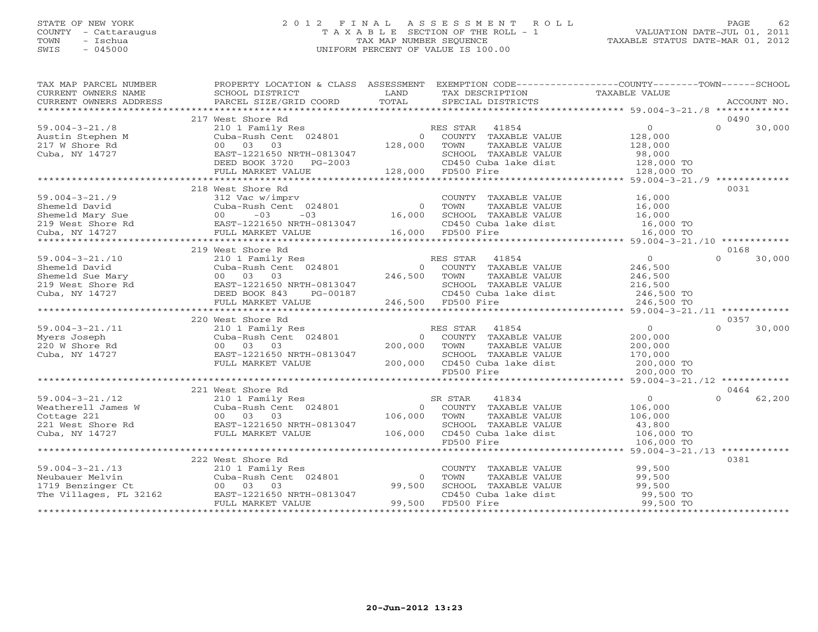## STATE OF NEW YORK 2 0 1 2 F I N A L A S S E S S M E N T R O L L PAGE 62 COUNTY - Cattaraugus T A X A B L E SECTION OF THE ROLL - 1 VALUATION DATE-JUL 01, 2011 TOWN - Ischua TAX MAP NUMBER SEQUENCE TAXABLE STATUS DATE-MAR 01, 2012 SWIS - 045000 UNIFORM PERCENT OF VALUE IS 100.00UNIFORM PERCENT OF VALUE IS 100.00

| TAX MAP PARCEL NUMBER<br>TA PIAN DESCRIPTION AND TRIX DESCRIPTION TAXABLE VALUE<br>CURRENT OWNERS NAME SCHOOL DISTRICT DAND TAXABLE TRIX DESCRIPTION TAXABLE VALUE<br>CURRENT OWNERS ADDRESS PARCEL SIZE/GRID COORD TOTAL SPECIAL DISTRICTS ACCOUNT NO. | PROPERTY LOCATION & CLASS ASSESSMENT                                                  |                |                                    | EXEMPTION CODE----------------COUNTY-------TOWN------SCHOOL |                    |
|---------------------------------------------------------------------------------------------------------------------------------------------------------------------------------------------------------------------------------------------------------|---------------------------------------------------------------------------------------|----------------|------------------------------------|-------------------------------------------------------------|--------------------|
|                                                                                                                                                                                                                                                         |                                                                                       |                |                                    |                                                             |                    |
|                                                                                                                                                                                                                                                         | 217 West Shore Rd                                                                     |                |                                    |                                                             | 0490               |
| $59.004 - 3 - 21.78$                                                                                                                                                                                                                                    | 210 1 Family Res                                                                      |                | RES STAR<br>41854                  | $\overline{0}$                                              | $\Omega$<br>30,000 |
| Austin Stephen M                                                                                                                                                                                                                                        | Cuba-Rush Cent 024801                                                                 | $\overline{0}$ | COUNTY TAXABLE VALUE               | 128,000                                                     |                    |
| 217 W Shore Rd                                                                                                                                                                                                                                          | 00 03 03                                                                              | 128,000        | TOWN<br>TAXABLE VALUE              | 128,000                                                     |                    |
| Cuba, NY 14727                                                                                                                                                                                                                                          | EAST-1221650 NRTH-0813047                                                             |                | SCHOOL TAXABLE VALUE               | 98,000                                                      |                    |
|                                                                                                                                                                                                                                                         | DEED BOOK 3720<br>PG-2003                                                             |                | CD450 Cuba lake dist<br>FD500 Fire | 128,000 TO                                                  |                    |
|                                                                                                                                                                                                                                                         | FULL MARKET VALUE                                                                     |                | 128,000 FD500 Fire                 | 128,000 TO                                                  |                    |
|                                                                                                                                                                                                                                                         |                                                                                       |                |                                    |                                                             |                    |
|                                                                                                                                                                                                                                                         | 218 West Shore Rd                                                                     |                |                                    |                                                             | 0031               |
| $59.004 - 3 - 21.79$                                                                                                                                                                                                                                    | 312 Vac w/imprv                                                                       |                | COUNTY TAXABLE VALUE               | 16,000                                                      |                    |
| Shemeld David                                                                                                                                                                                                                                           |                                                                                       | $\overline{0}$ | TOWN<br>TAXABLE VALUE              | 16,000                                                      |                    |
| Shemeld Mary Sue                                                                                                                                                                                                                                        |                                                                                       | 16,000         | SCHOOL TAXABLE VALUE               | 16,000                                                      |                    |
| 219 West Shore Rd                                                                                                                                                                                                                                       | Cuba-Rush Cent 024801<br>00 -03 -03<br>EAST-1221650 NRTH-0813047<br>FULL MARKET VALUE | 16,000         | CD450 Cuba lake dist<br>FD500 Fire | ke dist<br>16,000 TO<br>16,000 TO                           |                    |
| Cuba, NY 14727                                                                                                                                                                                                                                          |                                                                                       |                |                                    |                                                             |                    |
|                                                                                                                                                                                                                                                         | 219 West Shore Rd                                                                     |                |                                    |                                                             | 0168               |
| $59.004 - 3 - 21.710$                                                                                                                                                                                                                                   | 210 1 Family Res                                                                      |                | RES STAR<br>41854                  | $\overline{0}$                                              | 30,000<br>$\Omega$ |
| Shemeld David                                                                                                                                                                                                                                           | Cuba-Rush Cent 024801                                                                 | $\overline{0}$ | COUNTY TAXABLE VALUE               | 246,500                                                     |                    |
| Shemeld Sue Mary                                                                                                                                                                                                                                        | 00 03 03                                                                              | 246,500        | TOWN<br>TAXABLE VALUE              | 246,500                                                     |                    |
| 219 West Shore Rd                                                                                                                                                                                                                                       | EAST-1221650 NRTH-0813047                                                             |                | SCHOOL TAXABLE VALUE               | 216,500                                                     |                    |
| Cuba, NY 14727                                                                                                                                                                                                                                          | DEED BOOK 843<br>PG-00187                                                             |                | CD450 Cuba lake dist               |                                                             |                    |
|                                                                                                                                                                                                                                                         | FULL MARKET VALUE                                                                     |                | 246,500 FD500 Fire                 | 246,500 TO<br>246,500 TO                                    |                    |
|                                                                                                                                                                                                                                                         |                                                                                       |                |                                    |                                                             |                    |
|                                                                                                                                                                                                                                                         | 220 West Shore Rd                                                                     |                |                                    |                                                             | 0357               |
| $59.004 - 3 - 21.711$                                                                                                                                                                                                                                   | 210 1 Family Res                                                                      |                | RES STAR<br>41854                  | $0 \qquad \qquad$                                           | 30,000<br>$\Omega$ |
| Myers Joseph                                                                                                                                                                                                                                            | Cuba-Rush Cent 024801                                                                 | $\overline{0}$ | COUNTY TAXABLE VALUE               | 200,000                                                     |                    |
| 220 W Shore Rd                                                                                                                                                                                                                                          | 00 03 03                                                                              | 200,000        | TOWN<br>TAXABLE VALUE              | 200,000                                                     |                    |
| Cuba, NY 14727                                                                                                                                                                                                                                          | EAST-1221650 NRTH-0813047                                                             |                | SCHOOL TAXABLE VALUE               | 170,000                                                     |                    |
|                                                                                                                                                                                                                                                         | FULL MARKET VALUE                                                                     | 200,000        | CD450 Cuba lake dist               | 200,000 TO                                                  |                    |
|                                                                                                                                                                                                                                                         |                                                                                       |                | FD500 Fire                         | 200,000 TO                                                  |                    |
|                                                                                                                                                                                                                                                         | 221 West Shore Rd                                                                     |                |                                    |                                                             | 0464               |
| $59.004 - 3 - 21.712$                                                                                                                                                                                                                                   | 210 1 Family Res                                                                      |                | SR STAR<br>41834                   | $\overline{0}$                                              | 62,200<br>$\Omega$ |
| Weatherell James W                                                                                                                                                                                                                                      | Cuba-Rush Cent 024801                                                                 | $\overline{0}$ | COUNTY TAXABLE VALUE               | 106,000                                                     |                    |
| Cottage 221                                                                                                                                                                                                                                             | 00 03 03                                                                              | 106,000        | TOWN<br>TAXABLE VALUE              | 106,000                                                     |                    |
|                                                                                                                                                                                                                                                         | EAST-1221650 NRTH-0813047                                                             |                | SCHOOL TAXABLE VALUE               | 43,800                                                      |                    |
| 221 West Shore Rd<br>Cuba, NY 14727                                                                                                                                                                                                                     | FULL MARKET VALUE                                                                     | 106,000        | CD450 Cuba lake dist               | 106,000 TO                                                  |                    |
|                                                                                                                                                                                                                                                         |                                                                                       |                | FD500 Fire                         | 106,000 TO                                                  |                    |
|                                                                                                                                                                                                                                                         | ******************************                                                        |                | ************************           | ***************** 59.004-3-21./13                           |                    |
|                                                                                                                                                                                                                                                         | 222 West Shore Rd                                                                     |                |                                    |                                                             | 0381               |
| $59.004 - 3 - 21.713$                                                                                                                                                                                                                                   | 210 1 Family Res                                                                      |                | COUNTY TAXABLE VALUE               | 99,500                                                      |                    |
| Neubauer Melvin                                                                                                                                                                                                                                         | Cuba-Rush Cent 024801                                                                 | $\overline{0}$ | TOWN<br>TAXABLE VALUE              | 99,500                                                      |                    |
| 1719 Benzinger Ct                                                                                                                                                                                                                                       | 00 03 03                                                                              | 99,500         | SCHOOL TAXABLE VALUE               | 99,500                                                      |                    |
| The Villages, FL 32162                                                                                                                                                                                                                                  | EAST-1221650 NRTH-0813047                                                             |                | CD450 Cuba lake dist               | 99,500 TO                                                   |                    |
|                                                                                                                                                                                                                                                         | FULL MARKET VALUE                                                                     | 99,500         | FD500 Fire                         | 99,500 TO                                                   |                    |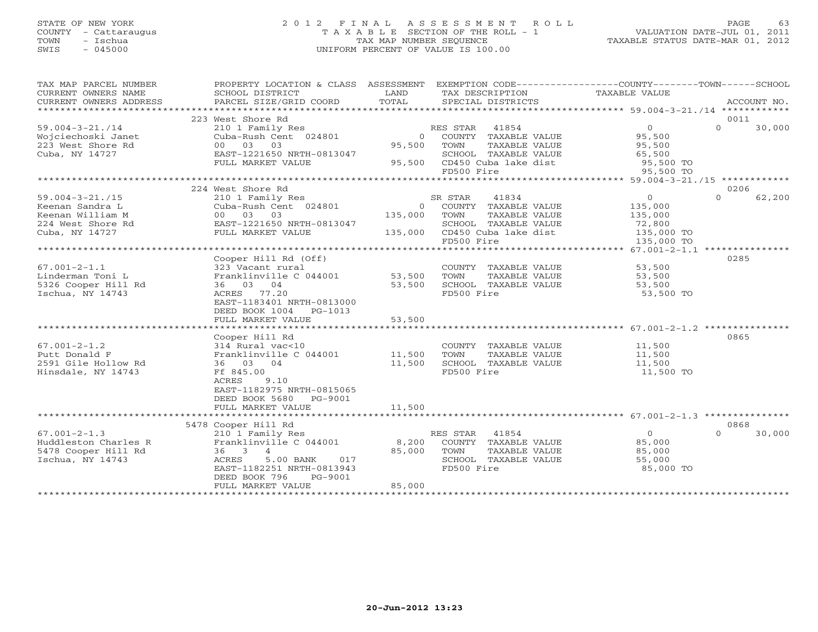## STATE OF NEW YORK 2 0 1 2 F I N A L A S S E S S M E N T R O L L PAGE 63 COUNTY - Cattaraugus T A X A B L E SECTION OF THE ROLL - 1 VALUATION DATE-JUL 01, 2011 TOWN - Ischua TAX MAP NUMBER SEQUENCE TAXABLE STATUS DATE-MAR 01, 2012 SWIS - 045000 UNIFORM PERCENT OF VALUE IS 100.00UNIFORM PERCENT OF VALUE IS 100.00

| TAX MAP PARCEL NUMBER<br>CURRENT OWNERS NAME                                                                                                                               | PROPERTY LOCATION & CLASS ASSESSMENT<br>SCHOOL DISTRICT       | LAND    | EXEMPTION CODE-----------------COUNTY-------TOWN------SCHOOL              |                |                    |
|----------------------------------------------------------------------------------------------------------------------------------------------------------------------------|---------------------------------------------------------------|---------|---------------------------------------------------------------------------|----------------|--------------------|
| CURRENT OWNERS ADDRESS                                                                                                                                                     | PARCEL SIZE/GRID COORD                                        | TOTAL   | TAX DESCRIPTION TAXABLE VALUE SPECIAL DISTRICTS                           |                | ACCOUNT NO.        |
|                                                                                                                                                                            |                                                               |         |                                                                           |                |                    |
|                                                                                                                                                                            | 223 West Shore Rd                                             |         |                                                                           |                | 0011               |
| $59.004 - 3 - 21.714$                                                                                                                                                      |                                                               |         | RES STAR 41854                                                            | $\overline{0}$ | $\Omega$<br>30,000 |
| Wojciechoski Janet                                                                                                                                                         | 210 1 Family Res<br>Cuba-Rush Cent 024801                     |         | 0 COUNTY TAXABLE VALUE                                                    | 95,500         |                    |
| 223 West Shore Rd                                                                                                                                                          | 00 03 03                                                      | 95,500  | TOWN<br>TAXABLE VALUE                                                     | 95,500         |                    |
| Cuba, NY 14727                                                                                                                                                             | EAST-1221650 NRTH-0813047                                     |         | SCHOOL TAXABLE VALUE                                                      | 65,500         |                    |
|                                                                                                                                                                            | <u>a matanggunan sa sa</u><br>FULL MARKET VALUE               |         | 95,500 CD450 Cuba lake dist 95,500 TO                                     |                |                    |
|                                                                                                                                                                            |                                                               |         | FD500 Fire                                                                | 95,500 TO      |                    |
|                                                                                                                                                                            |                                                               |         |                                                                           |                |                    |
|                                                                                                                                                                            | 224 West Shore Rd                                             |         |                                                                           |                | 0206               |
| $59.004 - 3 - 21.715$                                                                                                                                                      | 210 1 Family Res<br>Cuba-Rush Cent 024801                     |         | 41834<br>SR STAR                                                          | $\overline{0}$ | $\Omega$<br>62,200 |
| Keenan Sandra L                                                                                                                                                            |                                                               |         | 0 COUNTY TAXABLE VALUE                                                    | 135,000        |                    |
|                                                                                                                                                                            |                                                               | 135,000 | TOWN<br>TAXABLE VALUE                                                     | 135,000        |                    |
| Exercise Number 224 West Shore Rd<br>224 West Shore Rd<br>$\frac{1224 \text{ West}}{224 \text{ West}}$ Rd<br>$\frac{1221650 \text{ NRTH} - 0813047}{1221650 \text{ NRTH}}$ |                                                               |         | SCHOOL TAXABLE VALUE                                                      | 72,800         |                    |
| Cuba, NY 14727                                                                                                                                                             | FULL MARKET VALUE                                             |         | 135,000 CD450 Cuba lake dist                                              | 135,000 TO     |                    |
|                                                                                                                                                                            |                                                               |         | FD500 Fire                                                                | 135,000 TO     |                    |
|                                                                                                                                                                            |                                                               |         |                                                                           |                |                    |
|                                                                                                                                                                            | Cooper Hill Rd (Off)                                          |         |                                                                           |                | 0285               |
| $67.001 - 2 - 1.1$                                                                                                                                                         | --- vacant rural<br>Franklinville C 044001 53,500<br>36 03 04 |         |                                                                           | 53,500         |                    |
| Linderman Toni L                                                                                                                                                           |                                                               | 53,500  | COUNTY TAXABLE VALUE<br>TOWN      TAXABLE VALUE                           | 53,500         |                    |
| 5326 Cooper Hill Rd                                                                                                                                                        | 36 03 04                                                      | 53,500  | SCHOOL TAXABLE VALUE                                                      | 53,500         |                    |
| Ischua, NY 14743                                                                                                                                                           | ACRES 77.20                                                   |         | FD500 Fire                                                                | 53,500 TO      |                    |
|                                                                                                                                                                            | EAST-1183401 NRTH-0813000                                     |         |                                                                           |                |                    |
|                                                                                                                                                                            | DEED BOOK 1004 PG-1013                                        |         |                                                                           |                |                    |
|                                                                                                                                                                            | FULL MARKET VALUE                                             | 53,500  |                                                                           |                |                    |
|                                                                                                                                                                            |                                                               |         |                                                                           |                |                    |
|                                                                                                                                                                            | Cooper Hill Rd                                                |         |                                                                           |                | 0865               |
| $67.001 - 2 - 1.2$                                                                                                                                                         |                                                               |         |                                                                           |                |                    |
| Putt Donald F                                                                                                                                                              | $314$ Rural vac<10<br>Franklinville C 044001 11,500           |         | COUNTY TAXABLE VALUE 11,500<br>TOWN TAXABLE VALUE 11,500<br>TAXABLE VALUE |                |                    |
| 2591 Gile Hollow Rd                                                                                                                                                        | 36 03 04                                                      | 11,500  | SCHOOL TAXABLE VALUE                                                      | 11,500         |                    |
| Hinsdale, NY 14743                                                                                                                                                         | Ff 845.00                                                     |         | FD500 Fire                                                                | 11,500 TO      |                    |
|                                                                                                                                                                            | ACRES<br>9.10                                                 |         |                                                                           |                |                    |
|                                                                                                                                                                            | EAST-1182975 NRTH-0815065                                     |         |                                                                           |                |                    |
|                                                                                                                                                                            | DEED BOOK 5680 PG-9001                                        |         |                                                                           |                |                    |
|                                                                                                                                                                            | FULL MARKET VALUE                                             | 11,500  |                                                                           |                |                    |
|                                                                                                                                                                            |                                                               |         |                                                                           |                |                    |
|                                                                                                                                                                            | 5478 Cooper Hill Rd                                           |         |                                                                           |                | 0868               |
| $67.001 - 2 - 1.3$                                                                                                                                                         | 210 1 Family Res                                              |         | RES STAR 41854                                                            | $\overline{0}$ | $\Omega$<br>30,000 |
| Huddleston Charles R                                                                                                                                                       | Franklinville C 044001 8,200                                  |         | COUNTY TAXABLE VALUE                                                      | 85,000         |                    |
| 5478 Cooper Hill Rd                                                                                                                                                        | $36 \t 3 \t 4$                                                | 85,000  | TOWN<br>TAXABLE VALUE                                                     | 85,000         |                    |
| Ischua, NY 14743                                                                                                                                                           | ACRES<br>5.00 BANK<br>017                                     |         | SCHOOL TAXABLE VALUE                                                      | 55,000         |                    |
|                                                                                                                                                                            | EAST-1182251 NRTH-0813943                                     |         | FD500 Fire                                                                | 85,000 TO      |                    |
|                                                                                                                                                                            | DEED BOOK 796<br>PG-9001                                      |         |                                                                           |                |                    |
|                                                                                                                                                                            | FULL MARKET VALUE                                             | 85,000  |                                                                           |                |                    |
|                                                                                                                                                                            |                                                               |         |                                                                           |                |                    |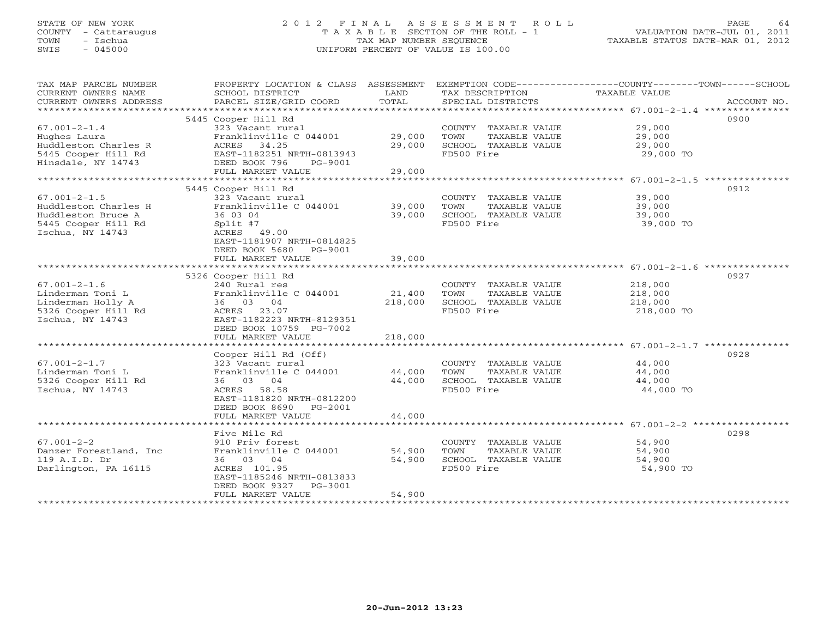## STATE OF NEW YORK 2 0 1 2 F I N A L A S S E S S M E N T R O L L PAGE 64 COUNTY - Cattaraugus T A X A B L E SECTION OF THE ROLL - 1 VALUATION DATE-JUL 01, 2011 TOWN - Ischua TAX MAP NUMBER SEQUENCE TAXABLE STATUS DATE-MAR 01, 2012 SWIS - 045000 UNIFORM PERCENT OF VALUE IS 100.00UNIFORM PERCENT OF VALUE IS 100.00

| TAX MAP PARCEL NUMBER<br>CURRENT OWNERS NAME<br>CURRENT OWNERS ADDRESS | PROPERTY LOCATION & CLASS ASSESSMENT<br>SCHOOL DISTRICT<br>PARCEL SIZE/GRID COORD          | LAND<br>TOTAL    | TAX DESCRIPTION<br>SPECIAL DISTRICTS          | EXEMPTION CODE-----------------COUNTY-------TOWN------SCHOOL<br>TAXABLE VALUE<br>ACCOUNT NO. |
|------------------------------------------------------------------------|--------------------------------------------------------------------------------------------|------------------|-----------------------------------------------|----------------------------------------------------------------------------------------------|
|                                                                        |                                                                                            |                  |                                               |                                                                                              |
|                                                                        | 5445 Cooper Hill Rd                                                                        |                  |                                               | 0900                                                                                         |
| $67.001 - 2 - 1.4$                                                     | 323 Vacant rural                                                                           |                  | COUNTY TAXABLE VALUE                          | 29,000                                                                                       |
| Hughes Laura                                                           | Franklinville C 044001                                                                     | 29,000           | TOWN<br>TAXABLE VALUE                         | 29,000                                                                                       |
| Huddleston Charles R                                                   | ACRES 34.25                                                                                | 29,000           | SCHOOL TAXABLE VALUE                          | 29,000                                                                                       |
| 5445 Cooper Hill Rd<br>Hinsdale, NY 14743                              | EAST-1182251 NRTH-0813943<br>DEED BOOK 796<br>PG-9001                                      |                  | FD500 Fire                                    | 29,000 TO                                                                                    |
|                                                                        | FULL MARKET VALUE                                                                          | 29,000           |                                               |                                                                                              |
|                                                                        |                                                                                            |                  |                                               |                                                                                              |
|                                                                        | 5445 Cooper Hill Rd                                                                        |                  |                                               | 0912                                                                                         |
| $67.001 - 2 - 1.5$                                                     | 323 Vacant rural                                                                           |                  | COUNTY TAXABLE VALUE                          | 39,000                                                                                       |
| Huddleston Charles H                                                   | Franklinville C 044001                                                                     | 39,000           | TOWN<br>TAXABLE VALUE                         | 39,000                                                                                       |
| Huddleston Bruce A                                                     | 36 03 04                                                                                   | 39,000           | SCHOOL TAXABLE VALUE                          | 39,000                                                                                       |
| 5445 Cooper Hill Rd                                                    | Split #7                                                                                   |                  | FD500 Fire                                    | 39,000 TO                                                                                    |
| Ischua, NY 14743                                                       | ACRES 49.00<br>EAST-1181907 NRTH-0814825<br>DEED BOOK 5680<br>PG-9001<br>FULL MARKET VALUE | 39,000           |                                               |                                                                                              |
|                                                                        |                                                                                            |                  |                                               |                                                                                              |
|                                                                        | 5326 Cooper Hill Rd                                                                        |                  |                                               | 0927                                                                                         |
| $67.001 - 2 - 1.6$                                                     | 240 Rural res                                                                              |                  | COUNTY TAXABLE VALUE                          | 218,000                                                                                      |
| Linderman Toni L                                                       | Franklinville C 044001                                                                     | 21,400           | TOWN<br>TAXABLE VALUE                         | 218,000                                                                                      |
| Linderman Holly A                                                      | 36 03 04                                                                                   | 218,000          | SCHOOL TAXABLE VALUE                          | 218,000                                                                                      |
| 5326 Cooper Hill Rd                                                    | ACRES 23.07                                                                                |                  | FD500 Fire                                    | 218,000 TO                                                                                   |
| Ischua, NY 14743                                                       | EAST-1182223 NRTH-8129351                                                                  |                  |                                               |                                                                                              |
|                                                                        | DEED BOOK 10759 PG-7002                                                                    |                  |                                               |                                                                                              |
|                                                                        | FULL MARKET VALUE                                                                          | 218,000          |                                               |                                                                                              |
|                                                                        | Cooper Hill Rd (Off)                                                                       |                  |                                               | 0928                                                                                         |
| $67.001 - 2 - 1.7$                                                     | 323 Vacant rural                                                                           |                  | COUNTY TAXABLE VALUE                          | 44,000                                                                                       |
|                                                                        |                                                                                            |                  |                                               |                                                                                              |
| Linderman Toni L<br>5326 Cooper Hill Rd                                | Franklinville C 044001<br>36 03 04                                                         | 44,000<br>44,000 | TOWN<br>TAXABLE VALUE<br>SCHOOL TAXABLE VALUE | 44,000                                                                                       |
| Ischua, NY 14743                                                       | ACRES 58.58                                                                                |                  | FD500 Fire                                    | 44,000                                                                                       |
|                                                                        | EAST-1181820 NRTH-0812200                                                                  |                  |                                               | 44,000 TO                                                                                    |
|                                                                        | DEED BOOK 8690 PG-2001                                                                     |                  |                                               |                                                                                              |
|                                                                        | FULL MARKET VALUE                                                                          | 44,000           |                                               |                                                                                              |
|                                                                        |                                                                                            |                  |                                               |                                                                                              |
|                                                                        | Five Mile Rd                                                                               |                  |                                               | 0298                                                                                         |
| $67.001 - 2 - 2$                                                       | 910 Priv forest                                                                            |                  | COUNTY TAXABLE VALUE                          | 54,900                                                                                       |
| Danzer Forestland, Inc.                                                | Franklinville C 044001                                                                     | 54,900           | TOWN<br>TAXABLE VALUE                         | 54,900                                                                                       |
| 119 A.I.D. Dr                                                          | 36 03 04                                                                                   | 54,900           | SCHOOL TAXABLE VALUE                          | 54,900                                                                                       |
| Darlington, PA 16115                                                   | ACRES 101.95                                                                               |                  | FD500 Fire                                    | 54,900 TO                                                                                    |
|                                                                        | EAST-1185246 NRTH-0813833                                                                  |                  |                                               |                                                                                              |
|                                                                        | DEED BOOK 9327<br>$PG-3001$                                                                |                  |                                               |                                                                                              |
|                                                                        | FULL MARKET VALUE                                                                          | 54,900           |                                               |                                                                                              |
|                                                                        |                                                                                            |                  |                                               |                                                                                              |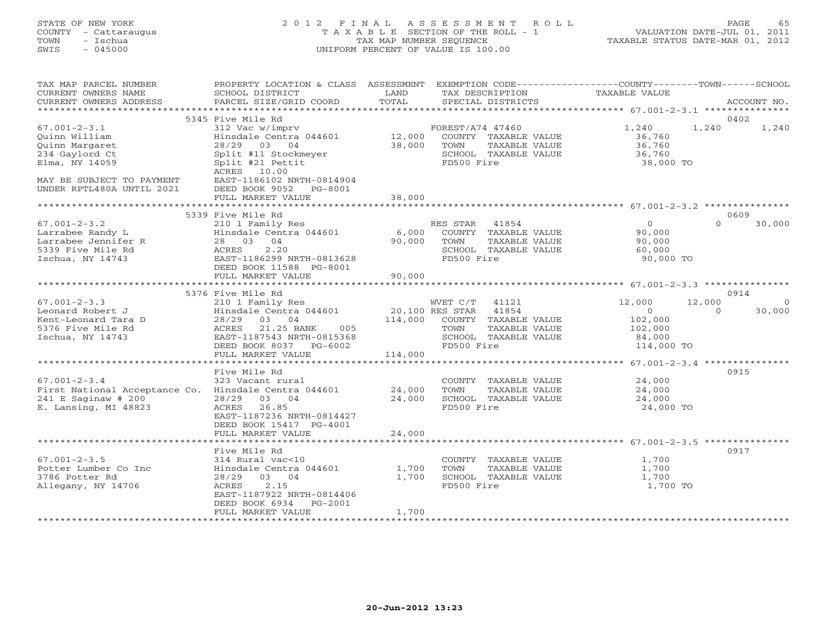## STATE OF NEW YORK 2 0 1 2 F I N A L A S S E S S M E N T R O L L PAGE 65 COUNTY - Cattaraugus T A X A B L E SECTION OF THE ROLL - 1 VALUATION DATE-JUL 01, 2011 TOWN - Ischua TAX MAP NUMBER SEQUENCE TAXABLE STATUS DATE-MAR 01, 2012 SWIS - 045000 UNIFORM PERCENT OF VALUE IS 100.00UNIFORM PERCENT OF VALUE IS 100.00

| TAX MAP PARCEL NUMBER<br>CURRENT OWNERS NAME<br>CURRENT OWNERS ADDRESS | PROPERTY LOCATION & CLASS ASSESSMENT<br>SCHOOL DISTRICT<br>PARCEL SIZE/GRID COORD | LAND<br>TOTAL         | TAX DESCRIPTION<br>SPECIAL DISTRICTS                                  | EXEMPTION CODE-----------------COUNTY-------TOWN------SCHOOL<br>TAXABLE VALUE | ACCOUNT NO.   |
|------------------------------------------------------------------------|-----------------------------------------------------------------------------------|-----------------------|-----------------------------------------------------------------------|-------------------------------------------------------------------------------|---------------|
| *************************                                              |                                                                                   |                       |                                                                       |                                                                               |               |
| $67.001 - 2 - 3.1$                                                     | 5345 Five Mile Rd<br>312 Vac w/imprv                                              |                       | FOREST/A74 47460                                                      | 1,240<br>1,240                                                                | 0402<br>1,240 |
| Ouinn William<br>Ouinn Margaret<br>234 Gaylord Ct                      | Hinsdale Centra 044601<br>28/29<br>03 04<br>Split #11 Stockmeyer                  | 12,000<br>38,000      | COUNTY TAXABLE VALUE<br>TOWN<br>TAXABLE VALUE<br>SCHOOL TAXABLE VALUE | 36,760<br>36,760<br>36,760                                                    |               |
| Elma, NY 14059                                                         | Split #21 Pettit<br>ACRES 10.00                                                   |                       | FD500 Fire                                                            | 38,000 TO                                                                     |               |
| MAY BE SUBJECT TO PAYMENT<br>UNDER RPTL480A UNTIL 2021                 | EAST-1186102 NRTH-0814904<br>DEED BOOK 9052<br>PG-8001<br>FULL MARKET VALUE       | 38,000                |                                                                       |                                                                               |               |
|                                                                        |                                                                                   |                       |                                                                       |                                                                               |               |
|                                                                        | 5339 Five Mile Rd                                                                 |                       |                                                                       |                                                                               | 0609          |
| $67.001 - 2 - 3.2$                                                     | 210 1 Family Res                                                                  |                       | RES STAR<br>41854                                                     | $\Omega$<br>$\circ$                                                           | 30,000        |
| Larrabee Randy L                                                       | Hinsdale Centra 044601                                                            | 6,000                 | COUNTY TAXABLE VALUE                                                  | 90,000                                                                        |               |
| Larrabee Jennifer R                                                    | 28 03<br>04                                                                       | 90,000                | TAXABLE VALUE<br>TOWN                                                 | 90,000                                                                        |               |
| 5339 Five Mile Rd<br>Ischua, NY 14743                                  | ACRES<br>2.20<br>EAST-1186299 NRTH-0813628                                        |                       | SCHOOL TAXABLE VALUE<br>FD500 Fire                                    | 60,000<br>90,000 TO                                                           |               |
|                                                                        | DEED BOOK 11588 PG-8001<br>FULL MARKET VALUE                                      | 90,000                |                                                                       |                                                                               |               |
|                                                                        |                                                                                   |                       |                                                                       |                                                                               |               |
|                                                                        | 5376 Five Mile Rd                                                                 |                       |                                                                       |                                                                               | 0914          |
| $67.001 - 2 - 3.3$                                                     | 210 1 Family Res                                                                  |                       | WVET C/T<br>41121                                                     | 12,000<br>12,000                                                              | $\circ$       |
| Leonard Robert J                                                       | Hinsdale Centra 044601                                                            | 20,100 RES STAR       | 41854                                                                 | $\Omega$<br>$\circ$                                                           | 30,000        |
| Kent-Leonard Tara D                                                    | 28/29<br>03<br>04                                                                 | 114,000               | COUNTY TAXABLE VALUE                                                  | 102,000                                                                       |               |
| 5376 Five Mile Rd<br>Ischua, NY 14743                                  | ACRES<br>21.25 BANK<br>005<br>EAST-1187543 NRTH-0815368                           |                       | TOWN<br>TAXABLE VALUE<br>SCHOOL TAXABLE VALUE                         | 102,000<br>84,000                                                             |               |
|                                                                        | DEED BOOK 8037 PG-6002                                                            |                       | FD500 Fire                                                            | 114,000 TO                                                                    |               |
|                                                                        | FULL MARKET VALUE                                                                 | 114,000               |                                                                       |                                                                               |               |
|                                                                        | ************************                                                          |                       |                                                                       |                                                                               |               |
|                                                                        | Five Mile Rd                                                                      |                       |                                                                       |                                                                               | 0915          |
| $67.001 - 2 - 3.4$                                                     | 323 Vacant rural                                                                  |                       | COUNTY TAXABLE VALUE                                                  | 24,000                                                                        |               |
| First National Acceptance Co. Hinsdale Centra 044601                   |                                                                                   | 24,000                | TAXABLE VALUE<br>TOWN                                                 | 24,000                                                                        |               |
| $241$ E Saginaw # 200                                                  | 28/29<br>03<br>04                                                                 | 24,000                | SCHOOL TAXABLE VALUE                                                  | 24,000                                                                        |               |
| E. Lansing, MI 48823                                                   | 26.85<br><b>ACRES</b><br>EAST-1187236 NRTH-0814427<br>DEED BOOK 15417 PG-4001     |                       | FD500 Fire                                                            | 24,000 TO                                                                     |               |
|                                                                        | FULL MARKET VALUE<br>******************                                           | 24,000<br>*********** |                                                                       | ********************************* 67.001-2-3.5 ***************                |               |
|                                                                        | Five Mile Rd                                                                      |                       |                                                                       |                                                                               | 0917          |
| $67.001 - 2 - 3.5$                                                     | 314 Rural vac<10                                                                  |                       | COUNTY TAXABLE VALUE                                                  | 1,700                                                                         |               |
| Potter Lumber Co Inc                                                   | Hinsdale Centra 044601                                                            | 1,700                 | TOWN<br>TAXABLE VALUE                                                 | 1,700                                                                         |               |
| 3786 Potter Rd                                                         | 28/29<br>03 04                                                                    | 1,700                 | SCHOOL TAXABLE VALUE                                                  | 1,700                                                                         |               |
| Allegany, NY 14706                                                     | 2.15<br>ACRES<br>EAST-1187922 NRTH-0814406<br>DEED BOOK 6934<br>$PG-2001$         |                       | FD500 Fire                                                            | 1,700 TO                                                                      |               |
|                                                                        | FULL MARKET VALUE                                                                 | 1,700                 |                                                                       |                                                                               |               |
|                                                                        | ********************                                                              |                       |                                                                       |                                                                               |               |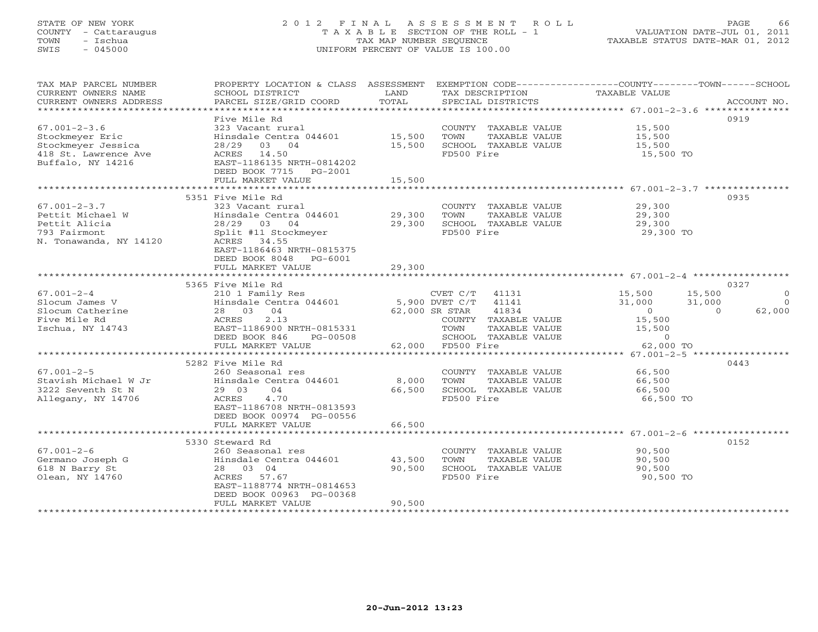## STATE OF NEW YORK 2 0 1 2 F I N A L A S S E S S M E N T R O L L PAGE 66 COUNTY - Cattaraugus T A X A B L E SECTION OF THE ROLL - 1 VALUATION DATE-JUL 01, 2011 TOWN - Ischua TAX MAP NUMBER SEQUENCE TAXABLE STATUS DATE-MAR 01, 2012 SWIS - 045000 UNIFORM PERCENT OF VALUE IS 100.00UNIFORM PERCENT OF VALUE IS 100.00

| TAX MAP PARCEL NUMBER<br>CURRENT OWNERS NAME<br>CURRENT OWNERS ADDRESS | PROPERTY LOCATION & CLASS ASSESSMENT<br>SCHOOL DISTRICT<br>PARCEL SIZE/GRID COORD | LAND<br>TOTAL  | TAX DESCRIPTION<br>SPECIAL DISTRICTS      | EXEMPTION CODE-----------------COUNTY-------TOWN-----SCHOOL<br>TAXABLE VALUE | ACCOUNT NO. |
|------------------------------------------------------------------------|-----------------------------------------------------------------------------------|----------------|-------------------------------------------|------------------------------------------------------------------------------|-------------|
| *************************                                              |                                                                                   |                |                                           |                                                                              |             |
|                                                                        | Five Mile Rd                                                                      |                |                                           |                                                                              | 0919        |
| $67.001 - 2 - 3.6$                                                     | 323 Vacant rural                                                                  |                | COUNTY TAXABLE VALUE                      | 15,500                                                                       |             |
| Stockmeyer Eric                                                        | Hinsdale Centra 044601 15,500                                                     |                | TOWN<br>TAXABLE VALUE                     | 15,500                                                                       |             |
| Stockmeyer Jessica                                                     | 28/29 03 04                                                                       | 15,500         | SCHOOL TAXABLE VALUE                      | 15,500                                                                       |             |
| 418 St. Lawrence Ave<br>Buffalo, NY 14216                              | ACRES 14.50<br>EAST-1186135 NRTH-0814202                                          |                | FD500 Fire                                | 15,500 TO                                                                    |             |
|                                                                        | DEED BOOK 7715 PG-2001                                                            |                |                                           |                                                                              |             |
|                                                                        | FULL MARKET VALUE                                                                 | 15,500         |                                           |                                                                              |             |
|                                                                        |                                                                                   |                |                                           |                                                                              |             |
|                                                                        | 5351 Five Mile Rd                                                                 |                |                                           |                                                                              | 0935        |
| $67.001 - 2 - 3.7$                                                     | 323 Vacant rural                                                                  |                | COUNTY TAXABLE VALUE                      | 29,300                                                                       |             |
| Pettit Michael W                                                       | Hinsdale Centra 044601                                                            | 29,300         | TOWN<br>TAXABLE VALUE                     | 29,300                                                                       |             |
| Pettit Alicia                                                          | 28/29 03 04                                                                       | 29,300         | SCHOOL TAXABLE VALUE                      | 29,300                                                                       |             |
| 793 Fairmont                                                           | Split #11 Stockmeyer                                                              |                | FD500 Fire                                | 29,300 TO                                                                    |             |
| N. Tonawanda, NY 14120                                                 | ACRES 34.55                                                                       |                |                                           |                                                                              |             |
|                                                                        | EAST-1186463 NRTH-0815375                                                         |                |                                           |                                                                              |             |
|                                                                        | DEED BOOK 8048 PG-6001                                                            |                |                                           |                                                                              |             |
|                                                                        | FULL MARKET VALUE                                                                 | 29,300         |                                           |                                                                              |             |
|                                                                        |                                                                                   |                |                                           |                                                                              |             |
|                                                                        | 5365 Five Mile Rd                                                                 |                |                                           |                                                                              | 0327        |
| $67.001 - 2 - 4$                                                       | 210 1 Family Res                                                                  |                | CVET C/T 41131                            | 15,500<br>15,500                                                             | $\Omega$    |
| Slocum James V                                                         | Hinsdale Centra 044601 5,900 DVET C/T                                             |                | 41141                                     | 31,000<br>31,000                                                             | $\Omega$    |
| Slocum Catherine                                                       | 28 03 04                                                                          | 62,000 SR STAR | 41834                                     | $\overline{0}$<br>$\Omega$                                                   | 62,000      |
| Five Mile Rd                                                           | 2.13<br>ACRES                                                                     |                | COUNTY TAXABLE VALUE                      | 15,500                                                                       |             |
| Ischua, NY 14743                                                       | EAST-1186900 NRTH-0815331                                                         |                | TAXABLE VALUE<br>TOWN                     | 15,500                                                                       |             |
|                                                                        | DEED BOOK 846<br>PG-00508<br>FULL MARKET VALUE                                    |                | SCHOOL TAXABLE VALUE<br>62,000 FD500 Fire | $\circ$<br>62,000 TO                                                         |             |
|                                                                        |                                                                                   |                |                                           |                                                                              |             |
|                                                                        | 5282 Five Mile Rd                                                                 |                |                                           |                                                                              | 0443        |
| $67.001 - 2 - 5$                                                       | 260 Seasonal res                                                                  |                | COUNTY TAXABLE VALUE                      | 66,500                                                                       |             |
| Stavish Michael W Jr                                                   | Hinsdale Centra 044601                                                            | 8,000          | TOWN<br>TAXABLE VALUE                     | 66,500                                                                       |             |
| 3222 Seventh St N                                                      | 29 03<br>04                                                                       | 66,500         | SCHOOL TAXABLE VALUE                      | 66,500                                                                       |             |
| Allegany, NY 14706                                                     | ACRES<br>4.70                                                                     |                | FD500 Fire                                | 66,500 TO                                                                    |             |
|                                                                        | EAST-1186708 NRTH-0813593                                                         |                |                                           |                                                                              |             |
|                                                                        | DEED BOOK 00974 PG-00556                                                          |                |                                           |                                                                              |             |
|                                                                        | FULL MARKET VALUE                                                                 | 66,500         |                                           |                                                                              |             |
|                                                                        |                                                                                   |                |                                           |                                                                              |             |
|                                                                        | 5330 Steward Rd                                                                   |                |                                           |                                                                              | 0152        |
| $67.001 - 2 - 6$                                                       | 260 Seasonal res                                                                  |                | COUNTY TAXABLE VALUE                      | 90,500                                                                       |             |
| Germano Joseph G                                                       | Hinsdale Centra 044601                                                            | 43,500         | TAXABLE VALUE<br>TOWN                     | 90,500                                                                       |             |
| 618 N Barry St                                                         | 28 03 04                                                                          | 90,500         | SCHOOL TAXABLE VALUE                      | 90,500                                                                       |             |
| Olean, NY 14760                                                        | ACRES 57.67                                                                       |                | FD500 Fire                                | 90,500 TO                                                                    |             |
|                                                                        | EAST-1188774 NRTH-0814653                                                         |                |                                           |                                                                              |             |
|                                                                        | DEED BOOK 00963 PG-00368<br>FULL MARKET VALUE                                     | 90,500         |                                           |                                                                              |             |
|                                                                        |                                                                                   |                |                                           |                                                                              |             |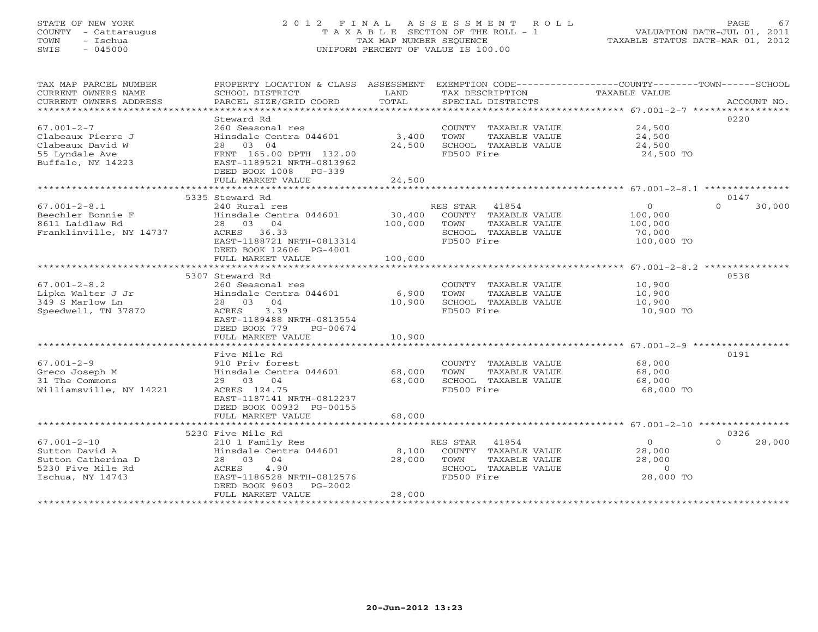## STATE OF NEW YORK 2 0 1 2 F I N A L A S S E S S M E N T R O L L PAGE 67 COUNTY - Cattaraugus T A X A B L E SECTION OF THE ROLL - 1 VALUATION DATE-JUL 01, 2011 TOWN - Ischua TAX MAP NUMBER SEQUENCE TAXABLE STATUS DATE-MAR 01, 2012 SWIS - 045000 UNIFORM PERCENT OF VALUE IS 100.00UNIFORM PERCENT OF VALUE IS 100.00

| TAX MAP PARCEL NUMBER   | PROPERTY LOCATION & CLASS ASSESSMENT EXEMPTION CODE---------------COUNTY-------TOWN-----SCHOOL |                   |                       |                |                    |
|-------------------------|------------------------------------------------------------------------------------------------|-------------------|-----------------------|----------------|--------------------|
| CURRENT OWNERS NAME     | SCHOOL DISTRICT                                                                                | LAND              | TAX DESCRIPTION       | TAXABLE VALUE  |                    |
| CURRENT OWNERS ADDRESS  | PARCEL SIZE/GRID COORD                                                                         | TOTAL             | SPECIAL DISTRICTS     |                | ACCOUNT NO.        |
|                         |                                                                                                |                   |                       |                |                    |
|                         | Steward Rd                                                                                     |                   |                       |                | 0220               |
| $67.001 - 2 - 7$        | 260 Seasonal res                                                                               |                   | COUNTY TAXABLE VALUE  | 24,500         |                    |
| Clabeaux Pierre J       | Hinsdale Centra 044601                                                                         | 3,400             | TOWN<br>TAXABLE VALUE | 24,500         |                    |
| Clabeaux David W        | 28 03 04                                                                                       | 24,500            | SCHOOL TAXABLE VALUE  | 24,500         |                    |
| 55 Lyndale Ave          | FRNT 165.00 DPTH 132.00                                                                        |                   | FD500 Fire            | 24,500 TO      |                    |
| Buffalo, NY 14223       | EAST-1189521 NRTH-0813962                                                                      |                   |                       |                |                    |
|                         | DEED BOOK 1008 PG-339                                                                          |                   |                       |                |                    |
|                         | FULL MARKET VALUE                                                                              | 24,500            |                       |                |                    |
|                         |                                                                                                |                   |                       |                | 0147               |
| $67.001 - 2 - 8.1$      | 5335 Steward Rd                                                                                |                   | 41854                 | $\circ$        | $\Omega$<br>30,000 |
|                         | 240 Rural res                                                                                  |                   | RES STAR              |                |                    |
| Beechler Bonnie F       | Hinsdale Centra 044601                                                                         | 30,400<br>100,000 | COUNTY TAXABLE VALUE  | 100,000        |                    |
| 8611 Laidlaw Rd         | 28 03 04                                                                                       |                   | TOWN<br>TAXABLE VALUE | 100,000        |                    |
| Franklinville, NY 14737 | ACRES 36.33<br>EAST-1188721 NRTH-0813314                                                       |                   | SCHOOL TAXABLE VALUE  | 70,000         |                    |
|                         |                                                                                                |                   | FD500 Fire            | 100,000 TO     |                    |
|                         | DEED BOOK 12606 PG-4001                                                                        | 100,000           |                       |                |                    |
|                         | FULL MARKET VALUE                                                                              |                   |                       |                |                    |
|                         | 5307 Steward Rd                                                                                |                   |                       |                | 0538               |
| $67.001 - 2 - 8.2$      | 260 Seasonal res                                                                               |                   | COUNTY TAXABLE VALUE  | 10,900         |                    |
| Lipka Walter J Jr       | Hinsdale Centra 044601                                                                         | 6,900             | TOWN<br>TAXABLE VALUE | 10,900         |                    |
| 349 S Marlow Ln         | 28 03 04                                                                                       | 10,900            | SCHOOL TAXABLE VALUE  | 10,900         |                    |
| Speedwell, TN 37870     | 3.39<br>ACRES                                                                                  |                   | FD500 Fire            | 10,900 TO      |                    |
|                         | EAST-1189488 NRTH-0813554                                                                      |                   |                       |                |                    |
|                         | DEED BOOK 779<br>PG-00674                                                                      |                   |                       |                |                    |
|                         | FULL MARKET VALUE                                                                              | 10,900            |                       |                |                    |
|                         |                                                                                                |                   |                       |                |                    |
|                         | Five Mile Rd                                                                                   |                   |                       |                | 0191               |
| $67.001 - 2 - 9$        | 910 Priv forest                                                                                |                   | COUNTY TAXABLE VALUE  | 68,000         |                    |
| Greco Joseph M          | Hinsdale Centra 044601                                                                         | 68,000            | TOWN<br>TAXABLE VALUE | 68,000         |                    |
| 31 The Commons          | 29 03 04                                                                                       | 68,000            | SCHOOL TAXABLE VALUE  | 68,000         |                    |
| Williamsville, NY 14221 | ACRES 124.75                                                                                   |                   | FD500 Fire            | 68,000 TO      |                    |
|                         | EAST-1187141 NRTH-0812237                                                                      |                   |                       |                |                    |
|                         | DEED BOOK 00932 PG-00155                                                                       |                   |                       |                |                    |
|                         | FULL MARKET VALUE                                                                              | 68,000            |                       |                |                    |
|                         |                                                                                                |                   |                       |                |                    |
|                         | 5230 Five Mile Rd                                                                              |                   |                       |                | 0326               |
| $67.001 - 2 - 10$       | 210 1 Family Res                                                                               |                   | RES STAR 41854        | $\overline{0}$ | 28,000<br>$\cap$   |
| Sutton David A          | Hinsdale Centra 044601                                                                         | 8,100             | COUNTY TAXABLE VALUE  | 28,000         |                    |
| Sutton Catherina D      | 28 03 04                                                                                       | 28,000            | TOWN<br>TAXABLE VALUE | 28,000         |                    |
| 5230 Five Mile Rd       | ACRES 4.90                                                                                     |                   | SCHOOL TAXABLE VALUE  | $\Omega$       |                    |
| Ischua, NY 14743        | EAST-1186528 NRTH-0812576                                                                      |                   | FD500 Fire            | 28,000 TO      |                    |
|                         | DEED BOOK 9603<br>PG-2002                                                                      |                   |                       |                |                    |
|                         | FULL MARKET VALUE                                                                              | 28,000            |                       |                |                    |
|                         |                                                                                                |                   |                       |                |                    |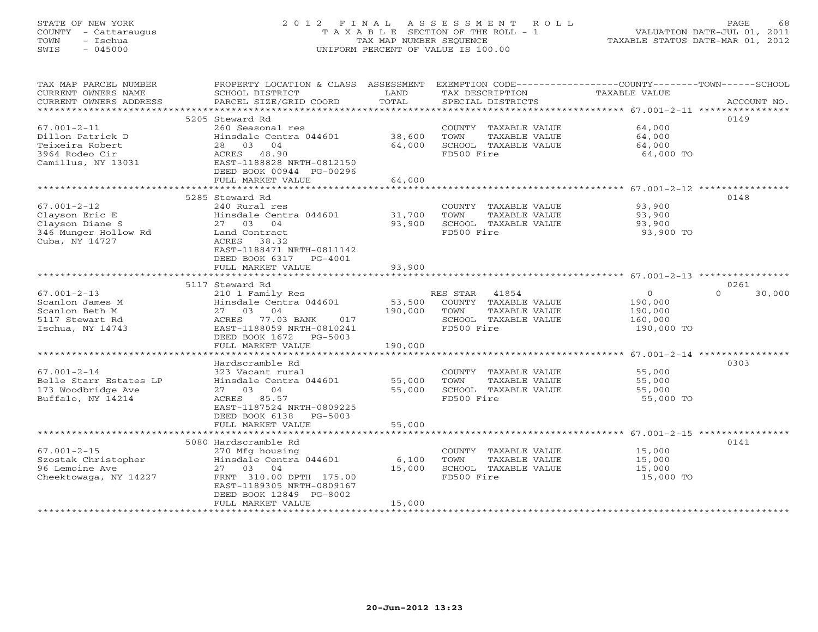## STATE OF NEW YORK 2 0 1 2 F I N A L A S S E S S M E N T R O L L PAGE 68 COUNTY - Cattaraugus T A X A B L E SECTION OF THE ROLL - 1 VALUATION DATE-JUL 01, 2011 TOWN - Ischua TAX MAP NUMBER SEQUENCE TAXABLE STATUS DATE-MAR 01, 2012 SWIS - 045000 UNIFORM PERCENT OF VALUE IS 100.00UNIFORM PERCENT OF VALUE IS 100.00

| CURRENT OWNERS NAME<br>SCHOOL DISTRICT<br>LAND<br>TAX DESCRIPTION<br>TAXABLE VALUE<br>PARCEL SIZE/GRID COORD<br>TOTAL<br>CURRENT OWNERS ADDRESS<br>SPECIAL DISTRICTS<br>ACCOUNT NO.<br>*************************<br>5205 Steward Rd<br>0149<br>260 Seasonal res<br>64,000<br>$67.001 - 2 - 11$<br>COUNTY TAXABLE VALUE<br>38,600<br>Dillon Patrick D<br>Hinsdale Centra 044601<br>TOWN<br>TAXABLE VALUE<br>64,000<br>Teixeira Robert<br>28 03 04<br>64,000<br>SCHOOL TAXABLE VALUE<br>64,000<br>3964 Rodeo Cir<br>ACRES 48.90<br>FD500 Fire<br>64,000 TO<br>EAST-1188828 NRTH-0812150<br>Camillus, NY 13031<br>DEED BOOK 00944 PG-00296<br>FULL MARKET VALUE<br>64,000<br>0148<br>5285 Steward Rd<br>$67.001 - 2 - 12$<br>240 Rural res<br>COUNTY TAXABLE VALUE<br>93,900<br>Clayson Eric E<br>Hinsdale Centra 044601<br>31,700<br>TAXABLE VALUE<br>TOWN<br>93,900<br>27 03 04<br>93,900<br>SCHOOL TAXABLE VALUE<br>Clayson Diane S<br>93,900<br>346 Munger Hollow Rd<br>FD500 Fire<br>Land Contract<br>93,900 TO<br>Cuba, NY 14727<br>ACRES 38.32<br>EAST-1188471 NRTH-0811142<br>DEED BOOK 6317 PG-4001<br>93,900<br>FULL MARKET VALUE<br>0261<br>5117 Steward Rd<br>$\Omega$<br>$\Omega$<br>RES STAR 41854<br>30,000<br>$67.001 - 2 - 13$<br>210 1 Family Res<br>Hinsdale Centra 044601<br>53,500<br>COUNTY TAXABLE VALUE<br>Scanlon James M<br>190,000<br>27 03 04<br>Scanlon Beth M<br>190,000<br>TOWN<br>TAXABLE VALUE<br>190,000<br>ACRES 77.03 BANK<br>017<br>SCHOOL TAXABLE VALUE<br>5117 Stewart Rd<br>160,000<br>Ischua, NY 14743<br>EAST-1188059 NRTH-0810241<br>FD500 Fire<br>190,000 TO<br>DEED BOOK 1672 PG-5003<br>FULL MARKET VALUE<br>190,000<br>Hardscramble Rd<br>0303<br>$67.001 - 2 - 14$<br>323 Vacant rural<br>COUNTY TAXABLE VALUE<br>55,000<br>Hinsdale Centra 044601<br>55,000<br>TOWN<br>Belle Starr Estates LP<br>TAXABLE VALUE<br>55,000<br>173 Woodbridge Ave<br>27 03 04<br>55,000<br>SCHOOL TAXABLE VALUE<br>55,000<br>Buffalo, NY 14214<br>FD500 Fire<br>ACRES 85.57<br>55,000 TO<br>EAST-1187524 NRTH-0809225<br>DEED BOOK 6138 PG-5003<br>55,000<br>FULL MARKET VALUE<br>5080 Hardscramble Rd<br>0141<br>$67.001 - 2 - 15$<br>270 Mfg housing<br>15,000<br>COUNTY TAXABLE VALUE<br>Szostak Christopher<br>Hinsdale Centra 044601<br>6,100<br>TOWN<br>TAXABLE VALUE<br>15,000<br>96 Lemoine Ave<br>27 03 04<br>15,000<br>SCHOOL TAXABLE VALUE<br>15,000<br>Cheektowaga, NY 14227<br>FD500 Fire<br>15,000 TO<br>FRNT 310.00 DPTH 175.00<br>EAST-1189305 NRTH-0809167<br>DEED BOOK 12849 PG-8002<br>FULL MARKET VALUE<br>15,000 | TAX MAP PARCEL NUMBER | PROPERTY LOCATION & CLASS ASSESSMENT | EXEMPTION CODE-----------------COUNTY-------TOWN------SCHOOL |  |
|------------------------------------------------------------------------------------------------------------------------------------------------------------------------------------------------------------------------------------------------------------------------------------------------------------------------------------------------------------------------------------------------------------------------------------------------------------------------------------------------------------------------------------------------------------------------------------------------------------------------------------------------------------------------------------------------------------------------------------------------------------------------------------------------------------------------------------------------------------------------------------------------------------------------------------------------------------------------------------------------------------------------------------------------------------------------------------------------------------------------------------------------------------------------------------------------------------------------------------------------------------------------------------------------------------------------------------------------------------------------------------------------------------------------------------------------------------------------------------------------------------------------------------------------------------------------------------------------------------------------------------------------------------------------------------------------------------------------------------------------------------------------------------------------------------------------------------------------------------------------------------------------------------------------------------------------------------------------------------------------------------------------------------------------------------------------------------------------------------------------------------------------------------------------------------------------------------------------------------------------------------------------------------------------------------------------------------------------------------------------------------------------------------------------------------------------------------------------------------------------------------------------------------------------------------------|-----------------------|--------------------------------------|--------------------------------------------------------------|--|
|                                                                                                                                                                                                                                                                                                                                                                                                                                                                                                                                                                                                                                                                                                                                                                                                                                                                                                                                                                                                                                                                                                                                                                                                                                                                                                                                                                                                                                                                                                                                                                                                                                                                                                                                                                                                                                                                                                                                                                                                                                                                                                                                                                                                                                                                                                                                                                                                                                                                                                                                                                  |                       |                                      |                                                              |  |
|                                                                                                                                                                                                                                                                                                                                                                                                                                                                                                                                                                                                                                                                                                                                                                                                                                                                                                                                                                                                                                                                                                                                                                                                                                                                                                                                                                                                                                                                                                                                                                                                                                                                                                                                                                                                                                                                                                                                                                                                                                                                                                                                                                                                                                                                                                                                                                                                                                                                                                                                                                  |                       |                                      |                                                              |  |
|                                                                                                                                                                                                                                                                                                                                                                                                                                                                                                                                                                                                                                                                                                                                                                                                                                                                                                                                                                                                                                                                                                                                                                                                                                                                                                                                                                                                                                                                                                                                                                                                                                                                                                                                                                                                                                                                                                                                                                                                                                                                                                                                                                                                                                                                                                                                                                                                                                                                                                                                                                  |                       |                                      |                                                              |  |
|                                                                                                                                                                                                                                                                                                                                                                                                                                                                                                                                                                                                                                                                                                                                                                                                                                                                                                                                                                                                                                                                                                                                                                                                                                                                                                                                                                                                                                                                                                                                                                                                                                                                                                                                                                                                                                                                                                                                                                                                                                                                                                                                                                                                                                                                                                                                                                                                                                                                                                                                                                  |                       |                                      |                                                              |  |
|                                                                                                                                                                                                                                                                                                                                                                                                                                                                                                                                                                                                                                                                                                                                                                                                                                                                                                                                                                                                                                                                                                                                                                                                                                                                                                                                                                                                                                                                                                                                                                                                                                                                                                                                                                                                                                                                                                                                                                                                                                                                                                                                                                                                                                                                                                                                                                                                                                                                                                                                                                  |                       |                                      |                                                              |  |
|                                                                                                                                                                                                                                                                                                                                                                                                                                                                                                                                                                                                                                                                                                                                                                                                                                                                                                                                                                                                                                                                                                                                                                                                                                                                                                                                                                                                                                                                                                                                                                                                                                                                                                                                                                                                                                                                                                                                                                                                                                                                                                                                                                                                                                                                                                                                                                                                                                                                                                                                                                  |                       |                                      |                                                              |  |
|                                                                                                                                                                                                                                                                                                                                                                                                                                                                                                                                                                                                                                                                                                                                                                                                                                                                                                                                                                                                                                                                                                                                                                                                                                                                                                                                                                                                                                                                                                                                                                                                                                                                                                                                                                                                                                                                                                                                                                                                                                                                                                                                                                                                                                                                                                                                                                                                                                                                                                                                                                  |                       |                                      |                                                              |  |
|                                                                                                                                                                                                                                                                                                                                                                                                                                                                                                                                                                                                                                                                                                                                                                                                                                                                                                                                                                                                                                                                                                                                                                                                                                                                                                                                                                                                                                                                                                                                                                                                                                                                                                                                                                                                                                                                                                                                                                                                                                                                                                                                                                                                                                                                                                                                                                                                                                                                                                                                                                  |                       |                                      |                                                              |  |
|                                                                                                                                                                                                                                                                                                                                                                                                                                                                                                                                                                                                                                                                                                                                                                                                                                                                                                                                                                                                                                                                                                                                                                                                                                                                                                                                                                                                                                                                                                                                                                                                                                                                                                                                                                                                                                                                                                                                                                                                                                                                                                                                                                                                                                                                                                                                                                                                                                                                                                                                                                  |                       |                                      |                                                              |  |
|                                                                                                                                                                                                                                                                                                                                                                                                                                                                                                                                                                                                                                                                                                                                                                                                                                                                                                                                                                                                                                                                                                                                                                                                                                                                                                                                                                                                                                                                                                                                                                                                                                                                                                                                                                                                                                                                                                                                                                                                                                                                                                                                                                                                                                                                                                                                                                                                                                                                                                                                                                  |                       |                                      |                                                              |  |
|                                                                                                                                                                                                                                                                                                                                                                                                                                                                                                                                                                                                                                                                                                                                                                                                                                                                                                                                                                                                                                                                                                                                                                                                                                                                                                                                                                                                                                                                                                                                                                                                                                                                                                                                                                                                                                                                                                                                                                                                                                                                                                                                                                                                                                                                                                                                                                                                                                                                                                                                                                  |                       |                                      |                                                              |  |
|                                                                                                                                                                                                                                                                                                                                                                                                                                                                                                                                                                                                                                                                                                                                                                                                                                                                                                                                                                                                                                                                                                                                                                                                                                                                                                                                                                                                                                                                                                                                                                                                                                                                                                                                                                                                                                                                                                                                                                                                                                                                                                                                                                                                                                                                                                                                                                                                                                                                                                                                                                  |                       |                                      |                                                              |  |
|                                                                                                                                                                                                                                                                                                                                                                                                                                                                                                                                                                                                                                                                                                                                                                                                                                                                                                                                                                                                                                                                                                                                                                                                                                                                                                                                                                                                                                                                                                                                                                                                                                                                                                                                                                                                                                                                                                                                                                                                                                                                                                                                                                                                                                                                                                                                                                                                                                                                                                                                                                  |                       |                                      |                                                              |  |
|                                                                                                                                                                                                                                                                                                                                                                                                                                                                                                                                                                                                                                                                                                                                                                                                                                                                                                                                                                                                                                                                                                                                                                                                                                                                                                                                                                                                                                                                                                                                                                                                                                                                                                                                                                                                                                                                                                                                                                                                                                                                                                                                                                                                                                                                                                                                                                                                                                                                                                                                                                  |                       |                                      |                                                              |  |
|                                                                                                                                                                                                                                                                                                                                                                                                                                                                                                                                                                                                                                                                                                                                                                                                                                                                                                                                                                                                                                                                                                                                                                                                                                                                                                                                                                                                                                                                                                                                                                                                                                                                                                                                                                                                                                                                                                                                                                                                                                                                                                                                                                                                                                                                                                                                                                                                                                                                                                                                                                  |                       |                                      |                                                              |  |
|                                                                                                                                                                                                                                                                                                                                                                                                                                                                                                                                                                                                                                                                                                                                                                                                                                                                                                                                                                                                                                                                                                                                                                                                                                                                                                                                                                                                                                                                                                                                                                                                                                                                                                                                                                                                                                                                                                                                                                                                                                                                                                                                                                                                                                                                                                                                                                                                                                                                                                                                                                  |                       |                                      |                                                              |  |
|                                                                                                                                                                                                                                                                                                                                                                                                                                                                                                                                                                                                                                                                                                                                                                                                                                                                                                                                                                                                                                                                                                                                                                                                                                                                                                                                                                                                                                                                                                                                                                                                                                                                                                                                                                                                                                                                                                                                                                                                                                                                                                                                                                                                                                                                                                                                                                                                                                                                                                                                                                  |                       |                                      |                                                              |  |
|                                                                                                                                                                                                                                                                                                                                                                                                                                                                                                                                                                                                                                                                                                                                                                                                                                                                                                                                                                                                                                                                                                                                                                                                                                                                                                                                                                                                                                                                                                                                                                                                                                                                                                                                                                                                                                                                                                                                                                                                                                                                                                                                                                                                                                                                                                                                                                                                                                                                                                                                                                  |                       |                                      |                                                              |  |
|                                                                                                                                                                                                                                                                                                                                                                                                                                                                                                                                                                                                                                                                                                                                                                                                                                                                                                                                                                                                                                                                                                                                                                                                                                                                                                                                                                                                                                                                                                                                                                                                                                                                                                                                                                                                                                                                                                                                                                                                                                                                                                                                                                                                                                                                                                                                                                                                                                                                                                                                                                  |                       |                                      |                                                              |  |
|                                                                                                                                                                                                                                                                                                                                                                                                                                                                                                                                                                                                                                                                                                                                                                                                                                                                                                                                                                                                                                                                                                                                                                                                                                                                                                                                                                                                                                                                                                                                                                                                                                                                                                                                                                                                                                                                                                                                                                                                                                                                                                                                                                                                                                                                                                                                                                                                                                                                                                                                                                  |                       |                                      |                                                              |  |
|                                                                                                                                                                                                                                                                                                                                                                                                                                                                                                                                                                                                                                                                                                                                                                                                                                                                                                                                                                                                                                                                                                                                                                                                                                                                                                                                                                                                                                                                                                                                                                                                                                                                                                                                                                                                                                                                                                                                                                                                                                                                                                                                                                                                                                                                                                                                                                                                                                                                                                                                                                  |                       |                                      |                                                              |  |
|                                                                                                                                                                                                                                                                                                                                                                                                                                                                                                                                                                                                                                                                                                                                                                                                                                                                                                                                                                                                                                                                                                                                                                                                                                                                                                                                                                                                                                                                                                                                                                                                                                                                                                                                                                                                                                                                                                                                                                                                                                                                                                                                                                                                                                                                                                                                                                                                                                                                                                                                                                  |                       |                                      |                                                              |  |
|                                                                                                                                                                                                                                                                                                                                                                                                                                                                                                                                                                                                                                                                                                                                                                                                                                                                                                                                                                                                                                                                                                                                                                                                                                                                                                                                                                                                                                                                                                                                                                                                                                                                                                                                                                                                                                                                                                                                                                                                                                                                                                                                                                                                                                                                                                                                                                                                                                                                                                                                                                  |                       |                                      |                                                              |  |
|                                                                                                                                                                                                                                                                                                                                                                                                                                                                                                                                                                                                                                                                                                                                                                                                                                                                                                                                                                                                                                                                                                                                                                                                                                                                                                                                                                                                                                                                                                                                                                                                                                                                                                                                                                                                                                                                                                                                                                                                                                                                                                                                                                                                                                                                                                                                                                                                                                                                                                                                                                  |                       |                                      |                                                              |  |
|                                                                                                                                                                                                                                                                                                                                                                                                                                                                                                                                                                                                                                                                                                                                                                                                                                                                                                                                                                                                                                                                                                                                                                                                                                                                                                                                                                                                                                                                                                                                                                                                                                                                                                                                                                                                                                                                                                                                                                                                                                                                                                                                                                                                                                                                                                                                                                                                                                                                                                                                                                  |                       |                                      |                                                              |  |
|                                                                                                                                                                                                                                                                                                                                                                                                                                                                                                                                                                                                                                                                                                                                                                                                                                                                                                                                                                                                                                                                                                                                                                                                                                                                                                                                                                                                                                                                                                                                                                                                                                                                                                                                                                                                                                                                                                                                                                                                                                                                                                                                                                                                                                                                                                                                                                                                                                                                                                                                                                  |                       |                                      |                                                              |  |
|                                                                                                                                                                                                                                                                                                                                                                                                                                                                                                                                                                                                                                                                                                                                                                                                                                                                                                                                                                                                                                                                                                                                                                                                                                                                                                                                                                                                                                                                                                                                                                                                                                                                                                                                                                                                                                                                                                                                                                                                                                                                                                                                                                                                                                                                                                                                                                                                                                                                                                                                                                  |                       |                                      |                                                              |  |
|                                                                                                                                                                                                                                                                                                                                                                                                                                                                                                                                                                                                                                                                                                                                                                                                                                                                                                                                                                                                                                                                                                                                                                                                                                                                                                                                                                                                                                                                                                                                                                                                                                                                                                                                                                                                                                                                                                                                                                                                                                                                                                                                                                                                                                                                                                                                                                                                                                                                                                                                                                  |                       |                                      |                                                              |  |
|                                                                                                                                                                                                                                                                                                                                                                                                                                                                                                                                                                                                                                                                                                                                                                                                                                                                                                                                                                                                                                                                                                                                                                                                                                                                                                                                                                                                                                                                                                                                                                                                                                                                                                                                                                                                                                                                                                                                                                                                                                                                                                                                                                                                                                                                                                                                                                                                                                                                                                                                                                  |                       |                                      |                                                              |  |
|                                                                                                                                                                                                                                                                                                                                                                                                                                                                                                                                                                                                                                                                                                                                                                                                                                                                                                                                                                                                                                                                                                                                                                                                                                                                                                                                                                                                                                                                                                                                                                                                                                                                                                                                                                                                                                                                                                                                                                                                                                                                                                                                                                                                                                                                                                                                                                                                                                                                                                                                                                  |                       |                                      |                                                              |  |
|                                                                                                                                                                                                                                                                                                                                                                                                                                                                                                                                                                                                                                                                                                                                                                                                                                                                                                                                                                                                                                                                                                                                                                                                                                                                                                                                                                                                                                                                                                                                                                                                                                                                                                                                                                                                                                                                                                                                                                                                                                                                                                                                                                                                                                                                                                                                                                                                                                                                                                                                                                  |                       |                                      |                                                              |  |
|                                                                                                                                                                                                                                                                                                                                                                                                                                                                                                                                                                                                                                                                                                                                                                                                                                                                                                                                                                                                                                                                                                                                                                                                                                                                                                                                                                                                                                                                                                                                                                                                                                                                                                                                                                                                                                                                                                                                                                                                                                                                                                                                                                                                                                                                                                                                                                                                                                                                                                                                                                  |                       |                                      |                                                              |  |
|                                                                                                                                                                                                                                                                                                                                                                                                                                                                                                                                                                                                                                                                                                                                                                                                                                                                                                                                                                                                                                                                                                                                                                                                                                                                                                                                                                                                                                                                                                                                                                                                                                                                                                                                                                                                                                                                                                                                                                                                                                                                                                                                                                                                                                                                                                                                                                                                                                                                                                                                                                  |                       |                                      |                                                              |  |
|                                                                                                                                                                                                                                                                                                                                                                                                                                                                                                                                                                                                                                                                                                                                                                                                                                                                                                                                                                                                                                                                                                                                                                                                                                                                                                                                                                                                                                                                                                                                                                                                                                                                                                                                                                                                                                                                                                                                                                                                                                                                                                                                                                                                                                                                                                                                                                                                                                                                                                                                                                  |                       |                                      |                                                              |  |
|                                                                                                                                                                                                                                                                                                                                                                                                                                                                                                                                                                                                                                                                                                                                                                                                                                                                                                                                                                                                                                                                                                                                                                                                                                                                                                                                                                                                                                                                                                                                                                                                                                                                                                                                                                                                                                                                                                                                                                                                                                                                                                                                                                                                                                                                                                                                                                                                                                                                                                                                                                  |                       |                                      |                                                              |  |
|                                                                                                                                                                                                                                                                                                                                                                                                                                                                                                                                                                                                                                                                                                                                                                                                                                                                                                                                                                                                                                                                                                                                                                                                                                                                                                                                                                                                                                                                                                                                                                                                                                                                                                                                                                                                                                                                                                                                                                                                                                                                                                                                                                                                                                                                                                                                                                                                                                                                                                                                                                  |                       |                                      |                                                              |  |
|                                                                                                                                                                                                                                                                                                                                                                                                                                                                                                                                                                                                                                                                                                                                                                                                                                                                                                                                                                                                                                                                                                                                                                                                                                                                                                                                                                                                                                                                                                                                                                                                                                                                                                                                                                                                                                                                                                                                                                                                                                                                                                                                                                                                                                                                                                                                                                                                                                                                                                                                                                  |                       |                                      |                                                              |  |
|                                                                                                                                                                                                                                                                                                                                                                                                                                                                                                                                                                                                                                                                                                                                                                                                                                                                                                                                                                                                                                                                                                                                                                                                                                                                                                                                                                                                                                                                                                                                                                                                                                                                                                                                                                                                                                                                                                                                                                                                                                                                                                                                                                                                                                                                                                                                                                                                                                                                                                                                                                  |                       |                                      |                                                              |  |
|                                                                                                                                                                                                                                                                                                                                                                                                                                                                                                                                                                                                                                                                                                                                                                                                                                                                                                                                                                                                                                                                                                                                                                                                                                                                                                                                                                                                                                                                                                                                                                                                                                                                                                                                                                                                                                                                                                                                                                                                                                                                                                                                                                                                                                                                                                                                                                                                                                                                                                                                                                  |                       |                                      |                                                              |  |
|                                                                                                                                                                                                                                                                                                                                                                                                                                                                                                                                                                                                                                                                                                                                                                                                                                                                                                                                                                                                                                                                                                                                                                                                                                                                                                                                                                                                                                                                                                                                                                                                                                                                                                                                                                                                                                                                                                                                                                                                                                                                                                                                                                                                                                                                                                                                                                                                                                                                                                                                                                  |                       |                                      |                                                              |  |
|                                                                                                                                                                                                                                                                                                                                                                                                                                                                                                                                                                                                                                                                                                                                                                                                                                                                                                                                                                                                                                                                                                                                                                                                                                                                                                                                                                                                                                                                                                                                                                                                                                                                                                                                                                                                                                                                                                                                                                                                                                                                                                                                                                                                                                                                                                                                                                                                                                                                                                                                                                  |                       |                                      |                                                              |  |
|                                                                                                                                                                                                                                                                                                                                                                                                                                                                                                                                                                                                                                                                                                                                                                                                                                                                                                                                                                                                                                                                                                                                                                                                                                                                                                                                                                                                                                                                                                                                                                                                                                                                                                                                                                                                                                                                                                                                                                                                                                                                                                                                                                                                                                                                                                                                                                                                                                                                                                                                                                  |                       |                                      |                                                              |  |
|                                                                                                                                                                                                                                                                                                                                                                                                                                                                                                                                                                                                                                                                                                                                                                                                                                                                                                                                                                                                                                                                                                                                                                                                                                                                                                                                                                                                                                                                                                                                                                                                                                                                                                                                                                                                                                                                                                                                                                                                                                                                                                                                                                                                                                                                                                                                                                                                                                                                                                                                                                  |                       |                                      |                                                              |  |
|                                                                                                                                                                                                                                                                                                                                                                                                                                                                                                                                                                                                                                                                                                                                                                                                                                                                                                                                                                                                                                                                                                                                                                                                                                                                                                                                                                                                                                                                                                                                                                                                                                                                                                                                                                                                                                                                                                                                                                                                                                                                                                                                                                                                                                                                                                                                                                                                                                                                                                                                                                  |                       |                                      |                                                              |  |
|                                                                                                                                                                                                                                                                                                                                                                                                                                                                                                                                                                                                                                                                                                                                                                                                                                                                                                                                                                                                                                                                                                                                                                                                                                                                                                                                                                                                                                                                                                                                                                                                                                                                                                                                                                                                                                                                                                                                                                                                                                                                                                                                                                                                                                                                                                                                                                                                                                                                                                                                                                  |                       |                                      |                                                              |  |
|                                                                                                                                                                                                                                                                                                                                                                                                                                                                                                                                                                                                                                                                                                                                                                                                                                                                                                                                                                                                                                                                                                                                                                                                                                                                                                                                                                                                                                                                                                                                                                                                                                                                                                                                                                                                                                                                                                                                                                                                                                                                                                                                                                                                                                                                                                                                                                                                                                                                                                                                                                  |                       |                                      |                                                              |  |
|                                                                                                                                                                                                                                                                                                                                                                                                                                                                                                                                                                                                                                                                                                                                                                                                                                                                                                                                                                                                                                                                                                                                                                                                                                                                                                                                                                                                                                                                                                                                                                                                                                                                                                                                                                                                                                                                                                                                                                                                                                                                                                                                                                                                                                                                                                                                                                                                                                                                                                                                                                  |                       | *********************                |                                                              |  |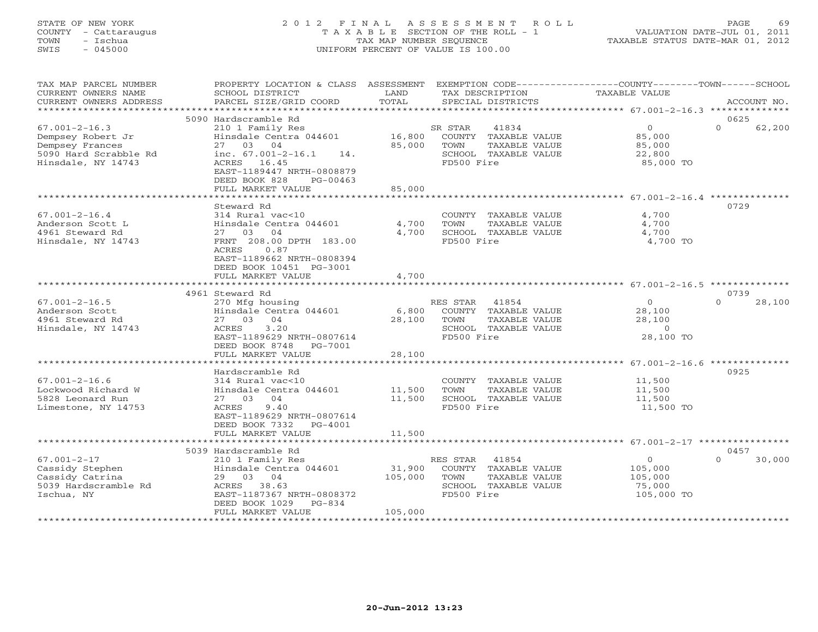## STATE OF NEW YORK 2 0 1 2 F I N A L A S S E S S M E N T R O L L PAGE 69 COUNTY - Cattaraugus T A X A B L E SECTION OF THE ROLL - 1 VALUATION DATE-JUL 01, 2011 TOWN - Ischua TAX MAP NUMBER SEQUENCE TAXABLE STATUS DATE-MAR 01, 2012 SWIS - 045000 UNIFORM PERCENT OF VALUE IS 100.00UNIFORM PERCENT OF VALUE IS 100.00

| TAX MAP PARCEL NUMBER<br>CURRENT OWNERS NAME<br>CURRENT OWNERS ADDRESS                                     | PROPERTY LOCATION & CLASS ASSESSMENT<br>SCHOOL DISTRICT<br>PARCEL SIZE/GRID COORD                                                                                                                                                | LAND<br>TOTAL                | EXEMPTION CODE-----------------COUNTY-------TOWN-----SCHOOL<br>TAX DESCRIPTION<br>SPECIAL DISTRICTS      | <b>TAXABLE VALUE</b>                                            | ACCOUNT NO.                |
|------------------------------------------------------------------------------------------------------------|----------------------------------------------------------------------------------------------------------------------------------------------------------------------------------------------------------------------------------|------------------------------|----------------------------------------------------------------------------------------------------------|-----------------------------------------------------------------|----------------------------|
| *************************                                                                                  |                                                                                                                                                                                                                                  |                              |                                                                                                          |                                                                 |                            |
| $67.001 - 2 - 16.3$<br>Dempsey Robert Jr<br>Dempsey Frances<br>5090 Hard Scrabble Rd<br>Hinsdale, NY 14743 | 5090 Hardscramble Rd<br>210 1 Family Res<br>Hinsdale Centra 044601<br>27 03 04<br>inc. $67.001 - 2 - 16.1$<br>14.<br>ACRES 16.45<br>EAST-1189447 NRTH-0808879<br>DEED BOOK 828<br>PG-00463                                       | 16,800<br>85,000             | 41834<br>SR STAR<br>COUNTY TAXABLE VALUE<br>TOWN<br>TAXABLE VALUE<br>SCHOOL TAXABLE VALUE<br>FD500 Fire  | $\circ$<br>85,000<br>85,000<br>22,800<br>85,000 TO              | 0625<br>$\Omega$<br>62,200 |
|                                                                                                            | FULL MARKET VALUE                                                                                                                                                                                                                | 85,000                       |                                                                                                          | ****************************** 67.001-2-16.4                    |                            |
| $67.001 - 2 - 16.4$<br>Anderson Scott L<br>4961 Steward Rd<br>Hinsdale, NY 14743                           | Steward Rd<br>314 Rural vac<10<br>Hinsdale Centra 044601<br>27 03 04<br>FRNT 208.00 DPTH 183.00<br><b>ACRES</b><br>0.87<br>EAST-1189662 NRTH-0808394<br>DEED BOOK 10451 PG-3001<br>FULL MARKET VALUE<br>************************ | 4,700<br>4,700<br>4,700      | COUNTY TAXABLE VALUE<br>TOWN<br>TAXABLE VALUE<br>SCHOOL TAXABLE VALUE<br>FD500 Fire                      | 4,700<br>4,700<br>4,700<br>4,700 TO                             | 0729                       |
|                                                                                                            | 4961 Steward Rd                                                                                                                                                                                                                  |                              |                                                                                                          |                                                                 | 0739                       |
| $67.001 - 2 - 16.5$<br>Anderson Scott<br>4961 Steward Rd<br>Hinsdale, NY 14743                             | 270 Mfg housing<br>Hinsdale Centra 044601<br>27 03 04<br>3.20<br>ACRES<br>EAST-1189629 NRTH-0807614<br>DEED BOOK 8748<br>PG-7001<br>FULL MARKET VALUE                                                                            | 6,800<br>28,100<br>28,100    | RES STAR<br>41854<br>COUNTY TAXABLE VALUE<br>TOWN<br>TAXABLE VALUE<br>SCHOOL TAXABLE VALUE<br>FD500 Fire | $\mathbf{O}$<br>28,100<br>28,100<br>$\overline{0}$<br>28,100 TO | $\Omega$<br>28,100         |
|                                                                                                            |                                                                                                                                                                                                                                  |                              |                                                                                                          | ********************** 67.001-2-16.6                            |                            |
| $67.001 - 2 - 16.6$<br>Lockwood Richard W<br>5828 Leonard Run<br>Limestone, NY 14753                       | Hardscramble Rd<br>314 Rural vac<10<br>Hinsdale Centra 044601<br>27 03 04<br>9.40<br>ACRES<br>EAST-1189629 NRTH-0807614<br>DEED BOOK 7332<br>$PG-4001$<br>FULL MARKET VALUE                                                      | 11,500<br>11,500<br>11,500   | COUNTY TAXABLE VALUE<br>TAXABLE VALUE<br>TOWN<br>SCHOOL TAXABLE VALUE<br>FD500 Fire                      | 11,500<br>11,500<br>11,500<br>11,500 TO                         | 0925                       |
|                                                                                                            |                                                                                                                                                                                                                                  |                              |                                                                                                          |                                                                 |                            |
| $67.001 - 2 - 17$<br>Cassidy Stephen<br>Cassidy Catrina<br>5039 Hardscramble Rd<br>Ischua, NY              | 5039 Hardscramble Rd<br>210 1 Family Res<br>Hinsdale Centra 044601<br>29 03 04<br>ACRES 38.63<br>EAST-1187367 NRTH-0808372<br>DEED BOOK 1029<br>$PG-834$<br>FULL MARKET VALUE                                                    | 31,900<br>105,000<br>105,000 | RES STAR<br>41854<br>COUNTY TAXABLE VALUE<br>TOWN<br>TAXABLE VALUE<br>SCHOOL TAXABLE VALUE<br>FD500 Fire | $\circ$<br>105,000<br>105,000<br>75,000<br>105,000 TO           | 0457<br>30,000<br>$\Omega$ |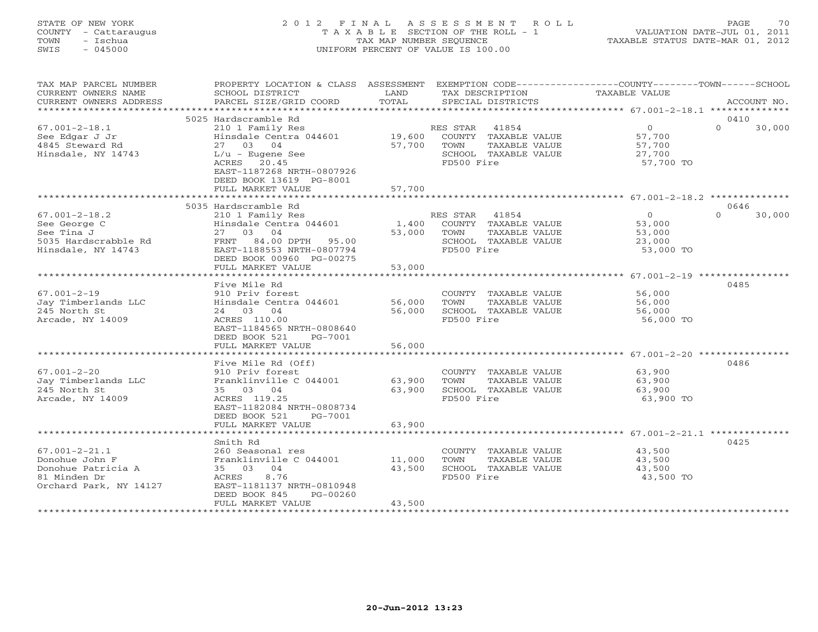# STATE OF NEW YORK 2 0 1 2 F I N A L A S S E S S M E N T R O L L PAGE 70 COUNTY - Cattaraugus T A X A B L E SECTION OF THE ROLL - 1 VALUATION DATE-JUL 01, 2011 TOWN - Ischua TAX MAP NUMBER SEQUENCE TAXABLE STATUS DATE-MAR 01, 2012 SWIS - 045000 UNIFORM PERCENT OF VALUE IS 100.00

| TAX MAP PARCEL NUMBER<br>CURRENT OWNERS NAME<br>CURRENT OWNERS ADDRESS                                | PROPERTY LOCATION & CLASS ASSESSMENT<br>SCHOOL DISTRICT<br>PARCEL SIZE/GRID COORD                                                                                  | LAND<br>TOTAL              | TAX DESCRIPTION<br>SPECIAL DISTRICTS                                                                  | EXEMPTION CODE-----------------COUNTY-------TOWN-----SCHOOL<br>TAXABLE VALUE | ACCOUNT NO.                |
|-------------------------------------------------------------------------------------------------------|--------------------------------------------------------------------------------------------------------------------------------------------------------------------|----------------------------|-------------------------------------------------------------------------------------------------------|------------------------------------------------------------------------------|----------------------------|
| *******************                                                                                   |                                                                                                                                                                    |                            |                                                                                                       |                                                                              |                            |
|                                                                                                       | 5025 Hardscramble Rd                                                                                                                                               |                            |                                                                                                       |                                                                              | 0410                       |
| $67.001 - 2 - 18.1$<br>See Edgar J Jr<br>4845 Steward Rd<br>Hinsdale, NY 14743                        | 210 1 Family Res<br>Hinsdale Centra 044601<br>27 03 04<br>$L/u$ - Eugene See<br>ACRES 20.45                                                                        | 19,600<br>57,700           | RES STAR 41854<br>COUNTY TAXABLE VALUE<br>TOWN<br>TAXABLE VALUE<br>SCHOOL TAXABLE VALUE<br>FD500 Fire | $\overline{O}$<br>57,700<br>57,700<br>27,700<br>57,700 TO                    | $\Omega$<br>30,000         |
|                                                                                                       | EAST-1187268 NRTH-0807926<br>DEED BOOK 13619 PG-8001<br>FULL MARKET VALUE                                                                                          | 57,700                     |                                                                                                       |                                                                              |                            |
|                                                                                                       |                                                                                                                                                                    |                            |                                                                                                       |                                                                              |                            |
| $67.001 - 2 - 18.2$<br>See George C<br>See Tina J<br>5035 Hardscrabble Rd<br>Hinsdale, NY 14743       | 5035 Hardscramble Rd<br>210 1 Family Res<br>Hinsdale Centra 044601<br>27 03 04<br>FRNT 84.00 DPTH 95.00<br>EAST-1188553 NRTH-0807794<br>DEED BOOK 00960 PG-00275   | 1,400<br>53,000            | RES STAR 41854<br>COUNTY TAXABLE VALUE<br>TOWN<br>TAXABLE VALUE<br>SCHOOL TAXABLE VALUE<br>FD500 Fire | $\overline{0}$<br>53,000<br>53,000<br>23,000<br>53,000 TO                    | 0646<br>$\Omega$<br>30,000 |
|                                                                                                       | FULL MARKET VALUE<br>************************                                                                                                                      | 53,000<br>**************   |                                                                                                       | **********************************67.001-2-19 ***************                |                            |
|                                                                                                       | Five Mile Rd                                                                                                                                                       |                            |                                                                                                       |                                                                              | 0485                       |
| $67.001 - 2 - 19$<br>Jay Timberlands LLC<br>245 North St<br>Arcade, NY 14009                          | 910 Priv forest<br>Hinsdale Centra 044601<br>24 03 04<br>ACRES 110.00<br>EAST-1184565 NRTH-0808640<br>PG-7001                                                      | 56,000<br>56,000           | COUNTY TAXABLE VALUE<br>TOWN<br>TAXABLE VALUE<br>SCHOOL TAXABLE VALUE<br>FD500 Fire                   | 56,000<br>56,000<br>56,000<br>56,000 TO                                      |                            |
|                                                                                                       | DEED BOOK 521<br>FULL MARKET VALUE                                                                                                                                 | 56,000                     |                                                                                                       |                                                                              |                            |
|                                                                                                       | Five Mile Rd (Off)                                                                                                                                                 | **************             |                                                                                                       | ********************************* 67.001-2-20 ****************               | 0486                       |
| $67.001 - 2 - 20$<br>Jay Timberlands LLC<br>245 North St<br>Arcade, NY 14009                          | 910 Priv forest<br>Franklinville C 044001<br>35 03 04<br>ACRES 119.25<br>EAST-1182084 NRTH-0808734<br>DEED BOOK 521<br>PG-7001<br>FULL MARKET VALUE                | 63,900<br>63,900<br>63,900 | COUNTY TAXABLE VALUE<br>TOWN<br>TAXABLE VALUE<br>SCHOOL TAXABLE VALUE<br>FD500 Fire                   | 63,900<br>63,900<br>63,900<br>63,900 TO                                      |                            |
|                                                                                                       |                                                                                                                                                                    |                            |                                                                                                       |                                                                              |                            |
| $67.001 - 2 - 21.1$<br>Donohue John F<br>Donohue Patricia A<br>81 Minden Dr<br>Orchard Park, NY 14127 | Smith Rd<br>260 Seasonal res<br>Franklinville C 044001<br>35 03 04<br>ACRES<br>8.76<br>EAST-1181137 NRTH-0810948<br>DEED BOOK 845<br>PG-00260<br>FULL MARKET VALUE | 11,000<br>43,500<br>43,500 | COUNTY TAXABLE VALUE<br>TOWN<br>TAXABLE VALUE<br>SCHOOL TAXABLE VALUE<br>FD500 Fire                   | 43,500<br>43,500<br>43,500<br>43,500 TO                                      | 0425                       |
|                                                                                                       |                                                                                                                                                                    |                            |                                                                                                       |                                                                              |                            |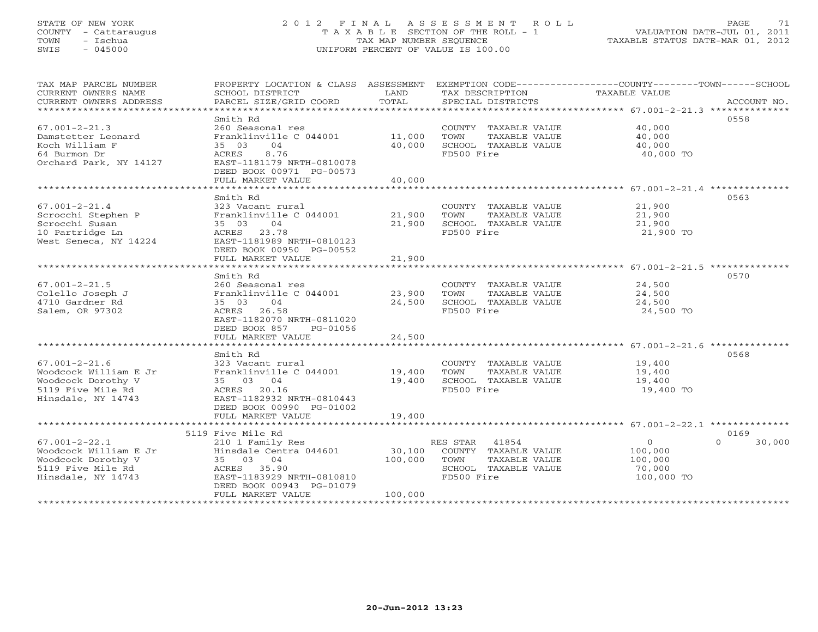## STATE OF NEW YORK 2 0 1 2 F I N A L A S S E S S M E N T R O L L PAGE 71 COUNTY - Cattaraugus T A X A B L E SECTION OF THE ROLL - 1 VALUATION DATE-JUL 01, 2011 TOWN - Ischua TAX MAP NUMBER SEQUENCE TAXABLE STATUS DATE-MAR 01, 2012 SWIS - 045000 UNIFORM PERCENT OF VALUE IS 100.00UNIFORM PERCENT OF VALUE IS 100.00

| TAX MAP PARCEL NUMBER<br>CURRENT OWNERS NAME        | SCHOOL DISTRICT                            | LAND               | TAX DESCRIPTION                               | PROPERTY LOCATION & CLASS ASSESSMENT EXEMPTION CODE-----------------COUNTY-------TOWN------SCHOOL<br><b>TAXABLE VALUE</b> |             |
|-----------------------------------------------------|--------------------------------------------|--------------------|-----------------------------------------------|---------------------------------------------------------------------------------------------------------------------------|-------------|
| CURRENT OWNERS ADDRESS<br>************************* | PARCEL SIZE/GRID COORD                     | TOTAL              | SPECIAL DISTRICTS                             |                                                                                                                           | ACCOUNT NO. |
|                                                     | Smith Rd                                   |                    |                                               | 0558                                                                                                                      |             |
| $67.001 - 2 - 21.3$                                 | 260 Seasonal res                           |                    | COUNTY TAXABLE VALUE                          | 40,000                                                                                                                    |             |
| Damstetter Leonard                                  | Franklinville C 044001                     | 11,000             | TOWN<br>TAXABLE VALUE                         | 40,000                                                                                                                    |             |
| Koch William F                                      | 35 03<br>04                                | 40,000             | SCHOOL TAXABLE VALUE                          | 40,000                                                                                                                    |             |
| 64 Burmon Dr                                        | 8.76<br>ACRES                              |                    | FD500 Fire                                    | 40,000 TO                                                                                                                 |             |
| Orchard Park, NY 14127                              | EAST-1181179 NRTH-0810078                  |                    |                                               |                                                                                                                           |             |
|                                                     | DEED BOOK 00971 PG-00573                   |                    |                                               |                                                                                                                           |             |
|                                                     | FULL MARKET VALUE                          | 40,000             |                                               |                                                                                                                           |             |
|                                                     | ********************                       |                    |                                               | ********************* 67.001-2-21.4 **************                                                                        |             |
|                                                     | Smith Rd                                   |                    |                                               | 0563                                                                                                                      |             |
| $67.001 - 2 - 21.4$                                 | 323 Vacant rural                           |                    | COUNTY TAXABLE VALUE                          | 21,900                                                                                                                    |             |
| Scrocchi Stephen P                                  | Franklinville C 044001                     | 21,900             | TOWN<br>TAXABLE VALUE                         | 21,900                                                                                                                    |             |
| Scrocchi Susan                                      | 04<br>35 03                                | 21,900             | SCHOOL TAXABLE VALUE                          | 21,900                                                                                                                    |             |
| 10 Partridge Ln                                     | 23.78<br>ACRES                             |                    | FD500 Fire                                    | 21,900 TO                                                                                                                 |             |
| West Seneca, NY 14224                               | EAST-1181989 NRTH-0810123                  |                    |                                               |                                                                                                                           |             |
|                                                     | DEED BOOK 00950 PG-00552                   |                    |                                               |                                                                                                                           |             |
|                                                     | FULL MARKET VALUE<br>*******************   | 21,900<br>******** |                                               |                                                                                                                           |             |
|                                                     |                                            |                    |                                               | *********************** 67.001-2-21.5 **************                                                                      |             |
|                                                     | Smith Rd                                   |                    |                                               | 0570                                                                                                                      |             |
| $67.001 - 2 - 21.5$<br>Colello Joseph J             | 260 Seasonal res<br>Franklinville C 044001 | 23,900             | COUNTY TAXABLE VALUE<br>TOWN<br>TAXABLE VALUE | 24,500<br>24,500                                                                                                          |             |
| 4710 Gardner Rd                                     | 04<br>35 03                                | 24,500             | SCHOOL TAXABLE VALUE                          | 24,500                                                                                                                    |             |
| Salem, OR 97302                                     | ACRES<br>26.58                             |                    | FD500 Fire                                    | 24,500 TO                                                                                                                 |             |
|                                                     | EAST-1182070 NRTH-0811020                  |                    |                                               |                                                                                                                           |             |
|                                                     | DEED BOOK 857<br>PG-01056                  |                    |                                               |                                                                                                                           |             |
|                                                     | FULL MARKET VALUE                          | 24,500             |                                               |                                                                                                                           |             |
|                                                     |                                            |                    |                                               |                                                                                                                           |             |
|                                                     | Smith Rd                                   |                    |                                               | 0568                                                                                                                      |             |
| $67.001 - 2 - 21.6$                                 | 323 Vacant rural                           |                    | COUNTY TAXABLE VALUE                          | 19,400                                                                                                                    |             |
| Woodcock William E Jr                               | Franklinville C 044001                     | 19,400             | TOWN<br>TAXABLE VALUE                         | 19,400                                                                                                                    |             |
| Woodcock Dorothy V                                  | 35 03 04                                   | 19,400             | SCHOOL TAXABLE VALUE                          | 19,400                                                                                                                    |             |
| 5119 Five Mile Rd                                   | ACRES 20.16                                |                    | FD500 Fire                                    | 19,400 TO                                                                                                                 |             |
| Hinsdale, NY 14743                                  | EAST-1182932 NRTH-0810443                  |                    |                                               |                                                                                                                           |             |
|                                                     | DEED BOOK 00990 PG-01002                   |                    |                                               |                                                                                                                           |             |
|                                                     | FULL MARKET VALUE                          | 19,400             |                                               |                                                                                                                           |             |
|                                                     |                                            |                    |                                               |                                                                                                                           |             |
|                                                     | 5119 Five Mile Rd                          |                    |                                               | 0169<br>$\cap$                                                                                                            |             |
| $67.001 - 2 - 22.1$                                 | 210 1 Family Res                           |                    | 41854<br>RES STAR                             | $\circ$                                                                                                                   | 30,000      |
| Woodcock William E Jr<br>Woodcock Dorothy V         | Hinsdale Centra 044601<br>35 03 04         | 30,100<br>100,000  | COUNTY TAXABLE VALUE<br>TOWN                  | 100,000                                                                                                                   |             |
| 5119 Five Mile Rd                                   | ACRES 35.90                                |                    | TAXABLE VALUE<br>SCHOOL TAXABLE VALUE         | 100,000<br>70,000                                                                                                         |             |
| Hinsdale, NY 14743                                  | EAST-1183929 NRTH-0810810                  |                    | FD500 Fire                                    | 100,000 TO                                                                                                                |             |
|                                                     | DEED BOOK 00943 PG-01079                   |                    |                                               |                                                                                                                           |             |
|                                                     | FULL MARKET VALUE                          | 100,000            |                                               |                                                                                                                           |             |
|                                                     |                                            |                    |                                               |                                                                                                                           |             |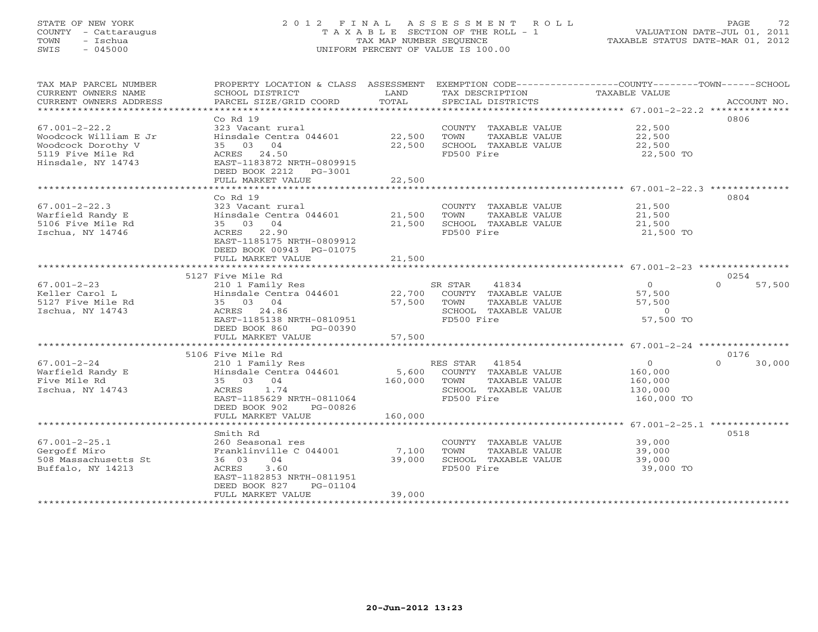# STATE OF NEW YORK 2 0 1 2 F I N A L A S S E S S M E N T R O L L PAGE 72 COUNTY - Cattaraugus T A X A B L E SECTION OF THE ROLL - 1 VALUATION DATE-JUL 01, 2011 TOWN - Ischua TAX MAP NUMBER SEQUENCE TAXABLE STATUS DATE-MAR 01, 2012 SWIS - 045000 UNIFORM PERCENT OF VALUE IS 100.00

| TAX MAP PARCEL NUMBER<br>CURRENT OWNERS NAME<br>CURRENT OWNERS ADDRESS | SCHOOL DISTRICT<br>PARCEL SIZE/GRID COORD | LAND<br>TOTAL | TAX DESCRIPTION TAXABLE VALUE<br>SPECIAL DISTRICTS | PROPERTY LOCATION & CLASS ASSESSMENT EXEMPTION CODE----------------COUNTY-------TOWN------SCHOOL<br>ACCOUNT NO. |
|------------------------------------------------------------------------|-------------------------------------------|---------------|----------------------------------------------------|-----------------------------------------------------------------------------------------------------------------|
|                                                                        |                                           |               |                                                    |                                                                                                                 |
|                                                                        | Co Rd 19                                  |               |                                                    | 0806                                                                                                            |
| $67.001 - 2 - 22.2$                                                    | 323 Vacant rural                          |               | COUNTY TAXABLE VALUE                               | 22,500                                                                                                          |
| Woodcock William E Jr                                                  | Hinsdale Centra 044601                    | 22,500        | TAXABLE VALUE<br>TOWN                              | 22,500                                                                                                          |
| Woodcock Dorothy V                                                     | 35 03 04                                  | 22,500        | SCHOOL TAXABLE VALUE                               | 22,500                                                                                                          |
| 5119 Five Mile Rd                                                      | ACRES 24.50                               |               | FD500 Fire                                         | 22,500 TO                                                                                                       |
| Hinsdale, NY 14743                                                     | EAST-1183872 NRTH-0809915                 |               |                                                    |                                                                                                                 |
|                                                                        |                                           |               |                                                    |                                                                                                                 |
|                                                                        | DEED BOOK 2212 PG-3001                    |               |                                                    |                                                                                                                 |
|                                                                        | FULL MARKET VALUE                         | 22,500        |                                                    |                                                                                                                 |
|                                                                        |                                           |               |                                                    |                                                                                                                 |
|                                                                        | $Co$ Rd $19$                              |               |                                                    | 0804                                                                                                            |
| $67.001 - 2 - 22.3$                                                    | 323 Vacant rural                          |               | COUNTY TAXABLE VALUE                               | 21,500                                                                                                          |
| Warfield Randy E                                                       | Hinsdale Centra 044601                    | 21,500        | TOWN<br>TAXABLE VALUE                              | 21,500                                                                                                          |
| 5106 Five Mile Rd                                                      | 35 03 04                                  | 21,500        | SCHOOL TAXABLE VALUE                               | 21,500                                                                                                          |
| Ischua, NY 14746                                                       | ACRES 22.90                               |               | FD500 Fire                                         | 21,500 TO                                                                                                       |
|                                                                        | EAST-1185175 NRTH-0809912                 |               |                                                    |                                                                                                                 |
|                                                                        | DEED BOOK 00943 PG-01075                  |               |                                                    |                                                                                                                 |
|                                                                        | FULL MARKET VALUE                         | 21,500        |                                                    |                                                                                                                 |
|                                                                        |                                           |               |                                                    |                                                                                                                 |
|                                                                        | 5127 Five Mile Rd                         |               |                                                    | 0254                                                                                                            |
| $67.001 - 2 - 23$                                                      | 210 1 Family Res                          |               | SR STAR<br>41834                                   | $\overline{0}$<br>$\Omega$<br>57,500                                                                            |
| Keller Carol L                                                         | Hinsdale Centra 044601                    | 22,700        | COUNTY TAXABLE VALUE                               | 57,500                                                                                                          |
| 5127 Five Mile Rd                                                      | 35 03 04                                  | 57,500        | TOWN<br>TAXABLE VALUE                              | 57,500                                                                                                          |
| Ischua, NY 14743                                                       | ACRES 24.86                               |               | SCHOOL TAXABLE VALUE                               | $\Omega$                                                                                                        |
|                                                                        | EAST-1185138 NRTH-0810951                 |               | FD500 Fire                                         | 57,500 TO                                                                                                       |
|                                                                        | DEED BOOK 860<br>$PG-00390$               |               |                                                    |                                                                                                                 |
|                                                                        | FULL MARKET VALUE                         | 57,500        |                                                    |                                                                                                                 |
|                                                                        |                                           |               |                                                    |                                                                                                                 |
|                                                                        | 5106 Five Mile Rd                         |               |                                                    | 0176                                                                                                            |
| $67.001 - 2 - 24$                                                      |                                           |               | RES STAR 41854                                     | $\circ$<br>$\Omega$<br>30,000                                                                                   |
|                                                                        | 210 1 Family Res                          |               |                                                    |                                                                                                                 |
| Warfield Randy E                                                       | Hinsdale Centra 044601                    | 5,600         | COUNTY TAXABLE VALUE                               | 160,000                                                                                                         |
| Five Mile Rd                                                           | 35 03 04                                  | 160,000       | TOWN<br>TAXABLE VALUE                              | 160,000                                                                                                         |
| Ischua, NY 14743                                                       | 1.74<br>ACRES                             |               | SCHOOL TAXABLE VALUE                               | 130,000                                                                                                         |
|                                                                        | EAST-1185629 NRTH-0811064                 |               | FD500 Fire                                         | 160,000 TO                                                                                                      |
|                                                                        | DEED BOOK 902<br>PG-00826                 |               |                                                    |                                                                                                                 |
|                                                                        | FULL MARKET VALUE                         | 160,000       |                                                    |                                                                                                                 |
|                                                                        | *************************                 |               |                                                    |                                                                                                                 |
|                                                                        | Smith Rd                                  |               |                                                    | 0518                                                                                                            |
| $67.001 - 2 - 25.1$                                                    | 260 Seasonal res                          |               | COUNTY TAXABLE VALUE                               | 39,000                                                                                                          |
| Gergoff Miro                                                           | Franklinville C 044001                    | 7,100         | TOWN<br>TAXABLE VALUE                              | 39,000                                                                                                          |
| 508 Massachusetts St                                                   | 36 03<br>04                               | 39,000        | SCHOOL TAXABLE VALUE                               | 39,000                                                                                                          |
| Buffalo, NY 14213                                                      | 3.60<br>ACRES                             |               | FD500 Fire                                         | 39,000 TO                                                                                                       |
|                                                                        | EAST-1182853 NRTH-0811951                 |               |                                                    |                                                                                                                 |
|                                                                        | DEED BOOK 827<br>PG-01104                 |               |                                                    |                                                                                                                 |
|                                                                        | FULL MARKET VALUE                         | 39,000        |                                                    |                                                                                                                 |
| *********************                                                  | ***********************                   |               | *****************************                      |                                                                                                                 |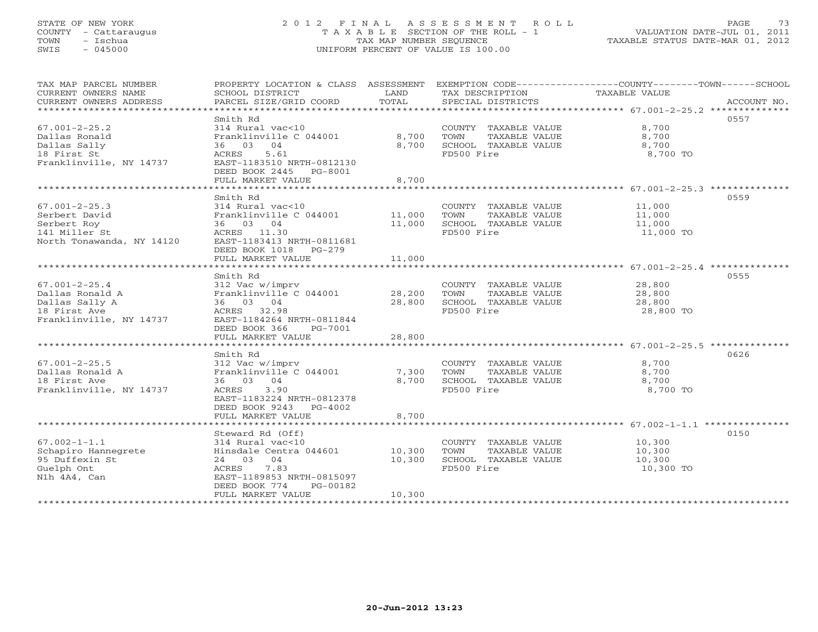# STATE OF NEW YORK 2 0 1 2 F I N A L A S S E S S M E N T R O L L PAGE 73 COUNTY - Cattaraugus T A X A B L E SECTION OF THE ROLL - 1 VALUATION DATE-JUL 01, 2011 TOWN - Ischua TAX MAP NUMBER SEQUENCE TAXABLE STATUS DATE-MAR 01, 2012 SWIS - 045000 UNIFORM PERCENT OF VALUE IS 100.00

| TAX MAP PARCEL NUMBER<br>CURRENT OWNERS NAME<br>CURRENT OWNERS ADDRESS                              | PROPERTY LOCATION & CLASS ASSESSMENT<br>SCHOOL DISTRICT<br>PARCEL SIZE/GRID COORD                                                                               | LAND<br>TOTAL           | TAX DESCRIPTION<br>SPECIAL DISTRICTS                                                | EXEMPTION CODE-----------------COUNTY-------TOWN------SCHOOL<br>TAXABLE VALUE<br>ACCOUNT NO. |
|-----------------------------------------------------------------------------------------------------|-----------------------------------------------------------------------------------------------------------------------------------------------------------------|-------------------------|-------------------------------------------------------------------------------------|----------------------------------------------------------------------------------------------|
| $67.001 - 2 - 25.2$<br>Dallas Ronald<br>Dallas Sally<br>18 First St<br>Franklinville, NY 14737      | Smith Rd<br>314 Rural vac<10<br>Franklinville C 044001<br>36 03 04<br>ACRES<br>5.61<br>EAST-1183510 NRTH-0812130<br>DEED BOOK 2445 PG-8001<br>FULL MARKET VALUE | 8,700<br>8,700<br>8,700 | COUNTY TAXABLE VALUE<br>TOWN<br>TAXABLE VALUE<br>SCHOOL TAXABLE VALUE<br>FD500 Fire | 0557<br>8,700<br>8,700<br>8,700<br>8,700 TO                                                  |
|                                                                                                     |                                                                                                                                                                 |                         |                                                                                     |                                                                                              |
| $67.001 - 2 - 25.3$<br>Serbert David<br>Serbert Roy<br>141 Miller St<br>North Tonawanda, NY 14120   | Smith Rd<br>314 Rural vac<10<br>Franklinville C 044001<br>36 03 04<br>ACRES 11.30<br>EAST-1183413 NRTH-0811681<br>DEED BOOK 1018 PG-279                         | 11,000<br>11,000        | COUNTY TAXABLE VALUE<br>TOWN<br>TAXABLE VALUE<br>SCHOOL TAXABLE VALUE<br>FD500 Fire | 0559<br>11,000<br>11,000<br>11,000<br>11,000 TO                                              |
|                                                                                                     | FULL MARKET VALUE                                                                                                                                               | 11,000                  |                                                                                     |                                                                                              |
|                                                                                                     |                                                                                                                                                                 |                         |                                                                                     |                                                                                              |
| $67.001 - 2 - 25.4$<br>Dallas Ronald A<br>Dallas Sally A<br>18 First Ave<br>Franklinville, NY 14737 | Smith Rd<br>312 Vac w/imprv<br>Franklinville C 044001<br>36 03 04<br>ACRES 32.98<br>EAST-1184264 NRTH-0811844<br>DEED BOOK 366<br>PG-7001                       | 28,200<br>28,800        | COUNTY TAXABLE VALUE<br>TOWN<br>TAXABLE VALUE<br>SCHOOL TAXABLE VALUE<br>FD500 Fire | 0555<br>28,800<br>28,800<br>28,800<br>28,800 TO                                              |
|                                                                                                     | FULL MARKET VALUE                                                                                                                                               | 28,800                  |                                                                                     |                                                                                              |
| $67.001 - 2 - 25.5$<br>Dallas Ronald A<br>18 First Ave<br>Franklinville, NY 14737                   | Smith Rd<br>312 Vac w/imprv<br>Franklinville C 044001<br>36 03 04<br>3.90<br>ACRES<br>EAST-1183224 NRTH-0812378<br>DEED BOOK 9243<br>$PG-4002$                  | 7,300<br>8,700          | COUNTY TAXABLE VALUE<br>TOWN<br>TAXABLE VALUE<br>SCHOOL TAXABLE VALUE<br>FD500 Fire | 0626<br>8,700<br>8,700<br>8,700<br>8,700 TO                                                  |
|                                                                                                     | FULL MARKET VALUE                                                                                                                                               | 8,700                   |                                                                                     |                                                                                              |
| $67.002 - 1 - 1.1$<br>Schapiro Hannegrete<br>95 Duffexin St<br>Guelph Ont<br>N1h 4A4, Can           | Steward Rd (Off)<br>314 Rural vac<10<br>Hinsdale Centra 044601<br>24 03 04<br>7.83<br>ACRES<br>EAST-1189853 NRTH-0815097                                        | 10,300<br>10,300        | COUNTY TAXABLE VALUE<br>TOWN<br>TAXABLE VALUE<br>SCHOOL TAXABLE VALUE<br>FD500 Fire | 0150<br>10,300<br>10,300<br>10,300<br>10,300 TO                                              |
|                                                                                                     | DEED BOOK 774<br>PG-00182<br>FULL MARKET VALUE<br>********************                                                                                          | 10,300                  |                                                                                     |                                                                                              |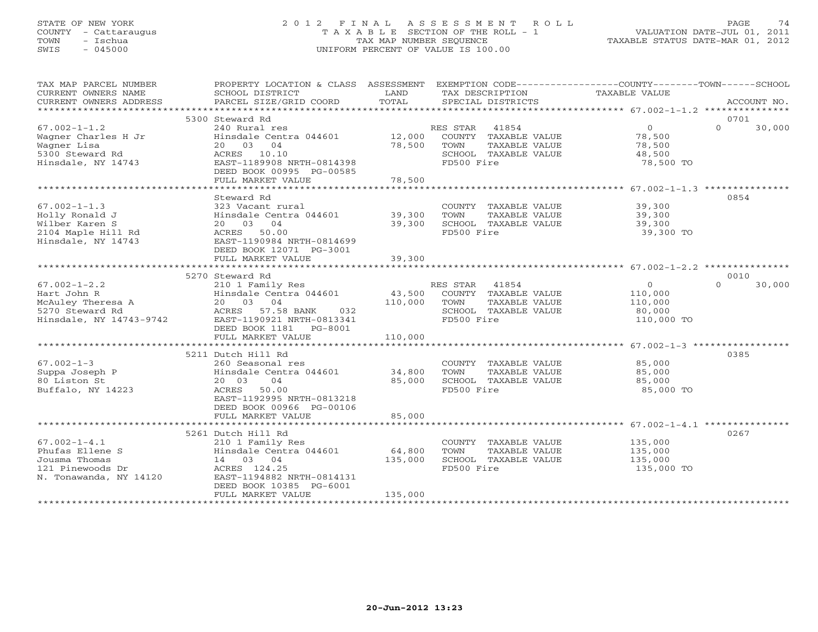### STATE OF NEW YORK 2 0 1 2 F I N A L A S S E S S M E N T R O L L PAGE 74 COUNTY - Cattaraugus T A X A B L E SECTION OF THE ROLL - 1 VALUATION DATE-JUL 01, 2011 TOWN - Ischua TAX MAP NUMBER SEQUENCE TAXABLE STATUS DATE-MAR 01, 2012 SWIS - 045000 UNIFORM PERCENT OF VALUE IS 100.00UNIFORM PERCENT OF VALUE IS 100.00

| SCHOOL DISTRICT<br>PARCEL SIZE/GRID COORD                                                                                                           | LAND<br>TOTAL                                                                                                                                 | TAX DESCRIPTION<br>SPECIAL DISTRICTS                                                         | EXEMPTION CODE-----------------COUNTY-------TOWN------SCHOOL<br>TAXABLE VALUE<br>ACCOUNT NO.                                 |
|-----------------------------------------------------------------------------------------------------------------------------------------------------|-----------------------------------------------------------------------------------------------------------------------------------------------|----------------------------------------------------------------------------------------------|------------------------------------------------------------------------------------------------------------------------------|
|                                                                                                                                                     |                                                                                                                                               |                                                                                              |                                                                                                                              |
| 240 Rural res<br>20 03 04<br>ACRES 10.10<br>EAST-1189908 NRTH-0814398<br>DEED BOOK 00995 PG-00585                                                   | 78,500                                                                                                                                        | 41854<br>COUNTY TAXABLE VALUE<br>TOWN<br>TAXABLE VALUE<br>SCHOOL TAXABLE VALUE<br>FD500 Fire | 0701<br>$\Omega$<br>$\Omega$<br>30,000<br>78,500<br>78,500<br>48,500<br>78,500 TO                                            |
|                                                                                                                                                     |                                                                                                                                               |                                                                                              |                                                                                                                              |
| Steward Rd<br>323 Vacant rural<br>20 03 04<br>ACRES 50.00<br>EAST-1190984 NRTH-0814699<br>DEED BOOK 12071 PG-3001                                   | 39,300<br>39,300                                                                                                                              | COUNTY TAXABLE VALUE 39,300<br>TOWN<br>TAXABLE VALUE<br>SCHOOL TAXABLE VALUE<br>FD500 Fire   | 0854<br>39,300<br>39,300<br>39,300 TO                                                                                        |
|                                                                                                                                                     |                                                                                                                                               |                                                                                              |                                                                                                                              |
|                                                                                                                                                     |                                                                                                                                               |                                                                                              | 0010                                                                                                                         |
| 210 1 Family Res<br>Hinsdale Centra 044601<br>20 03 04<br>ACRES 57.58 BANK 032<br>EAST-1190921 NRTH-0813341<br>DEED BOOK 1181   PG-8001             |                                                                                                                                               | 41854<br>COUNTY TAXABLE VALUE<br>TOWN<br>TAXABLE VALUE<br>SCHOOL TAXABLE VALUE<br>FD500 Fire | $\cap$<br>30,000<br>$\overline{0}$<br>110,000<br>110,000<br>80,000<br>110,000 TO                                             |
|                                                                                                                                                     |                                                                                                                                               |                                                                                              |                                                                                                                              |
| 260 Seasonal res<br>20 03<br>04<br>ACRES 50.00<br>EAST-1192995 NRTH-0813218<br>DEED BOOK 00966 PG-00106<br>FULL MARKET VALUE                        | 85,000<br>85,000                                                                                                                              | COUNTY TAXABLE VALUE<br>TOWN<br>TAXABLE VALUE<br>SCHOOL TAXABLE VALUE<br>FD500 Fire          | 0385<br>85,000<br>85,000<br>85,000<br>85,000 TO                                                                              |
|                                                                                                                                                     |                                                                                                                                               |                                                                                              |                                                                                                                              |
| 210 1 Family Res<br>Hinsdale Centra 044601<br>14 03 04<br>ACRES 124.25<br>EAST-1194882 NRTH-0814131<br>DEED BOOK 10385 PG-6001<br>FULL MARKET VALUE | 64,800<br>135,000<br>135,000                                                                                                                  | COUNTY TAXABLE VALUE<br>TOWN<br>TAXABLE VALUE<br>SCHOOL TAXABLE VALUE<br>FD500 Fire          | 0267<br>135,000<br>135,000<br>135,000<br>135,000 TO                                                                          |
|                                                                                                                                                     | 5300 Steward Rd<br>FULL MARKET VALUE<br>FULL MARKET VALUE<br>5270 Steward Rd<br>FULL MARKET VALUE<br>5211 Dutch Hill Rd<br>5261 Dutch Hill Rd | 78,500<br>Hinsdale Centra 044601<br>39,300<br>110,000<br>Hinsdale Centra 044601              | PROPERTY LOCATION & CLASS ASSESSMENT<br>RES STAR<br>Hinsdale Centra 044601 12,000<br>RES STAR<br>43,500<br>110,000<br>34,800 |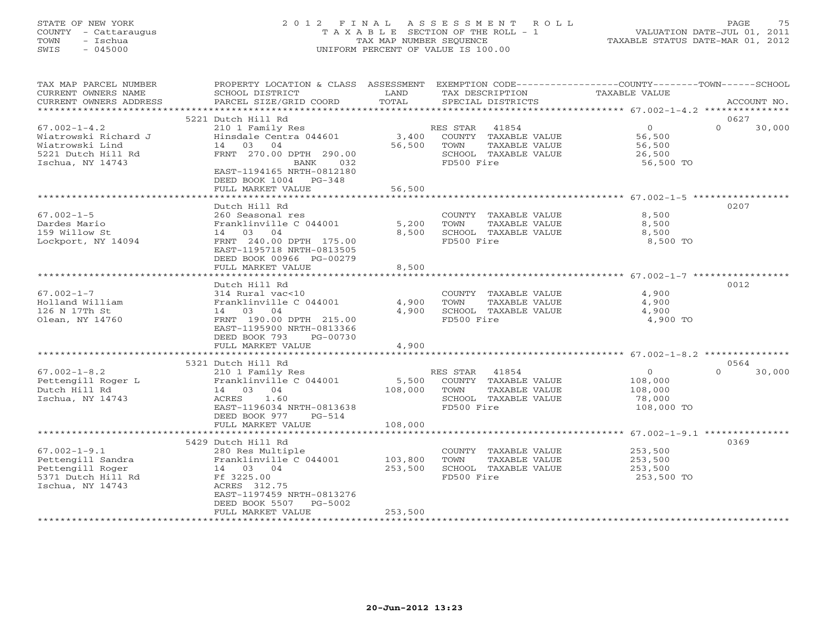# STATE OF NEW YORK 2 0 1 2 F I N A L A S S E S S M E N T R O L L PAGE 75 COUNTY - Cattaraugus T A X A B L E SECTION OF THE ROLL - 1 VALUATION DATE-JUL 01, 2011 TOWN - Ischua TAX MAP NUMBER SEQUENCE TAXABLE STATUS DATE-MAR 01, 2012 SWIS - 045000 UNIFORM PERCENT OF VALUE IS 100.00

| TAX MAP PARCEL NUMBER<br>CURRENT OWNERS NAME<br>CURRENT OWNERS ADDRESS | PROPERTY LOCATION & CLASS ASSESSMENT<br>SCHOOL DISTRICT<br>PARCEL SIZE/GRID COORD | LAND<br>TOTAL | EXEMPTION CODE-----------------COUNTY-------TOWN------SCHOOL<br>TAX DESCRIPTION<br>SPECIAL DISTRICTS | TAXABLE VALUE        | ACCOUNT NO.                |
|------------------------------------------------------------------------|-----------------------------------------------------------------------------------|---------------|------------------------------------------------------------------------------------------------------|----------------------|----------------------------|
| *************************                                              |                                                                                   |               |                                                                                                      |                      |                            |
| $67.002 - 1 - 4.2$                                                     | 5221 Dutch Hill Rd<br>210 1 Family Res                                            |               | RES STAR<br>41854                                                                                    | $\overline{O}$       | 0627<br>$\Omega$<br>30,000 |
| Wiatrowski Richard J<br>Wiatrowski Lind                                | Hinsdale Centra 044601<br>14 03 04                                                | 56,500        | 3,400 COUNTY TAXABLE VALUE<br>TOWN<br>TAXABLE VALUE                                                  | 56,500<br>56,500     |                            |
| 5221 Dutch Hill Rd<br>Ischua, NY 14743                                 | FRNT 270.00 DPTH 290.00<br>BANK<br>032                                            |               | SCHOOL TAXABLE VALUE<br>FD500 Fire                                                                   | 26,500<br>56,500 TO  |                            |
|                                                                        | EAST-1194165 NRTH-0812180<br>DEED BOOK 1004 PG-348<br>FULL MARKET VALUE           | 56,500        |                                                                                                      |                      |                            |
|                                                                        |                                                                                   |               |                                                                                                      |                      |                            |
|                                                                        | Dutch Hill Rd                                                                     |               |                                                                                                      |                      | 0207                       |
| $67.002 - 1 - 5$                                                       | 260 Seasonal res                                                                  |               | COUNTY TAXABLE VALUE                                                                                 | 8,500                |                            |
| Dardes Mario                                                           | Franklinville C 044001                                                            | 5,200         | TOWN<br>TAXABLE VALUE                                                                                | 8,500                |                            |
| 159 Willow St                                                          | 14 03 04<br>FRNT 240.00 DPTH 175.00                                               | 8,500         | SCHOOL TAXABLE VALUE<br>FD500 Fire                                                                   | 8,500<br>8,500 TO    |                            |
| Lockport, NY 14094                                                     | EAST-1195718 NRTH-0813505<br>DEED BOOK 00966 PG-00279                             |               |                                                                                                      |                      |                            |
|                                                                        | FULL MARKET VALUE                                                                 | 8,500         |                                                                                                      |                      |                            |
|                                                                        |                                                                                   |               |                                                                                                      |                      |                            |
| $67.002 - 1 - 7$                                                       | Dutch Hill Rd<br>314 Rural vac<10                                                 |               | COUNTY TAXABLE VALUE                                                                                 | 4,900                | 0012                       |
| Holland William                                                        | Franklinville C 044001                                                            | 4,900         | TOWN<br>TAXABLE VALUE                                                                                | 4,900                |                            |
| 126 N 17Th St                                                          | 14 03<br>04                                                                       | 4,900         | SCHOOL TAXABLE VALUE                                                                                 | 4,900                |                            |
| Olean, NY 14760                                                        | FRNT 190.00 DPTH 215.00                                                           |               | FD500 Fire                                                                                           | 4,900 TO             |                            |
|                                                                        | EAST-1195900 NRTH-0813366<br>DEED BOOK 793<br>PG-00730                            |               |                                                                                                      |                      |                            |
|                                                                        | FULL MARKET VALUE                                                                 | 4,900         |                                                                                                      |                      |                            |
|                                                                        |                                                                                   |               |                                                                                                      |                      |                            |
|                                                                        | 5321 Dutch Hill Rd                                                                |               |                                                                                                      |                      | 0564                       |
| $67.002 - 1 - 8.2$                                                     | 210 1 Family Res                                                                  |               | RES STAR 41854                                                                                       | $\overline{0}$       | $\Omega$<br>30,000         |
| Pettengill Roger L                                                     | Franklinville C 044001                                                            | 5,500         | COUNTY TAXABLE VALUE                                                                                 | 108,000              |                            |
| Dutch Hill Rd                                                          | 14 03 04<br>1.60                                                                  | 108,000       | TOWN<br>TAXABLE VALUE                                                                                | 108,000              |                            |
| Ischua, NY 14743                                                       | ACRES<br>EAST-1196034 NRTH-0813638                                                |               | SCHOOL TAXABLE VALUE<br>FD500 Fire                                                                   | 78,000<br>108,000 TO |                            |
|                                                                        | DEED BOOK 977<br>$PG-514$                                                         |               |                                                                                                      |                      |                            |
|                                                                        | FULL MARKET VALUE                                                                 | 108,000       |                                                                                                      |                      |                            |
|                                                                        |                                                                                   |               |                                                                                                      |                      |                            |
| $67.002 - 1 - 9.1$                                                     | 5429 Dutch Hill Rd<br>280 Res Multiple                                            |               | COUNTY TAXABLE VALUE                                                                                 | 253,500              | 0369                       |
| Pettengill Sandra                                                      | Franklinville C 044001                                                            | 103,800       | TOWN<br>TAXABLE VALUE                                                                                | 253,500              |                            |
| Pettengill Roger                                                       | 14 03 04                                                                          | 253,500       | SCHOOL TAXABLE VALUE                                                                                 | 253,500              |                            |
| 5371 Dutch Hill Rd                                                     | Ff 3225.00                                                                        |               | FD500 Fire                                                                                           | 253,500 TO           |                            |
| Ischua, NY 14743                                                       | ACRES 312.75                                                                      |               |                                                                                                      |                      |                            |
|                                                                        | EAST-1197459 NRTH-0813276                                                         |               |                                                                                                      |                      |                            |
|                                                                        | DEED BOOK 5507<br>PG-5002                                                         |               |                                                                                                      |                      |                            |
|                                                                        | FULL MARKET VALUE                                                                 | 253,500       |                                                                                                      |                      |                            |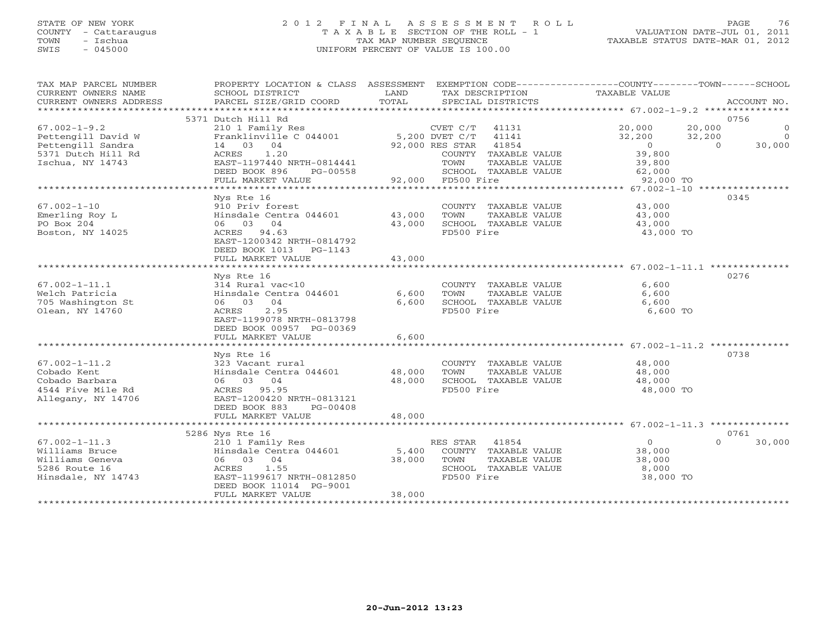# STATE OF NEW YORK 2 0 1 2 F I N A L A S S E S S M E N T R O L L PAGE 76 COUNTY - Cattaraugus T A X A B L E SECTION OF THE ROLL - 1 VALUATION DATE-JUL 01, 2011 TOWN - Ischua TAX MAP NUMBER SEQUENCE TAXABLE STATUS DATE-MAR 01, 2012 SWIS - 045000 UNIFORM PERCENT OF VALUE IS 100.00

| TAX MAP PARCEL NUMBER<br>CURRENT OWNERS NAME<br>CURRENT OWNERS ADDRESS | SCHOOL DISTRICT<br>PARCEL SIZE/GRID COORD | LAND<br>TOTAL | TAX DESCRIPTION<br>SPECIAL DISTRICTS | PROPERTY LOCATION & CLASS ASSESSMENT EXEMPTION CODE---------------COUNTY-------TOWN------SCHOOL<br><b>TAXABLE VALUE</b> | ACCOUNT NO. |
|------------------------------------------------------------------------|-------------------------------------------|---------------|--------------------------------------|-------------------------------------------------------------------------------------------------------------------------|-------------|
|                                                                        |                                           |               |                                      |                                                                                                                         |             |
|                                                                        | 5371 Dutch Hill Rd                        |               |                                      | 0756                                                                                                                    |             |
| $67.002 - 1 - 9.2$                                                     | 210 1 Family Res                          |               | CVET C/T<br>41131                    | 20,000<br>20,000                                                                                                        | $\circ$     |
| Pettengill David W                                                     | Franklinville C 044001                    |               | 5,200 DVET C/T<br>41141              | 32,200<br>32,200                                                                                                        | $\Omega$    |
| Pettengill Sandra                                                      | 14 03 04                                  |               | 92,000 RES STAR<br>41854             | $\circ$<br>$\Omega$                                                                                                     | 30,000      |
| 5371 Dutch Hill Rd                                                     | ACRES<br>1.20                             |               | COUNTY TAXABLE VALUE                 | 39,800                                                                                                                  |             |
| Ischua, NY 14743                                                       | EAST-1197440 NRTH-0814441                 |               | TOWN<br>TAXABLE VALUE                | 39,800                                                                                                                  |             |
|                                                                        | DEED BOOK 896<br>PG-00558                 |               | SCHOOL TAXABLE VALUE                 | 62,000                                                                                                                  |             |
|                                                                        | FULL MARKET VALUE                         | 92,000        | FD500 Fire                           | 92,000 TO                                                                                                               |             |
|                                                                        |                                           |               |                                      |                                                                                                                         |             |
|                                                                        | Nys Rte 16                                |               |                                      | 0345                                                                                                                    |             |
| $67.002 - 1 - 10$                                                      | 910 Priv forest                           |               | COUNTY TAXABLE VALUE                 | 43,000                                                                                                                  |             |
| Emerling Roy L                                                         | Hinsdale Centra 044601                    | 43,000        | TOWN<br>TAXABLE VALUE                | 43,000                                                                                                                  |             |
| PO Box 204                                                             | 06 03 04                                  | 43,000        | SCHOOL TAXABLE VALUE                 | 43,000                                                                                                                  |             |
| Boston, NY 14025                                                       | ACRES 94.63                               |               | FD500 Fire                           | 43,000 TO                                                                                                               |             |
|                                                                        | EAST-1200342 NRTH-0814792                 |               |                                      |                                                                                                                         |             |
|                                                                        | DEED BOOK 1013<br>PG-1143                 |               |                                      |                                                                                                                         |             |
|                                                                        | FULL MARKET VALUE                         | 43,000        |                                      |                                                                                                                         |             |
|                                                                        |                                           |               |                                      |                                                                                                                         |             |
|                                                                        | Nys Rte 16                                |               |                                      | 0276                                                                                                                    |             |
| $67.002 - 1 - 11.1$                                                    | 314 Rural vac<10                          |               | COUNTY TAXABLE VALUE                 | 6,600                                                                                                                   |             |
| Welch Patricia<br>705 Washington St                                    | Hinsdale Centra 044601                    | 6,600         | TOWN<br>TAXABLE VALUE                | 6,600                                                                                                                   |             |
| Olean, NY 14760                                                        | 06 03 04<br>2.95                          | 6,600         | SCHOOL TAXABLE VALUE<br>FD500 Fire   | 6,600                                                                                                                   |             |
|                                                                        | ACRES<br>EAST-1199078 NRTH-0813798        |               |                                      | 6,600 TO                                                                                                                |             |
|                                                                        | DEED BOOK 00957 PG-00369                  |               |                                      |                                                                                                                         |             |
|                                                                        | FULL MARKET VALUE                         | 6,600         |                                      |                                                                                                                         |             |
|                                                                        | *************************                 | ************  |                                      | ******************************* 67.002-1-11.2 **************                                                            |             |
|                                                                        | Nys Rte 16                                |               |                                      | 0738                                                                                                                    |             |
| $67.002 - 1 - 11.2$                                                    | 323 Vacant rural                          |               | COUNTY TAXABLE VALUE                 | 48,000                                                                                                                  |             |
| Cobado Kent                                                            | Hinsdale Centra 044601                    | 48,000        | TOWN<br>TAXABLE VALUE                | 48,000                                                                                                                  |             |
| Cobado Barbara                                                         | 06 03 04                                  | 48,000        | SCHOOL TAXABLE VALUE                 | 48,000                                                                                                                  |             |
| 4544 Five Mile Rd                                                      | ACRES 95.95                               |               | FD500 Fire                           | 48,000 TO                                                                                                               |             |
| Allegany, NY 14706                                                     | EAST-1200420 NRTH-0813121                 |               |                                      |                                                                                                                         |             |
|                                                                        | DEED BOOK 883<br>$PG-00408$               |               |                                      |                                                                                                                         |             |
|                                                                        | FULL MARKET VALUE                         | 48,000        |                                      |                                                                                                                         |             |
|                                                                        |                                           |               |                                      |                                                                                                                         |             |
|                                                                        | 5286 Nys Rte 16                           |               |                                      | 0761                                                                                                                    |             |
| $67.002 - 1 - 11.3$                                                    | 210 1 Family Res                          |               | RES STAR 41854                       | $\circ$<br>$\Omega$                                                                                                     | 30,000      |
| Williams Bruce                                                         | Hinsdale Centra 044601                    | 5,400         | COUNTY TAXABLE VALUE                 | 38,000                                                                                                                  |             |
| Williams Geneva                                                        | 06 03 04                                  | 38,000        | TAXABLE VALUE<br>TOWN                | 38,000                                                                                                                  |             |
| 5286 Route 16                                                          | 1.55<br>ACRES                             |               | SCHOOL TAXABLE VALUE                 | 8,000                                                                                                                   |             |
| Hinsdale, NY 14743                                                     | EAST-1199617 NRTH-0812850                 |               | FD500 Fire                           | 38,000 TO                                                                                                               |             |
|                                                                        | DEED BOOK 11014 PG-9001                   |               |                                      |                                                                                                                         |             |
|                                                                        | FULL MARKET VALUE                         | 38,000        |                                      |                                                                                                                         |             |
|                                                                        |                                           |               |                                      |                                                                                                                         |             |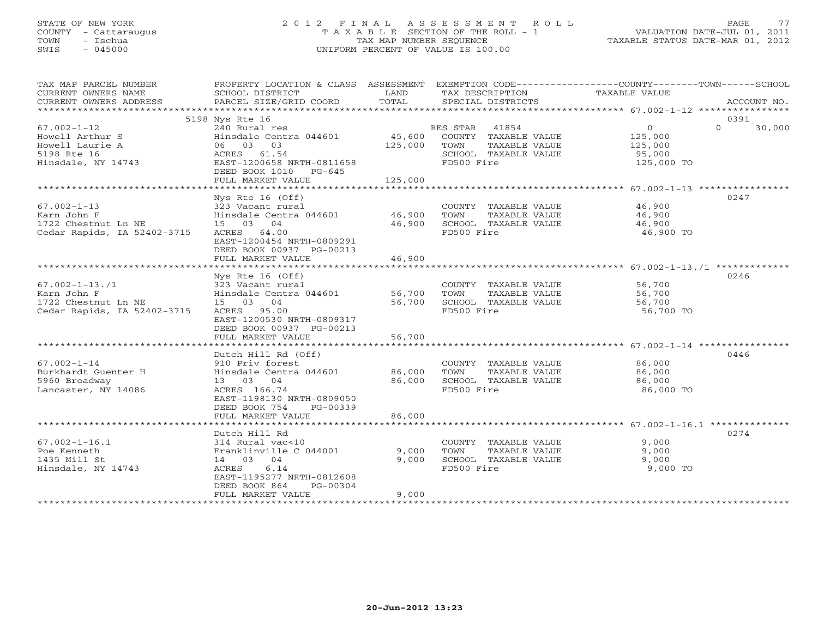# STATE OF NEW YORK 2 0 1 2 F I N A L A S S E S S M E N T R O L L PAGE 77 COUNTY - Cattaraugus T A X A B L E SECTION OF THE ROLL - 1 VALUATION DATE-JUL 01, 2011 TOWN - Ischua TAX MAP NUMBER SEQUENCE TAXABLE STATUS DATE-MAR 01, 2012 SWIS - 045000 UNIFORM PERCENT OF VALUE IS 100.00

| TAX MAP PARCEL NUMBER<br>CURRENT OWNERS NAME<br>CURRENT OWNERS ADDRESS                       | PROPERTY LOCATION & CLASS ASSESSMENT EXEMPTION CODE---------------COUNTY-------TOWN-----SCHOOL<br>SCHOOL DISTRICT<br>PARCEL SIZE/GRID COORD                                 | LAND<br>TOTAL              | TAX DESCRIPTION<br>SPECIAL DISTRICTS                                                                  | TAXABLE VALUE                                                | ACCOUNT NO.        |
|----------------------------------------------------------------------------------------------|-----------------------------------------------------------------------------------------------------------------------------------------------------------------------------|----------------------------|-------------------------------------------------------------------------------------------------------|--------------------------------------------------------------|--------------------|
|                                                                                              | 5198 Nys Rte 16                                                                                                                                                             |                            |                                                                                                       |                                                              | 0391               |
| $67.002 - 1 - 12$<br>Howell Arthur S<br>Howell Laurie A<br>5198 Rte 16<br>Hinsdale, NY 14743 | 240 Rural res<br>Hinsdale Centra 044601 45,600<br>06 03 03<br>ACRES 61.54<br>EAST-1200658 NRTH-0811658<br>DEED BOOK 1010 PG-645<br>FULL MARKET VALUE                        | 125,000<br>125,000         | RES STAR 41854<br>COUNTY TAXABLE VALUE<br>TOWN<br>TAXABLE VALUE<br>SCHOOL TAXABLE VALUE<br>FD500 Fire | $\overline{O}$<br>125,000<br>125,000<br>95,000<br>125,000 TO | $\Omega$<br>30,000 |
|                                                                                              |                                                                                                                                                                             |                            |                                                                                                       |                                                              |                    |
| $67.002 - 1 - 13$<br>Karn John F<br>1722 Chestnut Ln NE<br>Cedar Rapids, IA 52402-3715       | Nys Rte 16 (Off)<br>323 Vacant rural<br>Hinsdale Centra 044601 46,900<br>15 03 04<br>ACRES 64.00<br>EAST-1200454 NRTH-0809291<br>DEED BOOK 00937 PG-00213                   | 46,900                     | COUNTY TAXABLE VALUE 46,900<br>TOWN<br>TAXABLE VALUE<br>SCHOOL TAXABLE VALUE<br>FD500 Fire            | 46,900<br>46,900<br>46,900 TO                                | 0247               |
|                                                                                              | FULL MARKET VALUE                                                                                                                                                           | 46,900                     |                                                                                                       |                                                              |                    |
|                                                                                              |                                                                                                                                                                             |                            |                                                                                                       |                                                              |                    |
| $67.002 - 1 - 13.71$<br>Karn John F<br>1722 Chestnut Ln NE<br>Cedar Rapids, IA 52402-3715    | Nys Rte 16 (Off)<br>323 Vacant rural<br>Hinsdale Centra 044601<br>15 03 04<br>ACRES 95.00<br>EAST-1200530 NRTH-0809317<br>DEED BOOK 00937 PG-00213                          | 56,700<br>56,700           | COUNTY TAXABLE VALUE 56,700<br>TOWN<br>TAXABLE VALUE<br>SCHOOL TAXABLE VALUE<br>FD500 Fire            | 56,700<br>56,700<br>56,700 TO                                | 0246               |
|                                                                                              | FULL MARKET VALUE                                                                                                                                                           | 56,700                     |                                                                                                       |                                                              |                    |
|                                                                                              |                                                                                                                                                                             |                            |                                                                                                       |                                                              |                    |
| $67.002 - 1 - 14$<br>Burkhardt Guenter H<br>5960 Broadway<br>Lancaster, NY 14086             | Dutch Hill Rd (Off)<br>910 Priv forest<br>Hinsdale Centra 044601<br>13 03 04<br>ACRES 166.74<br>EAST-1198130 NRTH-0809050<br>DEED BOOK 754<br>PG-00339<br>FULL MARKET VALUE | 86,000<br>86,000<br>86,000 | COUNTY TAXABLE VALUE<br>TOWN<br>TAXABLE VALUE<br>SCHOOL TAXABLE VALUE<br>FD500 Fire                   | 86,000<br>86,000<br>86,000<br>86,000 TO                      | 0446               |
|                                                                                              |                                                                                                                                                                             |                            |                                                                                                       |                                                              |                    |
| $67.002 - 1 - 16.1$<br>Poe Kenneth<br>1435 Mill St<br>Hinsdale, NY 14743                     | Dutch Hill Rd<br>314 Rural vac<10<br>Franklinville C 044001<br>14 03 04<br>6.14<br>ACRES<br>EAST-1195277 NRTH-0812608<br>DEED BOOK 864<br>PG-00304<br>FULL MARKET VALUE     | 9,000<br>9,000<br>9,000    | COUNTY TAXABLE VALUE<br>TOWN<br>TAXABLE VALUE<br>SCHOOL TAXABLE VALUE<br>FD500 Fire                   | 9,000<br>9,000<br>9,000<br>9,000 TO                          | 0274               |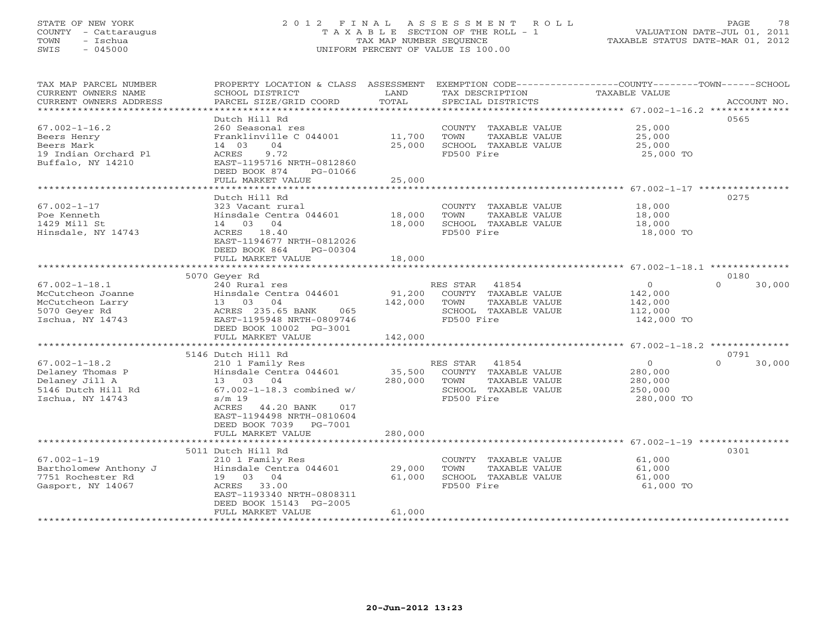# STATE OF NEW YORK 2 0 1 2 F I N A L A S S E S S M E N T R O L L PAGE 78 COUNTY - Cattaraugus T A X A B L E SECTION OF THE ROLL - 1 VALUATION DATE-JUL 01, 2011 TOWN - Ischua TAX MAP NUMBER SEQUENCE TAXABLE STATUS DATE-MAR 01, 2012 SWIS - 045000 UNIFORM PERCENT OF VALUE IS 100.00

| TAX MAP PARCEL NUMBER<br>CURRENT OWNERS NAME<br>CURRENT OWNERS ADDRESS | PROPERTY LOCATION & CLASS ASSESSMENT<br>SCHOOL DISTRICT<br>PARCEL SIZE/GRID COORD | LAND<br>TOTAL            | EXEMPTION CODE-----------------COUNTY-------TOWN------SCHOOL<br>TAX DESCRIPTION<br>SPECIAL DISTRICTS | TAXABLE VALUE                                                  | ACCOUNT NO.        |
|------------------------------------------------------------------------|-----------------------------------------------------------------------------------|--------------------------|------------------------------------------------------------------------------------------------------|----------------------------------------------------------------|--------------------|
| ************************                                               |                                                                                   |                          |                                                                                                      |                                                                |                    |
|                                                                        | Dutch Hill Rd                                                                     |                          |                                                                                                      |                                                                | 0565               |
| $67.002 - 1 - 16.2$                                                    | 260 Seasonal res                                                                  |                          | COUNTY TAXABLE VALUE                                                                                 | 25,000                                                         |                    |
| Beers Henry                                                            | Franklinville C 044001                                                            | 11,700                   | TOWN<br>TAXABLE VALUE                                                                                | 25,000                                                         |                    |
| Beers Mark                                                             | 14 03<br>04<br>9.72                                                               | 25,000                   | SCHOOL TAXABLE VALUE<br>FD500 Fire                                                                   | 25,000                                                         |                    |
| 19 Indian Orchard Pl<br>Buffalo, NY 14210                              | ACRES<br>EAST-1195716 NRTH-0812860                                                |                          |                                                                                                      | 25,000 TO                                                      |                    |
|                                                                        | DEED BOOK 874<br>PG-01066<br>FULL MARKET VALUE                                    | 25,000                   |                                                                                                      |                                                                |                    |
|                                                                        | ********************                                                              |                          |                                                                                                      |                                                                |                    |
|                                                                        | Dutch Hill Rd                                                                     |                          |                                                                                                      |                                                                | 0275               |
| $67.002 - 1 - 17$                                                      | 323 Vacant rural                                                                  |                          | COUNTY TAXABLE VALUE                                                                                 | 18,000                                                         |                    |
| Poe Kenneth                                                            | Hinsdale Centra 044601                                                            | 18,000                   | TAXABLE VALUE<br>TOWN                                                                                | 18,000                                                         |                    |
| 1429 Mill St                                                           | 14 03 04                                                                          | 18,000                   | SCHOOL TAXABLE VALUE                                                                                 | 18,000                                                         |                    |
| Hinsdale, NY 14743                                                     | ACRES 18.40                                                                       |                          | FD500 Fire                                                                                           | 18,000 TO                                                      |                    |
|                                                                        | EAST-1194677 NRTH-0812026                                                         |                          |                                                                                                      |                                                                |                    |
|                                                                        | DEED BOOK 864<br>PG-00304                                                         |                          |                                                                                                      |                                                                |                    |
|                                                                        | FULL MARKET VALUE                                                                 | 18,000                   |                                                                                                      |                                                                |                    |
|                                                                        | 5070 Geyer Rd                                                                     |                          |                                                                                                      |                                                                | 0180               |
| $67.002 - 1 - 18.1$                                                    | 240 Rural res                                                                     |                          | RES STAR<br>41854                                                                                    | $\circ$                                                        | $\Omega$<br>30,000 |
| McCutcheon Joanne                                                      | Hinsdale Centra 044601                                                            | 91,200                   | COUNTY TAXABLE VALUE                                                                                 | 142,000                                                        |                    |
| McCutcheon Larry                                                       | 04<br>13 03                                                                       | 142,000                  | TOWN<br>TAXABLE VALUE                                                                                | 142,000                                                        |                    |
| 5070 Geyer Rd                                                          | ACRES 235.65 BANK<br>065                                                          |                          | SCHOOL TAXABLE VALUE                                                                                 | 112,000                                                        |                    |
| Ischua, NY 14743                                                       | EAST-1195948 NRTH-0809746                                                         |                          | FD500 Fire                                                                                           | 142,000 TO                                                     |                    |
|                                                                        | DEED BOOK 10002 PG-3001                                                           |                          |                                                                                                      |                                                                |                    |
|                                                                        | FULL MARKET VALUE<br>*************************                                    | 142,000<br>************* |                                                                                                      | *********************** 67.002-1-18.2 **************           |                    |
|                                                                        | 5146 Dutch Hill Rd                                                                |                          |                                                                                                      |                                                                | 0791               |
| $67.002 - 1 - 18.2$                                                    | 210 1 Family Res                                                                  |                          | RES STAR<br>41854                                                                                    | $\circ$                                                        | $\Omega$<br>30,000 |
| Delaney Thomas P                                                       | Hinsdale Centra 044601                                                            | 35,500                   | COUNTY TAXABLE VALUE                                                                                 | 280,000                                                        |                    |
| Delaney Jill A                                                         | 13 03 04                                                                          | 280,000                  | TOWN<br>TAXABLE VALUE                                                                                | 280,000                                                        |                    |
| 5146 Dutch Hill Rd                                                     | $67.002 - 1 - 18.3$ combined w/                                                   |                          | SCHOOL TAXABLE VALUE                                                                                 | 250,000                                                        |                    |
| Ischua, NY 14743                                                       | $s/m$ 19                                                                          |                          | FD500 Fire                                                                                           | 280,000 TO                                                     |                    |
|                                                                        | <b>ACRES</b><br>44.20 BANK<br>017                                                 |                          |                                                                                                      |                                                                |                    |
|                                                                        | EAST-1194498 NRTH-0810604                                                         |                          |                                                                                                      |                                                                |                    |
|                                                                        | DEED BOOK 7039 PG-7001                                                            |                          |                                                                                                      |                                                                |                    |
|                                                                        | FULL MARKET VALUE                                                                 | 280,000                  |                                                                                                      | ********************************* 67.002-1-19 **************** |                    |
|                                                                        | 5011 Dutch Hill Rd                                                                |                          |                                                                                                      |                                                                | 0301               |
| $67.002 - 1 - 19$                                                      | 210 1 Family Res                                                                  |                          | COUNTY TAXABLE VALUE                                                                                 | 61,000                                                         |                    |
| Bartholomew Anthony J                                                  | Hinsdale Centra 044601                                                            | 29,000                   | TOWN<br>TAXABLE VALUE                                                                                | 61,000                                                         |                    |
| 7751 Rochester Rd                                                      | 19 03 04                                                                          | 61,000                   | SCHOOL TAXABLE VALUE                                                                                 | 61,000                                                         |                    |
| Gasport, NY 14067                                                      | ACRES 33.00                                                                       |                          | FD500 Fire                                                                                           | 61,000 TO                                                      |                    |
|                                                                        | EAST-1193340 NRTH-0808311                                                         |                          |                                                                                                      |                                                                |                    |
|                                                                        | DEED BOOK 15143 PG-2005                                                           |                          |                                                                                                      |                                                                |                    |
|                                                                        | FULL MARKET VALUE                                                                 | 61,000                   | *****************************                                                                        |                                                                |                    |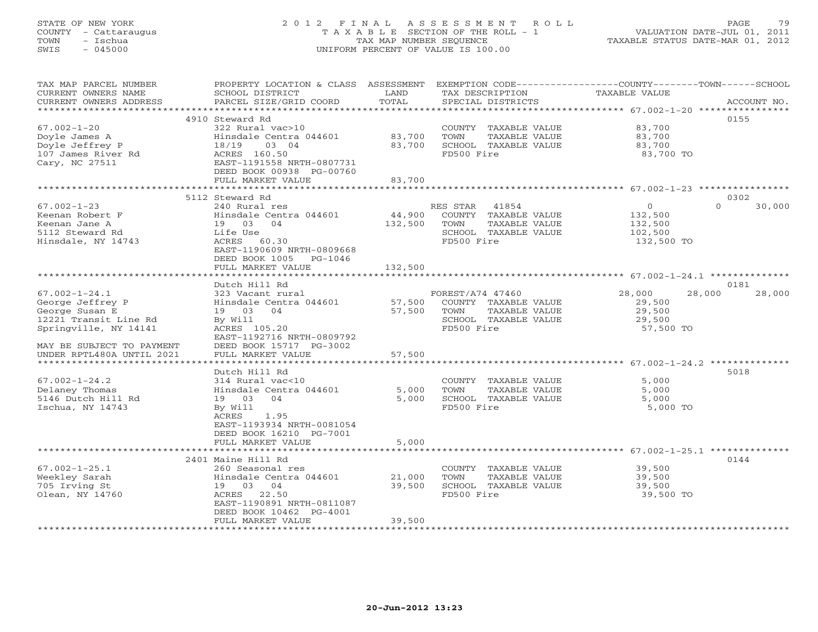# STATE OF NEW YORK 2 0 1 2 F I N A L A S S E S S M E N T R O L L PAGE 79 COUNTY - Cattaraugus T A X A B L E SECTION OF THE ROLL - 1 VALUATION DATE-JUL 01, 2011 TOWN - Ischua TAX MAP NUMBER SEQUENCE TAXABLE STATUS DATE-MAR 01, 2012 SWIS - 045000 UNIFORM PERCENT OF VALUE IS 100.00

| TAX MAP PARCEL NUMBER<br>CURRENT OWNERS NAME<br>CURRENT OWNERS ADDRESS<br>*********************** | PROPERTY LOCATION & CLASS ASSESSMENT<br>SCHOOL DISTRICT<br>PARCEL SIZE/GRID COORD                                                                                             | LAND<br>TOTAL              | TAX DESCRIPTION<br>SPECIAL DISTRICTS                                                                     | EXEMPTION CODE-----------------COUNTY-------TOWN------SCHOOL<br>TAXABLE VALUE | ACCOUNT NO.    |
|---------------------------------------------------------------------------------------------------|-------------------------------------------------------------------------------------------------------------------------------------------------------------------------------|----------------------------|----------------------------------------------------------------------------------------------------------|-------------------------------------------------------------------------------|----------------|
| $67.002 - 1 - 20$<br>Doyle James A<br>Doyle Jeffrey P<br>107 James River Rd<br>Cary, NC 27511     | 4910 Steward Rd<br>322 Rural vac>10<br>Hinsdale Centra 044601<br>03 04<br>18/19<br>ACRES 160.50<br>EAST-1191558 NRTH-0807731<br>DEED BOOK 00938 PG-00760<br>FULL MARKET VALUE | 83,700<br>83,700<br>83,700 | COUNTY TAXABLE VALUE<br>TOWN<br>TAXABLE VALUE<br>SCHOOL TAXABLE VALUE<br>FD500 Fire                      | 83,700<br>83,700<br>83,700<br>83,700 TO                                       | 0155           |
|                                                                                                   |                                                                                                                                                                               |                            |                                                                                                          |                                                                               |                |
| $67.002 - 1 - 23$<br>Keenan Robert F<br>Keenan Jane A<br>5112 Steward Rd<br>Hinsdale, NY 14743    | 5112 Steward Rd<br>240 Rural res<br>Hinsdale Centra 044601<br>19 03 04<br>Life Use<br>ACRES 60.30<br>EAST-1190609 NRTH-0809668<br>DEED BOOK 1005<br>PG-1046                   | 44,900<br>132,500          | RES STAR<br>41854<br>COUNTY TAXABLE VALUE<br>TOWN<br>TAXABLE VALUE<br>SCHOOL TAXABLE VALUE<br>FD500 Fire | $\circ$<br>$\cap$<br>132,500<br>132,500<br>102,500<br>132,500 TO              | 0302<br>30,000 |
|                                                                                                   | FULL MARKET VALUE                                                                                                                                                             | 132,500                    |                                                                                                          |                                                                               |                |
| $67.002 - 1 - 24.1$                                                                               | Dutch Hill Rd                                                                                                                                                                 |                            |                                                                                                          |                                                                               | 0181           |
| George Jeffrey P<br>George Susan E<br>12221 Transit Line Rd<br>Springville, NY 14141              | 323 Vacant rural<br>Hinsdale Centra 044601<br>19 03 04<br>By Will<br>ACRES 105.20<br>EAST-1192716 NRTH-0809792                                                                | 57,500<br>57,500           | FOREST/A74 47460<br>COUNTY TAXABLE VALUE<br>TOWN<br>TAXABLE VALUE<br>SCHOOL TAXABLE VALUE<br>FD500 Fire  | 28,000<br>28,000<br>29,500<br>29,500<br>29,500<br>57,500 TO                   | 28,000         |
| MAY BE SUBJECT TO PAYMENT<br>UNDER RPTL480A UNTIL 2021<br>*************************               | DEED BOOK 15717 PG-3002<br>FULL MARKET VALUE<br>*******************                                                                                                           | 57,500<br>********         |                                                                                                          | ********************* 67.002-1-24.2 ***************                           |                |
|                                                                                                   | Dutch Hill Rd                                                                                                                                                                 |                            |                                                                                                          |                                                                               | 5018           |
| $67.002 - 1 - 24.2$<br>Delaney Thomas<br>5146 Dutch Hill Rd<br>Ischua, NY 14743                   | 314 Rural vac<10<br>Hinsdale Centra 044601<br>19 03<br>04<br>By Will<br>ACRES<br>1.95<br>EAST-1193934 NRTH-0081054<br>DEED BOOK 16210 PG-7001                                 | 5,000<br>5,000             | COUNTY TAXABLE VALUE<br>TOWN<br>TAXABLE VALUE<br>SCHOOL TAXABLE VALUE<br>FD500 Fire                      | 5,000<br>5,000<br>5,000<br>5,000 TO                                           |                |
|                                                                                                   | FULL MARKET VALUE                                                                                                                                                             | 5,000                      |                                                                                                          |                                                                               |                |
|                                                                                                   |                                                                                                                                                                               |                            |                                                                                                          |                                                                               |                |
| $67.002 - 1 - 25.1$<br>Weekley Sarah<br>705 Irving St<br>Olean, NY 14760                          | 2401 Maine Hill Rd<br>260 Seasonal res<br>Hinsdale Centra 044601<br>19 03 04<br>ACRES<br>22.50<br>EAST-1190891 NRTH-0811087<br>DEED BOOK 10462 PG-4001<br>FULL MARKET VALUE   | 21,000<br>39,500<br>39,500 | COUNTY TAXABLE VALUE<br>TOWN<br>TAXABLE VALUE<br>SCHOOL TAXABLE VALUE<br>FD500 Fire                      | 39,500<br>39,500<br>39,500<br>39,500 TO                                       | 0144           |
| *********************                                                                             |                                                                                                                                                                               |                            |                                                                                                          |                                                                               |                |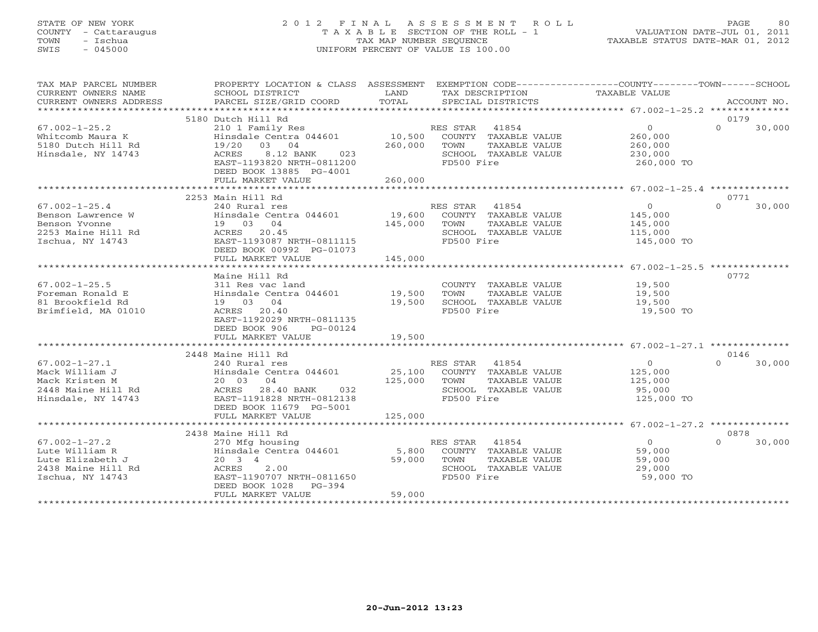# STATE OF NEW YORK 2 0 1 2 F I N A L A S S E S S M E N T R O L L PAGE 80 COUNTY - Cattaraugus T A X A B L E SECTION OF THE ROLL - 1 VALUATION DATE-JUL 01, 2011 TOWN - Ischua TAX MAP NUMBER SEQUENCE TAXABLE STATUS DATE-MAR 01, 2012 SWIS - 045000 UNIFORM PERCENT OF VALUE IS 100.00

| TAX MAP PARCEL NUMBER                | PROPERTY LOCATION & CLASS ASSESSMENT EXEMPTION CODE---------------COUNTY-------TOWN------SCHOOL                                                                                      |               |                |                             |                             |                    |
|--------------------------------------|--------------------------------------------------------------------------------------------------------------------------------------------------------------------------------------|---------------|----------------|-----------------------------|-----------------------------|--------------------|
| CURRENT OWNERS NAME                  | SCHOOL DISTRICT<br>PARCEL SIZE/GRID COORD                                                                                                                                            | LAND<br>TOTAL |                | TAX DESCRIPTION             | TAXABLE VALUE               | ACCOUNT NO.        |
| CURRENT OWNERS ADDRESS               |                                                                                                                                                                                      |               |                | SPECIAL DISTRICTS           |                             |                    |
|                                      | 5180 Dutch Hill Rd                                                                                                                                                                   |               |                |                             |                             | 0179               |
| $67.002 - 1 - 25.2$                  | 210 1 Family Res                                                                                                                                                                     |               | RES STAR 41854 |                             | $\overline{0}$              | $\Omega$<br>30,000 |
| Whitcomb Maura K                     | Hinsdale Centra 044601                                                                                                                                                               | 10,500        |                | COUNTY TAXABLE VALUE        | 260,000                     |                    |
| 5180 Dutch Hill Rd                   | 19/20 03 04                                                                                                                                                                          | 260,000       | TOWN           | TAXABLE VALUE               | 260,000                     |                    |
| Hinsdale, NY 14743                   | ACRES<br>8.12 BANK<br>023                                                                                                                                                            |               |                | SCHOOL TAXABLE VALUE        | 230,000                     |                    |
|                                      | EAST-1193820 NRTH-0811200                                                                                                                                                            |               | FD500 Fire     |                             | 260,000 TO                  |                    |
|                                      | DEED BOOK 13885 PG-4001                                                                                                                                                              |               |                |                             |                             |                    |
|                                      | FULL MARKET VALUE                                                                                                                                                                    | 260,000       |                |                             |                             |                    |
|                                      |                                                                                                                                                                                      |               |                |                             |                             |                    |
|                                      | 2253 Main Hill Rd                                                                                                                                                                    |               |                |                             |                             | 0771               |
| $67.002 - 1 - 25.4$                  | 240 Rural res                                                                                                                                                                        |               | RES STAR 41854 |                             | $\overline{0}$              | $\Omega$<br>30,000 |
| Benson Lawrence W                    | Hinsdale Centra 044601                                                                                                                                                               |               |                | 19,600 COUNTY TAXABLE VALUE |                             |                    |
| Benson Yvonne                        | 19 03 04                                                                                                                                                                             | 145,000       | TOWN           | TAXABLE VALUE               | 145,000<br>145,000          |                    |
| 2253 Maine Hill Rd                   | ACRES 20.45                                                                                                                                                                          |               |                | SCHOOL TAXABLE VALUE        | 115,000                     |                    |
| Ischua, NY 14743                     | EAST-1193087 NRTH-0811115                                                                                                                                                            |               | FD500 Fire     |                             | 145,000 TO                  |                    |
|                                      | DEED BOOK 00992 PG-01073                                                                                                                                                             |               |                |                             |                             |                    |
|                                      | FULL MARKET VALUE                                                                                                                                                                    | 145,000       |                |                             |                             |                    |
|                                      |                                                                                                                                                                                      |               |                |                             |                             |                    |
|                                      | Maine Hill Rd                                                                                                                                                                        |               |                |                             |                             | 0772               |
| $67.002 - 1 - 25.5$                  | 311 Res vac land                                                                                                                                                                     |               |                |                             | COUNTY TAXABLE VALUE 19,500 |                    |
| Foreman Ronald E                     | Hinsdale Centra 044601 19,500                                                                                                                                                        |               | TOWN           | TAXABLE VALUE               | 19,500                      |                    |
| 81 Brookfield Rd                     | 19 03 04                                                                                                                                                                             | 19,500        |                | SCHOOL TAXABLE VALUE        | 19,500                      |                    |
| Brimfield, MA 01010                  | ACRES 20.40                                                                                                                                                                          |               | FD500 Fire     |                             | 19,500 TO                   |                    |
|                                      | EAST-1192029 NRTH-0811135                                                                                                                                                            |               |                |                             |                             |                    |
|                                      | DEED BOOK 906<br>PG-00124                                                                                                                                                            |               |                |                             |                             |                    |
|                                      | FULL MARKET VALUE                                                                                                                                                                    | 19,500        |                |                             |                             |                    |
|                                      |                                                                                                                                                                                      |               |                |                             |                             |                    |
|                                      | 2448 Maine Hill Rd                                                                                                                                                                   |               |                |                             |                             | 0146               |
| $67.002 - 1 - 27.1$                  |                                                                                                                                                                                      |               |                |                             | $\overline{0}$              | $\Omega$<br>30,000 |
| Mack William J                       |                                                                                                                                                                                      |               |                |                             | 125,000                     |                    |
| Mack Kristen M<br>2448 Maine Hill Rd |                                                                                                                                                                                      |               |                |                             | 125,000                     |                    |
|                                      | 240 Rural res<br>Hinsdale Centra 044601 25,100 COUNTY TAXABLE VALUE<br>20 03 04 125,000 TOWN TAXABLE VALUE<br>ACRES 28.40 BANK 032 SCHOOL TAXABLE VALUE<br>EAST-1191828 NRTH-0812138 |               | FD500 Fire     |                             | 95,000                      |                    |
| Hinsdale, NY 14743                   | DEED BOOK 11679 PG-5001                                                                                                                                                              |               |                |                             | 125,000 TO                  |                    |
|                                      | FULL MARKET VALUE                                                                                                                                                                    | 125,000       |                |                             |                             |                    |
|                                      |                                                                                                                                                                                      |               |                |                             |                             |                    |
|                                      | 2438 Maine Hill Rd                                                                                                                                                                   |               |                |                             |                             | 0878               |
| $67.002 - 1 - 27.2$                  | 270 Mfg housing                                                                                                                                                                      |               | RES STAR 41854 |                             | $\overline{0}$              | $\Omega$<br>30,000 |
| Lute William R                       | 270 mig nousing<br>Hinsdale Centra 044601 5,800<br>20 3 4 59,000<br>ACRES 2.00<br>TREE 1100007 NPTH 0911650                                                                          |               |                | COUNTY TAXABLE VALUE        | 59,000                      |                    |
| Lute Elizabeth J                     |                                                                                                                                                                                      |               | TOWN           | TAXABLE VALUE               | 59,000                      |                    |
| 2438 Maine Hill Rd                   |                                                                                                                                                                                      |               |                | SCHOOL TAXABLE VALUE        | 29,000                      |                    |
| Ischua, NY 14743                     | EAST-1190707 NRTH-0811650                                                                                                                                                            |               | FD500 Fire     |                             | 59,000 TO                   |                    |
|                                      | DEED BOOK 1028 PG-394                                                                                                                                                                |               |                |                             |                             |                    |
|                                      | FULL MARKET VALUE                                                                                                                                                                    | 59,000        |                |                             |                             |                    |
|                                      |                                                                                                                                                                                      |               |                |                             |                             |                    |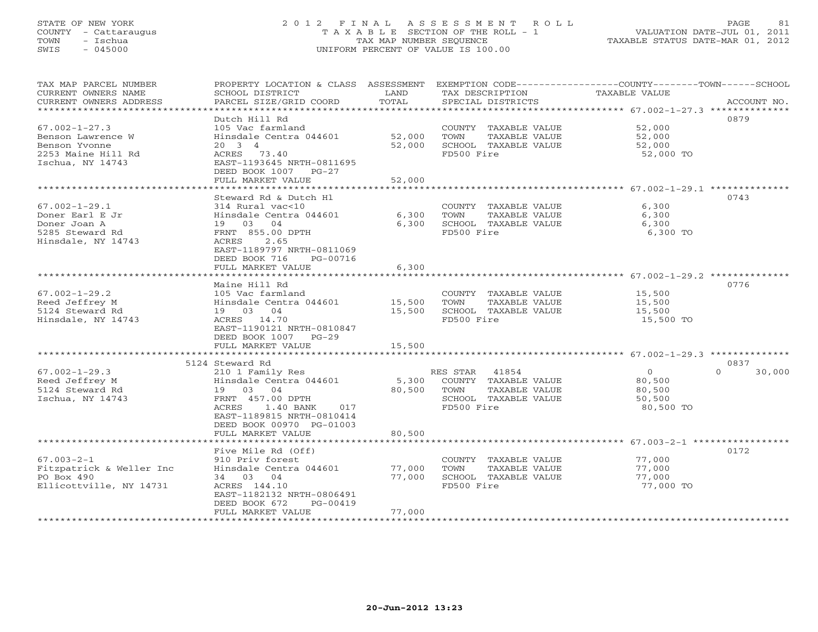### STATE OF NEW YORK 2 0 1 2 F I N A L A S S E S S M E N T R O L L PAGE 81 COUNTY - Cattaraugus T A X A B L E SECTION OF THE ROLL - 1 VALUATION DATE-JUL 01, 2011 TOWN - Ischua TAX MAP NUMBER SEQUENCE TAXABLE STATUS DATE-MAR 01, 2012 SWIS - 045000 UNIFORM PERCENT OF VALUE IS 100.00UNIFORM PERCENT OF VALUE IS 100.00

| TAX MAP PARCEL NUMBER<br>CURRENT OWNERS NAME | PROPERTY LOCATION & CLASS ASSESSMENT<br>SCHOOL DISTRICT | LAND   | TAX DESCRIPTION       | EXEMPTION CODE-----------------COUNTY-------TOWN------SCHOOL<br><b>TAXABLE VALUE</b> |
|----------------------------------------------|---------------------------------------------------------|--------|-----------------------|--------------------------------------------------------------------------------------|
| CURRENT OWNERS ADDRESS                       | PARCEL SIZE/GRID COORD                                  | TOTAL  | SPECIAL DISTRICTS     | ACCOUNT NO.                                                                          |
| ***********************                      |                                                         |        |                       |                                                                                      |
| $67.002 - 1 - 27.3$                          | Dutch Hill Rd<br>105 Vac farmland                       |        | COUNTY TAXABLE VALUE  | 0879<br>52,000                                                                       |
| Benson Lawrence W                            | Hinsdale Centra 044601                                  | 52,000 | TAXABLE VALUE<br>TOWN | 52,000                                                                               |
| Benson Yvonne                                | $20 \quad 3 \quad 4$                                    | 52,000 | SCHOOL TAXABLE VALUE  | 52,000                                                                               |
| 2253 Maine Hill Rd                           | ACRES 73.40                                             |        | FD500 Fire            | 52,000 TO                                                                            |
| Ischua, NY 14743                             | EAST-1193645 NRTH-0811695                               |        |                       |                                                                                      |
|                                              | DEED BOOK 1007 PG-27                                    |        |                       |                                                                                      |
|                                              | FULL MARKET VALUE                                       | 52,000 |                       |                                                                                      |
|                                              |                                                         |        |                       |                                                                                      |
|                                              | Steward Rd & Dutch Hl                                   |        |                       | 0743                                                                                 |
| $67.002 - 1 - 29.1$                          | 314 Rural vac<10                                        |        | COUNTY TAXABLE VALUE  | 6,300                                                                                |
| Doner Earl E Jr                              | Hinsdale Centra 044601                                  | 6,300  | TOWN<br>TAXABLE VALUE | 6,300                                                                                |
| Doner Joan A                                 | 19 03<br>04                                             | 6,300  | SCHOOL TAXABLE VALUE  | 6,300                                                                                |
| 5285 Steward Rd                              | FRNT 855.00 DPTH                                        |        | FD500 Fire            | 6,300 TO                                                                             |
| Hinsdale, NY 14743                           | 2.65<br>ACRES                                           |        |                       |                                                                                      |
|                                              | EAST-1189797 NRTH-0811069                               |        |                       |                                                                                      |
|                                              | DEED BOOK 716<br>PG-00716                               |        |                       |                                                                                      |
|                                              | FULL MARKET VALUE                                       | 6,300  |                       | ********************* 67.002-1-29.2 *************                                    |
|                                              | Maine Hill Rd                                           |        |                       | 0776                                                                                 |
| $67.002 - 1 - 29.2$                          | 105 Vac farmland                                        |        | COUNTY TAXABLE VALUE  | 15,500                                                                               |
| Reed Jeffrey M                               | Hinsdale Centra 044601                                  | 15,500 | TOWN<br>TAXABLE VALUE | 15,500                                                                               |
| 5124 Steward Rd                              | 19 03 04                                                | 15,500 | SCHOOL TAXABLE VALUE  | 15,500                                                                               |
| Hinsdale, NY 14743                           | ACRES 14.70                                             |        | FD500 Fire            | 15,500 TO                                                                            |
|                                              | EAST-1190121 NRTH-0810847                               |        |                       |                                                                                      |
|                                              | DEED BOOK 1007 PG-29                                    |        |                       |                                                                                      |
|                                              | FULL MARKET VALUE                                       | 15,500 |                       |                                                                                      |
|                                              |                                                         |        |                       |                                                                                      |
|                                              | 5124 Steward Rd                                         |        |                       | 0837                                                                                 |
| $67.002 - 1 - 29.3$                          | 210 1 Family Res                                        |        | RES STAR<br>41854     | $\Omega$<br>30,000<br>$\circ$                                                        |
| Reed Jeffrey M                               | Hinsdale Centra 044601                                  | 5,300  | COUNTY TAXABLE VALUE  | 80,500                                                                               |
| 5124 Steward Rd                              | 19 03 04                                                | 80,500 | TAXABLE VALUE<br>TOWN | 80,500                                                                               |
| Ischua, NY 14743                             | FRNT 457.00 DPTH                                        |        | SCHOOL TAXABLE VALUE  | 50,500                                                                               |
|                                              | 1.40 BANK<br>ACRES<br>017                               |        | FD500 Fire            | 80,500 TO                                                                            |
|                                              | EAST-1189815 NRTH-0810414                               |        |                       |                                                                                      |
|                                              | DEED BOOK 00970 PG-01003                                |        |                       |                                                                                      |
|                                              | FULL MARKET VALUE                                       | 80,500 |                       |                                                                                      |
|                                              | Five Mile Rd (Off)                                      |        |                       | 0172                                                                                 |
| $67.003 - 2 - 1$                             | 910 Priv forest                                         |        | COUNTY TAXABLE VALUE  | 77,000                                                                               |
| Fitzpatrick & Weller Inc                     | Hinsdale Centra 044601                                  | 77,000 | TOWN<br>TAXABLE VALUE | 77,000                                                                               |
| PO Box 490                                   | 34 03 04                                                | 77,000 | SCHOOL TAXABLE VALUE  | 77,000                                                                               |
| Ellicottville, NY 14731                      | ACRES 144.10                                            |        | FD500 Fire            | 77,000 TO                                                                            |
|                                              | EAST-1182132 NRTH-0806491                               |        |                       |                                                                                      |
|                                              | DEED BOOK 672<br>$PG-00419$                             |        |                       |                                                                                      |
|                                              | FULL MARKET VALUE                                       | 77,000 |                       |                                                                                      |
|                                              |                                                         |        |                       |                                                                                      |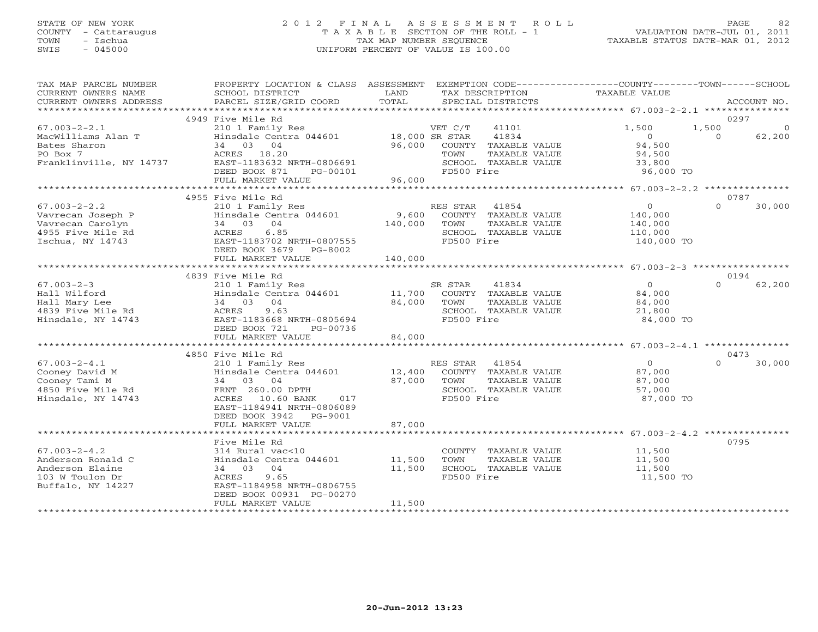# STATE OF NEW YORK 2 0 1 2 F I N A L A S S E S S M E N T R O L L PAGE 82 COUNTY - Cattaraugus T A X A B L E SECTION OF THE ROLL - 1 VALUATION DATE-JUL 01, 2011 TOWN - Ischua TAX MAP NUMBER SEQUENCE TAXABLE STATUS DATE-MAR 01, 2012 SWIS - 045000 UNIFORM PERCENT OF VALUE IS 100.00

| TAX MAP PARCEL NUMBER<br>CURRENT OWNERS NAME<br>CURRENT OWNERS ADDRESS                               | PROPERTY LOCATION & CLASS ASSESSMENT<br>SCHOOL DISTRICT<br>PARCEL SIZE/GRID COORD                                                                                                    | LAND<br>TOTAL                      | EXEMPTION CODE-----------------COUNTY-------TOWN------SCHOOL<br>TAX DESCRIPTION<br>SPECIAL DISTRICTS             | <b>TAXABLE VALUE</b>                                          | ACCOUNT NO.                                    |
|------------------------------------------------------------------------------------------------------|--------------------------------------------------------------------------------------------------------------------------------------------------------------------------------------|------------------------------------|------------------------------------------------------------------------------------------------------------------|---------------------------------------------------------------|------------------------------------------------|
|                                                                                                      |                                                                                                                                                                                      |                                    |                                                                                                                  |                                                               |                                                |
| $67.003 - 2 - 2.1$<br>MacWilliams Alan T<br>Bates Sharon<br>PO Box 7<br>Franklinville, NY 14737      | 4949 Five Mile Rd<br>210 1 Family Res<br>Hinsdale Centra 044601<br>34 03 04<br>ACRES 18.20<br>EAST-1183632 NRTH-0806691<br>DEED BOOK 871<br>PG-00101<br>FULL MARKET VALUE            | 18,000 SR STAR<br>96,000<br>96,000 | VET C/T<br>41101<br>41834<br>COUNTY TAXABLE VALUE<br>TAXABLE VALUE<br>TOWN<br>SCHOOL TAXABLE VALUE<br>FD500 Fire | 1,500<br>$\Omega$<br>94,500<br>94,500<br>33,800<br>96,000 TO  | 0297<br>1,500<br>$\circ$<br>62,200<br>$\Omega$ |
|                                                                                                      |                                                                                                                                                                                      |                                    |                                                                                                                  |                                                               |                                                |
| $67.003 - 2 - 2.2$<br>Vavrecan Joseph P<br>Vavrecan Carolyn<br>4955 Five Mile Rd<br>Ischua, NY 14743 | 4955 Five Mile Rd<br>210 1 Family Res<br>Hinsdale Centra 044601<br>34 03 04<br>6.85<br>ACRES<br>EAST-1183702 NRTH-0807555<br>DEED BOOK 3679 PG-8002                                  | 9,600<br>140,000                   | RES STAR<br>41854<br>COUNTY TAXABLE VALUE<br>TOWN<br>TAXABLE VALUE<br>SCHOOL TAXABLE VALUE<br>FD500 Fire         | $\overline{0}$<br>140,000<br>140,000<br>110,000<br>140,000 TO | 0787<br>$\Omega$<br>30,000                     |
|                                                                                                      | FULL MARKET VALUE                                                                                                                                                                    | 140,000                            |                                                                                                                  |                                                               |                                                |
|                                                                                                      |                                                                                                                                                                                      |                                    |                                                                                                                  |                                                               |                                                |
| $67.003 - 2 - 3$<br>Hall Wilford<br>Hall Mary Lee<br>4839 Five Mile Rd<br>Hinsdale, NY 14743         | 4839 Five Mile Rd<br>210 1 Family Res<br>Hinsdale Centra 044601<br>34 03 04<br>9.63<br>ACRES<br>EAST-1183668 NRTH-0805694<br>DEED BOOK 721<br>PG-00736<br>FULL MARKET VALUE          | 11,700<br>84,000<br>84,000         | SR STAR<br>41834<br>COUNTY TAXABLE VALUE<br>TOWN<br>TAXABLE VALUE<br>SCHOOL TAXABLE VALUE<br>FD500 Fire          | $\Omega$<br>84,000<br>84,000<br>21,800<br>84,000 TO           | 0194<br>$\Omega$<br>62,200                     |
|                                                                                                      |                                                                                                                                                                                      |                                    |                                                                                                                  |                                                               |                                                |
| $67.003 - 2 - 4.1$<br>Cooney David M<br>Cooney Tami M<br>4850 Five Mile Rd<br>Hinsdale, NY 14743     | 4850 Five Mile Rd<br>210 1 Family Res<br>Hinsdale Centra 044601<br>34 03 04<br>FRNT 260.00 DPTH<br>ACRES 10.60 BANK<br>017<br>EAST-1184941 NRTH-0806089<br>DEED BOOK 3942<br>PG-9001 | 12,400<br>87,000                   | RES STAR<br>41854<br>COUNTY TAXABLE VALUE<br>TOWN<br><b>TAXABLE VALUE</b><br>SCHOOL TAXABLE VALUE<br>FD500 Fire  | $\Omega$<br>87,000<br>87,000<br>57,000<br>87,000 TO           | 0473<br>$\Omega$<br>30,000                     |
|                                                                                                      | FULL MARKET VALUE                                                                                                                                                                    | 87,000                             |                                                                                                                  |                                                               |                                                |
| $67.003 - 2 - 4.2$<br>Anderson Ronald C<br>Anderson Elaine<br>103 W Toulon Dr<br>Buffalo, NY 14227   | Five Mile Rd<br>314 Rural vac<10<br>Hinsdale Centra 044601<br>34 03 04<br>9.65<br>ACRES<br>EAST-1184958 NRTH-0806755<br>DEED BOOK 00931 PG-00270<br>FULL MARKET VALUE                | 11,500<br>11,500<br>11,500         | COUNTY TAXABLE VALUE<br>TOWN<br>TAXABLE VALUE<br>SCHOOL TAXABLE VALUE<br>FD500 Fire                              | 11,500<br>11,500<br>11,500<br>11,500 TO                       | 0795                                           |
|                                                                                                      |                                                                                                                                                                                      |                                    |                                                                                                                  |                                                               |                                                |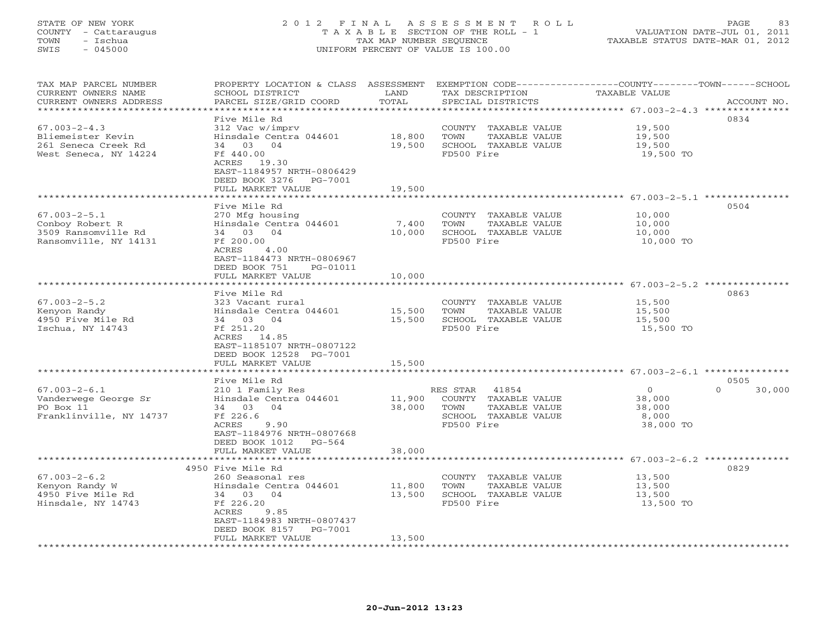# STATE OF NEW YORK 2 0 1 2 F I N A L A S S E S S M E N T R O L L PAGE 83 COUNTY - Cattaraugus T A X A B L E SECTION OF THE ROLL - 1 VALUATION DATE-JUL 01, 2011 TOWN - Ischua TAX MAP NUMBER SEQUENCE TAXABLE STATUS DATE-MAR 01, 2012 SWIS - 045000 UNIFORM PERCENT OF VALUE IS 100.00

| TAX MAP PARCEL NUMBER   |                               |                  |                             | PROPERTY LOCATION & CLASS ASSESSMENT EXEMPTION CODE----------------COUNTY-------TOWN------SCHOOL |
|-------------------------|-------------------------------|------------------|-----------------------------|--------------------------------------------------------------------------------------------------|
| CURRENT OWNERS NAME     | SCHOOL DISTRICT               | LAND             | TAX DESCRIPTION             | TAXABLE VALUE                                                                                    |
| CURRENT OWNERS ADDRESS  | PARCEL SIZE/GRID COORD        | TOTAL            | SPECIAL DISTRICTS           | ACCOUNT NO.                                                                                      |
|                         |                               |                  |                             |                                                                                                  |
|                         | Five Mile Rd                  |                  |                             | 0834                                                                                             |
| $67.003 - 2 - 4.3$      | 312 Vac w/imprv               |                  | COUNTY TAXABLE VALUE        | 19,500                                                                                           |
| Bliemeister Kevin       | Hinsdale Centra 044601        | 18,800           | TOWN<br>TAXABLE VALUE       | 19,500                                                                                           |
| 261 Seneca Creek Rd     | 34 03 04                      | 19,500           | SCHOOL TAXABLE VALUE        | 19,500                                                                                           |
| West Seneca, NY 14224   | Ff 440.00                     |                  | FD500 Fire                  | 19,500 TO                                                                                        |
|                         | ACRES 19.30                   |                  |                             |                                                                                                  |
|                         | EAST-1184957 NRTH-0806429     |                  |                             |                                                                                                  |
|                         | DEED BOOK 3276 PG-7001        |                  |                             |                                                                                                  |
|                         | FULL MARKET VALUE             | 19,500           |                             |                                                                                                  |
|                         |                               |                  |                             |                                                                                                  |
|                         | Five Mile Rd                  |                  |                             | 0504                                                                                             |
| $67.003 - 2 - 5.1$      | 270 Mfg housing               |                  |                             | 10,000                                                                                           |
|                         | Hinsdale Centra 044601        |                  | COUNTY TAXABLE VALUE        |                                                                                                  |
| Conboy Robert R         |                               | 7,400            | TOWN<br>TAXABLE VALUE       | 10,000                                                                                           |
| 3509 Ransomville Rd     | 34 03 04                      | 10,000           | SCHOOL TAXABLE VALUE        | 10,000                                                                                           |
| Ransomville, NY 14131   | Ff 200.00                     |                  | FD500 Fire                  | 10,000 TO                                                                                        |
|                         | ACRES<br>4.00                 |                  |                             |                                                                                                  |
|                         | EAST-1184473 NRTH-0806967     |                  |                             |                                                                                                  |
|                         | DEED BOOK 751<br>PG-01011     |                  |                             |                                                                                                  |
|                         | FULL MARKET VALUE             | 10,000           |                             |                                                                                                  |
|                         |                               |                  |                             |                                                                                                  |
|                         | Five Mile Rd                  |                  |                             | 0863                                                                                             |
| $67.003 - 2 - 5.2$      | 323 Vacant rural              |                  | COUNTY TAXABLE VALUE        | 15,500                                                                                           |
| Kenyon Randy            | Hinsdale Centra 044601 15,500 |                  | TOWN<br>TAXABLE VALUE       | 15,500                                                                                           |
| 4950 Five Mile Rd       | 34 03 04                      | 15,500           | SCHOOL TAXABLE VALUE        | 15,500                                                                                           |
| Ischua, NY 14743        | Ff 251.20                     |                  | FD500 Fire                  | 15,500 TO                                                                                        |
|                         | ACRES 14.85                   |                  |                             |                                                                                                  |
|                         | EAST-1185107 NRTH-0807122     |                  |                             |                                                                                                  |
|                         | DEED BOOK 12528 PG-7001       |                  |                             |                                                                                                  |
|                         | FULL MARKET VALUE             | 15,500           |                             |                                                                                                  |
|                         |                               |                  |                             |                                                                                                  |
|                         | Five Mile Rd                  |                  |                             | 0505                                                                                             |
| $67.003 - 2 - 6.1$      | 210 1 Family Res              |                  | RES STAR 41854              | $\Omega$<br>$\Omega$<br>30,000                                                                   |
| Vanderwege George Sr    | Hinsdale Centra 044601        |                  | 11,900 COUNTY TAXABLE VALUE | 38,000                                                                                           |
| PO Box 11               | 34 03 04                      | 38,000           | TOWN<br>TAXABLE VALUE       | 38,000                                                                                           |
| Franklinville, NY 14737 | Ff 226.6                      |                  | SCHOOL TAXABLE VALUE        | 8,000                                                                                            |
|                         | ACRES<br>9.90                 |                  | FD500 Fire                  | 38,000 TO                                                                                        |
|                         | EAST-1184976 NRTH-0807668     |                  |                             |                                                                                                  |
|                         | DEED BOOK 1012 PG-564         |                  |                             |                                                                                                  |
|                         | FULL MARKET VALUE             | 38,000           |                             |                                                                                                  |
|                         |                               |                  |                             |                                                                                                  |
|                         | 4950 Five Mile Rd             |                  |                             | 0829                                                                                             |
| $67.003 - 2 - 6.2$      | 260 Seasonal res              |                  | COUNTY TAXABLE VALUE        | 13,500                                                                                           |
| Kenyon Randy W          | Hinsdale Centra 044601        |                  | TAXABLE VALUE<br>TOWN       | 13,500                                                                                           |
| 4950 Five Mile Rd       | 34 03 04                      | 11,800<br>13,500 | SCHOOL TAXABLE VALUE        | 13,500                                                                                           |
| Hinsdale, NY 14743      | Ff 226.20                     |                  | FD500 Fire                  | 13,500 TO                                                                                        |
|                         | <b>ACRES</b><br>9.85          |                  |                             |                                                                                                  |
|                         | EAST-1184983 NRTH-0807437     |                  |                             |                                                                                                  |
|                         | DEED BOOK 8157<br>PG-7001     |                  |                             |                                                                                                  |
|                         | FULL MARKET VALUE             | 13,500           |                             |                                                                                                  |
|                         |                               |                  |                             |                                                                                                  |
|                         |                               |                  |                             |                                                                                                  |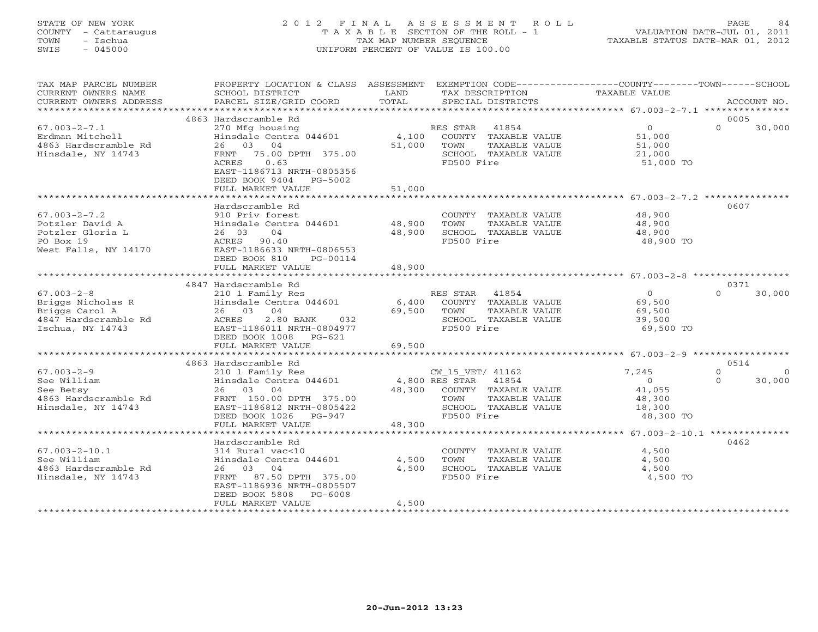### STATE OF NEW YORK 2 0 1 2 F I N A L A S S E S S M E N T R O L L PAGE 84 COUNTY - Cattaraugus T A X A B L E SECTION OF THE ROLL - 1 VALUATION DATE-JUL 01, 2011 TOWN - Ischua TAX MAP NUMBER SEQUENCE TAXABLE STATUS DATE-MAR 01, 2012 SWIS - 045000 UNIFORM PERCENT OF VALUE IS 100.00UNIFORM PERCENT OF VALUE IS 100.00

| TAX MAP PARCEL NUMBER<br>CURRENT OWNERS NAME<br>CURRENT OWNERS ADDRESS | PROPERTY LOCATION & CLASS ASSESSMENT<br>SCHOOL DISTRICT<br>PARCEL SIZE/GRID COORD                                         | LAND<br>TOTAL   | EXEMPTION CODE-----------------COUNTY-------TOWN------SCHOOL<br>TAX DESCRIPTION<br>SPECIAL DISTRICTS | <b>TAXABLE VALUE</b> | ACCOUNT NO.          |                    |
|------------------------------------------------------------------------|---------------------------------------------------------------------------------------------------------------------------|-----------------|------------------------------------------------------------------------------------------------------|----------------------|----------------------|--------------------|
|                                                                        |                                                                                                                           |                 |                                                                                                      |                      |                      |                    |
| $67.003 - 2 - 7.1$                                                     | 4863 Hardscramble Rd<br>270 Mfg housing                                                                                   |                 | 41854<br>RES STAR                                                                                    | $\overline{O}$       | 0005<br>$\Omega$     | 30,000             |
| Erdman Mitchell<br>4863 Hardscramble Rd                                | Hinsdale Centra 044601<br>26 03 04                                                                                        | 4,100<br>51,000 | COUNTY TAXABLE VALUE<br>TOWN<br>TAXABLE VALUE                                                        | 51,000<br>51,000     |                      |                    |
| Hinsdale, NY 14743                                                     | 75.00 DPTH 375.00<br>FRNT<br>ACRES<br>0.63<br>EAST-1186713 NRTH-0805356<br>DEED BOOK 9404<br>PG-5002<br>FULL MARKET VALUE | 51,000          | SCHOOL TAXABLE VALUE<br>FD500 Fire                                                                   | 21,000<br>51,000 TO  |                      |                    |
|                                                                        |                                                                                                                           |                 |                                                                                                      |                      |                      |                    |
|                                                                        | Hardscramble Rd                                                                                                           |                 |                                                                                                      |                      | 0607                 |                    |
| $67.003 - 2 - 7.2$                                                     | 910 Priv forest                                                                                                           |                 | COUNTY TAXABLE VALUE                                                                                 | 48,900               |                      |                    |
| Potzler David A                                                        | Hinsdale Centra 044601                                                                                                    | 48,900          | TOWN<br>TAXABLE VALUE                                                                                | 48,900               |                      |                    |
| Potzler Gloria L<br>PO Box 19                                          | 26 03<br>04<br>ACRES<br>90.40                                                                                             | 48,900          | SCHOOL TAXABLE VALUE<br>FD500 Fire                                                                   | 48,900<br>48,900 TO  |                      |                    |
| West Falls, NY 14170                                                   | EAST-1186633 NRTH-0806553<br>DEED BOOK 810<br>PG-00114                                                                    |                 |                                                                                                      |                      |                      |                    |
|                                                                        | FULL MARKET VALUE                                                                                                         | 48,900          |                                                                                                      |                      |                      |                    |
|                                                                        | 4847 Hardscramble Rd                                                                                                      |                 |                                                                                                      |                      | 0371                 |                    |
| $67.003 - 2 - 8$                                                       | 210 1 Family Res                                                                                                          |                 | RES STAR<br>41854                                                                                    | $\Omega$             | $\Omega$             | 30,000             |
| Briggs Nicholas R                                                      | Hinsdale Centra 044601                                                                                                    | 6,400           | COUNTY TAXABLE VALUE                                                                                 | 69,500               |                      |                    |
| Briggs Carol A                                                         | 26 03 04                                                                                                                  | 69,500          | TOWN<br>TAXABLE VALUE                                                                                | 69,500               |                      |                    |
| 4847 Hardscramble Rd                                                   | 2.80 BANK<br>ACRES<br>032                                                                                                 |                 | SCHOOL TAXABLE VALUE                                                                                 | 39,500               |                      |                    |
| Ischua, NY 14743                                                       | EAST-1186011 NRTH-0804977                                                                                                 |                 | FD500 Fire                                                                                           | 69,500 TO            |                      |                    |
|                                                                        | DEED BOOK 1008 PG-621                                                                                                     |                 |                                                                                                      |                      |                      |                    |
|                                                                        | FULL MARKET VALUE                                                                                                         | 69,500          |                                                                                                      |                      |                      |                    |
|                                                                        |                                                                                                                           |                 |                                                                                                      |                      |                      |                    |
|                                                                        | 4863 Hardscramble Rd                                                                                                      |                 |                                                                                                      |                      | 0514                 |                    |
| $67.003 - 2 - 9$<br>See William                                        | 210 1 Family Res<br>Hinsdale Centra 044601                                                                                |                 | CW_15_VET/ 41162<br>4,800 RES STAR<br>41854                                                          | 7,245<br>$\Omega$    | $\Omega$<br>$\Omega$ | $\Omega$<br>30,000 |
| See Betsy                                                              | 26 03 04                                                                                                                  | 48,300          | COUNTY TAXABLE VALUE                                                                                 | 41,055               |                      |                    |
| 4863 Hardscramble Rd                                                   | FRNT 150.00 DPTH 375.00                                                                                                   |                 | TOWN<br>TAXABLE VALUE                                                                                | 48,300               |                      |                    |
| Hinsdale, NY 14743                                                     | EAST-1186812 NRTH-0805422                                                                                                 |                 | SCHOOL TAXABLE VALUE                                                                                 | 18,300               |                      |                    |
|                                                                        | DEED BOOK 1026<br>PG-947                                                                                                  |                 | FD500 Fire                                                                                           | 48,300 TO            |                      |                    |
|                                                                        | FULL MARKET VALUE                                                                                                         | 48,300          |                                                                                                      |                      |                      |                    |
|                                                                        |                                                                                                                           |                 |                                                                                                      |                      |                      |                    |
|                                                                        | Hardscramble Rd                                                                                                           |                 |                                                                                                      |                      | 0462                 |                    |
| $67.003 - 2 - 10.1$                                                    | 314 Rural vac<10                                                                                                          |                 | COUNTY TAXABLE VALUE                                                                                 | 4,500                |                      |                    |
| See William                                                            | Hinsdale Centra 044601                                                                                                    | 4,500           | TAXABLE VALUE<br>TOWN                                                                                | 4,500                |                      |                    |
| 4863 Hardscramble Rd                                                   | 26 03 04                                                                                                                  | 4,500           | SCHOOL TAXABLE VALUE                                                                                 | 4,500                |                      |                    |
| Hinsdale, NY 14743                                                     | 87.50 DPTH 375.00<br>FRNT<br>EAST-1186936 NRTH-0805507                                                                    |                 | FD500 Fire                                                                                           | 4,500 TO             |                      |                    |
|                                                                        | DEED BOOK 5808<br>PG-6008                                                                                                 |                 |                                                                                                      |                      |                      |                    |
|                                                                        | FULL MARKET VALUE                                                                                                         | 4,500           |                                                                                                      |                      |                      |                    |
|                                                                        |                                                                                                                           |                 |                                                                                                      |                      |                      |                    |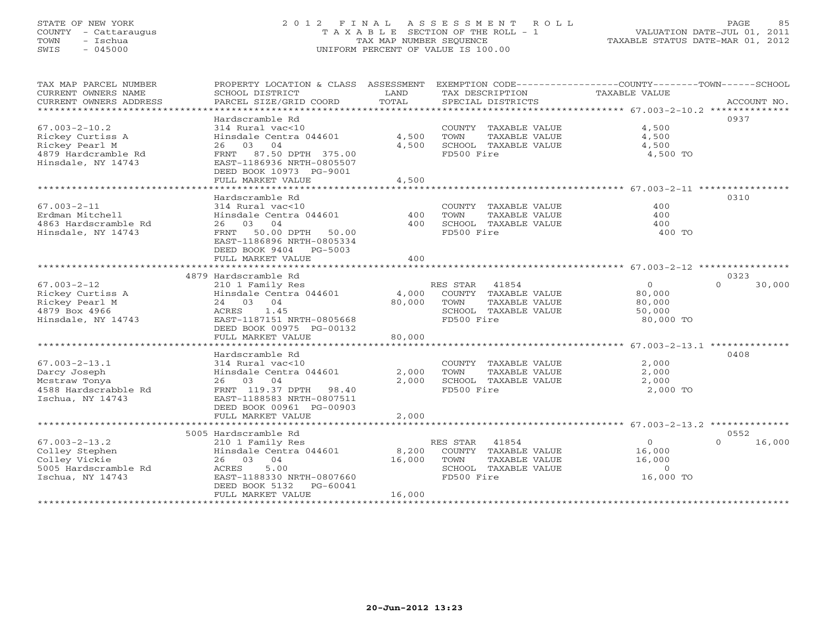### STATE OF NEW YORK 2 0 1 2 F I N A L A S S E S S M E N T R O L L PAGE 85 COUNTY - Cattaraugus T A X A B L E SECTION OF THE ROLL - 1 VALUATION DATE-JUL 01, 2011 TOWN - Ischua TAX MAP NUMBER SEQUENCE TAXABLE STATUS DATE-MAR 01, 2012 SWIS - 045000 UNIFORM PERCENT OF VALUE IS 100.00UNIFORM PERCENT OF VALUE IS 100.00

| TAX MAP PARCEL NUMBER<br>CURRENT OWNERS NAME<br>CURRENT OWNERS ADDRESS | PROPERTY LOCATION & CLASS ASSESSMENT<br>SCHOOL DISTRICT<br>PARCEL SIZE/GRID COORD | LAND<br>TOTAL         | TAX DESCRIPTION<br>SPECIAL DISTRICTS | EXEMPTION CODE-----------------COUNTY-------TOWN------SCHOOL<br><b>TAXABLE VALUE</b><br>ACCOUNT NO. |
|------------------------------------------------------------------------|-----------------------------------------------------------------------------------|-----------------------|--------------------------------------|-----------------------------------------------------------------------------------------------------|
| *********************                                                  |                                                                                   |                       |                                      |                                                                                                     |
|                                                                        | Hardscramble Rd                                                                   |                       |                                      | 0937                                                                                                |
| $67.003 - 2 - 10.2$                                                    | 314 Rural vac<10                                                                  |                       | COUNTY TAXABLE VALUE                 | 4,500                                                                                               |
| Rickey Curtiss A                                                       | Hinsdale Centra 044601                                                            | 4,500                 | TOWN<br>TAXABLE VALUE                | 4,500                                                                                               |
| Rickey Pearl M                                                         | 04<br>26<br>03                                                                    | 4,500                 | SCHOOL TAXABLE VALUE                 | 4,500                                                                                               |
| 4879 Hardcramble Rd                                                    | 87.50 DPTH 375.00<br><b>FRNT</b>                                                  |                       | FD500 Fire                           | 4,500 TO                                                                                            |
| Hinsdale, NY 14743                                                     | EAST-1186936 NRTH-0805507                                                         |                       |                                      |                                                                                                     |
|                                                                        | DEED BOOK 10973 PG-9001                                                           |                       |                                      |                                                                                                     |
|                                                                        | FULL MARKET VALUE<br>*******************************                              | 4,500<br>************ |                                      | ************************ 67.003-2-11 *****************                                              |
|                                                                        | Hardscramble Rd                                                                   |                       |                                      | 0310                                                                                                |
| $67.003 - 2 - 11$                                                      | 314 Rural vac<10                                                                  |                       | COUNTY TAXABLE VALUE                 | 400                                                                                                 |
| Erdman Mitchell                                                        | Hinsdale Centra 044601                                                            | 400                   | TOWN<br>TAXABLE VALUE                | 400                                                                                                 |
| 4863 Hardscramble Rd                                                   | 03<br>04<br>26                                                                    | 400                   | SCHOOL TAXABLE VALUE                 | 400                                                                                                 |
| Hinsdale, NY 14743                                                     | 50.00 DPTH<br>FRNT<br>50.00                                                       |                       | FD500 Fire                           | 400 TO                                                                                              |
|                                                                        | EAST-1186896 NRTH-0805334                                                         |                       |                                      |                                                                                                     |
|                                                                        | DEED BOOK 9404<br>$PG-5003$                                                       |                       |                                      |                                                                                                     |
|                                                                        | FULL MARKET VALUE                                                                 | 400                   |                                      |                                                                                                     |
|                                                                        | ***********************                                                           | ************          |                                      | ******************************** 67.003-2-12 ****************                                       |
|                                                                        | 4879 Hardscramble Rd                                                              |                       |                                      | 0323                                                                                                |
| $67.003 - 2 - 12$                                                      | 210 1 Family Res                                                                  |                       | RES STAR<br>41854                    | $\mathbf 0$<br>$\Omega$<br>30,000                                                                   |
| Rickey Curtiss A                                                       | Hinsdale Centra 044601                                                            | 4,000                 | COUNTY TAXABLE VALUE                 | 80,000                                                                                              |
| Rickey Pearl M                                                         | 24 03<br>04                                                                       | 80,000                | TOWN<br>TAXABLE VALUE                | 80,000                                                                                              |
| 4879 Box 4966                                                          | ACRES<br>1.45                                                                     |                       | SCHOOL TAXABLE VALUE                 | 50,000                                                                                              |
| Hinsdale, NY 14743                                                     | EAST-1187151 NRTH-0805668                                                         |                       | FD500 Fire                           | 80,000 TO                                                                                           |
|                                                                        | DEED BOOK 00975 PG-00132                                                          |                       |                                      |                                                                                                     |
|                                                                        | FULL MARKET VALUE<br>***********************                                      | 80,000                |                                      |                                                                                                     |
|                                                                        | Hardscramble Rd                                                                   |                       |                                      | 0408                                                                                                |
| $67.003 - 2 - 13.1$                                                    | 314 Rural vac<10                                                                  |                       | COUNTY TAXABLE VALUE                 | 2,000                                                                                               |
| Darcy Joseph                                                           | Hinsdale Centra 044601                                                            | 2,000                 | TAXABLE VALUE<br>TOWN                | 2,000                                                                                               |
| Mcstraw Tonya                                                          | 03 04<br>26                                                                       | 2,000                 | SCHOOL TAXABLE VALUE                 | 2,000                                                                                               |
| 4588 Hardscrabble Rd                                                   | FRNT 119.37 DPTH<br>98.40                                                         |                       | FD500 Fire                           | 2,000 TO                                                                                            |
| Ischua, NY 14743                                                       | EAST-1188583 NRTH-0807511                                                         |                       |                                      |                                                                                                     |
|                                                                        | DEED BOOK 00961 PG-00903                                                          |                       |                                      |                                                                                                     |
|                                                                        | FULL MARKET VALUE                                                                 | 2,000                 |                                      |                                                                                                     |
|                                                                        |                                                                                   |                       |                                      |                                                                                                     |
|                                                                        | 5005 Hardscramble Rd                                                              |                       |                                      | 0552                                                                                                |
| $67.003 - 2 - 13.2$                                                    | 210 1 Family Res                                                                  |                       | RES STAR<br>41854                    | $\circ$<br>$\Omega$<br>16,000                                                                       |
| Colley Stephen                                                         | Hinsdale Centra 044601                                                            | 8,200                 | COUNTY<br>TAXABLE VALUE              | 16,000                                                                                              |
| Colley Vickie                                                          | 26 03<br>04                                                                       | 16,000                | TOWN<br>TAXABLE VALUE                | 16,000                                                                                              |
| 5005 Hardscramble Rd                                                   | <b>ACRES</b><br>5.00                                                              |                       | SCHOOL TAXABLE VALUE                 | $\Omega$                                                                                            |
| Ischua, NY 14743                                                       | EAST-1188330 NRTH-0807660                                                         |                       | FD500 Fire                           | 16,000 TO                                                                                           |
|                                                                        | DEED BOOK 5132<br>PG-60041<br>FULL MARKET VALUE                                   | 16,000                |                                      |                                                                                                     |
|                                                                        | ********************                                                              |                       |                                      |                                                                                                     |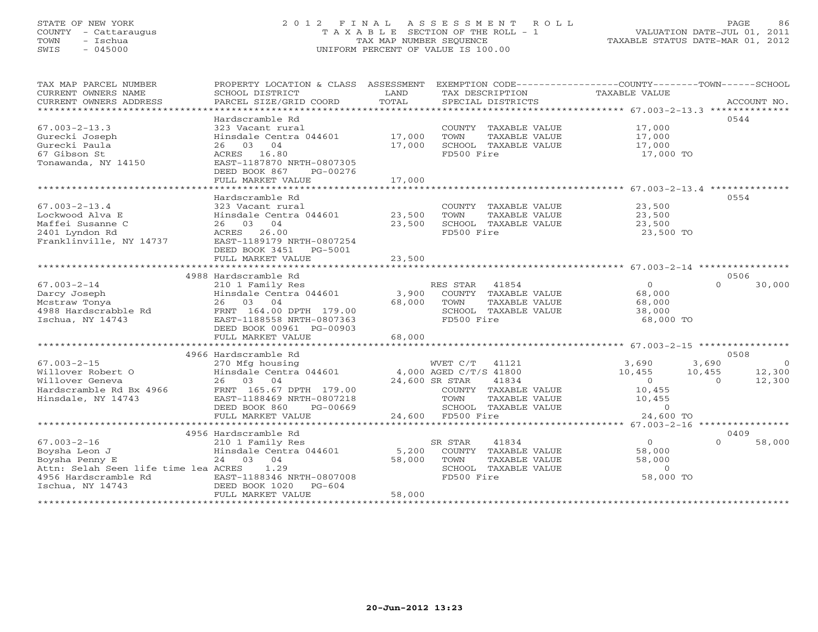### STATE OF NEW YORK 2 0 1 2 F I N A L A S S E S S M E N T R O L L PAGE 86 COUNTY - Cattaraugus T A X A B L E SECTION OF THE ROLL - 1 VALUATION DATE-JUL 01, 2011 TOWN - Ischua TAX MAP NUMBER SEQUENCE TAXABLE STATUS DATE-MAR 01, 2012 SWIS - 045000 UNIFORM PERCENT OF VALUE IS 100.00UNIFORM PERCENT OF VALUE IS 100.00

| SCHOOL DISTRICT<br>PARCEL SIZE/GRID COORD                                                                                                     | LAND<br>TOTAL                                                                                                                                                                                                                                                                         | SPECIAL DISTRICTS                                                                                       |                                                                                                                                                                             |                                                                                          | ACCOUNT NO.                                                                                                                                                               |
|-----------------------------------------------------------------------------------------------------------------------------------------------|---------------------------------------------------------------------------------------------------------------------------------------------------------------------------------------------------------------------------------------------------------------------------------------|---------------------------------------------------------------------------------------------------------|-----------------------------------------------------------------------------------------------------------------------------------------------------------------------------|------------------------------------------------------------------------------------------|---------------------------------------------------------------------------------------------------------------------------------------------------------------------------|
| Hardscramble Rd<br>323 Vacant rural<br>26 03 04<br>ACRES 16.80<br>EAST-1187870 NRTH-0807305<br>DEED BOOK 867<br>PG-00276<br>FULL MARKET VALUE | 17,000<br>17,000<br>17,000                                                                                                                                                                                                                                                            | COUNTY TAXABLE VALUE<br>TAXABLE VALUE<br>TOWN<br>SCHOOL TAXABLE VALUE<br>FD500 Fire                     | 17,000<br>17,000<br>17,000                                                                                                                                                  | 0544                                                                                     |                                                                                                                                                                           |
|                                                                                                                                               |                                                                                                                                                                                                                                                                                       |                                                                                                         |                                                                                                                                                                             |                                                                                          |                                                                                                                                                                           |
| Hardscramble Rd<br>323 Vacant rural<br>26 03 04<br>26.00<br>ACRES<br>EAST-1189179 NRTH-0807254<br>DEED BOOK 3451<br>PG-5001                   | 23,500<br>23,500                                                                                                                                                                                                                                                                      | COUNTY TAXABLE VALUE<br>TOWN<br>TAXABLE VALUE<br>SCHOOL TAXABLE VALUE<br>FD500 Fire                     | 23,500<br>23,500<br>23,500                                                                                                                                                  | 0554                                                                                     |                                                                                                                                                                           |
|                                                                                                                                               |                                                                                                                                                                                                                                                                                       |                                                                                                         |                                                                                                                                                                             |                                                                                          |                                                                                                                                                                           |
|                                                                                                                                               |                                                                                                                                                                                                                                                                                       |                                                                                                         |                                                                                                                                                                             | 0506                                                                                     |                                                                                                                                                                           |
| 210 1 Family Res<br>Hinsdale Centra 044601<br>26 03 04<br>FRNT 164.00 DPTH 179.00<br>EAST-1188558 NRTH-0807363                                | 68,000                                                                                                                                                                                                                                                                                | 41854<br>TOWN<br>TAXABLE VALUE<br>SCHOOL TAXABLE VALUE<br>FD500 Fire                                    | $\overline{0}$<br>68,000<br>68,000<br>38,000                                                                                                                                | $\Omega$                                                                                 | 30,000                                                                                                                                                                    |
| FULL MARKET VALUE                                                                                                                             | 68,000                                                                                                                                                                                                                                                                                |                                                                                                         |                                                                                                                                                                             |                                                                                          |                                                                                                                                                                           |
|                                                                                                                                               |                                                                                                                                                                                                                                                                                       |                                                                                                         |                                                                                                                                                                             |                                                                                          |                                                                                                                                                                           |
| 26 03 04<br>FRNT 165.67 DPTH 179.00<br>EAST-1188469 NRTH-0807218                                                                              |                                                                                                                                                                                                                                                                                       | 41834<br>TOWN<br>TAXABLE VALUE                                                                          | 3,690<br>10,455<br>$\Omega$<br>10,455<br>10,455                                                                                                                             | 0508<br>3,690<br>10,455<br>$\Omega$                                                      | $\overline{0}$<br>12,300<br>12,300                                                                                                                                        |
|                                                                                                                                               |                                                                                                                                                                                                                                                                                       |                                                                                                         |                                                                                                                                                                             |                                                                                          |                                                                                                                                                                           |
|                                                                                                                                               |                                                                                                                                                                                                                                                                                       |                                                                                                         |                                                                                                                                                                             |                                                                                          |                                                                                                                                                                           |
|                                                                                                                                               |                                                                                                                                                                                                                                                                                       |                                                                                                         |                                                                                                                                                                             |                                                                                          |                                                                                                                                                                           |
| 210 1 Family Res<br>24 03 04<br>1.29<br>EAST-1188346 NRTH-0807008<br>DEED BOOK 1020<br>$PG-604$<br>FULL MARKET VALUE                          | 5,200<br>58,000<br>58,000                                                                                                                                                                                                                                                             | SR STAR<br>41834<br>COUNTY TAXABLE VALUE<br>TOWN<br>TAXABLE VALUE<br>SCHOOL TAXABLE VALUE<br>FD500 Fire | $\Omega$<br>58,000<br>58,000<br>$\Omega$                                                                                                                                    | $\Omega$                                                                                 | 58,000                                                                                                                                                                    |
|                                                                                                                                               | FULL MARKET VALUE<br>4988 Hardscramble Rd<br>DEED BOOK 00961 PG-00903<br>4966 Hardscramble Rd<br>DEED BOOK 860<br>PG-00669<br>FULL MARKET VALUE<br>4956 Hardscramble Rd<br>Hinsdale Centra 044601<br>Attn: Selah Seen life time lea ACRES<br>4956 Hardscramble Rd<br>Ischua, NY 14743 | Hinsdale Centra 044601<br>Hinsdale Centra 044601<br>23,500                                              | RES STAR<br>3,900<br>270 Mfg housing $\text{WKT C/T}$ 41121<br>Hinsdale Centra 044601 4,000 AGED C/T/S 41800<br>24,600 SR STAR<br>SCHOOL TAXABLE VALUE<br>24,600 FD500 Fire | TAX DESCRIPTION TAXABLE VALUE<br>COUNTY TAXABLE VALUE<br>COUNTY TAXABLE VALUE<br>$\circ$ | PROPERTY LOCATION & CLASS ASSESSMENT EXEMPTION CODE----------------COUNTY-------TOWN------SCHOOL<br>17,000 TO<br>23,500 TO<br>68,000 TO<br>24,600 TO<br>0409<br>58,000 TO |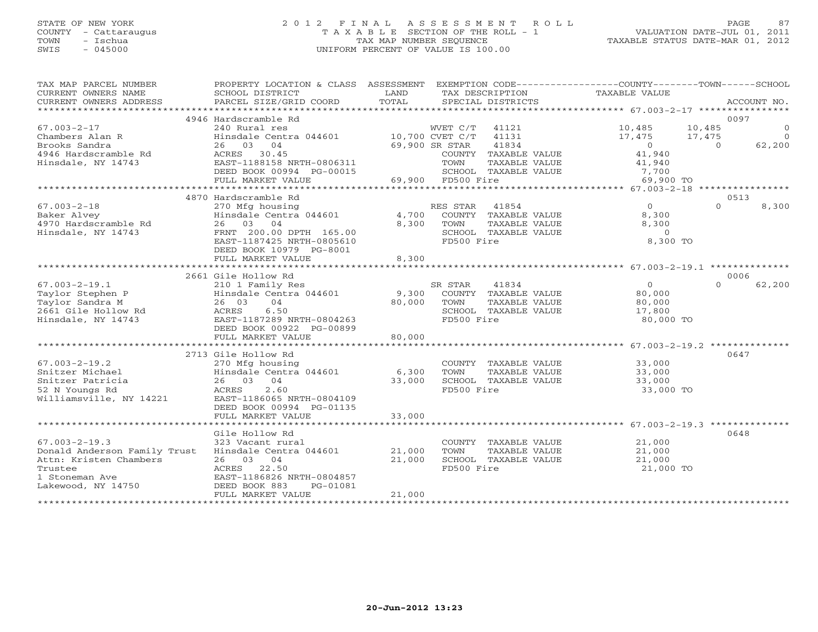# STATE OF NEW YORK 2 0 1 2 F I N A L A S S E S S M E N T R O L L PAGE 87 COUNTY - Cattaraugus T A X A B L E SECTION OF THE ROLL - 1 VALUATION DATE-JUL 01, 2011 TOWN - Ischua TAX MAP NUMBER SEQUENCE TAXABLE STATUS DATE-MAR 01, 2012 SWIS - 045000 UNIFORM PERCENT OF VALUE IS 100.00

| TAX MAP PARCEL NUMBER<br>CURRENT OWNERS NAME<br>CURRENT OWNERS ADDRESS | PROPERTY LOCATION & CLASS ASSESSMENT<br>SCHOOL DISTRICT<br>PARCEL SIZE/GRID COORD | LAND<br>TOTAL        | TAX DESCRIPTION<br>SPECIAL DISTRICTS |                      | EXEMPTION CODE-----------------COUNTY-------TOWN------SCHOOL<br>TAXABLE VALUE |          | ACCOUNT NO.  |
|------------------------------------------------------------------------|-----------------------------------------------------------------------------------|----------------------|--------------------------------------|----------------------|-------------------------------------------------------------------------------|----------|--------------|
|                                                                        |                                                                                   |                      |                                      |                      |                                                                               |          |              |
|                                                                        | 4946 Hardscramble Rd                                                              |                      |                                      |                      |                                                                               | 0097     |              |
| $67.003 - 2 - 17$                                                      | 240 Rural res                                                                     |                      | WVET C/T                             | 41121                | 10,485                                                                        | 10,485   | $\mathbf{0}$ |
| Chambers Alan R                                                        | Hinsdale Centra 044601                                                            |                      | 10,700 CVET C/T                      | 41131                | 17,475                                                                        | 17,475   | $\circ$      |
| Brooks Sandra                                                          | 26 03 04                                                                          |                      | 69,900 SR STAR                       | 41834                | $\circ$                                                                       | $\Omega$ | 62,200       |
| 4946 Hardscramble Rd                                                   | ACRES<br>30.45                                                                    |                      |                                      | COUNTY TAXABLE VALUE | 41,940                                                                        |          |              |
| Hinsdale, NY 14743                                                     | EAST-1188158 NRTH-0806311                                                         |                      | TOWN                                 | TAXABLE VALUE        | 41,940                                                                        |          |              |
|                                                                        | DEED BOOK 00994 PG-00015                                                          |                      |                                      | SCHOOL TAXABLE VALUE | 7,700                                                                         |          |              |
|                                                                        | FULL MARKET VALUE                                                                 |                      | 69,900 FD500 Fire                    |                      | 69,900 TO                                                                     |          |              |
|                                                                        |                                                                                   |                      |                                      |                      |                                                                               |          |              |
|                                                                        | 4870 Hardscramble Rd                                                              |                      |                                      |                      |                                                                               | 0513     |              |
| $67.003 - 2 - 18$                                                      | 270 Mfg housing                                                                   |                      | RES STAR                             | 41854                | $\Omega$                                                                      | $\Omega$ | 8,300        |
| Baker Alvey                                                            | Hinsdale Centra 044601                                                            | 4,700                | COUNTY                               | TAXABLE VALUE        | 8,300                                                                         |          |              |
| 4970 Hardscramble Rd                                                   | 26 03 04                                                                          | 8,300                | TOWN                                 | TAXABLE VALUE        | 8,300                                                                         |          |              |
| Hinsdale, NY 14743                                                     | FRNT 200.00 DPTH 165.00                                                           |                      |                                      | SCHOOL TAXABLE VALUE | $\Omega$                                                                      |          |              |
|                                                                        | EAST-1187425 NRTH-0805610                                                         |                      | FD500 Fire                           |                      | 8,300 TO                                                                      |          |              |
|                                                                        | DEED BOOK 10979 PG-8001                                                           |                      |                                      |                      |                                                                               |          |              |
|                                                                        | FULL MARKET VALUE                                                                 | 8,300                |                                      |                      |                                                                               |          |              |
|                                                                        |                                                                                   |                      |                                      |                      | *********************** 67.003-2-19.1 ***************                         |          |              |
|                                                                        | 2661 Gile Hollow Rd                                                               |                      |                                      |                      |                                                                               | 0006     |              |
| $67.003 - 2 - 19.1$                                                    | 210 1 Family Res                                                                  |                      | SR STAR                              | 41834                | $\overline{O}$                                                                | $\Omega$ | 62,200       |
| Taylor Stephen P                                                       | Hinsdale Centra 044601                                                            | 9,300                |                                      | COUNTY TAXABLE VALUE | 80,000                                                                        |          |              |
| Taylor Sandra M                                                        | 26 03<br>04                                                                       | 80,000               | TOWN                                 | TAXABLE VALUE        | 80,000                                                                        |          |              |
| 2661 Gile Hollow Rd                                                    | ACRES<br>6.50                                                                     |                      |                                      | SCHOOL TAXABLE VALUE |                                                                               |          |              |
|                                                                        | EAST-1187289 NRTH-0804263                                                         |                      | FD500 Fire                           |                      | 17,800                                                                        |          |              |
| Hinsdale, NY 14743                                                     |                                                                                   |                      |                                      |                      | 80,000 TO                                                                     |          |              |
|                                                                        | DEED BOOK 00922 PG-00899                                                          |                      |                                      |                      |                                                                               |          |              |
|                                                                        | FULL MARKET VALUE                                                                 | 80,000<br>********** |                                      |                      |                                                                               |          |              |
|                                                                        |                                                                                   |                      |                                      |                      | ****************** 67.003-2-19.2 *************                                |          |              |
|                                                                        | 2713 Gile Hollow Rd                                                               |                      |                                      |                      |                                                                               | 0647     |              |
| $67.003 - 2 - 19.2$                                                    | 270 Mfg housing                                                                   |                      |                                      | COUNTY TAXABLE VALUE | 33,000                                                                        |          |              |
| Snitzer Michael                                                        | Hinsdale Centra 044601                                                            | 6,300                | TOWN                                 | TAXABLE VALUE        | 33,000                                                                        |          |              |
| Snitzer Patricia                                                       | 26 03<br>04                                                                       | 33,000               |                                      | SCHOOL TAXABLE VALUE | 33,000                                                                        |          |              |
| 52 N Youngs Rd                                                         | 2.60<br>ACRES                                                                     |                      | FD500 Fire                           |                      | 33,000 TO                                                                     |          |              |
| Williamsville, NY 14221                                                | EAST-1186065 NRTH-0804109                                                         |                      |                                      |                      |                                                                               |          |              |
|                                                                        | DEED BOOK 00994 PG-01135                                                          |                      |                                      |                      |                                                                               |          |              |
|                                                                        | FULL MARKET VALUE                                                                 | 33,000               |                                      |                      |                                                                               |          |              |
|                                                                        | ***********************                                                           |                      |                                      |                      |                                                                               |          |              |
|                                                                        | Gile Hollow Rd                                                                    |                      |                                      |                      |                                                                               | 0648     |              |
| $67.003 - 2 - 19.3$                                                    | 323 Vacant rural                                                                  |                      |                                      | COUNTY TAXABLE VALUE | 21,000                                                                        |          |              |
| Donald Anderson Family Trust                                           | Hinsdale Centra 044601                                                            | 21,000               | TOWN                                 | TAXABLE VALUE        | 21,000                                                                        |          |              |
| Attn: Kristen Chambers                                                 | 26 03 04                                                                          | 21,000               |                                      | SCHOOL TAXABLE VALUE | 21,000                                                                        |          |              |
| Trustee                                                                | 22.50<br>ACRES                                                                    |                      | FD500 Fire                           |                      | 21,000 TO                                                                     |          |              |
| 1 Stoneman Ave                                                         | EAST-1186826 NRTH-0804857                                                         |                      |                                      |                      |                                                                               |          |              |
| Lakewood, NY 14750                                                     | DEED BOOK 883<br>PG-01081                                                         |                      |                                      |                      |                                                                               |          |              |
|                                                                        | FULL MARKET VALUE                                                                 | 21,000               |                                      |                      |                                                                               |          |              |
|                                                                        |                                                                                   |                      |                                      |                      |                                                                               |          |              |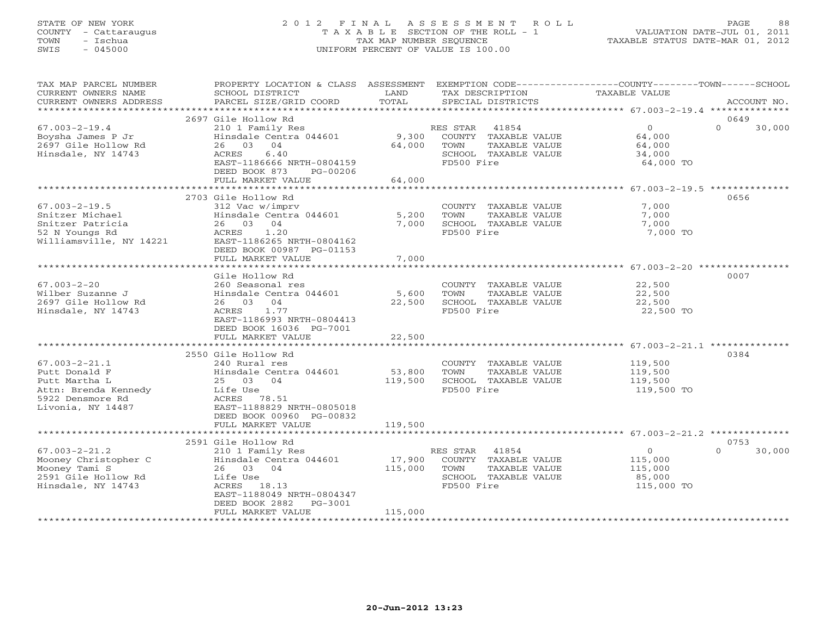# STATE OF NEW YORK 2 0 1 2 F I N A L A S S E S S M E N T R O L L PAGE 88 COUNTY - Cattaraugus T A X A B L E SECTION OF THE ROLL - 1 VALUATION DATE-JUL 01, 2011 TOWN - Ischua TAX MAP NUMBER SEQUENCE TAXABLE STATUS DATE-MAR 01, 2012 SWIS - 045000 UNIFORM PERCENT OF VALUE IS 100.00

| TAX MAP PARCEL NUMBER<br>CURRENT OWNERS NAME<br>CURRENT OWNERS ADDRESS                                                 | PROPERTY LOCATION & CLASS ASSESSMENT<br>SCHOOL DISTRICT<br>PARCEL SIZE/GRID COORD                                                                                                       | LAND<br>TOTAL                | TAX DESCRIPTION<br>SPECIAL DISTRICTS                                                                     | EXEMPTION CODE----------------COUNTY-------TOWN------SCHOOL<br>TAXABLE VALUE<br>ACCOUNT NO. |        |
|------------------------------------------------------------------------------------------------------------------------|-----------------------------------------------------------------------------------------------------------------------------------------------------------------------------------------|------------------------------|----------------------------------------------------------------------------------------------------------|---------------------------------------------------------------------------------------------|--------|
|                                                                                                                        |                                                                                                                                                                                         |                              |                                                                                                          |                                                                                             |        |
| $67.003 - 2 - 19.4$<br>Boysha James P Jr<br>2697 Gile Hollow Rd<br>Hinsdale, NY 14743                                  | 2697 Gile Hollow Rd<br>210 1 Family Res<br>Hinsdale Centra 044601<br>26 03<br>04<br>ACRES<br>6.40<br>EAST-1186666 NRTH-0804159<br>DEED BOOK 873<br>PG-00206<br>FULL MARKET VALUE        | 9,300<br>64,000<br>64,000    | 41854<br>RES STAR<br>COUNTY TAXABLE VALUE<br>TOWN<br>TAXABLE VALUE<br>SCHOOL TAXABLE VALUE<br>FD500 Fire | 0649<br>$\overline{0}$<br>$\Omega$<br>64,000<br>64,000<br>34,000<br>64,000 TO               | 30,000 |
|                                                                                                                        |                                                                                                                                                                                         |                              |                                                                                                          |                                                                                             |        |
| $67.003 - 2 - 19.5$<br>Snitzer Michael<br>Snitzer Patricia<br>52 N Youngs Rd<br>Williamsville, NY 14221                | 2703 Gile Hollow Rd<br>312 Vac w/imprv<br>Hinsdale Centra 044601<br>26 03 04<br>ACRES<br>1.20<br>EAST-1186265 NRTH-0804162<br>DEED BOOK 00987 PG-01153<br>FULL MARKET VALUE             | 5,200<br>7,000<br>7,000      | COUNTY TAXABLE VALUE<br>TOWN<br>TAXABLE VALUE<br>SCHOOL TAXABLE VALUE<br>FD500 Fire                      | 0656<br>7,000<br>7,000<br>7,000<br>7,000 TO                                                 |        |
|                                                                                                                        |                                                                                                                                                                                         |                              |                                                                                                          | 0007                                                                                        |        |
| $67.003 - 2 - 20$<br>Wilber Suzanne J<br>2697 Gile Hollow Rd<br>Hinsdale, NY 14743                                     | Gile Hollow Rd<br>260 Seasonal res<br>Hinsdale Centra 044601<br>26 03 04<br>ACRES<br>1.77<br>EAST-1186993 NRTH-0804413<br>DEED BOOK 16036 PG-7001<br>FULL MARKET VALUE                  | 5,600<br>22,500<br>22,500    | COUNTY TAXABLE VALUE<br>TOWN<br>TAXABLE VALUE<br>SCHOOL TAXABLE VALUE<br>FD500 Fire                      | 22,500<br>22,500<br>22,500<br>22,500 TO                                                     |        |
|                                                                                                                        | 2550 Gile Hollow Rd                                                                                                                                                                     |                              |                                                                                                          | ******************************** 67.003-2-21.1 **************<br>0384                       |        |
| $67.003 - 2 - 21.1$<br>Putt Donald F<br>Putt Martha L<br>Attn: Brenda Kennedy<br>5922 Densmore Rd<br>Livonia, NY 14487 | 240 Rural res<br>Hinsdale Centra 044601<br>25 03 04<br>Life Use<br>ACRES 78.51<br>EAST-1188829 NRTH-0805018<br>DEED BOOK 00960 PG-00832                                                 | 53,800<br>119,500            | COUNTY TAXABLE VALUE<br>TOWN<br>TAXABLE VALUE<br>SCHOOL TAXABLE VALUE<br>FD500 Fire                      | 119,500<br>119,500<br>119,500<br>119,500 TO                                                 |        |
|                                                                                                                        | FULL MARKET VALUE                                                                                                                                                                       | 119,500                      |                                                                                                          |                                                                                             |        |
|                                                                                                                        |                                                                                                                                                                                         |                              |                                                                                                          |                                                                                             |        |
| $67.003 - 2 - 21.2$<br>Mooney Christopher C<br>Mooney Tami S<br>2591 Gile Hollow Rd<br>Hinsdale, NY 14743              | 2591 Gile Hollow Rd<br>210 1 Family Res<br>Hinsdale Centra 044601<br>26 03 04<br>Life Use<br>ACRES 18.13<br>EAST-1188049 NRTH-0804347<br>DEED BOOK 2882<br>PG-3001<br>FULL MARKET VALUE | 17,900<br>115,000<br>115,000 | RES STAR 41854<br>COUNTY TAXABLE VALUE<br>TOWN<br>TAXABLE VALUE<br>SCHOOL TAXABLE VALUE<br>FD500 Fire    | 0753<br>$\circ$<br>$\Omega$<br>115,000<br>115,000<br>85,000<br>115,000 TO                   | 30,000 |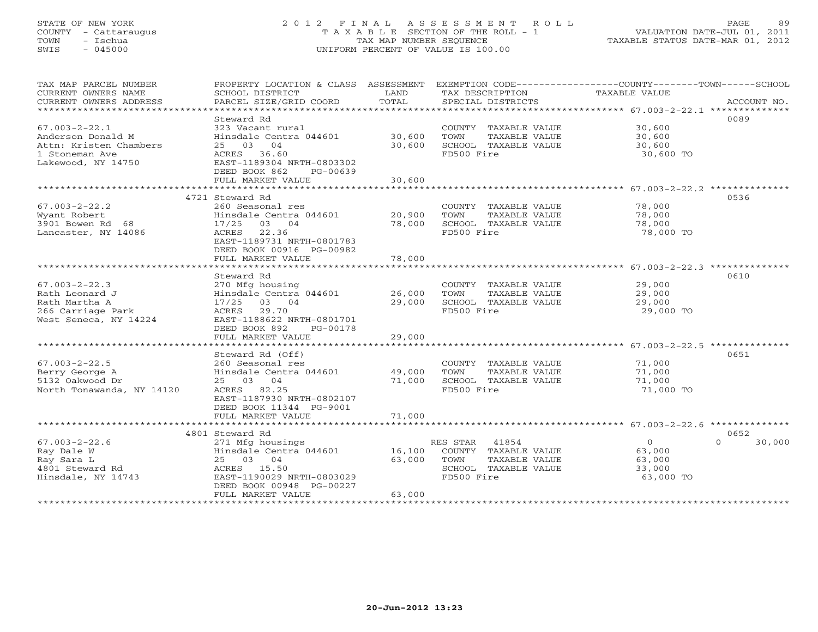# STATE OF NEW YORK 2 0 1 2 F I N A L A S S E S S M E N T R O L L PAGE 89 COUNTY - Cattaraugus T A X A B L E SECTION OF THE ROLL - 1 VALUATION DATE-JUL 01, 2011 TOWN - Ischua TAX MAP NUMBER SEQUENCE TAXABLE STATUS DATE-MAR 01, 2012 SWIS - 045000 UNIFORM PERCENT OF VALUE IS 100.00

| TAX MAP PARCEL NUMBER<br>CURRENT OWNERS NAME<br>CURRENT OWNERS ADDRESS                                     | SCHOOL DISTRICT<br>PARCEL SIZE/GRID COORD                                                                                                                          | LAND<br>TOTAL              | TAX DESCRIPTION<br>SPECIAL DISTRICTS                                                                     | PROPERTY LOCATION & CLASS ASSESSMENT EXEMPTION CODE----------------COUNTY-------TOWN------SCHOOL<br><b>TAXABLE VALUE</b><br>ACCOUNT NO. |        |
|------------------------------------------------------------------------------------------------------------|--------------------------------------------------------------------------------------------------------------------------------------------------------------------|----------------------------|----------------------------------------------------------------------------------------------------------|-----------------------------------------------------------------------------------------------------------------------------------------|--------|
| $67.003 - 2 - 22.1$<br>Anderson Donald M<br>Attn: Kristen Chambers<br>1 Stoneman Ave<br>Lakewood, NY 14750 | Steward Rd<br>323 Vacant rural<br>Hinsdale Centra 044601<br>25 03 04<br>ACRES 36.60<br>EAST-1189304 NRTH-0803302<br>DEED BOOK 862<br>PG-00639<br>FULL MARKET VALUE | 30,600<br>30,600<br>30,600 | COUNTY TAXABLE VALUE<br>TAXABLE VALUE<br>TOWN<br>SCHOOL TAXABLE VALUE<br>FD500 Fire                      | 0089<br>30,600<br>30,600<br>30,600<br>30,600 TO                                                                                         |        |
|                                                                                                            | ******************************                                                                                                                                     |                            |                                                                                                          |                                                                                                                                         |        |
|                                                                                                            | 4721 Steward Rd                                                                                                                                                    |                            |                                                                                                          | 0536                                                                                                                                    |        |
| $67.003 - 2 - 22.2$<br>Wyant Robert<br>3901 Bowen Rd 68<br>Lancaster, NY 14086                             | 260 Seasonal res<br>Hinsdale Centra 044601<br>17/25<br>03 04<br>22.36<br>ACRES<br>EAST-1189731 NRTH-0801783<br>DEED BOOK 00916 PG-00982                            | 20,900<br>78,000           | COUNTY TAXABLE VALUE<br>TOWN<br>TAXABLE VALUE<br>SCHOOL TAXABLE VALUE<br>FD500 Fire                      | 78,000<br>78,000<br>78,000<br>78,000 TO                                                                                                 |        |
|                                                                                                            | FULL MARKET VALUE                                                                                                                                                  | 78,000                     |                                                                                                          |                                                                                                                                         |        |
|                                                                                                            |                                                                                                                                                                    | **************             |                                                                                                          |                                                                                                                                         |        |
| $67.003 - 2 - 22.3$<br>Rath Leonard J<br>Rath Martha A<br>266 Carriage Park<br>West Seneca, NY 14224       | Steward Rd<br>270 Mfg housing<br>Hinsdale Centra 044601<br>17/25<br>03 04<br>ACRES<br>29.70<br>EAST-1188622 NRTH-0801701<br>DEED BOOK 892<br>PG-00178              | 26,000<br>29,000           | COUNTY TAXABLE VALUE<br>TOWN<br>TAXABLE VALUE<br>SCHOOL TAXABLE VALUE<br>FD500 Fire                      | 0610<br>29,000<br>29,000<br>29,000<br>29,000 TO                                                                                         |        |
|                                                                                                            | FULL MARKET VALUE                                                                                                                                                  | 29,000                     |                                                                                                          |                                                                                                                                         |        |
| *************************<br>$67.003 - 2 - 22.5$<br>Berry George A                                         | ***************************<br>Steward Rd (Off)<br>260 Seasonal res<br>Hinsdale Centra 044601                                                                      | 49,000                     | COUNTY TAXABLE VALUE<br>TOWN<br>TAXABLE VALUE                                                            | 0651<br>71,000<br>71,000                                                                                                                |        |
| 5132 Oakwood Dr<br>North Tonawanda, NY 14120                                                               | 25 03 04<br>ACRES 82.25<br>EAST-1187930 NRTH-0802107<br>DEED BOOK 11344 PG-9001<br>FULL MARKET VALUE                                                               | 71,000<br>71,000           | SCHOOL TAXABLE VALUE<br>FD500 Fire                                                                       | 71,000<br>71,000 TO                                                                                                                     |        |
|                                                                                                            |                                                                                                                                                                    |                            |                                                                                                          |                                                                                                                                         |        |
|                                                                                                            | 4801 Steward Rd                                                                                                                                                    |                            |                                                                                                          | 0652                                                                                                                                    |        |
| $67.003 - 2 - 22.6$<br>Ray Dale W<br>Ray Sara L<br>4801 Steward Rd<br>Hinsdale, NY 14743                   | 271 Mfg housings<br>Hinsdale Centra 044601<br>25 03 04<br>ACRES 15.50<br>EAST-1190029 NRTH-0803029<br>DEED BOOK 00948 PG-00227<br>FULL MARKET VALUE                | 16,100<br>63,000<br>63,000 | 41854<br>RES STAR<br>COUNTY TAXABLE VALUE<br>TOWN<br>TAXABLE VALUE<br>SCHOOL TAXABLE VALUE<br>FD500 Fire | $\circ$<br>$\cap$<br>63,000<br>63,000<br>33,000<br>63,000 TO                                                                            | 30,000 |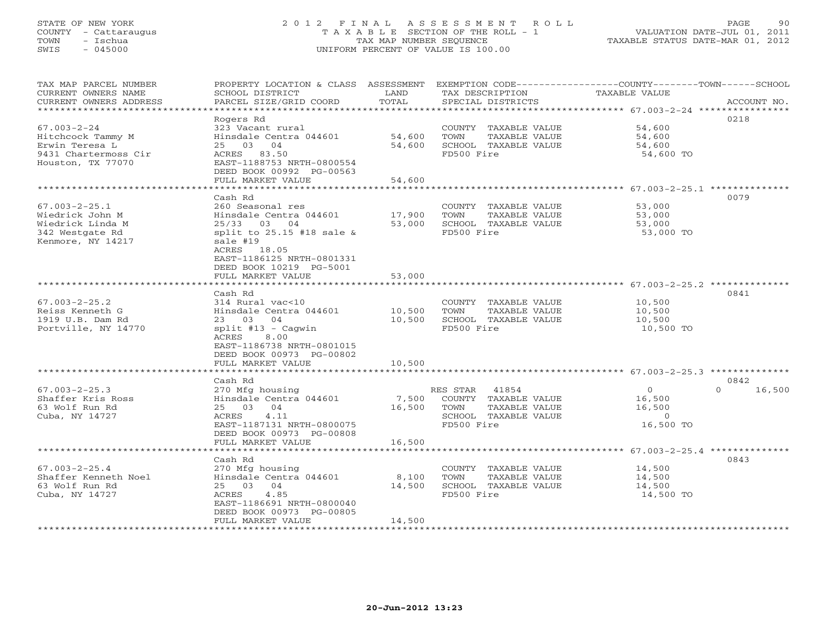### STATE OF NEW YORK 2 0 1 2 F I N A L A S S E S S M E N T R O L L PAGE 90 COUNTY - Cattaraugus T A X A B L E SECTION OF THE ROLL - 1 VALUATION DATE-JUL 01, 2011 TOWN - Ischua TAX MAP NUMBER SEQUENCE TAXABLE STATUS DATE-MAR 01, 2012 SWIS - 045000 UNIFORM PERCENT OF VALUE IS 100.00UNIFORM PERCENT OF VALUE IS 100.00

| TAX MAP PARCEL NUMBER<br>CURRENT OWNERS NAME    | PROPERTY LOCATION & CLASS ASSESSMENT<br>SCHOOL DISTRICT | LAND             | TAX DESCRIPTION              | EXEMPTION CODE-----------------COUNTY-------TOWN------SCHOOL<br>TAXABLE VALUE |
|-------------------------------------------------|---------------------------------------------------------|------------------|------------------------------|-------------------------------------------------------------------------------|
| CURRENT OWNERS ADDRESS<br>********************* | PARCEL SIZE/GRID COORD                                  | TOTAL            | SPECIAL DISTRICTS            | ACCOUNT NO.                                                                   |
|                                                 | Rogers Rd                                               |                  |                              | 0218                                                                          |
| $67.003 - 2 - 24$                               | 323 Vacant rural                                        |                  | COUNTY TAXABLE VALUE         | 54,600                                                                        |
| Hitchcock Tammy M                               | Hinsdale Centra 044601                                  | 54,600           | TOWN<br>TAXABLE VALUE        | 54,600                                                                        |
| Erwin Teresa L                                  | 25 03 04                                                | 54,600           | SCHOOL TAXABLE VALUE         | 54,600                                                                        |
| 9431 Chartermoss Cir                            | ACRES 83.50                                             |                  | FD500 Fire                   | 54,600 TO                                                                     |
| Houston, TX 77070                               | EAST-1188753 NRTH-0800554                               |                  |                              |                                                                               |
|                                                 | DEED BOOK 00992 PG-00563                                |                  |                              |                                                                               |
|                                                 | FULL MARKET VALUE                                       | 54,600           |                              |                                                                               |
|                                                 | *********************                                   | **************** |                              | ********************************* 67.003-2-25.1 **************                |
|                                                 | Cash Rd                                                 |                  |                              | 0079                                                                          |
| $67.003 - 2 - 25.1$                             | 260 Seasonal res                                        |                  | COUNTY TAXABLE VALUE         | 53,000                                                                        |
| Wiedrick John M                                 | Hinsdale Centra 044601                                  | 17,900           | TOWN<br>TAXABLE VALUE        | 53,000                                                                        |
| Wiedrick Linda M                                | 25/33 03 04                                             | 53,000           | SCHOOL TAXABLE VALUE         | 53,000                                                                        |
| 342 Westgate Rd                                 | split to $25.15$ #18 sale &                             |                  | FD500 Fire                   | 53,000 TO                                                                     |
| Kenmore, NY 14217                               | sale #19                                                |                  |                              |                                                                               |
|                                                 | ACRES 18.05                                             |                  |                              |                                                                               |
|                                                 | EAST-1186125 NRTH-0801331                               |                  |                              |                                                                               |
|                                                 | DEED BOOK 10219 PG-5001                                 |                  |                              |                                                                               |
|                                                 | FULL MARKET VALUE                                       | 53,000           |                              |                                                                               |
|                                                 |                                                         |                  |                              |                                                                               |
|                                                 | Cash Rd                                                 |                  |                              | 0841                                                                          |
| $67.003 - 2 - 25.2$                             | 314 Rural vac<10                                        |                  | COUNTY TAXABLE VALUE         | 10,500                                                                        |
| Reiss Kenneth G                                 | Hinsdale Centra 044601                                  | 10,500           | TOWN<br>TAXABLE VALUE        | 10,500                                                                        |
| 1919 U.B. Dam Rd                                | 23 03 04                                                | 10,500           | SCHOOL TAXABLE VALUE         | 10,500                                                                        |
| Portville, NY 14770                             | $split$ #13 - Cagwin                                    |                  | FD500 Fire                   | 10,500 TO                                                                     |
|                                                 | ACRES<br>8.00                                           |                  |                              |                                                                               |
|                                                 | EAST-1186738 NRTH-0801015                               |                  |                              |                                                                               |
|                                                 | DEED BOOK 00973 PG-00802                                |                  |                              |                                                                               |
|                                                 | FULL MARKET VALUE                                       | 10,500           |                              |                                                                               |
|                                                 |                                                         |                  |                              |                                                                               |
|                                                 | Cash Rd                                                 |                  |                              | 0842                                                                          |
| $67.003 - 2 - 25.3$                             | 270 Mfg housing                                         |                  | RES STAR<br>41854            | $\Omega$<br>16,500<br>$\circ$                                                 |
| Shaffer Kris Ross                               | Hinsdale Centra 044601                                  | 7,500            | COUNTY TAXABLE VALUE         | 16,500                                                                        |
| 63 Wolf Run Rd                                  | $25 \t 03$<br>04                                        | 16,500           | TOWN<br><b>TAXABLE VALUE</b> | 16,500                                                                        |
| Cuba, NY 14727                                  | 4.11<br>ACRES                                           |                  | SCHOOL TAXABLE VALUE         | $\circ$                                                                       |
|                                                 | EAST-1187131 NRTH-0800075                               |                  | FD500 Fire                   | 16,500 TO                                                                     |
|                                                 | DEED BOOK 00973 PG-00808                                | 16,500           |                              |                                                                               |
|                                                 | FULL MARKET VALUE                                       |                  |                              |                                                                               |
|                                                 | Cash Rd                                                 |                  |                              | 0843                                                                          |
| $67.003 - 2 - 25.4$                             | 270 Mfg housing                                         |                  | COUNTY TAXABLE VALUE         | 14,500                                                                        |
| Shaffer Kenneth Noel                            | Hinsdale Centra 044601                                  | 8,100            | TOWN<br>TAXABLE VALUE        | 14,500                                                                        |
| 63 Wolf Run Rd                                  | 25 03<br>04                                             | 14,500           | SCHOOL TAXABLE VALUE         | 14,500                                                                        |
| Cuba, NY 14727                                  | 4.85<br>ACRES                                           |                  | FD500 Fire                   | 14,500 TO                                                                     |
|                                                 | EAST-1186691 NRTH-0800040                               |                  |                              |                                                                               |
|                                                 | DEED BOOK 00973 PG-00805                                |                  |                              |                                                                               |
|                                                 | FULL MARKET VALUE                                       | 14,500           |                              |                                                                               |
| ***********************                         | ************************                                |                  |                              |                                                                               |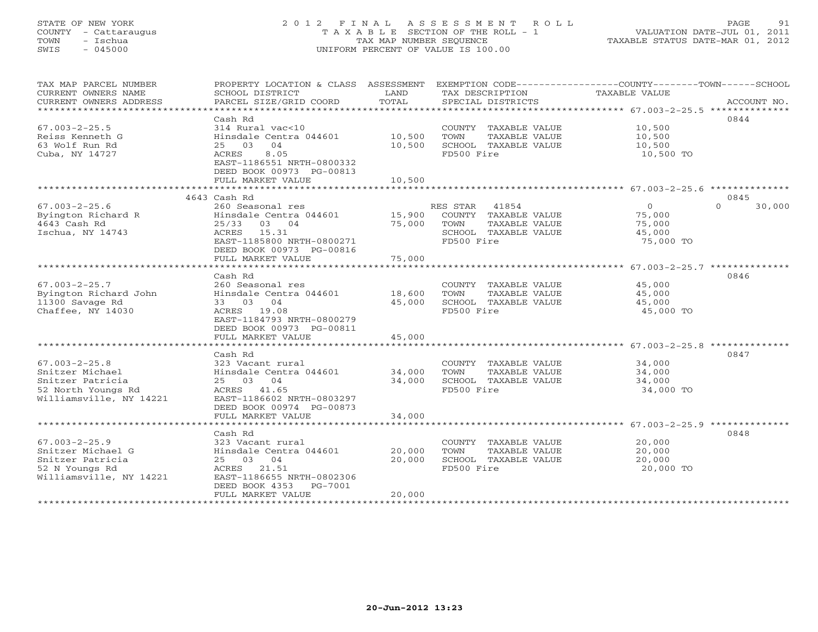### STATE OF NEW YORK 2 0 1 2 F I N A L A S S E S S M E N T R O L L PAGE 91 COUNTY - Cattaraugus T A X A B L E SECTION OF THE ROLL - 1 VALUATION DATE-JUL 01, 2011 TOWN - Ischua TAX MAP NUMBER SEQUENCE TAXABLE STATUS DATE-MAR 01, 2012 SWIS - 045000 UNIFORM PERCENT OF VALUE IS 100.00UNIFORM PERCENT OF VALUE IS 100.00

| TAX MAP PARCEL NUMBER<br>CURRENT OWNERS NAME<br>CURRENT OWNERS ADDRESS | PROPERTY LOCATION & CLASS ASSESSMENT<br>SCHOOL DISTRICT<br>PARCEL SIZE/GRID COORD | LAND<br>TOTAL          | TAX DESCRIPTION<br>SPECIAL DISTRICTS | EXEMPTION CODE----------------COUNTY-------TOWN------SCHOOL<br>TAXABLE VALUE | ACCOUNT NO.        |
|------------------------------------------------------------------------|-----------------------------------------------------------------------------------|------------------------|--------------------------------------|------------------------------------------------------------------------------|--------------------|
| *******************                                                    |                                                                                   |                        |                                      |                                                                              |                    |
|                                                                        | Cash Rd                                                                           |                        |                                      |                                                                              | 0844               |
| $67.003 - 2 - 25.5$                                                    | 314 Rural vac<10                                                                  |                        | COUNTY TAXABLE VALUE                 | 10,500                                                                       |                    |
| Reiss Kenneth G                                                        | Hinsdale Centra 044601                                                            | 10,500                 | TOWN<br>TAXABLE VALUE                | 10,500                                                                       |                    |
| 63 Wolf Run Rd                                                         | 25 03<br>04                                                                       | 10,500                 | SCHOOL TAXABLE VALUE                 | 10,500                                                                       |                    |
| Cuba, NY 14727                                                         | 8.05<br><b>ACRES</b><br>EAST-1186551 NRTH-0800332<br>DEED BOOK 00973 PG-00813     |                        | FD500 Fire                           | 10,500 TO                                                                    |                    |
|                                                                        | FULL MARKET VALUE                                                                 | 10,500                 |                                      |                                                                              |                    |
|                                                                        |                                                                                   |                        |                                      |                                                                              |                    |
|                                                                        | 4643 Cash Rd                                                                      |                        |                                      |                                                                              | 0845               |
| $67.003 - 2 - 25.6$                                                    | 260 Seasonal res                                                                  |                        | 41854<br>RES STAR                    | $\circ$                                                                      | $\Omega$<br>30,000 |
| Byington Richard R                                                     | Hinsdale Centra 044601                                                            | 15,900                 | COUNTY TAXABLE VALUE                 | 75,000                                                                       |                    |
| 4643 Cash Rd                                                           | 25/33<br>03 04                                                                    | 75,000                 | TAXABLE VALUE<br>TOWN                | 75,000                                                                       |                    |
| Ischua, NY 14743                                                       | ACRES<br>15.31                                                                    |                        | SCHOOL TAXABLE VALUE                 | 45,000                                                                       |                    |
|                                                                        | EAST-1185800 NRTH-0800271<br>DEED BOOK 00973 PG-00816                             |                        | FD500 Fire                           | 75,000 TO                                                                    |                    |
|                                                                        | FULL MARKET VALUE<br>***********************                                      | 75,000<br>************ |                                      | ************************ 67.003-2-25.7 **************                        |                    |
|                                                                        | Cash Rd                                                                           |                        |                                      |                                                                              | 0846               |
| $67.003 - 2 - 25.7$                                                    | 260 Seasonal res                                                                  |                        | COUNTY TAXABLE VALUE                 | 45,000                                                                       |                    |
| Byington Richard John                                                  | Hinsdale Centra 044601                                                            | 18,600                 | TOWN<br>TAXABLE VALUE                | 45,000                                                                       |                    |
| 11300 Savage Rd                                                        | 33 03 04                                                                          | 45,000                 | SCHOOL TAXABLE VALUE                 | 45,000                                                                       |                    |
| Chaffee, NY 14030                                                      | ACRES 19.08                                                                       |                        | FD500 Fire                           | 45,000 TO                                                                    |                    |
|                                                                        | EAST-1184793 NRTH-0800279                                                         |                        |                                      |                                                                              |                    |
|                                                                        | DEED BOOK 00973 PG-00811                                                          |                        |                                      |                                                                              |                    |
|                                                                        | FULL MARKET VALUE                                                                 | 45,000                 |                                      |                                                                              |                    |
|                                                                        |                                                                                   |                        |                                      |                                                                              |                    |
|                                                                        | Cash Rd                                                                           |                        |                                      |                                                                              | 0847               |
| $67.003 - 2 - 25.8$                                                    | 323 Vacant rural                                                                  |                        | COUNTY TAXABLE VALUE                 | 34,000                                                                       |                    |
| Snitzer Michael                                                        | Hinsdale Centra 044601                                                            | 34,000                 | TOWN<br>TAXABLE VALUE                | 34,000                                                                       |                    |
| Snitzer Patricia                                                       | 25 03 04                                                                          | 34,000                 | SCHOOL TAXABLE VALUE                 | 34,000                                                                       |                    |
| 52 North Youngs Rd                                                     | ACRES 41.65                                                                       |                        | FD500 Fire                           | 34,000 TO                                                                    |                    |
| Williamsville, NY 14221                                                | EAST-1186602 NRTH-0803297                                                         |                        |                                      |                                                                              |                    |
|                                                                        | DEED BOOK 00974 PG-00873                                                          |                        |                                      |                                                                              |                    |
|                                                                        | FULL MARKET VALUE                                                                 | 34,000                 |                                      |                                                                              |                    |
| *************************                                              |                                                                                   |                        |                                      |                                                                              |                    |
|                                                                        | Cash Rd                                                                           |                        |                                      |                                                                              | 0848               |
| $67.003 - 2 - 25.9$                                                    | 323 Vacant rural                                                                  |                        | COUNTY TAXABLE VALUE                 | 20,000                                                                       |                    |
| Snitzer Michael G                                                      | Hinsdale Centra 044601                                                            | 20,000                 | TOWN<br>TAXABLE VALUE                | 20,000                                                                       |                    |
| Snitzer Patricia                                                       | 25 03<br>04                                                                       | 20,000                 | SCHOOL TAXABLE VALUE                 | 20,000                                                                       |                    |
| 52 N Youngs Rd<br>Williamsville, NY 14221                              | ACRES<br>21.51<br>EAST-1186655 NRTH-0802306                                       |                        | FD500 Fire                           | 20,000 TO                                                                    |                    |
|                                                                        | DEED BOOK 4353<br>PG-7001                                                         |                        |                                      |                                                                              |                    |
|                                                                        | FULL MARKET VALUE                                                                 | 20,000                 |                                      |                                                                              |                    |
|                                                                        |                                                                                   |                        |                                      |                                                                              |                    |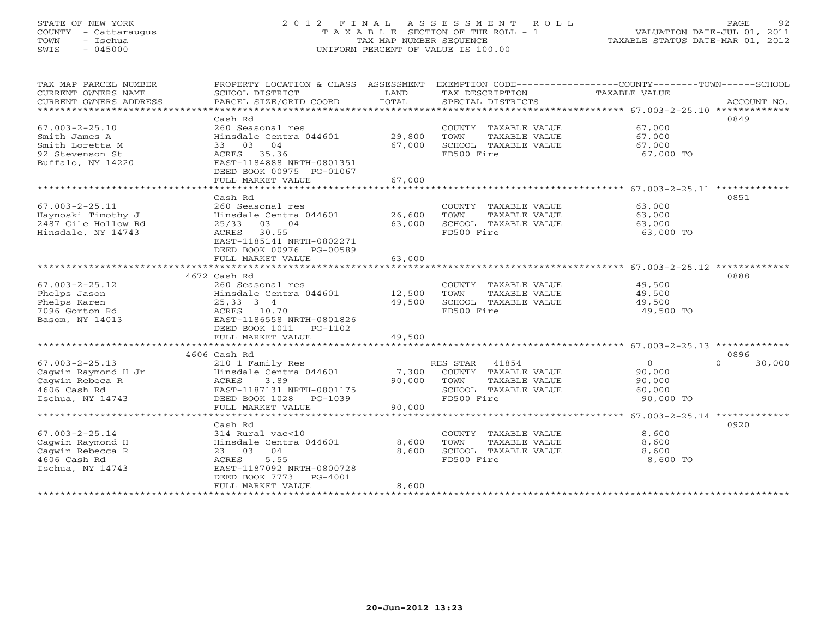# STATE OF NEW YORK 2 0 1 2 F I N A L A S S E S S M E N T R O L L PAGE 92 COUNTY - Cattaraugus T A X A B L E SECTION OF THE ROLL - 1 VALUATION DATE-JUL 01, 2011 TOWN - Ischua TAX MAP NUMBER SEQUENCE TAXABLE STATUS DATE-MAR 01, 2012 SWIS - 045000 UNIFORM PERCENT OF VALUE IS 100.00

| TAX MAP PARCEL NUMBER<br>CURRENT OWNERS NAME<br>CURRENT OWNERS ADDRESS | PROPERTY LOCATION & CLASS ASSESSMENT<br>SCHOOL DISTRICT<br>PARCEL SIZE/GRID COORD | LAND<br>TOTAL | EXEMPTION CODE-----------------COUNTY-------TOWN------SCHOOL<br>TAX DESCRIPTION<br>SPECIAL DISTRICTS | TAXABLE VALUE  | ACCOUNT NO.        |
|------------------------------------------------------------------------|-----------------------------------------------------------------------------------|---------------|------------------------------------------------------------------------------------------------------|----------------|--------------------|
| *************************                                              |                                                                                   |               |                                                                                                      |                |                    |
|                                                                        | Cash Rd                                                                           |               |                                                                                                      |                | 0849               |
| $67.003 - 2 - 25.10$                                                   | 260 Seasonal res                                                                  |               | COUNTY TAXABLE VALUE                                                                                 | 67,000         |                    |
| Smith James A                                                          | Hinsdale Centra 044601                                                            | 29,800        | TOWN<br>TAXABLE VALUE                                                                                | 67,000         |                    |
| Smith Loretta M                                                        | 33 03 04                                                                          | 67,000        | SCHOOL TAXABLE VALUE                                                                                 | 67,000         |                    |
| 92 Stevenson St                                                        | ACRES 35.36                                                                       |               | FD500 Fire                                                                                           | 67,000 TO      |                    |
| Buffalo, NY 14220                                                      | EAST-1184888 NRTH-0801351                                                         |               |                                                                                                      |                |                    |
|                                                                        | DEED BOOK 00975 PG-01067                                                          |               |                                                                                                      |                |                    |
|                                                                        | FULL MARKET VALUE                                                                 | 67,000        |                                                                                                      |                |                    |
|                                                                        |                                                                                   |               |                                                                                                      |                |                    |
|                                                                        | Cash Rd                                                                           |               |                                                                                                      |                | 0851               |
| $67.003 - 2 - 25.11$                                                   | 260 Seasonal res                                                                  |               | COUNTY TAXABLE VALUE                                                                                 | 63,000         |                    |
| Haynoski Timothy J                                                     | Hinsdale Centra 044601                                                            | 26,600        | TOWN<br>TAXABLE VALUE                                                                                | 63,000         |                    |
| 2487 Gile Hollow Rd                                                    | 25/33<br>03 04                                                                    | 63,000        | SCHOOL TAXABLE VALUE                                                                                 | 63,000         |                    |
| Hinsdale, NY 14743                                                     | 30.55<br>ACRES                                                                    |               | FD500 Fire                                                                                           | 63,000 TO      |                    |
|                                                                        | EAST-1185141 NRTH-0802271                                                         |               |                                                                                                      |                |                    |
|                                                                        | DEED BOOK 00976 PG-00589                                                          |               |                                                                                                      |                |                    |
|                                                                        | FULL MARKET VALUE                                                                 | 63,000        |                                                                                                      |                |                    |
|                                                                        |                                                                                   |               |                                                                                                      |                |                    |
|                                                                        | 4672 Cash Rd                                                                      |               |                                                                                                      |                | 0888               |
| $67.003 - 2 - 25.12$                                                   | 260 Seasonal res                                                                  |               | COUNTY TAXABLE VALUE                                                                                 | 49,500         |                    |
| Phelps Jason                                                           | Hinsdale Centra 044601                                                            | 12,500        | TOWN<br>TAXABLE VALUE                                                                                | 49,500         |                    |
| Phelps Karen                                                           | 25,33 3 4                                                                         | 49,500        | SCHOOL TAXABLE VALUE                                                                                 | 49,500         |                    |
| 7096 Gorton Rd                                                         | ACRES 10.70                                                                       |               | FD500 Fire                                                                                           | 49,500 TO      |                    |
| Basom, NY 14013                                                        | EAST-1186558 NRTH-0801826                                                         |               |                                                                                                      |                |                    |
|                                                                        | DEED BOOK 1011 PG-1102                                                            |               |                                                                                                      |                |                    |
|                                                                        | FULL MARKET VALUE                                                                 | 49,500        |                                                                                                      |                |                    |
|                                                                        |                                                                                   |               |                                                                                                      |                |                    |
|                                                                        | 4606 Cash Rd                                                                      |               |                                                                                                      |                | 0896               |
| $67.003 - 2 - 25.13$                                                   | 210 1 Family Res                                                                  |               | RES STAR<br>41854                                                                                    | $\overline{0}$ | 30,000<br>$\Omega$ |
| Cagwin Raymond H Jr                                                    | Hinsdale Centra 044601                                                            | 7,300         | COUNTY TAXABLE VALUE                                                                                 | 90,000         |                    |
| Cagwin Rebeca R                                                        | ACRES<br>3.89                                                                     | 90,000        | TOWN<br>TAXABLE VALUE                                                                                | 90,000         |                    |
| 4606 Cash Rd                                                           | EAST-1187131 NRTH-0801175                                                         |               | SCHOOL TAXABLE VALUE                                                                                 | 60,000         |                    |
| Ischua, NY 14743                                                       | DEED BOOK 1028 PG-1039                                                            |               | FD500 Fire                                                                                           | 90,000 TO      |                    |
|                                                                        | FULL MARKET VALUE                                                                 | 90,000        |                                                                                                      |                |                    |
|                                                                        |                                                                                   |               |                                                                                                      |                |                    |
|                                                                        | Cash Rd                                                                           |               |                                                                                                      |                | 0920               |
| $67.003 - 2 - 25.14$                                                   | 314 Rural vac<10                                                                  |               | COUNTY TAXABLE VALUE                                                                                 | 8,600          |                    |
|                                                                        |                                                                                   | 8,600         | TOWN                                                                                                 | 8,600          |                    |
| Caqwin Raymond H                                                       | Hinsdale Centra 044601<br>04<br>23 03                                             | 8,600         | TAXABLE VALUE<br>SCHOOL TAXABLE VALUE                                                                | 8,600          |                    |
| Cagwin Rebecca R<br>4606 Cash Rd                                       | ACRES<br>5.55                                                                     |               | FD500 Fire                                                                                           | 8,600 TO       |                    |
|                                                                        | EAST-1187092 NRTH-0800728                                                         |               |                                                                                                      |                |                    |
| Ischua, NY 14743                                                       | DEED BOOK 7773                                                                    |               |                                                                                                      |                |                    |
|                                                                        | PG-4001                                                                           |               |                                                                                                      |                |                    |
|                                                                        | FULL MARKET VALUE                                                                 | 8,600         |                                                                                                      |                |                    |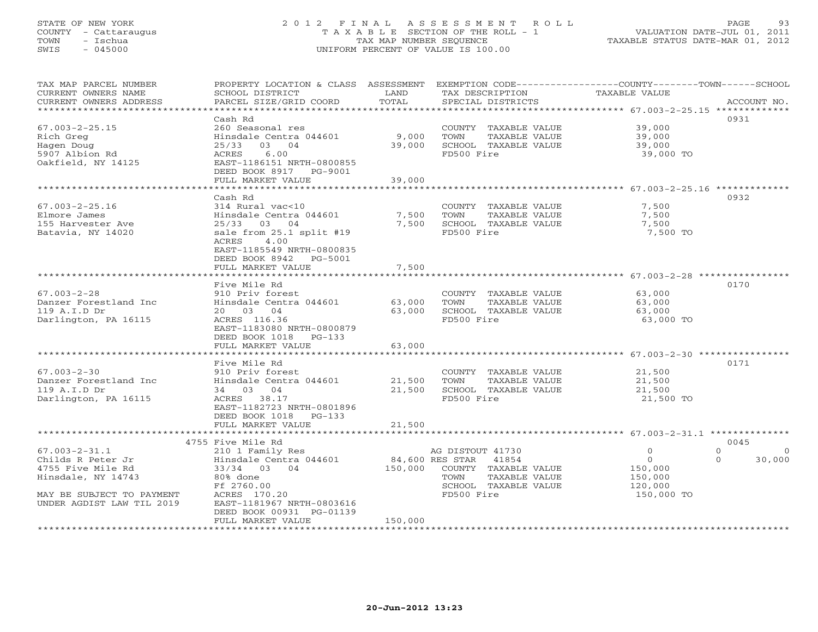# STATE OF NEW YORK 2 0 1 2 F I N A L A S S E S S M E N T R O L L PAGE 93 COUNTY - Cattaraugus T A X A B L E SECTION OF THE ROLL - 1 VALUATION DATE-JUL 01, 2011 TOWN - Ischua TAX MAP NUMBER SEQUENCE TAXABLE STATUS DATE-MAR 01, 2012 SWIS - 045000 UNIFORM PERCENT OF VALUE IS 100.00

| CURRENT OWNERS NAME<br>SCHOOL DISTRICT<br><b>TAXABLE VALUE</b><br>LAND<br>TAX DESCRIPTION<br>TOTAL<br>PARCEL SIZE/GRID COORD<br>CURRENT OWNERS ADDRESS<br>SPECIAL DISTRICTS<br>ACCOUNT NO.<br>**********************<br>Cash Rd<br>0931<br>39,000<br>$67.003 - 2 - 25.15$<br>260 Seasonal res<br>COUNTY TAXABLE VALUE<br>9,000<br>Rich Greg<br>Hinsdale Centra 044601<br>TOWN<br>TAXABLE VALUE<br>39,000<br>03 04<br>39,000<br>SCHOOL TAXABLE VALUE<br>Hagen Doug<br>25/33<br>39,000<br>6.00<br>FD500 Fire<br>5907 Albion Rd<br>ACRES<br>39,000 TO<br>Oakfield, NY 14125<br>EAST-1186151 NRTH-0800855<br>DEED BOOK 8917 PG-9001<br>39,000<br>FULL MARKET VALUE<br>0932<br>Cash Rd<br>$67.003 - 2 - 25.16$<br>314 Rural vac<10<br>COUNTY TAXABLE VALUE<br>7,500<br>Elmore James<br>Hinsdale Centra 044601<br>7,500<br>TOWN<br>TAXABLE VALUE<br>7,500<br>7,500 SCHOOL TAXABLE VALUE<br>155 Harvester Ave<br>25/33 03 04<br>7,500<br>sale from 25.1 split #19<br>FD500 Fire<br>Batavia, NY 14020<br>7,500 TO<br>4.00<br>ACRES<br>EAST-1185549 NRTH-0800835<br>DEED BOOK 8942 PG-5001<br>7,500<br>FULL MARKET VALUE<br>Five Mile Rd<br>0170<br>$67.003 - 2 - 28$<br>910 Priv forest<br>COUNTY TAXABLE VALUE<br>63,000<br>Danzer Forestland Inc<br>Hinsdale Centra 044601<br>63,000<br>TAXABLE VALUE<br>TOWN<br>63,000<br>119 A.I.D Dr<br>63,000<br>SCHOOL TAXABLE VALUE<br>20 03 04<br>63,000<br>ACRES 116.36<br>FD500 Fire<br>Darlington, PA 16115<br>63,000 TO<br>EAST-1183080 NRTH-0800879<br>DEED BOOK 1018 PG-133<br>63,000<br>FULL MARKET VALUE<br>Five Mile Rd<br>0171<br>$67.003 - 2 - 30$<br>910 Priv forest<br>COUNTY TAXABLE VALUE<br>21,500<br>Hinsdale Centra 044601<br>21,500<br>TOWN<br>TAXABLE VALUE<br>21,500<br>Danzer Forestland Inc<br>34 03 04<br>21,500<br>SCHOOL TAXABLE VALUE<br>21,500<br>119 A.I.D Dr<br>Darlington, PA 16115<br>ACRES 38.17<br>FD500 Fire<br>21,500 TO<br>EAST-1182723 NRTH-0801896<br>DEED BOOK 1018 PG-133<br>21,500<br>FULL MARKET VALUE<br>4755 Five Mile Rd<br>0045<br>$\Omega$<br>$67.003 - 2 - 31.1$<br>210 1 Family Res<br>AG DISTOUT 41730<br>$\circ$<br>$\Omega$<br>84,600 RES STAR 41854<br>$\circ$<br>Childs R Peter Jr<br>Hinsdale Centra 044601<br>$\Omega$<br>30,000<br>4755 Five Mile Rd<br>33/34 03 04<br>150,000 COUNTY TAXABLE VALUE<br>150,000<br>Hinsdale, NY 14743<br>80% done<br>TOWN<br>TAXABLE VALUE<br>150,000<br>Ff 2760.00<br>SCHOOL TAXABLE VALUE<br>120,000<br>FD500 Fire<br>MAY BE SUBJECT TO PAYMENT<br>ACRES 170.20<br>150,000 TO<br>EAST-1181967 NRTH-0803616<br>UNDER AGDIST LAW TIL 2019<br>DEED BOOK 00931 PG-01139<br>FULL MARKET VALUE<br>150,000 | TAX MAP PARCEL NUMBER | PROPERTY LOCATION & CLASS ASSESSMENT | EXEMPTION CODE-----------------COUNTY-------TOWN------SCHOOL |  |
|---------------------------------------------------------------------------------------------------------------------------------------------------------------------------------------------------------------------------------------------------------------------------------------------------------------------------------------------------------------------------------------------------------------------------------------------------------------------------------------------------------------------------------------------------------------------------------------------------------------------------------------------------------------------------------------------------------------------------------------------------------------------------------------------------------------------------------------------------------------------------------------------------------------------------------------------------------------------------------------------------------------------------------------------------------------------------------------------------------------------------------------------------------------------------------------------------------------------------------------------------------------------------------------------------------------------------------------------------------------------------------------------------------------------------------------------------------------------------------------------------------------------------------------------------------------------------------------------------------------------------------------------------------------------------------------------------------------------------------------------------------------------------------------------------------------------------------------------------------------------------------------------------------------------------------------------------------------------------------------------------------------------------------------------------------------------------------------------------------------------------------------------------------------------------------------------------------------------------------------------------------------------------------------------------------------------------------------------------------------------------------------------------------------------------------------------------------------------------------------------------------------------------------------------------------------------------------------------------------------------------------|-----------------------|--------------------------------------|--------------------------------------------------------------|--|
|                                                                                                                                                                                                                                                                                                                                                                                                                                                                                                                                                                                                                                                                                                                                                                                                                                                                                                                                                                                                                                                                                                                                                                                                                                                                                                                                                                                                                                                                                                                                                                                                                                                                                                                                                                                                                                                                                                                                                                                                                                                                                                                                                                                                                                                                                                                                                                                                                                                                                                                                                                                                                                 |                       |                                      |                                                              |  |
|                                                                                                                                                                                                                                                                                                                                                                                                                                                                                                                                                                                                                                                                                                                                                                                                                                                                                                                                                                                                                                                                                                                                                                                                                                                                                                                                                                                                                                                                                                                                                                                                                                                                                                                                                                                                                                                                                                                                                                                                                                                                                                                                                                                                                                                                                                                                                                                                                                                                                                                                                                                                                                 |                       |                                      |                                                              |  |
|                                                                                                                                                                                                                                                                                                                                                                                                                                                                                                                                                                                                                                                                                                                                                                                                                                                                                                                                                                                                                                                                                                                                                                                                                                                                                                                                                                                                                                                                                                                                                                                                                                                                                                                                                                                                                                                                                                                                                                                                                                                                                                                                                                                                                                                                                                                                                                                                                                                                                                                                                                                                                                 |                       |                                      |                                                              |  |
|                                                                                                                                                                                                                                                                                                                                                                                                                                                                                                                                                                                                                                                                                                                                                                                                                                                                                                                                                                                                                                                                                                                                                                                                                                                                                                                                                                                                                                                                                                                                                                                                                                                                                                                                                                                                                                                                                                                                                                                                                                                                                                                                                                                                                                                                                                                                                                                                                                                                                                                                                                                                                                 |                       |                                      |                                                              |  |
|                                                                                                                                                                                                                                                                                                                                                                                                                                                                                                                                                                                                                                                                                                                                                                                                                                                                                                                                                                                                                                                                                                                                                                                                                                                                                                                                                                                                                                                                                                                                                                                                                                                                                                                                                                                                                                                                                                                                                                                                                                                                                                                                                                                                                                                                                                                                                                                                                                                                                                                                                                                                                                 |                       |                                      |                                                              |  |
|                                                                                                                                                                                                                                                                                                                                                                                                                                                                                                                                                                                                                                                                                                                                                                                                                                                                                                                                                                                                                                                                                                                                                                                                                                                                                                                                                                                                                                                                                                                                                                                                                                                                                                                                                                                                                                                                                                                                                                                                                                                                                                                                                                                                                                                                                                                                                                                                                                                                                                                                                                                                                                 |                       |                                      |                                                              |  |
|                                                                                                                                                                                                                                                                                                                                                                                                                                                                                                                                                                                                                                                                                                                                                                                                                                                                                                                                                                                                                                                                                                                                                                                                                                                                                                                                                                                                                                                                                                                                                                                                                                                                                                                                                                                                                                                                                                                                                                                                                                                                                                                                                                                                                                                                                                                                                                                                                                                                                                                                                                                                                                 |                       |                                      |                                                              |  |
|                                                                                                                                                                                                                                                                                                                                                                                                                                                                                                                                                                                                                                                                                                                                                                                                                                                                                                                                                                                                                                                                                                                                                                                                                                                                                                                                                                                                                                                                                                                                                                                                                                                                                                                                                                                                                                                                                                                                                                                                                                                                                                                                                                                                                                                                                                                                                                                                                                                                                                                                                                                                                                 |                       |                                      |                                                              |  |
|                                                                                                                                                                                                                                                                                                                                                                                                                                                                                                                                                                                                                                                                                                                                                                                                                                                                                                                                                                                                                                                                                                                                                                                                                                                                                                                                                                                                                                                                                                                                                                                                                                                                                                                                                                                                                                                                                                                                                                                                                                                                                                                                                                                                                                                                                                                                                                                                                                                                                                                                                                                                                                 |                       |                                      |                                                              |  |
|                                                                                                                                                                                                                                                                                                                                                                                                                                                                                                                                                                                                                                                                                                                                                                                                                                                                                                                                                                                                                                                                                                                                                                                                                                                                                                                                                                                                                                                                                                                                                                                                                                                                                                                                                                                                                                                                                                                                                                                                                                                                                                                                                                                                                                                                                                                                                                                                                                                                                                                                                                                                                                 |                       |                                      |                                                              |  |
|                                                                                                                                                                                                                                                                                                                                                                                                                                                                                                                                                                                                                                                                                                                                                                                                                                                                                                                                                                                                                                                                                                                                                                                                                                                                                                                                                                                                                                                                                                                                                                                                                                                                                                                                                                                                                                                                                                                                                                                                                                                                                                                                                                                                                                                                                                                                                                                                                                                                                                                                                                                                                                 |                       |                                      |                                                              |  |
|                                                                                                                                                                                                                                                                                                                                                                                                                                                                                                                                                                                                                                                                                                                                                                                                                                                                                                                                                                                                                                                                                                                                                                                                                                                                                                                                                                                                                                                                                                                                                                                                                                                                                                                                                                                                                                                                                                                                                                                                                                                                                                                                                                                                                                                                                                                                                                                                                                                                                                                                                                                                                                 |                       |                                      |                                                              |  |
|                                                                                                                                                                                                                                                                                                                                                                                                                                                                                                                                                                                                                                                                                                                                                                                                                                                                                                                                                                                                                                                                                                                                                                                                                                                                                                                                                                                                                                                                                                                                                                                                                                                                                                                                                                                                                                                                                                                                                                                                                                                                                                                                                                                                                                                                                                                                                                                                                                                                                                                                                                                                                                 |                       |                                      |                                                              |  |
|                                                                                                                                                                                                                                                                                                                                                                                                                                                                                                                                                                                                                                                                                                                                                                                                                                                                                                                                                                                                                                                                                                                                                                                                                                                                                                                                                                                                                                                                                                                                                                                                                                                                                                                                                                                                                                                                                                                                                                                                                                                                                                                                                                                                                                                                                                                                                                                                                                                                                                                                                                                                                                 |                       |                                      |                                                              |  |
|                                                                                                                                                                                                                                                                                                                                                                                                                                                                                                                                                                                                                                                                                                                                                                                                                                                                                                                                                                                                                                                                                                                                                                                                                                                                                                                                                                                                                                                                                                                                                                                                                                                                                                                                                                                                                                                                                                                                                                                                                                                                                                                                                                                                                                                                                                                                                                                                                                                                                                                                                                                                                                 |                       |                                      |                                                              |  |
|                                                                                                                                                                                                                                                                                                                                                                                                                                                                                                                                                                                                                                                                                                                                                                                                                                                                                                                                                                                                                                                                                                                                                                                                                                                                                                                                                                                                                                                                                                                                                                                                                                                                                                                                                                                                                                                                                                                                                                                                                                                                                                                                                                                                                                                                                                                                                                                                                                                                                                                                                                                                                                 |                       |                                      |                                                              |  |
|                                                                                                                                                                                                                                                                                                                                                                                                                                                                                                                                                                                                                                                                                                                                                                                                                                                                                                                                                                                                                                                                                                                                                                                                                                                                                                                                                                                                                                                                                                                                                                                                                                                                                                                                                                                                                                                                                                                                                                                                                                                                                                                                                                                                                                                                                                                                                                                                                                                                                                                                                                                                                                 |                       |                                      |                                                              |  |
|                                                                                                                                                                                                                                                                                                                                                                                                                                                                                                                                                                                                                                                                                                                                                                                                                                                                                                                                                                                                                                                                                                                                                                                                                                                                                                                                                                                                                                                                                                                                                                                                                                                                                                                                                                                                                                                                                                                                                                                                                                                                                                                                                                                                                                                                                                                                                                                                                                                                                                                                                                                                                                 |                       |                                      |                                                              |  |
|                                                                                                                                                                                                                                                                                                                                                                                                                                                                                                                                                                                                                                                                                                                                                                                                                                                                                                                                                                                                                                                                                                                                                                                                                                                                                                                                                                                                                                                                                                                                                                                                                                                                                                                                                                                                                                                                                                                                                                                                                                                                                                                                                                                                                                                                                                                                                                                                                                                                                                                                                                                                                                 |                       |                                      |                                                              |  |
|                                                                                                                                                                                                                                                                                                                                                                                                                                                                                                                                                                                                                                                                                                                                                                                                                                                                                                                                                                                                                                                                                                                                                                                                                                                                                                                                                                                                                                                                                                                                                                                                                                                                                                                                                                                                                                                                                                                                                                                                                                                                                                                                                                                                                                                                                                                                                                                                                                                                                                                                                                                                                                 |                       |                                      |                                                              |  |
|                                                                                                                                                                                                                                                                                                                                                                                                                                                                                                                                                                                                                                                                                                                                                                                                                                                                                                                                                                                                                                                                                                                                                                                                                                                                                                                                                                                                                                                                                                                                                                                                                                                                                                                                                                                                                                                                                                                                                                                                                                                                                                                                                                                                                                                                                                                                                                                                                                                                                                                                                                                                                                 |                       |                                      |                                                              |  |
|                                                                                                                                                                                                                                                                                                                                                                                                                                                                                                                                                                                                                                                                                                                                                                                                                                                                                                                                                                                                                                                                                                                                                                                                                                                                                                                                                                                                                                                                                                                                                                                                                                                                                                                                                                                                                                                                                                                                                                                                                                                                                                                                                                                                                                                                                                                                                                                                                                                                                                                                                                                                                                 |                       |                                      |                                                              |  |
|                                                                                                                                                                                                                                                                                                                                                                                                                                                                                                                                                                                                                                                                                                                                                                                                                                                                                                                                                                                                                                                                                                                                                                                                                                                                                                                                                                                                                                                                                                                                                                                                                                                                                                                                                                                                                                                                                                                                                                                                                                                                                                                                                                                                                                                                                                                                                                                                                                                                                                                                                                                                                                 |                       |                                      |                                                              |  |
|                                                                                                                                                                                                                                                                                                                                                                                                                                                                                                                                                                                                                                                                                                                                                                                                                                                                                                                                                                                                                                                                                                                                                                                                                                                                                                                                                                                                                                                                                                                                                                                                                                                                                                                                                                                                                                                                                                                                                                                                                                                                                                                                                                                                                                                                                                                                                                                                                                                                                                                                                                                                                                 |                       |                                      |                                                              |  |
|                                                                                                                                                                                                                                                                                                                                                                                                                                                                                                                                                                                                                                                                                                                                                                                                                                                                                                                                                                                                                                                                                                                                                                                                                                                                                                                                                                                                                                                                                                                                                                                                                                                                                                                                                                                                                                                                                                                                                                                                                                                                                                                                                                                                                                                                                                                                                                                                                                                                                                                                                                                                                                 |                       |                                      |                                                              |  |
|                                                                                                                                                                                                                                                                                                                                                                                                                                                                                                                                                                                                                                                                                                                                                                                                                                                                                                                                                                                                                                                                                                                                                                                                                                                                                                                                                                                                                                                                                                                                                                                                                                                                                                                                                                                                                                                                                                                                                                                                                                                                                                                                                                                                                                                                                                                                                                                                                                                                                                                                                                                                                                 |                       |                                      |                                                              |  |
|                                                                                                                                                                                                                                                                                                                                                                                                                                                                                                                                                                                                                                                                                                                                                                                                                                                                                                                                                                                                                                                                                                                                                                                                                                                                                                                                                                                                                                                                                                                                                                                                                                                                                                                                                                                                                                                                                                                                                                                                                                                                                                                                                                                                                                                                                                                                                                                                                                                                                                                                                                                                                                 |                       |                                      |                                                              |  |
|                                                                                                                                                                                                                                                                                                                                                                                                                                                                                                                                                                                                                                                                                                                                                                                                                                                                                                                                                                                                                                                                                                                                                                                                                                                                                                                                                                                                                                                                                                                                                                                                                                                                                                                                                                                                                                                                                                                                                                                                                                                                                                                                                                                                                                                                                                                                                                                                                                                                                                                                                                                                                                 |                       |                                      |                                                              |  |
|                                                                                                                                                                                                                                                                                                                                                                                                                                                                                                                                                                                                                                                                                                                                                                                                                                                                                                                                                                                                                                                                                                                                                                                                                                                                                                                                                                                                                                                                                                                                                                                                                                                                                                                                                                                                                                                                                                                                                                                                                                                                                                                                                                                                                                                                                                                                                                                                                                                                                                                                                                                                                                 |                       |                                      |                                                              |  |
|                                                                                                                                                                                                                                                                                                                                                                                                                                                                                                                                                                                                                                                                                                                                                                                                                                                                                                                                                                                                                                                                                                                                                                                                                                                                                                                                                                                                                                                                                                                                                                                                                                                                                                                                                                                                                                                                                                                                                                                                                                                                                                                                                                                                                                                                                                                                                                                                                                                                                                                                                                                                                                 |                       |                                      |                                                              |  |
|                                                                                                                                                                                                                                                                                                                                                                                                                                                                                                                                                                                                                                                                                                                                                                                                                                                                                                                                                                                                                                                                                                                                                                                                                                                                                                                                                                                                                                                                                                                                                                                                                                                                                                                                                                                                                                                                                                                                                                                                                                                                                                                                                                                                                                                                                                                                                                                                                                                                                                                                                                                                                                 |                       |                                      |                                                              |  |
|                                                                                                                                                                                                                                                                                                                                                                                                                                                                                                                                                                                                                                                                                                                                                                                                                                                                                                                                                                                                                                                                                                                                                                                                                                                                                                                                                                                                                                                                                                                                                                                                                                                                                                                                                                                                                                                                                                                                                                                                                                                                                                                                                                                                                                                                                                                                                                                                                                                                                                                                                                                                                                 |                       |                                      |                                                              |  |
|                                                                                                                                                                                                                                                                                                                                                                                                                                                                                                                                                                                                                                                                                                                                                                                                                                                                                                                                                                                                                                                                                                                                                                                                                                                                                                                                                                                                                                                                                                                                                                                                                                                                                                                                                                                                                                                                                                                                                                                                                                                                                                                                                                                                                                                                                                                                                                                                                                                                                                                                                                                                                                 |                       |                                      |                                                              |  |
|                                                                                                                                                                                                                                                                                                                                                                                                                                                                                                                                                                                                                                                                                                                                                                                                                                                                                                                                                                                                                                                                                                                                                                                                                                                                                                                                                                                                                                                                                                                                                                                                                                                                                                                                                                                                                                                                                                                                                                                                                                                                                                                                                                                                                                                                                                                                                                                                                                                                                                                                                                                                                                 |                       |                                      |                                                              |  |
|                                                                                                                                                                                                                                                                                                                                                                                                                                                                                                                                                                                                                                                                                                                                                                                                                                                                                                                                                                                                                                                                                                                                                                                                                                                                                                                                                                                                                                                                                                                                                                                                                                                                                                                                                                                                                                                                                                                                                                                                                                                                                                                                                                                                                                                                                                                                                                                                                                                                                                                                                                                                                                 |                       |                                      |                                                              |  |
|                                                                                                                                                                                                                                                                                                                                                                                                                                                                                                                                                                                                                                                                                                                                                                                                                                                                                                                                                                                                                                                                                                                                                                                                                                                                                                                                                                                                                                                                                                                                                                                                                                                                                                                                                                                                                                                                                                                                                                                                                                                                                                                                                                                                                                                                                                                                                                                                                                                                                                                                                                                                                                 |                       |                                      |                                                              |  |
|                                                                                                                                                                                                                                                                                                                                                                                                                                                                                                                                                                                                                                                                                                                                                                                                                                                                                                                                                                                                                                                                                                                                                                                                                                                                                                                                                                                                                                                                                                                                                                                                                                                                                                                                                                                                                                                                                                                                                                                                                                                                                                                                                                                                                                                                                                                                                                                                                                                                                                                                                                                                                                 |                       |                                      |                                                              |  |
|                                                                                                                                                                                                                                                                                                                                                                                                                                                                                                                                                                                                                                                                                                                                                                                                                                                                                                                                                                                                                                                                                                                                                                                                                                                                                                                                                                                                                                                                                                                                                                                                                                                                                                                                                                                                                                                                                                                                                                                                                                                                                                                                                                                                                                                                                                                                                                                                                                                                                                                                                                                                                                 |                       |                                      |                                                              |  |
|                                                                                                                                                                                                                                                                                                                                                                                                                                                                                                                                                                                                                                                                                                                                                                                                                                                                                                                                                                                                                                                                                                                                                                                                                                                                                                                                                                                                                                                                                                                                                                                                                                                                                                                                                                                                                                                                                                                                                                                                                                                                                                                                                                                                                                                                                                                                                                                                                                                                                                                                                                                                                                 |                       |                                      |                                                              |  |
|                                                                                                                                                                                                                                                                                                                                                                                                                                                                                                                                                                                                                                                                                                                                                                                                                                                                                                                                                                                                                                                                                                                                                                                                                                                                                                                                                                                                                                                                                                                                                                                                                                                                                                                                                                                                                                                                                                                                                                                                                                                                                                                                                                                                                                                                                                                                                                                                                                                                                                                                                                                                                                 |                       |                                      |                                                              |  |
|                                                                                                                                                                                                                                                                                                                                                                                                                                                                                                                                                                                                                                                                                                                                                                                                                                                                                                                                                                                                                                                                                                                                                                                                                                                                                                                                                                                                                                                                                                                                                                                                                                                                                                                                                                                                                                                                                                                                                                                                                                                                                                                                                                                                                                                                                                                                                                                                                                                                                                                                                                                                                                 |                       |                                      |                                                              |  |
|                                                                                                                                                                                                                                                                                                                                                                                                                                                                                                                                                                                                                                                                                                                                                                                                                                                                                                                                                                                                                                                                                                                                                                                                                                                                                                                                                                                                                                                                                                                                                                                                                                                                                                                                                                                                                                                                                                                                                                                                                                                                                                                                                                                                                                                                                                                                                                                                                                                                                                                                                                                                                                 |                       |                                      |                                                              |  |
|                                                                                                                                                                                                                                                                                                                                                                                                                                                                                                                                                                                                                                                                                                                                                                                                                                                                                                                                                                                                                                                                                                                                                                                                                                                                                                                                                                                                                                                                                                                                                                                                                                                                                                                                                                                                                                                                                                                                                                                                                                                                                                                                                                                                                                                                                                                                                                                                                                                                                                                                                                                                                                 |                       |                                      |                                                              |  |
|                                                                                                                                                                                                                                                                                                                                                                                                                                                                                                                                                                                                                                                                                                                                                                                                                                                                                                                                                                                                                                                                                                                                                                                                                                                                                                                                                                                                                                                                                                                                                                                                                                                                                                                                                                                                                                                                                                                                                                                                                                                                                                                                                                                                                                                                                                                                                                                                                                                                                                                                                                                                                                 |                       |                                      |                                                              |  |
|                                                                                                                                                                                                                                                                                                                                                                                                                                                                                                                                                                                                                                                                                                                                                                                                                                                                                                                                                                                                                                                                                                                                                                                                                                                                                                                                                                                                                                                                                                                                                                                                                                                                                                                                                                                                                                                                                                                                                                                                                                                                                                                                                                                                                                                                                                                                                                                                                                                                                                                                                                                                                                 |                       |                                      |                                                              |  |
|                                                                                                                                                                                                                                                                                                                                                                                                                                                                                                                                                                                                                                                                                                                                                                                                                                                                                                                                                                                                                                                                                                                                                                                                                                                                                                                                                                                                                                                                                                                                                                                                                                                                                                                                                                                                                                                                                                                                                                                                                                                                                                                                                                                                                                                                                                                                                                                                                                                                                                                                                                                                                                 |                       |                                      |                                                              |  |
|                                                                                                                                                                                                                                                                                                                                                                                                                                                                                                                                                                                                                                                                                                                                                                                                                                                                                                                                                                                                                                                                                                                                                                                                                                                                                                                                                                                                                                                                                                                                                                                                                                                                                                                                                                                                                                                                                                                                                                                                                                                                                                                                                                                                                                                                                                                                                                                                                                                                                                                                                                                                                                 |                       |                                      |                                                              |  |
|                                                                                                                                                                                                                                                                                                                                                                                                                                                                                                                                                                                                                                                                                                                                                                                                                                                                                                                                                                                                                                                                                                                                                                                                                                                                                                                                                                                                                                                                                                                                                                                                                                                                                                                                                                                                                                                                                                                                                                                                                                                                                                                                                                                                                                                                                                                                                                                                                                                                                                                                                                                                                                 |                       |                                      |                                                              |  |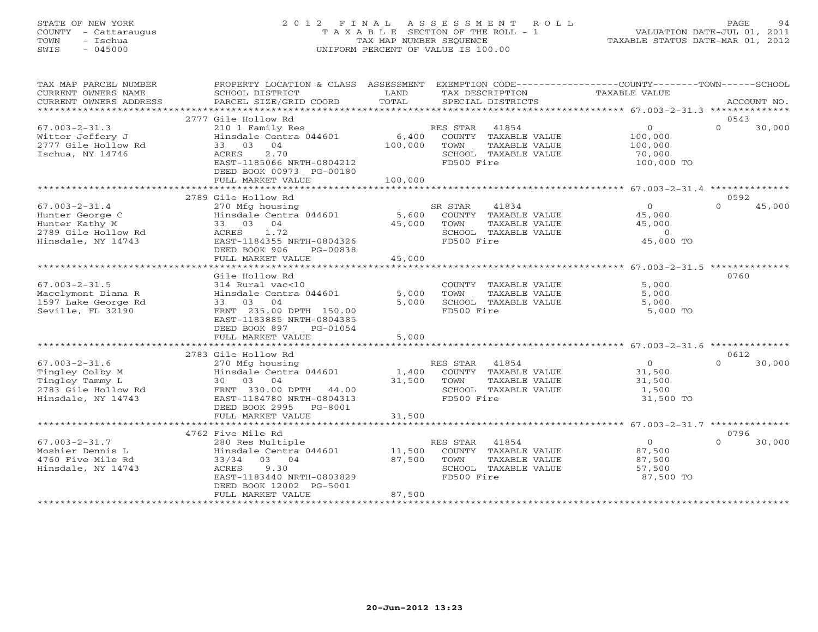### STATE OF NEW YORK 2 0 1 2 F I N A L A S S E S S M E N T R O L L PAGE 94 COUNTY - Cattaraugus T A X A B L E SECTION OF THE ROLL - 1 VALUATION DATE-JUL 01, 2011 TOWN - Ischua TAX MAP NUMBER SEQUENCE TAXABLE STATUS DATE-MAR 01, 2012 SWIS - 045000 UNIFORM PERCENT OF VALUE IS 100.00UNIFORM PERCENT OF VALUE IS 100.00

| TAX MAP PARCEL NUMBER<br>CURRENT OWNERS NAME<br>CURRENT OWNERS ADDRESS                                 | PROPERTY LOCATION & CLASS ASSESSMENT<br>SCHOOL DISTRICT<br>PARCEL SIZE/GRID COORD                                                                                            | LAND<br>TOTAL               | TAX DESCRIPTION<br>SPECIAL DISTRICTS                                                                     | EXEMPTION CODE-----------------COUNTY-------TOWN------SCHOOL<br><b>TAXABLE VALUE</b> | ACCOUNT NO.                |
|--------------------------------------------------------------------------------------------------------|------------------------------------------------------------------------------------------------------------------------------------------------------------------------------|-----------------------------|----------------------------------------------------------------------------------------------------------|--------------------------------------------------------------------------------------|----------------------------|
|                                                                                                        |                                                                                                                                                                              |                             |                                                                                                          |                                                                                      |                            |
| $67.003 - 2 - 31.3$<br>Witter Jeffery J<br>2777 Gile Hollow Rd<br>Ischua, NY 14746                     | 2777 Gile Hollow Rd<br>210 1 Family Res<br>Hinsdale Centra 044601<br>33 03 04<br>2.70<br>ACRES<br>EAST-1185066 NRTH-0804212<br>DEED BOOK 00973 PG-00180<br>FULL MARKET VALUE | 6,400<br>100,000<br>100,000 | RES STAR 41854<br>COUNTY TAXABLE VALUE<br>TOWN<br>TAXABLE VALUE<br>SCHOOL TAXABLE VALUE<br>FD500 Fire    | $\overline{0}$<br>100,000<br>100,000<br>70,000<br>100,000 TO                         | 0543<br>$\Omega$<br>30,000 |
|                                                                                                        | 2789 Gile Hollow Rd                                                                                                                                                          |                             |                                                                                                          |                                                                                      | 0592                       |
| $67.003 - 2 - 31.4$<br>Hunter George C<br>Hunter Kathy M<br>2789 Gile Hollow Rd<br>Hinsdale, NY 14743  | 270 Mfg housing<br>Hinsdale Centra 044601<br>33 03 04<br>1.72<br>ACRES<br>EAST-1184355 NRTH-0804326<br>DEED BOOK 906<br>PG-00838<br>FULL MARKET VALUE                        | 5,600<br>45,000<br>45,000   | SR STAR<br>41834<br>COUNTY TAXABLE VALUE<br>TOWN<br>TAXABLE VALUE<br>SCHOOL TAXABLE VALUE<br>FD500 Fire  | $\overline{0}$<br>45,000<br>45,000<br>$\Omega$<br>45,000 TO                          | 45,000<br>$\Omega$         |
|                                                                                                        | ************************                                                                                                                                                     | ***********                 |                                                                                                          | ****************** 67.003-2-31.5 ***************                                     |                            |
| $67.003 - 2 - 31.5$<br>Macclymont Diana R<br>1597 Lake George Rd<br>Seville, FL 32190                  | Gile Hollow Rd<br>314 Rural vac<10<br>Hinsdale Centra 044601<br>33 03 04<br>FRNT 235.00 DPTH 150.00<br>EAST-1183885 NRTH-0804385<br>DEED BOOK 897<br>PG-01054                | 5,000<br>5,000              | COUNTY TAXABLE VALUE<br>TOWN<br>TAXABLE VALUE<br>SCHOOL TAXABLE VALUE<br>FD500 Fire                      | 5,000<br>5,000<br>5,000<br>5,000 TO                                                  | 0760                       |
|                                                                                                        | FULL MARKET VALUE                                                                                                                                                            | 5,000                       |                                                                                                          |                                                                                      |                            |
|                                                                                                        | 2783 Gile Hollow Rd                                                                                                                                                          |                             |                                                                                                          |                                                                                      | 0612                       |
| $67.003 - 2 - 31.6$<br>Tingley Colby M<br>Tingley Tammy L<br>2783 Gile Hollow Rd<br>Hinsdale, NY 14743 | 270 Mfg housing<br>Hinsdale Centra 044601<br>30 03 04<br>FRNT 330.00 DPTH 44.00<br>EAST-1184780 NRTH-0804313<br>DEED BOOK 2995<br>PG-8001                                    | 1,400<br>31,500             | 41854<br>RES STAR<br>COUNTY TAXABLE VALUE<br>TOWN<br>TAXABLE VALUE<br>SCHOOL TAXABLE VALUE<br>FD500 Fire | $\overline{O}$<br>31,500<br>31,500<br>1,500<br>31,500 TO                             | $\cap$<br>30,000           |
|                                                                                                        | FULL MARKET VALUE                                                                                                                                                            | 31,500                      |                                                                                                          |                                                                                      |                            |
|                                                                                                        | 4762 Five Mile Rd                                                                                                                                                            |                             |                                                                                                          |                                                                                      | 0796                       |
| $67.003 - 2 - 31.7$<br>Moshier Dennis L<br>4760 Five Mile Rd<br>Hinsdale, NY 14743                     | 280 Res Multiple<br>Hinsdale Centra 044601<br>33/34 03 04<br>ACRES<br>9.30<br>EAST-1183440 NRTH-0803829<br>DEED BOOK 12002 PG-5001<br>FULL MARKET VALUE                      | 11,500<br>87,500<br>87,500  | RES STAR 41854<br>COUNTY TAXABLE VALUE<br>TOWN<br>TAXABLE VALUE<br>SCHOOL TAXABLE VALUE<br>FD500 Fire    | $\overline{O}$<br>87,500<br>87,500<br>57,500<br>87,500 TO                            | $\Omega$<br>30,000         |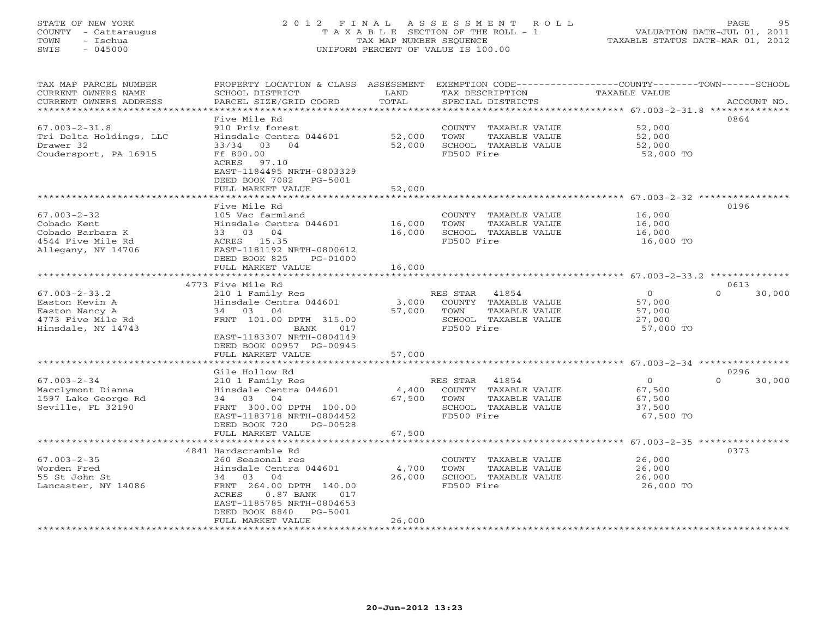# STATE OF NEW YORK 2 0 1 2 F I N A L A S S E S S M E N T R O L L PAGE 95 COUNTY - Cattaraugus T A X A B L E SECTION OF THE ROLL - 1 VALUATION DATE-JUL 01, 2011 TOWN - Ischua TAX MAP NUMBER SEQUENCE TAXABLE STATUS DATE-MAR 01, 2012 SWIS - 045000 UNIFORM PERCENT OF VALUE IS 100.00

| TAX MAP PARCEL NUMBER<br>CURRENT OWNERS NAME<br>CURRENT OWNERS ADDRESS                                           | PROPERTY LOCATION & CLASS ASSESSMENT<br>SCHOOL DISTRICT<br>PARCEL SIZE/GRID COORD                                                                                                                     | LAND<br>TOTAL              | TAX DESCRIPTION<br>SPECIAL DISTRICTS                                                                     | EXEMPTION CODE-----------------COUNTY-------TOWN------SCHOOL<br>TAXABLE VALUE                            | ACCOUNT NO.                |
|------------------------------------------------------------------------------------------------------------------|-------------------------------------------------------------------------------------------------------------------------------------------------------------------------------------------------------|----------------------------|----------------------------------------------------------------------------------------------------------|----------------------------------------------------------------------------------------------------------|----------------------------|
| ************************<br>$67.003 - 2 - 31.8$<br>Tri Delta Holdings, LLC<br>Drawer 32<br>Coudersport, PA 16915 | Five Mile Rd<br>910 Priv forest<br>Hinsdale Centra 044601<br>03<br>$\bigcirc$ 4<br>33/34<br>Ff 800.00<br>ACRES<br>97.10<br>EAST-1184495 NRTH-0803329                                                  | 52,000<br>52,000           | COUNTY TAXABLE VALUE<br>TOWN<br>TAXABLE VALUE<br>SCHOOL TAXABLE VALUE<br>FD500 Fire                      | 52,000<br>52,000<br>52,000<br>52,000 TO                                                                  | 0864                       |
|                                                                                                                  | DEED BOOK 7082<br>PG-5001<br>FULL MARKET VALUE<br>********************                                                                                                                                | 52,000                     |                                                                                                          |                                                                                                          |                            |
| $67.003 - 2 - 32$<br>Cobado Kent<br>Cobado Barbara K<br>4544 Five Mile Rd<br>Allegany, NY 14706                  | Five Mile Rd<br>105 Vac farmland<br>Hinsdale Centra 044601<br>33 03 04<br>ACRES 15.35<br>EAST-1181192 NRTH-0800612<br>DEED BOOK 825<br>PG-01000<br>FULL MARKET VALUE                                  | 16,000<br>16,000<br>16,000 | COUNTY TAXABLE VALUE<br>TAXABLE VALUE<br>TOWN<br>SCHOOL TAXABLE VALUE<br>FD500 Fire                      | 16,000<br>16,000<br>16,000<br>16,000 TO                                                                  | 0196                       |
|                                                                                                                  | ************************                                                                                                                                                                              | *************              |                                                                                                          | ******************************* 67.003-2-33.2 **************                                             |                            |
| $67.003 - 2 - 33.2$<br>Easton Kevin A<br>Easton Nancy A<br>4773 Five Mile Rd<br>Hinsdale, NY 14743               | 4773 Five Mile Rd<br>210 1 Family Res<br>Hinsdale Centra 044601<br>34 03 04<br>FRNT 101.00 DPTH 315.00<br>BANK<br>017<br>EAST-1183307 NRTH-0804149<br>DEED BOOK 00957 PG-00945                        | 3,000<br>57,000            | RES STAR<br>41854<br>COUNTY TAXABLE VALUE<br>TOWN<br>TAXABLE VALUE<br>SCHOOL TAXABLE VALUE<br>FD500 Fire | $\circ$<br>57,000<br>57,000<br>27,000<br>57,000 TO                                                       | 0613<br>$\Omega$<br>30,000 |
|                                                                                                                  | FULL MARKET VALUE                                                                                                                                                                                     | 57,000                     |                                                                                                          |                                                                                                          |                            |
| $67.003 - 2 - 34$<br>Macclymont Dianna<br>1597 Lake George Rd<br>Seville, FL 32190                               | Gile Hollow Rd<br>210 1 Family Res<br>Hinsdale Centra 044601<br>34 03 04<br>FRNT 300.00 DPTH 100.00<br>EAST-1183718 NRTH-0804452<br>DEED BOOK 720<br>PG-00528                                         | 4,400<br>67,500            | RES STAR<br>41854<br>COUNTY TAXABLE VALUE<br>TOWN<br>TAXABLE VALUE<br>SCHOOL TAXABLE VALUE<br>FD500 Fire | $\overline{O}$<br>67,500<br>67,500<br>37,500<br>67,500 TO                                                | 0296<br>$\Omega$<br>30,000 |
|                                                                                                                  | FULL MARKET VALUE<br>****************************                                                                                                                                                     | 67,500                     |                                                                                                          |                                                                                                          |                            |
| $67.003 - 2 - 35$<br>Worden Fred<br>55 St John St<br>Lancaster, NY 14086                                         | 4841 Hardscramble Rd<br>260 Seasonal res<br>Hinsdale Centra 044601<br>04<br>34 03<br>FRNT 264.00 DPTH 140.00<br>$0.87$ BANK<br>ACRES<br>017<br>EAST-1185785 NRTH-0804653<br>DEED BOOK 8840<br>PG-5001 | 4,700<br>26,000            | COUNTY TAXABLE VALUE<br>TOWN<br>TAXABLE VALUE<br>SCHOOL TAXABLE VALUE<br>FD500 Fire                      | ******************************** 67.003-2-35 ****************<br>26,000<br>26,000<br>26,000<br>26,000 TO | 0373                       |
| *********************                                                                                            | FULL MARKET VALUE                                                                                                                                                                                     | 26,000                     |                                                                                                          |                                                                                                          |                            |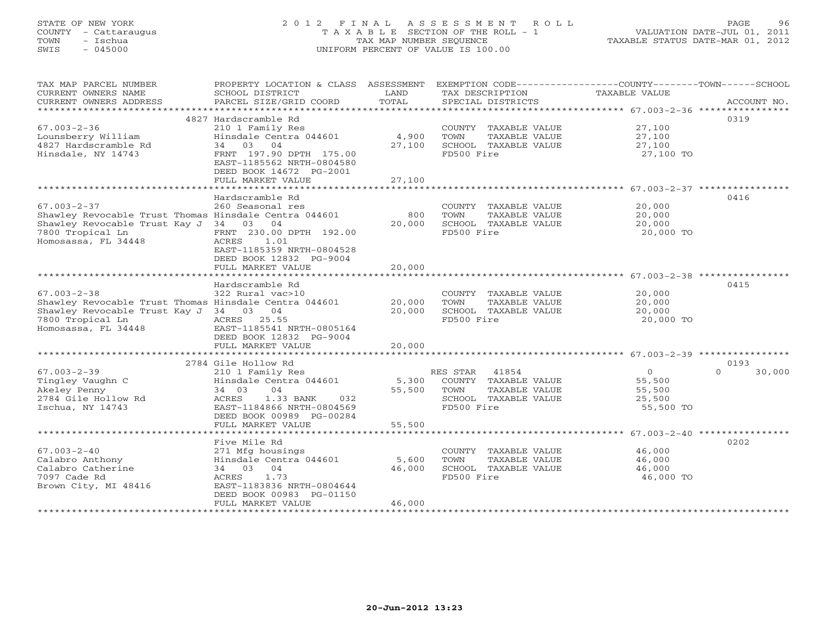# STATE OF NEW YORK 2 0 1 2 F I N A L A S S E S S M E N T R O L L PAGE 96 COUNTY - Cattaraugus T A X A B L E SECTION OF THE ROLL - 1 VALUATION DATE-JUL 01, 2011 TOWN - Ischua TAX MAP NUMBER SEQUENCE TAXABLE STATUS DATE-MAR 01, 2012 SWIS - 045000 UNIFORM PERCENT OF VALUE IS 100.00

| TAX MAP PARCEL NUMBER<br>CURRENT OWNERS NAME<br>CURRENT OWNERS ADDRESS<br>***********************                                                               | PROPERTY LOCATION & CLASS ASSESSMENT<br>SCHOOL DISTRICT<br>PARCEL SIZE/GRID COORD                                                                                                                      | LAND<br>TOTAL              | EXEMPTION CODE-----------------COUNTY-------TOWN-----SCHOOL<br>TAX DESCRIPTION<br>SPECIAL DISTRICTS      | TAXABLE VALUE                                                                              | ACCOUNT NO.        |
|-----------------------------------------------------------------------------------------------------------------------------------------------------------------|--------------------------------------------------------------------------------------------------------------------------------------------------------------------------------------------------------|----------------------------|----------------------------------------------------------------------------------------------------------|--------------------------------------------------------------------------------------------|--------------------|
| $67.003 - 2 - 36$<br>Lounsberry William<br>4827 Hardscramble Rd<br>Hinsdale, NY 14743                                                                           | 4827 Hardscramble Rd<br>210 1 Family Res<br>Hinsdale Centra 044601<br>03 04<br>34<br>FRNT 197.90 DPTH 175.00<br>EAST-1185562 NRTH-0804580<br>DEED BOOK 14672 PG-2001<br>FULL MARKET VALUE              | 4,900<br>27,100<br>27,100  | COUNTY TAXABLE VALUE<br>TAXABLE VALUE<br>TOWN<br>SCHOOL TAXABLE VALUE<br>FD500 Fire                      | 27,100<br>27,100<br>27,100<br>27,100 TO                                                    | 0319               |
| $67.003 - 2 - 37$<br>Shawley Revocable Trust Thomas Hinsdale Centra 044601<br>Shawley Revocable Trust Kay J<br>7800 Tropical Ln<br>Homosassa, FL 34448          | Hardscramble Rd<br>260 Seasonal res<br>34 03<br>04<br>FRNT 230.00 DPTH 192.00<br>ACRES<br>1.01<br>EAST-1185359 NRTH-0804528<br>DEED BOOK 12832 PG-9004<br>FULL MARKET VALUE                            | 800<br>20,000<br>20,000    | COUNTY<br>TAXABLE VALUE<br>TOWN<br>TAXABLE VALUE<br>SCHOOL TAXABLE VALUE<br>FD500 Fire                   | 20,000<br>20,000<br>20,000<br>20,000 TO<br>****************************** 67.003-2-38 **** | 0416               |
| $67.003 - 2 - 38$<br>Shawley Revocable Trust Thomas Hinsdale Centra 044601<br>Shawley Revocable Trust Kay J 34 03 04<br>7800 Tropical Ln<br>Homosassa, FL 34448 | Hardscramble Rd<br>322 Rural vac>10<br>25.55<br>ACRES<br>EAST-1185541 NRTH-0805164<br>DEED BOOK 12832 PG-9004<br>FULL MARKET VALUE                                                                     | 20,000<br>20,000<br>20,000 | COUNTY TAXABLE VALUE<br>TAXABLE VALUE<br>TOWN<br>SCHOOL TAXABLE VALUE<br>FD500 Fire                      | 20,000<br>20,000<br>20,000<br>20,000 TO                                                    | 0415               |
|                                                                                                                                                                 | 2784 Gile Hollow Rd                                                                                                                                                                                    |                            |                                                                                                          |                                                                                            | 0193               |
| $67.003 - 2 - 39$<br>Tingley Vaughn C<br>Akeley Penny<br>2784 Gile Hollow Rd<br>Ischua, NY 14743                                                                | 210 1 Family Res<br>Hinsdale Centra 044601<br>34 03<br>04<br>ACRES<br>1.33 BANK<br>032<br>EAST-1184866 NRTH-0804569<br>DEED BOOK 00989 PG-00284                                                        | 5,300<br>55,500            | RES STAR<br>41854<br>COUNTY TAXABLE VALUE<br>TOWN<br>TAXABLE VALUE<br>SCHOOL TAXABLE VALUE<br>FD500 Fire | $\Omega$<br>55,500<br>55,500<br>25,500<br>55,500 TO                                        | $\Omega$<br>30,000 |
|                                                                                                                                                                 | FULL MARKET VALUE                                                                                                                                                                                      | 55,500                     |                                                                                                          |                                                                                            |                    |
| $67.003 - 2 - 40$<br>Calabro Anthony<br>Calabro Catherine<br>7097 Cade Rd<br>Brown City, MI 48416                                                               | Five Mile Rd<br>271 Mfg housings<br>Hinsdale Centra 044601<br>04<br>34 03<br>1.73<br>ACRES<br>EAST-1183836 NRTH-0804644<br>DEED BOOK 00983 PG-01150<br>FULL MARKET VALUE<br>************************** | 5,600<br>46,000<br>46,000  | COUNTY TAXABLE VALUE<br>TOWN<br>TAXABLE VALUE<br>SCHOOL TAXABLE VALUE<br>FD500 Fire                      | 46,000<br>46,000<br>46,000<br>46,000 TO                                                    | 0202               |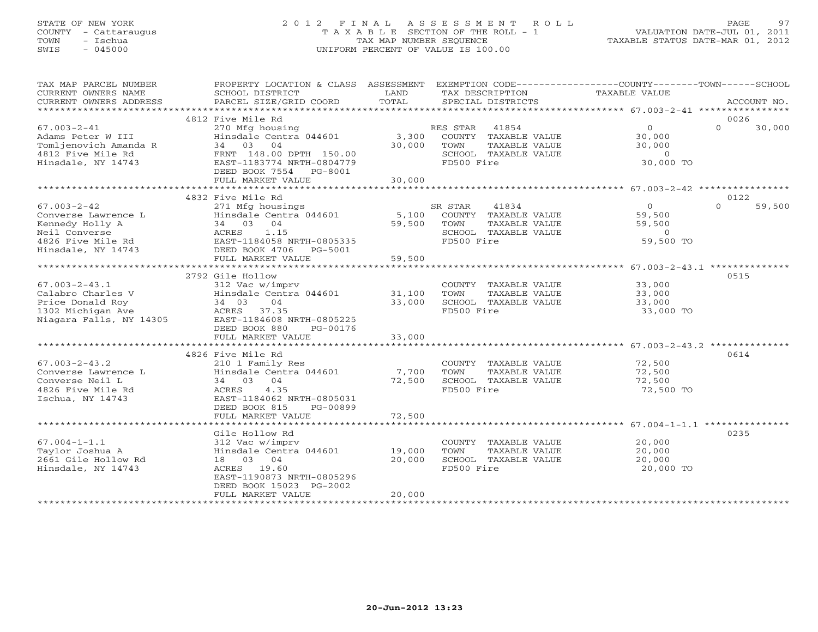# STATE OF NEW YORK 2 0 1 2 F I N A L A S S E S S M E N T R O L L PAGE 97 COUNTY - Cattaraugus T A X A B L E SECTION OF THE ROLL - 1 VALUATION DATE-JUL 01, 2011 TOWN - Ischua TAX MAP NUMBER SEQUENCE TAXABLE STATUS DATE-MAR 01, 2012 SWIS - 045000 UNIFORM PERCENT OF VALUE IS 100.00

| TAX MAP PARCEL NUMBER<br>CURRENT OWNERS NAME | PROPERTY LOCATION & CLASS ASSESSMENT EXEMPTION CODE---------------COUNTY-------TOWN------SCHOOL<br>SCHOOL DISTRICT | LAND             |                | TAX DESCRIPTION                       | <b>TAXABLE VALUE</b>                               |                |             |
|----------------------------------------------|--------------------------------------------------------------------------------------------------------------------|------------------|----------------|---------------------------------------|----------------------------------------------------|----------------|-------------|
| CURRENT OWNERS ADDRESS                       | PARCEL SIZE/GRID COORD                                                                                             | TOTAL            |                | SPECIAL DISTRICTS                     |                                                    |                | ACCOUNT NO. |
|                                              |                                                                                                                    |                  |                |                                       |                                                    |                |             |
|                                              | 4812 Five Mile Rd                                                                                                  |                  |                |                                       |                                                    | 0026<br>$\cap$ |             |
| $67.003 - 2 - 41$<br>Adams Peter W III       | 270 Mfg housing<br>Hinsdale Centra 044601                                                                          |                  | RES STAR 41854 |                                       | $\Omega$<br>30,000                                 |                | 30,000      |
| Tomljenovich Amanda R                        | 34 03 04                                                                                                           | 3,300<br>30,000  | TOWN           | COUNTY TAXABLE VALUE<br>TAXABLE VALUE | 30,000                                             |                |             |
| 4812 Five Mile Rd                            | FRNT 148.00 DPTH 150.00                                                                                            |                  |                | SCHOOL TAXABLE VALUE                  | $\Omega$                                           |                |             |
| Hinsdale, NY 14743                           | EAST-1183774 NRTH-0804779                                                                                          |                  | FD500 Fire     |                                       | 30,000 TO                                          |                |             |
|                                              | DEED BOOK 7554<br>PG-8001                                                                                          |                  |                |                                       |                                                    |                |             |
|                                              | FULL MARKET VALUE                                                                                                  | 30,000           |                |                                       |                                                    |                |             |
|                                              |                                                                                                                    |                  |                |                                       |                                                    |                |             |
|                                              | 4832 Five Mile Rd                                                                                                  |                  |                |                                       |                                                    | 0122           |             |
| $67.003 - 2 - 42$                            | 271 Mfg housings                                                                                                   |                  | SR STAR        | 41834                                 | $\overline{O}$                                     | $\Omega$       | 59,500      |
| Converse Lawrence L                          | Hinsdale Centra 044601                                                                                             |                  |                | 5,100 COUNTY TAXABLE VALUE            | 59,500                                             |                |             |
| Kennedy Holly A                              | 34 03 04                                                                                                           | 59,500           | TOWN           | TAXABLE VALUE                         | 59,500                                             |                |             |
| Neil Converse                                | 1.15<br>ACRES                                                                                                      |                  | FD500 Fire     | SCHOOL TAXABLE VALUE                  | $\Omega$<br>59,500 TO                              |                |             |
| 4826 Five Mile Rd<br>Hinsdale, NY 14743      | EAST-1184058 NRTH-0805335<br>DEED BOOK 4706<br>PG-5001                                                             |                  |                |                                       |                                                    |                |             |
|                                              | FULL MARKET VALUE                                                                                                  | 59,500           |                |                                       |                                                    |                |             |
|                                              | ******************************                                                                                     | ************     |                |                                       | ********************* 67.003-2-43.1 ************** |                |             |
|                                              | 2792 Gile Hollow                                                                                                   |                  |                |                                       |                                                    | 0515           |             |
| $67.003 - 2 - 43.1$                          | 312 Vac w/imprv                                                                                                    |                  |                | COUNTY TAXABLE VALUE                  | 33,000                                             |                |             |
| Calabro Charles V                            | Hinsdale Centra 044601                                                                                             | 31,100           | TOWN           | TAXABLE VALUE                         | 33,000                                             |                |             |
| Price Donald Roy                             | 04<br>34 03                                                                                                        | 33,000           |                | SCHOOL TAXABLE VALUE                  | 33,000                                             |                |             |
| 1302 Michigan Ave                            | ACRES 37.35                                                                                                        |                  | FD500 Fire     |                                       | 33,000 TO                                          |                |             |
| Niagara Falls, NY 14305                      | EAST-1184608 NRTH-0805225                                                                                          |                  |                |                                       |                                                    |                |             |
|                                              | DEED BOOK 880<br>PG-00176                                                                                          |                  |                |                                       |                                                    |                |             |
|                                              | FULL MARKET VALUE                                                                                                  | 33,000           |                |                                       |                                                    |                |             |
|                                              | 4826 Five Mile Rd                                                                                                  |                  |                |                                       |                                                    | 0614           |             |
| $67.003 - 2 - 43.2$                          | 210 1 Family Res                                                                                                   |                  |                | COUNTY TAXABLE VALUE                  | 72,500                                             |                |             |
| Converse Lawrence L                          | Hinsdale Centra 044601                                                                                             | 7,700            | TOWN           | TAXABLE VALUE                         | 72,500                                             |                |             |
| Converse Neil L                              | 34 03 04                                                                                                           | 72,500           |                | SCHOOL TAXABLE VALUE                  | 72,500                                             |                |             |
| 4826 Five Mile Rd                            | 4.35<br>ACRES                                                                                                      |                  | FD500 Fire     |                                       | 72,500 TO                                          |                |             |
| Ischua, NY 14743                             | EAST-1184062 NRTH-0805031                                                                                          |                  |                |                                       |                                                    |                |             |
|                                              | DEED BOOK 815<br>PG-00899                                                                                          |                  |                |                                       |                                                    |                |             |
|                                              | FULL MARKET VALUE                                                                                                  | 72,500           |                |                                       |                                                    |                |             |
|                                              |                                                                                                                    |                  |                |                                       |                                                    |                |             |
|                                              | Gile Hollow Rd                                                                                                     |                  |                |                                       |                                                    | 0235           |             |
| $67.004 - 1 - 1.1$                           | 312 Vac w/imprv                                                                                                    |                  |                | COUNTY TAXABLE VALUE                  | 20,000                                             |                |             |
| Taylor Joshua A<br>2661 Gile Hollow Rd       | Hinsdale Centra 044601<br>18 03 04                                                                                 | 19,000<br>20,000 | TOWN           | TAXABLE VALUE<br>SCHOOL TAXABLE VALUE | 20,000<br>20,000                                   |                |             |
| Hinsdale, NY 14743                           | ACRES 19.60                                                                                                        |                  | FD500 Fire     |                                       | 20,000 TO                                          |                |             |
|                                              | EAST-1190873 NRTH-0805296                                                                                          |                  |                |                                       |                                                    |                |             |
|                                              | DEED BOOK 15023 PG-2002                                                                                            |                  |                |                                       |                                                    |                |             |
|                                              | FULL MARKET VALUE                                                                                                  | 20,000           |                |                                       |                                                    |                |             |
|                                              |                                                                                                                    |                  |                |                                       |                                                    |                |             |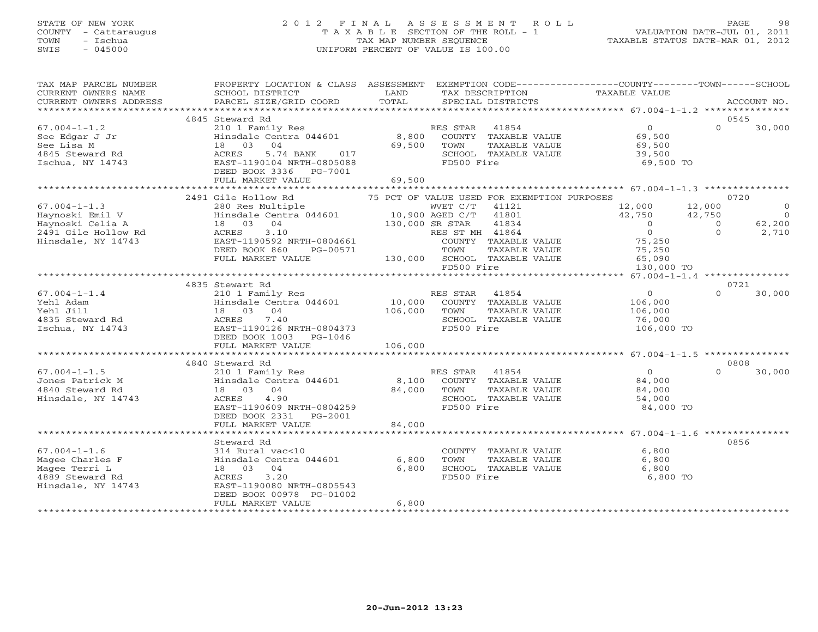# STATE OF NEW YORK 2 0 1 2 F I N A L A S S E S S M E N T R O L L PAGE 98 COUNTY - Cattaraugus T A X A B L E SECTION OF THE ROLL - 1 VALUATION DATE-JUL 01, 2011 TOWN - Ischua TAX MAP NUMBER SEQUENCE TAXABLE STATUS DATE-MAR 01, 2012 SWIS - 045000 UNIFORM PERCENT OF VALUE IS 100.00

| TAX MAP PARCEL NUMBER<br>CURRENT OWNERS NAME<br>CURRENT OWNERS ADDRESS                                 | PROPERTY LOCATION & CLASS ASSESSMENT<br>SCHOOL DISTRICT<br>PARCEL SIZE/GRID COORD                                                                                                                                                                      | LAND<br>TOTAL           | EXEMPTION CODE-----------------COUNTY-------TOWN------SCHOOL<br>TAX DESCRIPTION<br>SPECIAL DISTRICTS                                                                                                                    | TAXABLE VALUE                                                                                                                                            |                                      | ACCOUNT NO.                                          |
|--------------------------------------------------------------------------------------------------------|--------------------------------------------------------------------------------------------------------------------------------------------------------------------------------------------------------------------------------------------------------|-------------------------|-------------------------------------------------------------------------------------------------------------------------------------------------------------------------------------------------------------------------|----------------------------------------------------------------------------------------------------------------------------------------------------------|--------------------------------------|------------------------------------------------------|
|                                                                                                        |                                                                                                                                                                                                                                                        |                         |                                                                                                                                                                                                                         |                                                                                                                                                          |                                      |                                                      |
|                                                                                                        | 4845 Steward Rd                                                                                                                                                                                                                                        |                         |                                                                                                                                                                                                                         |                                                                                                                                                          |                                      | 0545                                                 |
| $67.004 - 1 - 1.2$<br>See Edgar J Jr<br>See Lisa M<br>4845 Steward Rd<br>Ischua, NY 14743              | 210 1 Family Res<br>Hinsdale Centra 044601<br>18 03 04<br>5.74 BANK 017<br>ACRES<br>EAST-1190104 NRTH-0805088<br>DEED BOOK 3336 PG-7001                                                                                                                |                         | RES STAR 41854<br>8,800 COUNTY TAXABLE VALUE<br>69,500 TOWN<br>TAXABLE VALUE<br>SCHOOL TAXABLE VALUE<br>FD500 Fire                                                                                                      | $\overline{0}$<br>69,500<br>69,500<br>39,500<br>69,500 TO                                                                                                | $\Omega$                             | 30,000                                               |
|                                                                                                        | FULL MARKET VALUE                                                                                                                                                                                                                                      | 69,500                  |                                                                                                                                                                                                                         |                                                                                                                                                          |                                      |                                                      |
|                                                                                                        |                                                                                                                                                                                                                                                        |                         |                                                                                                                                                                                                                         |                                                                                                                                                          |                                      |                                                      |
| $67.004 - 1 - 1.3$<br>Haynoski Emil V<br>Haynoski Celia A<br>2491 Gile Hollow Rd<br>Hinsdale, NY 14743 | 2491 Gile Hollow Rd<br>280 Res Multiple WVET C/T<br>Hinsdale Centra 044601 10,900 AGED C/T<br>18 03 04<br>130,000 SR STAR<br>RES ST M<br>COUNTY COUNTY<br>3.10<br>ACRES<br>EAST-1190592 NRTH-0804661<br>DEED BOOK 860<br>PG-00571<br>FULL MARKET VALUE |                         | 75 PCT OF VALUE USED FOR EXEMPTION PURPOSES<br>WVET C/T 41121<br>41801<br>41834<br>RES ST MH 41864<br>COUNTY TAXABLE VALUE<br>TOWN TAXABLE VALUE<br>TOWN<br>TAXABLE VALUE<br>130,000 SCHOOL TAXABLE VALUE<br>FD500 Fire | 12,000<br>$\frac{12}{12}$ , 000 $\frac{12}{12}$ , 000<br>42, 750 42, 750<br>$\overline{0}$<br>$\overline{0}$<br>75,250<br>75,250<br>65,090<br>130,000 TO | 12,000<br>$\overline{0}$<br>$\Omega$ | 0720<br>$\circ$<br>$\overline{0}$<br>62,200<br>2,710 |
|                                                                                                        |                                                                                                                                                                                                                                                        |                         |                                                                                                                                                                                                                         |                                                                                                                                                          |                                      |                                                      |
|                                                                                                        | 4835 Stewart Rd                                                                                                                                                                                                                                        |                         |                                                                                                                                                                                                                         |                                                                                                                                                          |                                      | 0721                                                 |
| $67.004 - 1 - 1.4$<br>Yehl Adam<br>Yehl Jill<br>4835 Steward Rd<br>Ischua, NY 14743                    | 210 1 Family Res<br>Hinsdale Centra 044601 10,000<br>18 03 04<br>7.40<br>ACRES<br>EAST-1190126 NRTH-0804373<br>DEED BOOK 1003 PG-1046                                                                                                                  | 106,000 TOWN            | RES STAR 41854<br>COUNTY TAXABLE VALUE<br>TAXABLE VALUE<br>SCHOOL TAXABLE VALUE<br>FD500 Fire                                                                                                                           | $\overline{0}$<br>106,000<br>106,000<br>76,000<br>106,000 TO                                                                                             | $\Omega$                             | 30,000                                               |
|                                                                                                        | FULL MARKET VALUE                                                                                                                                                                                                                                      | 106,000                 |                                                                                                                                                                                                                         |                                                                                                                                                          |                                      |                                                      |
|                                                                                                        |                                                                                                                                                                                                                                                        |                         |                                                                                                                                                                                                                         |                                                                                                                                                          |                                      |                                                      |
| $67.004 - 1 - 1.5$<br>Jones Patrick M<br>4840 Steward Rd<br>Hinsdale, NY 14743                         | 4840 Steward Rd<br>210 1 Family Res<br>Hinsdale Centra 044601 8,100 COUNTY TAXABLE VALUE<br>18 03 04<br>4.90<br>ACRES<br>EAST-1190609 NRTH-0804259<br>DEED BOOK 2331 PG-2001                                                                           |                         | RES STAR 41854<br>84,000 TOWN<br>TAXABLE VALUE<br>SCHOOL TAXABLE VALUE<br>FD500 Fire                                                                                                                                    | $\overline{0}$<br>84,000<br>84,000<br>54,000<br>84,000 TO                                                                                                | $\cap$                               | 0808<br>30,000                                       |
|                                                                                                        | FULL MARKET VALUE                                                                                                                                                                                                                                      | 84,000                  |                                                                                                                                                                                                                         |                                                                                                                                                          |                                      |                                                      |
|                                                                                                        |                                                                                                                                                                                                                                                        |                         |                                                                                                                                                                                                                         |                                                                                                                                                          |                                      |                                                      |
| $67.004 - 1 - 1.6$<br>Magee Charles F<br>Magee Terri L<br>4889 Steward Rd<br>Hinsdale, NY 14743        | Steward Rd<br>314 Rural vac<10<br>Hinsdale Centra 044601<br>18 03 04<br>3.20<br>ACRES<br>EAST-1190080 NRTH-0805543<br>DEED BOOK 00978 PG-01002<br>FULL MARKET VALUE                                                                                    | 6,800<br>6,800<br>6,800 | COUNTY TAXABLE VALUE<br>TOWN TAXABLE VALUE<br>TOWN<br>TAXABLE VALUE<br>SCHOOL TAXABLE VALUE<br>FD500 Fire                                                                                                               | 6,800<br>6,800<br>6,800<br>6,800 TO                                                                                                                      |                                      | 0856                                                 |
|                                                                                                        |                                                                                                                                                                                                                                                        |                         |                                                                                                                                                                                                                         |                                                                                                                                                          |                                      |                                                      |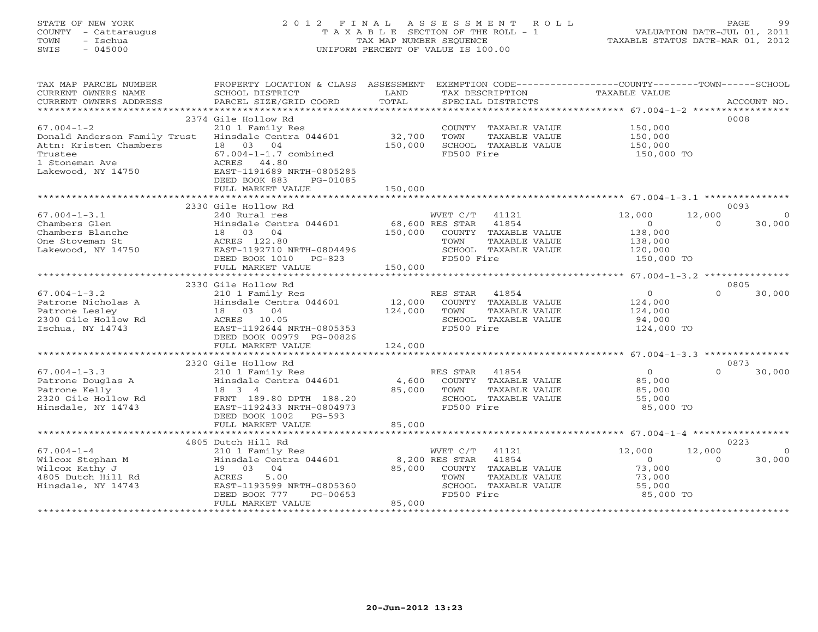# STATE OF NEW YORK 2 0 1 2 F I N A L A S S E S S M E N T R O L L PAGE 99 COUNTY - Cattaraugus T A X A B L E SECTION OF THE ROLL - 1 VALUATION DATE-JUL 01, 2011 TOWN - Ischua TAX MAP NUMBER SEQUENCE TAXABLE STATUS DATE-MAR 01, 2012 SWIS - 045000 UNIFORM PERCENT OF VALUE IS 100.00

| TAX MAP PARCEL NUMBER<br>CURRENT OWNERS NAME<br>CURRENT OWNERS ADDRESS | PROPERTY LOCATION & CLASS ASSESSMENT<br>SCHOOL DISTRICT<br>PARCEL SIZE/GRID COORD | LAND<br>TOTAL   | EXEMPTION CODE-----------------COUNTY-------TOWN------SCHOOL<br>TAX DESCRIPTION<br>SPECIAL DISTRICTS | TAXABLE VALUE  | ACCOUNT NO.        |
|------------------------------------------------------------------------|-----------------------------------------------------------------------------------|-----------------|------------------------------------------------------------------------------------------------------|----------------|--------------------|
| *************************                                              |                                                                                   |                 |                                                                                                      |                |                    |
|                                                                        | 2374 Gile Hollow Rd                                                               |                 |                                                                                                      |                | 0008               |
| $67.004 - 1 - 2$                                                       | 210 1 Family Res                                                                  |                 | COUNTY TAXABLE VALUE                                                                                 | 150,000        |                    |
| Donald Anderson Family Trust                                           | Hinsdale Centra 044601                                                            | 32,700          | TOWN<br>TAXABLE VALUE                                                                                | 150,000        |                    |
| Attn: Kristen Chambers                                                 | 18  03  04                                                                        | 150,000         | SCHOOL TAXABLE VALUE                                                                                 | 150,000        |                    |
| Trustee                                                                | $67.004 - 1 - 1.7$ combined                                                       |                 | FD500 Fire                                                                                           | 150,000 TO     |                    |
| 1 Stoneman Ave                                                         | ACRES 44.80                                                                       |                 |                                                                                                      |                |                    |
| Lakewood, NY 14750                                                     | EAST-1191689 NRTH-0805285                                                         |                 |                                                                                                      |                |                    |
|                                                                        | DEED BOOK 883<br>PG-01085                                                         |                 |                                                                                                      |                |                    |
|                                                                        | FULL MARKET VALUE                                                                 | 150,000         |                                                                                                      |                |                    |
|                                                                        |                                                                                   |                 |                                                                                                      |                |                    |
|                                                                        | 2330 Gile Hollow Rd                                                               |                 |                                                                                                      |                | 0093               |
| $67.004 - 1 - 3.1$                                                     | 240 Rural res                                                                     |                 | WVET C/T 41121                                                                                       | 12,000         | 12,000<br>$\Omega$ |
| Chambers Glen                                                          | Hinsdale Centra 044601                                                            | 68,600 RES STAR | 41854                                                                                                | $\circ$        | $\Omega$<br>30,000 |
| Chambers Blanche                                                       | 18 03 04                                                                          | 150,000         | COUNTY TAXABLE VALUE                                                                                 | 138,000        |                    |
| One Stoveman St                                                        | ACRES 122.80                                                                      |                 | TOWN<br>TAXABLE VALUE                                                                                | 138,000        |                    |
| Lakewood, NY 14750                                                     | EAST-1192710 NRTH-0804496                                                         |                 | SCHOOL TAXABLE VALUE                                                                                 | 120,000        |                    |
|                                                                        | DEED BOOK 1010<br>PG-823                                                          |                 | FD500 Fire                                                                                           | 150,000 TO     |                    |
|                                                                        | FULL MARKET VALUE                                                                 | 150,000         |                                                                                                      |                |                    |
|                                                                        |                                                                                   |                 |                                                                                                      |                |                    |
|                                                                        | 2330 Gile Hollow Rd                                                               |                 |                                                                                                      |                | 0805               |
| $67.004 - 1 - 3.2$                                                     | 210 1 Family Res                                                                  |                 | RES STAR<br>41854                                                                                    | $\overline{0}$ | $\Omega$<br>30,000 |
| Patrone Nicholas A                                                     | Hinsdale Centra 044601                                                            | 12,000          | COUNTY TAXABLE VALUE                                                                                 | 124,000        |                    |
| Patrone Lesley                                                         | 18  03  04                                                                        | 124,000         | TOWN<br>TAXABLE VALUE                                                                                | 124,000        |                    |
| 2300 Gile Hollow Rd                                                    | ACRES 10.05                                                                       |                 | SCHOOL TAXABLE VALUE                                                                                 | 94,000         |                    |
| Ischua, NY 14743                                                       | EAST-1192644 NRTH-0805353                                                         |                 | FD500 Fire                                                                                           | 124,000 TO     |                    |
|                                                                        | DEED BOOK 00979 PG-00826<br>FULL MARKET VALUE                                     | 124,000         |                                                                                                      |                |                    |
|                                                                        |                                                                                   |                 |                                                                                                      |                |                    |
|                                                                        | 2320 Gile Hollow Rd                                                               |                 |                                                                                                      |                | 0873               |
| $67.004 - 1 - 3.3$                                                     | 210 1 Family Res                                                                  |                 | 41854<br>RES STAR                                                                                    | $\Omega$       | $\Omega$<br>30,000 |
| Patrone Douglas A                                                      | Hinsdale Centra 044601                                                            | 4,600           | COUNTY TAXABLE VALUE                                                                                 | 85,000         |                    |
| Patrone Kelly                                                          | 18 3 4                                                                            | 85,000          | TOWN<br>TAXABLE VALUE                                                                                | 85,000         |                    |
| 2320 Gile Hollow Rd                                                    | FRNT 189.80 DPTH 188.20                                                           |                 | SCHOOL TAXABLE VALUE                                                                                 | 55,000         |                    |
| Hinsdale, NY 14743                                                     | EAST-1192433 NRTH-0804973                                                         |                 | FD500 Fire                                                                                           | 85,000 TO      |                    |
|                                                                        | DEED BOOK 1002<br>$PG-593$                                                        |                 |                                                                                                      |                |                    |
|                                                                        | FULL MARKET VALUE                                                                 | 85,000          |                                                                                                      |                |                    |
|                                                                        |                                                                                   |                 |                                                                                                      |                |                    |
|                                                                        | 4805 Dutch Hill Rd                                                                |                 |                                                                                                      |                | 0223               |
| $67.004 - 1 - 4$                                                       | 210 1 Family Res                                                                  |                 | WVET C/T<br>41121                                                                                    | 12,000         | 12,000<br>$\circ$  |
| Wilcox Stephan M                                                       | Hinsdale Centra 044601                                                            |                 | 8,200 RES STAR<br>41854                                                                              | $\Omega$       | $\Omega$<br>30,000 |
| Wilcox Kathy J                                                         | 19 03 04                                                                          | 85,000          | COUNTY TAXABLE VALUE                                                                                 | 73,000         |                    |
| 4805 Dutch Hill Rd                                                     | 5.00<br>ACRES                                                                     |                 | TOWN<br>TAXABLE VALUE                                                                                | 73,000         |                    |
| Hinsdale, NY 14743                                                     | EAST-1193599 NRTH-0805360                                                         |                 | SCHOOL TAXABLE VALUE                                                                                 | 55,000         |                    |
|                                                                        | DEED BOOK 777<br>PG-00653                                                         |                 | FD500 Fire                                                                                           | 85,000 TO      |                    |
|                                                                        | FULL MARKET VALUE                                                                 | 85,000          |                                                                                                      |                |                    |
|                                                                        |                                                                                   |                 |                                                                                                      |                |                    |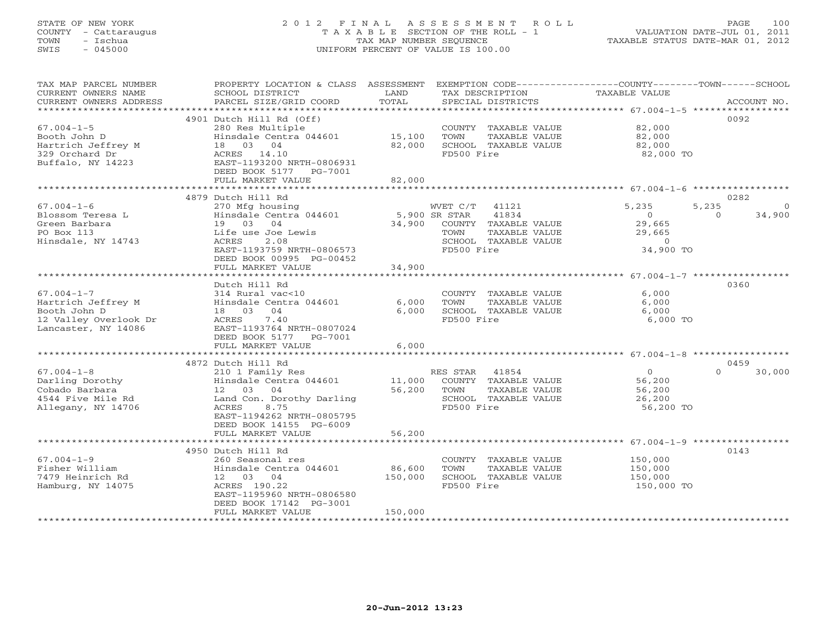### STATE OF NEW YORK 2 0 1 2 F I N A L A S S E S S M E N T R O L L PAGE 100 COUNTY - Cattaraugus T A X A B L E SECTION OF THE ROLL - 1 VALUATION DATE-JUL 01, 2011 TOWN - Ischua TAX MAP NUMBER SEQUENCE TAXABLE STATUS DATE-MAR 01, 2012 SWIS - 045000 UNIFORM PERCENT OF VALUE IS 100.00UNIFORM PERCENT OF VALUE IS 100.00

| TAX MAP PARCEL NUMBER<br>CURRENT OWNERS NAME<br>CURRENT OWNERS ADDRESS | PROPERTY LOCATION & CLASS ASSESSMENT<br>SCHOOL DISTRICT<br>PARCEL SIZE/GRID COORD | LAND<br>TOTAL |                | TAX DESCRIPTION<br>SPECIAL DISTRICTS | EXEMPTION CODE-----------------COUNTY-------TOWN------SCHOOL<br>TAXABLE VALUE | ACCOUNT NO.      |         |
|------------------------------------------------------------------------|-----------------------------------------------------------------------------------|---------------|----------------|--------------------------------------|-------------------------------------------------------------------------------|------------------|---------|
| *************************                                              |                                                                                   |               |                |                                      |                                                                               |                  |         |
|                                                                        | 4901 Dutch Hill Rd (Off)                                                          |               |                |                                      |                                                                               | 0092             |         |
| $67.004 - 1 - 5$                                                       | 280 Res Multiple                                                                  |               |                | COUNTY TAXABLE VALUE                 | 82,000                                                                        |                  |         |
| Booth John D                                                           | Hinsdale Centra 044601                                                            | 15,100        | TOWN           | TAXABLE VALUE                        | 82,000                                                                        |                  |         |
| Hartrich Jeffrey M                                                     | 18 03 04                                                                          | 82,000        |                | SCHOOL TAXABLE VALUE                 | 82,000                                                                        |                  |         |
| 329 Orchard Dr                                                         | ACRES 14.10                                                                       |               | FD500 Fire     |                                      | 82,000 TO                                                                     |                  |         |
| Buffalo, NY 14223                                                      | EAST-1193200 NRTH-0806931                                                         |               |                |                                      |                                                                               |                  |         |
|                                                                        | DEED BOOK 5177 PG-7001                                                            |               |                |                                      |                                                                               |                  |         |
|                                                                        | FULL MARKET VALUE                                                                 | 82,000        |                |                                      |                                                                               |                  |         |
|                                                                        |                                                                                   |               |                |                                      |                                                                               |                  |         |
|                                                                        | 4879 Dutch Hill Rd                                                                |               |                |                                      |                                                                               | 0282             |         |
| $67.004 - 1 - 6$                                                       | 270 Mfg housing                                                                   |               | WVET C/T 41121 |                                      | 5,235                                                                         | 5,235            | $\circ$ |
| Blossom Teresa L                                                       | Hinsdale Centra 044601                                                            | 5,900 SR STAR |                | 41834                                | $\circ$                                                                       | $\circ$          | 34,900  |
| Green Barbara                                                          | 19 03 04                                                                          | 34,900        |                | COUNTY TAXABLE VALUE                 | 29,665                                                                        |                  |         |
| PO Box 113                                                             | Life use Joe Lewis                                                                |               | TOWN           | TAXABLE VALUE                        | 29,665                                                                        |                  |         |
| Hinsdale, NY 14743                                                     | ACRES<br>2.08                                                                     |               |                | SCHOOL TAXABLE VALUE                 | $\Omega$                                                                      |                  |         |
|                                                                        | EAST-1193759 NRTH-0806573                                                         |               | FD500 Fire     |                                      | 34,900 TO                                                                     |                  |         |
|                                                                        | DEED BOOK 00995 PG-00452                                                          |               |                |                                      |                                                                               |                  |         |
|                                                                        | FULL MARKET VALUE                                                                 | 34,900        |                |                                      |                                                                               |                  |         |
|                                                                        | *********************                                                             | **********    |                |                                      | ************************ 67.004-1-7 ******************                        |                  |         |
|                                                                        | Dutch Hill Rd                                                                     |               |                |                                      |                                                                               | 0360             |         |
| $67.004 - 1 - 7$                                                       | 314 Rural vac<10                                                                  |               |                | COUNTY TAXABLE VALUE                 | 6,000                                                                         |                  |         |
| Hartrich Jeffrey M                                                     | Hinsdale Centra 044601                                                            | 6,000         | TOWN           | TAXABLE VALUE                        | 6,000                                                                         |                  |         |
| Booth John D                                                           | 18 03<br>04                                                                       | 6.000         |                | SCHOOL TAXABLE VALUE                 | 6,000                                                                         |                  |         |
| 12 Valley Overlook Dr                                                  | ACRES<br>7.40                                                                     |               | FD500 Fire     |                                      | 6,000 TO                                                                      |                  |         |
| Lancaster, NY 14086                                                    | EAST-1193764 NRTH-0807024                                                         |               |                |                                      |                                                                               |                  |         |
|                                                                        | DEED BOOK 5177 PG-7001                                                            |               |                |                                      |                                                                               |                  |         |
|                                                                        | FULL MARKET VALUE<br>*************************                                    | 6,000         |                |                                      |                                                                               |                  |         |
|                                                                        |                                                                                   |               |                |                                      |                                                                               |                  |         |
| $67.004 - 1 - 8$                                                       | 4872 Dutch Hill Rd                                                                |               |                |                                      | $\Omega$                                                                      | 0459<br>$\Omega$ | 30,000  |
| Darling Dorothy                                                        | 210 1 Family Res<br>Hinsdale Centra 044601                                        | 11,000        | RES STAR 41854 | COUNTY TAXABLE VALUE                 | 56,200                                                                        |                  |         |
| Cobado Barbara                                                         | 12 03 04                                                                          | 56,200        | TOWN           | TAXABLE VALUE                        | 56,200                                                                        |                  |         |
| 4544 Five Mile Rd                                                      | Land Con. Dorothy Darling                                                         |               |                | SCHOOL TAXABLE VALUE                 | 26,200                                                                        |                  |         |
| Allegany, NY 14706                                                     | 8.75<br>ACRES                                                                     |               | FD500 Fire     |                                      | 56,200 TO                                                                     |                  |         |
|                                                                        | EAST-1194262 NRTH-0805795                                                         |               |                |                                      |                                                                               |                  |         |
|                                                                        | DEED BOOK 14155 PG-6009                                                           |               |                |                                      |                                                                               |                  |         |
|                                                                        | FULL MARKET VALUE                                                                 | 56,200        |                |                                      |                                                                               |                  |         |
|                                                                        |                                                                                   |               |                |                                      |                                                                               |                  |         |
|                                                                        | 4950 Dutch Hill Rd                                                                |               |                |                                      |                                                                               | 0143             |         |
| $67.004 - 1 - 9$                                                       | 260 Seasonal res                                                                  |               |                | COUNTY TAXABLE VALUE                 | 150,000                                                                       |                  |         |
| Fisher William                                                         | Hinsdale Centra 044601                                                            | 86,600        | TOWN           | TAXABLE VALUE                        | 150,000                                                                       |                  |         |
| 7479 Heinrich Rd                                                       | 12 03 04                                                                          | 150,000       |                | SCHOOL TAXABLE VALUE                 | 150,000                                                                       |                  |         |
| Hamburg, NY 14075                                                      | ACRES 190.22                                                                      |               | FD500 Fire     |                                      | 150,000 TO                                                                    |                  |         |
|                                                                        | EAST-1195960 NRTH-0806580                                                         |               |                |                                      |                                                                               |                  |         |
|                                                                        | DEED BOOK 17142 PG-3001                                                           |               |                |                                      |                                                                               |                  |         |
|                                                                        | FULL MARKET VALUE                                                                 | 150,000       |                |                                      |                                                                               |                  |         |
|                                                                        |                                                                                   |               |                |                                      |                                                                               |                  |         |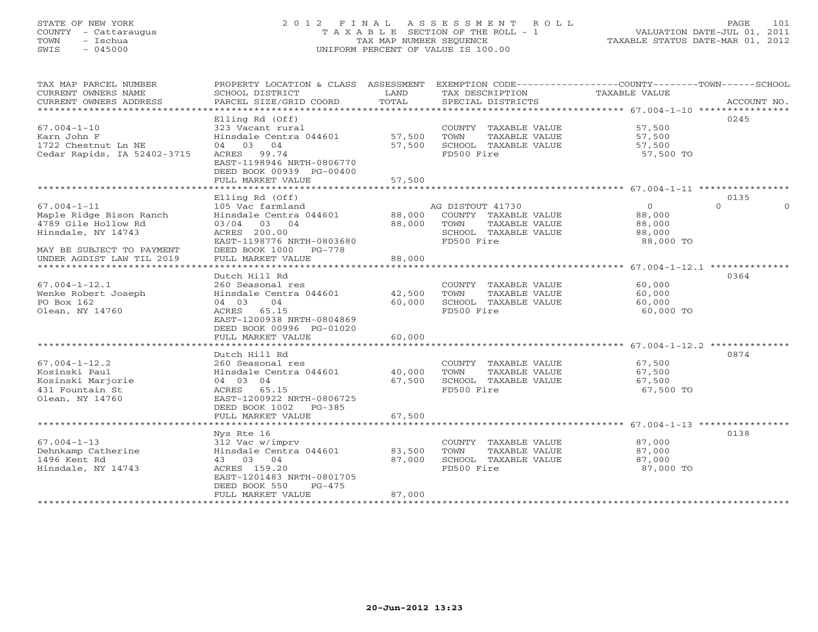### STATE OF NEW YORK 2 0 1 2 F I N A L A S S E S S M E N T R O L L PAGE 101 COUNTY - Cattaraugus T A X A B L E SECTION OF THE ROLL - 1 VALUATION DATE-JUL 01, 2011 TOWN - Ischua TAX MAP NUMBER SEQUENCE TAXABLE STATUS DATE-MAR 01, 2012 SWIS - 045000 UNIFORM PERCENT OF VALUE IS 100.00UNIFORM PERCENT OF VALUE IS 100.00

| TAX MAP PARCEL NUMBER<br>CURRENT OWNERS NAME<br>CURRENT OWNERS ADDRESS                                                 | PROPERTY LOCATION & CLASS ASSESSMENT<br>SCHOOL DISTRICT<br>PARCEL SIZE/GRID COORD                                                                                      | LAND<br>TOTAL              | TAX DESCRIPTION<br>SPECIAL DISTRICTS                                                                    | EXEMPTION CODE-----------------COUNTY-------TOWN------SCHOOL<br>TAXABLE VALUE | ACCOUNT NO. |
|------------------------------------------------------------------------------------------------------------------------|------------------------------------------------------------------------------------------------------------------------------------------------------------------------|----------------------------|---------------------------------------------------------------------------------------------------------|-------------------------------------------------------------------------------|-------------|
| $67.004 - 1 - 10$<br>Karn John F<br>1722 Chestnut Ln NE<br>Cedar Rapids, IA 52402-3715                                 | Elling Rd (Off)<br>323 Vacant rural<br>Hinsdale Centra 044601<br>04 03 04<br>ACRES 99.74<br>EAST-1198946 NRTH-0806770<br>DEED BOOK 00939 PG-00400<br>FULL MARKET VALUE | 57,500<br>57,500<br>57,500 | COUNTY TAXABLE VALUE<br>TOWN<br>TAXABLE VALUE<br>SCHOOL TAXABLE VALUE<br>FD500 Fire                     | 0245<br>57,500<br>57,500<br>57,500<br>57,500 TO                               |             |
|                                                                                                                        | Elling Rd (Off)                                                                                                                                                        |                            |                                                                                                         | 0135                                                                          |             |
| $67.004 - 1 - 11$<br>Maple Ridge Bison Ranch<br>4789 Gile Hollow Rd<br>Hinsdale, NY 14743<br>MAY BE SUBJECT TO PAYMENT | 105 Vac farmland<br>Hinsdale Centra 044601<br>03/04 03 04<br>ACRES 200.00<br>EAST-1198776 NRTH-0803680<br>DEED BOOK 1000<br>PG-778                                     | 88,000<br>88,000           | AG DISTOUT 41730<br>COUNTY TAXABLE VALUE<br>TOWN<br>TAXABLE VALUE<br>SCHOOL TAXABLE VALUE<br>FD500 Fire | $\overline{0}$<br>$\Omega$<br>88,000<br>88,000<br>88,000<br>88,000 TO         | $\Omega$    |
| UNDER AGDIST LAW TIL 2019                                                                                              | FULL MARKET VALUE                                                                                                                                                      | 88,000                     |                                                                                                         |                                                                               |             |
| $67.004 - 1 - 12.1$<br>Wenke Robert Joseph<br>PO Box 162<br>Olean, NY 14760                                            | Dutch Hill Rd<br>260 Seasonal res<br>Hinsdale Centra 044601<br>04<br>04 03<br>ACRES<br>65.15<br>EAST-1200938 NRTH-0804869<br>DEED BOOK 00996 PG-01020                  | 42,500<br>60,000           | COUNTY TAXABLE VALUE<br>TOWN<br>TAXABLE VALUE<br>SCHOOL TAXABLE VALUE<br>FD500 Fire                     | 0364<br>60,000<br>60,000<br>60,000<br>60,000 TO                               |             |
|                                                                                                                        | FULL MARKET VALUE                                                                                                                                                      | 60,000                     |                                                                                                         |                                                                               |             |
| $67.004 - 1 - 12.2$<br>Kosinski Paul<br>Kosinski Marjorie<br>431 Fountain St<br>Olean, NY 14760                        | Dutch Hill Rd<br>260 Seasonal res<br>Hinsdale Centra 044601<br>04 03 04<br>ACRES 65.15<br>EAST-1200922 NRTH-0806725<br>DEED BOOK 1002<br>PG-385                        | 40,000<br>67,500           | COUNTY TAXABLE VALUE<br>TOWN<br>TAXABLE VALUE<br>SCHOOL TAXABLE VALUE<br>FD500 Fire                     | 0874<br>67,500<br>67,500<br>67,500<br>67,500 TO                               |             |
|                                                                                                                        | FULL MARKET VALUE                                                                                                                                                      | 67,500                     |                                                                                                         |                                                                               |             |
| $67.004 - 1 - 13$<br>Dehnkamp Catherine<br>1496 Kent Rd<br>Hinsdale, NY 14743                                          | Nys Rte 16<br>312 Vac w/imprv<br>Hinsdale Centra 044601<br>43 03 04<br>ACRES 159.20<br>EAST-1201483 NRTH-0801705<br>DEED BOOK 550<br>$PG-475$                          | 83,500<br>87,000           | COUNTY TAXABLE VALUE<br>TAXABLE VALUE<br>TOWN<br>SCHOOL TAXABLE VALUE<br>FD500 Fire                     | 0138<br>87,000<br>87,000<br>87,000<br>87,000 TO                               |             |
|                                                                                                                        | FULL MARKET VALUE                                                                                                                                                      | 87,000                     |                                                                                                         |                                                                               |             |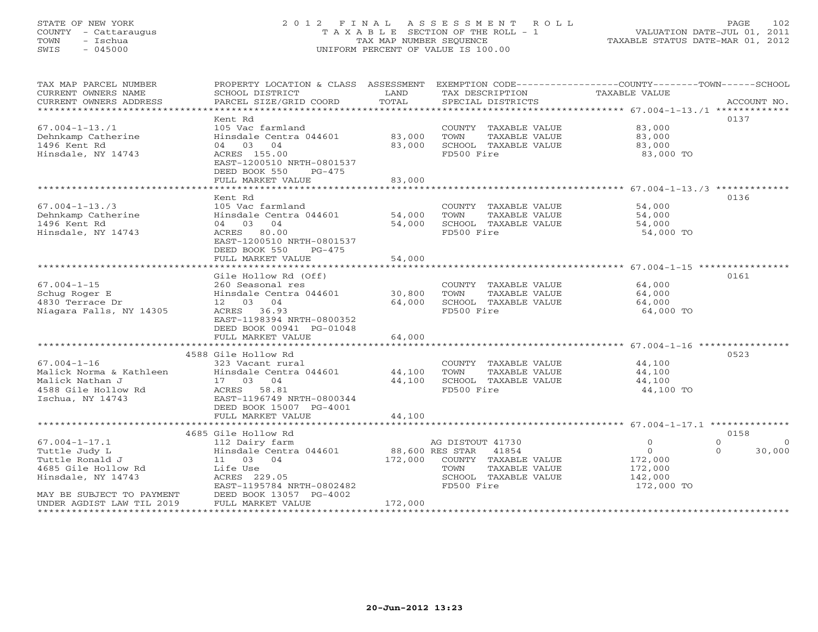### STATE OF NEW YORK 2 0 1 2 F I N A L A S S E S S M E N T R O L L PAGE 102 COUNTY - Cattaraugus T A X A B L E SECTION OF THE ROLL - 1 VALUATION DATE-JUL 01, 2011 TOWN - Ischua TAX MAP NUMBER SEQUENCE TAXABLE STATUS DATE-MAR 01, 2012 SWIS - 045000 UNIFORM PERCENT OF VALUE IS 100.00UNIFORM PERCENT OF VALUE IS 100.00

| TAX MAP PARCEL NUMBER<br>CURRENT OWNERS NAME | PROPERTY LOCATION & CLASS ASSESSMENT<br>SCHOOL DISTRICT | LAND<br>TOTAL   | TAX DESCRIPTION       | EXEMPTION CODE-----------------COUNTY-------TOWN------SCHOOL<br><b>TAXABLE VALUE</b> | ACCOUNT NO.          |
|----------------------------------------------|---------------------------------------------------------|-----------------|-----------------------|--------------------------------------------------------------------------------------|----------------------|
| CURRENT OWNERS ADDRESS                       | PARCEL SIZE/GRID COORD                                  |                 | SPECIAL DISTRICTS     |                                                                                      |                      |
|                                              | Kent Rd                                                 |                 |                       |                                                                                      | 0137                 |
| $67.004 - 1 - 13.71$                         | 105 Vac farmland                                        |                 | COUNTY TAXABLE VALUE  | 83,000                                                                               |                      |
| Dehnkamp Catherine                           | Hinsdale Centra 044601                                  | 83,000          | TOWN<br>TAXABLE VALUE | 83,000                                                                               |                      |
| 1496 Kent Rd                                 | 04 03<br>04                                             | 83,000          | SCHOOL TAXABLE VALUE  | 83,000                                                                               |                      |
| Hinsdale, NY 14743                           | ACRES 155.00                                            |                 | FD500 Fire            | 83,000 TO                                                                            |                      |
|                                              | EAST-1200510 NRTH-0801537                               |                 |                       |                                                                                      |                      |
|                                              | DEED BOOK 550<br>PG-475                                 |                 |                       |                                                                                      |                      |
|                                              | FULL MARKET VALUE                                       | 83,000          |                       |                                                                                      |                      |
|                                              | Kent Rd                                                 |                 |                       |                                                                                      | 0136                 |
| $67.004 - 1 - 13.73$                         | 105 Vac farmland                                        |                 | COUNTY TAXABLE VALUE  | 54,000                                                                               |                      |
| Dehnkamp Catherine                           | Hinsdale Centra 044601                                  | 54,000          | TOWN<br>TAXABLE VALUE | 54,000                                                                               |                      |
| 1496 Kent Rd                                 | 04 03 04                                                | 54,000          | SCHOOL TAXABLE VALUE  | 54,000                                                                               |                      |
| Hinsdale, NY 14743                           | ACRES 80.00                                             |                 | FD500 Fire            | 54,000 TO                                                                            |                      |
|                                              | EAST-1200510 NRTH-0801537                               |                 |                       |                                                                                      |                      |
|                                              | DEED BOOK 550<br>$PG-475$                               |                 |                       |                                                                                      |                      |
|                                              | FULL MARKET VALUE                                       | 54,000          |                       |                                                                                      |                      |
|                                              |                                                         |                 |                       |                                                                                      |                      |
|                                              | Gile Hollow Rd (Off)                                    |                 |                       |                                                                                      | 0161                 |
| $67.004 - 1 - 15$                            | 260 Seasonal res                                        |                 | COUNTY TAXABLE VALUE  | 64,000                                                                               |                      |
| Schug Roger E                                | Hinsdale Centra 044601                                  | 30,800          | TOWN<br>TAXABLE VALUE | 64,000                                                                               |                      |
| 4830 Terrace Dr                              | 12 03 04                                                | 64,000          | SCHOOL TAXABLE VALUE  | 64,000                                                                               |                      |
| Niagara Falls, NY 14305                      | ACRES 36.93<br>EAST-1198394 NRTH-0800352                |                 | FD500 Fire            | 64,000 TO                                                                            |                      |
|                                              | DEED BOOK 00941 PG-01048                                |                 |                       |                                                                                      |                      |
|                                              | FULL MARKET VALUE                                       | 64,000          |                       |                                                                                      |                      |
|                                              |                                                         |                 |                       |                                                                                      |                      |
|                                              | 4588 Gile Hollow Rd                                     |                 |                       |                                                                                      | 0523                 |
| $67.004 - 1 - 16$                            | 323 Vacant rural                                        |                 | COUNTY TAXABLE VALUE  | 44,100                                                                               |                      |
| Malick Norma & Kathleen                      | Hinsdale Centra 044601                                  | 44,100          | TOWN<br>TAXABLE VALUE | 44,100                                                                               |                      |
| Malick Nathan J                              | 17 03 04                                                | 44,100          | SCHOOL TAXABLE VALUE  | 44,100                                                                               |                      |
| 4588 Gile Hollow Rd                          | ACRES 58.81                                             |                 | FD500 Fire            | 44,100 TO                                                                            |                      |
| Ischua, NY 14743                             | EAST-1196749 NRTH-0800344                               |                 |                       |                                                                                      |                      |
|                                              | DEED BOOK 15007 PG-4001                                 |                 |                       |                                                                                      |                      |
|                                              | FULL MARKET VALUE                                       | 44,100          |                       |                                                                                      |                      |
|                                              | 4685 Gile Hollow Rd                                     |                 |                       |                                                                                      | 0158                 |
| $67.004 - 1 - 17.1$                          | 112 Dairy farm                                          |                 | AG DISTOUT 41730      | $\Omega$                                                                             | $\Omega$<br>$\Omega$ |
| Tuttle Judy L                                | Hinsdale Centra 044601                                  | 88,600 RES STAR | 41854                 | $\circ$                                                                              | 30,000<br>$\Omega$   |
| Tuttle Ronald J                              | 11 03 04                                                | 172,000         | COUNTY TAXABLE VALUE  | 172,000                                                                              |                      |
| 4685 Gile Hollow Rd                          | Life Use                                                |                 | TOWN<br>TAXABLE VALUE | 172,000                                                                              |                      |
| Hinsdale, NY 14743                           | ACRES 229.05                                            |                 | SCHOOL TAXABLE VALUE  | 142,000                                                                              |                      |
|                                              | EAST-1195784 NRTH-0802482                               |                 | FD500 Fire            | 172,000 TO                                                                           |                      |
| MAY BE SUBJECT TO PAYMENT                    | DEED BOOK 13057 PG-4002                                 |                 |                       |                                                                                      |                      |
| UNDER AGDIST LAW TIL 2019                    | FULL MARKET VALUE                                       | 172,000         |                       |                                                                                      |                      |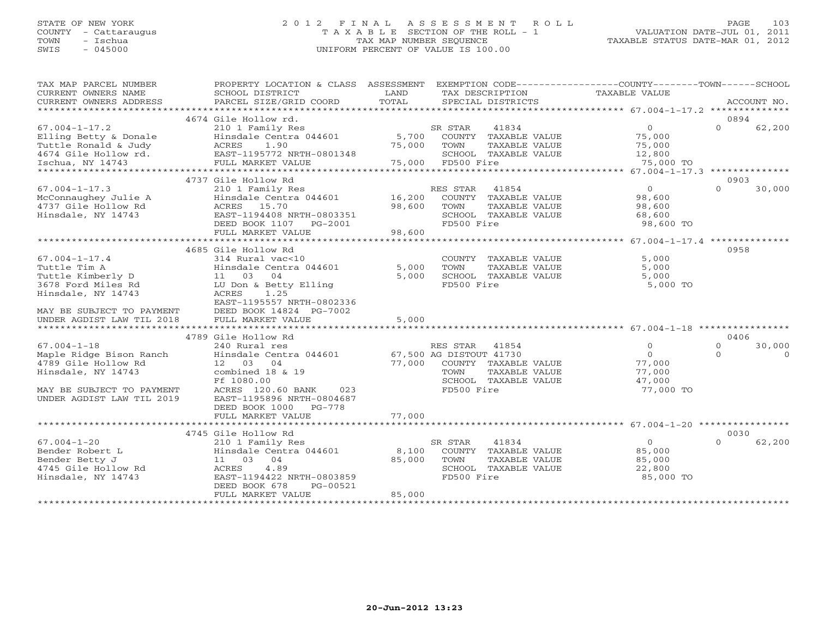### STATE OF NEW YORK 2 0 1 2 F I N A L A S S E S S M E N T R O L L PAGE 103 COUNTY - Cattaraugus T A X A B L E SECTION OF THE ROLL - 1 VALUATION DATE-JUL 01, 2011 TOWN - Ischua TAX MAP NUMBER SEQUENCE TAXABLE STATUS DATE-MAR 01, 2012 SWIS - 045000 UNIFORM PERCENT OF VALUE IS 100.00UNIFORM PERCENT OF VALUE IS 100.00

| TAX MAP PARCEL NUMBER<br>CURRENT OWNERS NAME<br>CURRENT OWNERS ADDRESS                                                                                         | PROPERTY LOCATION & CLASS ASSESSMENT EXEMPTION CODE---------------COUNTY-------TOWN------SCHOOL<br>SCHOOL DISTRICT<br>PARCEL SIZE/GRID COORD                                                      | LAND<br>TOTAL              | TAX DESCRIPTION TAXABLE VALUE<br>SPECIAL DISTRICTS                                                                                      |                                                                | ACCOUNT NO.                                |
|----------------------------------------------------------------------------------------------------------------------------------------------------------------|---------------------------------------------------------------------------------------------------------------------------------------------------------------------------------------------------|----------------------------|-----------------------------------------------------------------------------------------------------------------------------------------|----------------------------------------------------------------|--------------------------------------------|
| $67.004 - 1 - 17.2$<br>Elling Betty & Donale<br>Tuttle Ronald & Judy<br>4674 Gile Hollow rd.                                                                   | 4674 Gile Hollow rd.<br>210 1 Family Res<br>Hinsdale Centra 044601                                                                                                                                | 75,000                     | 41834<br>SR STAR<br>5,700 COUNTY TAXABLE VALUE<br>TOWN<br>TAXABLE VALUE<br>SCHOOL TAXABLE VALUE                                         | $\overline{0}$<br>75,000<br>75,000<br>12,800                   | 0894<br>$\Omega$<br>62,200                 |
| Ischua, NY 14743                                                                                                                                               | FULL MARKET VALUE                                                                                                                                                                                 |                            | 75,000 FD500 Fire                                                                                                                       | 75,000 TO                                                      |                                            |
| $67.004 - 1 - 17.3$<br>McConnaughey Julie A<br>4737 Gile Hollow Rd<br>Hinsdale, NY 14743                                                                       | 4737 Gile Hollow Rd<br>210 1 Family Res<br>Hinsdale Centra 044601<br>ACRES 15.70<br>EAST-1194408 NRTH-0803351<br>DEED BOOK 1107 PG-2001<br>FULL MARKET VALUE                                      | 16,200<br>98,600<br>98,600 | RES STAR 41854<br>COUNTY TAXABLE VALUE<br>TOWN<br>TAXABLE VALUE<br>SCHOOL TAXABLE VALUE<br>FD500 Fire                                   | $\Omega$<br>98,600<br>98,600<br>68,600<br>98,600 TO            | 0903<br>$\cap$<br>30,000                   |
| $67.004 - 1 - 17.4$<br>Tuttle Tim A<br>Tuttle Kimberly D<br>3678 Ford Miles Rd<br>Hinsdale, NY 14743<br>MAY BE SUBJECT TO PAYMENT<br>UNDER AGDIST LAW TIL 2018 | 4685 Gile Hollow Rd<br>314 Rural vac<10<br>Hinsdale Centra 044601<br>11 03 04<br>LU Don & Betty Elling<br>ACRES 1.25<br>EAST-1195557 NRTH-0802336<br>DEED BOOK 14824 PG-7002<br>FULL MARKET VALUE | 5,000<br>5,000<br>5,000    | COUNTY TAXABLE VALUE<br>TOWN<br>TAXABLE VALUE<br>SCHOOL TAXABLE VALUE<br>FD500 Fire                                                     | 5,000<br>5,000<br>5,000<br>5,000 TO                            | 0958                                       |
|                                                                                                                                                                | 4789 Gile Hollow Rd                                                                                                                                                                               |                            |                                                                                                                                         |                                                                | 0406                                       |
| $67.004 - 1 - 18$<br>Maple Ridge Bison Ranch<br>4789 Gile Hollow Rd<br>Hinsdale, NY 14743<br>MAY BE SUBJECT TO PAYMENT<br>UNDER AGDIST LAW TIL 2019            | 240 Rural res<br>Hinsdale Centra 044601<br>12 03 04<br>combined 18 & 19<br>Ff 1080.00<br>ACRES 120.60 BANK 023<br>EAST-1195896 NRTH-0804687<br>DEED BOOK 1000 PG-778                              |                            | RES STAR 41854<br>67,500 AG DISTOUT 41730<br>77,000 COUNTY TAXABLE VALUE<br>TOWN<br>TAXABLE VALUE<br>SCHOOL TAXABLE VALUE<br>FD500 Fire | $\circ$<br>$\Omega$<br>77,000<br>77,000<br>47,000<br>77,000 TO | $\Omega$<br>30,000<br>$\Omega$<br>$\Omega$ |
|                                                                                                                                                                | FULL MARKET VALUE                                                                                                                                                                                 | 77,000                     |                                                                                                                                         |                                                                |                                            |
| $67.004 - 1 - 20$<br>Bender Robert L<br>Bender Betty J<br>4745 Gile Hollow Rd<br>Hinsdale, NY 14743                                                            | 4745 Gile Hollow Rd<br>210 1 Family Res<br>Hinsdale Centra 044601<br>11 03 04<br>4.89<br>ACRES<br>EAST-1194422 NRTH-0803859<br>DEED BOOK 678<br>PG-00521<br>FULL MARKET VALUE                     | 8,100<br>85,000<br>85,000  | SR STAR<br>41834<br>COUNTY TAXABLE VALUE<br>TOWN<br>TAXABLE VALUE<br>SCHOOL TAXABLE VALUE<br>FD500 Fire                                 | $\Omega$<br>85,000<br>85,000<br>22,800<br>85,000 TO            | 0030<br>62,200<br>$\Omega$                 |
|                                                                                                                                                                |                                                                                                                                                                                                   |                            |                                                                                                                                         |                                                                |                                            |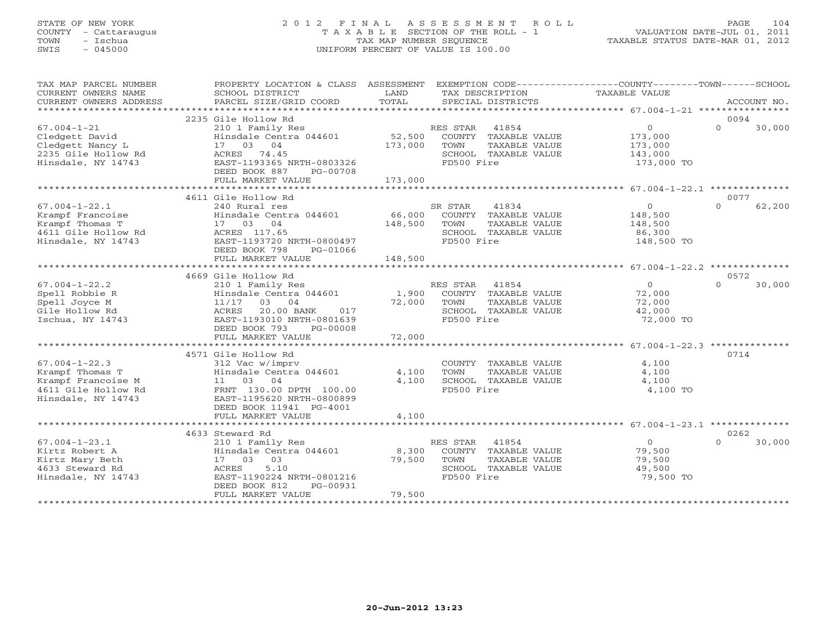### STATE OF NEW YORK 2 0 1 2 F I N A L A S S E S S M E N T R O L L PAGE 104 COUNTY - Cattaraugus T A X A B L E SECTION OF THE ROLL - 1 VALUATION DATE-JUL 01, 2011 TOWN - Ischua TAX MAP NUMBER SEQUENCE TAXABLE STATUS DATE-MAR 01, 2012 SWIS - 045000 UNIFORM PERCENT OF VALUE IS 100.00UNIFORM PERCENT OF VALUE IS 100.00

| TAX MAP PARCEL NUMBER<br>CURRENT OWNERS NAME<br>CURRENT OWNERS ADDRESS                                    | PROPERTY LOCATION & CLASS ASSESSMENT<br>SCHOOL DISTRICT<br>PARCEL SIZE/GRID COORD                                                                                                    | LAND<br>TOTAL                | EXEMPTION CODE-----------------COUNTY-------TOWN------SCHOOL<br>TAX DESCRIPTION<br>SPECIAL DISTRICTS           | TAXABLE VALUE                                                 | ACCOUNT NO.                |
|-----------------------------------------------------------------------------------------------------------|--------------------------------------------------------------------------------------------------------------------------------------------------------------------------------------|------------------------------|----------------------------------------------------------------------------------------------------------------|---------------------------------------------------------------|----------------------------|
|                                                                                                           |                                                                                                                                                                                      |                              |                                                                                                                |                                                               |                            |
| $67.004 - 1 - 21$<br>Cledgett David<br>Cledgett Nancy L<br>2235 Gile Hollow Rd<br>Hinsdale, NY 14743      | 2235 Gile Hollow Rd<br>210 1 Family Res<br>Hinsdale Centra 044601<br>17 03 04<br>ACRES 74.45<br>EAST-1193365 NRTH-0803326<br>DEED BOOK 887<br>PG-00708<br>FULL MARKET VALUE          | 52,500<br>173,000<br>173,000 | RES STAR 41854<br>COUNTY TAXABLE VALUE<br>TOWN<br>TAXABLE VALUE<br>SCHOOL TAXABLE VALUE<br>FD500 Fire          | $\overline{O}$<br>173,000<br>173,000<br>143,000<br>173,000 TO | 0094<br>$\Omega$<br>30,000 |
|                                                                                                           | 4611 Gile Hollow Rd                                                                                                                                                                  |                              |                                                                                                                |                                                               | 0077                       |
| $67.004 - 1 - 22.1$<br>Krampf Francoise<br>Krampf Thomas T<br>4611 Gile Hollow Rd<br>Hinsdale, NY 14743   | 240 Rural res<br>Hinsdale Centra 044601<br>17 03 04<br>ACRES 117.65<br>EAST-1193720 NRTH-0800497<br>DEED BOOK 798<br>PG-01066<br>FULL MARKET VALUE                                   | 148,500<br>148,500           | 41834<br>SR STAR<br>66,000 COUNTY TAXABLE VALUE<br>TOWN<br>TAXABLE VALUE<br>SCHOOL TAXABLE VALUE<br>FD500 Fire | $\overline{0}$<br>148,500<br>148,500<br>86,300<br>148,500 TO  | 62,200<br>$\cap$           |
|                                                                                                           | ***************************                                                                                                                                                          | *************                |                                                                                                                |                                                               |                            |
| $67.004 - 1 - 22.2$<br>Spell Robbie R<br>Spell Joyce M<br>Gile Hollow Rd<br>Ischua, NY 14743              | 4669 Gile Hollow Rd<br>210 1 Family Res<br>Hinsdale Centra 044601<br>11/17 03 04<br>ACRES<br>20.00 BANK<br>017<br>EAST-1193010 NRTH-0801639                                          | 72,000                       | RES STAR<br>41854<br>1,900 COUNTY TAXABLE VALUE<br>TOWN<br>TAXABLE VALUE<br>SCHOOL TAXABLE VALUE<br>FD500 Fire | $\overline{0}$<br>72,000<br>72,000<br>42,000<br>72,000 TO     | 0572<br>30,000<br>$\Omega$ |
|                                                                                                           | DEED BOOK 793<br>PG-00008<br>FULL MARKET VALUE                                                                                                                                       | 72,000                       |                                                                                                                |                                                               |                            |
|                                                                                                           |                                                                                                                                                                                      |                              |                                                                                                                |                                                               |                            |
| $67.004 - 1 - 22.3$<br>Krampf Thomas T<br>Krampf Francoise M<br>4611 Gile Hollow Rd<br>Hinsdale, NY 14743 | 4571 Gile Hollow Rd<br>312 Vac w/imprv<br>Hinsdale Centra 044601<br>11 03 04<br>FRNT 130.00 DPTH 100.00<br>EAST-1195620 NRTH-0800899<br>DEED BOOK 11941 PG-4001<br>FULL MARKET VALUE | 4,100<br>4,100<br>4,100      | COUNTY TAXABLE VALUE<br><b>TOWN</b><br>TAXABLE VALUE<br>SCHOOL TAXABLE VALUE<br>FD500 Fire                     | 4,100<br>4,100<br>4,100<br>4,100 TO                           | 0714                       |
|                                                                                                           |                                                                                                                                                                                      |                              |                                                                                                                |                                                               |                            |
| $67.004 - 1 - 23.1$<br>Kirtz Robert A<br>Kirtz Mary Beth<br>4633 Steward Rd<br>Hinsdale, NY 14743         | 4633 Steward Rd<br>210 1 Family Res<br>Hinsdale Centra 044601<br>17 03 03<br>5.10<br>ACRES<br>EAST-1190224 NRTH-0801216<br>DEED BOOK 812<br>PG-00931<br>FULL MARKET VALUE            | 8,300<br>79,500<br>79,500    | RES STAR 41854<br>COUNTY TAXABLE VALUE<br>TOWN<br>TAXABLE VALUE<br>SCHOOL TAXABLE VALUE<br>FD500 Fire          | $\circ$<br>79,500<br>79,500<br>49,500<br>79,500 TO            | 0262<br>$\Omega$<br>30,000 |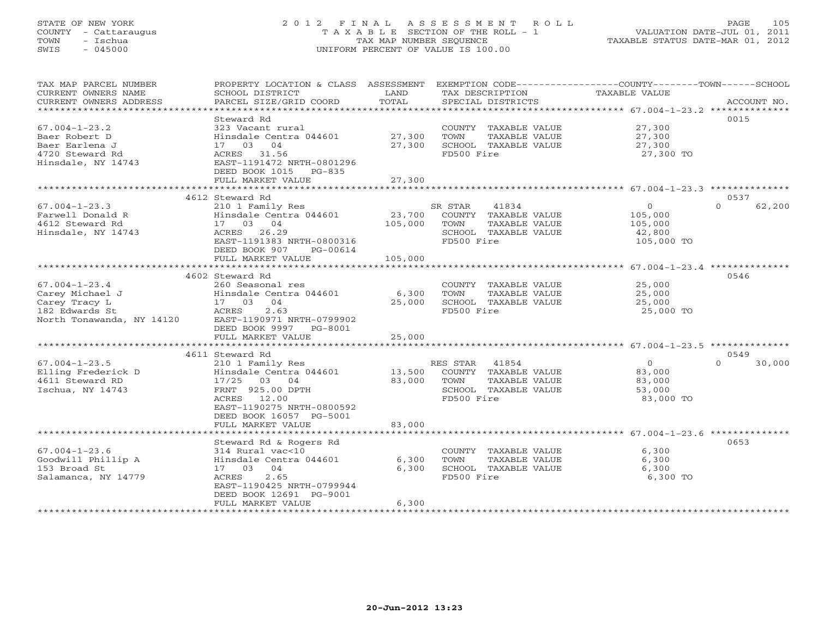### STATE OF NEW YORK 2 0 1 2 F I N A L A S S E S S M E N T R O L L PAGE 105 COUNTY - Cattaraugus T A X A B L E SECTION OF THE ROLL - 1 VALUATION DATE-JUL 01, 2011 TOWN - Ischua TAX MAP NUMBER SEQUENCE TAXABLE STATUS DATE-MAR 01, 2012 SWIS - 045000 UNIFORM PERCENT OF VALUE IS 100.00UNIFORM PERCENT OF VALUE IS 100.00

| TAX MAP PARCEL NUMBER<br>CURRENT OWNERS NAME | PROPERTY LOCATION & CLASS ASSESSMENT EXEMPTION CODE---------------COUNTY-------TOWN------SCHOOL<br>SCHOOL DISTRICT | LAND    | TAX DESCRIPTION TAXABLE VALUE |                |                    |
|----------------------------------------------|--------------------------------------------------------------------------------------------------------------------|---------|-------------------------------|----------------|--------------------|
| CURRENT OWNERS ADDRESS                       | PARCEL SIZE/GRID COORD                                                                                             | TOTAL   | SPECIAL DISTRICTS             |                | ACCOUNT NO.        |
|                                              |                                                                                                                    |         |                               |                |                    |
|                                              | Steward Rd                                                                                                         |         |                               |                | 0015               |
| $67.004 - 1 - 23.2$                          | 323 Vacant rural                                                                                                   |         | COUNTY TAXABLE VALUE          | 27,300         |                    |
| Baer Robert D                                | Hinsdale Centra 044601                                                                                             | 27,300  | TAXABLE VALUE<br>TOWN         | 27,300         |                    |
| Baer Earlena J                               | 17 03 04                                                                                                           | 27,300  | SCHOOL TAXABLE VALUE          | 27,300         |                    |
| 4720 Steward Rd                              | ACRES 31.56                                                                                                        |         | FD500 Fire                    | 27,300 TO      |                    |
| Hinsdale, NY 14743                           | EAST-1191472 NRTH-0801296                                                                                          |         |                               |                |                    |
|                                              | DEED BOOK 1015 PG-835                                                                                              |         |                               |                |                    |
|                                              | FULL MARKET VALUE                                                                                                  | 27,300  |                               |                |                    |
|                                              |                                                                                                                    |         |                               |                |                    |
|                                              | 4612 Steward Rd                                                                                                    |         |                               |                | 0537               |
|                                              |                                                                                                                    |         |                               |                | 62,200<br>$\Omega$ |
| $67.004 - 1 - 23.3$                          | 210 1 Family Res                                                                                                   |         | SR STAR<br>41834              | $\overline{0}$ |                    |
| Farwell Donald R                             | Hinsdale Centra 044601                                                                                             |         | 23,700 COUNTY TAXABLE VALUE   | 105,000        |                    |
| 4612 Steward Rd                              | 17 03 04                                                                                                           | 105,000 | TAXABLE VALUE<br>TOWN         | 105,000        |                    |
| Hinsdale, NY 14743                           | ACRES 26.29                                                                                                        |         | SCHOOL TAXABLE VALUE          | 42,800         |                    |
|                                              | EAST-1191383 NRTH-0800316                                                                                          |         | FD500 Fire                    | 105,000 TO     |                    |
|                                              | DEED BOOK 907<br>PG-00614                                                                                          |         |                               |                |                    |
|                                              | FULL MARKET VALUE                                                                                                  | 105,000 |                               |                |                    |
|                                              |                                                                                                                    |         |                               |                |                    |
|                                              | 4602 Steward Rd                                                                                                    |         |                               |                | 0546               |
| $67.004 - 1 - 23.4$                          | 260 Seasonal res                                                                                                   |         | COUNTY TAXABLE VALUE          | 25,000         |                    |
| Carey Michael J                              | Hinsdale Centra 044601                                                                                             | 6,300   | TAXABLE VALUE<br>TOWN         | 25,000         |                    |
| Carey Tracy L                                | 17 03 04                                                                                                           | 25,000  | SCHOOL TAXABLE VALUE          | 25,000         |                    |
| 182 Edwards St                               | ACRES<br>2.63                                                                                                      |         | FD500 Fire                    | 25,000 TO      |                    |
|                                              |                                                                                                                    |         |                               |                |                    |
| North Tonawanda, NY 14120                    | EAST-1190971 NRTH-0799902                                                                                          |         |                               |                |                    |
|                                              | DEED BOOK 9997 PG-8001                                                                                             |         |                               |                |                    |
|                                              | FULL MARKET VALUE                                                                                                  | 25,000  |                               |                |                    |
|                                              |                                                                                                                    |         |                               |                |                    |
|                                              | 4611 Steward Rd                                                                                                    |         |                               |                | 0549               |
| $67.004 - 1 - 23.5$                          | 210 1 Family Res                                                                                                   |         | RES STAR 41854                | $\overline{0}$ | $\Omega$<br>30,000 |
| Elling Frederick D                           | Hinsdale Centra 044601                                                                                             | 13,500  | COUNTY TAXABLE VALUE          | 83,000         |                    |
| 4611 Steward RD                              | 17/25 03 04                                                                                                        | 83,000  | TOWN<br>TAXABLE VALUE         | 83,000         |                    |
| Ischua, NY 14743                             | FRNT 925.00 DPTH                                                                                                   |         | SCHOOL TAXABLE VALUE          | 53,000         |                    |
|                                              | ACRES 12.00                                                                                                        |         | FD500 Fire                    | 83,000 TO      |                    |
|                                              | EAST-1190275 NRTH-0800592                                                                                          |         |                               |                |                    |
|                                              | DEED BOOK 16057 PG-5001                                                                                            |         |                               |                |                    |
|                                              | FULL MARKET VALUE                                                                                                  | 83,000  |                               |                |                    |
|                                              |                                                                                                                    |         |                               |                |                    |
|                                              | Steward Rd & Rogers Rd                                                                                             |         |                               |                | 0653               |
| $67.004 - 1 - 23.6$                          | 314 Rural vac<10                                                                                                   |         | COUNTY TAXABLE VALUE          | 6,300          |                    |
| Goodwill Phillip A                           | Hinsdale Centra 044601                                                                                             | 6,300   | TOWN<br>TAXABLE VALUE         | 6,300          |                    |
|                                              |                                                                                                                    |         |                               |                |                    |
| 153 Broad St                                 | 17 03 04                                                                                                           | 6,300   | SCHOOL TAXABLE VALUE          | 6,300          |                    |
| Salamanca, NY 14779                          | 2.65<br>ACRES                                                                                                      |         | FD500 Fire                    | 6,300 TO       |                    |
|                                              | EAST-1190425 NRTH-0799944                                                                                          |         |                               |                |                    |
|                                              | DEED BOOK 12691 PG-9001                                                                                            |         |                               |                |                    |
|                                              | FULL MARKET VALUE                                                                                                  | 6,300   |                               |                |                    |
|                                              |                                                                                                                    |         |                               |                |                    |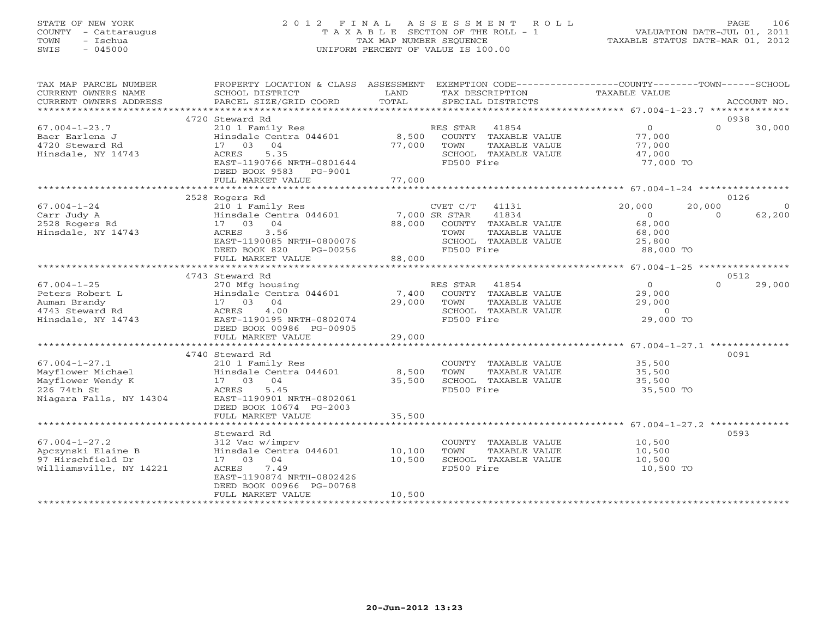### STATE OF NEW YORK 2 0 1 2 F I N A L A S S E S S M E N T R O L L PAGE 106 COUNTY - Cattaraugus T A X A B L E SECTION OF THE ROLL - 1 VALUATION DATE-JUL 01, 2011 TOWN - Ischua TAX MAP NUMBER SEQUENCE TAXABLE STATUS DATE-MAR 01, 2012 SWIS - 045000 UNIFORM PERCENT OF VALUE IS 100.00UNIFORM PERCENT OF VALUE IS 100.00

| TAX MAP PARCEL NUMBER<br>CURRENT OWNERS NAME<br>CURRENT OWNERS ADDRESS                        | PROPERTY LOCATION & CLASS ASSESSMENT<br>SCHOOL DISTRICT<br>PARCEL SIZE/GRID COORD                                                                                                   | LAND<br>TOTAL              | EXEMPTION CODE----------------COUNTY-------TOWN-----SCHOOL<br>TAX DESCRIPTION<br>SPECIAL DISTRICTS                                 | TAXABLE VALUE                                                | ACCOUNT NO.                                    |
|-----------------------------------------------------------------------------------------------|-------------------------------------------------------------------------------------------------------------------------------------------------------------------------------------|----------------------------|------------------------------------------------------------------------------------------------------------------------------------|--------------------------------------------------------------|------------------------------------------------|
| *************************                                                                     |                                                                                                                                                                                     |                            |                                                                                                                                    |                                                              |                                                |
| $67.004 - 1 - 23.7$<br>Baer Earlena J<br>4720 Steward Rd<br>Hinsdale, NY 14743                | 4720 Steward Rd<br>210 1 Family Res<br>Hinsdale Centra 044601<br>17 03<br>04<br>5.35<br><b>ACRES</b><br>EAST-1190766 NRTH-0801644<br>DEED BOOK 9583<br>PG-9001<br>FULL MARKET VALUE | 8,500<br>77,000<br>77,000  | RES STAR 41854<br>COUNTY TAXABLE VALUE<br>TOWN<br>TAXABLE VALUE<br>SCHOOL TAXABLE VALUE<br>FD500 Fire                              | $\overline{0}$<br>77,000<br>77,000<br>47,000<br>77,000 TO    | 0938<br>$\Omega$<br>30,000                     |
|                                                                                               | 2528 Rogers Rd                                                                                                                                                                      |                            |                                                                                                                                    |                                                              | 0126                                           |
| $67.004 - 1 - 24$<br>Carr Judy A<br>2528 Rogers Rd<br>Hinsdale, NY 14743                      | 210 1 Family Res<br>Hinsdale Centra 044601<br>17 03<br>04<br>3.56<br>ACRES<br>EAST-1190085 NRTH-0800076<br>DEED BOOK 820<br>PG-00256<br>FULL MARKET VALUE                           | 88,000<br>88,000           | CVET C/T<br>41131<br>41834<br>7,000 SR STAR<br>COUNTY TAXABLE VALUE<br>TAXABLE VALUE<br>TOWN<br>SCHOOL TAXABLE VALUE<br>FD500 Fire | 20,000<br>$\circ$<br>68,000<br>68,000<br>25,800<br>88,000 TO | 20,000<br>$\overline{0}$<br>62,200<br>$\Omega$ |
|                                                                                               | *************************                                                                                                                                                           |                            |                                                                                                                                    |                                                              |                                                |
| $67.004 - 1 - 25$<br>Peters Robert L<br>Auman Brandy<br>4743 Steward Rd<br>Hinsdale, NY 14743 | 4743 Steward Rd<br>270 Mfg housing<br>Hinsdale Centra 044601<br>04<br>17 03<br>4.00<br>ACRES<br>EAST-1190195 NRTH-0802074<br>DEED BOOK 00986 PG-00905                               | 7,400<br>29,000            | RES STAR<br>41854<br>COUNTY TAXABLE VALUE<br>TAXABLE VALUE<br>TOWN<br>SCHOOL TAXABLE VALUE<br>FD500 Fire                           | $\circ$<br>29,000<br>29,000<br>$\circ$<br>29,000 TO          | 0512<br>29,000<br>$\Omega$                     |
|                                                                                               | FULL MARKET VALUE                                                                                                                                                                   | 29,000                     |                                                                                                                                    |                                                              |                                                |
| $67.004 - 1 - 27.1$<br>Mayflower Michael<br>Mayflower Wendy K<br>226 74th St                  | 4740 Steward Rd<br>210 1 Family Res<br>Hinsdale Centra 044601<br>17 03 04<br>5.45<br>ACRES                                                                                          | 8,500<br>35,500            | COUNTY TAXABLE VALUE<br>TAXABLE VALUE<br><b>TOWN</b><br>SCHOOL TAXABLE VALUE<br>FD500 Fire                                         | 35,500<br>35,500<br>35,500<br>35,500 TO                      | 0091                                           |
| Niagara Falls, NY 14304                                                                       | EAST-1190901 NRTH-0802061<br>DEED BOOK 10674 PG-2003<br>FULL MARKET VALUE                                                                                                           | 35,500                     |                                                                                                                                    |                                                              |                                                |
|                                                                                               | *************************<br>Steward Rd                                                                                                                                             |                            |                                                                                                                                    |                                                              | 0593                                           |
| $67.004 - 1 - 27.2$<br>Apczynski Elaine B<br>97 Hirschfield Dr<br>Williamsville, NY 14221     | 312 Vac w/imprv<br>Hinsdale Centra 044601<br>17 03 04<br>7.49<br>ACRES<br>EAST-1190874 NRTH-0802426<br>DEED BOOK 00966 PG-00768<br>FULL MARKET VALUE                                | 10,100<br>10,500<br>10,500 | COUNTY TAXABLE VALUE<br>TOWN<br>TAXABLE VALUE<br>SCHOOL TAXABLE VALUE<br>FD500 Fire                                                | 10,500<br>10,500<br>10,500<br>10,500 TO                      |                                                |
|                                                                                               |                                                                                                                                                                                     |                            |                                                                                                                                    |                                                              |                                                |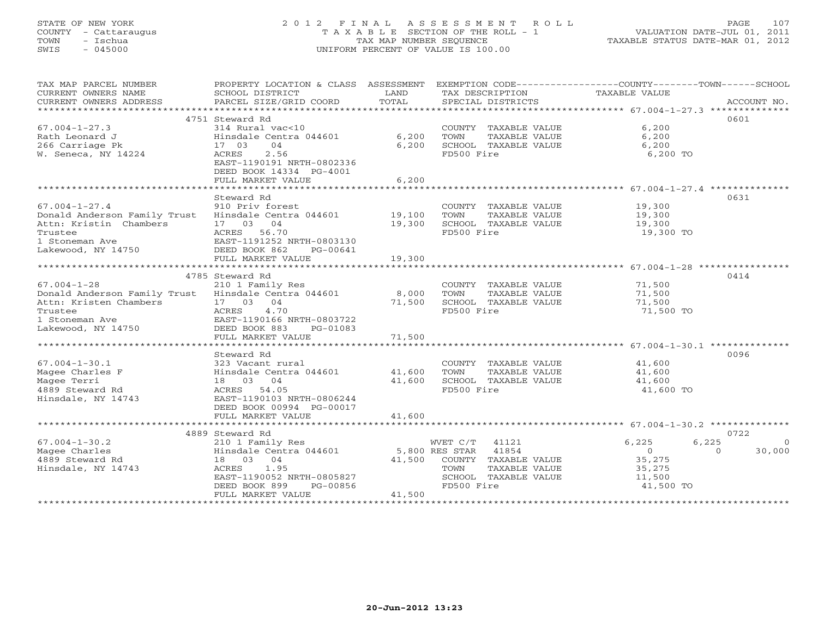### STATE OF NEW YORK 2 0 1 2 F I N A L A S S E S S M E N T R O L L PAGE 107 COUNTY - Cattaraugus T A X A B L E SECTION OF THE ROLL - 1 VALUATION DATE-JUL 01, 2011 TOWN - Ischua TAX MAP NUMBER SEQUENCE TAXABLE STATUS DATE-MAR 01, 2012 SWIS - 045000 UNIFORM PERCENT OF VALUE IS 100.00UNIFORM PERCENT OF VALUE IS 100.00

| TAX MAP PARCEL NUMBER                               | PROPERTY LOCATION & CLASS ASSESSMENT EXEMPTION CODE----------------COUNTY-------TOWN------SCHOOL |                |                             |                |                    |
|-----------------------------------------------------|--------------------------------------------------------------------------------------------------|----------------|-----------------------------|----------------|--------------------|
| CURRENT OWNERS NAME                                 | SCHOOL DISTRICT                                                                                  | LAND           | TAX DESCRIPTION             | TAXABLE VALUE  |                    |
| CURRENT OWNERS ADDRESS                              | PARCEL SIZE/GRID COORD                                                                           | TOTAL          | SPECIAL DISTRICTS           |                | ACCOUNT NO.        |
|                                                     |                                                                                                  |                |                             |                |                    |
|                                                     | 4751 Steward Rd                                                                                  |                |                             |                | 0601               |
| $67.004 - 1 - 27.3$                                 | 314 Rural vac<10                                                                                 |                | COUNTY TAXABLE VALUE        | 6,200          |                    |
| Rath Leonard J                                      | Hinsdale Centra 044601                                                                           | 6,200          | TOWN<br>TAXABLE VALUE       | 6,200          |                    |
| 266 Carriage Pk                                     | 17 03<br>04                                                                                      | 6,200          | SCHOOL TAXABLE VALUE        | 6,200          |                    |
| W. Seneca, NY 14224                                 | 2.56<br>ACRES                                                                                    |                | FD500 Fire                  | 6,200 TO       |                    |
|                                                     | EAST-1190191 NRTH-0802336                                                                        |                |                             |                |                    |
|                                                     | DEED BOOK 14334 PG-4001                                                                          |                |                             |                |                    |
|                                                     | FULL MARKET VALUE                                                                                | 6,200          |                             |                |                    |
|                                                     |                                                                                                  |                |                             |                |                    |
|                                                     | Steward Rd                                                                                       |                |                             |                | 0631               |
| $67.004 - 1 - 27.4$                                 | 910 Priv forest                                                                                  |                | COUNTY TAXABLE VALUE        | 19,300         |                    |
| Donald Anderson Family Trust                        | Hinsdale Centra 044601                                                                           | 19,100         | TOWN<br>TAXABLE VALUE       | 19,300         |                    |
| Attn: Kristin Chambers                              | 17 03 04                                                                                         | 19,300         | SCHOOL TAXABLE VALUE        | 19,300         |                    |
| Trustee                                             | ACRES 56.70                                                                                      |                | FD500 Fire                  | 19,300 TO      |                    |
| 1 Stoneman Ave                                      | EAST-1191252 NRTH-0803130                                                                        |                |                             |                |                    |
| Lakewood, NY 14750                                  | EASI-IIJIZJZ F<br>DEED BOOK 862<br>PG-00641                                                      |                |                             |                |                    |
|                                                     |                                                                                                  | 19,300         |                             |                |                    |
|                                                     | FULL MARKET VALUE                                                                                |                |                             |                |                    |
|                                                     |                                                                                                  |                |                             |                |                    |
|                                                     | 4785 Steward Rd                                                                                  |                |                             |                | 0414               |
| $67.004 - 1 - 28$                                   | 210 1 Family Res                                                                                 |                | COUNTY TAXABLE VALUE        | 71,500         |                    |
| Donald Anderson Family Trust Hinsdale Centra 044601 |                                                                                                  | 8,000          | TOWN<br>TAXABLE VALUE       | 71,500         |                    |
| Attn: Kristen Chambers                              | 17 03 04                                                                                         | 71,500         | SCHOOL TAXABLE VALUE        | 71,500         |                    |
| Trustee                                             | ACRES<br>4.70                                                                                    |                | FD500 Fire                  | 71,500 TO      |                    |
| 1 Stoneman Ave                                      | EAST-1190166 NRTH-0803722                                                                        |                |                             |                |                    |
| Lakewood, NY 14750                                  | DEED BOOK 883<br>PG-01083                                                                        |                |                             |                |                    |
|                                                     | FULL MARKET VALUE                                                                                | 71,500         |                             |                |                    |
|                                                     |                                                                                                  |                |                             |                |                    |
|                                                     | Steward Rd                                                                                       |                |                             |                | 0096               |
| $67.004 - 1 - 30.1$                                 | 323 Vacant rural                                                                                 |                | COUNTY TAXABLE VALUE        | 41,600         |                    |
| Magee Charles F                                     | Hinsdale Centra 044601                                                                           | 41,600         | TOWN<br>TAXABLE VALUE       | 41,600         |                    |
| Magee Terri                                         | 18 03 04                                                                                         | 41,600         | SCHOOL TAXABLE VALUE        | 41,600         |                    |
| 4889 Steward Rd                                     | ACRES 54.05                                                                                      |                | FD500 Fire                  | 41,600 TO      |                    |
| Hinsdale, NY 14743                                  | EAST-1190103 NRTH-0806244                                                                        |                |                             |                |                    |
|                                                     | DEED BOOK 00994 PG-00017                                                                         |                |                             |                |                    |
|                                                     | FULL MARKET VALUE                                                                                | 41,600         |                             |                |                    |
|                                                     |                                                                                                  |                |                             |                |                    |
|                                                     | 4889 Steward Rd                                                                                  |                |                             |                | 0722               |
| $67.004 - 1 - 30.2$                                 | 210 1 Family Res                                                                                 |                | 41121<br>WVET C/T           | 6,225<br>6,225 |                    |
| Magee Charles                                       | Hinsdale Centra 044601                                                                           | 5,800 RES STAR | 41854                       | $\overline{0}$ | $\Omega$<br>30,000 |
| 4889 Steward Rd                                     | 18 03 04                                                                                         |                | 41,500 COUNTY TAXABLE VALUE | 35,275         |                    |
| Hinsdale, NY 14743                                  | ACRES<br>1.95                                                                                    |                | TOWN<br>TAXABLE VALUE       | 35,275         |                    |
|                                                     | EAST-1190052 NRTH-0805827                                                                        |                | SCHOOL TAXABLE VALUE        | 11,500         |                    |
|                                                     | DEED BOOK 899<br>PG-00856                                                                        |                | FD500 Fire                  | 41,500 TO      |                    |
|                                                     | FULL MARKET VALUE                                                                                | 41,500         |                             |                |                    |
|                                                     |                                                                                                  |                |                             |                |                    |
|                                                     |                                                                                                  |                |                             |                |                    |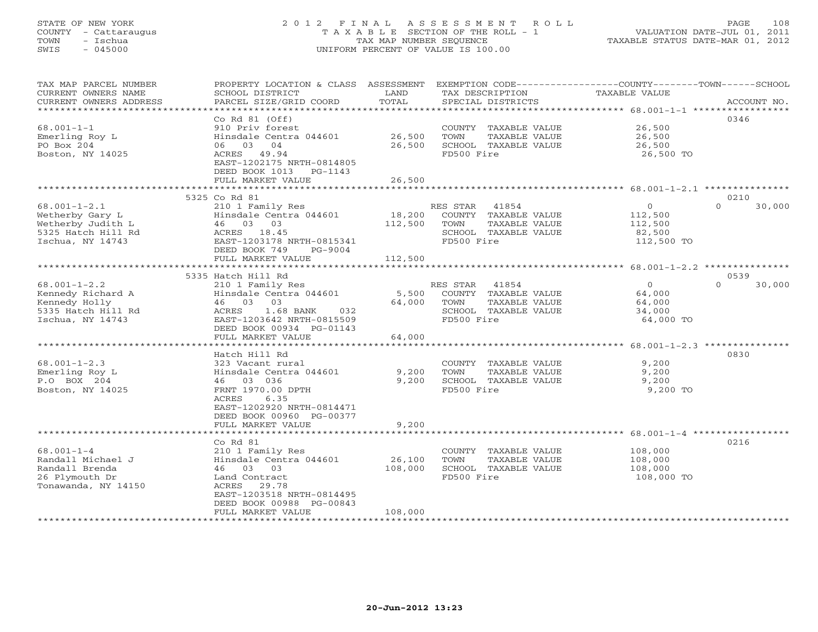### STATE OF NEW YORK 2 0 1 2 F I N A L A S S E S S M E N T R O L L PAGE 108 COUNTY - Cattaraugus T A X A B L E SECTION OF THE ROLL - 1 VALUATION DATE-JUL 01, 2011 TOWN - Ischua TAX MAP NUMBER SEQUENCE TAXABLE STATUS DATE-MAR 01, 2012 SWIS - 045000 UNIFORM PERCENT OF VALUE IS 100.00UNIFORM PERCENT OF VALUE IS 100.00

| TAX MAP PARCEL NUMBER<br>CURRENT OWNERS NAME<br>CURRENT OWNERS ADDRESS                               | PROPERTY LOCATION & CLASS ASSESSMENT<br>SCHOOL DISTRICT<br>PARCEL SIZE/GRID COORD                                                               | LAND<br>TOTAL     | TAX DESCRIPTION<br>SPECIAL DISTRICTS                                                    | EXEMPTION CODE-----------------COUNTY-------TOWN------SCHOOL<br>TAXABLE VALUE |                                                                       | ACCOUNT NO. |
|------------------------------------------------------------------------------------------------------|-------------------------------------------------------------------------------------------------------------------------------------------------|-------------------|-----------------------------------------------------------------------------------------|-------------------------------------------------------------------------------|-----------------------------------------------------------------------|-------------|
| $68.001 - 1 - 1$<br>Emerling Roy L<br>PO Box 204<br>Boston, NY 14025                                 | Co Rd 81 (Off)<br>910 Priv forest<br>Hinsdale Centra 044601<br>04<br>06 03<br>ACRES 49.94                                                       | 26,500<br>26,500  | COUNTY TAXABLE VALUE<br>TOWN<br>SCHOOL TAXABLE VALUE<br>FD500 Fire                      | TAXABLE VALUE                                                                 | 26,500<br>26,500<br>26,500<br>26,500 TO                               | 0346        |
|                                                                                                      | EAST-1202175 NRTH-0814805<br>DEED BOOK 1013<br>PG-1143<br>FULL MARKET VALUE                                                                     | 26,500            |                                                                                         |                                                                               |                                                                       |             |
|                                                                                                      | 5325 Co Rd 81                                                                                                                                   |                   |                                                                                         |                                                                               |                                                                       | 0210        |
| $68.001 - 1 - 2.1$<br>Wetherby Gary L<br>Wetherby Judith L<br>5325 Hatch Hill Rd<br>Ischua, NY 14743 | 210 1 Family Res<br>Hinsdale Centra 044601<br>46 03 03<br>ACRES 18.45<br>EAST-1203178 NRTH-0815341<br>DEED BOOK 749<br>PG-9004                  | 18,200<br>112,500 | RES STAR 41854<br>COUNTY TAXABLE VALUE<br>TOWN<br>SCHOOL TAXABLE VALUE<br>FD500 Fire    | TAXABLE VALUE                                                                 | $\circ$<br>$\cap$<br>112,500<br>112,500<br>82,500<br>112,500 TO       | 30,000      |
|                                                                                                      | FULL MARKET VALUE                                                                                                                               | 112,500           |                                                                                         |                                                                               |                                                                       |             |
|                                                                                                      |                                                                                                                                                 |                   |                                                                                         |                                                                               |                                                                       |             |
|                                                                                                      | 5335 Hatch Hill Rd                                                                                                                              |                   |                                                                                         |                                                                               |                                                                       | 0539        |
| $68.001 - 1 - 2.2$<br>Kennedy Richard A<br>Kennedy Holly<br>5335 Hatch Hill Rd<br>Ischua, NY 14743   | 210 1 Family Res<br>Hinsdale Centra 044601<br>46 03 03<br>1.68 BANK<br>ACRES<br>032<br>EAST-1203642 NRTH-0815509<br>DEED BOOK 00934 PG-01143    | 5,500<br>64,000   | RES STAR<br>41854<br>COUNTY TAXABLE VALUE<br>TOWN<br>SCHOOL TAXABLE VALUE<br>FD500 Fire | TAXABLE VALUE                                                                 | $\Omega$<br>$\overline{0}$<br>64,000<br>64,000<br>34,000<br>64,000 TO | 30,000      |
|                                                                                                      | FULL MARKET VALUE                                                                                                                               | 64,000            |                                                                                         |                                                                               |                                                                       |             |
|                                                                                                      |                                                                                                                                                 |                   |                                                                                         |                                                                               |                                                                       |             |
| $68.001 - 1 - 2.3$<br>Emerling Roy L<br>P.O BOX 204<br>Boston, NY 14025                              | Hatch Hill Rd<br>323 Vacant rural<br>Hinsdale Centra 044601<br>46 03 036<br>FRNT 1970.00 DPTH<br>ACRES<br>6.35<br>EAST-1202920 NRTH-0814471     | 9,200<br>9,200    | COUNTY TAXABLE VALUE<br>TOWN<br>SCHOOL TAXABLE VALUE<br>FD500 Fire                      | TAXABLE VALUE                                                                 | 9,200<br>9,200<br>9,200<br>9,200 TO                                   | 0830        |
|                                                                                                      | DEED BOOK 00960 PG-00377                                                                                                                        |                   |                                                                                         |                                                                               |                                                                       |             |
|                                                                                                      | FULL MARKET VALUE                                                                                                                               | 9,200             |                                                                                         |                                                                               |                                                                       |             |
|                                                                                                      | Co Rd 81                                                                                                                                        |                   |                                                                                         |                                                                               |                                                                       | 0216        |
| $68.001 - 1 - 4$<br>Randall Michael J<br>Randall Brenda<br>26 Plymouth Dr<br>Tonawanda, NY 14150     | 210 1 Family Res<br>Hinsdale Centra 044601<br>46 03 03<br>Land Contract<br>ACRES 29.78<br>EAST-1203518 NRTH-0814495<br>DEED BOOK 00988 PG-00843 | 26,100<br>108,000 | COUNTY TAXABLE VALUE<br>TOWN<br>SCHOOL TAXABLE VALUE<br>FD500 Fire                      | TAXABLE VALUE                                                                 | 108,000<br>108,000<br>108,000<br>108,000 TO                           |             |
|                                                                                                      | FULL MARKET VALUE                                                                                                                               | 108,000           |                                                                                         |                                                                               |                                                                       |             |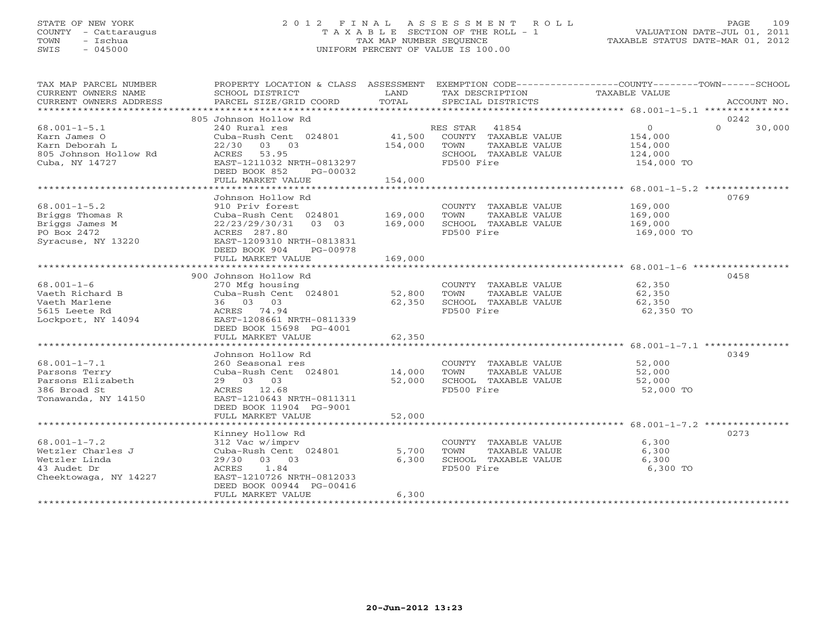# STATE OF NEW YORK 2 0 1 2 F I N A L A S S E S S M E N T R O L L PAGE 109 COUNTY - Cattaraugus T A X A B L E SECTION OF THE ROLL - 1 VALUATION DATE-JUL 01, 2011 TOWN - Ischua TAX MAP NUMBER SEQUENCE TAXABLE STATUS DATE-MAR 01, 2012 SWIS - 045000 UNIFORM PERCENT OF VALUE IS 100.00

| TAX MAP PARCEL NUMBER<br>CURRENT OWNERS NAME<br>CURRENT OWNERS ADDRESS | PROPERTY LOCATION & CLASS ASSESSMENT<br>SCHOOL DISTRICT<br>PARCEL SIZE/GRID COORD | LAND<br>TOTAL | TAX DESCRIPTION<br>SPECIAL DISTRICTS | EXEMPTION CODE-----------------COUNTY-------TOWN------SCHOOL<br>TAXABLE VALUE<br>ACCOUNT NO. |
|------------------------------------------------------------------------|-----------------------------------------------------------------------------------|---------------|--------------------------------------|----------------------------------------------------------------------------------------------|
|                                                                        |                                                                                   |               |                                      |                                                                                              |
|                                                                        | 805 Johnson Hollow Rd                                                             |               |                                      | 0242                                                                                         |
| $68.001 - 1 - 5.1$                                                     | 240 Rural res                                                                     |               | RES STAR<br>41854                    | $\Omega$<br>$\Omega$<br>30,000                                                               |
| Karn James O                                                           | Cuba-Rush Cent 024801                                                             | 41,500        | COUNTY TAXABLE VALUE                 | 154,000                                                                                      |
| Karn Deborah L                                                         | $22/30$ 03 03                                                                     | 154,000       | TOWN<br>TAXABLE VALUE                | 154,000                                                                                      |
| 805 Johnson Hollow Rd                                                  | 53.95<br>ACRES                                                                    |               | SCHOOL TAXABLE VALUE                 | 124,000                                                                                      |
| Cuba, NY 14727                                                         | EAST-1211032 NRTH-0813297                                                         |               | FD500 Fire                           | 154,000 TO                                                                                   |
|                                                                        | DEED BOOK 852<br>PG-00032                                                         |               |                                      |                                                                                              |
|                                                                        | FULL MARKET VALUE                                                                 | 154,000       |                                      |                                                                                              |
|                                                                        |                                                                                   |               |                                      |                                                                                              |
|                                                                        | Johnson Hollow Rd                                                                 |               |                                      | 0769                                                                                         |
| $68.001 - 1 - 5.2$                                                     | 910 Priv forest                                                                   |               | COUNTY TAXABLE VALUE                 | 169,000                                                                                      |
| Briggs Thomas R                                                        | Cuba-Rush Cent 024801                                                             | 169,000       | TOWN<br>TAXABLE VALUE                | 169,000                                                                                      |
| Briggs James M                                                         | 22/23/29/30/31<br>03 03                                                           | 169,000       | SCHOOL TAXABLE VALUE                 | 169,000                                                                                      |
| PO Box 2472                                                            | ACRES 287.80                                                                      |               | FD500 Fire                           | 169,000 TO                                                                                   |
| Syracuse, NY 13220                                                     | EAST-1209310 NRTH-0813831                                                         |               |                                      |                                                                                              |
|                                                                        | DEED BOOK 904<br>PG-00978                                                         |               |                                      |                                                                                              |
|                                                                        | FULL MARKET VALUE                                                                 | 169,000       |                                      |                                                                                              |
|                                                                        |                                                                                   |               |                                      |                                                                                              |
|                                                                        | 900 Johnson Hollow Rd                                                             |               |                                      | 0458                                                                                         |
| $68.001 - 1 - 6$                                                       | 270 Mfg housing                                                                   |               | COUNTY TAXABLE VALUE                 | 62,350                                                                                       |
| Vaeth Richard B                                                        | Cuba-Rush Cent 024801                                                             | 52,800        | TOWN<br>TAXABLE VALUE                | 62,350                                                                                       |
| Vaeth Marlene                                                          | 36 03 03                                                                          | 62,350        | SCHOOL TAXABLE VALUE                 | 62,350                                                                                       |
| 5615 Leete Rd                                                          | ACRES 74.94                                                                       |               | FD500 Fire                           | 62,350 TO                                                                                    |
| Lockport, NY 14094                                                     | EAST-1208661 NRTH-0811339                                                         |               |                                      |                                                                                              |
|                                                                        | DEED BOOK 15698 PG-4001                                                           |               |                                      |                                                                                              |
|                                                                        | FULL MARKET VALUE                                                                 | 62,350        |                                      |                                                                                              |
|                                                                        |                                                                                   |               |                                      |                                                                                              |
|                                                                        | Johnson Hollow Rd                                                                 |               |                                      | 0349                                                                                         |
| $68.001 - 1 - 7.1$                                                     | 260 Seasonal res                                                                  |               | COUNTY TAXABLE VALUE                 | 52,000                                                                                       |
| Parsons Terry                                                          | Cuba-Rush Cent 024801                                                             | 14,000        | TOWN<br>TAXABLE VALUE                | 52,000                                                                                       |
| Parsons Elizabeth                                                      | 29 03 03                                                                          | 52,000        | SCHOOL TAXABLE VALUE                 | 52,000                                                                                       |
| 386 Broad St                                                           | ACRES 12.68                                                                       |               | FD500 Fire                           | 52,000 TO                                                                                    |
| Tonawanda, NY 14150                                                    | EAST-1210643 NRTH-0811311                                                         |               |                                      |                                                                                              |
|                                                                        | DEED BOOK 11904 PG-9001                                                           |               |                                      |                                                                                              |
|                                                                        | FULL MARKET VALUE                                                                 | 52,000        |                                      |                                                                                              |
|                                                                        |                                                                                   |               |                                      |                                                                                              |
|                                                                        | Kinney Hollow Rd                                                                  |               |                                      | 0273                                                                                         |
| $68.001 - 1 - 7.2$                                                     | 312 Vac w/imprv                                                                   |               | COUNTY TAXABLE VALUE                 | 6,300                                                                                        |
| Wetzler Charles J                                                      | Cuba-Rush Cent 024801                                                             | 5,700         | TOWN<br>TAXABLE VALUE                | 6,300                                                                                        |
| Wetzler Linda                                                          | 29/30 03 03                                                                       | 6,300         | SCHOOL TAXABLE VALUE                 | 6,300                                                                                        |
| 43 Audet Dr                                                            | 1.84<br>ACRES                                                                     |               | FD500 Fire                           | 6,300 TO                                                                                     |
| Cheektowaga, NY 14227                                                  | EAST-1210726 NRTH-0812033                                                         |               |                                      |                                                                                              |
|                                                                        | DEED BOOK 00944 PG-00416                                                          |               |                                      |                                                                                              |
|                                                                        | FULL MARKET VALUE                                                                 | 6,300         |                                      |                                                                                              |
|                                                                        |                                                                                   |               |                                      |                                                                                              |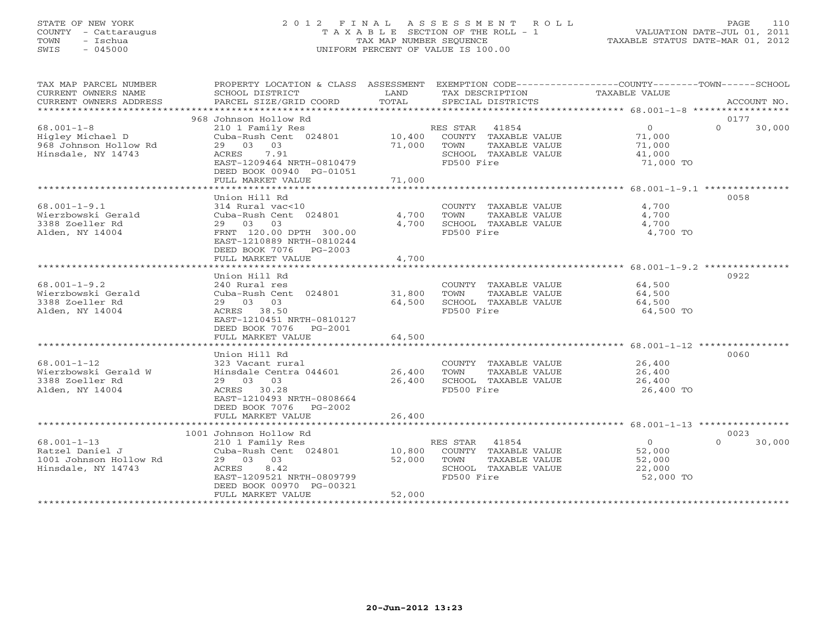# STATE OF NEW YORK 2 0 1 2 F I N A L A S S E S S M E N T R O L L PAGE 110 COUNTY - Cattaraugus T A X A B L E SECTION OF THE ROLL - 1 VALUATION DATE-JUL 01, 2011 TOWN - Ischua TAX MAP NUMBER SEQUENCE TAXABLE STATUS DATE-MAR 01, 2012 SWIS - 045000 UNIFORM PERCENT OF VALUE IS 100.00UNIFORM PERCENT OF VALUE IS 100.00

| TAX MAP PARCEL NUMBER<br>CURRENT OWNERS NAME<br>CURRENT OWNERS ADDRESS               | SCHOOL DISTRICT<br>PARCEL SIZE/GRID COORD                                                                                                                                     | LAND<br>TOTAL              | TAX DESCRIPTION<br>SPECIAL DISTRICTS                                                                  | PROPERTY LOCATION & CLASS ASSESSMENT EXEMPTION CODE---------------COUNTY-------TOWN-----SCHOOL<br>TAXABLE VALUE<br>ACCOUNT NO. |
|--------------------------------------------------------------------------------------|-------------------------------------------------------------------------------------------------------------------------------------------------------------------------------|----------------------------|-------------------------------------------------------------------------------------------------------|--------------------------------------------------------------------------------------------------------------------------------|
|                                                                                      |                                                                                                                                                                               |                            |                                                                                                       |                                                                                                                                |
| $68.001 - 1 - 8$<br>Higley Michael D<br>968 Johnson Hollow Rd<br>Hinsdale, NY 14743  | 968 Johnson Hollow Rd<br>210 1 Family Res<br>Cuba-Rush Cent 024801<br>29 03 03<br>7.91<br>ACRES<br>EAST-1209464 NRTH-0810479<br>DEED BOOK 00940 PG-01051<br>FULL MARKET VALUE | 10,400<br>71,000<br>71,000 | RES STAR 41854<br>COUNTY TAXABLE VALUE<br>TOWN<br>TAXABLE VALUE<br>SCHOOL TAXABLE VALUE<br>FD500 Fire | 0177<br>$\Omega$<br>$\Omega$<br>30,000<br>71,000<br>71,000<br>41,000<br>71,000 TO                                              |
|                                                                                      |                                                                                                                                                                               |                            |                                                                                                       |                                                                                                                                |
| $68.001 - 1 - 9.1$<br>Wierzbowski Gerald<br>3388 Zoeller Rd<br>Alden, NY 14004       | Union Hill Rd<br>314 Rural vac<10<br>Cuba-Rush Cent 024801<br>29 03 03<br>FRNT 120.00 DPTH 300.00<br>EAST-1210889 NRTH-0810244<br>DEED BOOK 7076 PG-2003<br>FULL MARKET VALUE | 4,700<br>4,700<br>4,700    | COUNTY TAXABLE VALUE<br>TAXABLE VALUE<br>TOWN<br>SCHOOL TAXABLE VALUE<br>FD500 Fire                   | 0058<br>4,700<br>4,700<br>4,700<br>4,700 TO                                                                                    |
|                                                                                      |                                                                                                                                                                               |                            |                                                                                                       |                                                                                                                                |
| $68.001 - 1 - 9.2$<br>Wierzbowski Gerald<br>3388 Zoeller Rd<br>Alden, NY 14004       | Union Hill Rd<br>240 Rural res<br>Cuba-Rush Cent 024801<br>29 03 03<br>ACRES 38.50<br>EAST-1210451 NRTH-0810127<br>DEED BOOK 7076<br>PG-2001                                  | 31,800<br>64,500           | COUNTY TAXABLE VALUE<br>TOWN<br>TAXABLE VALUE<br>SCHOOL TAXABLE VALUE<br>FD500 Fire                   | 0922<br>64,500<br>64,500<br>64,500<br>64,500 TO                                                                                |
|                                                                                      | FULL MARKET VALUE                                                                                                                                                             | 64,500                     |                                                                                                       |                                                                                                                                |
|                                                                                      |                                                                                                                                                                               |                            |                                                                                                       |                                                                                                                                |
| $68.001 - 1 - 12$<br>Wierzbowski Gerald W<br>3388 Zoeller Rd<br>Alden, NY 14004      | Union Hill Rd<br>323 Vacant rural<br>Hinsdale Centra 044601<br>29 03 03<br>ACRES 30.28<br>EAST-1210493 NRTH-0808664<br>DEED BOOK 7076 PG-2002                                 | 26,400<br>26,400           | COUNTY TAXABLE VALUE<br>TAXABLE VALUE<br>TOWN<br>SCHOOL TAXABLE VALUE<br>FD500 Fire                   | 0060<br>26,400<br>26,400<br>26,400<br>26,400 TO                                                                                |
|                                                                                      | FULL MARKET VALUE                                                                                                                                                             | 26,400                     |                                                                                                       |                                                                                                                                |
|                                                                                      | 1001 Johnson Hollow Rd                                                                                                                                                        |                            |                                                                                                       | 0023                                                                                                                           |
| $68.001 - 1 - 13$<br>Ratzel Daniel J<br>1001 Johnson Hollow Rd<br>Hinsdale, NY 14743 | 210 1 Family Res<br>Cuba-Rush Cent 024801<br>29 03 03<br>ACRES<br>8.42<br>EAST-1209521 NRTH-0809799<br>DEED BOOK 00970 PG-00321<br>FULL MARKET VALUE                          | 10,800<br>52,000<br>52,000 | RES STAR 41854<br>COUNTY TAXABLE VALUE<br>TAXABLE VALUE<br>TOWN<br>SCHOOL TAXABLE VALUE<br>FD500 Fire | $\circ$<br>$\Omega$<br>30,000<br>52,000<br>52,000<br>22,000<br>52,000 TO                                                       |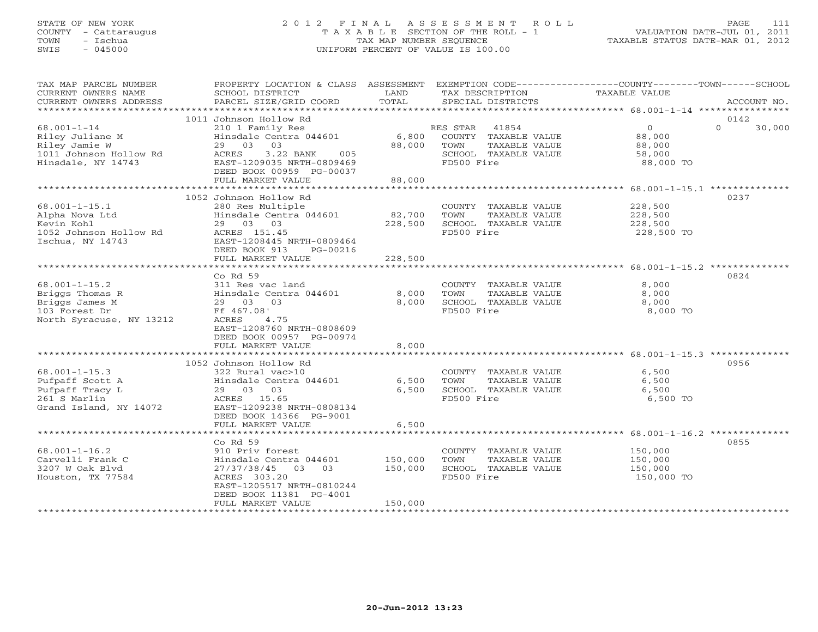# STATE OF NEW YORK 2 0 1 2 F I N A L A S S E S S M E N T R O L L PAGE 111 COUNTY - Cattaraugus T A X A B L E SECTION OF THE ROLL - 1 VALUATION DATE-JUL 01, 2011 TOWN - Ischua TAX MAP NUMBER SEQUENCE TAXABLE STATUS DATE-MAR 01, 2012 SWIS - 045000 UNIFORM PERCENT OF VALUE IS 100.00UNIFORM PERCENT OF VALUE IS 100.00

| TAX MAP PARCEL NUMBER                         | PROPERTY LOCATION & CLASS ASSESSMENT                   |               | EXEMPTION CODE-----------------COUNTY-------TOWN------SCHOOL |                      |          |             |
|-----------------------------------------------|--------------------------------------------------------|---------------|--------------------------------------------------------------|----------------------|----------|-------------|
| CURRENT OWNERS NAME<br>CURRENT OWNERS ADDRESS | SCHOOL DISTRICT<br>PARCEL SIZE/GRID COORD              | LAND<br>TOTAL | TAX DESCRIPTION<br>SPECIAL DISTRICTS                         | <b>TAXABLE VALUE</b> |          | ACCOUNT NO. |
|                                               |                                                        |               |                                                              |                      |          |             |
|                                               | 1011 Johnson Hollow Rd                                 |               |                                                              |                      | 0142     |             |
| $68.001 - 1 - 14$                             | 210 1 Family Res                                       |               | RES STAR<br>41854                                            | $\overline{0}$       | $\Omega$ | 30,000      |
| Riley Juliane M                               | Hinsdale Centra 044601                                 | 6,800         | COUNTY TAXABLE VALUE                                         | 88,000               |          |             |
| Riley Jamie W                                 | 29 03<br>03                                            | 88,000        | TOWN<br>TAXABLE VALUE                                        | 88,000               |          |             |
| 1011 Johnson Hollow Rd<br>Hinsdale, NY 14743  | ACRES<br>3.22 BANK<br>005<br>EAST-1209035 NRTH-0809469 |               | SCHOOL TAXABLE VALUE<br>FD500 Fire                           | 58,000<br>88,000 TO  |          |             |
|                                               | DEED BOOK 00959 PG-00037                               |               |                                                              |                      |          |             |
|                                               | FULL MARKET VALUE                                      | 88,000        |                                                              |                      |          |             |
|                                               |                                                        |               |                                                              |                      |          |             |
|                                               | 1052 Johnson Hollow Rd                                 |               |                                                              |                      | 0237     |             |
| $68.001 - 1 - 15.1$                           | 280 Res Multiple                                       |               | COUNTY TAXABLE VALUE                                         | 228,500              |          |             |
| Alpha Nova Ltd                                | Hinsdale Centra 044601                                 | 82,700        | TOWN<br>TAXABLE VALUE                                        | 228,500              |          |             |
| Kevin Kohl                                    | 29 03 03                                               | 228,500       | SCHOOL TAXABLE VALUE                                         | 228,500              |          |             |
| 1052 Johnson Hollow Rd                        | ACRES 151.45                                           |               | FD500 Fire                                                   | 228,500 TO           |          |             |
| Ischua, NY 14743                              | EAST-1208445 NRTH-0809464<br>DEED BOOK 913<br>PG-00216 |               |                                                              |                      |          |             |
|                                               | FULL MARKET VALUE                                      | 228,500       |                                                              |                      |          |             |
|                                               |                                                        |               |                                                              |                      |          |             |
|                                               | Co Rd 59                                               |               |                                                              |                      | 0824     |             |
| $68.001 - 1 - 15.2$                           | 311 Res vac land                                       |               | COUNTY TAXABLE VALUE                                         | 8,000                |          |             |
| Briggs Thomas R                               | Hinsdale Centra 044601                                 | 8,000         | TOWN<br>TAXABLE VALUE                                        | 8,000                |          |             |
| Briggs James M                                | 29 03 03                                               | 8,000         | SCHOOL TAXABLE VALUE                                         | 8,000                |          |             |
| 103 Forest Dr                                 | Ff 467.08'                                             |               | FD500 Fire                                                   | 8,000 TO             |          |             |
| North Syracuse, NY 13212                      | 4.75<br>ACRES<br>EAST-1208760 NRTH-0808609             |               |                                                              |                      |          |             |
|                                               | DEED BOOK 00957 PG-00974                               |               |                                                              |                      |          |             |
|                                               | FULL MARKET VALUE                                      | 8,000         |                                                              |                      |          |             |
|                                               |                                                        |               |                                                              |                      |          |             |
|                                               | 1052 Johnson Hollow Rd                                 |               |                                                              |                      | 0956     |             |
| $68.001 - 1 - 15.3$                           | 322 Rural vac>10                                       |               | COUNTY TAXABLE VALUE                                         | 6,500                |          |             |
| Pufpaff Scott A                               | Hinsdale Centra 044601                                 | 6,500         | TAXABLE VALUE<br>TOWN                                        | 6,500                |          |             |
| Pufpaff Tracy L                               | 29 03 03                                               | 6,500         | SCHOOL TAXABLE VALUE                                         | 6,500                |          |             |
| 261 S Marlin<br>Grand Island, NY 14072        | ACRES 15.65<br>EAST-1209238 NRTH-0808134               |               | FD500 Fire                                                   | 6,500 TO             |          |             |
|                                               | DEED BOOK 14366 PG-9001                                |               |                                                              |                      |          |             |
|                                               | FULL MARKET VALUE                                      | 6,500         |                                                              |                      |          |             |
|                                               |                                                        |               |                                                              |                      |          |             |
|                                               | Co Rd 59                                               |               |                                                              |                      | 0855     |             |
| $68.001 - 1 - 16.2$                           | 910 Priv forest                                        |               | COUNTY TAXABLE VALUE                                         | 150,000              |          |             |
| Carvelli Frank C                              | Hinsdale Centra 044601                                 | 150,000       | TAXABLE VALUE<br>TOWN                                        | 150,000              |          |             |
| 3207 W Oak Blyd                               | 27/37/38/45 03 03                                      | 150,000       | SCHOOL TAXABLE VALUE                                         | 150,000              |          |             |
| Houston, TX 77584                             | ACRES 303.20                                           |               | FD500 Fire                                                   | 150,000 TO           |          |             |
|                                               | EAST-1205517 NRTH-0810244<br>DEED BOOK 11381 PG-4001   |               |                                                              |                      |          |             |
|                                               | FULL MARKET VALUE                                      | 150,000       |                                                              |                      |          |             |
|                                               |                                                        |               |                                                              |                      |          |             |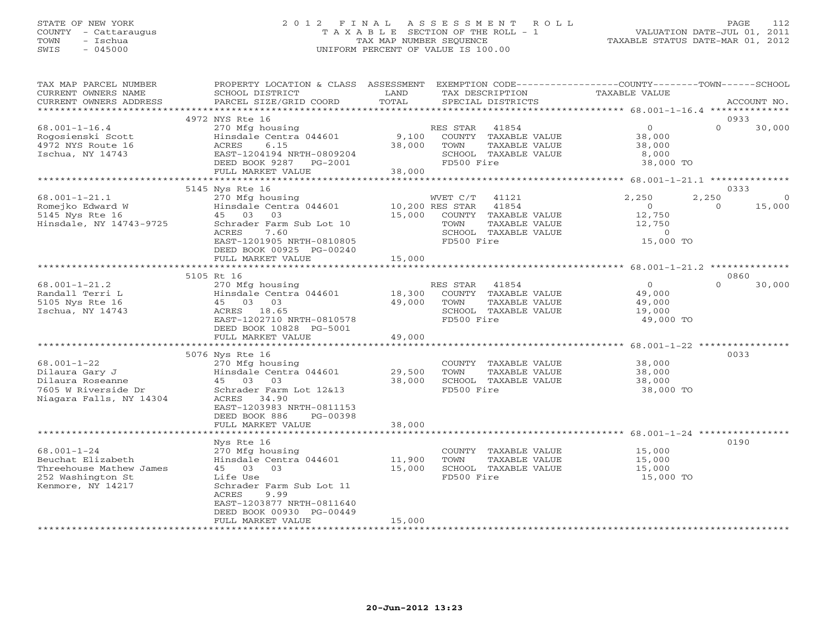### STATE OF NEW YORK 2 0 1 2 F I N A L A S S E S S M E N T R O L L PAGE 112 COUNTY - Cattaraugus T A X A B L E SECTION OF THE ROLL - 1 VALUATION DATE-JUL 01, 2011 TOWN - Ischua TAX MAP NUMBER SEQUENCE TAXABLE STATUS DATE-MAR 01, 2012 SWIS - 045000 UNIFORM PERCENT OF VALUE IS 100.00UNIFORM PERCENT OF VALUE IS 100.00

| TAX MAP PARCEL NUMBER<br>CURRENT OWNERS NAME<br>CURRENT OWNERS ADDRESS                                      | PROPERTY LOCATION & CLASS ASSESSMENT<br>SCHOOL DISTRICT<br>PARCEL SIZE/GRID COORD                                                                                                  | LAND<br>TOTAL    | TAX DESCRIPTION<br>SPECIAL DISTRICTS              |                                                                                 | EXEMPTION CODE-----------------COUNTY-------TOWN------SCHOOL<br>TAXABLE VALUE |                 | ACCOUNT NO.       |
|-------------------------------------------------------------------------------------------------------------|------------------------------------------------------------------------------------------------------------------------------------------------------------------------------------|------------------|---------------------------------------------------|---------------------------------------------------------------------------------|-------------------------------------------------------------------------------|-----------------|-------------------|
| **********************                                                                                      |                                                                                                                                                                                    |                  |                                                   |                                                                                 |                                                                               |                 |                   |
|                                                                                                             | 4972 NYS Rte 16                                                                                                                                                                    |                  |                                                   |                                                                                 |                                                                               | 0933            |                   |
| $68.001 - 1 - 16.4$<br>Rogosienski Scott<br>4972 NYS Route 16<br>Ischua, NY 14743                           | 270 Mfg housing<br>Hinsdale Centra 044601<br>ACRES<br>6.15<br>EAST-1204194 NRTH-0809204<br>DEED BOOK 9287 PG-2001                                                                  | 9,100<br>38,000  | RES STAR<br>TOWN<br>FD500 Fire                    | 41854<br>COUNTY TAXABLE VALUE<br>TAXABLE VALUE<br>SCHOOL TAXABLE VALUE          | $\overline{0}$<br>38,000<br>38,000<br>8,000<br>38,000 TO                      | $\Omega$        | 30,000            |
|                                                                                                             | FULL MARKET VALUE                                                                                                                                                                  | 38,000           |                                                   |                                                                                 |                                                                               |                 |                   |
|                                                                                                             | ***********************                                                                                                                                                            | ***********      |                                                   |                                                                                 | ******************** 68.001-1-21.1 **************                             |                 |                   |
|                                                                                                             | 5145 Nys Rte 16                                                                                                                                                                    |                  |                                                   |                                                                                 |                                                                               | 0333            |                   |
| $68.001 - 1 - 21.1$<br>Romejko Edward W<br>5145 Nys Rte 16<br>Hinsdale, NY 14743-9725                       | 270 Mfg housing<br>Hinsdale Centra 044601<br>45 03<br>03<br>Schrader Farm Sub Lot 10<br>ACRES<br>7.60<br>EAST-1201905 NRTH-0810805<br>DEED BOOK 00925 PG-00240                     | 15,000           | WVET C/T<br>10,200 RES STAR<br>TOWN<br>FD500 Fire | 41121<br>41854<br>COUNTY TAXABLE VALUE<br>TAXABLE VALUE<br>SCHOOL TAXABLE VALUE | 2,250<br>$\circ$<br>12,750<br>12,750<br>$\circ$<br>15,000 TO                  | 2,250<br>$\cap$ | $\circ$<br>15,000 |
|                                                                                                             | FULL MARKET VALUE                                                                                                                                                                  | 15,000           |                                                   |                                                                                 |                                                                               |                 |                   |
|                                                                                                             | **********************                                                                                                                                                             | ************     |                                                   |                                                                                 | ******************** 68.001-1-21.2 **************                             |                 |                   |
|                                                                                                             | 5105 Rt 16                                                                                                                                                                         |                  |                                                   |                                                                                 |                                                                               | 0860            |                   |
| $68.001 - 1 - 21.2$<br>Randall Terri L<br>5105 Nys Rte 16<br>Ischua, NY 14743                               | 270 Mfg housing<br>Hinsdale Centra 044601<br>45 03 03<br>ACRES 18.65<br>EAST-1202710 NRTH-0810578<br>DEED BOOK 10828 PG-5001                                                       | 18,300<br>49,000 | RES STAR<br>TOWN<br>FD500 Fire                    | 41854<br>COUNTY TAXABLE VALUE<br>TAXABLE VALUE<br>SCHOOL TAXABLE VALUE          | $\overline{0}$<br>49,000<br>49,000<br>19,000<br>49,000 TO                     | $\Omega$        | 30,000            |
|                                                                                                             | FULL MARKET VALUE                                                                                                                                                                  | 49,000           |                                                   |                                                                                 |                                                                               |                 |                   |
|                                                                                                             |                                                                                                                                                                                    | *************    |                                                   |                                                                                 | *********** 68.001-1-22 ***********                                           |                 |                   |
| $68.001 - 1 - 22$<br>Dilaura Gary J<br>Dilaura Roseanne<br>7605 W Riverside Dr<br>Niagara Falls, NY 14304   | 5076 Nys Rte 16<br>270 Mfg housing<br>Hinsdale Centra 044601<br>45 03<br>03<br>Schrader Farm Lot 12&13<br>ACRES<br>34.90<br>EAST-1203983 NRTH-0811153<br>DEED BOOK 886<br>PG-00398 | 29,500<br>38,000 | TOWN<br>FD500 Fire                                | COUNTY TAXABLE VALUE<br>TAXABLE VALUE<br>SCHOOL TAXABLE VALUE                   | 38,000<br>38,000<br>38,000<br>38,000 TO                                       | 0033            |                   |
|                                                                                                             | FULL MARKET VALUE                                                                                                                                                                  | 38,000           |                                                   |                                                                                 |                                                                               |                 |                   |
|                                                                                                             | *******************<br>Nys Rte 16                                                                                                                                                  |                  |                                                   |                                                                                 |                                                                               | 0190            |                   |
| $68.001 - 1 - 24$<br>Beuchat Elizabeth<br>Threehouse Mathew James<br>252 Washington St<br>Kenmore, NY 14217 | 270 Mfg housing<br>Hinsdale Centra 044601<br>45 03<br>03<br>Life Use<br>Schrader Farm Sub Lot 11<br>ACRES<br>9.99<br>EAST-1203877 NRTH-0811640<br>DEED BOOK 00930 PG-00449         | 11,900<br>15,000 | TOWN<br>FD500 Fire                                | COUNTY TAXABLE VALUE<br>TAXABLE VALUE<br>SCHOOL TAXABLE VALUE                   | 15,000<br>15,000<br>15,000<br>15,000 TO                                       |                 |                   |
| ***********************                                                                                     | FULL MARKET VALUE<br>********************                                                                                                                                          | 15,000           |                                                   |                                                                                 |                                                                               |                 |                   |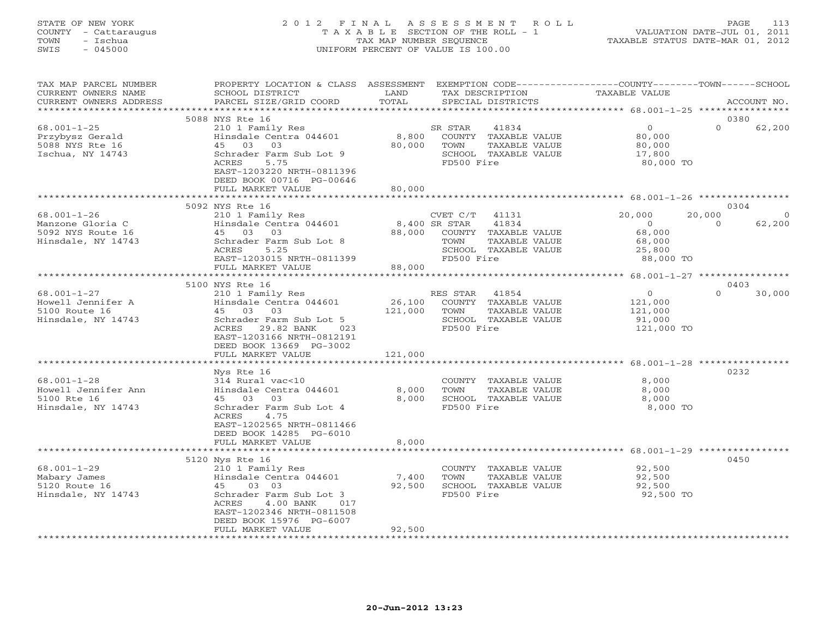### STATE OF NEW YORK 2 0 1 2 F I N A L A S S E S S M E N T R O L L PAGE 113 COUNTY - Cattaraugus T A X A B L E SECTION OF THE ROLL - 1 VALUATION DATE-JUL 01, 2011 TOWN - Ischua TAX MAP NUMBER SEQUENCE TAXABLE STATUS DATE-MAR 01, 2012 SWIS - 045000 UNIFORM PERCENT OF VALUE IS 100.00UNIFORM PERCENT OF VALUE IS 100.00

| PROPERTY LOCATION & CLASS<br>SCHOOL DISTRICT<br>PARCEL SIZE/GRID COORD                                                                                                                       | ASSESSMENT<br>LAND<br>TOTAL                                                                                                                                     | TAX DESCRIPTION<br>SPECIAL DISTRICTS                                                                              | EXEMPTION CODE-----------------COUNTY-------TOWN------SCHOOL<br>TAXABLE VALUE | ACCOUNT NO.                                                                        |
|----------------------------------------------------------------------------------------------------------------------------------------------------------------------------------------------|-----------------------------------------------------------------------------------------------------------------------------------------------------------------|-------------------------------------------------------------------------------------------------------------------|-------------------------------------------------------------------------------|------------------------------------------------------------------------------------|
|                                                                                                                                                                                              | *********                                                                                                                                                       |                                                                                                                   |                                                                               |                                                                                    |
| 210 1 Family Res<br>Hinsdale Centra 044601<br>45 03 03<br>Schrader Farm Sub Lot 9<br>ACRES<br>5.75<br>EAST-1203220 NRTH-0811396<br>DEED BOOK 00716 PG-00646                                  | 8,800<br>80,000                                                                                                                                                 | 41834<br>SR STAR<br>COUNTY TAXABLE VALUE<br>TAXABLE VALUE<br>TOWN<br>SCHOOL TAXABLE VALUE<br>FD500 Fire           | $\circ$<br>80,000<br>80,000<br>17,800<br>80,000 TO                            | 0380<br>$\Omega$<br>62,200                                                         |
|                                                                                                                                                                                              |                                                                                                                                                                 |                                                                                                                   |                                                                               |                                                                                    |
| 210 1 Family Res<br>Hinsdale Centra 044601<br>45 03 03<br>Schrader Farm Sub Lot 8<br>5.25<br>ACRES                                                                                           | 88,000                                                                                                                                                          | CVET C/T<br>41131<br>41834<br>COUNTY TAXABLE VALUE<br>TAXABLE VALUE<br>TOWN<br>SCHOOL TAXABLE VALUE<br>FD500 Fire | 20,000<br>$\overline{0}$<br>68,000<br>68,000<br>25,800<br>88,000 TO           | 0304<br>20,000<br>$\overline{0}$<br>62,200<br>$\Omega$                             |
| FULL MARKET VALUE                                                                                                                                                                            |                                                                                                                                                                 |                                                                                                                   |                                                                               |                                                                                    |
|                                                                                                                                                                                              |                                                                                                                                                                 |                                                                                                                   |                                                                               | 0403                                                                               |
| 210 1 Family Res<br>Hinsdale Centra 044601<br>45 03 03<br>Schrader Farm Sub Lot 5<br>29.82 BANK<br>ACRES<br>023<br>EAST-1203166 NRTH-0812191<br>DEED BOOK 13669 PG-3002<br>FULL MARKET VALUE | 26,100<br>121,000<br>121,000                                                                                                                                    | RES STAR<br>41854<br>COUNTY TAXABLE VALUE<br>TOWN<br>TAXABLE VALUE<br>SCHOOL TAXABLE VALUE<br>FD500 Fire          | $\overline{O}$<br>121,000<br>121,000<br>91,000<br>121,000 TO                  | $\Omega$<br>30,000                                                                 |
|                                                                                                                                                                                              |                                                                                                                                                                 |                                                                                                                   |                                                                               |                                                                                    |
| 314 Rural vac<10<br>Hinsdale Centra 044601<br>45 03 03<br>Schrader Farm Sub Lot 4<br>4.75<br>ACRES<br>EAST-1202565 NRTH-0811466<br>DEED BOOK 14285 PG-6010                                   | 8,000<br>8,000                                                                                                                                                  | COUNTY TAXABLE VALUE<br>TAXABLE VALUE<br>TOWN<br>SCHOOL TAXABLE VALUE<br>FD500 Fire                               | 8,000<br>8,000<br>8,000<br>8,000 TO                                           | 0232                                                                               |
| FULL MARKET VALUE                                                                                                                                                                            | 8,000                                                                                                                                                           |                                                                                                                   |                                                                               |                                                                                    |
| 210 1 Family Res<br>Hinsdale Centra 044601<br>45 03 03<br>Schrader Farm Sub Lot 3<br>ACRES<br>4.00 BANK<br>017<br>EAST-1202346 NRTH-0811508<br>DEED BOOK 15976 PG-6007<br>FULL MARKET VALUE  | 7,400<br>92,500<br>92,500                                                                                                                                       | COUNTY TAXABLE VALUE<br>TOWN<br>TAXABLE VALUE<br>SCHOOL TAXABLE VALUE<br>FD500 Fire                               | 92,500<br>92,500<br>92,500<br>92,500 TO                                       | 0450                                                                               |
|                                                                                                                                                                                              | 5088 NYS Rte 16<br>FULL MARKET VALUE<br>5092 NYS Rte 16<br>EAST-1203015 NRTH-0811399<br>5100 NYS Rte 16<br>Nys Rte 16<br>*******************<br>5120 Nys Rte 16 | 80,000                                                                                                            | 8,400 SR STAR<br>88,000                                                       | ******************** 68.001-1-25 *****************<br>********** 68.001-1-29 ***** |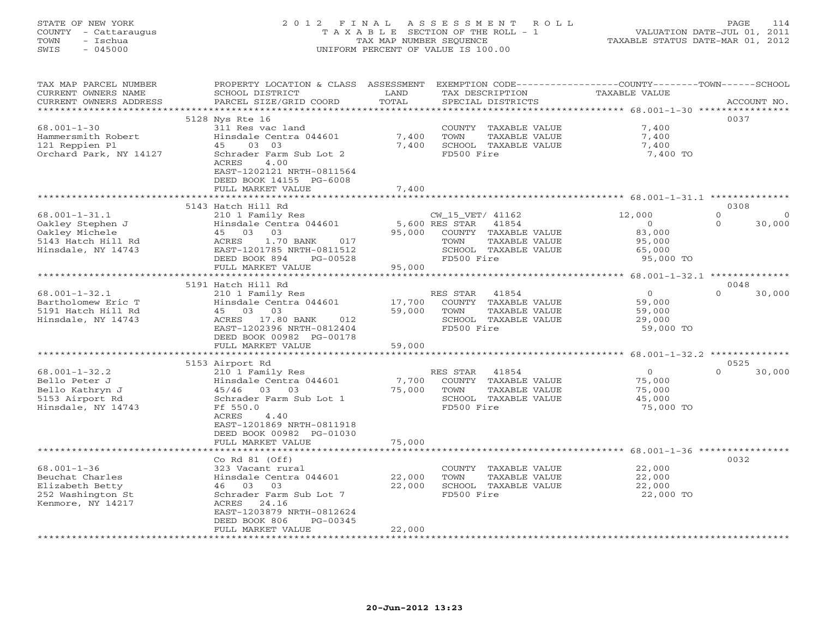# STATE OF NEW YORK 2 0 1 2 F I N A L A S S E S S M E N T R O L L PAGE 114 COUNTY - Cattaraugus T A X A B L E SECTION OF THE ROLL - 1 VALUATION DATE-JUL 01, 2011 TOWN - Ischua TAX MAP NUMBER SEQUENCE TAXABLE STATUS DATE-MAR 01, 2012 SWIS - 045000 UNIFORM PERCENT OF VALUE IS 100.00UNIFORM PERCENT OF VALUE IS 100.00

| TAX MAP PARCEL NUMBER<br>CURRENT OWNERS NAME<br>CURRENT OWNERS ADDRESS                                          | PROPERTY LOCATION & CLASS ASSESSMENT<br>SCHOOL DISTRICT<br>PARCEL SIZE/GRID COORD                                                                                                                                                                   | LAND<br>TOTAL              | EXEMPTION CODE-----------------COUNTY-------TOWN------SCHOOL<br>TAX DESCRIPTION<br>SPECIAL DISTRICTS                               | <b>TAXABLE VALUE</b>                                         | ACCOUNT NO.                                      |
|-----------------------------------------------------------------------------------------------------------------|-----------------------------------------------------------------------------------------------------------------------------------------------------------------------------------------------------------------------------------------------------|----------------------------|------------------------------------------------------------------------------------------------------------------------------------|--------------------------------------------------------------|--------------------------------------------------|
| ************************<br>$68.001 - 1 - 30$<br>Hammersmith Robert<br>121 Reppien Pl<br>Orchard Park, NY 14127 | 5128 Nys Rte 16<br>311 Res vac land<br>Hinsdale Centra 044601<br>45<br>03 03<br>Schrader Farm Sub Lot 2<br>ACRES<br>4.00<br>EAST-1202121 NRTH-0811564<br>DEED BOOK 14155 PG-6008<br>FULL MARKET VALUE                                               | 7,400<br>7,400<br>7,400    | COUNTY TAXABLE VALUE<br>TOWN<br>TAXABLE VALUE<br>SCHOOL TAXABLE VALUE<br>FD500 Fire                                                | 7,400<br>7,400<br>7,400<br>7,400 TO                          | 0037                                             |
| $68.001 - 1 - 31.1$<br>Oakley Stephen J<br>Oakley Michele<br>5143 Hatch Hill Rd<br>Hinsdale, NY 14743           | 5143 Hatch Hill Rd<br>210 1 Family Res<br>Hinsdale Centra 044601<br>03<br>45 03<br>1.70 BANK<br>017<br>ACRES<br>EAST-1201785 NRTH-0811512<br>DEED BOOK 894<br>PG-00528<br>FULL MARKET VALUE                                                         | 95,000<br>95,000           | CW_15_VET/ 41162<br>5,600 RES STAR<br>41854<br>COUNTY TAXABLE VALUE<br>TAXABLE VALUE<br>TOWN<br>SCHOOL TAXABLE VALUE<br>FD500 Fire | 12,000<br>$\circ$<br>83,000<br>95,000<br>65,000<br>95,000 TO | 0308<br>$\circ$<br>$\circ$<br>30,000<br>$\Omega$ |
| $68.001 - 1 - 32.1$<br>Bartholomew Eric T<br>5191 Hatch Hill Rd<br>Hinsdale, NY 14743                           | 5191 Hatch Hill Rd<br>210 1 Family Res<br>Hinsdale Centra 044601<br>45 03 03<br>ACRES 17.80 BANK<br>012<br>EAST-1202396 NRTH-0812404<br>DEED BOOK 00982 PG-00178<br>FULL MARKET VALUE                                                               | 17,700<br>59,000<br>59,000 | RES STAR<br>41854<br>COUNTY TAXABLE VALUE<br>TOWN<br>TAXABLE VALUE<br>SCHOOL TAXABLE VALUE<br>FD500 Fire                           | $\circ$<br>59,000<br>59,000<br>29,000<br>59,000 TO           | 0048<br>$\Omega$<br>30,000                       |
| $68.001 - 1 - 32.2$<br>Bello Peter J<br>Bello Kathryn J<br>5153 Airport Rd<br>Hinsdale, NY 14743                | *****************************<br>5153 Airport Rd<br>210 1 Family Res<br>Hinsdale Centra 044601<br>45/46 03 03<br>Schrader Farm Sub Lot 1<br>Ff 550.0<br>4.40<br>ACRES<br>EAST-1201869 NRTH-0811918<br>DEED BOOK 00982 PG-01030<br>FULL MARKET VALUE | 7,700<br>75,000<br>75,000  | 41854<br>RES STAR<br>COUNTY TAXABLE VALUE<br>TOWN<br>TAXABLE VALUE<br>SCHOOL TAXABLE VALUE<br>FD500 Fire                           | $\circ$<br>75,000<br>75,000<br>45,000<br>75,000 TO           | 0525<br>$\Omega$<br>30,000                       |
| $68.001 - 1 - 36$<br>Beuchat Charles<br>Elizabeth Betty<br>252 Washington St<br>Kenmore, NY 14217               | Co Rd $81$ (Off)<br>323 Vacant rural<br>Hinsdale Centra 044601<br>46 03 03<br>Schrader Farm Sub Lot 7<br>ACRES<br>24.16<br>EAST-1203879 NRTH-0812624<br>DEED BOOK 806<br>PG-00345<br>FULL MARKET VALUE<br>* * * * * * * * * * * * * * * * * *       | 22,000<br>22,000<br>22,000 | COUNTY TAXABLE VALUE<br>TOWN<br>TAXABLE VALUE<br>SCHOOL TAXABLE VALUE<br>FD500 Fire<br>**********************                      | 22,000<br>22,000<br>22,000<br>22,000 TO                      | 0032                                             |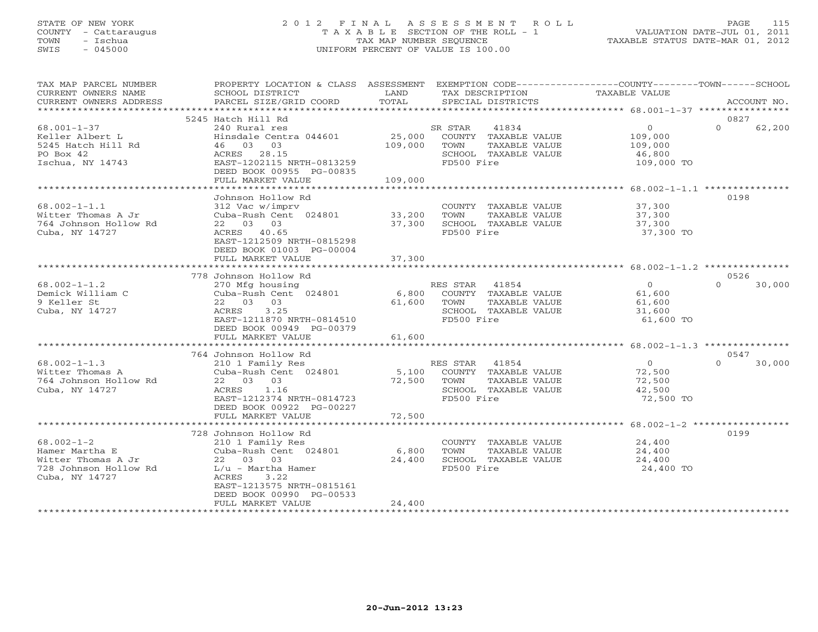### STATE OF NEW YORK 2 0 1 2 F I N A L A S S E S S M E N T R O L L PAGE 115 COUNTY - Cattaraugus T A X A B L E SECTION OF THE ROLL - 1 VALUATION DATE-JUL 01, 2011 TOWN - Ischua TAX MAP NUMBER SEQUENCE TAXABLE STATUS DATE-MAR 01, 2012 SWIS - 045000 UNIFORM PERCENT OF VALUE IS 100.00UNIFORM PERCENT OF VALUE IS 100.00

| TAX MAP PARCEL NUMBER<br>CURRENT OWNERS NAME<br>CURRENT OWNERS ADDRESS<br>************************* | PROPERTY LOCATION & CLASS ASSESSMENT<br>SCHOOL DISTRICT<br>PARCEL SIZE/GRID COORD                                                                                                | LAND<br>TOTAL                | EXEMPTION CODE-----------------COUNTY-------TOWN------SCHOOL<br>TAX DESCRIPTION<br>SPECIAL DISTRICTS     | TAXABLE VALUE                                         | ACCOUNT NO.                |
|-----------------------------------------------------------------------------------------------------|----------------------------------------------------------------------------------------------------------------------------------------------------------------------------------|------------------------------|----------------------------------------------------------------------------------------------------------|-------------------------------------------------------|----------------------------|
|                                                                                                     | 5245 Hatch Hill Rd                                                                                                                                                               |                              |                                                                                                          |                                                       | 0827                       |
| $68.001 - 1 - 37$<br>Keller Albert L<br>5245 Hatch Hill Rd<br>PO Box 42<br>Ischua, NY 14743         | 240 Rural res<br>Hinsdale Centra 044601<br>46 03<br>03<br>ACRES 28.15<br>EAST-1202115 NRTH-0813259<br>DEED BOOK 00955 PG-00835<br>FULL MARKET VALUE                              | 25,000<br>109,000<br>109,000 | SR STAR<br>41834<br>COUNTY TAXABLE VALUE<br>TOWN<br>TAXABLE VALUE<br>SCHOOL TAXABLE VALUE<br>FD500 Fire  | $\circ$<br>109,000<br>109,000<br>46,800<br>109,000 TO | $\Omega$<br>62,200         |
|                                                                                                     | ******************                                                                                                                                                               | **********                   |                                                                                                          | ******************* 68.002-1-1.1 ****************     |                            |
| $68.002 - 1 - 1.1$<br>Witter Thomas A Jr<br>764 Johnson Hollow Rd<br>Cuba, NY 14727                 | Johnson Hollow Rd<br>312 Vac w/imprv<br>Cuba-Rush Cent 024801<br>22 03 03<br>ACRES 40.65<br>EAST-1212509 NRTH-0815298<br>DEED BOOK 01003 PG-00004                                | 33,200<br>37,300             | COUNTY TAXABLE VALUE<br>TOWN<br>TAXABLE VALUE<br>SCHOOL TAXABLE VALUE<br>FD500 Fire                      | 37,300<br>37,300<br>37,300<br>37,300 TO               | 0198                       |
|                                                                                                     | FULL MARKET VALUE                                                                                                                                                                | 37,300                       |                                                                                                          |                                                       |                            |
|                                                                                                     | 778 Johnson Hollow Rd                                                                                                                                                            |                              |                                                                                                          |                                                       | 0526                       |
| $68.002 - 1 - 1.2$<br>Demick William C<br>9 Keller St<br>Cuba, NY 14727                             | 270 Mfg housing<br>Cuba-Rush Cent 024801<br>22 03 03<br>3.25<br>ACRES<br>EAST-1211870 NRTH-0814510<br>DEED BOOK 00949 PG-00379<br>FULL MARKET VALUE                              | 6,800<br>61,600<br>61,600    | 41854<br>RES STAR<br>COUNTY TAXABLE VALUE<br>TOWN<br>TAXABLE VALUE<br>SCHOOL TAXABLE VALUE<br>FD500 Fire | $\Omega$<br>61,600<br>61,600<br>31,600<br>61,600 TO   | $\Omega$<br>30,000         |
|                                                                                                     | *****************************                                                                                                                                                    |                              |                                                                                                          |                                                       |                            |
| $68.002 - 1 - 1.3$<br>Witter Thomas A<br>764 Johnson Hollow Rd<br>Cuba, NY 14727                    | 764 Johnson Hollow Rd<br>210 1 Family Res<br>Cuba-Rush Cent 024801<br>22 03 03<br>1.16<br>ACRES<br>EAST-1212374 NRTH-0814723<br>DEED BOOK 00922 PG-00227                         | 5,100<br>72,500              | RES STAR<br>41854<br>COUNTY TAXABLE VALUE<br>TOWN<br>TAXABLE VALUE<br>SCHOOL TAXABLE VALUE<br>FD500 Fire | $\Omega$<br>72,500<br>72,500<br>42,500<br>72,500 TO   | 0547<br>$\Omega$<br>30,000 |
|                                                                                                     | FULL MARKET VALUE                                                                                                                                                                | 72,500                       |                                                                                                          |                                                       |                            |
|                                                                                                     |                                                                                                                                                                                  |                              |                                                                                                          |                                                       |                            |
| $68.002 - 1 - 2$<br>Hamer Martha E<br>Witter Thomas A Jr<br>728 Johnson Hollow Rd<br>Cuba, NY 14727 | 728 Johnson Hollow Rd<br>210 1 Family Res<br>Cuba-Rush Cent 024801<br>22 03 03<br>$L/u$ - Martha Hamer<br>ACRES<br>3.22<br>EAST-1213575 NRTH-0815161<br>DEED BOOK 00990 PG-00533 | 6,800<br>24,400              | COUNTY TAXABLE VALUE<br>TOWN<br>TAXABLE VALUE<br>SCHOOL TAXABLE VALUE<br>FD500 Fire                      | 24,400<br>24,400<br>24,400<br>24,400 TO               | 0199                       |
| ***********************                                                                             | FULL MARKET VALUE<br>************************                                                                                                                                    | 24,400                       |                                                                                                          |                                                       |                            |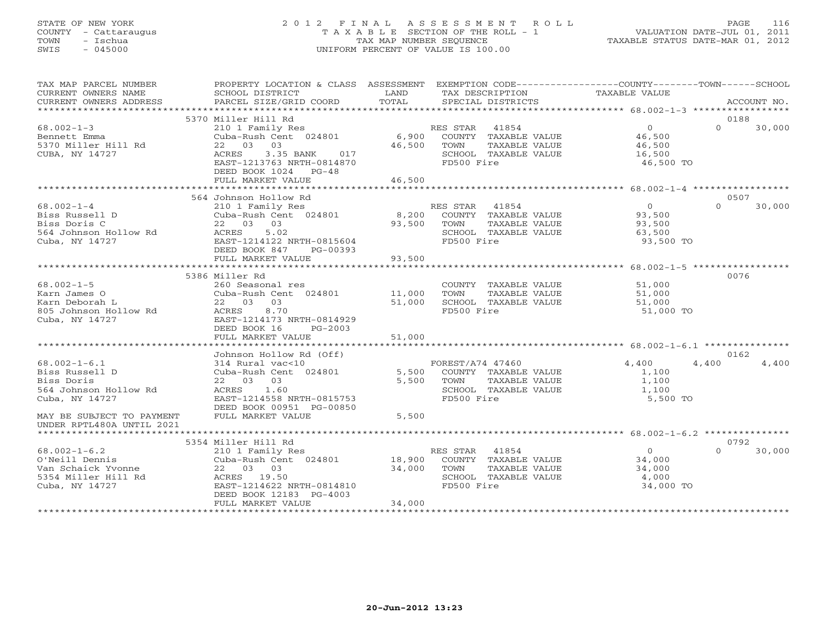# STATE OF NEW YORK 2 0 1 2 F I N A L A S S E S S M E N T R O L L PAGE 116 COUNTY - Cattaraugus T A X A B L E SECTION OF THE ROLL - 1 VALUATION DATE-JUL 01, 2011 TOWN - Ischua TAX MAP NUMBER SEQUENCE TAXABLE STATUS DATE-MAR 01, 2012 SWIS - 045000 UNIFORM PERCENT OF VALUE IS 100.00UNIFORM PERCENT OF VALUE IS 100.00

| TAX MAP PARCEL NUMBER<br>CURRENT OWNERS NAME<br>CURRENT OWNERS ADDRESS                                                                | PROPERTY LOCATION & CLASS ASSESSMENT<br>SCHOOL DISTRICT<br>PARCEL SIZE/GRID COORD                                                                                                                                                               | LAND<br>TOTAL                       | EXEMPTION CODE-----------------COUNTY-------TOWN------SCHOOL<br>TAX DESCRIPTION<br>SPECIAL DISTRICTS                            | TAXABLE VALUE                                                      | ACCOUNT NO.                |
|---------------------------------------------------------------------------------------------------------------------------------------|-------------------------------------------------------------------------------------------------------------------------------------------------------------------------------------------------------------------------------------------------|-------------------------------------|---------------------------------------------------------------------------------------------------------------------------------|--------------------------------------------------------------------|----------------------------|
|                                                                                                                                       |                                                                                                                                                                                                                                                 |                                     |                                                                                                                                 |                                                                    |                            |
| $68.002 - 1 - 3$<br>Bennett Emma<br>5370 Miller Hill Rd<br>CUBA, NY 14727                                                             | 5370 Miller Hill Rd<br>210 1 Family Res<br>Cuba-Rush Cent 024801<br>22 03 03<br>ACRES<br>3.35 BANK<br>017<br>EAST-1213763 NRTH-0814870<br>DEED BOOK 1024 PG-48<br>FULL MARKET VALUE                                                             | 6,900<br>46,500<br>46,500           | RES STAR 41854<br>COUNTY TAXABLE VALUE<br>TAXABLE VALUE<br>TOWN<br>SCHOOL TAXABLE VALUE<br>FD500 Fire                           | $\Omega$<br>46,500<br>46,500<br>16,500<br>46,500 TO                | 0188<br>$\Omega$<br>30,000 |
|                                                                                                                                       | 564 Johnson Hollow Rd                                                                                                                                                                                                                           |                                     |                                                                                                                                 |                                                                    | 0507                       |
| $68.002 - 1 - 4$<br>Biss Russell D<br>Biss Doris C<br>564 Johnson Hollow Rd<br>Cuba, NY 14727                                         | 210 1 Family Res<br>Cuba-Rush Cent 024801<br>22 03 03<br>5.02<br>ACRES<br>EAST-1214122 NRTH-0815604<br>DEED BOOK 847<br>PG-00393                                                                                                                | 8,200<br>93,500                     | RES STAR<br>41854<br>COUNTY TAXABLE VALUE<br>TOWN<br>TAXABLE VALUE<br>SCHOOL TAXABLE VALUE<br>FD500 Fire                        | $\overline{0}$<br>93,500<br>93,500<br>63,500<br>93,500 TO          | $\Omega$<br>30,000         |
|                                                                                                                                       | FULL MARKET VALUE                                                                                                                                                                                                                               | 93,500                              |                                                                                                                                 |                                                                    |                            |
| $68.002 - 1 - 5$<br>Karn James O<br>Karn Deborah L<br>805 Johnson Hollow Rd<br>Cuba, NY 14727<br>$68.002 - 1 - 6.1$<br>Biss Russell D | 5386 Miller Rd<br>260 Seasonal res<br>Cuba-Rush Cent 024801<br>22 03 03<br>ACRES<br>8.70<br>EAST-1214173 NRTH-0814929<br>DEED BOOK 16<br>$PG-2003$<br>FULL MARKET VALUE<br>Johnson Hollow Rd (Off)<br>314 Rural vac<10<br>Cuba-Rush Cent 024801 | 11,000<br>51,000<br>51,000<br>5,500 | COUNTY TAXABLE VALUE<br>TOWN<br>TAXABLE VALUE<br>SCHOOL TAXABLE VALUE<br>FD500 Fire<br>FOREST/A74 47460<br>COUNTY TAXABLE VALUE | 51,000<br>51,000<br>51,000<br>51,000 TO<br>4,400<br>4,400<br>1,100 | 0076<br>0162<br>4,400      |
| Biss Doris<br>564 Johnson Hollow Rd<br>Cuba, NY 14727<br>MAY BE SUBJECT TO PAYMENT<br>UNDER RPTL480A UNTIL 2021                       | 22 03 03<br>ACRES<br>1.60<br>EAST-1214558 NRTH-0815753<br>DEED BOOK 00951 PG-00850<br>FULL MARKET VALUE                                                                                                                                         | 5,500<br>5,500                      | TOWN<br>TAXABLE VALUE<br>SCHOOL TAXABLE VALUE<br>FD500 Fire                                                                     | 1,100<br>1,100<br>5,500 TO                                         |                            |
|                                                                                                                                       | 5354 Miller Hill Rd                                                                                                                                                                                                                             |                                     |                                                                                                                                 |                                                                    | 0792                       |
| $68.002 - 1 - 6.2$<br>O'Neill Dennis<br>Van Schaick Yvonne<br>5354 Miller Hill Rd<br>Cuba, NY 14727                                   | 210 1 Family Res<br>Cuba-Rush Cent 024801<br>22 03 03<br>ACRES 19.50<br>EAST-1214622 NRTH-0814810<br>DEED BOOK 12183 PG-4003<br>FULL MARKET VALUE                                                                                               | 18,900<br>34,000<br>34,000          | RES STAR<br>41854<br>COUNTY TAXABLE VALUE<br>TAXABLE VALUE<br>TOWN<br>SCHOOL TAXABLE VALUE<br>FD500 Fire                        | $\overline{0}$<br>34,000<br>34,000<br>4,000<br>34,000 TO           | 30,000<br>$\Omega$         |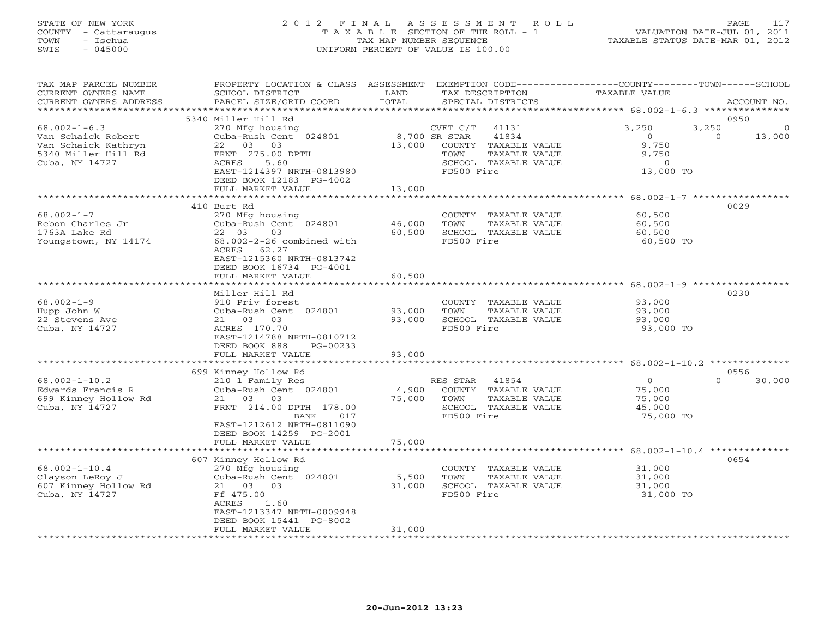### STATE OF NEW YORK 2 0 1 2 F I N A L A S S E S S M E N T R O L L PAGE 117 COUNTY - Cattaraugus T A X A B L E SECTION OF THE ROLL - 1 VALUATION DATE-JUL 01, 2011 TOWN - Ischua TAX MAP NUMBER SEQUENCE TAXABLE STATUS DATE-MAR 01, 2012 SWIS - 045000 UNIFORM PERCENT OF VALUE IS 100.00UNIFORM PERCENT OF VALUE IS 100.00

| TAX MAP PARCEL NUMBER<br>CURRENT OWNERS NAME<br>CURRENT OWNERS ADDRESS<br>******************** | PROPERTY LOCATION & CLASS<br>SCHOOL DISTRICT<br>PARCEL SIZE/GRID COORD | ASSESSMENT<br>LAND<br>TOTAL |               | TAX DESCRIPTION<br>SPECIAL DISTRICTS  | EXEMPTION CODE-----------------COUNTY-------TOWN------SCHOOL<br><b>TAXABLE VALUE</b> |          | ACCOUNT NO. |
|------------------------------------------------------------------------------------------------|------------------------------------------------------------------------|-----------------------------|---------------|---------------------------------------|--------------------------------------------------------------------------------------|----------|-------------|
|                                                                                                |                                                                        |                             |               |                                       |                                                                                      |          |             |
| $68.002 - 1 - 6.3$                                                                             | 5340 Miller Hill Rd<br>270 Mfg housing                                 |                             | CVET C/T      | 41131                                 | 3,250                                                                                | 3,250    | 0950        |
| Van Schaick Robert                                                                             | Cuba-Rush Cent 024801                                                  |                             | 8,700 SR STAR | 41834                                 | $\Omega$                                                                             | $\Omega$ | 13,000      |
| Van Schaick Kathryn                                                                            | 03<br>03<br>22                                                         | 13,000                      |               | COUNTY TAXABLE VALUE                  | 9,750                                                                                |          |             |
| 5340 Miller Hill Rd<br>Cuba, NY 14727                                                          | FRNT 275.00 DPTH<br>ACRES<br>5.60                                      |                             | TOWN          | TAXABLE VALUE<br>SCHOOL TAXABLE VALUE | 9,750<br>$\circ$                                                                     |          |             |
|                                                                                                | EAST-1214397 NRTH-0813980                                              |                             | FD500 Fire    |                                       | 13,000 TO                                                                            |          |             |
|                                                                                                | DEED BOOK 12183 PG-4002                                                |                             |               |                                       |                                                                                      |          |             |
|                                                                                                | FULL MARKET VALUE                                                      | 13,000                      |               |                                       |                                                                                      |          |             |
|                                                                                                |                                                                        | *************               |               | *******************************       | $68.002 - 1 - 7$ ******************                                                  |          |             |
|                                                                                                | 410 Burt Rd                                                            |                             |               |                                       |                                                                                      |          | 0029        |
| $68.002 - 1 - 7$                                                                               | 270 Mfg housing                                                        |                             |               | COUNTY TAXABLE VALUE                  | 60,500                                                                               |          |             |
| Rebon Charles Jr                                                                               | Cuba-Rush Cent 024801                                                  | 46,000                      | TOWN          | TAXABLE VALUE                         | 60,500                                                                               |          |             |
| 1763A Lake Rd                                                                                  | 03<br>22 03                                                            | 60,500                      |               | SCHOOL TAXABLE VALUE                  | 60,500                                                                               |          |             |
| Youngstown, NY 14174                                                                           | $68.002 - 2 - 26$ combined with<br>ACRES<br>62.27                      |                             | FD500 Fire    |                                       | 60,500 TO                                                                            |          |             |
|                                                                                                | EAST-1215360 NRTH-0813742                                              |                             |               |                                       |                                                                                      |          |             |
|                                                                                                | DEED BOOK 16734 PG-4001                                                |                             |               |                                       |                                                                                      |          |             |
|                                                                                                | FULL MARKET VALUE                                                      | 60,500                      |               |                                       |                                                                                      |          |             |
|                                                                                                |                                                                        |                             |               |                                       |                                                                                      |          |             |
|                                                                                                | Miller Hill Rd                                                         |                             |               |                                       |                                                                                      |          | 0230        |
| $68.002 - 1 - 9$                                                                               | 910 Priv forest                                                        |                             |               | COUNTY TAXABLE VALUE                  | 93,000                                                                               |          |             |
| Hupp John W                                                                                    | Cuba-Rush Cent 024801                                                  | 93,000                      | TOWN          | TAXABLE VALUE                         | 93,000                                                                               |          |             |
| 22 Stevens Ave                                                                                 | 21 03 03                                                               | 93,000                      |               | SCHOOL TAXABLE VALUE                  | 93,000                                                                               |          |             |
| Cuba, NY 14727                                                                                 | ACRES 170.70<br>EAST-1214788 NRTH-0810712                              |                             | FD500 Fire    |                                       | 93,000 TO                                                                            |          |             |
|                                                                                                | DEED BOOK 888<br>PG-00233                                              |                             |               |                                       |                                                                                      |          |             |
|                                                                                                | FULL MARKET VALUE                                                      | 93,000                      |               |                                       |                                                                                      |          |             |
|                                                                                                | *********************                                                  | **************              |               |                                       | ******************************** 68.002-1-10.2 *********                             |          |             |
|                                                                                                | 699 Kinney Hollow Rd                                                   |                             |               |                                       |                                                                                      |          | 0556        |
| $68.002 - 1 - 10.2$                                                                            | 210 1 Family Res                                                       |                             | RES STAR      | 41854                                 | $\circ$                                                                              | $\Omega$ | 30,000      |
| Edwards Francis R                                                                              | Cuba-Rush Cent 024801                                                  | 4,900                       |               | COUNTY TAXABLE VALUE                  | 75,000                                                                               |          |             |
| 699 Kinney Hollow Rd                                                                           | 21<br>03<br>03                                                         | 75,000                      | TOWN          | TAXABLE VALUE                         | 75,000                                                                               |          |             |
| Cuba, NY 14727                                                                                 | FRNT 214.00 DPTH 178.00<br>BANK<br>017                                 |                             | FD500 Fire    | SCHOOL TAXABLE VALUE                  | 45,000<br>75,000 TO                                                                  |          |             |
|                                                                                                | EAST-1212612 NRTH-0811090                                              |                             |               |                                       |                                                                                      |          |             |
|                                                                                                | DEED BOOK 14259 PG-2001                                                |                             |               |                                       |                                                                                      |          |             |
|                                                                                                | FULL MARKET VALUE                                                      | 75,000                      |               |                                       |                                                                                      |          |             |
|                                                                                                | *********************                                                  | **************              |               |                                       | ******************************* 68.002-1-10.4                                        |          | ******      |
|                                                                                                | 607 Kinney Hollow Rd                                                   |                             |               |                                       |                                                                                      |          | 0654        |
| $68.002 - 1 - 10.4$                                                                            | 270 Mfg housing                                                        |                             |               | COUNTY TAXABLE VALUE                  | 31,000                                                                               |          |             |
| Clayson LeRoy J                                                                                | Cuba-Rush Cent 024801                                                  | 5,500                       | TOWN          | TAXABLE VALUE                         | 31,000                                                                               |          |             |
| 607 Kinney Hollow Rd                                                                           | 21 03<br>03                                                            | 31,000                      |               | SCHOOL TAXABLE VALUE                  | 31,000                                                                               |          |             |
| Cuba, NY 14727                                                                                 | Ff 475.00<br>ACRES<br>1.60                                             |                             | FD500 Fire    |                                       | 31,000 TO                                                                            |          |             |
|                                                                                                | EAST-1213347 NRTH-0809948                                              |                             |               |                                       |                                                                                      |          |             |
|                                                                                                | DEED BOOK 15441 PG-8002                                                |                             |               |                                       |                                                                                      |          |             |
|                                                                                                | FULL MARKET VALUE                                                      | 31,000                      |               |                                       |                                                                                      |          |             |
|                                                                                                | *********************                                                  | ***********                 |               | ********************************      |                                                                                      |          |             |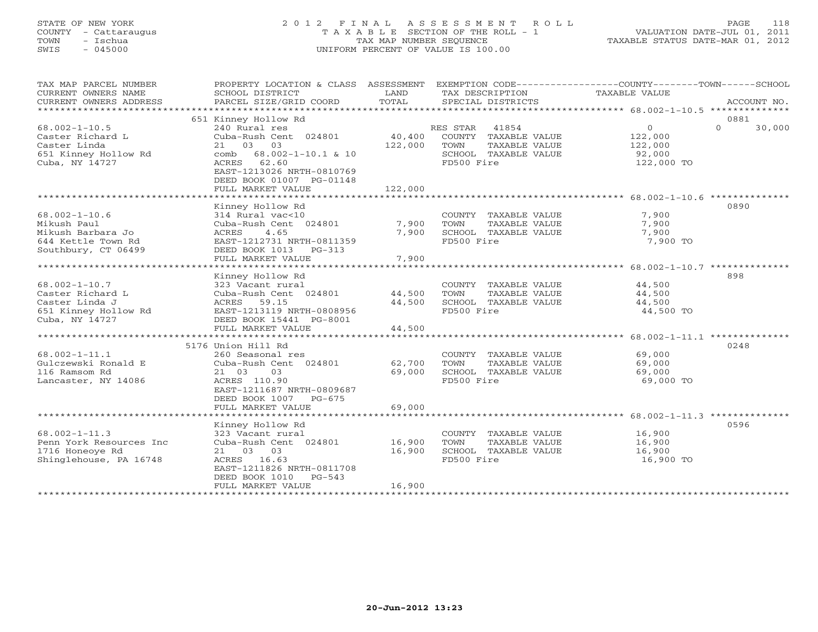# STATE OF NEW YORK 2 0 1 2 F I N A L A S S E S S M E N T R O L L PAGE 118 COUNTY - Cattaraugus T A X A B L E SECTION OF THE ROLL - 1 VALUATION DATE-JUL 01, 2011 TOWN - Ischua TAX MAP NUMBER SEQUENCE TAXABLE STATUS DATE-MAR 01, 2012 SWIS - 045000 UNIFORM PERCENT OF VALUE IS 100.00UNIFORM PERCENT OF VALUE IS 100.00

| TAX MAP PARCEL NUMBER<br>CURRENT OWNERS NAME<br>CURRENT OWNERS ADDRESS<br>************************   | PROPERTY LOCATION & CLASS ASSESSMENT<br>SCHOOL DISTRICT<br>PARCEL SIZE/GRID COORD                                                                                                            | LAND<br>TOTAL                | TAX DESCRIPTION<br>SPECIAL DISTRICTS                                                                     | EXEMPTION CODE----------------COUNTY-------TOWN------SCHOOL<br>TAXABLE VALUE<br>ACCOUNT NO. |  |
|------------------------------------------------------------------------------------------------------|----------------------------------------------------------------------------------------------------------------------------------------------------------------------------------------------|------------------------------|----------------------------------------------------------------------------------------------------------|---------------------------------------------------------------------------------------------|--|
|                                                                                                      | 651 Kinney Hollow Rd                                                                                                                                                                         |                              |                                                                                                          | 0881                                                                                        |  |
| $68.002 - 1 - 10.5$<br>Caster Richard L<br>Caster Linda<br>651 Kinney Hollow Rd<br>Cuba, NY 14727    | 240 Rural res<br>Cuba-Rush Cent 024801<br>03<br>21<br>03<br>$68.002 - 1 - 10.1$ & 10<br>comb<br>ACRES<br>62.60<br>EAST-1213026 NRTH-0810769<br>DEED BOOK 01007 PG-01148<br>FULL MARKET VALUE | 40,400<br>122,000<br>122,000 | RES STAR<br>41854<br>COUNTY TAXABLE VALUE<br>TOWN<br>TAXABLE VALUE<br>SCHOOL TAXABLE VALUE<br>FD500 Fire | $\circ$<br>$\Omega$<br>30,000<br>122,000<br>122,000<br>92,000<br>122,000 TO                 |  |
|                                                                                                      |                                                                                                                                                                                              |                              |                                                                                                          |                                                                                             |  |
| $68.002 - 1 - 10.6$<br>Mikush Paul<br>Mikush Barbara Jo<br>644 Kettle Town Rd<br>Southbury, CT 06499 | Kinney Hollow Rd<br>314 Rural vac<10<br>Cuba-Rush Cent 024801<br>4.65<br>ACRES<br>EAST-1212731 NRTH-0811359<br>DEED BOOK 1013<br>PG-313<br>FULL MARKET VALUE                                 | 7,900<br>7,900<br>7,900      | COUNTY TAXABLE VALUE<br>TOWN<br>TAXABLE VALUE<br>SCHOOL TAXABLE VALUE<br>FD500 Fire                      | 0890<br>7,900<br>7,900<br>7,900<br>7,900 TO                                                 |  |
| *******************                                                                                  |                                                                                                                                                                                              |                              |                                                                                                          |                                                                                             |  |
| $68.002 - 1 - 10.7$<br>Caster Richard L<br>Caster Linda J<br>651 Kinney Hollow Rd<br>Cuba, NY 14727  | Kinney Hollow Rd<br>323 Vacant rural<br>Cuba-Rush Cent 024801<br>ACRES<br>59.15<br>EAST-1213119 NRTH-0808956<br>DEED BOOK 15441 PG-8001                                                      | 44,500<br>44,500             | COUNTY TAXABLE VALUE<br>TOWN<br>TAXABLE VALUE<br>SCHOOL TAXABLE VALUE<br>FD500 Fire                      | 898<br>44,500<br>44,500<br>44,500<br>44,500 TO                                              |  |
|                                                                                                      | FULL MARKET VALUE                                                                                                                                                                            | 44,500                       |                                                                                                          |                                                                                             |  |
|                                                                                                      |                                                                                                                                                                                              |                              |                                                                                                          |                                                                                             |  |
| $68.002 - 1 - 11.1$<br>Gulczewski Ronald E<br>116 Ramsom Rd<br>Lancaster, NY 14086                   | 5176 Union Hill Rd<br>260 Seasonal res<br>Cuba-Rush Cent 024801<br>21 03<br>03<br>ACRES 110.90<br>EAST-1211687 NRTH-0809687<br>DEED BOOK 1007<br>PG-675                                      | 62,700<br>69,000             | COUNTY<br>TAXABLE VALUE<br>TOWN<br>TAXABLE VALUE<br>SCHOOL TAXABLE VALUE<br>FD500 Fire                   | 0248<br>69,000<br>69,000<br>69,000<br>69,000 TO                                             |  |
|                                                                                                      | FULL MARKET VALUE                                                                                                                                                                            | 69,000                       |                                                                                                          |                                                                                             |  |
| $68.002 - 1 - 11.3$                                                                                  | Kinney Hollow Rd<br>323 Vacant rural                                                                                                                                                         |                              | COUNTY TAXABLE VALUE                                                                                     | 0596<br>16,900                                                                              |  |
| Penn York Resources Inc<br>1716 Honeoye Rd<br>Shinglehouse, PA 16748                                 | Cuba-Rush Cent 024801<br>21 03 03<br>ACRES<br>16.63<br>EAST-1211826 NRTH-0811708<br>DEED BOOK 1010<br>$PG-543$<br>FULL MARKET VALUE                                                          | 16,900<br>16,900<br>16,900   | TOWN<br>TAXABLE VALUE<br>SCHOOL TAXABLE VALUE<br>FD500 Fire                                              | 16,900<br>16,900<br>16,900 TO                                                               |  |
|                                                                                                      |                                                                                                                                                                                              |                              |                                                                                                          |                                                                                             |  |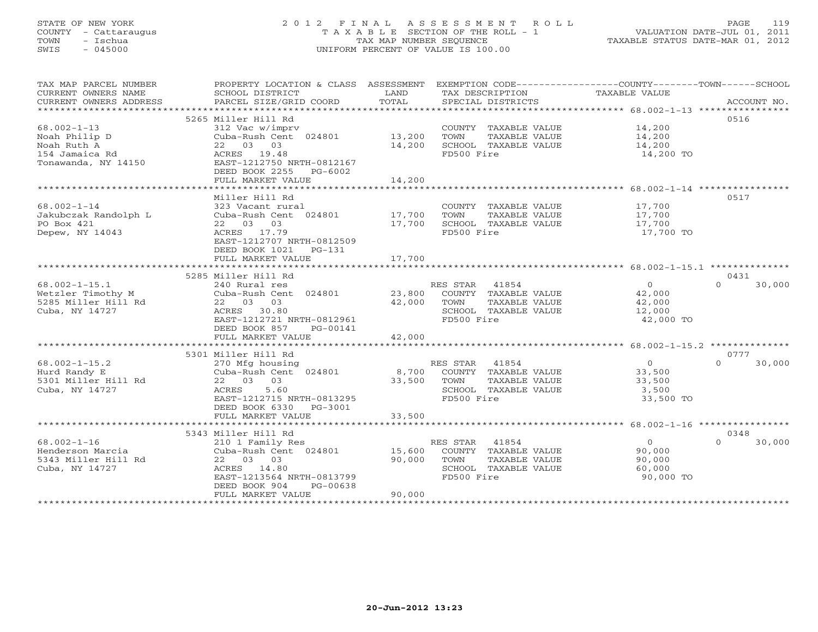# STATE OF NEW YORK 2 0 1 2 F I N A L A S S E S S M E N T R O L L PAGE 119 COUNTY - Cattaraugus T A X A B L E SECTION OF THE ROLL - 1 VALUATION DATE-JUL 01, 2011 TOWN - Ischua TAX MAP NUMBER SEQUENCE TAXABLE STATUS DATE-MAR 01, 2012 SWIS - 045000 UNIFORM PERCENT OF VALUE IS 100.00UNIFORM PERCENT OF VALUE IS 100.00

| TAX MAP PARCEL NUMBER<br>CURRENT OWNERS NAME<br>CURRENT OWNERS ADDRESS                     | PROPERTY LOCATION & CLASS ASSESSMENT<br>SCHOOL DISTRICT<br>PARCEL SIZE/GRID COORD                                                                     | LAND<br>TOTAL          | EXEMPTION CODE-----------------COUNTY-------TOWN------SCHOOL<br>TAX DESCRIPTION<br>SPECIAL DISTRICTS     | TAXABLE VALUE                                             | ACCOUNT NO.                |
|--------------------------------------------------------------------------------------------|-------------------------------------------------------------------------------------------------------------------------------------------------------|------------------------|----------------------------------------------------------------------------------------------------------|-----------------------------------------------------------|----------------------------|
| ***********************                                                                    |                                                                                                                                                       |                        |                                                                                                          |                                                           |                            |
| $68.002 - 1 - 13$<br>Noah Philip D<br>Noah Ruth A<br>154 Jamaica Rd<br>Tonawanda, NY 14150 | 5265 Miller Hill Rd<br>312 Vac w/imprv<br>Cuba-Rush Cent 024801<br>22 03 03<br>ACRES 19.48<br>EAST-1212750 NRTH-0812167                               | 13,200<br>14,200       | COUNTY TAXABLE VALUE<br>TOWN<br>TAXABLE VALUE<br>SCHOOL TAXABLE VALUE<br>FD500 Fire                      | 14,200<br>14,200<br>14,200<br>14,200 TO                   | 0516                       |
|                                                                                            | DEED BOOK 2255<br>PG-6002<br>FULL MARKET VALUE                                                                                                        | 14,200                 |                                                                                                          |                                                           |                            |
|                                                                                            | Miller Hill Rd                                                                                                                                        |                        |                                                                                                          |                                                           | 0517                       |
| $68.002 - 1 - 14$<br>Jakubczak Randolph L<br>PO Box 421<br>Depew, NY 14043                 | 323 Vacant rural<br>Cuba-Rush Cent 024801<br>22 03 03<br>ACRES 17.79<br>EAST-1212707 NRTH-0812509                                                     | 17,700<br>17,700       | COUNTY TAXABLE VALUE<br>TOWN<br>TAXABLE VALUE<br>SCHOOL TAXABLE VALUE<br>FD500 Fire                      | 17,700<br>17,700<br>17,700<br>17,700 TO                   |                            |
|                                                                                            | DEED BOOK 1021<br>PG-131                                                                                                                              |                        |                                                                                                          |                                                           |                            |
|                                                                                            | FULL MARKET VALUE<br>*************************                                                                                                        | 17,700<br>************ |                                                                                                          |                                                           |                            |
|                                                                                            | 5285 Miller Hill Rd                                                                                                                                   |                        |                                                                                                          |                                                           | 0431                       |
| $68.002 - 1 - 15.1$<br>Wetzler Timothy M<br>5285 Miller Hill Rd<br>Cuba, NY 14727          | 240 Rural res<br>Cuba-Rush Cent 024801<br>22 03 03<br>ACRES 30.80<br>EAST-1212721 NRTH-0812961                                                        | 23,800<br>42,000       | RES STAR<br>41854<br>COUNTY TAXABLE VALUE<br>TOWN<br>TAXABLE VALUE<br>SCHOOL TAXABLE VALUE<br>FD500 Fire | $\overline{O}$<br>42,000<br>42,000<br>12,000<br>42,000 TO | 30,000<br>$\Omega$         |
|                                                                                            | DEED BOOK 857<br>PG-00141<br>FULL MARKET VALUE                                                                                                        | 42,000                 |                                                                                                          |                                                           |                            |
|                                                                                            |                                                                                                                                                       |                        |                                                                                                          |                                                           |                            |
|                                                                                            | 5301 Miller Hill Rd                                                                                                                                   |                        |                                                                                                          |                                                           | 0777                       |
| $68.002 - 1 - 15.2$<br>Hurd Randy E<br>5301 Miller Hill Rd<br>Cuba, NY 14727               | 270 Mfg housing<br>Cuba-Rush Cent 024801<br>22 03 03<br>ACRES<br>5.60<br>EAST-1212715 NRTH-0813295<br>DEED BOOK 6330 PG-3001                          | 8,700<br>33,500        | RES STAR 41854<br>COUNTY TAXABLE VALUE<br>TAXABLE VALUE<br>TOWN<br>SCHOOL TAXABLE VALUE<br>FD500 Fire    | $\overline{0}$<br>33,500<br>33,500<br>3,500<br>33,500 TO  | $\Omega$<br>30,000         |
|                                                                                            | FULL MARKET VALUE                                                                                                                                     | 33,500                 |                                                                                                          |                                                           |                            |
|                                                                                            |                                                                                                                                                       |                        |                                                                                                          |                                                           |                            |
| $68.002 - 1 - 16$<br>Henderson Marcia<br>5343 Miller Hill Rd<br>Cuba, NY 14727             | 5343 Miller Hill Rd<br>210 1 Family Res<br>Cuba-Rush Cent 024801<br>22 03 03<br>ACRES 14.80<br>EAST-1213564 NRTH-0813799<br>DEED BOOK 904<br>PG-00638 | 15,600<br>90,000       | RES STAR 41854<br>COUNTY TAXABLE VALUE<br>TOWN<br>TAXABLE VALUE<br>SCHOOL TAXABLE VALUE<br>FD500 Fire    | $\overline{0}$<br>90,000<br>90,000<br>60,000<br>90,000 TO | 0348<br>30,000<br>$\Omega$ |
| ************************                                                                   | FULL MARKET VALUE<br>***********************                                                                                                          | 90,000                 |                                                                                                          |                                                           |                            |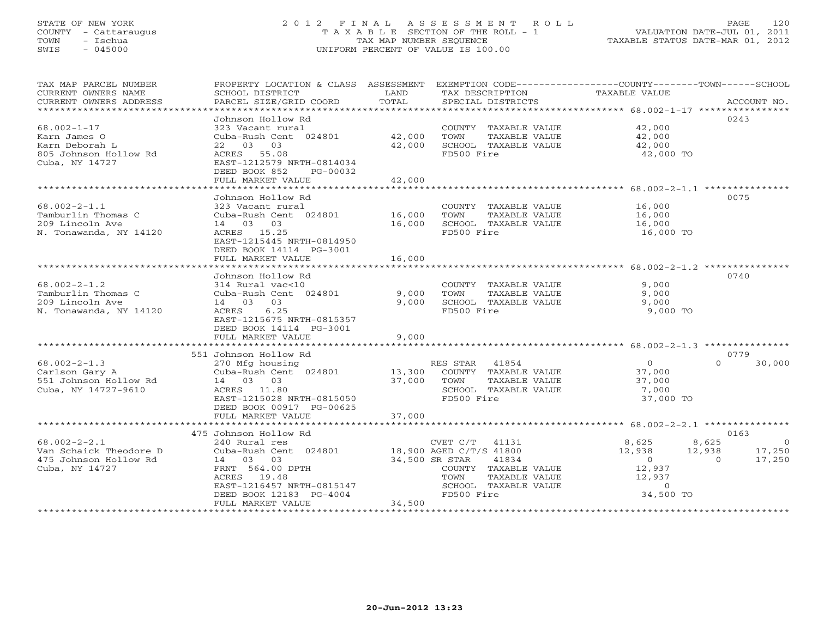# STATE OF NEW YORK 2 0 1 2 F I N A L A S S E S S M E N T R O L L PAGE 120 COUNTY - Cattaraugus T A X A B L E SECTION OF THE ROLL - 1 VALUATION DATE-JUL 01, 2011 TOWN - Ischua TAX MAP NUMBER SEQUENCE TAXABLE STATUS DATE-MAR 01, 2012 SWIS - 045000 UNIFORM PERCENT OF VALUE IS 100.00UNIFORM PERCENT OF VALUE IS 100.00

| TAX MAP PARCEL NUMBER<br>CURRENT OWNERS NAME<br>CURRENT OWNERS ADDRESS                  | PROPERTY LOCATION & CLASS ASSESSMENT<br>SCHOOL DISTRICT<br>PARCEL SIZE/GRID COORD                                                                     | LAND<br>TOTAL    | EXEMPTION CODE-----------------COUNTY-------TOWN------SCHOOL<br>TAX DESCRIPTION<br>SPECIAL DISTRICTS     | TAXABLE VALUE                                                   | ACCOUNT NO.                                          |
|-----------------------------------------------------------------------------------------|-------------------------------------------------------------------------------------------------------------------------------------------------------|------------------|----------------------------------------------------------------------------------------------------------|-----------------------------------------------------------------|------------------------------------------------------|
| *************************                                                               |                                                                                                                                                       |                  |                                                                                                          |                                                                 |                                                      |
| $68.002 - 1 - 17$                                                                       | Johnson Hollow Rd<br>323 Vacant rural                                                                                                                 | 42,000           | COUNTY TAXABLE VALUE                                                                                     | 42,000                                                          | 0243                                                 |
| Karn James O<br>Karn Deborah L<br>805 Johnson Hollow Rd<br>Cuba, NY 14727               | Cuba-Rush Cent 024801<br>22 03 03<br>ACRES 55.08<br>EAST-1212579 NRTH-0814034<br>DEED BOOK 852<br>PG-00032                                            | 42,000           | TOWN<br>TAXABLE VALUE<br>SCHOOL TAXABLE VALUE<br>FD500 Fire                                              | 42,000<br>42,000<br>42,000 TO                                   |                                                      |
|                                                                                         | FULL MARKET VALUE                                                                                                                                     | 42,000           |                                                                                                          |                                                                 |                                                      |
|                                                                                         |                                                                                                                                                       |                  |                                                                                                          |                                                                 |                                                      |
| $68.002 - 2 - 1.1$<br>Tamburlin Thomas C<br>209 Lincoln Ave                             | Johnson Hollow Rd<br>323 Vacant rural<br>Cuba-Rush Cent 024801<br>14 03 03                                                                            | 16,000<br>16,000 | COUNTY TAXABLE VALUE<br>TOWN<br>TAXABLE VALUE<br>SCHOOL TAXABLE VALUE                                    | 16,000<br>16,000<br>16,000                                      | 0075                                                 |
| N. Tonawanda, NY 14120                                                                  | ACRES 15.25<br>EAST-1215445 NRTH-0814950<br>DEED BOOK 14114 PG-3001<br>FULL MARKET VALUE                                                              | 16,000           | FD500 Fire                                                                                               | 16,000 TO                                                       |                                                      |
|                                                                                         | ************************************                                                                                                                  |                  |                                                                                                          |                                                                 |                                                      |
|                                                                                         | Johnson Hollow Rd                                                                                                                                     |                  |                                                                                                          |                                                                 | 0740                                                 |
| $68.002 - 2 - 1.2$<br>Tamburlin Thomas C<br>209 Lincoln Ave<br>N. Tonawanda, NY 14120   | 314 Rural vac<10<br>Cuba-Rush Cent 024801<br>14 03<br>03<br>ACRES<br>6.25                                                                             | 9,000<br>9,000   | COUNTY TAXABLE VALUE<br>TOWN<br><b>TAXABLE VALUE</b><br>SCHOOL TAXABLE VALUE<br>FD500 Fire               | 9,000<br>9,000<br>9,000<br>9,000 TO                             |                                                      |
|                                                                                         | EAST-1215675 NRTH-0815357<br>DEED BOOK 14114 PG-3001<br>FULL MARKET VALUE                                                                             | 9,000            |                                                                                                          |                                                                 |                                                      |
|                                                                                         |                                                                                                                                                       |                  |                                                                                                          |                                                                 |                                                      |
| $68.002 - 2 - 1.3$<br>Carlson Gary A<br>551 Johnson Hollow Rd<br>Cuba, NY 14727-9610    | 551 Johnson Hollow Rd<br>270 Mfg housing<br>Cuba-Rush Cent 024801<br>14 03 03<br>ACRES 11.80<br>EAST-1215028 NRTH-0815050<br>DEED BOOK 00917 PG-00625 | 13,300<br>37,000 | 41854<br>RES STAR<br>COUNTY TAXABLE VALUE<br>TOWN<br>TAXABLE VALUE<br>SCHOOL TAXABLE VALUE<br>FD500 Fire | $\circ$<br>37,000<br>37,000<br>7,000<br>37,000 TO               | 0779<br>$\Omega$<br>30,000                           |
|                                                                                         | FULL MARKET VALUE                                                                                                                                     | 37,000           |                                                                                                          |                                                                 |                                                      |
|                                                                                         | *******************                                                                                                                                   | *********        |                                                                                                          | ******************* 68.002-2-2.1 ***************                |                                                      |
| $68.002 - 2 - 2.1$<br>Van Schaick Theodore D<br>475 Johnson Hollow Rd<br>Cuba, NY 14727 | 475 Johnson Hollow Rd<br>240 Rural res<br>Cuba-Rush Cent 024801<br>14 03<br>03<br>FRNT 564.00 DPTH<br>ACRES<br>19.48                                  | 34,500 SR STAR   | CVET C/T<br>41131<br>18,900 AGED C/T/S 41800<br>41834<br>COUNTY TAXABLE VALUE<br>TAXABLE VALUE<br>TOWN   | 8,625<br>12,938<br>12,938<br>$\overline{0}$<br>12,937<br>12,937 | 0163<br>8,625<br>- 0<br>17,250<br>17,250<br>$\Omega$ |
|                                                                                         | EAST-1216457 NRTH-0815147<br>DEED BOOK 12183 PG-4004<br>FULL MARKET VALUE                                                                             | 34,500           | SCHOOL TAXABLE VALUE<br>FD500 Fire                                                                       | $\circ$<br>34,500 TO                                            |                                                      |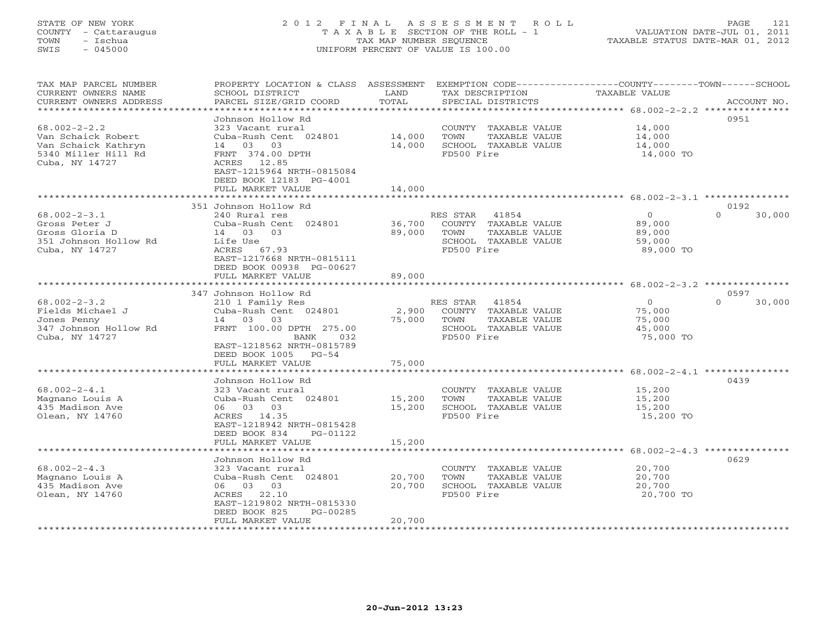# STATE OF NEW YORK 2 0 1 2 F I N A L A S S E S S M E N T R O L L PAGE 121 COUNTY - Cattaraugus T A X A B L E SECTION OF THE ROLL - 1 VALUATION DATE-JUL 01, 2011 TOWN - Ischua TAX MAP NUMBER SEQUENCE TAXABLE STATUS DATE-MAR 01, 2012 SWIS - 045000 UNIFORM PERCENT OF VALUE IS 100.00UNIFORM PERCENT OF VALUE IS 100.00

| TAX MAP PARCEL NUMBER<br>CURRENT OWNERS NAME<br>CURRENT OWNERS ADDRESS                                   | PROPERTY LOCATION & CLASS ASSESSMENT<br>SCHOOL DISTRICT<br>PARCEL SIZE/GRID COORD                                                                                                             | LAND<br>TOTAL              | EXEMPTION CODE-----------------COUNTY-------TOWN-----SCHOOL<br>TAX DESCRIPTION<br>SPECIAL DISTRICTS      | <b>TAXABLE VALUE</b>                                      | ACCOUNT NO.                |
|----------------------------------------------------------------------------------------------------------|-----------------------------------------------------------------------------------------------------------------------------------------------------------------------------------------------|----------------------------|----------------------------------------------------------------------------------------------------------|-----------------------------------------------------------|----------------------------|
| *********************                                                                                    |                                                                                                                                                                                               |                            |                                                                                                          |                                                           |                            |
| $68.002 - 2 - 2.2$<br>Van Schaick Robert<br>Van Schaick Kathryn<br>5340 Miller Hill Rd<br>Cuba, NY 14727 | Johnson Hollow Rd<br>323 Vacant rural<br>Cuba-Rush Cent 024801<br>14 03<br>03<br>FRNT 374.00 DPTH<br>ACRES 12.85<br>EAST-1215964 NRTH-0815084<br>DEED BOOK 12183 PG-4001<br>FULL MARKET VALUE | 14,000<br>14,000<br>14,000 | COUNTY TAXABLE VALUE<br>TOWN<br>TAXABLE VALUE<br>SCHOOL TAXABLE VALUE<br>FD500 Fire                      | 14,000<br>14,000<br>14,000<br>14,000 TO                   | 0951                       |
|                                                                                                          | ******************                                                                                                                                                                            |                            |                                                                                                          |                                                           |                            |
| $68.002 - 2 - 3.1$<br>Gross Peter J<br>Gross Gloria D<br>351 Johnson Hollow Rd<br>Cuba, NY 14727         | 351 Johnson Hollow Rd<br>240 Rural res<br>Cuba-Rush Cent 024801<br>03<br>14 03<br>Life Use<br>ACRES 67.93<br>EAST-1217668 NRTH-0815111<br>DEED BOOK 00938 PG-00627                            | 36,700<br>89,000           | RES STAR<br>41854<br>COUNTY TAXABLE VALUE<br>TOWN<br>TAXABLE VALUE<br>SCHOOL TAXABLE VALUE<br>FD500 Fire | $\overline{0}$<br>89,000<br>89,000<br>59,000<br>89,000 TO | 0192<br>$\Omega$<br>30,000 |
|                                                                                                          | FULL MARKET VALUE                                                                                                                                                                             | 89,000                     |                                                                                                          |                                                           |                            |
|                                                                                                          | * * * * * * * * * * * * * * * * * * * *                                                                                                                                                       |                            |                                                                                                          | *********** 68.002-2-3.2 ****                             |                            |
| $68.002 - 2 - 3.2$<br>Fields Michael J<br>Jones Penny<br>347 Johnson Hollow Rd<br>Cuba, NY 14727         | 347 Johnson Hollow Rd<br>210 1 Family Res<br>Cuba-Rush Cent 024801<br>14 03<br>03<br>FRNT 100.00 DPTH 275.00<br>BANK<br>032<br>EAST-1218562 NRTH-0815789                                      | 2,900<br>75,000            | RES STAR<br>41854<br>COUNTY TAXABLE VALUE<br>TOWN<br>TAXABLE VALUE<br>SCHOOL TAXABLE VALUE<br>FD500 Fire | $\circ$<br>75,000<br>75,000<br>45,000<br>75,000 TO        | 0597<br>$\Omega$<br>30,000 |
|                                                                                                          | DEED BOOK 1005<br>$PG-54$<br>FULL MARKET VALUE                                                                                                                                                | 75,000                     |                                                                                                          |                                                           |                            |
|                                                                                                          | Johnson Hollow Rd                                                                                                                                                                             |                            |                                                                                                          |                                                           | 0439                       |
| $68.002 - 2 - 4.1$<br>Magnano Louis A<br>435 Madison Ave<br>Olean, NY 14760                              | 323 Vacant rural<br>Cuba-Rush Cent 024801<br>06 03 03<br>ACRES 14.35<br>EAST-1218942 NRTH-0815428<br>DEED BOOK 834<br>PG-01122                                                                | 15,200<br>15,200           | COUNTY TAXABLE VALUE<br>TOWN<br>TAXABLE VALUE<br>SCHOOL TAXABLE VALUE<br>FD500 Fire                      | 15,200<br>15,200<br>15,200<br>15,200 TO                   |                            |
|                                                                                                          | FULL MARKET VALUE                                                                                                                                                                             | 15,200                     |                                                                                                          |                                                           |                            |
| $68.002 - 2 - 4.3$<br>Magnano Louis A<br>435 Madison Ave<br>Olean, NY 14760                              | Johnson Hollow Rd<br>323 Vacant rural<br>Cuba-Rush Cent 024801<br>06 03 03<br>22.10<br>ACRES<br>EAST-1219802 NRTH-0815330<br>DEED BOOK 825<br>PG-00285<br>FULL MARKET VALUE                   | 20,700<br>20,700<br>20,700 | COUNTY TAXABLE VALUE<br>TOWN<br>TAXABLE VALUE<br>SCHOOL TAXABLE VALUE<br>FD500 Fire                      | 20,700<br>20,700<br>20,700<br>20,700 TO                   | 0629                       |
|                                                                                                          | **************************************                                                                                                                                                        |                            |                                                                                                          |                                                           |                            |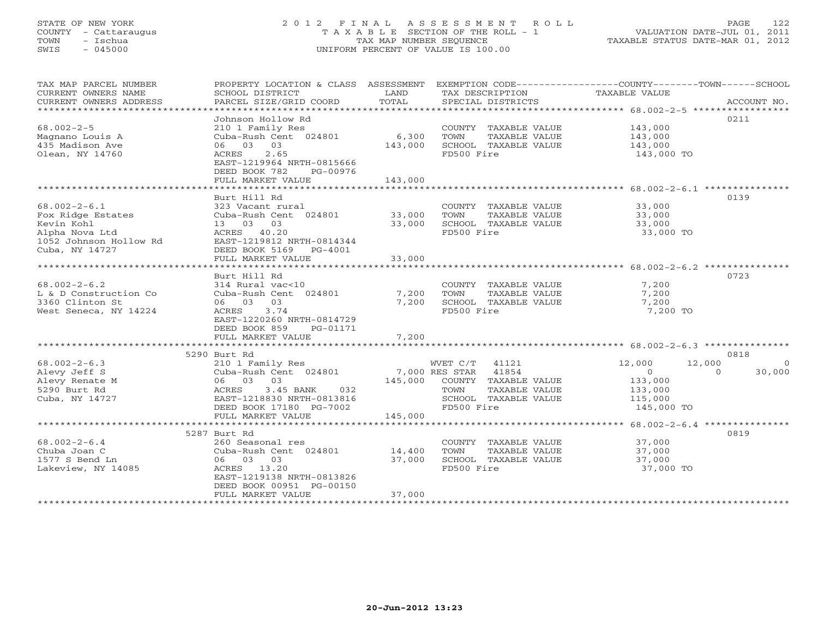# STATE OF NEW YORK 2 0 1 2 F I N A L A S S E S S M E N T R O L L PAGE 122 COUNTY - Cattaraugus T A X A B L E SECTION OF THE ROLL - 1 VALUATION DATE-JUL 01, 2011 TOWN - Ischua TAX MAP NUMBER SEQUENCE TAXABLE STATUS DATE-MAR 01, 2012 SWIS - 045000 UNIFORM PERCENT OF VALUE IS 100.00UNIFORM PERCENT OF VALUE IS 100.00

| TAX MAP PARCEL NUMBER<br>CURRENT OWNERS NAME<br>CURRENT OWNERS ADDRESS<br>**************************                | PROPERTY LOCATION & CLASS ASSESSMENT<br>SCHOOL DISTRICT<br>PARCEL SIZE/GRID COORD                                                                                          | LAND<br>TOTAL               | TAX DESCRIPTION<br>SPECIAL DISTRICTS                                                                                                | EXEMPTION CODE-----------------COUNTY-------TOWN------SCHOOL<br>TAXABLE VALUE<br>ACCOUNT NO.                        |
|---------------------------------------------------------------------------------------------------------------------|----------------------------------------------------------------------------------------------------------------------------------------------------------------------------|-----------------------------|-------------------------------------------------------------------------------------------------------------------------------------|---------------------------------------------------------------------------------------------------------------------|
| $68.002 - 2 - 5$<br>Magnano Louis A<br>435 Madison Ave<br>Olean, NY 14760                                           | Johnson Hollow Rd<br>210 1 Family Res<br>Cuba-Rush Cent 024801<br>06 03 03<br>2.65<br>ACRES<br>EAST-1219964 NRTH-0815666<br>DEED BOOK 782<br>PG-00976<br>FULL MARKET VALUE | 6,300<br>143,000<br>143,000 | COUNTY TAXABLE VALUE<br>TOWN<br>TAXABLE VALUE<br>SCHOOL TAXABLE VALUE<br>FD500 Fire                                                 | 0211<br>143,000<br>143,000<br>143,000<br>143,000 TO                                                                 |
|                                                                                                                     | Burt Hill Rd                                                                                                                                                               |                             |                                                                                                                                     | 0139                                                                                                                |
| $68.002 - 2 - 6.1$<br>Fox Ridge Estates<br>Kevin Kohl<br>Alpha Nova Ltd<br>1052 Johnson Hollow Rd<br>Cuba, NY 14727 | 323 Vacant rural<br>Cuba-Rush Cent 024801<br>13 03<br>03<br>ACRES 40.20<br>EAST-1219812 NRTH-0814344<br>DEED BOOK 5169<br>$PG-4001$                                        | 33,000<br>33,000            | COUNTY TAXABLE VALUE<br>TOWN<br>TAXABLE VALUE<br>SCHOOL TAXABLE VALUE<br>FD500 Fire                                                 | 33,000<br>33,000<br>33,000<br>33,000 TO                                                                             |
|                                                                                                                     | FULL MARKET VALUE                                                                                                                                                          | 33,000                      |                                                                                                                                     |                                                                                                                     |
|                                                                                                                     | Burt Hill Rd                                                                                                                                                               |                             |                                                                                                                                     | 0723                                                                                                                |
| $68.002 - 2 - 6.2$<br>L & D Construction Co<br>3360 Clinton St<br>West Seneca, NY 14224                             | 314 Rural vac<10<br>Cuba-Rush Cent 024801<br>03<br>06 03<br>3.74<br>ACRES<br>EAST-1220260 NRTH-0814729<br>DEED BOOK 859<br>PG-01171                                        | 7,200<br>7,200              | COUNTY TAXABLE VALUE<br>TOWN<br>TAXABLE VALUE<br>SCHOOL TAXABLE VALUE<br>FD500 Fire                                                 | 7,200<br>7,200<br>7,200<br>7,200 TO                                                                                 |
|                                                                                                                     | FULL MARKET VALUE<br>**************************                                                                                                                            | 7,200                       |                                                                                                                                     |                                                                                                                     |
|                                                                                                                     | 5290 Burt Rd                                                                                                                                                               |                             |                                                                                                                                     | 0818                                                                                                                |
| $68.002 - 2 - 6.3$<br>Alevy Jeff S<br>Alevy Renate M<br>5290 Burt Rd<br>Cuba, NY 14727                              | 210 1 Family Res<br>Cuba-Rush Cent 024801<br>06 03 03<br>032<br>ACRES<br>3.45 BANK<br>EAST-1218830 NRTH-0813816<br>DEED BOOK 17180 PG-7002                                 | 145,000                     | WVET C/T<br>41121<br>41854<br>7,000 RES STAR<br>COUNTY TAXABLE VALUE<br>TAXABLE VALUE<br>TOWN<br>SCHOOL TAXABLE VALUE<br>FD500 Fire | 12,000<br>12,000<br>$\Omega$<br>$\overline{0}$<br>$\Omega$<br>30,000<br>133,000<br>133,000<br>115,000<br>145,000 TO |
|                                                                                                                     | FULL MARKET VALUE                                                                                                                                                          | 145,000                     |                                                                                                                                     |                                                                                                                     |
|                                                                                                                     | ***************************<br>5287 Burt Rd                                                                                                                                | ************************    |                                                                                                                                     | ********************* 68.002-2-6.4 ***************<br>0819                                                          |
| $68.002 - 2 - 6.4$<br>Chuba Joan C<br>1577 S Bend Ln<br>Lakeview, NY 14085                                          | 260 Seasonal res<br>Cuba-Rush Cent 024801<br>06 03<br>03<br>ACRES 13.20<br>EAST-1219138 NRTH-0813826<br>DEED BOOK 00951 PG-00150                                           | 14,400<br>37,000            | COUNTY TAXABLE VALUE<br>TOWN<br>TAXABLE VALUE<br>SCHOOL TAXABLE VALUE<br>FD500 Fire                                                 | 37,000<br>37,000<br>37,000<br>37,000 TO                                                                             |
| *********************                                                                                               | FULL MARKET VALUE<br>***********************                                                                                                                               | 37,000                      |                                                                                                                                     |                                                                                                                     |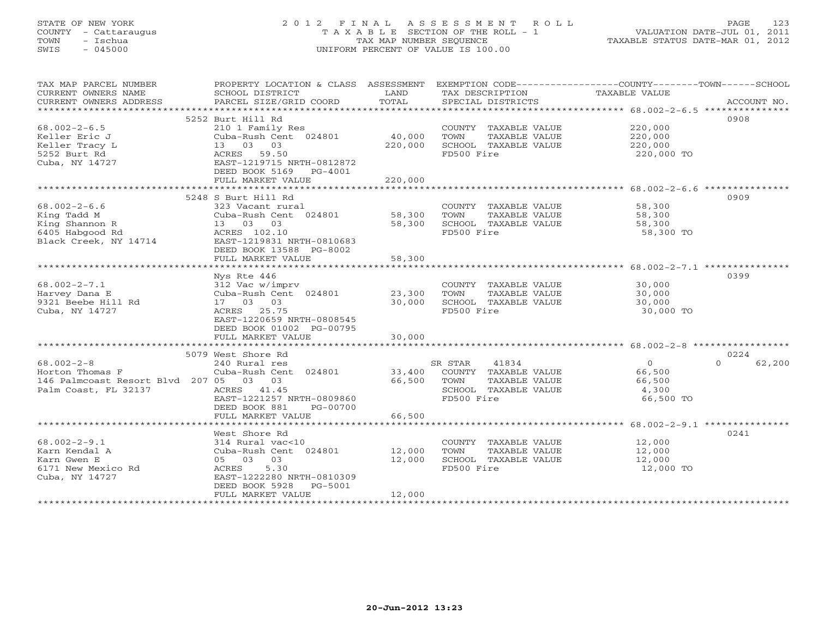# STATE OF NEW YORK 2 0 1 2 F I N A L A S S E S S M E N T R O L L PAGE 123 COUNTY - Cattaraugus T A X A B L E SECTION OF THE ROLL - 1 VALUATION DATE-JUL 01, 2011 TOWN - Ischua TAX MAP NUMBER SEQUENCE TAXABLE STATUS DATE-MAR 01, 2012 SWIS - 045000 UNIFORM PERCENT OF VALUE IS 100.00UNIFORM PERCENT OF VALUE IS 100.00

| TAX MAP PARCEL NUMBER<br>CURRENT OWNERS NAME<br>CURRENT OWNERS ADDRESS | PROPERTY LOCATION & CLASS ASSESSMENT<br>SCHOOL DISTRICT<br>PARCEL SIZE/GRID COORD | LAND<br>TOTAL | TAX DESCRIPTION<br>SPECIAL DISTRICTS | EXEMPTION CODE-----------------COUNTY-------TOWN------SCHOOL<br>TAXABLE VALUE<br>ACCOUNT NO. |
|------------------------------------------------------------------------|-----------------------------------------------------------------------------------|---------------|--------------------------------------|----------------------------------------------------------------------------------------------|
|                                                                        |                                                                                   |               |                                      |                                                                                              |
|                                                                        | 5252 Burt Hill Rd                                                                 |               |                                      | 0908                                                                                         |
| $68.002 - 2 - 6.5$                                                     | 210 1 Family Res                                                                  |               | COUNTY TAXABLE VALUE                 | 220,000                                                                                      |
| Keller Eric J                                                          | Cuba-Rush Cent 024801                                                             | 40,000        | TOWN<br>TAXABLE VALUE                | 220,000                                                                                      |
| Keller Tracy L                                                         | 13 03 03                                                                          | 220,000       | SCHOOL TAXABLE VALUE                 | 220,000                                                                                      |
| 5252 Burt Rd                                                           | 59.50<br>ACRES                                                                    |               | FD500 Fire                           | 220,000 TO                                                                                   |
| Cuba, NY 14727                                                         | EAST-1219715 NRTH-0812872                                                         |               |                                      |                                                                                              |
|                                                                        | DEED BOOK 5169<br>$PG-4001$                                                       |               |                                      |                                                                                              |
|                                                                        | FULL MARKET VALUE                                                                 | 220,000       |                                      |                                                                                              |
|                                                                        |                                                                                   |               |                                      |                                                                                              |
|                                                                        | 5248 S Burt Hill Rd                                                               |               |                                      | 0909                                                                                         |
| $68.002 - 2 - 6.6$                                                     | 323 Vacant rural                                                                  |               | COUNTY TAXABLE VALUE                 | 58,300                                                                                       |
| King Tadd M                                                            | Cuba-Rush Cent 024801                                                             | 58,300        | TOWN<br>TAXABLE VALUE                | 58,300                                                                                       |
| King Shannon R                                                         | 13 03 03                                                                          | 58,300        | SCHOOL TAXABLE VALUE                 | 58,300                                                                                       |
| 6405 Habgood Rd                                                        | ACRES 102.10                                                                      |               | FD500 Fire                           | 58,300 TO                                                                                    |
| Black Creek, NY 14714                                                  | EAST-1219831 NRTH-0810683                                                         |               |                                      |                                                                                              |
|                                                                        | DEED BOOK 13588 PG-8002                                                           |               |                                      |                                                                                              |
|                                                                        | FULL MARKET VALUE                                                                 | 58,300        |                                      |                                                                                              |
|                                                                        | ***********************                                                           | ***********   |                                      | ******************** 68.002-2-7.1 **********                                                 |
|                                                                        | Nys Rte 446                                                                       |               |                                      | 0399                                                                                         |
| $68.002 - 2 - 7.1$                                                     | 312 Vac w/imprv                                                                   |               | COUNTY TAXABLE VALUE                 | 30,000                                                                                       |
| Harvey Dana E                                                          | Cuba-Rush Cent 024801                                                             | 23,300        | TOWN<br>TAXABLE VALUE                | 30,000                                                                                       |
| 9321 Beebe Hill Rd                                                     | 17 03 03                                                                          | 30,000        | SCHOOL TAXABLE VALUE                 | 30,000                                                                                       |
| Cuba, NY 14727                                                         | ACRES 25.75                                                                       |               | FD500 Fire                           | 30,000 TO                                                                                    |
|                                                                        | EAST-1220659 NRTH-0808545                                                         |               |                                      |                                                                                              |
|                                                                        | DEED BOOK 01002 PG-00795                                                          |               |                                      |                                                                                              |
|                                                                        | FULL MARKET VALUE                                                                 | 30,000        |                                      |                                                                                              |
|                                                                        |                                                                                   |               |                                      |                                                                                              |
|                                                                        | 5079 West Shore Rd                                                                |               |                                      | 0224                                                                                         |
| $68.002 - 2 - 8$                                                       | 240 Rural res                                                                     |               | 41834<br>SR STAR                     | $\Omega$<br>62,200<br>$\cap$                                                                 |
| Horton Thomas F                                                        | Cuba-Rush Cent 024801                                                             | 33,400        | COUNTY TAXABLE VALUE                 | 66,500                                                                                       |
| 146 Palmcoast Resort Blvd 207 05 03 03                                 |                                                                                   | 66,500        | TAXABLE VALUE<br>TOWN                | 66,500                                                                                       |
| Palm Coast, FL 32137                                                   | ACRES 41.45                                                                       |               | SCHOOL TAXABLE VALUE                 | 4,300                                                                                        |
|                                                                        | EAST-1221257 NRTH-0809860                                                         |               | FD500 Fire                           | 66,500 TO                                                                                    |
|                                                                        | DEED BOOK 881<br>PG-00700                                                         |               |                                      |                                                                                              |
|                                                                        | FULL MARKET VALUE                                                                 | 66,500        |                                      |                                                                                              |
|                                                                        |                                                                                   |               |                                      |                                                                                              |
|                                                                        | West Shore Rd                                                                     |               |                                      | 0241                                                                                         |
| $68.002 - 2 - 9.1$                                                     | 314 Rural vac<10                                                                  |               | COUNTY TAXABLE VALUE                 | 12,000                                                                                       |
| Karn Kendal A                                                          | Cuba-Rush Cent 024801                                                             | 12,000        | TOWN<br>TAXABLE VALUE                | 12,000                                                                                       |
| Karn Gwen E                                                            | 05 03 03                                                                          | 12,000        | SCHOOL TAXABLE VALUE                 | 12,000                                                                                       |
| 6171 New Mexico Rd                                                     | 5.30<br>ACRES                                                                     |               | FD500 Fire                           | 12,000 TO                                                                                    |
| Cuba, NY 14727                                                         | EAST-1222280 NRTH-0810309                                                         |               |                                      |                                                                                              |
|                                                                        | DEED BOOK 5928<br>PG-5001                                                         |               |                                      |                                                                                              |
|                                                                        | FULL MARKET VALUE                                                                 | 12,000        |                                      |                                                                                              |
|                                                                        |                                                                                   |               |                                      |                                                                                              |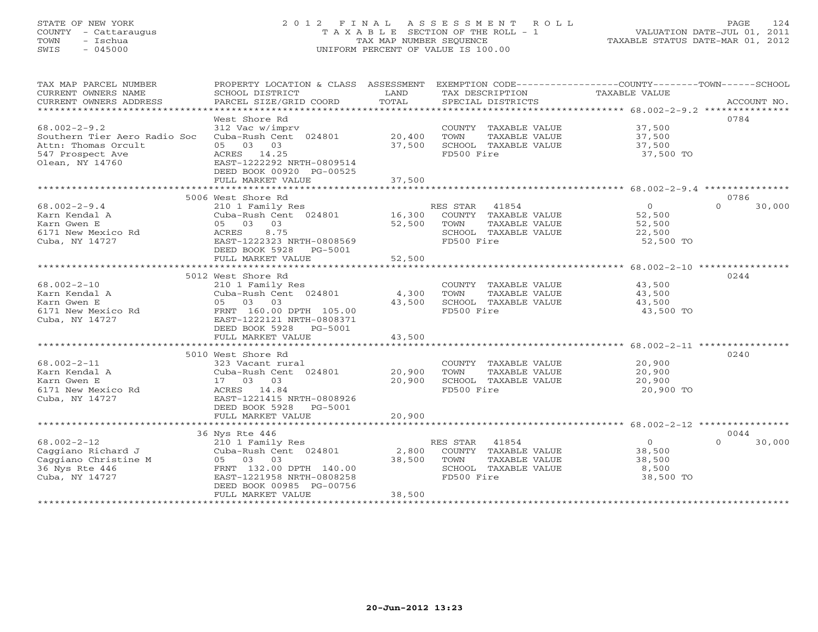# STATE OF NEW YORK 2 0 1 2 F I N A L A S S E S S M E N T R O L L PAGE 124 COUNTY - Cattaraugus T A X A B L E SECTION OF THE ROLL - 1 VALUATION DATE-JUL 01, 2011 TOWN - Ischua TAX MAP NUMBER SEQUENCE TAXABLE STATUS DATE-MAR 01, 2012 SWIS - 045000 UNIFORM PERCENT OF VALUE IS 100.00UNIFORM PERCENT OF VALUE IS 100.00

| TAX MAP PARCEL NUMBER<br>CURRENT OWNERS NAME<br>CURRENT OWNERS ADDRESS                                           | PROPERTY LOCATION & CLASS ASSESSMENT<br>SCHOOL DISTRICT<br>PARCEL SIZE/GRID COORD                                                                                         | LAND<br>TOTAL    | TAX DESCRIPTION<br>SPECIAL DISTRICTS<br>SPECIAL DISTRICTS                                             | EXEMPTION CODE-----------------COUNTY-------TOWN------SCHOOL<br>ACCOUNT NO.     |  |
|------------------------------------------------------------------------------------------------------------------|---------------------------------------------------------------------------------------------------------------------------------------------------------------------------|------------------|-------------------------------------------------------------------------------------------------------|---------------------------------------------------------------------------------|--|
| $68.002 - 2 - 9.2$<br>Southern Tier Aero Radio Soc<br>Attn: Thomas Orcult<br>547 Prospect Ave<br>Olean, NY 14760 | West Shore Rd<br>312 Vac w/imprv<br>Cuba-Rush Cent 024801 20,400<br>05 03 03<br>ACRES 14.25<br>EAST-1222292 NRTH-0809514<br>DEED BOOK 00920 PG-00525<br>FULL MARKET VALUE | 37,500<br>37,500 | COUNTY TAXABLE VALUE<br>TOWN<br>TAXABLE VALUE<br>SCHOOL TAXABLE VALUE<br>FD500 Fire                   | 0784<br>37,500<br>37,500<br>37,500<br>37,500 TO                                 |  |
|                                                                                                                  | 5006 West Shore Rd                                                                                                                                                        |                  |                                                                                                       | 0786                                                                            |  |
| $68.002 - 2 - 9.4$<br>Karn Kendal A<br>Karn Gwen E<br>6171 New Mexico Rd<br>Cuba, NY 14727                       | 210 1 Family Res<br>Cuba-Rush Cent 024801 16,300<br>05 03<br>03<br>8.75<br>ACRES<br>EAST-1222323 NRTH-0808569<br>DEED BOOK 5928<br>PG-5001<br>FULL MARKET VALUE           | 52,500<br>52,500 | RES STAR 41854<br>COUNTY TAXABLE VALUE<br>TOWN<br>TAXABLE VALUE<br>SCHOOL TAXABLE VALUE<br>FD500 Fire | $\overline{O}$<br>$\Omega$<br>30,000<br>52,500<br>52,500<br>22,500<br>52,500 TO |  |
|                                                                                                                  |                                                                                                                                                                           |                  |                                                                                                       |                                                                                 |  |
| $68.002 - 2 - 10$<br>Karn Kendal A<br>Karn Gwen E<br>6171 New Mexico Rd<br>Cuba, NY 14727                        | 5012 West Shore Rd<br>210 1 Family Res<br>Cuba-Rush Cent 024801<br>05 03 03<br>FRNT 160.00 DPTH 105.00<br>EAST-1222121 NRTH-0808371<br>DEED BOOK 5928 PG-5001             | 4,300<br>43,500  | COUNTY TAXABLE VALUE<br>TAXABLE VALUE<br>TOWN<br>SCHOOL TAXABLE VALUE<br>FD500 Fire                   | 0244<br>43,500<br>43,500<br>43,500<br>43,500 TO                                 |  |
|                                                                                                                  | FULL MARKET VALUE                                                                                                                                                         | 43,500           |                                                                                                       |                                                                                 |  |
| $68.002 - 2 - 11$<br>Karn Kendal A<br>Karn Gwen E<br>6171 New Mexico Rd<br>Cuba, NY 14727                        | 5010 West Shore Rd<br>323 Vacant rural<br>Cuba-Rush Cent 024801<br>17 03 03<br>ACRES 14.84<br>EAST-1221415 NRTH-0808926<br>DEED BOOK 5928 PG-5001                         | 20,900<br>20,900 | COUNTY TAXABLE VALUE<br>TOWN<br>TAXABLE VALUE<br>SCHOOL TAXABLE VALUE<br>FD500 Fire                   | 0240<br>20,900<br>20,900<br>20,900<br>20,900 TO                                 |  |
|                                                                                                                  | FULL MARKET VALUE                                                                                                                                                         | 20,900           |                                                                                                       |                                                                                 |  |
| $68.002 - 2 - 12$<br>Caggiano Richard J<br>Caggiano Christine M<br>36 Nys Rte 446                                | 36 Nys Rte 446<br>210 1 Family Res<br>Cuba-Rush Cent 024801<br>05 03 03<br>FRNT 132.00 DPTH 140.00                                                                        | 2,800<br>38,500  | RES STAR 41854<br>COUNTY TAXABLE VALUE<br>TOWN<br>TAXABLE VALUE<br>SCHOOL TAXABLE VALUE               | 0044<br>$\circ$<br>$\Omega$<br>30,000<br>38,500<br>38,500<br>8,500              |  |
| Cuba, NY 14727                                                                                                   | EAST-1221958 NRTH-0808258<br>DEED BOOK 00985 PG-00756<br>FULL MARKET VALUE                                                                                                | 38,500           | FD500 Fire                                                                                            | 38,500 TO                                                                       |  |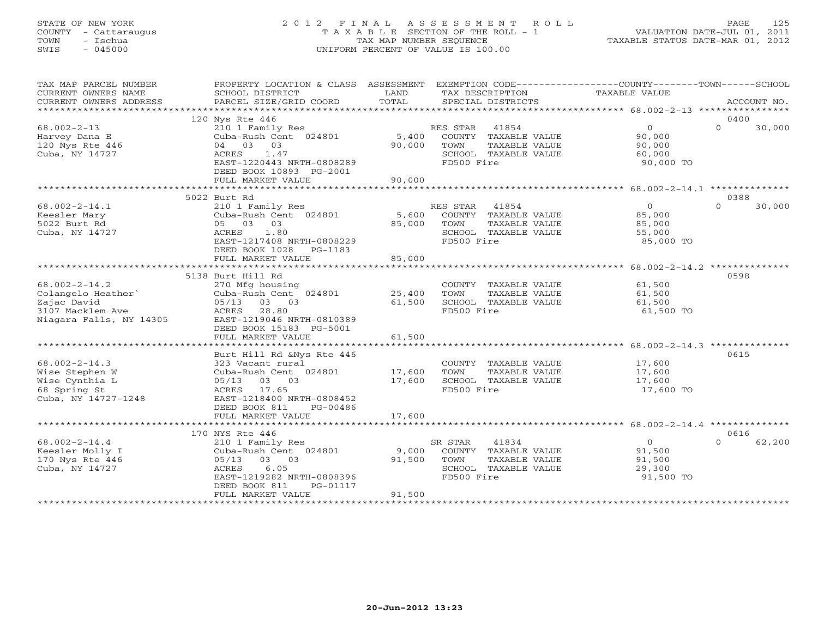### STATE OF NEW YORK 2 0 1 2 F I N A L A S S E S S M E N T R O L L PAGE 125 COUNTY - Cattaraugus T A X A B L E SECTION OF THE ROLL - 1 VALUATION DATE-JUL 01, 2011 TOWN - Ischua TAX MAP NUMBER SEQUENCE TAXABLE STATUS DATE-MAR 01, 2012 SWIS - 045000 UNIFORM PERCENT OF VALUE IS 100.00UNIFORM PERCENT OF VALUE IS 100.00

| TAX MAP PARCEL NUMBER<br>CURRENT OWNERS NAME<br>CURRENT OWNERS ADDRESS                                  | PROPERTY LOCATION & CLASS ASSESSMENT<br>SCHOOL DISTRICT<br>PARCEL SIZE/GRID COORD                                                                                         | LAND<br>TOTAL             | TAX DESCRIPTION<br>SPECIAL DISTRICTS                                                                    | EXEMPTION CODE-----------------COUNTY-------TOWN------SCHOOL<br>TAXABLE VALUE | ACCOUNT NO.                |
|---------------------------------------------------------------------------------------------------------|---------------------------------------------------------------------------------------------------------------------------------------------------------------------------|---------------------------|---------------------------------------------------------------------------------------------------------|-------------------------------------------------------------------------------|----------------------------|
|                                                                                                         |                                                                                                                                                                           |                           |                                                                                                         |                                                                               |                            |
| $68.002 - 2 - 13$<br>Harvey Dana E<br>120 Nys Rte 446<br>Cuba, NY 14727                                 | 120 Nys Rte 446<br>210 1 Family Res<br>Cuba-Rush Cent 024801<br>03<br>04 03<br>1.47<br>ACRES<br>EAST-1220443 NRTH-0808289<br>DEED BOOK 10893 PG-2001<br>FULL MARKET VALUE | 5,400<br>90,000<br>90,000 | RES STAR 41854<br>COUNTY TAXABLE VALUE<br>TOWN<br>TAXABLE VALUE<br>SCHOOL TAXABLE VALUE<br>FD500 Fire   | $\overline{0}$<br>90,000<br>90,000<br>60,000<br>90,000 TO                     | 0400<br>$\Omega$<br>30,000 |
|                                                                                                         |                                                                                                                                                                           |                           |                                                                                                         |                                                                               |                            |
| $68.002 - 2 - 14.1$<br>Keesler Mary<br>5022 Burt Rd<br>Cuba, NY 14727                                   | 5022 Burt Rd<br>210 1 Family Res<br>Cuba-Rush Cent 024801<br>05 03 03<br>1.80<br>ACRES<br>EAST-1217408 NRTH-0808229<br>DEED BOOK 1028<br>PG-1183                          | 5,600<br>85,000           | RES STAR 41854<br>COUNTY TAXABLE VALUE<br>TOWN<br>TAXABLE VALUE<br>SCHOOL TAXABLE VALUE<br>FD500 Fire   | $\overline{0}$<br>85,000<br>85,000<br>55,000<br>85,000 TO                     | 0388<br>$\Omega$<br>30,000 |
|                                                                                                         | FULL MARKET VALUE                                                                                                                                                         | 85,000<br>***********     |                                                                                                         | ********************* 68.002-2-14.2 *********                                 |                            |
|                                                                                                         | 5138 Burt Hill Rd                                                                                                                                                         |                           |                                                                                                         |                                                                               | 0598                       |
| $68.002 - 2 - 14.2$<br>Colangelo Heather`<br>Zajac David<br>3107 Macklem Ave<br>Niagara Falls, NY 14305 | 270 Mfg housing<br>Cuba-Rush Cent 024801<br>05/13 03 03<br>ACRES 28.80<br>EAST-1219046 NRTH-0810389<br>DEED BOOK 15183 PG-5001                                            | 25,400<br>61,500          | COUNTY TAXABLE VALUE<br>TOWN<br>TAXABLE VALUE<br>SCHOOL TAXABLE VALUE<br>FD500 Fire                     | 61,500<br>61,500<br>61,500<br>61,500 TO                                       |                            |
|                                                                                                         | FULL MARKET VALUE                                                                                                                                                         | 61,500                    |                                                                                                         |                                                                               |                            |
|                                                                                                         |                                                                                                                                                                           |                           |                                                                                                         |                                                                               |                            |
| $68.002 - 2 - 14.3$<br>Wise Stephen W<br>Wise Cynthia L<br>68 Spring St<br>Cuba, NY 14727-1248          | Burt Hill Rd &Nys Rte 446<br>323 Vacant rural<br>Cuba-Rush Cent 024801<br>03 03<br>05/13<br>ACRES 17.65<br>EAST-1218400 NRTH-0808452<br>DEED BOOK 811<br>PG-00486         | 17,600<br>17,600          | COUNTY TAXABLE VALUE<br>TOWN<br>TAXABLE VALUE<br>SCHOOL TAXABLE VALUE<br>FD500 Fire                     | 17,600<br>17,600<br>17,600<br>17,600 TO                                       | 0615                       |
|                                                                                                         | FULL MARKET VALUE                                                                                                                                                         | 17,600                    |                                                                                                         |                                                                               |                            |
| $68.002 - 2 - 14.4$<br>Keesler Molly I<br>170 Nys Rte 446<br>Cuba, NY 14727                             | 170 NYS Rte 446<br>210 1 Family Res<br>Cuba-Rush Cent 024801<br>05/13 03 03<br>6.05<br>ACRES<br>EAST-1219282 NRTH-0808396<br>DEED BOOK 811<br>PG-01117                    | 9,000<br>91,500           | SR STAR<br>41834<br>COUNTY TAXABLE VALUE<br>TOWN<br>TAXABLE VALUE<br>SCHOOL TAXABLE VALUE<br>FD500 Fire | $\circ$<br>91,500<br>91,500<br>29,300<br>91,500 TO                            | 0616<br>$\cap$<br>62,200   |
|                                                                                                         | FULL MARKET VALUE                                                                                                                                                         | 91,500                    |                                                                                                         |                                                                               |                            |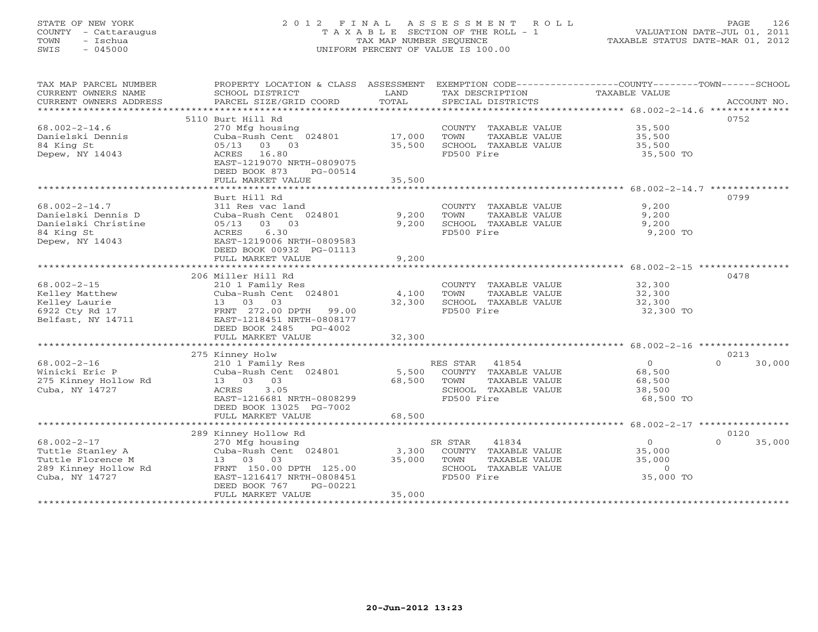# STATE OF NEW YORK 2 0 1 2 F I N A L A S S E S S M E N T R O L L PAGE 126 COUNTY - Cattaraugus T A X A B L E SECTION OF THE ROLL - 1 VALUATION DATE-JUL 01, 2011 TOWN - Ischua TAX MAP NUMBER SEQUENCE TAXABLE STATUS DATE-MAR 01, 2012 SWIS - 045000 UNIFORM PERCENT OF VALUE IS 100.00UNIFORM PERCENT OF VALUE IS 100.00

| TAX MAP PARCEL NUMBER<br>CURRENT OWNERS NAME<br>CURRENT OWNERS ADDRESS | PROPERTY LOCATION & CLASS ASSESSMENT<br>SCHOOL DISTRICT<br>PARCEL SIZE/GRID COORD | LAND<br>TOTAL   | TAX DESCRIPTION TAXABLE VALUE<br>SPECIAL DISTRICTS | EXEMPTION CODE-----------------COUNTY-------TOWN------SCHOOL  | ACCOUNT NO. |
|------------------------------------------------------------------------|-----------------------------------------------------------------------------------|-----------------|----------------------------------------------------|---------------------------------------------------------------|-------------|
|                                                                        |                                                                                   |                 |                                                    |                                                               |             |
|                                                                        | 5110 Burt Hill Rd                                                                 |                 |                                                    | 0752                                                          |             |
| $68.002 - 2 - 14.6$                                                    | 270 Mfg housing                                                                   |                 | COUNTY TAXABLE VALUE                               | 35,500                                                        |             |
| Danielski Dennis                                                       | Cuba-Rush Cent 024801                                                             | 17,000          | TOWN<br>TAXABLE VALUE                              | 35,500                                                        |             |
| 84 King St                                                             | 05/13<br>03 03                                                                    | 35,500          | SCHOOL TAXABLE VALUE                               | 35,500                                                        |             |
| Depew, NY 14043                                                        | ACRES 16.80                                                                       |                 | FD500 Fire                                         | 35,500 TO                                                     |             |
|                                                                        | EAST-1219070 NRTH-0809075                                                         |                 |                                                    |                                                               |             |
|                                                                        | DEED BOOK 873<br>PG-00514                                                         |                 |                                                    |                                                               |             |
|                                                                        | FULL MARKET VALUE                                                                 | 35,500          |                                                    |                                                               |             |
|                                                                        |                                                                                   |                 |                                                    |                                                               |             |
|                                                                        | Burt Hill Rd                                                                      |                 |                                                    | 0799                                                          |             |
| $68.002 - 2 - 14.7$                                                    | 311 Res vac land                                                                  |                 | COUNTY TAXABLE VALUE                               | 9,200                                                         |             |
| Danielski Dennis D                                                     | Cuba-Rush Cent 024801                                                             | 9,200           | TOWN<br>TAXABLE VALUE                              | 9,200                                                         |             |
| Danielski Christine                                                    | $05/13$ 03 03                                                                     | 9,200           | SCHOOL TAXABLE VALUE                               | 9,200                                                         |             |
| 84 King St                                                             | 6.30<br>ACRES                                                                     |                 | FD500 Fire                                         | 9,200 TO                                                      |             |
| Depew, NY 14043                                                        | EAST-1219006 NRTH-0809583                                                         |                 |                                                    |                                                               |             |
|                                                                        | DEED BOOK 00932 PG-01113                                                          |                 |                                                    |                                                               |             |
|                                                                        | FULL MARKET VALUE                                                                 | 9,200           |                                                    |                                                               |             |
|                                                                        |                                                                                   |                 |                                                    |                                                               |             |
|                                                                        | 206 Miller Hill Rd                                                                |                 |                                                    | 0478                                                          |             |
| $68.002 - 2 - 15$                                                      | 210 1 Family Res                                                                  |                 | COUNTY TAXABLE VALUE                               | 32,300                                                        |             |
| Kelley Matthew                                                         | Cuba-Rush Cent 024801                                                             | 4,100           | TOWN<br>TAXABLE VALUE                              | 32,300                                                        |             |
| Kelley Laurie                                                          | 13 03 03                                                                          | 32,300          | SCHOOL TAXABLE VALUE                               | 32,300                                                        |             |
| 6922 Cty Rd 17                                                         | FRNT 272.00 DPTH<br>99.00                                                         |                 | FD500 Fire                                         | 32,300 TO                                                     |             |
| Belfast, NY 14711                                                      | EAST-1218451 NRTH-0808177                                                         |                 |                                                    |                                                               |             |
|                                                                        | DEED BOOK 2485 PG-4002                                                            |                 |                                                    |                                                               |             |
|                                                                        | FULL MARKET VALUE                                                                 | 32,300          |                                                    |                                                               |             |
|                                                                        |                                                                                   | *************** |                                                    | ******************************** 68.002-2-16 **************** |             |
|                                                                        |                                                                                   |                 |                                                    | 0213                                                          |             |
| $68.002 - 2 - 16$                                                      | 275 Kinney Holw<br>210 1 Family Res                                               |                 | RES STAR<br>41854                                  | $\circ$<br>$\Omega$                                           | 30,000      |
| Winicki Eric P                                                         | Cuba-Rush Cent 024801                                                             | 5,500           | COUNTY TAXABLE VALUE                               |                                                               |             |
|                                                                        | 13 03 03                                                                          | 68,500          | TOWN<br>TAXABLE VALUE                              | 68,500<br>68,500                                              |             |
| 275 Kinney Hollow Rd<br>Cuba, NY 14727                                 | 3.05                                                                              |                 | SCHOOL TAXABLE VALUE                               |                                                               |             |
|                                                                        | ACRES<br>EAST-1216681 NRTH-0808299                                                |                 | FD500 Fire                                         | 38,500<br>68,500 TO                                           |             |
|                                                                        |                                                                                   |                 |                                                    |                                                               |             |
|                                                                        | DEED BOOK 13025 PG-7002                                                           |                 |                                                    |                                                               |             |
|                                                                        | FULL MARKET VALUE                                                                 | 68,500          |                                                    |                                                               |             |
|                                                                        |                                                                                   |                 |                                                    |                                                               |             |
|                                                                        | 289 Kinney Hollow Rd                                                              |                 |                                                    | 0120<br>$\Omega$                                              |             |
| $68.002 - 2 - 17$                                                      | 270 Mfg housing                                                                   |                 | SR STAR<br>41834                                   | $\Omega$                                                      | 35,000      |
| Tuttle Stanley A                                                       | Cuba-Rush Cent 024801                                                             | 3,300           | COUNTY TAXABLE VALUE                               | 35,000                                                        |             |
| Tuttle Florence M                                                      | 13 03 03                                                                          | 35,000          | TOWN<br>TAXABLE VALUE                              | 35,000                                                        |             |
| 289 Kinney Hollow Rd                                                   | FRNT 150.00 DPTH 125.00                                                           |                 | SCHOOL TAXABLE VALUE                               | $\circ$                                                       |             |
| Cuba, NY 14727                                                         | EAST-1216417 NRTH-0808451                                                         |                 | FD500 Fire                                         | 35,000 TO                                                     |             |
|                                                                        | PG-00221<br>DEED BOOK 767                                                         |                 |                                                    |                                                               |             |
|                                                                        | FULL MARKET VALUE                                                                 | 35,000          |                                                    |                                                               |             |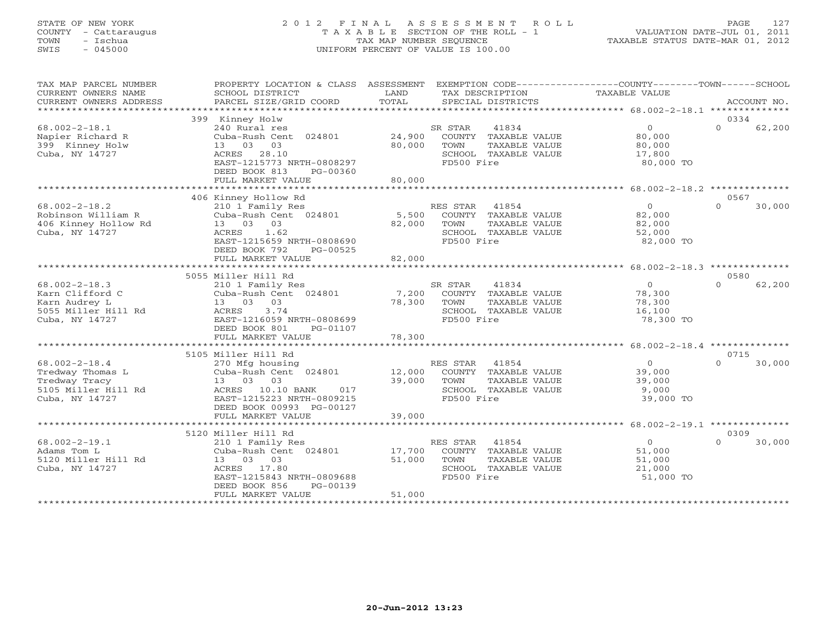# STATE OF NEW YORK 2 0 1 2 F I N A L A S S E S S M E N T R O L L PAGE 127 COUNTY - Cattaraugus T A X A B L E SECTION OF THE ROLL - 1 VALUATION DATE-JUL 01, 2011 TOWN - Ischua TAX MAP NUMBER SEQUENCE TAXABLE STATUS DATE-MAR 01, 2012 SWIS - 045000 UNIFORM PERCENT OF VALUE IS 100.00UNIFORM PERCENT OF VALUE IS 100.00

| TAX MAP PARCEL NUMBER<br>CURRENT OWNERS NAME<br>CURRENT OWNERS ADDRESS                            | PROPERTY LOCATION & CLASS ASSESSMENT<br>SCHOOL DISTRICT<br>PARCEL SIZE/GRID COORD                                                                                          | LAND<br>TOTAL                   | TAX DESCRIPTION<br>SPECIAL DISTRICTS                                                                     | EXEMPTION CODE-----------------COUNTY-------TOWN------SCHOOL<br>TAXABLE VALUE | ACCOUNT NO.                |
|---------------------------------------------------------------------------------------------------|----------------------------------------------------------------------------------------------------------------------------------------------------------------------------|---------------------------------|----------------------------------------------------------------------------------------------------------|-------------------------------------------------------------------------------|----------------------------|
|                                                                                                   |                                                                                                                                                                            |                                 |                                                                                                          |                                                                               |                            |
|                                                                                                   | 399 Kinney Holw                                                                                                                                                            |                                 |                                                                                                          |                                                                               | 0334                       |
| $68.002 - 2 - 18.1$<br>Napier Richard R<br>399 Kinney Holw<br>Cuba, NY 14727                      | 240 Rural res<br>Cuba-Rush Cent 024801<br>13 03 03<br>28.10<br>ACRES<br>EAST-1215773 NRTH-0808297<br>DEED BOOK 813<br>PG-00360<br>FULL MARKET VALUE                        | 24,900<br>80,000<br>80,000      | SR STAR<br>41834<br>COUNTY TAXABLE VALUE<br>TOWN<br>TAXABLE VALUE<br>SCHOOL TAXABLE VALUE<br>FD500 Fire  | $\circ$<br>80,000<br>80,000<br>17,800<br>80,000 TO                            | $\Omega$<br>62,200         |
|                                                                                                   |                                                                                                                                                                            |                                 |                                                                                                          |                                                                               |                            |
| $68.002 - 2 - 18.2$<br>Robinson William R<br>406 Kinney Hollow Rd<br>Cuba, NY 14727               | 406 Kinney Hollow Rd<br>210 1 Family Res<br>Cuba-Rush Cent 024801<br>13 03 03<br>ACRES 1.62<br>EAST-1215659 NRTH-0808690<br>DEED BOOK 792<br>PG-00525<br>FULL MARKET VALUE | 5,500<br>82,000<br>82,000       | RES STAR 41854<br>COUNTY TAXABLE VALUE<br>TOWN<br>TAXABLE VALUE<br>SCHOOL TAXABLE VALUE<br>FD500 Fire    | $\overline{0}$<br>82,000<br>82,000<br>52,000<br>82,000 TO                     | 0567<br>$\Omega$<br>30,000 |
|                                                                                                   | ***********************************                                                                                                                                        |                                 |                                                                                                          |                                                                               |                            |
|                                                                                                   | 5055 Miller Hill Rd                                                                                                                                                        |                                 |                                                                                                          |                                                                               | 0580                       |
| $68.002 - 2 - 18.3$<br>Karn Clifford C<br>Karn Audrey L<br>5055 Miller Hill Rd<br>Cuba, NY 14727  | 210 1 Family Res<br>Cuba-Rush Cent 024801<br>13 03 03<br>3.74<br>ACRES<br>EAST-1216059 NRTH-0808699<br>DEED BOOK 801<br>PG-01107                                           | 7,200<br>78,300                 | 41834<br>SR STAR<br>COUNTY TAXABLE VALUE<br>TAXABLE VALUE<br>TOWN<br>SCHOOL TAXABLE VALUE<br>FD500 Fire  | $\overline{0}$<br>78,300<br>78,300<br>16,100<br>78,300 TO                     | $\Omega$<br>62,200         |
|                                                                                                   | FULL MARKET VALUE                                                                                                                                                          | 78,300                          |                                                                                                          |                                                                               |                            |
|                                                                                                   |                                                                                                                                                                            |                                 |                                                                                                          |                                                                               |                            |
| $68.002 - 2 - 18.4$<br>Tredway Thomas L<br>Tredway Tracy<br>5105 Miller Hill Rd<br>Cuba, NY 14727 | 5105 Miller Hill Rd<br>270 Mfg housing<br>Cuba-Rush Cent 024801<br>13 03 03<br>ACRES 10.10 BANK<br>017<br>EAST-1215223 NRTH-0809215<br>DEED BOOK 00993 PG-00127            | $12,000$ <sup>R</sup><br>39,000 | RES STAR<br>41854<br>COUNTY TAXABLE VALUE<br>TOWN<br>TAXABLE VALUE<br>SCHOOL TAXABLE VALUE<br>FD500 Fire | $\Omega$<br>39,000<br>39,000<br>9,000<br>39,000 TO                            | 0715<br>30,000<br>$\cap$   |
|                                                                                                   | FULL MARKET VALUE                                                                                                                                                          | 39,000                          |                                                                                                          |                                                                               |                            |
|                                                                                                   |                                                                                                                                                                            |                                 |                                                                                                          |                                                                               |                            |
| $68.002 - 2 - 19.1$<br>Adams Tom L<br>5120 Miller Hill Rd<br>Cuba, NY 14727                       | 5120 Miller Hill Rd<br>210 1 Family Res<br>Cuba-Rush Cent 024801<br>13 03 03<br>ACRES 17.80<br>EAST-1215843 NRTH-0809688<br>DEED BOOK 856<br>PG-00139<br>FULL MARKET VALUE | 17,700<br>51,000<br>51,000      | RES STAR<br>41854<br>COUNTY TAXABLE VALUE<br>TOWN<br>TAXABLE VALUE<br>SCHOOL TAXABLE VALUE<br>FD500 Fire | $\overline{O}$<br>51,000<br>51,000<br>21,000<br>51,000 TO                     | 0309<br>$\Omega$<br>30,000 |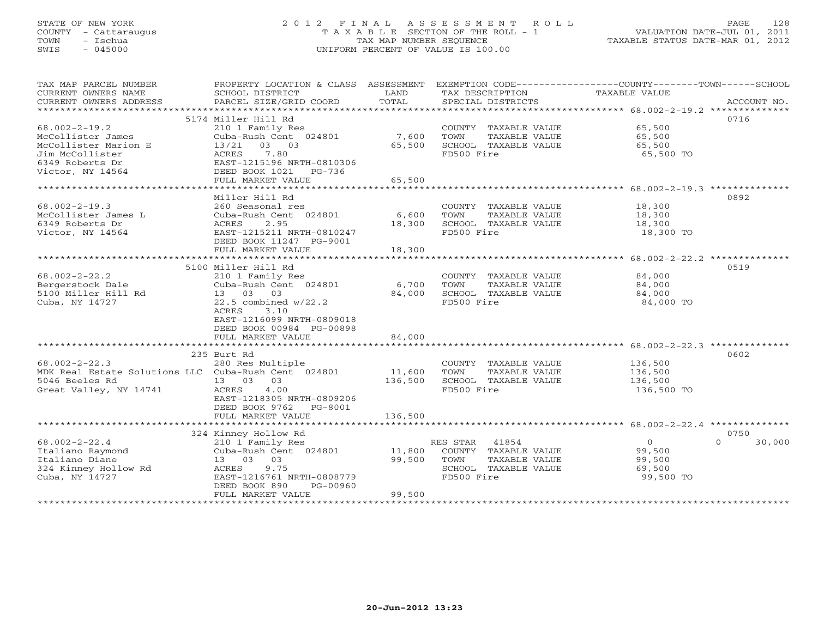# STATE OF NEW YORK 2 0 1 2 F I N A L A S S E S S M E N T R O L L PAGE 128 COUNTY - Cattaraugus T A X A B L E SECTION OF THE ROLL - 1 VALUATION DATE-JUL 01, 2011 TOWN - Ischua TAX MAP NUMBER SEQUENCE TAXABLE STATUS DATE-MAR 01, 2012<br>TAXABLE STATUS DATE-MAR 01, 2012 SWIS - 045000 UNIFORM PERCENT OF VALUE IS 100.00

| TAX MAP PARCEL NUMBER                               | PROPERTY LOCATION & CLASS ASSESSMENT      |                     | EXEMPTION CODE-----------------COUNTY-------TOWN-----SCHOOL |                                                 |                    |
|-----------------------------------------------------|-------------------------------------------|---------------------|-------------------------------------------------------------|-------------------------------------------------|--------------------|
| CURRENT OWNERS NAME<br>CURRENT OWNERS ADDRESS       | SCHOOL DISTRICT<br>PARCEL SIZE/GRID COORD | LAND<br>TOTAL       | TAX DESCRIPTION<br>SPECIAL DISTRICTS                        | TAXABLE VALUE                                   | ACCOUNT NO.        |
| ******************                                  |                                           | ******************  |                                                             |                                                 |                    |
|                                                     | 5174 Miller Hill Rd                       |                     |                                                             |                                                 | 0716               |
| $68.002 - 2 - 19.2$                                 | 210 1 Family Res                          |                     | COUNTY TAXABLE VALUE                                        | 65,500                                          |                    |
| McCollister James                                   | Cuba-Rush Cent 024801                     | 7,600               | TOWN<br>TAXABLE VALUE                                       | 65,500                                          |                    |
| McCollister Marion E                                | 13/21<br>03 03                            | 65,500              | SCHOOL TAXABLE VALUE                                        | 65,500                                          |                    |
| Jim McCollister                                     | 7.80<br>ACRES                             |                     | FD500 Fire                                                  | 65,500 TO                                       |                    |
| 6349 Roberts Dr                                     | EAST-1215196 NRTH-0810306                 |                     |                                                             |                                                 |                    |
| Victor, NY 14564                                    | DEED BOOK 1021<br>PG-736                  |                     |                                                             |                                                 |                    |
|                                                     | FULL MARKET VALUE                         | 65,500              |                                                             |                                                 |                    |
|                                                     | **************************************    | ************        |                                                             |                                                 |                    |
|                                                     | Miller Hill Rd                            |                     |                                                             |                                                 | 0892               |
| $68.002 - 2 - 19.3$                                 | 260 Seasonal res                          |                     | COUNTY TAXABLE VALUE                                        | 18,300                                          |                    |
| McCollister James L                                 | Cuba-Rush Cent 024801                     | 6,600               | TOWN<br>TAXABLE VALUE                                       | 18,300                                          |                    |
| 6349 Roberts Dr                                     | ACRES<br>2.95                             | 18,300              | SCHOOL TAXABLE VALUE                                        | 18,300                                          |                    |
| Victor, NY 14564                                    | EAST-1215211 NRTH-0810247                 |                     | FD500 Fire                                                  | 18,300 TO                                       |                    |
|                                                     | DEED BOOK 11247 PG-9001                   |                     |                                                             |                                                 |                    |
|                                                     | FULL MARKET VALUE                         | 18,300<br>*******   |                                                             |                                                 |                    |
|                                                     | **********************                    |                     |                                                             | ***************** 68.002-2-22.2 *************** |                    |
|                                                     | 5100 Miller Hill Rd                       |                     |                                                             |                                                 | 0519               |
| $68.002 - 2 - 22.2$                                 | 210 1 Family Res                          |                     | COUNTY TAXABLE VALUE                                        | 84,000                                          |                    |
| Bergerstock Dale                                    | Cuba-Rush Cent 024801                     | 6,700               | TOWN<br>TAXABLE VALUE                                       | 84,000                                          |                    |
| 5100 Miller Hill Rd                                 | 13 03 03<br>$22.5$ combined $w/22.2$      | 84,000              | SCHOOL TAXABLE VALUE                                        | 84,000                                          |                    |
| Cuba, NY 14727                                      | 3.10<br>ACRES                             |                     | FD500 Fire                                                  | 84,000 TO                                       |                    |
|                                                     | EAST-1216099 NRTH-0809018                 |                     |                                                             |                                                 |                    |
|                                                     | DEED BOOK 00984 PG-00898                  |                     |                                                             |                                                 |                    |
|                                                     | FULL MARKET VALUE                         | 84,000              |                                                             |                                                 |                    |
|                                                     |                                           | ******************* |                                                             |                                                 |                    |
|                                                     | 235 Burt Rd                               |                     |                                                             |                                                 | 0602               |
| $68.002 - 2 - 22.3$                                 | 280 Res Multiple                          |                     | COUNTY TAXABLE VALUE                                        | 136,500                                         |                    |
| MDK Real Estate Solutions LLC Cuba-Rush Cent 024801 |                                           | 11,600              | TOWN<br>TAXABLE VALUE                                       | 136,500                                         |                    |
| 5046 Beeles Rd                                      | 13 03<br>03                               | 136,500             | SCHOOL TAXABLE VALUE                                        | 136,500                                         |                    |
| Great Valley, NY 14741                              | 4.00<br>ACRES                             |                     | FD500 Fire                                                  | 136,500 TO                                      |                    |
|                                                     | EAST-1218305 NRTH-0809206                 |                     |                                                             |                                                 |                    |
|                                                     | DEED BOOK 9762<br>PG-8001                 |                     |                                                             |                                                 |                    |
|                                                     | FULL MARKET VALUE                         | 136,500             |                                                             |                                                 |                    |
|                                                     |                                           |                     |                                                             |                                                 |                    |
|                                                     | 324 Kinney Hollow Rd                      |                     |                                                             |                                                 | 0750               |
| $68.002 - 2 - 22.4$                                 | 210 1 Family Res                          |                     | RES STAR<br>41854                                           | $\overline{O}$                                  | 30,000<br>$\Omega$ |
| Italiano Raymond                                    | Cuba-Rush Cent 024801                     | 11,800              | COUNTY TAXABLE VALUE                                        | 99,500                                          |                    |
| Italiano Diane                                      | 13 03<br>03                               | 99,500              | TOWN<br>TAXABLE VALUE                                       | 99,500                                          |                    |
| 324 Kinney Hollow Rd                                | 9.75<br>ACRES                             |                     | SCHOOL TAXABLE VALUE                                        | 69,500                                          |                    |
| Cuba, NY 14727                                      | EAST-1216761 NRTH-0808779                 |                     | FD500 Fire                                                  | 99,500 TO                                       |                    |
|                                                     | DEED BOOK 890<br>PG-00960                 |                     |                                                             |                                                 |                    |
|                                                     | FULL MARKET VALUE                         | 99,500              |                                                             |                                                 |                    |
|                                                     |                                           |                     |                                                             |                                                 |                    |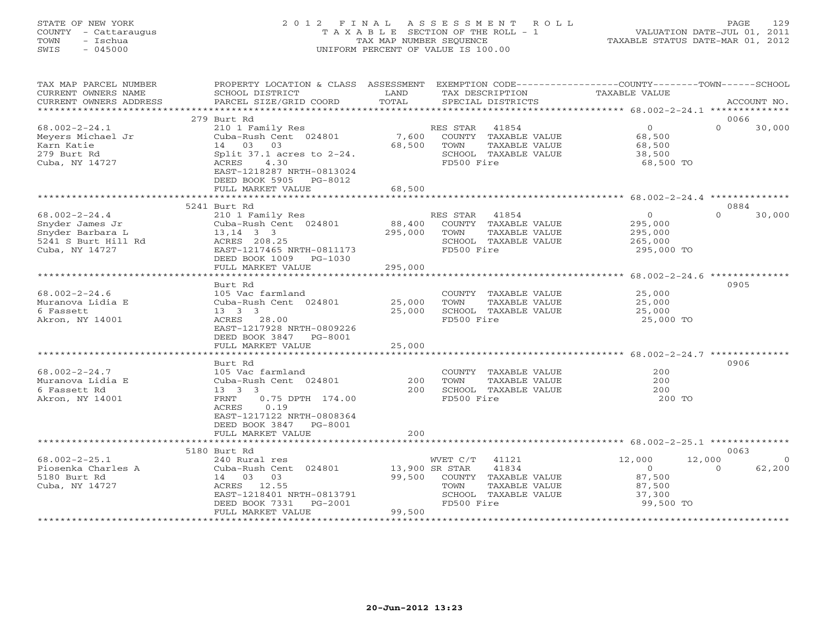# STATE OF NEW YORK 2 0 1 2 F I N A L A S S E S S M E N T R O L L PAGE 129 COUNTY - Cattaraugus T A X A B L E SECTION OF THE ROLL - 1 VALUATION DATE-JUL 01, 2011 TOWN - Ischua TAX MAP NUMBER SEQUENCE TAXABLE STATUS DATE-MAR 01, 2012 SWIS - 045000 UNIFORM PERCENT OF VALUE IS 100.00UNIFORM PERCENT OF VALUE IS 100.00

| TAX MAP PARCEL NUMBER<br>CURRENT OWNERS NAME<br>CURRENT OWNERS ADDRESS                              | PROPERTY LOCATION & CLASS ASSESSMENT<br>SCHOOL DISTRICT<br>PARCEL SIZE/GRID COORD                                                                                            | LAND<br>TOTAL     |                                      | TAX DESCRIPTION<br>SPECIAL DISTRICTS                                   | EXEMPTION CODE-----------------COUNTY-------TOWN------SCHOOL<br>TAXABLE VALUE |          | ACCOUNT NO. |
|-----------------------------------------------------------------------------------------------------|------------------------------------------------------------------------------------------------------------------------------------------------------------------------------|-------------------|--------------------------------------|------------------------------------------------------------------------|-------------------------------------------------------------------------------|----------|-------------|
|                                                                                                     |                                                                                                                                                                              |                   |                                      |                                                                        |                                                                               |          |             |
|                                                                                                     | 279 Burt Rd                                                                                                                                                                  |                   |                                      |                                                                        |                                                                               | 0066     |             |
| $68.002 - 2 - 24.1$<br>Meyers Michael Jr<br>Karn Katie<br>279 Burt Rd<br>Cuba, NY 14727             | 210 1 Family Res<br>Cuba-Rush Cent 024801<br>14 03 03<br>Split $37.1$ acres to $2-24$ .<br>ACRES<br>4.30<br>EAST-1218287 NRTH-0813024<br>DEED BOOK 5905 PG-8012              | 7,600<br>68,500   | RES STAR 41854<br>TOWN<br>FD500 Fire | COUNTY TAXABLE VALUE<br>TAXABLE VALUE<br>SCHOOL TAXABLE VALUE          | $\overline{0}$<br>68,500<br>68,500<br>38,500<br>68,500 TO                     | $\Omega$ | 30,000      |
|                                                                                                     | FULL MARKET VALUE                                                                                                                                                            | 68,500            |                                      |                                                                        |                                                                               |          |             |
|                                                                                                     |                                                                                                                                                                              |                   |                                      |                                                                        |                                                                               |          |             |
|                                                                                                     | 5241 Burt Rd                                                                                                                                                                 |                   |                                      |                                                                        |                                                                               | 0884     |             |
| $68.002 - 2 - 24.4$<br>Snyder James Jr<br>Snyder Barbara L<br>5241 S Burt Hill Rd<br>Cuba, NY 14727 | 210 1 Family Res<br>Cuba-Rush Cent 024801<br>$13, 14$ 3 3<br>ACRES 208.25<br>EAST-1217465 NRTH-0811173<br>DEED BOOK 1009 PG-1030                                             | 88,400<br>295,000 | RES STAR<br>TOWN<br>FD500 Fire       | 41854<br>COUNTY TAXABLE VALUE<br>TAXABLE VALUE<br>SCHOOL TAXABLE VALUE | $\Omega$<br>295,000<br>295,000<br>265,000<br>295,000 TO                       | $\Omega$ | 30,000      |
|                                                                                                     | FULL MARKET VALUE                                                                                                                                                            | 295,000           |                                      |                                                                        |                                                                               |          |             |
|                                                                                                     |                                                                                                                                                                              |                   |                                      |                                                                        |                                                                               |          |             |
|                                                                                                     | Burt Rd                                                                                                                                                                      |                   |                                      |                                                                        |                                                                               | 0905     |             |
| $68.002 - 2 - 24.6$                                                                                 | 105 Vac farmland                                                                                                                                                             |                   |                                      | COUNTY TAXABLE VALUE                                                   | 25,000                                                                        |          |             |
| Muranova Lidia E                                                                                    | Cuba-Rush Cent 024801                                                                                                                                                        | 25,000            | TOWN                                 | TAXABLE VALUE                                                          | 25,000                                                                        |          |             |
| 6 Fassett                                                                                           | $13 \quad 3 \quad 3$                                                                                                                                                         | 25,000            |                                      | SCHOOL TAXABLE VALUE                                                   | 25,000                                                                        |          |             |
| Akron, NY 14001                                                                                     | ACRES 28.00<br>EAST-1217928 NRTH-0809226<br>DEED BOOK 3847 PG-8001                                                                                                           |                   | FD500 Fire                           |                                                                        | 25,000 TO                                                                     |          |             |
|                                                                                                     | FULL MARKET VALUE                                                                                                                                                            | 25,000            |                                      |                                                                        |                                                                               |          |             |
|                                                                                                     |                                                                                                                                                                              |                   |                                      |                                                                        |                                                                               |          |             |
|                                                                                                     | Burt Rd                                                                                                                                                                      |                   |                                      |                                                                        |                                                                               | 0906     |             |
| $68.002 - 2 - 24.7$<br>Muranova Lidia E<br>6 Fassett Rd<br>Akron, NY 14001                          | 105 Vac farmland<br>Cuba-Rush Cent 024801<br>$13 \quad 3 \quad 3$<br>FRNT<br>$0.75$ DPTH $174.00$<br>0.19<br>ACRES<br>EAST-1217122 NRTH-0808364<br>DEED BOOK 3847<br>PG-8001 | 200<br>200        | TOWN<br>FD500 Fire                   | COUNTY TAXABLE VALUE<br>TAXABLE VALUE<br>SCHOOL TAXABLE VALUE          | 200<br>200<br>200<br>200 TO                                                   |          |             |
|                                                                                                     | FULL MARKET VALUE                                                                                                                                                            | 200               |                                      |                                                                        |                                                                               |          |             |
|                                                                                                     |                                                                                                                                                                              |                   |                                      |                                                                        |                                                                               |          |             |
|                                                                                                     | 5180 Burt Rd                                                                                                                                                                 |                   |                                      |                                                                        |                                                                               | 0063     |             |
| $68.002 - 2 - 25.1$                                                                                 | 240 Rural res                                                                                                                                                                |                   | WVET C/T                             | 41121                                                                  | 12,000                                                                        | 12,000   | $\Omega$    |
| Piosenka Charles A<br>5180 Burt Rd<br>Cuba, NY 14727                                                | Cuba-Rush Cent 024801<br>14 03 03<br>ACRES 12.55<br>EAST-1218401 NRTH-0813791<br>DEED BOOK 7331<br>PG-2001<br>FULL MARKET VALUE                                              | 99,500<br>99,500  | 13,900 SR STAR<br>TOWN<br>FD500 Fire | 41834<br>COUNTY TAXABLE VALUE<br>TAXABLE VALUE<br>SCHOOL TAXABLE VALUE | $\Omega$<br>87,500<br>87,500<br>37,300<br>99,500 TO                           | $\Omega$ | 62,200      |
|                                                                                                     |                                                                                                                                                                              |                   |                                      |                                                                        |                                                                               |          |             |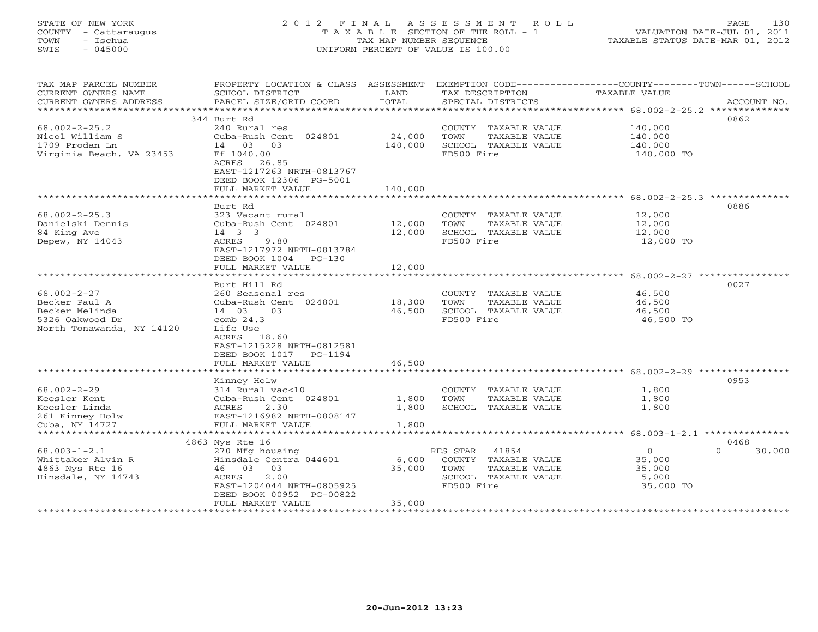#### STATE OF NEW YORK 2 0 1 2 F I N A L A S S E S S M E N T R O L L PAGE 130COUNTY - Cattaraugus T A X A B L E SECTION OF THE ROLL - 1<br>TOWN - Ischua TOWN - Ischua TAX MAP NUMBER SEQUENCE TAXABLE STATUS DATE-MAR 01, 2012<br>TAXABLE STATUS DATE-MAR 01, 2012 SWIS - 045000 UNIFORM PERCENT OF VALUE IS 100.00

| TAX MAP PARCEL NUMBER     | PROPERTY LOCATION & CLASS ASSESSMENT |                           | EXEMPTION CODE-----------------COUNTY-------TOWN------SCHOOL |                                                |                    |
|---------------------------|--------------------------------------|---------------------------|--------------------------------------------------------------|------------------------------------------------|--------------------|
| CURRENT OWNERS NAME       | SCHOOL DISTRICT                      | LAND                      | TAX DESCRIPTION                                              | TAXABLE VALUE                                  |                    |
| CURRENT OWNERS ADDRESS    | PARCEL SIZE/GRID COORD               | TOTAL                     | SPECIAL DISTRICTS                                            |                                                | ACCOUNT NO.        |
| ************************  |                                      |                           |                                                              |                                                |                    |
|                           | 344 Burt Rd                          |                           |                                                              |                                                | 0862               |
| $68.002 - 2 - 25.2$       | 240 Rural res                        |                           | COUNTY TAXABLE VALUE                                         | 140,000                                        |                    |
| Nicol William S           | Cuba-Rush Cent 024801                | 24,000                    | TAXABLE VALUE<br>TOWN                                        | 140,000                                        |                    |
| 1709 Prodan Ln            | 14 03 03                             | 140,000                   | SCHOOL TAXABLE VALUE                                         | 140,000                                        |                    |
| Virginia Beach, VA 23453  | Ff 1040.00                           |                           | FD500 Fire                                                   | 140,000 TO                                     |                    |
|                           | ACRES<br>26.85                       |                           |                                                              |                                                |                    |
|                           | EAST-1217263 NRTH-0813767            |                           |                                                              |                                                |                    |
|                           | DEED BOOK 12306 PG-5001              |                           |                                                              |                                                |                    |
|                           | FULL MARKET VALUE                    | 140,000                   |                                                              |                                                |                    |
|                           |                                      |                           |                                                              | ********************* 68.002-2-25.3 ********** |                    |
|                           | Burt Rd                              |                           |                                                              |                                                | 0886               |
| $68.002 - 2 - 25.3$       | 323 Vacant rural                     |                           | COUNTY TAXABLE VALUE                                         | 12,000                                         |                    |
| Danielski Dennis          | Cuba-Rush Cent 024801                | 12,000                    | TAXABLE VALUE<br>TOWN                                        | 12,000                                         |                    |
| 84 King Ave               | 14 3 3                               | 12,000                    | SCHOOL TAXABLE VALUE                                         | 12,000                                         |                    |
| Depew, NY 14043           | 9.80<br>ACRES                        |                           | FD500 Fire                                                   | 12,000 TO                                      |                    |
|                           | EAST-1217972 NRTH-0813784            |                           |                                                              |                                                |                    |
|                           | DEED BOOK 1004 PG-130                |                           |                                                              |                                                |                    |
|                           | FULL MARKET VALUE                    | 12,000                    |                                                              |                                                |                    |
|                           |                                      |                           |                                                              |                                                |                    |
|                           | Burt Hill Rd                         |                           |                                                              |                                                | 0027               |
| $68.002 - 2 - 27$         | 260 Seasonal res                     |                           | COUNTY TAXABLE VALUE                                         | 46,500                                         |                    |
| Becker Paul A             | Cuba-Rush Cent 024801                | 18,300                    | TAXABLE VALUE<br>TOWN                                        | 46,500                                         |                    |
| Becker Melinda            | 14 03<br>03                          | 46,500                    | SCHOOL TAXABLE VALUE                                         | 46,500                                         |                    |
| 5326 Oakwood Dr           | comb $24.3$                          |                           | FD500 Fire                                                   | 46,500 TO                                      |                    |
| North Tonawanda, NY 14120 | Life Use                             |                           |                                                              |                                                |                    |
|                           | ACRES 18.60                          |                           |                                                              |                                                |                    |
|                           | EAST-1215228 NRTH-0812581            |                           |                                                              |                                                |                    |
|                           | DEED BOOK 1017<br>PG-1194            |                           |                                                              |                                                |                    |
|                           | FULL MARKET VALUE                    | 46,500                    |                                                              |                                                |                    |
|                           |                                      |                           |                                                              |                                                |                    |
|                           | Kinney Holw                          |                           |                                                              |                                                | 0953               |
| $68.002 - 2 - 29$         | 314 Rural vac<10                     |                           | COUNTY TAXABLE VALUE                                         | 1,800                                          |                    |
| Keesler Kent              | Cuba-Rush Cent 024801                | 1,800                     | TOWN<br>TAXABLE VALUE                                        | 1,800                                          |                    |
| Keesler Linda             | ACRES<br>2.30                        | 1,800                     | SCHOOL TAXABLE VALUE                                         | 1,800                                          |                    |
| 261 Kinney Holw           | EAST-1216982 NRTH-0808147            |                           |                                                              |                                                |                    |
| Cuba, NY 14727            | FULL MARKET VALUE                    | 1,800                     |                                                              |                                                |                    |
| ********************      |                                      |                           |                                                              |                                                |                    |
|                           | 4863 Nys Rte 16                      |                           |                                                              |                                                | 0468               |
| $68.003 - 1 - 2.1$        | 270 Mfg housing                      |                           | 41854<br>RES STAR                                            | $\circ$                                        | $\Omega$<br>30,000 |
| Whittaker Alvin R         | Hinsdale Centra 044601               | 6,000                     | COUNTY TAXABLE VALUE                                         | 35,000                                         |                    |
| 4863 Nys Rte 16           | 46 03<br>03                          | 35,000                    | TAXABLE VALUE<br>TOWN                                        | 35,000                                         |                    |
| Hinsdale, NY 14743        | 2.00<br>ACRES                        |                           | SCHOOL TAXABLE VALUE                                         | 5,000                                          |                    |
|                           | EAST-1204044 NRTH-0805925            |                           | FD500 Fire                                                   | 35,000 TO                                      |                    |
|                           | DEED BOOK 00952 PG-00822             |                           |                                                              |                                                |                    |
|                           | FULL MARKET VALUE                    | 35,000                    |                                                              |                                                |                    |
|                           | ***********************              | * * * * * * * * * * * * * |                                                              |                                                |                    |
|                           |                                      |                           |                                                              |                                                |                    |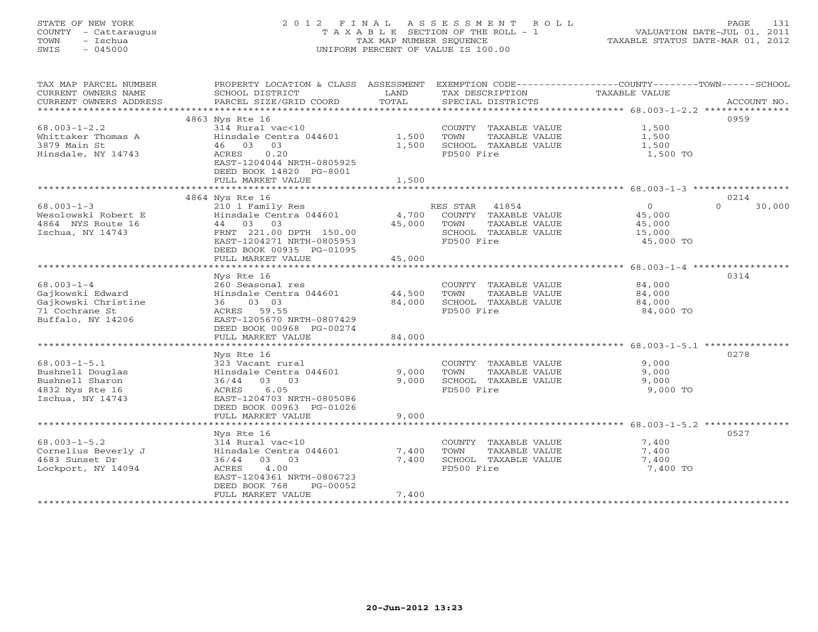# STATE OF NEW YORK 2 0 1 2 F I N A L A S S E S S M E N T R O L L PAGE 131 COUNTY - Cattaraugus T A X A B L E SECTION OF THE ROLL - 1 VALUATION DATE-JUL 01, 2011 TOWN - Ischua TAX MAP NUMBER SEQUENCE TAXABLE STATUS DATE-MAR 01, 2012 SWIS - 045000 UNIFORM PERCENT OF VALUE IS 100.00UNIFORM PERCENT OF VALUE IS 100.00

| TAX MAP PARCEL NUMBER<br>CURRENT OWNERS NAME | PROPERTY LOCATION & CLASS ASSESSMENT<br>SCHOOL DISTRICT | LAND   | TAX DESCRIPTION       | EXEMPTION CODE-----------------COUNTY-------TOWN------SCHOOL<br><b>TAXABLE VALUE</b> |             |
|----------------------------------------------|---------------------------------------------------------|--------|-----------------------|--------------------------------------------------------------------------------------|-------------|
| CURRENT OWNERS ADDRESS                       | PARCEL SIZE/GRID COORD                                  | TOTAL  | SPECIAL DISTRICTS     |                                                                                      | ACCOUNT NO. |
| ************************                     |                                                         |        |                       |                                                                                      |             |
| $68.003 - 1 - 2.2$                           | 4863 Nys Rte 16<br>314 Rural vac<10                     |        | COUNTY TAXABLE VALUE  | 1,500                                                                                | 0959        |
| Whittaker Thomas A                           | Hinsdale Centra 044601                                  | 1,500  | TOWN<br>TAXABLE VALUE | 1,500                                                                                |             |
| 3879 Main St                                 | 46 03<br>03                                             | 1,500  | SCHOOL TAXABLE VALUE  | 1,500                                                                                |             |
| Hinsdale, NY 14743                           | ACRES<br>0.20                                           |        | FD500 Fire            | 1,500 TO                                                                             |             |
|                                              | EAST-1204044 NRTH-0805925                               |        |                       |                                                                                      |             |
|                                              | DEED BOOK 14820 PG-8001                                 |        |                       |                                                                                      |             |
|                                              | FULL MARKET VALUE                                       | 1,500  |                       |                                                                                      |             |
|                                              | 4864 Nys Rte 16                                         |        |                       |                                                                                      | 0214        |
| $68.003 - 1 - 3$                             | 210 1 Family Res                                        |        | RES STAR<br>41854     | $\overline{0}$<br>$\Omega$                                                           | 30,000      |
| Wesolowski Robert E                          | Hinsdale Centra 044601                                  | 4,700  | COUNTY TAXABLE VALUE  | 45,000                                                                               |             |
| 4864 NYS Route 16                            | 44 03 03                                                | 45,000 | TOWN<br>TAXABLE VALUE | 45,000                                                                               |             |
| Ischua, NY 14743                             | FRNT 221.00 DPTH 150.00                                 |        | SCHOOL TAXABLE VALUE  | 15,000                                                                               |             |
|                                              | EAST-1204271 NRTH-0805953                               |        | FD500 Fire            | 45,000 TO                                                                            |             |
|                                              | DEED BOOK 00935 PG-01095                                |        |                       |                                                                                      |             |
|                                              | FULL MARKET VALUE                                       | 45,000 |                       |                                                                                      |             |
|                                              |                                                         |        |                       |                                                                                      |             |
| $68.003 - 1 - 4$                             | Nys Rte 16<br>260 Seasonal res                          |        | COUNTY TAXABLE VALUE  | 84,000                                                                               | 0314        |
| Gajkowski Edward                             | Hinsdale Centra 044601                                  | 44,500 | TOWN<br>TAXABLE VALUE | 84,000                                                                               |             |
| Gajkowski Christine                          | 03 03<br>36                                             | 84,000 | SCHOOL TAXABLE VALUE  | 84,000                                                                               |             |
| 71 Cochrane St                               | ACRES 59.55                                             |        | FD500 Fire            | 84,000 TO                                                                            |             |
| Buffalo, NY 14206                            | EAST-1205670 NRTH-0807429                               |        |                       |                                                                                      |             |
|                                              | DEED BOOK 00968 PG-00274                                |        |                       |                                                                                      |             |
|                                              | FULL MARKET VALUE<br>***********************            | 84,000 |                       |                                                                                      |             |
|                                              |                                                         |        |                       |                                                                                      |             |
| $68.003 - 1 - 5.1$                           | Nys Rte 16<br>323 Vacant rural                          |        | COUNTY TAXABLE VALUE  | 9,000                                                                                | 0278        |
| Bushnell Douglas                             | Hinsdale Centra 044601                                  | 9,000  | TOWN<br>TAXABLE VALUE | 9,000                                                                                |             |
| Bushnell Sharon                              | 36/44 03 03                                             | 9,000  | SCHOOL TAXABLE VALUE  | 9,000                                                                                |             |
| 4832 Nys Rte 16                              | 6.05<br>ACRES                                           |        | FD500 Fire            | 9,000 TO                                                                             |             |
| Ischua, NY 14743                             | EAST-1204703 NRTH-0805086                               |        |                       |                                                                                      |             |
|                                              | DEED BOOK 00963 PG-01026                                |        |                       |                                                                                      |             |
|                                              | FULL MARKET VALUE                                       | 9,000  |                       |                                                                                      |             |
|                                              |                                                         |        |                       |                                                                                      |             |
| $68.003 - 1 - 5.2$                           | Nys Rte 16<br>314 Rural vac<10                          |        | COUNTY TAXABLE VALUE  | 7,400                                                                                | 0527        |
| Cornelius Beverly J                          | Hinsdale Centra 044601                                  | 7,400  | TOWN<br>TAXABLE VALUE | 7,400                                                                                |             |
| 4683 Sunset Dr                               | 36/44 03 03                                             | 7,400  | SCHOOL TAXABLE VALUE  | 7,400                                                                                |             |
| Lockport, NY 14094                           | ACRES<br>4.00                                           |        | FD500 Fire            | 7,400 TO                                                                             |             |
|                                              | EAST-1204361 NRTH-0806723                               |        |                       |                                                                                      |             |
|                                              | DEED BOOK 768<br>PG-00052                               |        |                       |                                                                                      |             |
|                                              | FULL MARKET VALUE                                       | 7,400  |                       |                                                                                      |             |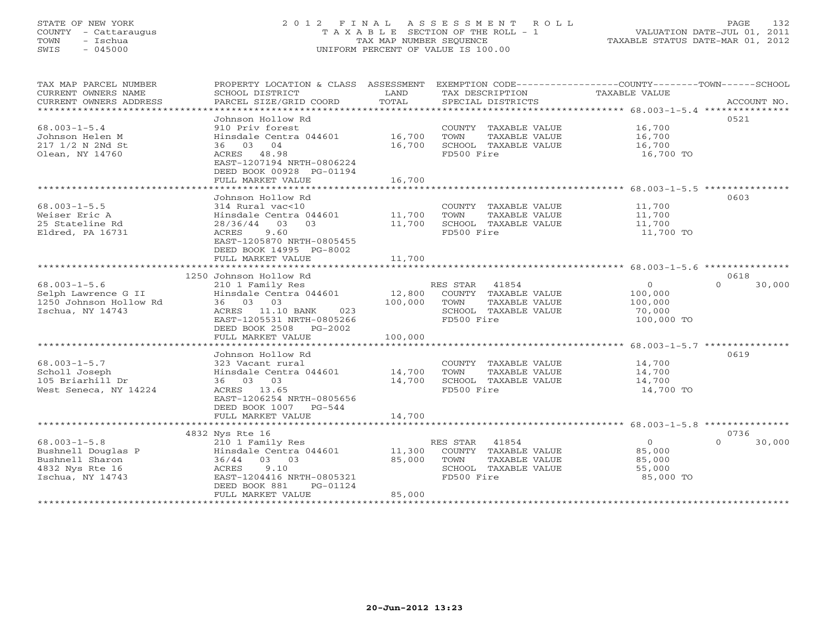#### STATE OF NEW YORK 2 0 1 2 F I N A L A S S E S S M E N T R O L L PAGE 132COUNTY - Cattaraugus T A X A B L E SECTION OF THE ROLL - 1<br>TOWN - Ischua TOWN - Ischua TAX MAP NUMBER SEQUENCE TAXABLE STATUS DATE-MAR 01, 2012<br>TAXABLE STATUS DATE-MAR 01, 2012 SWIS - 045000 UNIFORM PERCENT OF VALUE IS 100.00

| TAX MAP PARCEL NUMBER<br>CURRENT OWNERS NAME<br>CURRENT OWNERS ADDRESS                             | PROPERTY LOCATION & CLASS ASSESSMENT<br>SCHOOL DISTRICT<br>PARCEL SIZE/GRID COORD                                                                                                            | LAND<br>TOTAL                | EXEMPTION CODE-----------------COUNTY-------TOWN-----SCHOOL<br>TAX DESCRIPTION<br>SPECIAL DISTRICTS      | TAXABLE VALUE                                         | ACCOUNT NO.                |
|----------------------------------------------------------------------------------------------------|----------------------------------------------------------------------------------------------------------------------------------------------------------------------------------------------|------------------------------|----------------------------------------------------------------------------------------------------------|-------------------------------------------------------|----------------------------|
| $68.003 - 1 - 5.4$<br>Johnson Helen M<br>217 1/2 N 2Nd St<br>Olean, NY 14760                       | Johnson Hollow Rd<br>910 Priv forest<br>Hinsdale Centra 044601<br>36 03 04<br>ACRES 48.98<br>EAST-1207194 NRTH-0806224<br>DEED BOOK 00928 PG-01194<br>FULL MARKET VALUE                      | 16,700<br>16,700<br>16,700   | COUNTY TAXABLE VALUE<br>TOWN<br>TAXABLE VALUE<br>SCHOOL TAXABLE VALUE<br>FD500 Fire                      | 16,700<br>16,700<br>16,700<br>16,700 TO               | 0521                       |
|                                                                                                    |                                                                                                                                                                                              |                              |                                                                                                          |                                                       |                            |
| $68.003 - 1 - 5.5$<br>Weiser Eric A<br>25 Stateline Rd<br>Eldred, PA 16731                         | Johnson Hollow Rd<br>314 Rural vac<10<br>Hinsdale Centra 044601<br>$28/36/44$ 03<br>03<br>9.60<br>ACRES<br>EAST-1205870 NRTH-0805455<br>DEED BOOK 14995 PG-8002                              | 11,700<br>11,700             | COUNTY TAXABLE VALUE<br>TOWN<br>TAXABLE VALUE<br>SCHOOL TAXABLE VALUE<br>FD500 Fire                      | 11,700<br>11,700<br>11,700<br>11,700 TO               | 0603                       |
|                                                                                                    | FULL MARKET VALUE<br>************************                                                                                                                                                | 11,700                       |                                                                                                          |                                                       |                            |
|                                                                                                    |                                                                                                                                                                                              |                              |                                                                                                          |                                                       |                            |
| $68.003 - 1 - 5.6$<br>Selph Lawrence G II<br>1250 Johnson Hollow Rd<br>Ischua, NY 14743            | 1250 Johnson Hollow Rd<br>210 1 Family Res<br>Hinsdale Centra 044601<br>36 03 03<br>ACRES 11.10 BANK<br>023<br>EAST-1205531 NRTH-0805266<br>DEED BOOK 2508<br>$PG-2002$<br>FULL MARKET VALUE | 12,800<br>100,000<br>100,000 | RES STAR<br>41854<br>COUNTY TAXABLE VALUE<br>TAXABLE VALUE<br>TOWN<br>SCHOOL TAXABLE VALUE<br>FD500 Fire | $\circ$<br>100,000<br>100,000<br>70,000<br>100,000 TO | 0618<br>$\Omega$<br>30,000 |
|                                                                                                    |                                                                                                                                                                                              |                              |                                                                                                          |                                                       |                            |
| $68.003 - 1 - 5.7$<br>Scholl Joseph<br>105 Briarhill Dr<br>West Seneca, NY 14224                   | Johnson Hollow Rd<br>323 Vacant rural<br>Hinsdale Centra 044601<br>36 03 03<br>ACRES 13.65<br>EAST-1206254 NRTH-0805656<br>DEED BOOK 1007<br>PG-544<br>FULL MARKET VALUE                     | 14,700<br>14,700<br>14,700   | COUNTY TAXABLE VALUE<br>TAXABLE VALUE<br>TOWN<br>SCHOOL TAXABLE VALUE<br>FD500 Fire                      | 14,700<br>14,700<br>14,700<br>14,700 TO               | 0619                       |
|                                                                                                    | *********************                                                                                                                                                                        |                              | ********************************* 68.003-1-5.8 ****************                                          |                                                       |                            |
| $68.003 - 1 - 5.8$<br>Bushnell Douglas P<br>Bushnell Sharon<br>4832 Nys Rte 16<br>Ischua, NY 14743 | 4832 Nys Rte 16<br>210 1 Family Res<br>Hinsdale Centra 044601<br>03 03<br>36/44<br>9.10<br>ACRES<br>EAST-1204416 NRTH-0805321<br>DEED BOOK 881<br>PG-01124<br>FULL MARKET VALUE              | 11,300<br>85,000<br>85,000   | RES STAR<br>41854<br>COUNTY TAXABLE VALUE<br>TOWN<br>TAXABLE VALUE<br>SCHOOL TAXABLE VALUE<br>FD500 Fire | $\circ$<br>85,000<br>85,000<br>55,000<br>85,000 TO    | 0736<br>$\Omega$<br>30,000 |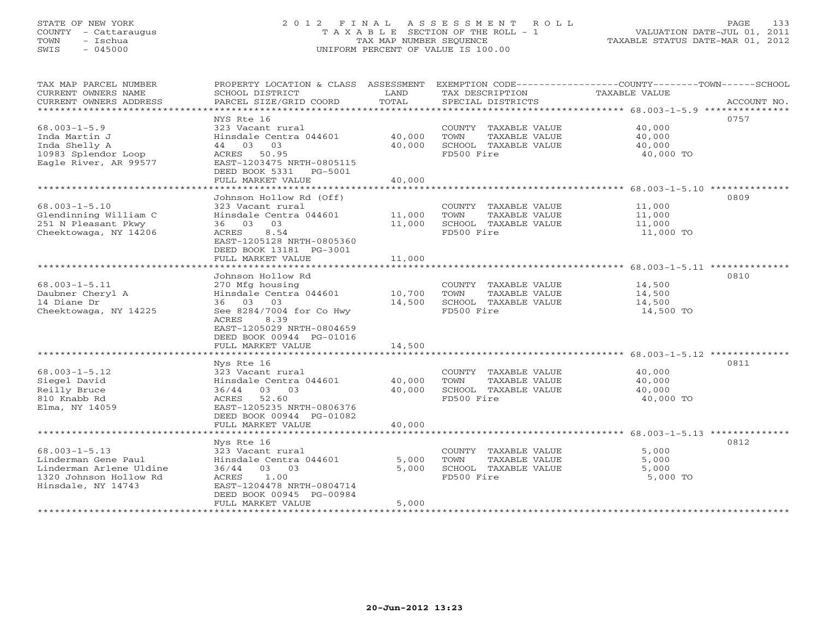# STATE OF NEW YORK 2 0 1 2 F I N A L A S S E S S M E N T R O L L PAGE 133 COUNTY - Cattaraugus T A X A B L E SECTION OF THE ROLL - 1 VALUATION DATE-JUL 01, 2011 TOWN - Ischua TAX MAP NUMBER SEQUENCE TAXABLE STATUS DATE-MAR 01, 2012 SWIS - 045000 UNIFORM PERCENT OF VALUE IS 100.00UNIFORM PERCENT OF VALUE IS 100.00

| TAX MAP PARCEL NUMBER<br>CURRENT OWNERS NAME<br>CURRENT OWNERS ADDRESS                                                | PROPERTY LOCATION & CLASS ASSESSMENT<br>SCHOOL DISTRICT<br>PARCEL SIZE/GRID COORD                                                                                                                        | LAND<br>TOTAL                         | TAX DESCRIPTION<br>SPECIAL DISTRICTS                                                | EXEMPTION CODE-----------------COUNTY-------TOWN------SCHOOL<br><b>TAXABLE VALUE</b><br>ACCOUNT NO.        |
|-----------------------------------------------------------------------------------------------------------------------|----------------------------------------------------------------------------------------------------------------------------------------------------------------------------------------------------------|---------------------------------------|-------------------------------------------------------------------------------------|------------------------------------------------------------------------------------------------------------|
| $68.003 - 1 - 5.9$<br>Inda Martin J<br>Inda Shelly A<br>10983 Splendor Loop<br>Eagle River, AR 99577                  | NYS Rte 16<br>323 Vacant rural<br>Hinsdale Centra 044601<br>44 03 03<br>ACRES<br>50.95<br>EAST-1203475 NRTH-0805115<br>DEED BOOK 5331<br>PG-5001<br>FULL MARKET VALUE<br>******************              | 40,000<br>40,000<br>40,000<br>******* | COUNTY TAXABLE VALUE<br>TOWN<br>TAXABLE VALUE<br>SCHOOL TAXABLE VALUE<br>FD500 Fire | 0757<br>40,000<br>40,000<br>40,000<br>40,000 TO                                                            |
| $68.003 - 1 - 5.10$<br>Glendinning William C<br>251 N Pleasant Pkwy<br>Cheektowaga, NY 14206                          | Johnson Hollow Rd (Off)<br>323 Vacant rural<br>Hinsdale Centra 044601<br>36 03<br>03<br>ACRES<br>8.54<br>EAST-1205128 NRTH-0805360<br>DEED BOOK 13181 PG-3001<br>FULL MARKET VALUE                       | 11,000<br>11,000<br>11,000            | COUNTY TAXABLE VALUE<br>TOWN<br>TAXABLE VALUE<br>SCHOOL TAXABLE VALUE<br>FD500 Fire | ****************** 68.003-1-5.10 *********<br>0809<br>11,000<br>11,000<br>11,000<br>11,000 TO              |
| $68.003 - 1 - 5.11$<br>Daubner Cheryl A<br>14 Diane Dr<br>Cheektowaga, NY 14225                                       | Johnson Hollow Rd<br>270 Mfg housing<br>Hinsdale Centra 044601<br>36 03<br>03<br>See 8284/7004 for Co Hwy<br>8.39<br>ACRES<br>EAST-1205029 NRTH-0804659<br>DEED BOOK 00944 PG-01016<br>FULL MARKET VALUE | 10,700<br>14,500<br>14,500            | COUNTY TAXABLE VALUE<br>TOWN<br>TAXABLE VALUE<br>SCHOOL TAXABLE VALUE<br>FD500 Fire | ****************************** 68.003-1-5.11 **********<br>0810<br>14,500<br>14,500<br>14,500<br>14,500 TO |
| $68.003 - 1 - 5.12$<br>Siegel David<br>Reilly Bruce<br>810 Knabb Rd<br>Elma, NY 14059                                 | Nys Rte 16<br>323 Vacant rural<br>Hinsdale Centra 044601<br>03 03<br>36/44<br>ACRES<br>52.60<br>EAST-1205235 NRTH-0806376<br>DEED BOOK 00944 PG-01082<br>FULL MARKET VALUE                               | 40,000<br>40,000<br>40,000            | COUNTY TAXABLE VALUE<br>TOWN<br>TAXABLE VALUE<br>SCHOOL TAXABLE VALUE<br>FD500 Fire | 0811<br>40,000<br>40,000<br>40,000<br>40,000 TO                                                            |
| $68.003 - 1 - 5.13$<br>Linderman Gene Paul<br>Linderman Arlene Uldine<br>1320 Johnson Hollow Rd<br>Hinsdale, NY 14743 | Nys Rte 16<br>323 Vacant rural<br>Hinsdale Centra 044601<br>03 03<br>36/44<br>ACRES<br>1.00<br>EAST-1204478 NRTH-0804714<br>DEED BOOK 00945 PG-00984<br>FULL MARKET VALUE                                | 5,000<br>5,000<br>5,000               | COUNTY TAXABLE VALUE<br>TAXABLE VALUE<br>TOWN<br>SCHOOL TAXABLE VALUE<br>FD500 Fire | 0812<br>5,000<br>5,000<br>5,000<br>5,000 TO                                                                |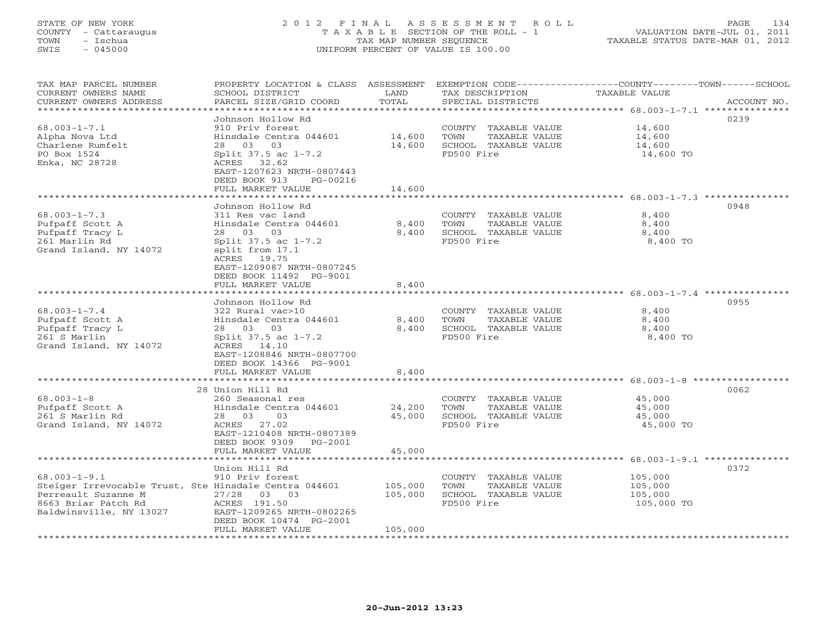#### STATE OF NEW YORK 2 0 1 2 F I N A L A S S E S S M E N T R O L L PAGE 134 COUNTY - Cattaraugus T A X A B L E SECTION OF THE ROLL - 1 VALUATION DATE-JUL 01, 2011 TOWN - Ischua TAX MAP NUMBER SEQUENCE TAXABLE STATUS DATE-MAR 01, 2012 SWIS - 045000 UNIFORM PERCENT OF VALUE IS 100.00UNIFORM PERCENT OF VALUE IS 100.00

| TAX MAP PARCEL NUMBER<br>CURRENT OWNERS NAME<br>CURRENT OWNERS ADDRESS<br>********************                                                       | PROPERTY LOCATION & CLASS ASSESSMENT<br>SCHOOL DISTRICT<br>PARCEL SIZE/GRID COORD                                                                                                                                                    | LAND<br>TOTAL                            | TAX DESCRIPTION<br>SPECIAL DISTRICTS                                                | EXEMPTION CODE-----------------COUNTY-------TOWN------SCHOOL<br>TAXABLE VALUE<br>ACCOUNT NO. |
|------------------------------------------------------------------------------------------------------------------------------------------------------|--------------------------------------------------------------------------------------------------------------------------------------------------------------------------------------------------------------------------------------|------------------------------------------|-------------------------------------------------------------------------------------|----------------------------------------------------------------------------------------------|
| $68.003 - 1 - 7.1$<br>Alpha Nova Ltd<br>Charlene Rumfelt<br>PO Box 1524<br>Enka, NC 28728                                                            | Johnson Hollow Rd<br>910 Priv forest<br>Hinsdale Centra 044601<br>03<br>03<br>28<br>Split 37.5 ac 1-7.2<br>ACRES 32.62<br>EAST-1207623 NRTH-0807443<br>DEED BOOK 913<br>PG-00216<br>FULL MARKET VALUE<br>*************************   | 14,600<br>14,600<br>14,600               | COUNTY TAXABLE VALUE<br>TOWN<br>TAXABLE VALUE<br>SCHOOL TAXABLE VALUE<br>FD500 Fire | 0239<br>14,600<br>14,600<br>14,600<br>14,600 TO                                              |
| $68.003 - 1 - 7.3$<br>Pufpaff Scott A<br>Pufpaff Tracy L<br>261 Marlin Rd<br>Grand Island, NY 14072                                                  | Johnson Hollow Rd<br>311 Res vac land<br>Hinsdale Centra 044601<br>03<br>28<br>03<br>Split 37.5 ac 1-7.2<br>split from 17.1<br>ACRES 19.75<br>EAST-1209087 NRTH-0807245<br>DEED BOOK 11492 PG-9001<br>FULL MARKET VALUE              | 8,400<br>8,400<br>8,400                  | COUNTY TAXABLE VALUE<br>TOWN<br>TAXABLE VALUE<br>SCHOOL TAXABLE VALUE<br>FD500 Fire | 0948<br>8,400<br>8,400<br>8,400<br>8,400 TO                                                  |
| $68.003 - 1 - 7.4$<br>Pufpaff Scott A<br>Pufpaff Tracy L<br>261 S Marlin<br>Grand Island, NY 14072                                                   | * * * * * * * * * * * * * * * *<br>Johnson Hollow Rd<br>322 Rural vac>10<br>Hinsdale Centra 044601<br>28 03<br>03<br>Split 37.5 ac 1-7.2<br>ACRES 14.10<br>EAST-1208846 NRTH-0807700<br>DEED BOOK 14366 PG-9001<br>FULL MARKET VALUE | * * * * * * *<br>8,400<br>8,400<br>8,400 | COUNTY TAXABLE VALUE<br>TOWN<br>TAXABLE VALUE<br>SCHOOL TAXABLE VALUE<br>FD500 Fire | ************** 68.003-1-7.4<br>0955<br>8,400<br>8,400<br>8,400<br>8,400 TO                   |
|                                                                                                                                                      |                                                                                                                                                                                                                                      |                                          |                                                                                     | $68.003 - 1 - 8$ ***********                                                                 |
| $68.003 - 1 - 8$<br>Pufpaff Scott A<br>261 S Marlin Rd<br>Grand Island, NY 14072                                                                     | 28 Union Hill Rd<br>260 Seasonal res<br>Hinsdale Centra 044601<br>28 03<br>03<br>ACRES<br>27.02<br>EAST-1210408 NRTH-0807389<br>DEED BOOK 9309<br>PG-2001<br>FULL MARKET VALUE                                                       | 24,200<br>45,000<br>45,000               | COUNTY TAXABLE VALUE<br>TOWN<br>TAXABLE VALUE<br>SCHOOL TAXABLE VALUE<br>FD500 Fire | 0062<br>45,000<br>45,000<br>45,000<br>45,000 TO                                              |
|                                                                                                                                                      | * * * * * * * * * * * * * * * * *                                                                                                                                                                                                    |                                          |                                                                                     | $68.003 - 1 - 9.1$ ****                                                                      |
| $68.003 - 1 - 9.1$<br>Steiger Irrevocable Trust, Ste Hinsdale Centra 044601<br>Perreault Suzanne M<br>8663 Briar Patch Rd<br>Baldwinsville, NY 13027 | Union Hill Rd<br>910 Priv forest<br>27/28<br>03 03<br>ACRES 191.50<br>EAST-1209265 NRTH-0802265<br>DEED BOOK 10474 PG-2001<br>FULL MARKET VALUE                                                                                      | 105,000<br>105,000<br>105,000            | COUNTY TAXABLE VALUE<br>TOWN<br>TAXABLE VALUE<br>SCHOOL TAXABLE VALUE<br>FD500 Fire | 0372<br>105,000<br>105,000<br>105,000<br>105,000 TO                                          |
| ******************                                                                                                                                   |                                                                                                                                                                                                                                      | ****************                         | *******************************                                                     |                                                                                              |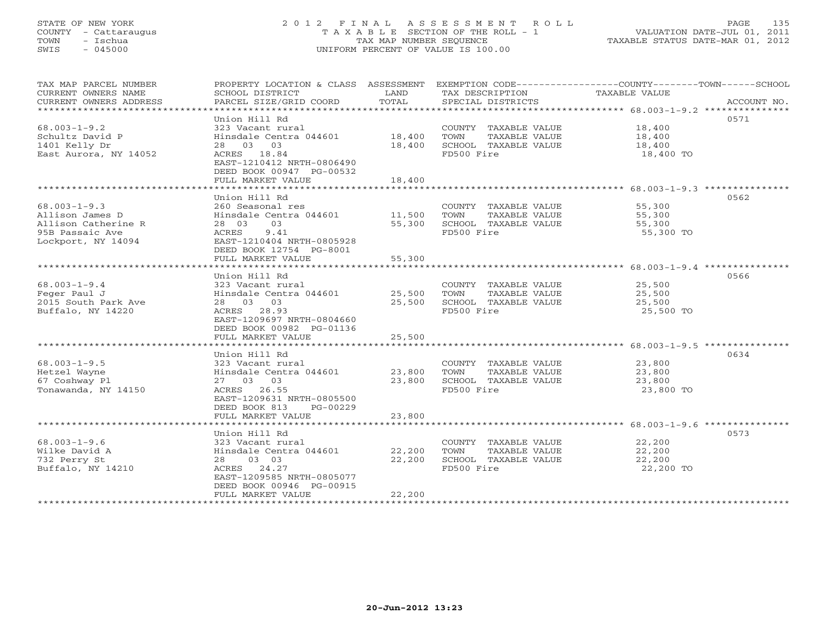# STATE OF NEW YORK 2 0 1 2 F I N A L A S S E S S M E N T R O L L PAGE 135 COUNTY - Cattaraugus T A X A B L E SECTION OF THE ROLL - 1 VALUATION DATE-JUL 01, 2011 TOWN - Ischua TAX MAP NUMBER SEQUENCE TAXABLE STATUS DATE-MAR 01, 2012 SWIS - 045000 UNIFORM PERCENT OF VALUE IS 100.00UNIFORM PERCENT OF VALUE IS 100.00

| TAX MAP PARCEL NUMBER                  |                                    |        |                                       | PROPERTY LOCATION & CLASS ASSESSMENT EXEMPTION CODE----------------COUNTY-------TOWN------SCHOOL                                                                                                                                                                                                                                                                                                                                                                                                                       |
|----------------------------------------|------------------------------------|--------|---------------------------------------|------------------------------------------------------------------------------------------------------------------------------------------------------------------------------------------------------------------------------------------------------------------------------------------------------------------------------------------------------------------------------------------------------------------------------------------------------------------------------------------------------------------------|
| CURRENT OWNERS NAME                    | SCHOOL DISTRICT                    | LAND   | TAX DESCRIPTION                       | TAXABLE VALUE                                                                                                                                                                                                                                                                                                                                                                                                                                                                                                          |
|                                        |                                    |        |                                       | $\begin{minipage}{.45\textwidth} \begin{minipage}{.45\textwidth} \begin{minipage}{.45\textwidth} \begin{minipage}{.45\textwidth} \begin{minipage}{.45\textwidth} \begin{minipage}{.45\textwidth} \begin{minipage}{.45\textwidth} \begin{minipage}{.45\textwidth} \begin{minipage}{.45\textwidth} \begin{minipage}{.45\textwidth} \begin{minipage}{.45\textwidth} \begin{minipage}{.45\textwidth} \begin{minipage}{.45\textwidth} \begin{minipage}{.45\textwidth} \begin{minipage}{.45\textwidth} \begin{minipage}{.45$ |
|                                        |                                    |        |                                       |                                                                                                                                                                                                                                                                                                                                                                                                                                                                                                                        |
|                                        | Union Hill Rd                      |        |                                       | 0571                                                                                                                                                                                                                                                                                                                                                                                                                                                                                                                   |
| $68.003 - 1 - 9.2$                     | 323 Vacant rural                   |        | COUNTY TAXABLE VALUE 18,400           |                                                                                                                                                                                                                                                                                                                                                                                                                                                                                                                        |
| Schultz David P                        | Hinsdale Centra 044601 18,400      |        | TOWN<br>TAXABLE VALUE                 | 18,400                                                                                                                                                                                                                                                                                                                                                                                                                                                                                                                 |
| 1401 Kelly Dr                          | 28 03 03                           | 18,400 | SCHOOL TAXABLE VALUE                  | 18,400                                                                                                                                                                                                                                                                                                                                                                                                                                                                                                                 |
| East Aurora, NY 14052                  | ACRES 18.84                        |        | FD500 Fire                            | 18,400 TO                                                                                                                                                                                                                                                                                                                                                                                                                                                                                                              |
|                                        | EAST-1210412 NRTH-0806490          |        |                                       |                                                                                                                                                                                                                                                                                                                                                                                                                                                                                                                        |
|                                        | DEED BOOK 00947 PG-00532           |        |                                       |                                                                                                                                                                                                                                                                                                                                                                                                                                                                                                                        |
|                                        | FULL MARKET VALUE                  | 18,400 |                                       |                                                                                                                                                                                                                                                                                                                                                                                                                                                                                                                        |
|                                        | Union Hill Rd                      |        |                                       | 0562                                                                                                                                                                                                                                                                                                                                                                                                                                                                                                                   |
| $68.003 - 1 - 9.3$                     | 260 Seasonal res                   |        | COUNTY TAXABLE VALUE                  |                                                                                                                                                                                                                                                                                                                                                                                                                                                                                                                        |
|                                        | Hinsdale Centra 044601 11,500 TOWN |        |                                       | 55,300                                                                                                                                                                                                                                                                                                                                                                                                                                                                                                                 |
| Allison James D<br>Allison Catherine R | 28 03<br>03                        | 55,300 | TAXABLE VALUE<br>SCHOOL TAXABLE VALUE | 55,300<br>55,300                                                                                                                                                                                                                                                                                                                                                                                                                                                                                                       |
| 95B Passaic Ave                        | ACRES<br>9.41                      |        | FD500 Fire                            | 55,300 TO                                                                                                                                                                                                                                                                                                                                                                                                                                                                                                              |
| Lockport, NY 14094                     | EAST-1210404 NRTH-0805928          |        |                                       |                                                                                                                                                                                                                                                                                                                                                                                                                                                                                                                        |
|                                        | DEED BOOK 12754 PG-8001            |        |                                       |                                                                                                                                                                                                                                                                                                                                                                                                                                                                                                                        |
|                                        | FULL MARKET VALUE                  | 55,300 |                                       |                                                                                                                                                                                                                                                                                                                                                                                                                                                                                                                        |
|                                        |                                    |        |                                       |                                                                                                                                                                                                                                                                                                                                                                                                                                                                                                                        |
|                                        | Union Hill Rd                      |        |                                       | 0566                                                                                                                                                                                                                                                                                                                                                                                                                                                                                                                   |
| $68.003 - 1 - 9.4$                     | 323 Vacant rural                   |        | COUNTY TAXABLE VALUE                  | 25,500                                                                                                                                                                                                                                                                                                                                                                                                                                                                                                                 |
| Feger Paul J                           | Hinsdale Centra 044601             | 25,500 | TOWN<br>TAXABLE VALUE                 | 25,500                                                                                                                                                                                                                                                                                                                                                                                                                                                                                                                 |
| 2015 South Park Ave                    | 28 03 03                           | 25,500 | SCHOOL TAXABLE VALUE                  | 25,500                                                                                                                                                                                                                                                                                                                                                                                                                                                                                                                 |
| Buffalo, NY 14220                      | ACRES 28.93                        |        | FD500 Fire                            | 25,500 TO                                                                                                                                                                                                                                                                                                                                                                                                                                                                                                              |
|                                        | EAST-1209697 NRTH-0804660          |        |                                       |                                                                                                                                                                                                                                                                                                                                                                                                                                                                                                                        |
|                                        | DEED BOOK 00982 PG-01136           |        |                                       |                                                                                                                                                                                                                                                                                                                                                                                                                                                                                                                        |
|                                        | FULL MARKET VALUE                  | 25,500 |                                       |                                                                                                                                                                                                                                                                                                                                                                                                                                                                                                                        |
|                                        |                                    |        |                                       |                                                                                                                                                                                                                                                                                                                                                                                                                                                                                                                        |
|                                        | Union Hill Rd                      |        |                                       | 0634                                                                                                                                                                                                                                                                                                                                                                                                                                                                                                                   |
| $68.003 - 1 - 9.5$                     | 323 Vacant rural                   |        | COUNTY TAXABLE VALUE                  | 23,800                                                                                                                                                                                                                                                                                                                                                                                                                                                                                                                 |
| Hetzel Wayne                           | Hinsdale Centra 044601             | 23,800 | TOWN<br>TAXABLE VALUE                 | 23,800                                                                                                                                                                                                                                                                                                                                                                                                                                                                                                                 |
| 67 Coshway Pl                          | 27 03 03                           | 23,800 | SCHOOL TAXABLE VALUE                  | 23,800                                                                                                                                                                                                                                                                                                                                                                                                                                                                                                                 |
| Tonawanda, NY 14150                    | ACRES 26.55                        |        | FD500 Fire                            | 23,800 TO                                                                                                                                                                                                                                                                                                                                                                                                                                                                                                              |
|                                        | EAST-1209631 NRTH-0805500          |        |                                       |                                                                                                                                                                                                                                                                                                                                                                                                                                                                                                                        |
|                                        | DEED BOOK 813 PG-00229             |        |                                       |                                                                                                                                                                                                                                                                                                                                                                                                                                                                                                                        |
|                                        | FULL MARKET VALUE                  | 23,800 |                                       |                                                                                                                                                                                                                                                                                                                                                                                                                                                                                                                        |
|                                        |                                    |        |                                       |                                                                                                                                                                                                                                                                                                                                                                                                                                                                                                                        |
|                                        | Union Hill Rd                      |        |                                       | 0573                                                                                                                                                                                                                                                                                                                                                                                                                                                                                                                   |
| $68.003 - 1 - 9.6$                     | 323 Vacant rural                   |        | COUNTY TAXABLE VALUE                  | 22,200                                                                                                                                                                                                                                                                                                                                                                                                                                                                                                                 |
| Wilke David A                          | Hinsdale Centra 044601             | 22,200 | TOWN<br>TAXABLE VALUE                 | 22,200                                                                                                                                                                                                                                                                                                                                                                                                                                                                                                                 |
| 732 Perry St                           | 28 03 03                           | 22,200 | SCHOOL TAXABLE VALUE                  | 22,200                                                                                                                                                                                                                                                                                                                                                                                                                                                                                                                 |
| Buffalo, NY 14210                      | ACRES 24.27                        |        | FD500 Fire                            | 22,200 TO                                                                                                                                                                                                                                                                                                                                                                                                                                                                                                              |
|                                        | EAST-1209585 NRTH-0805077          |        |                                       |                                                                                                                                                                                                                                                                                                                                                                                                                                                                                                                        |
|                                        | DEED BOOK 00946 PG-00915           |        |                                       |                                                                                                                                                                                                                                                                                                                                                                                                                                                                                                                        |
|                                        | FULL MARKET VALUE                  | 22,200 |                                       |                                                                                                                                                                                                                                                                                                                                                                                                                                                                                                                        |
|                                        |                                    |        |                                       |                                                                                                                                                                                                                                                                                                                                                                                                                                                                                                                        |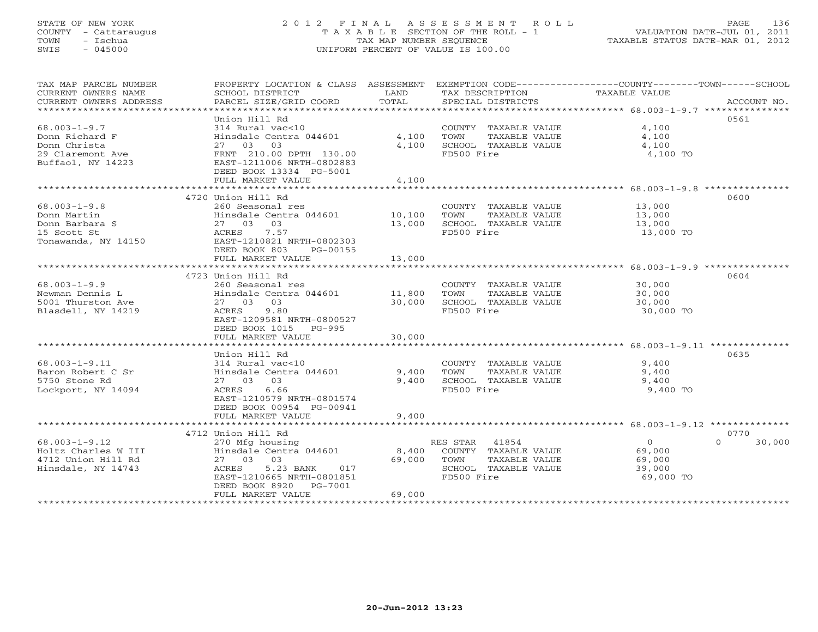# STATE OF NEW YORK 2 0 1 2 F I N A L A S S E S S M E N T R O L L PAGE 136 COUNTY - Cattaraugus T A X A B L E SECTION OF THE ROLL - 1 VALUATION DATE-JUL 01, 2011 TOWN - Ischua TAX MAP NUMBER SEQUENCE TAXABLE STATUS DATE-MAR 01, 2012 SWIS - 045000 UNIFORM PERCENT OF VALUE IS 100.00UNIFORM PERCENT OF VALUE IS 100.00

| TAX MAP PARCEL NUMBER                             |                                               |             |                       | PROPERTY LOCATION & CLASS ASSESSMENT EXEMPTION CODE---------------COUNTY-------TOWN-----SCHOOL |        |
|---------------------------------------------------|-----------------------------------------------|-------------|-----------------------|------------------------------------------------------------------------------------------------|--------|
| CURRENT OWNERS NAME                               | SCHOOL DISTRICT                               | LAND        | TAX DESCRIPTION       | TAXABLE VALUE                                                                                  |        |
| CURRENT OWNERS ADDRESS<br>*********************** | PARCEL SIZE/GRID COORD                        | TOTAL       | SPECIAL DISTRICTS     | ACCOUNT NO.                                                                                    |        |
|                                                   | Union Hill Rd                                 |             |                       | 0561                                                                                           |        |
| $68.003 - 1 - 9.7$                                | 314 Rural vac<10                              |             | COUNTY TAXABLE VALUE  | 4,100                                                                                          |        |
| Donn Richard F                                    | Hinsdale Centra 044601                        | 4,100       | TOWN<br>TAXABLE VALUE | 4,100                                                                                          |        |
| Donn Christa                                      | 27 03 03                                      | 4,100       | SCHOOL TAXABLE VALUE  | 4,100                                                                                          |        |
| 29 Claremont Ave                                  | FRNT 210.00 DPTH 130.00                       |             | FD500 Fire            | 4,100 TO                                                                                       |        |
| Buffaol, NY 14223                                 | EAST-1211006 NRTH-0802883                     |             |                       |                                                                                                |        |
|                                                   | DEED BOOK 13334 PG-5001                       |             |                       |                                                                                                |        |
|                                                   | FULL MARKET VALUE                             | 4,100       |                       |                                                                                                |        |
|                                                   | ************************                      | *********** |                       |                                                                                                |        |
|                                                   | 4720 Union Hill Rd                            |             |                       | 0600                                                                                           |        |
| $68.003 - 1 - 9.8$                                | 260 Seasonal res                              |             | COUNTY TAXABLE VALUE  | 13,000                                                                                         |        |
| Donn Martin                                       | Hinsdale Centra 044601                        | 10,100      | TOWN<br>TAXABLE VALUE | 13,000                                                                                         |        |
| Donn Barbara S                                    | 27 03 03                                      | 13,000      | SCHOOL TAXABLE VALUE  | 13,000                                                                                         |        |
| 15 Scott St                                       | ACRES<br>7.57                                 |             | FD500 Fire            | 13,000 TO                                                                                      |        |
| Tonawanda, NY 14150                               | EAST-1210821 NRTH-0802303                     |             |                       |                                                                                                |        |
|                                                   | DEED BOOK 803<br>PG-00155                     |             |                       |                                                                                                |        |
|                                                   | FULL MARKET VALUE                             | 13,000      |                       |                                                                                                |        |
|                                                   |                                               |             |                       |                                                                                                |        |
|                                                   | 4723 Union Hill Rd                            |             |                       | 0604                                                                                           |        |
| $68.003 - 1 - 9.9$                                | 260 Seasonal res                              |             | COUNTY TAXABLE VALUE  | 30,000                                                                                         |        |
| Newman Dennis L                                   | Hinsdale Centra 044601                        | 11,800      | TOWN<br>TAXABLE VALUE | 30,000                                                                                         |        |
| 5001 Thurston Ave                                 | 27 03 03                                      | 30,000      | SCHOOL TAXABLE VALUE  | 30,000                                                                                         |        |
| Blasdell, NY 14219                                | ACRES 9.80                                    |             | FD500 Fire            | 30,000 TO                                                                                      |        |
|                                                   | EAST-1209581 NRTH-0800527                     |             |                       |                                                                                                |        |
|                                                   | DEED BOOK 1015<br>PG-995<br>FULL MARKET VALUE | 30,000      |                       |                                                                                                |        |
|                                                   |                                               |             |                       |                                                                                                |        |
|                                                   | Union Hill Rd                                 |             |                       | 0635                                                                                           |        |
| $68.003 - 1 - 9.11$                               | 314 Rural vac<10                              |             | COUNTY TAXABLE VALUE  | 9,400                                                                                          |        |
| Baron Robert C Sr                                 | Hinsdale Centra 044601                        | 9,400       | TAXABLE VALUE<br>TOWN | 9,400                                                                                          |        |
| 5750 Stone Rd                                     | 27 03 03                                      | 9,400       | SCHOOL TAXABLE VALUE  | 9,400                                                                                          |        |
| Lockport, NY 14094                                | ACRES<br>6.66                                 |             | FD500 Fire            | 9,400 TO                                                                                       |        |
|                                                   | EAST-1210579 NRTH-0801574                     |             |                       |                                                                                                |        |
|                                                   | DEED BOOK 00954 PG-00941                      |             |                       |                                                                                                |        |
|                                                   | FULL MARKET VALUE                             | 9,400       |                       |                                                                                                |        |
|                                                   |                                               |             |                       |                                                                                                |        |
|                                                   | 4712 Union Hill Rd                            |             |                       | 0770                                                                                           |        |
| $68.003 - 1 - 9.12$                               | 270 Mfg housing                               |             | RES STAR 41854        | $\overline{0}$<br>$\Omega$                                                                     | 30,000 |
| Holtz Charles W III                               | Hinsdale Centra 044601                        | 8,400       | COUNTY TAXABLE VALUE  | 69,000                                                                                         |        |
| 4712 Union Hill Rd                                | 27 03 03                                      | 69,000      | TOWN<br>TAXABLE VALUE | 69,000                                                                                         |        |
| Hinsdale, NY 14743                                | ACRES<br>5.23 BANK<br>017                     |             | SCHOOL TAXABLE VALUE  | 39,000                                                                                         |        |
|                                                   | EAST-1210665 NRTH-0801851                     |             | FD500 Fire            | 69,000 TO                                                                                      |        |
|                                                   | DEED BOOK 8920<br>PG-7001                     |             |                       |                                                                                                |        |
|                                                   | FULL MARKET VALUE                             | 69,000      |                       |                                                                                                |        |
|                                                   | *************************                     |             |                       |                                                                                                |        |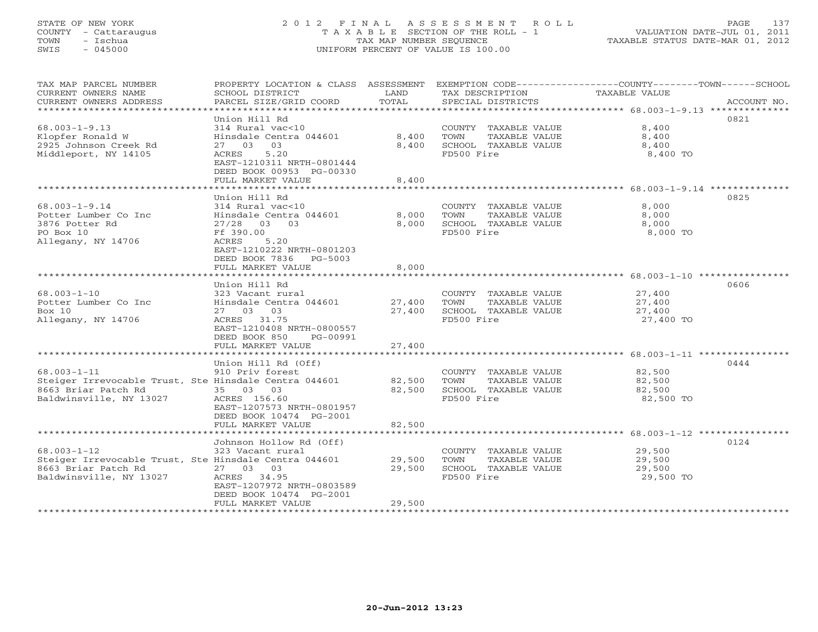# STATE OF NEW YORK 2 0 1 2 F I N A L A S S E S S M E N T R O L L PAGE 137 COUNTY - Cattaraugus T A X A B L E SECTION OF THE ROLL - 1 VALUATION DATE-JUL 01, 2011 TOWN - Ischua TAX MAP NUMBER SEQUENCE TAXABLE STATUS DATE-MAR 01, 2012 SWIS - 045000 UNIFORM PERCENT OF VALUE IS 100.00UNIFORM PERCENT OF VALUE IS 100.00

| TAX MAP PARCEL NUMBER<br>CURRENT OWNERS NAME<br>CURRENT OWNERS ADDRESS<br>**********************                             | PROPERTY LOCATION & CLASS ASSESSMENT<br>SCHOOL DISTRICT<br>PARCEL SIZE/GRID COORD                                                                                                             | LAND<br>TOTAL              | TAX DESCRIPTION<br>SPECIAL DISTRICTS                                                | EXEMPTION CODE----------------COUNTY-------TOWN------SCHOOL<br><b>TAXABLE VALUE</b><br>ACCOUNT NO. |
|------------------------------------------------------------------------------------------------------------------------------|-----------------------------------------------------------------------------------------------------------------------------------------------------------------------------------------------|----------------------------|-------------------------------------------------------------------------------------|----------------------------------------------------------------------------------------------------|
| $68.003 - 1 - 9.13$<br>Klopfer Ronald W<br>2925 Johnson Creek Rd<br>Middleport, NY 14105                                     | Union Hill Rd<br>314 Rural vac<10<br>Hinsdale Centra 044601<br>03<br>27 03<br>5.20<br>ACRES<br>EAST-1210311 NRTH-0801444<br>DEED BOOK 00953 PG-00330<br>FULL MARKET VALUE                     | 8,400<br>8,400<br>8,400    | COUNTY TAXABLE VALUE<br>TOWN<br>TAXABLE VALUE<br>SCHOOL TAXABLE VALUE<br>FD500 Fire | 0821<br>8,400<br>8,400<br>8,400<br>8,400 TO                                                        |
|                                                                                                                              | * * * * * * * * * * * * * * * * * * *                                                                                                                                                         | *********                  |                                                                                     | *********************** 68.003-1-9.14 ***************                                              |
| $68.003 - 1 - 9.14$<br>Potter Lumber Co Inc<br>3876 Potter Rd<br>PO Box 10<br>Allegany, NY 14706                             | Union Hill Rd<br>314 Rural vac<10<br>Hinsdale Centra 044601<br>$27/28$ 03<br>0.3<br>Ff 390.00<br>5.20<br>ACRES<br>EAST-1210222 NRTH-0801203<br>DEED BOOK 7836<br>PG-5003<br>FULL MARKET VALUE | 8,000<br>8,000<br>8,000    | COUNTY TAXABLE VALUE<br>TOWN<br>TAXABLE VALUE<br>SCHOOL TAXABLE VALUE<br>FD500 Fire | 0825<br>8,000<br>8,000<br>8,000<br>8,000 TO                                                        |
|                                                                                                                              | Union Hill Rd                                                                                                                                                                                 |                            |                                                                                     | 0606                                                                                               |
| $68.003 - 1 - 10$<br>Potter Lumber Co Inc<br>Box 10<br>Allegany, NY 14706                                                    | 323 Vacant rural<br>Hinsdale Centra 044601<br>27 03 03<br>ACRES 31.75<br>EAST-1210408 NRTH-0800557<br>DEED BOOK 850<br>PG-00991                                                               | 27,400<br>27,400           | COUNTY TAXABLE VALUE<br>TOWN<br>TAXABLE VALUE<br>SCHOOL TAXABLE VALUE<br>FD500 Fire | 27,400<br>27,400<br>27,400<br>27,400 TO                                                            |
|                                                                                                                              | FULL MARKET VALUE                                                                                                                                                                             | 27,400                     |                                                                                     |                                                                                                    |
| $68.003 - 1 - 11$<br>Steiger Irrevocable Trust, Ste Hinsdale Centra 044601<br>8663 Briar Patch Rd<br>Baldwinsville, NY 13027 | Union Hill Rd (Off)<br>910 Priv forest<br>35 03 03<br>ACRES 156.60<br>EAST-1207573 NRTH-0801957<br>DEED BOOK 10474 PG-2001<br>FULL MARKET VALUE                                               | 82,500<br>82,500<br>82,500 | COUNTY TAXABLE VALUE<br>TOWN<br>TAXABLE VALUE<br>SCHOOL TAXABLE VALUE<br>FD500 Fire | 0444<br>82,500<br>82,500<br>82,500<br>82,500 TO                                                    |
|                                                                                                                              |                                                                                                                                                                                               |                            |                                                                                     |                                                                                                    |
| $68.003 - 1 - 12$<br>Steiger Irrevocable Trust, Ste Hinsdale Centra 044601<br>8663 Briar Patch Rd<br>Baldwinsville, NY 13027 | Johnson Hollow Rd (Off)<br>323 Vacant rural<br>27 03 03<br>34.95<br>ACRES<br>EAST-1207972 NRTH-0803589<br>DEED BOOK 10474 PG-2001<br>FULL MARKET VALUE                                        | 29,500<br>29,500<br>29,500 | COUNTY TAXABLE VALUE<br>TAXABLE VALUE<br>TOWN<br>SCHOOL TAXABLE VALUE<br>FD500 Fire | 0124<br>29,500<br>29,500<br>29,500<br>29,500 TO                                                    |
|                                                                                                                              |                                                                                                                                                                                               |                            |                                                                                     |                                                                                                    |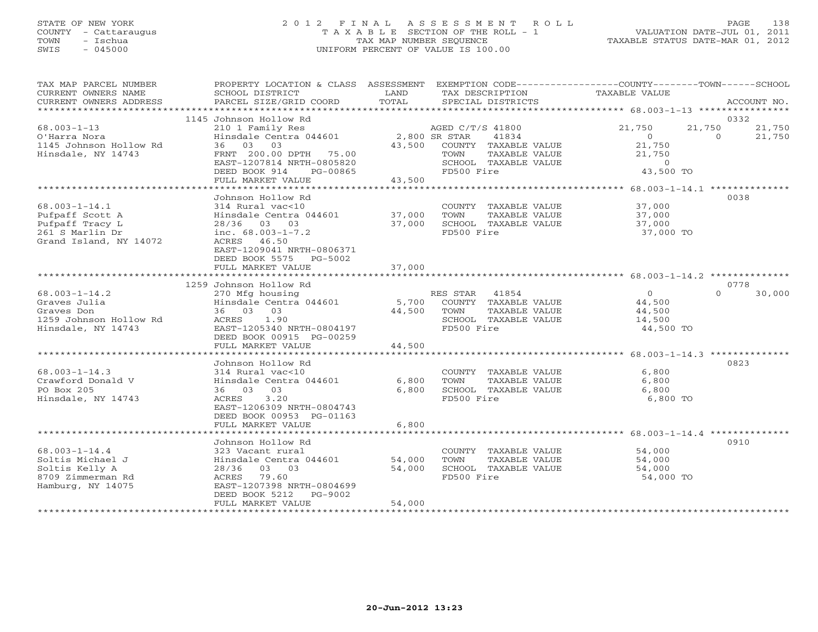### STATE OF NEW YORK 2 0 1 2 F I N A L A S S E S S M E N T R O L L PAGE 138 COUNTY - Cattaraugus T A X A B L E SECTION OF THE ROLL - 1 VALUATION DATE-JUL 01, 2011 TOWN - Ischua TAX MAP NUMBER SEQUENCE TAXABLE STATUS DATE-MAR 01, 2012 SWIS - 045000 UNIFORM PERCENT OF VALUE IS 100.00UNIFORM PERCENT OF VALUE IS 100.00

| TAX MAP PARCEL NUMBER<br>CURRENT OWNERS NAME<br>CURRENT OWNERS ADDRESS                                 | PROPERTY LOCATION & CLASS ASSESSMENT<br>SCHOOL DISTRICT<br>PARCEL SIZE/GRID COORD                                                                             | LAND<br>TOTAL           | EXEMPTION CODE-----------------COUNTY-------TOWN------SCHOOL<br>TAX DESCRIPTION<br>SPECIAL DISTRICTS | TAXABLE VALUE                                            | ACCOUNT NO.                            |
|--------------------------------------------------------------------------------------------------------|---------------------------------------------------------------------------------------------------------------------------------------------------------------|-------------------------|------------------------------------------------------------------------------------------------------|----------------------------------------------------------|----------------------------------------|
|                                                                                                        |                                                                                                                                                               |                         |                                                                                                      |                                                          |                                        |
|                                                                                                        | 1145 Johnson Hollow Rd                                                                                                                                        |                         |                                                                                                      |                                                          | 0332                                   |
| $68.003 - 1 - 13$<br>O'Harra Nora<br>1145 Johnson Hollow Rd<br>Hinsdale, NY 14743                      | 210 1 Family Res<br>Hinsdale Centra 044601<br>36 03 03<br>FRNT 200.00 DPTH 75.00<br>EAST-1207814 NRTH-0805820                                                 | 2,800 SR STAR<br>43,500 | AGED C/T/S 41800<br>41834<br>COUNTY TAXABLE VALUE<br>TAXABLE VALUE<br>TOWN<br>SCHOOL TAXABLE VALUE   | 21,750<br>$\overline{O}$<br>21,750<br>21,750<br>$\Omega$ | 21,750<br>21,750<br>$\Omega$<br>21,750 |
|                                                                                                        | DEED BOOK 914<br>PG-00865<br>FULL MARKET VALUE<br>********************                                                                                        | 43,500                  | FD500 Fire                                                                                           | 43,500 TO                                                |                                        |
|                                                                                                        | Johnson Hollow Rd                                                                                                                                             |                         |                                                                                                      |                                                          | 0038                                   |
| $68.003 - 1 - 14.1$<br>Pufpaff Scott A<br>Pufpaff Tracy L<br>261 S Marlin Dr<br>Grand Island, NY 14072 | 314 Rural vac<10<br>Hinsdale Centra 044601<br>28/36<br>03 03<br>inc. $68.003 - 1 - 7.2$<br>ACRES 46.50<br>EAST-1209041 NRTH-0806371<br>DEED BOOK 5575 PG-5002 | 37,000<br>37,000        | COUNTY TAXABLE VALUE<br>TOWN<br>TAXABLE VALUE<br>SCHOOL TAXABLE VALUE<br>FD500 Fire                  | 37,000<br>37,000<br>37,000<br>37,000 TO                  |                                        |
|                                                                                                        | FULL MARKET VALUE                                                                                                                                             | 37,000                  |                                                                                                      |                                                          |                                        |
|                                                                                                        |                                                                                                                                                               |                         |                                                                                                      |                                                          |                                        |
| $68.003 - 1 - 14.2$<br>Graves Julia                                                                    | 1259 Johnson Hollow Rd<br>270 Mfg housing<br>Hinsdale Centra 044601                                                                                           | 5,700                   | RES STAR<br>41854<br>COUNTY TAXABLE VALUE                                                            | $\overline{0}$<br>44,500                                 | 0778<br>$\Omega$<br>30,000             |
| Graves Don<br>1259 Johnson Hollow Rd<br>Hinsdale, NY 14743                                             | 36 03 03<br>ACRES 1.90<br>EAST-1205340 NRTH-0804197<br>DEED BOOK 00915 PG-00259                                                                               | 44,500                  | TOWN<br>TAXABLE VALUE<br>SCHOOL TAXABLE VALUE<br>FD500 Fire                                          | 44,500<br>14,500<br>44,500 TO                            |                                        |
|                                                                                                        | FULL MARKET VALUE                                                                                                                                             | 44,500                  |                                                                                                      |                                                          |                                        |
| $68.003 - 1 - 14.3$                                                                                    | ************************<br>Johnson Hollow Rd<br>314 Rural vac<10                                                                                             |                         | *************************************<br>COUNTY TAXABLE VALUE                                        | ********* 68.003-1-14.3 ***<br>6,800                     | 0823                                   |
| Crawford Donald V<br>PO Box 205                                                                        | Hinsdale Centra 044601<br>36 03 03                                                                                                                            | 6,800<br>6,800          | TOWN<br>TAXABLE VALUE<br>SCHOOL TAXABLE VALUE                                                        | 6,800<br>6,800                                           |                                        |
| Hinsdale, NY 14743                                                                                     | ACRES<br>3.20<br>EAST-1206309 NRTH-0804743<br>DEED BOOK 00953 PG-01163<br>FULL MARKET VALUE                                                                   | 6,800                   | FD500 Fire                                                                                           | 6,800 TO                                                 |                                        |
|                                                                                                        |                                                                                                                                                               |                         | ************************************* 68.003-1-14.4 ***************                                  |                                                          |                                        |
| $68.003 - 1 - 14.4$<br>Soltis Michael J<br>Soltis Kelly A<br>8709 Zimmerman Rd<br>Hamburg, NY 14075    | Johnson Hollow Rd<br>323 Vacant rural<br>Hinsdale Centra 044601<br>03 03<br>28/36<br>ACRES<br>79.60<br>EAST-1207398 NRTH-0804699                              | 54,000<br>54,000        | COUNTY TAXABLE VALUE<br>TOWN<br>TAXABLE VALUE<br>SCHOOL TAXABLE VALUE<br>FD500 Fire                  | 54,000<br>54,000<br>54,000<br>54,000 TO                  | 0910                                   |
| *****************                                                                                      | DEED BOOK 5212<br>PG-9002<br>FULL MARKET VALUE                                                                                                                | 54,000                  |                                                                                                      |                                                          |                                        |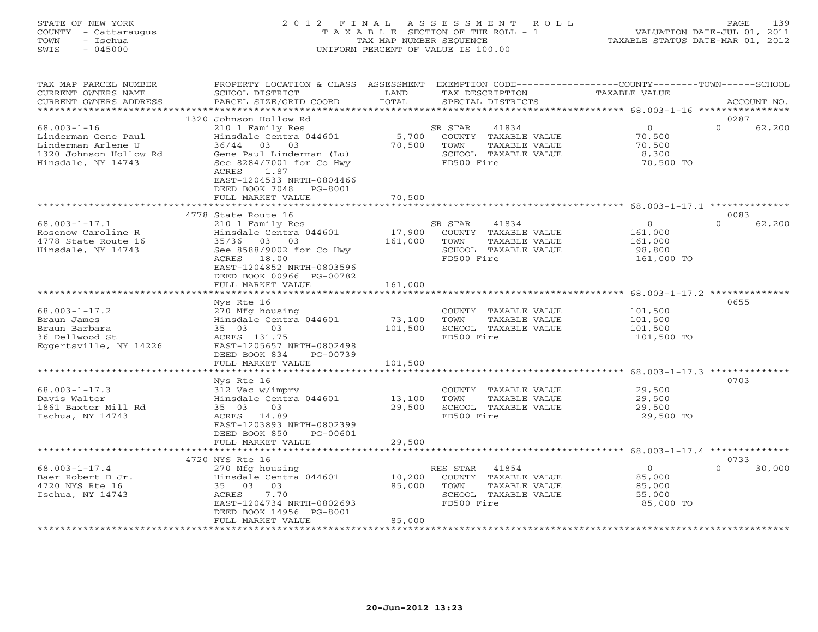#### STATE OF NEW YORK 2 0 1 2 F I N A L A S S E S S M E N T R O L L PAGE 139 COUNTY - Cattaraugus T A X A B L E SECTION OF THE ROLL - 1 VALUATION DATE-JUL 01, 2011 TOWN - Ischua TAX MAP NUMBER SEQUENCE TAXABLE STATUS DATE-MAR 01, 2012 SWIS - 045000 UNIFORM PERCENT OF VALUE IS 100.00UNIFORM PERCENT OF VALUE IS 100.00

|                                                                                                                                                                                                                         | TOTAL                                                                                                                                  | TAX DESCRIPTION<br>SPECIAL DISTRICTS                                                                   | <b>TAXABLE VALUE</b>                                  | ACCOUNT NO.                                                                                                                |
|-------------------------------------------------------------------------------------------------------------------------------------------------------------------------------------------------------------------------|----------------------------------------------------------------------------------------------------------------------------------------|--------------------------------------------------------------------------------------------------------|-------------------------------------------------------|----------------------------------------------------------------------------------------------------------------------------|
|                                                                                                                                                                                                                         |                                                                                                                                        |                                                                                                        |                                                       |                                                                                                                            |
| 210 1 Family Res<br>Hinsdale Centra 044601<br>36/44<br>03<br>03<br>Gene Paul Linderman (Lu)<br>See 8284/7001 for Co Hwy<br>1.87<br>ACRES<br>EAST-1204533 NRTH-0804466<br>DEED BOOK 7048<br>PG-8001<br>FULL MARKET VALUE | 5,700<br>70,500<br>70,500                                                                                                              | 41834<br>COUNTY<br>TAXABLE VALUE<br>TOWN<br>TAXABLE VALUE<br>SCHOOL TAXABLE VALUE<br>FD500 Fire        | $\circ$<br>70,500<br>70,500<br>8,300<br>70,500 TO     | 0287<br>$\Omega$<br>62,200                                                                                                 |
|                                                                                                                                                                                                                         |                                                                                                                                        |                                                                                                        |                                                       |                                                                                                                            |
| 210 1 Family Res<br>Hinsdale Centra 044601<br>35/36<br>03<br>03<br>See 8588/9002 for Co Hwy<br>18.00<br>ACRES<br>EAST-1204852 NRTH-0803596<br>DEED BOOK 00966 PG-00782                                                  | 17,900<br>161,000                                                                                                                      | 41834<br>COUNTY<br>TAXABLE VALUE<br>TOWN<br>TAXABLE VALUE<br>SCHOOL TAXABLE VALUE<br>FD500 Fire        | $\circ$<br>161,000<br>161,000<br>98,800<br>161,000 TO | 0083<br>$\Omega$<br>62,200                                                                                                 |
|                                                                                                                                                                                                                         |                                                                                                                                        |                                                                                                        |                                                       |                                                                                                                            |
| Nys Rte 16<br>270 Mfg housing<br>Hinsdale Centra 044601<br>03<br>35 03<br>ACRES 131.75<br>EAST-1205657 NRTH-0802498<br>DEED BOOK 834<br>PG-00739<br>FULL MARKET VALUE                                                   | 73,100<br>101,500                                                                                                                      | COUNTY<br>TAXABLE VALUE<br>TOWN<br>TAXABLE VALUE<br>SCHOOL TAXABLE VALUE<br>FD500 Fire                 | 101,500<br>101,500<br>101,500<br>101,500 TO           | 0655                                                                                                                       |
| ******************                                                                                                                                                                                                      |                                                                                                                                        |                                                                                                        |                                                       |                                                                                                                            |
| Nys Rte 16<br>312 Vac w/imprv<br>Hinsdale Centra 044601<br>35 03<br>03<br>14.89<br>ACRES<br>EAST-1203893 NRTH-0802399<br>DEED BOOK 850<br>PG-00601                                                                      | 13,100<br>29,500                                                                                                                       | COUNTY<br>TAXABLE VALUE<br>TOWN<br>TAXABLE VALUE<br>SCHOOL TAXABLE VALUE<br>FD500 Fire                 | 29,500<br>29,500<br>29,500<br>29,500 TO               | 0703                                                                                                                       |
|                                                                                                                                                                                                                         |                                                                                                                                        |                                                                                                        |                                                       |                                                                                                                            |
|                                                                                                                                                                                                                         |                                                                                                                                        |                                                                                                        |                                                       | 0733                                                                                                                       |
| 270 Mfg housing<br>Hinsdale Centra 044601<br>35 03<br>03<br>ACRES<br>7.70<br>EAST-1204734 NRTH-0802693<br>DEED BOOK 14956 PG-8001<br>FULL MARKET VALUE                                                                  | 10,200<br>85,000<br>85,000                                                                                                             | 41854<br>COUNTY<br>TAXABLE VALUE<br><b>TAXABLE VALUE</b><br>TOWN<br>SCHOOL TAXABLE VALUE<br>FD500 Fire | $\circ$<br>85,000<br>85,000<br>55,000<br>85,000 TO    | $\Omega$<br>30,000                                                                                                         |
|                                                                                                                                                                                                                         | 1320 Johnson Hollow Rd<br>4778 State Route 16<br>FULL MARKET VALUE<br>************************<br>FULL MARKET VALUE<br>4720 NYS Rte 16 | *******<br>161,000<br>101,500<br>29,500                                                                | SR STAR<br>SR STAR<br>***************<br>RES STAR     | **************************** 68.003-1-17.1 **************<br>******************************** 68.003-1-17.3 ************** |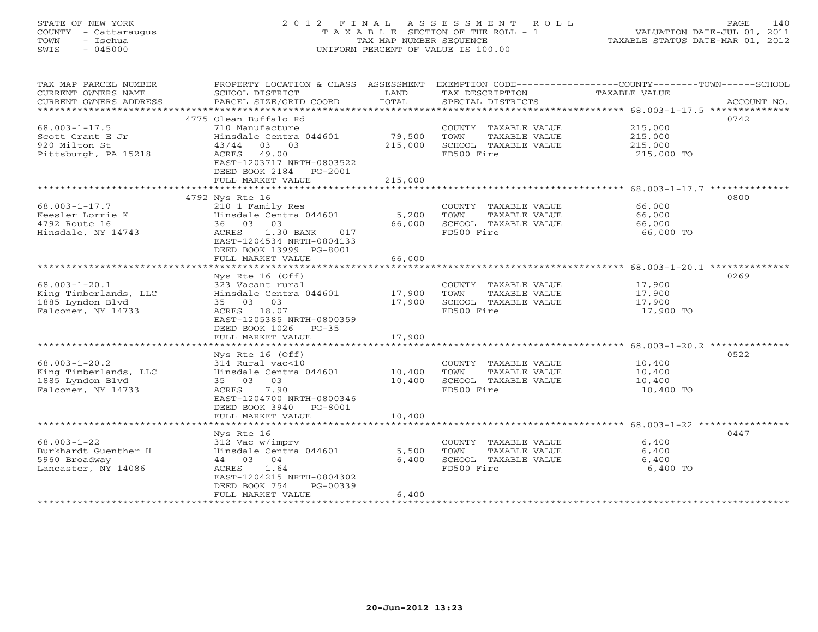# STATE OF NEW YORK 2 0 1 2 F I N A L A S S E S S M E N T R O L L PAGE 140 COUNTY - Cattaraugus T A X A B L E SECTION OF THE ROLL - 1 VALUATION DATE-JUL 01, 2011 TOWN - Ischua TAX MAP NUMBER SEQUENCE TAXABLE STATUS DATE-MAR 01, 2012 SWIS - 045000 UNIFORM PERCENT OF VALUE IS 100.00UNIFORM PERCENT OF VALUE IS 100.00

| TAX MAP PARCEL NUMBER<br>CURRENT OWNERS NAME<br>CURRENT OWNERS ADDRESS | PROPERTY LOCATION & CLASS ASSESSMENT<br>SCHOOL DISTRICT<br>PARCEL SIZE/GRID COORD | LAND<br>TOTAL | TAX DESCRIPTION<br>SPECIAL DISTRICTS | EXEMPTION CODE-----------------COUNTY-------TOWN------SCHOOL<br>TAXABLE VALUE<br>ACCOUNT NO. |
|------------------------------------------------------------------------|-----------------------------------------------------------------------------------|---------------|--------------------------------------|----------------------------------------------------------------------------------------------|
| ***********************                                                |                                                                                   |               |                                      |                                                                                              |
|                                                                        | 4775 Olean Buffalo Rd                                                             |               |                                      | 0742                                                                                         |
| $68.003 - 1 - 17.5$                                                    | 710 Manufacture                                                                   |               | COUNTY TAXABLE VALUE                 | 215,000                                                                                      |
| Scott Grant E Jr                                                       | Hinsdale Centra 044601                                                            | 79,500        | TOWN<br>TAXABLE VALUE                | 215,000                                                                                      |
| 920 Milton St                                                          | 03 03<br>43/44                                                                    | 215,000       | SCHOOL TAXABLE VALUE                 | 215,000                                                                                      |
|                                                                        |                                                                                   |               |                                      |                                                                                              |
| Pittsburgh, PA 15218                                                   | 49.00<br>ACRES                                                                    |               | FD500 Fire                           | 215,000 TO                                                                                   |
|                                                                        | EAST-1203717 NRTH-0803522                                                         |               |                                      |                                                                                              |
|                                                                        | DEED BOOK 2184 PG-2001                                                            |               |                                      |                                                                                              |
|                                                                        | FULL MARKET VALUE                                                                 | 215,000       |                                      |                                                                                              |
|                                                                        |                                                                                   |               |                                      |                                                                                              |
|                                                                        | 4792 Nys Rte 16                                                                   |               |                                      | 0800                                                                                         |
| $68.003 - 1 - 17.7$                                                    | 210 1 Family Res                                                                  |               | COUNTY TAXABLE VALUE                 | 66,000                                                                                       |
| Keesler Lorrie K                                                       | Hinsdale Centra 044601                                                            | 5,200         | TOWN<br>TAXABLE VALUE                | 66,000                                                                                       |
| 4792 Route 16                                                          | 36 03 03                                                                          | 66,000        | SCHOOL TAXABLE VALUE                 | 66,000                                                                                       |
| Hinsdale, NY 14743                                                     | ACRES<br>017                                                                      |               | FD500 Fire                           |                                                                                              |
|                                                                        | 1.30 BANK                                                                         |               |                                      | 66,000 TO                                                                                    |
|                                                                        | EAST-1204534 NRTH-0804133                                                         |               |                                      |                                                                                              |
|                                                                        | DEED BOOK 13999 PG-8001                                                           |               |                                      |                                                                                              |
|                                                                        | FULL MARKET VALUE                                                                 | 66,000        |                                      |                                                                                              |
|                                                                        |                                                                                   |               |                                      | ******************************** 68.003-1-20.1 **************                                |
|                                                                        | Nys Rte $16$ (Off)                                                                |               |                                      | 0269                                                                                         |
| $68.003 - 1 - 20.1$                                                    | 323 Vacant rural                                                                  |               | COUNTY TAXABLE VALUE                 | 17,900                                                                                       |
| King Timberlands, LLC                                                  | Hinsdale Centra 044601                                                            | 17,900        | TOWN<br>TAXABLE VALUE                | 17,900                                                                                       |
| 1885 Lyndon Blyd                                                       | 35 03 03                                                                          | 17,900        | SCHOOL TAXABLE VALUE                 | 17,900                                                                                       |
| Falconer, NY 14733                                                     | ACRES 18.07                                                                       |               | FD500 Fire                           | 17,900 TO                                                                                    |
|                                                                        |                                                                                   |               |                                      |                                                                                              |
|                                                                        | EAST-1205385 NRTH-0800359                                                         |               |                                      |                                                                                              |
|                                                                        | DEED BOOK 1026<br>$PG-35$                                                         |               |                                      |                                                                                              |
|                                                                        | FULL MARKET VALUE                                                                 | 17,900        |                                      |                                                                                              |
|                                                                        |                                                                                   |               |                                      |                                                                                              |
|                                                                        | Nys Rte 16 (Off)                                                                  |               |                                      | 0522                                                                                         |
| $68.003 - 1 - 20.2$                                                    | 314 Rural vac<10                                                                  |               | COUNTY TAXABLE VALUE                 | 10,400                                                                                       |
| King Timberlands, LLC                                                  | Hinsdale Centra 044601                                                            | 10,400        | TOWN<br>TAXABLE VALUE                | 10,400                                                                                       |
| 1885 Lyndon Blyd                                                       | 35 03 03                                                                          | 10,400        | SCHOOL TAXABLE VALUE                 | 10,400                                                                                       |
| Falconer, NY 14733                                                     | ACRES<br>7.90                                                                     |               | FD500 Fire                           | 10,400 TO                                                                                    |
|                                                                        | EAST-1204700 NRTH-0800346                                                         |               |                                      |                                                                                              |
|                                                                        | DEED BOOK 3940 PG-8001                                                            |               |                                      |                                                                                              |
|                                                                        | FULL MARKET VALUE                                                                 | 10,400        |                                      |                                                                                              |
|                                                                        |                                                                                   |               |                                      |                                                                                              |
|                                                                        |                                                                                   |               |                                      |                                                                                              |
|                                                                        | Nys Rte 16                                                                        |               |                                      | 0447                                                                                         |
| $68.003 - 1 - 22$                                                      | 312 Vac w/imprv                                                                   |               | COUNTY TAXABLE VALUE                 | 6,400                                                                                        |
| Burkhardt Guenther H                                                   | Hinsdale Centra 044601                                                            | 5,500         | TOWN<br>TAXABLE VALUE                | 6,400                                                                                        |
| 5960 Broadway                                                          | 44 03 04                                                                          | 6,400         | SCHOOL TAXABLE VALUE                 | 6,400                                                                                        |
| Lancaster, NY 14086                                                    | 1.64<br>ACRES                                                                     |               | FD500 Fire                           | 6,400 TO                                                                                     |
|                                                                        | EAST-1204215 NRTH-0804302                                                         |               |                                      |                                                                                              |
|                                                                        | DEED BOOK 754<br>$PG-00339$                                                       |               |                                      |                                                                                              |
|                                                                        | FULL MARKET VALUE                                                                 | 6,400         |                                      |                                                                                              |
|                                                                        | ************************                                                          |               |                                      |                                                                                              |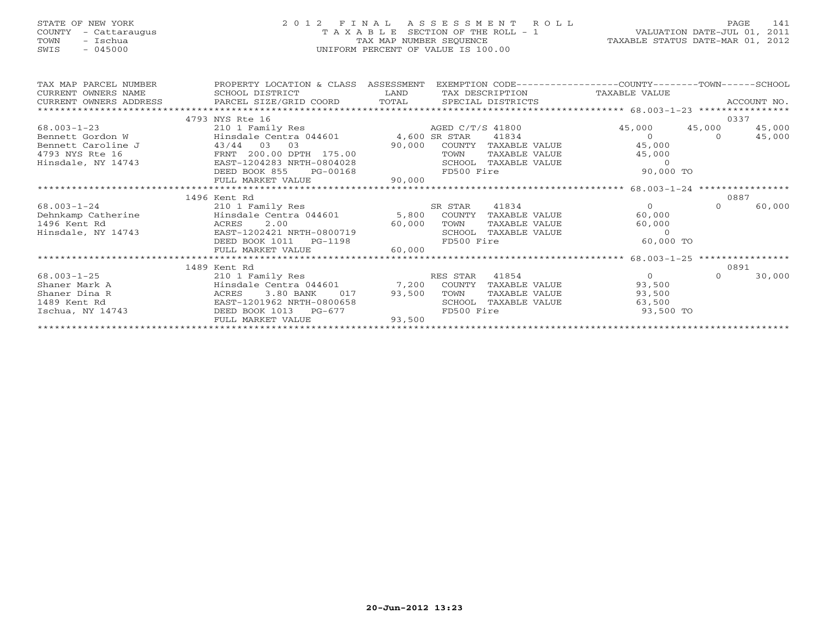# STATE OF NEW YORK 2 0 1 2 F I N A L A S S E S S M E N T R O L L PAGE 141 COUNTY - Cattaraugus T A X A B L E SECTION OF THE ROLL - 1 VALUATION DATE-JUL 01, 2011 TOWN - Ischua TAX MAP NUMBER SEQUENCE TAXABLE STATUS DATE-MAR 01, 2012 SWIS - 045000 UNIFORM PERCENT OF VALUE IS 100.00UNIFORM PERCENT OF VALUE IS 100.00

| TAX MAP PARCEL NUMBER<br>CURRENT OWNERS NAME | PROPERTY LOCATION & CLASS ASSESSMENT<br>SCHOOL DISTRICT<br><b>Example 12</b> |                  |            |                      | EXEMPTION CODE-----------------COUNTY-------TOWN------SCHOOL<br>TAX DESCRIPTION TAXABLE VALUE |          |        |
|----------------------------------------------|------------------------------------------------------------------------------|------------------|------------|----------------------|-----------------------------------------------------------------------------------------------|----------|--------|
|                                              |                                                                              |                  |            |                      |                                                                                               |          |        |
|                                              |                                                                              |                  |            |                      |                                                                                               |          |        |
|                                              | 4793 NYS Rte 16                                                              |                  |            |                      |                                                                                               |          | 0337   |
| $68.003 - 1 - 23$                            | 210 1 Family Res                                                             | AGED C/T/S 41800 |            |                      | 45,000 45,000                                                                                 |          | 45,000 |
| Bennett Gordon W                             | Hinsdale Centra 044601 4,600 SR STAR 41834                                   |                  |            |                      | $\Omega$                                                                                      | $\Omega$ | 45,000 |
| Bennett Caroline J                           | 43/44 03 03                                                                  | 90,000           |            | COUNTY TAXABLE VALUE | 45,000                                                                                        |          |        |
| 4793 NYS Rte 16                              | FRNT 200.00 DPTH 175.00                                                      |                  | TOWN       | TAXABLE VALUE        | 45,000                                                                                        |          |        |
| Hinsdale, NY 14743                           | EAST-1204283 NRTH-0804028<br>DEED BOOK 855 PG-00168                          |                  |            | SCHOOL TAXABLE VALUE | $\bigcirc$                                                                                    |          |        |
|                                              |                                                                              |                  | FD500 Fire |                      | 90,000 TO                                                                                     |          |        |
|                                              | FULL MARKET VALUE                                                            | 90,000           |            |                      |                                                                                               |          |        |
|                                              |                                                                              |                  |            |                      |                                                                                               |          |        |
|                                              | 1496 Kent Rd                                                                 |                  |            |                      |                                                                                               |          | 0887   |
| 68.003-1-24                                  | 210 1 Family Res                                                             | SR STAR 41834    |            |                      | $\Omega$                                                                                      | $\Omega$ | 60,000 |
| Dehnkamp Catherine                           | Hinsdale Centra 044601 5,800 COUNTY                                          |                  |            | TAXABLE VALUE        | 60,000                                                                                        |          |        |
| 1496 Kent Rd                                 | ACRES 2.00<br>60,000                                                         |                  | TOWN       | TAXABLE VALUE        | 60,000                                                                                        |          |        |
| Hinsdale, NY 14743                           | EAST-1202421 NRTH-0800719                                                    |                  |            | SCHOOL TAXABLE VALUE | $\Omega$                                                                                      |          |        |
|                                              | DEED BOOK 1011 PG-1198                                                       |                  | FD500 Fire |                      | 60,000 TO                                                                                     |          |        |
|                                              | FULL MARKET VALUE                                                            | 60,000           |            |                      |                                                                                               |          |        |
|                                              |                                                                              |                  |            |                      |                                                                                               |          |        |
|                                              | 1489 Kent Rd                                                                 |                  |            |                      |                                                                                               |          | 0891   |
| $68.003 - 1 - 25$                            | 210 1 Family Res                                                             |                  | RES STAR   | 41854                | $\overline{0}$                                                                                | $\Omega$ | 30,000 |
| Shaner Mark A                                | Hinsdale Centra 044601 7,200 COUNTY                                          |                  |            | TAXABLE VALUE        | 93,500                                                                                        |          |        |
| Shaner Dina R                                | 3.80 BANK<br>017<br>ACRES                                                    | 93,500           | TOWN       | TAXABLE VALUE        | 93,500                                                                                        |          |        |
| 1489 Kent Rd                                 | EAST-1201962 NRTH-0800658                                                    |                  | SCHOOL     | TAXABLE VALUE        | 63,500                                                                                        |          |        |
| Ischua, NY 14743                             | DEED BOOK 1013 PG-677                                                        |                  | FD500 Fire |                      | 93,500 TO                                                                                     |          |        |
|                                              | FULL MARKET VALUE                                                            | 93,500           |            |                      |                                                                                               |          |        |
|                                              |                                                                              |                  |            |                      |                                                                                               |          |        |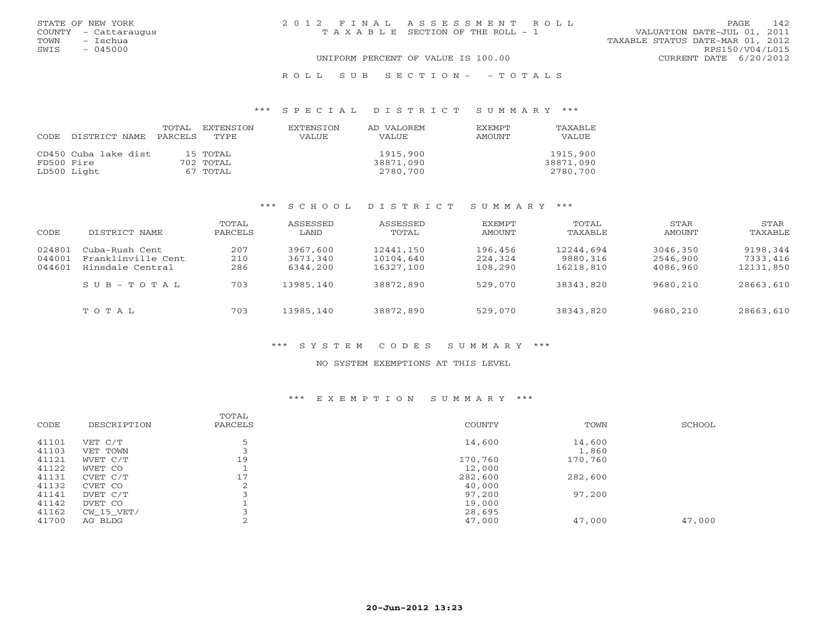| STATE OF NEW YORK    | 2012 FINAL ASSESSMENT ROLL            | 142<br>PAGE.                     |
|----------------------|---------------------------------------|----------------------------------|
| COUNTY - Cattaraugus | T A X A B L E SECTION OF THE ROLL - 1 | VALUATION DATE-JUL 01, 2011      |
| - Ischua<br>TOWN     |                                       | TAXABLE STATUS DATE-MAR 01, 2012 |
| $-045000$<br>SWIS    |                                       | RPS150/V04/L015                  |
|                      | UNIFORM PERCENT OF VALUE IS 100.00    | CURRENT DATE 6/20/2012           |
|                      |                                       |                                  |

#### R O L L S U B S E C T I O N - - T O T A L S

#### \*\*\* S P E C I A L D I S T R I C T S U M M A R Y \*\*\*

|            |                      | TOTAL   | EXTENSION | <b>EXTENSION</b> | AD VALOREM | EXEMPT | TAXABLE   |
|------------|----------------------|---------|-----------|------------------|------------|--------|-----------|
| CODE       | DISTRICT NAME        | PARCELS | TYPE.     | VALUE            | VALUE      | AMOUNT | VALUE     |
|            |                      |         |           |                  |            |        |           |
|            | CD450 Cuba lake dist |         | 15 TOTAL  |                  | 1915,900   |        | 1915,900  |
| FD500 Fire |                      |         | 702 TOTAL |                  | 38871,090  |        | 38871,090 |
|            | LD500 Light          |         | 67 TOTAL  |                  | 2780,700   |        | 2780,700  |

#### \*\*\* S C H O O L D I S T R I C T S U M M A R Y \*\*\*

| CODE                       | DISTRICT NAME                                            | TOTAL<br>PARCELS  | ASSESSED<br>LAND                 | ASSESSED<br>TOTAL                   | <b>EXEMPT</b><br><b>AMOUNT</b> | TOTAL<br>TAXABLE                   | STAR<br>AMOUNT                   | STAR<br>TAXABLE                   |
|----------------------------|----------------------------------------------------------|-------------------|----------------------------------|-------------------------------------|--------------------------------|------------------------------------|----------------------------------|-----------------------------------|
| 024801<br>044001<br>044601 | Cuba-Rush Cent<br>Franklinville Cent<br>Hinsdale Central | 207<br>210<br>286 | 3967,600<br>3673,340<br>6344,200 | 12441,150<br>10104,640<br>16327,100 | 196,456<br>224,324<br>108,290  | 12244,694<br>9880,316<br>16218,810 | 3046,350<br>2546,900<br>4086,960 | 9198,344<br>7333,416<br>12131,850 |
|                            | $S \cup B - T \cup T A$                                  | 703               | 13985,140                        | 38872,890                           | 529,070                        | 38343,820                          | 9680,210                         | 28663,610                         |
|                            | TOTAL                                                    | 703               | 13985,140                        | 38872,890                           | 529,070                        | 38343,820                          | 9680,210                         | 28663,610                         |

#### \*\*\* S Y S T E M C O D E S S U M M A R Y \*\*\*

#### NO SYSTEM EXEMPTIONS AT THIS LEVEL

#### \*\*\* E X E M P T I O N S U M M A R Y \*\*\*

| 5<br>41101<br>14,600<br>14,600<br>VET C/T<br>41103<br>1,860<br>VET TOWN<br>19<br>41121<br>170,760<br>170,760<br>WVET C/T<br>41122<br>12,000<br>WVET CO<br>17<br>41131<br>282,600<br>282,600<br>CVET C/T | SCHOOL |
|---------------------------------------------------------------------------------------------------------------------------------------------------------------------------------------------------------|--------|
|                                                                                                                                                                                                         |        |
|                                                                                                                                                                                                         |        |
|                                                                                                                                                                                                         |        |
|                                                                                                                                                                                                         |        |
|                                                                                                                                                                                                         |        |
| 41132<br>2<br>40,000<br>CVET CO                                                                                                                                                                         |        |
| 97,200<br>41141<br>97,200<br>DVET C/T                                                                                                                                                                   |        |
| 41142<br>19,000<br>DVET CO                                                                                                                                                                              |        |
| 41162<br>28,695<br>CW 15 VET/                                                                                                                                                                           |        |
| 41700<br>47,000<br>47,000<br>47,000<br>AG BLDG<br>∠                                                                                                                                                     |        |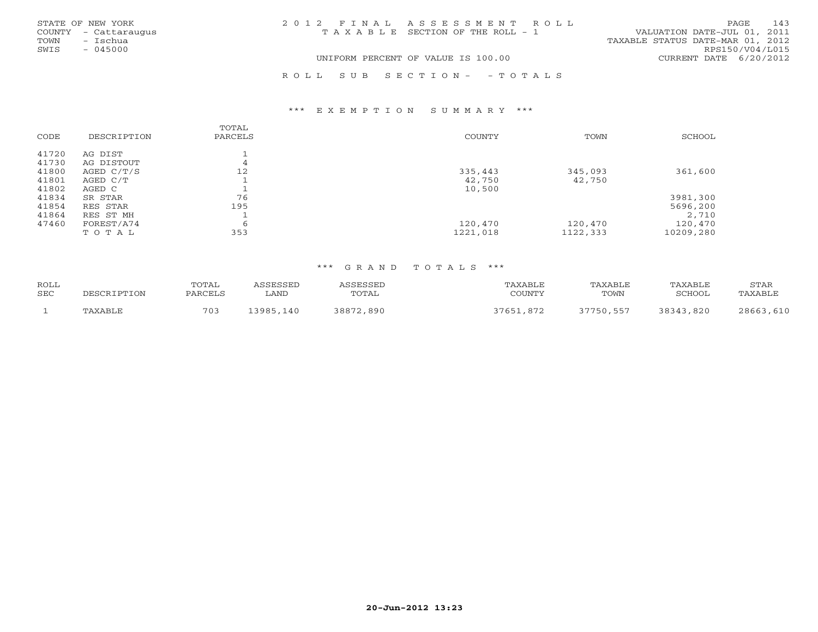|      | STATE OF NEW YORK    | 2012 FINAL ASSESSMENT ROLL                                           | PAGE                   | 143 |
|------|----------------------|----------------------------------------------------------------------|------------------------|-----|
|      | COUNTY - Cattaraugus | VALUATION DATE-JUL 01, 2011<br>T A X A B L E SECTION OF THE ROLL - 1 |                        |     |
| TOWN | - Ischua             | TAXABLE STATUS DATE-MAR 01, 2012                                     |                        |     |
| SWIS | $-045000$            |                                                                      | RPS150/V04/L015        |     |
|      |                      | UNIFORM PERCENT OF VALUE IS 100.00                                   | CURRENT DATE 6/20/2012 |     |
|      |                      | ROLL SUB SECTION- - TOTALS                                           |                        |     |

#### \*\*\* E X E M P T I O N S U M M A R Y \*\*\*

| CODE  | DESCRIPTION  | TOTAL<br>PARCELS | <b>COUNTY</b> | TOWN     | SCHOOL    |
|-------|--------------|------------------|---------------|----------|-----------|
| 41720 | AG DIST      |                  |               |          |           |
| 41730 | AG DISTOUT   | 4                |               |          |           |
| 41800 | AGED $C/T/S$ | 12               | 335,443       | 345,093  | 361,600   |
| 41801 | AGED C/T     |                  | 42,750        | 42,750   |           |
| 41802 | AGED C       |                  | 10,500        |          |           |
| 41834 | SR STAR      | 76               |               |          | 3981,300  |
| 41854 | RES STAR     | 195              |               |          | 5696,200  |
| 41864 | RES ST MH    |                  |               |          | 2,710     |
| 47460 | FOREST/A74   | 6                | 120,470       | 120,470  | 120,470   |
|       | TOTAL        | 353              | 1221,018      | 1122,333 | 10209,280 |

#### \*\*\* G R A N D T O T A L S \*\*\*

| <b>ROLL</b> |      | TOTAL                              |                 |             | , ומו    |      | 7AXABI J | STAR   |
|-------------|------|------------------------------------|-----------------|-------------|----------|------|----------|--------|
| SEC         | -ON- | $\mathbf{12.7} \cup \mathbf{12.7}$ | ∟AND            | TOTAL       | COLINTIN | TOWN | ⊂CHOOT   | √ABT - |
|             |      | 70 <sup>3</sup>                    | 3 Q Q F<br>، ۵۴ | 890<br>388. |          |      | 820      | ገደሩ    |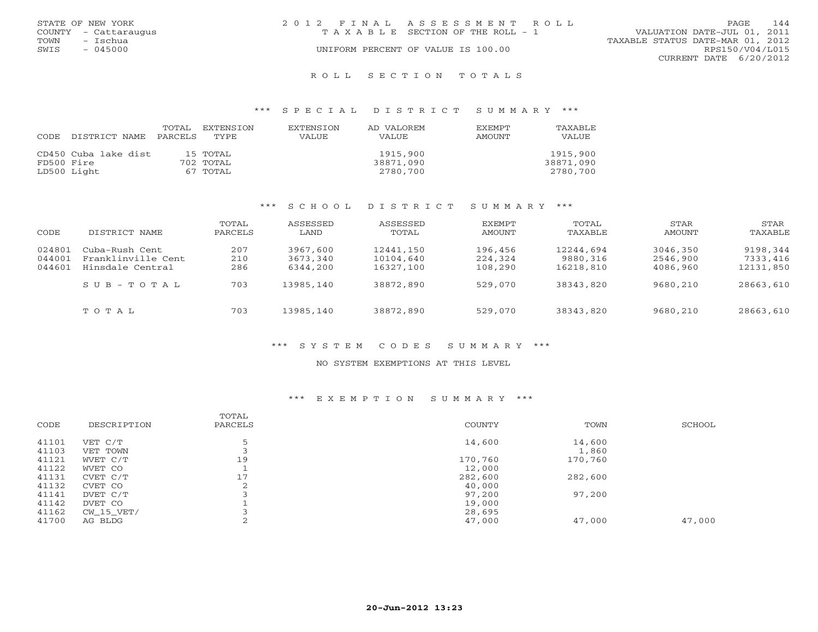| STATE OF NEW YORK    | 2012 FINAL ASSESSMENT ROLL            | 144<br>PAGE                      |
|----------------------|---------------------------------------|----------------------------------|
| COUNTY - Cattaraugus | T A X A B L E SECTION OF THE ROLL - 1 | VALUATION DATE-JUL 01, 2011      |
| TOWN<br>– Ischua     |                                       | TAXABLE STATUS DATE-MAR 01, 2012 |
| $-045000$<br>SWIS    | UNIFORM PERCENT OF VALUE IS 100.00    | RPS150/V04/L015                  |
|                      |                                       | CURRENT DATE 6/20/2012           |
|                      |                                       |                                  |

#### R O L L S E C T I O N T O T A L S

#### \*\*\* S P E C I A L D I S T R I C T S U M M A R Y \*\*\*

| CODE       | DISTRICT NAME PARCELS TYPE | TOTAL | EXTENSTON   | <b>EXTENSION</b><br><b>VALUE</b> | AD VALOREM<br>VALUE | <b>EXEMPT</b><br>AMOUNT | TAXABLE<br>VALUE |
|------------|----------------------------|-------|-------------|----------------------------------|---------------------|-------------------------|------------------|
|            |                            |       |             |                                  |                     |                         |                  |
|            | CD450 Cuba lake dist       |       | 15 TOTAL    |                                  | 1915,900            |                         | 1915,900         |
| FD500 Fire |                            |       | $702$ TOTAL |                                  | 38871,090           |                         | 38871,090        |
|            | LD500 Light                |       | 67 TOTAL    |                                  | 2780,700            |                         | 2780,700         |

#### \*\*\* S C H O O L D I S T R I C T S U M M A R Y \*\*\*

| CODE                       | DISTRICT NAME                                            | TOTAL<br>PARCELS  | ASSESSED<br>LAND                 | ASSESSED<br>TOTAL                   | EXEMPT<br><b>AMOUNT</b>       | TOTAL<br>TAXABLE                   | STAR<br>AMOUNT                   | <b>STAR</b><br>TAXABLE            |
|----------------------------|----------------------------------------------------------|-------------------|----------------------------------|-------------------------------------|-------------------------------|------------------------------------|----------------------------------|-----------------------------------|
| 024801<br>044001<br>044601 | Cuba-Rush Cent<br>Franklinville Cent<br>Hinsdale Central | 207<br>210<br>286 | 3967,600<br>3673,340<br>6344,200 | 12441,150<br>10104,640<br>16327,100 | 196,456<br>224,324<br>108,290 | 12244,694<br>9880,316<br>16218,810 | 3046,350<br>2546,900<br>4086,960 | 9198,344<br>7333,416<br>12131,850 |
|                            | $SUB - TO T AL$                                          | 703               | 13985,140                        | 38872,890                           | 529,070                       | 38343,820                          | 9680,210                         | 28663,610                         |
|                            | TOTAL                                                    | 703               | 13985,140                        | 38872,890                           | 529,070                       | 38343,820                          | 9680,210                         | 28663,610                         |

#### \*\*\* S Y S T E M C O D E S S U M M A R Y \*\*\*

#### NO SYSTEM EXEMPTIONS AT THIS LEVEL

#### \*\*\* E X E M P T I O N S U M M A R Y \*\*\*

|       |             | TOTAL               |               |         |        |
|-------|-------------|---------------------|---------------|---------|--------|
| CODE  | DESCRIPTION | PARCELS             | <b>COUNTY</b> | TOWN    | SCHOOL |
| 41101 | VET C/T     | 5                   | 14,600        | 14,600  |        |
| 41103 | VET TOWN    |                     |               | 1,860   |        |
| 41121 | WVET C/T    | 19                  | 170,760       | 170,760 |        |
| 41122 | WVET CO     |                     | 12,000        |         |        |
| 41131 | CVET C/T    | 17                  | 282,600       | 282,600 |        |
| 41132 | CVET CO     | n<br>∠              | 40,000        |         |        |
| 41141 | DVET C/T    |                     | 97,200        | 97,200  |        |
| 41142 | DVET CO     |                     | 19,000        |         |        |
| 41162 | CW 15 VET/  |                     | 28,695        |         |        |
| 41700 | AG BLDG     | $\overline{ }$<br>∠ | 47,000        | 47,000  | 47,000 |
|       |             |                     |               |         |        |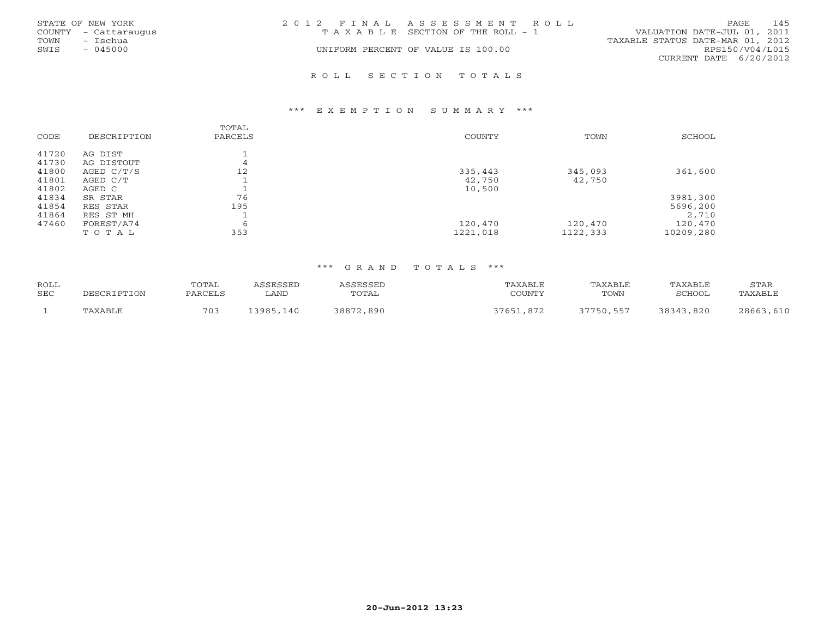|      | STATE OF NEW YORK    | 2012 FINAL ASSESSMENT ROLL |                                       |                                  | <b>PAGE</b>     | 145 |
|------|----------------------|----------------------------|---------------------------------------|----------------------------------|-----------------|-----|
|      | COUNTY - Cattaraugus |                            | T A X A B L E SECTION OF THE ROLL - 1 | VALUATION DATE-JUL 01, 2011      |                 |     |
| TOWN | - Ischua             |                            |                                       | TAXABLE STATUS DATE-MAR 01, 2012 |                 |     |
| SWIS | $-045000$            |                            | UNIFORM PERCENT OF VALUE IS 100.00    |                                  | RPS150/V04/L015 |     |
|      |                      |                            |                                       | CURRENT DATE 6/20/2012           |                 |     |
|      |                      |                            |                                       |                                  |                 |     |

### R O L L S E C T I O N T O T A L S

### \*\*\* E X E M P T I O N S U M M A R Y \*\*\*

| CODE  | DESCRIPTION | TOTAL<br>PARCELS | <b>COUNTY</b> | TOWN     | SCHOOL    |
|-------|-------------|------------------|---------------|----------|-----------|
| 41720 | AG DIST     |                  |               |          |           |
| 41730 | AG DISTOUT  | 4                |               |          |           |
| 41800 | AGED C/T/S  | 12               | 335,443       | 345,093  | 361,600   |
| 41801 | AGED C/T    |                  | 42,750        | 42,750   |           |
| 41802 | AGED C      |                  | 10,500        |          |           |
| 41834 | SR STAR     | 76               |               |          | 3981,300  |
| 41854 | RES STAR    | 195              |               |          | 5696,200  |
| 41864 | RES ST MH   |                  |               |          | 2,710     |
| 47460 | FOREST/A74  | 6                | 120,470       | 120,470  | 120,470   |
|       | TOTAL       | 353              | 1221,018      | 1122,333 | 10209,280 |

| ROLL       |             | TOTAL   | ASSESSED  | ASSESSED  | TAXABLE   | TAXABLE   | TAXABLE   | STAR      |
|------------|-------------|---------|-----------|-----------|-----------|-----------|-----------|-----------|
| <b>SEC</b> | DESCRIPTION | PARCELS | ∟AND      | TOTAL     | COUNTY    | TOWN      | SCHOOL    | TAXABLE   |
|            | TAXABLE     | 703     | 13985,140 | 38872,890 | 37651,872 | 37750,557 | 38343,820 | 28663,610 |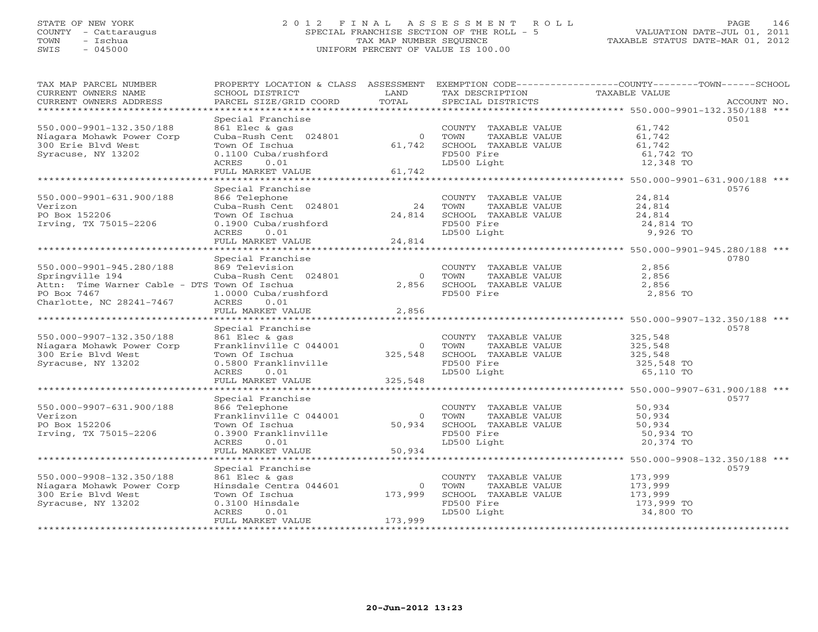### STATE OF NEW YORK 2 0 1 2 F I N A L A S S E S S M E N T R O L L PAGE 146 COUNTY - Cattaraugus SPECIAL FRANCHISE SECTION OF THE ROLL - 5 VALUATION DATE-JUL 01, 2011 TOWN - Ischua TAX MAP NUMBER SEQUENCE TAXABLE STATUS DATE-MAR 01, 2012 SWIS - 045000 UNIFORM PERCENT OF VALUE IS 100.00

| TAX MAP PARCEL NUMBER<br>CURRENT OWNERS NAME<br>CURRENT OWNERS ADDRESS | PROPERTY LOCATION & CLASS ASSESSMENT<br>SCHOOL DISTRICT<br>PARCEL SIZE/GRID COORD | LAND<br>TOTAL       | TAX DESCRIPTION<br>SPECIAL DISTRICTS | EXEMPTION CODE-----------------COUNTY-------TOWN------SCHOOL<br>TAXABLE VALUE | ACCOUNT NO. |
|------------------------------------------------------------------------|-----------------------------------------------------------------------------------|---------------------|--------------------------------------|-------------------------------------------------------------------------------|-------------|
| ***********************                                                |                                                                                   |                     |                                      |                                                                               |             |
|                                                                        | Special Franchise                                                                 |                     |                                      |                                                                               | 0501        |
| 550.000-9901-132.350/188                                               | 861 Elec & gas                                                                    |                     | COUNTY TAXABLE VALUE                 | 61,742                                                                        |             |
| Niagara Mohawk Power Corp                                              | Cuba-Rush Cent 024801                                                             | $\circ$             | TOWN<br>TAXABLE VALUE                | 61,742                                                                        |             |
| 300 Erie Blvd West                                                     | Town Of Ischua                                                                    | 61,742              | SCHOOL TAXABLE VALUE                 | 61,742                                                                        |             |
| Syracuse, NY 13202                                                     | 0.1100 Cuba/rushford                                                              |                     | FD500 Fire                           | 61,742 TO                                                                     |             |
|                                                                        | 0.01<br>ACRES                                                                     |                     | LD500 Light                          | 12,348 TO                                                                     |             |
|                                                                        | FULL MARKET VALUE                                                                 | 61,742              |                                      |                                                                               |             |
| *****************************                                          | ***********************                                                           | ******************* |                                      | ******************* 550.000-9901-631.900/188 ***                              |             |
|                                                                        | Special Franchise                                                                 |                     |                                      |                                                                               | 0576        |
| 550.000-9901-631.900/188                                               | 866 Telephone                                                                     |                     | COUNTY TAXABLE VALUE                 | 24,814                                                                        |             |
| Verizon                                                                | Cuba-Rush Cent 024801                                                             | 24                  | TAXABLE VALUE<br>TOWN                | 24,814                                                                        |             |
| PO Box 152206                                                          | Town Of Ischua                                                                    | 24,814              | SCHOOL TAXABLE VALUE                 | 24,814                                                                        |             |
| Irving, TX 75015-2206                                                  | 0.1900 Cuba/rushford                                                              |                     | FD500 Fire                           | 24,814 TO                                                                     |             |
|                                                                        | ACRES<br>0.01                                                                     |                     | LD500 Light                          | 9,926 TO                                                                      |             |
|                                                                        | FULL MARKET VALUE                                                                 | 24,814              |                                      |                                                                               |             |
|                                                                        | Special Franchise                                                                 |                     |                                      |                                                                               | 0780        |
| 550.000-9901-945.280/188                                               | 869 Television                                                                    |                     | COUNTY TAXABLE VALUE                 | 2,856                                                                         |             |
| Springville 194                                                        | Cuba-Rush Cent 024801                                                             | $\circ$             | TAXABLE VALUE<br>TOWN                | 2,856                                                                         |             |
| Attn: Time Warner Cable - DTS Town Of Ischua                           |                                                                                   | 2,856               | SCHOOL TAXABLE VALUE                 | 2,856                                                                         |             |
| PO Box 7467                                                            | 1.0000 Cuba/rushford                                                              |                     | FD500 Fire                           | 2,856 TO                                                                      |             |
| Charlotte, NC 28241-7467                                               | <b>ACRES</b><br>0.01                                                              |                     |                                      |                                                                               |             |
|                                                                        | FULL MARKET VALUE                                                                 | 2,856               |                                      |                                                                               |             |
|                                                                        |                                                                                   |                     |                                      |                                                                               |             |
|                                                                        | Special Franchise                                                                 |                     |                                      |                                                                               | 0578        |
| 550.000-9907-132.350/188                                               | 861 Elec & gas                                                                    |                     | COUNTY TAXABLE VALUE                 | 325,548                                                                       |             |
| Niagara Mohawk Power Corp                                              | Franklinville C 044001                                                            | $\Omega$            | TOWN<br>TAXABLE VALUE                | 325,548                                                                       |             |
| 300 Erie Blyd West                                                     | Town Of Ischua                                                                    | 325,548             | SCHOOL TAXABLE VALUE                 | 325,548                                                                       |             |
| Syracuse, NY 13202                                                     | 0.5800 Franklinville                                                              |                     | FD500 Fire                           | 325,548 TO                                                                    |             |
|                                                                        | 0.01<br>ACRES                                                                     |                     | LD500 Light                          | 65,110 TO                                                                     |             |
|                                                                        | FULL MARKET VALUE                                                                 | 325,548             |                                      |                                                                               |             |
|                                                                        | *******************                                                               |                     |                                      | ******************************* 550.000-9907-631.900/188 ***                  |             |
|                                                                        | Special Franchise                                                                 |                     |                                      |                                                                               | 0577        |
| 550.000-9907-631.900/188                                               | 866 Telephone                                                                     |                     | COUNTY TAXABLE VALUE                 | 50,934                                                                        |             |
| Verizon                                                                | Franklinville C 044001                                                            | $\circ$             | TOWN<br>TAXABLE VALUE                | 50,934                                                                        |             |
| PO Box 152206                                                          | Town Of Ischua                                                                    | 50,934              | SCHOOL TAXABLE VALUE                 | 50,934                                                                        |             |
| Irving, TX 75015-2206                                                  | 0.3900 Franklinville                                                              |                     | FD500 Fire                           | 50,934 TO                                                                     |             |
|                                                                        | ACRES<br>0.01                                                                     |                     | LD500 Light                          | 20,374 TO                                                                     |             |
|                                                                        | FULL MARKET VALUE                                                                 | 50,934              |                                      |                                                                               |             |
|                                                                        | * * * * * * * * * * * * * * * * * * *                                             |                     |                                      | ****************** 550.000-9908-132.350/188 ***                               |             |
|                                                                        | Special Franchise                                                                 |                     |                                      |                                                                               | 0579        |
| 550.000-9908-132.350/188                                               | 861 Elec & gas                                                                    |                     | COUNTY TAXABLE VALUE                 | 173,999                                                                       |             |
| Niagara Mohawk Power Corp                                              | Hinsdale Centra 044601                                                            | $\circ$             | TOWN<br>TAXABLE VALUE                | 173,999                                                                       |             |
| 300 Erie Blvd West                                                     | Town Of Ischua                                                                    | 173,999             | SCHOOL TAXABLE VALUE                 | 173,999                                                                       |             |
| Syracuse, NY 13202                                                     | 0.3100 Hinsdale                                                                   |                     | FD500 Fire                           | 173,999 TO                                                                    |             |
|                                                                        | ACRES<br>0.01                                                                     |                     | LD500 Light                          | 34,800 TO                                                                     |             |
|                                                                        | FULL MARKET VALUE                                                                 | 173,999             |                                      |                                                                               |             |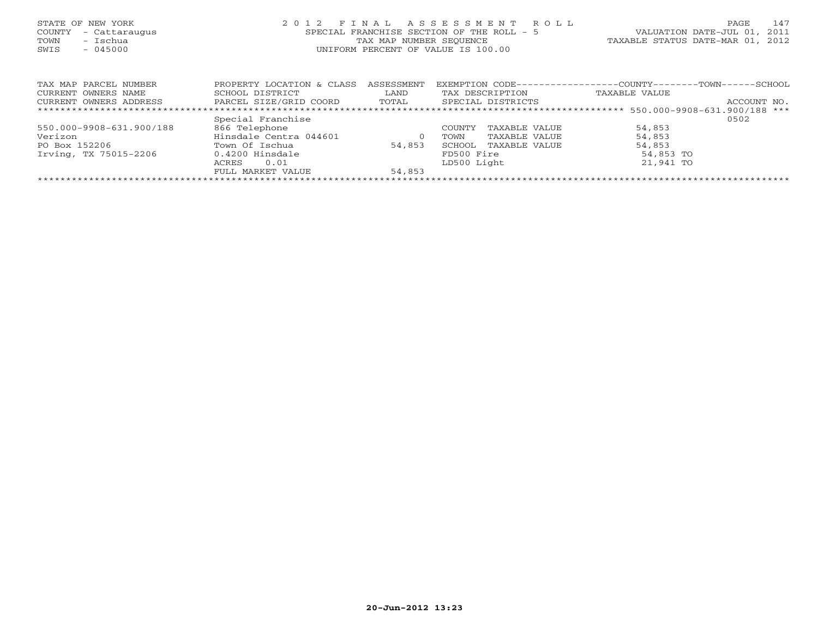| STATE OF NEW YORK<br>COUNTY<br>- Cattaraugus<br>– Ischua<br>TOWN<br>$-045000$<br>SWIS | ASSESSMENT<br>FINAL<br>R O L L<br>2 0 1 2<br>SPECIAL FRANCHISE SECTION OF THE ROLL - 5<br>TAX MAP NUMBER SEOUENCE<br>UNIFORM PERCENT OF VALUE IS 100.00 |                             |                                                          |                                                                          |  |  |
|---------------------------------------------------------------------------------------|---------------------------------------------------------------------------------------------------------------------------------------------------------|-----------------------------|----------------------------------------------------------|--------------------------------------------------------------------------|--|--|
| TAX MAP PARCEL NUMBER<br>CURRENT OWNERS NAME<br>CURRENT OWNERS ADDRESS                | PROPERTY LOCATION & CLASS<br>SCHOOL DISTRICT<br>PARCEL SIZE/GRID COORD                                                                                  | ASSESSMENT<br>LAND<br>TOTAL | EXEMPTION CODE--<br>TAX DESCRIPTION<br>SPECIAL DISTRICTS | ----------COUNTY--------TOWN------SCHOOL<br>TAXABLE VALUE<br>ACCOUNT NO. |  |  |
|                                                                                       |                                                                                                                                                         |                             |                                                          |                                                                          |  |  |
|                                                                                       | Special Franchise                                                                                                                                       |                             |                                                          | 0502                                                                     |  |  |
| 550.000-9908-631.900/188                                                              | 866 Telephone                                                                                                                                           |                             | TAXABLE VALUE<br><b>COUNTY</b>                           | 54,853                                                                   |  |  |
| Verizon                                                                               | Hinsdale Centra 044601                                                                                                                                  | $\circ$                     | TOWN<br>TAXABLE VALUE                                    | 54,853                                                                   |  |  |
| PO Box 152206                                                                         | Town Of Ischua                                                                                                                                          | 54,853                      | SCHOOL<br>TAXABLE VALUE                                  | 54,853                                                                   |  |  |
| Irving, TX 75015-2206                                                                 | 0.4200 Hinsdale                                                                                                                                         |                             | FD500 Fire                                               | 54,853 TO                                                                |  |  |
|                                                                                       | 0.01<br>ACRES                                                                                                                                           |                             | LD500 Light                                              | 21,941 TO                                                                |  |  |

FULL MARKET VALUE 54,853 \*\*\*\*\*\*\*\*\*\*\*\*\*\*\*\*\*\*\*\*\*\*\*\*\*\*\*\*\*\*\*\*\*\*\*\*\*\*\*\*\*\*\*\*\*\*\*\*\*\*\*\*\*\*\*\*\*\*\*\*\*\*\*\*\*\*\*\*\*\*\*\*\*\*\*\*\*\*\*\*\*\*\*\*\*\*\*\*\*\*\*\*\*\*\*\*\*\*\*\*\*\*\*\*\*\*\*\*\*\*\*\*\*\*\*\*\*\*\*\*\*\*\*\*\*\*\*\*\*\*\*\*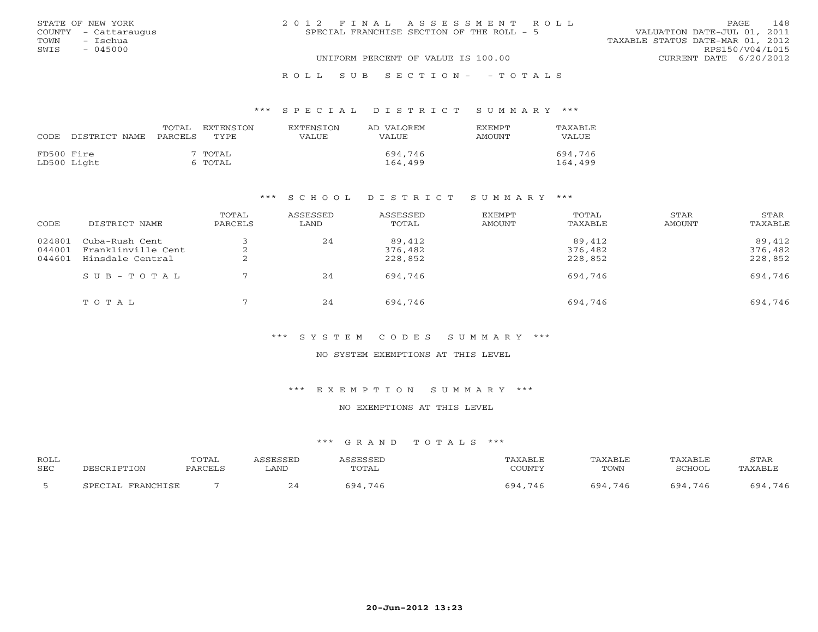|      | STATE OF NEW YORK    | 2012 FINAL ASSESSMENT ROLL                |                                  | PAGE. | 148 |
|------|----------------------|-------------------------------------------|----------------------------------|-------|-----|
|      | COUNTY - Cattaraugus | SPECIAL FRANCHISE SECTION OF THE ROLL - 5 | VALUATION DATE-JUL 01, 2011      |       |     |
| TOWN | - Tschua             |                                           | TAXABLE STATUS DATE-MAR 01, 2012 |       |     |
| SWIS | $-045000$            |                                           | RPS150/V04/L015                  |       |     |
|      |                      | UNIFORM PERCENT OF VALUE IS 100.00        | CURRENT DATE 6/20/2012           |       |     |
|      |                      |                                           |                                  |       |     |

### R O L L S U B S E C T I O N - - T O T A L S

### \*\*\* S P E C I A L D I S T R I C T S U M M A R Y \*\*\*

| CODE       | DISTRICT NAME | TOTAL<br>PARCELS | <b>EXTENSION</b><br>TYPE. | <b>EXTENSION</b><br>VALUE | AD VALOREM<br>VALUE | <b>FXEMPT</b><br>AMOUNT | TAXABLE<br><b>VALUE</b> |
|------------|---------------|------------------|---------------------------|---------------------------|---------------------|-------------------------|-------------------------|
| FD500 Fire | LD500 Light   |                  | 7 TOTAL<br>6 TOTAL        |                           | 694,746<br>164,499  |                         | 694,746<br>164,499      |

### \*\*\* S C H O O L D I S T R I C T S U M M A R Y \*\*\*

| CODE                       | DISTRICT NAME                                            | TOTAL<br>PARCELS | ASSESSED<br>LAND | ASSESSED<br>TOTAL            | EXEMPT<br>AMOUNT | TOTAL<br>TAXABLE             | STAR<br>AMOUNT | STAR<br>TAXABLE              |
|----------------------------|----------------------------------------------------------|------------------|------------------|------------------------------|------------------|------------------------------|----------------|------------------------------|
| 024801<br>044001<br>044601 | Cuba-Rush Cent<br>Franklinville Cent<br>Hinsdale Central | ∠<br>▵           | 24               | 89,412<br>376,482<br>228,852 |                  | 89,412<br>376,482<br>228,852 |                | 89,412<br>376,482<br>228,852 |
|                            | SUB-TOTAL                                                |                  | 24               | 694,746                      |                  | 694,746                      |                | 694,746                      |
|                            | TOTAL                                                    |                  | 24               | 694,746                      |                  | 694,746                      |                | 694,746                      |

### \*\*\* S Y S T E M C O D E S S U M M A R Y \*\*\*

### NO SYSTEM EXEMPTIONS AT THIS LEVEL

### \*\*\* E X E M P T I O N S U M M A R Y \*\*\*

### NO EXEMPTIONS AT THIS LEVEL

| <b>ROLL</b> | DESCRIPTION       | TOTAL   | ASSESSED | ASSESSED | TAXABLE | <b>TAXABLE</b> | <b>TAXABLE</b> | STAR    |
|-------------|-------------------|---------|----------|----------|---------|----------------|----------------|---------|
| <b>SEC</b>  |                   | PARCELS | LAND     | TOTAL    | COUNTY  | TOWN           | SCHOOL,        | TAXABLE |
|             | SPECIAL FRANCHISE |         |          | 694,746  | 694,746 | 694,746        | 694,746        | 694,746 |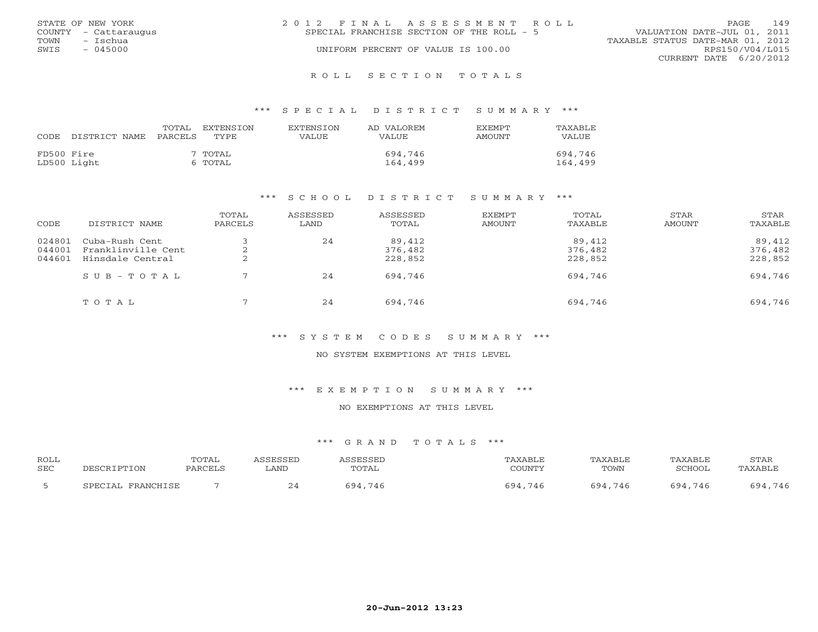|      | STATE OF NEW YORK    | 2012 FINAL ASSESSMENT ROLL |                                           |                                  | PAGE                   | 149 |
|------|----------------------|----------------------------|-------------------------------------------|----------------------------------|------------------------|-----|
|      | COUNTY - Cattaraugus |                            | SPECIAL FRANCHISE SECTION OF THE ROLL - 5 | VALUATION DATE-JUL 01, 2011      |                        |     |
| TOWN | – Ischua             |                            |                                           | TAXABLE STATUS DATE-MAR 01, 2012 |                        |     |
| SWIS | - 045000             |                            | UNIFORM PERCENT OF VALUE IS 100.00        |                                  | RPS150/V04/L015        |     |
|      |                      |                            |                                           |                                  | CURRENT DATE 6/20/2012 |     |
|      |                      |                            |                                           |                                  |                        |     |

### R O L L S E C T I O N T O T A L S

### \*\*\* S P E C I A L D I S T R I C T S U M M A R Y \*\*\*

| CODE.      | DISTRICT NAME PARCELS | TOTAL | EXTENSION<br>TYPE  | <b>EXTENSION</b><br>VALUE | AD VALOREM<br>VALUE | <b>EXEMPT</b><br>AMOUNT | TAXABLE<br><b>VALUE</b> |
|------------|-----------------------|-------|--------------------|---------------------------|---------------------|-------------------------|-------------------------|
| FD500 Fire | LD500 Light           |       | 7 TOTAL<br>6 TOTAL |                           | 694,746<br>164,499  |                         | 694,746<br>164,499      |

### \*\*\* S C H O O L D I S T R I C T S U M M A R Y \*\*\*

| CODE                       | DISTRICT NAME                                            | TOTAL<br>PARCELS | ASSESSED<br>LAND | ASSESSED<br>TOTAL            | EXEMPT<br>AMOUNT | TOTAL<br>TAXABLE             | STAR<br>AMOUNT | STAR<br>TAXABLE              |
|----------------------------|----------------------------------------------------------|------------------|------------------|------------------------------|------------------|------------------------------|----------------|------------------------------|
| 024801<br>044001<br>044601 | Cuba-Rush Cent<br>Franklinville Cent<br>Hinsdale Central | ∠<br>▵           | 24               | 89,412<br>376,482<br>228,852 |                  | 89,412<br>376,482<br>228,852 |                | 89,412<br>376,482<br>228,852 |
|                            | SUB-TOTAL                                                |                  | 24               | 694,746                      |                  | 694,746                      |                | 694,746                      |
|                            | TOTAL                                                    |                  | 24               | 694,746                      |                  | 694,746                      |                | 694,746                      |

### \*\*\* S Y S T E M C O D E S S U M M A R Y \*\*\*

### NO SYSTEM EXEMPTIONS AT THIS LEVEL

### \*\*\* E X E M P T I O N S U M M A R Y \*\*\*

### NO EXEMPTIONS AT THIS LEVEL

| <b>ROLL</b> |                                     | TOTAL   | CCFCCFT | <b>CCFCCFT</b>                    | <b>AXABLF</b> | <b><i>PAXABLF</i></b> | TAXABLE               | STAF       |
|-------------|-------------------------------------|---------|---------|-----------------------------------|---------------|-----------------------|-----------------------|------------|
| <b>SEC</b>  | ־תחרדי                              | PARCEL: | LAND    | TOTAL                             | COUNTY        | TOWN                  | CORDO                 | AYART.     |
|             | <b>PDAMCUTCP</b><br>ח הם כ<br>ו ב⊤י |         |         | $\cdot$ $\circ$ $\prime$<br>74 t. | 591<br>746    | 694<br>746            | $\overline{Q}$<br>746 | 746<br>501 |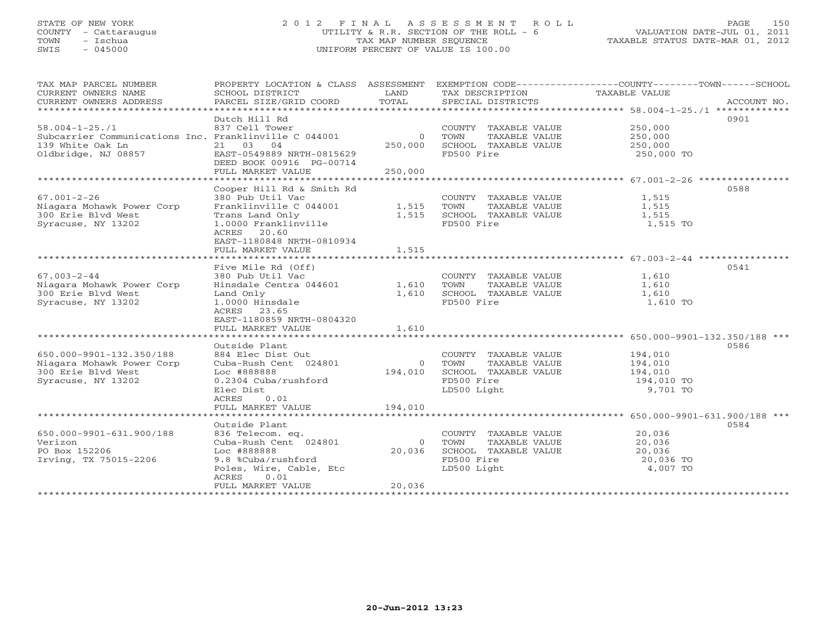### STATE OF NEW YORK 2 0 1 2 F I N A L A S S E S S M E N T R O L L PAGE 150 COUNTY - Cattaraugus UTILITY & R.R. SECTION OF THE ROLL - 6 VALUATION DATE-JUL 01, 2011 TOWN - Ischua TAX MAP NUMBER SEQUENCE TAXABLE STATUS DATE-MAR 01, 2012 SWIS - 045000 UNIFORM PERCENT OF VALUE IS 100.00UNIFORM PERCENT OF VALUE IS 100.00

| TAX MAP PARCEL NUMBER<br>CURRENT OWNERS NAME<br>CURRENT OWNERS ADDRESS                            | PROPERTY LOCATION & CLASS ASSESSMENT<br>SCHOOL DISTRICT<br>PARCEL SIZE/GRID COORD                                                                                 | LAND<br>TOTAL                      | TAX DESCRIPTION<br>SPECIAL DISTRICTS                                                               | EXEMPTION CODE-----------------COUNTY-------TOWN------SCHOOL<br>TAXABLE VALUE<br>ACCOUNT NO. |
|---------------------------------------------------------------------------------------------------|-------------------------------------------------------------------------------------------------------------------------------------------------------------------|------------------------------------|----------------------------------------------------------------------------------------------------|----------------------------------------------------------------------------------------------|
|                                                                                                   |                                                                                                                                                                   |                                    |                                                                                                    |                                                                                              |
| $58.004 - 1 - 25.71$<br>Subcarrier Communications Inc. Franklinville C 044001                     | Dutch Hill Rd<br>837 Cell Tower                                                                                                                                   | $\overline{0}$                     | COUNTY TAXABLE VALUE<br>TOWN<br>TAXABLE VALUE                                                      | 0901<br>250,000<br>250,000                                                                   |
| 139 White Oak Ln<br>Oldbridge, NJ 08857                                                           | 21 03 04<br>EAST-0549889 NRTH-0815629<br>DEED BOOK 00916 PG-00714                                                                                                 | 250,000                            | SCHOOL TAXABLE VALUE<br>FD500 Fire                                                                 | 250,000<br>250,000 TO                                                                        |
|                                                                                                   | FULL MARKET VALUE                                                                                                                                                 | 250,000                            |                                                                                                    |                                                                                              |
|                                                                                                   |                                                                                                                                                                   |                                    |                                                                                                    |                                                                                              |
| $67.001 - 2 - 26$<br>Niagara Mohawk Power Corp<br>300 Erie Blvd West<br>Syracuse, NY 13202        | Cooper Hill Rd & Smith Rd<br>380 Pub Util Vac<br>Franklinville C 044001<br>Trans Land Only<br>1.0000 Franklinville<br>ACRES 20.60<br>EAST-1180848 NRTH-0810934    | 1,515<br>1,515                     | COUNTY TAXABLE VALUE<br>TOWN<br>TAXABLE VALUE<br>SCHOOL TAXABLE VALUE<br>FD500 Fire                | 0588<br>1,515<br>1,515<br>1,515<br>1,515 TO                                                  |
|                                                                                                   | FULL MARKET VALUE                                                                                                                                                 | 1,515                              |                                                                                                    |                                                                                              |
|                                                                                                   |                                                                                                                                                                   |                                    |                                                                                                    |                                                                                              |
| $67.003 - 2 - 44$<br>Niagara Mohawk Power Corp<br>300 Erie Blvd West<br>Syracuse, NY 13202        | Five Mile Rd (Off)<br>380 Pub Util Vac<br>Hinsdale Centra 044601<br>Land Only<br>1.0000 Hinsdale<br>ACRES 23.65<br>EAST-1180859 NRTH-0804320<br>FULL MARKET VALUE | 1,610<br>1,610<br>1,610            | COUNTY TAXABLE VALUE<br>TAXABLE VALUE<br>TOWN<br>SCHOOL TAXABLE VALUE<br>FD500 Fire                | 0541<br>1,610<br>1,610<br>1,610<br>1,610 TO                                                  |
|                                                                                                   |                                                                                                                                                                   |                                    |                                                                                                    |                                                                                              |
| 650.000-9901-132.350/188<br>Niagara Mohawk Power Corp<br>300 Erie Blvd West<br>Syracuse, NY 13202 | Outside Plant<br>884 Elec Dist Out<br>Cuba-Rush Cent 024801<br>Loc #888888<br>0.2304 Cuba/rushford<br>Elec Dist<br>ACRES<br>0.01                                  | $\overline{0}$<br>194,010          | COUNTY TAXABLE VALUE<br>TOWN<br>TAXABLE VALUE<br>SCHOOL TAXABLE VALUE<br>FD500 Fire<br>LD500 Light | 0586<br>194,010<br>194,010<br>194,010<br>194,010 TO<br>9,701 TO                              |
|                                                                                                   | FULL MARKET VALUE                                                                                                                                                 | 194,010                            |                                                                                                    |                                                                                              |
|                                                                                                   | Outside Plant                                                                                                                                                     |                                    |                                                                                                    | 0584                                                                                         |
| 650.000-9901-631.900/188<br>Verizon<br>PO Box 152206<br>Irving, TX 75015-2206                     | 836 Telecom. eq.<br>Cuba-Rush Cent 024801<br>Loc #888888<br>9.8 %Cuba/rushford<br>Poles, Wire, Cable, Etc<br>ACRES<br>0.01<br>FULL MARKET VALUE                   | $\overline{0}$<br>20,036<br>20,036 | COUNTY TAXABLE VALUE<br>TOWN<br>TAXABLE VALUE<br>SCHOOL TAXABLE VALUE<br>FD500 Fire<br>LD500 Light | 20,036<br>20,036<br>20,036<br>20,036 TO<br>4,007 TO                                          |
|                                                                                                   |                                                                                                                                                                   |                                    |                                                                                                    |                                                                                              |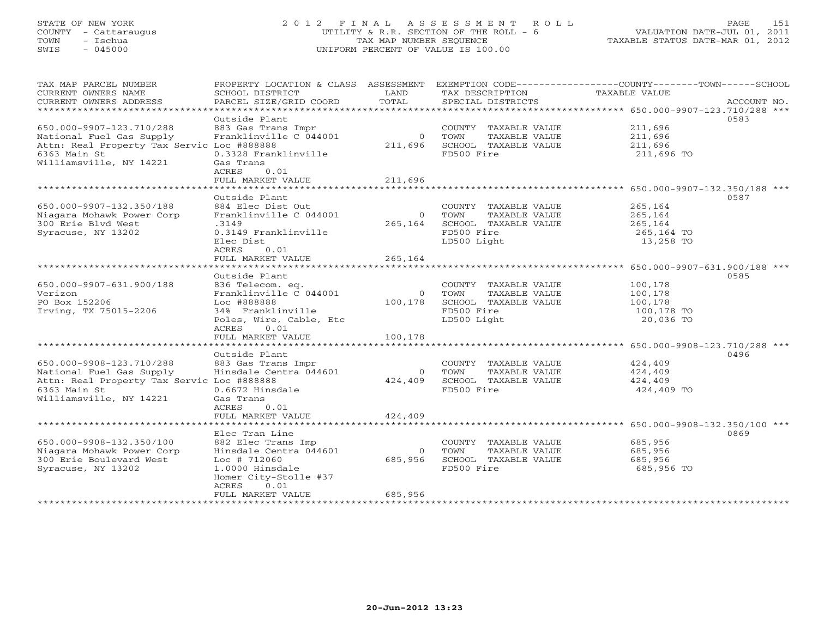### STATE OF NEW YORK 2 0 1 2 F I N A L A S S E S S M E N T R O L L PAGE 151 COUNTY - Cattaraugus UTILITY & R.R. SECTION OF THE ROLL - 6 VALUATION DATE-JUL 01, 2011 TOWN - Ischua TAX MAP NUMBER SEQUENCE TAXABLE STATUS DATE-MAR 01, 2012 SWIS - 045000 UNIFORM PERCENT OF VALUE IS 100.00UNIFORM PERCENT OF VALUE IS 100.00

| TAX MAP PARCEL NUMBER<br>CURRENT OWNERS NAME<br>CURRENT OWNERS ADDRESS                                                                        | SCHOOL DISTRICT<br>PARCEL SIZE/GRID COORD                                                                                                                                 | LAND<br>TOTAL                  | TAX DESCRIPTION TAXABLE VALUE<br>SPECIAL DISTRICTS                                                   | PROPERTY LOCATION & CLASS ASSESSMENT EXEMPTION CODE---------------COUNTY-------TOWN-----SCHOOL<br>ACCOUNT NO. |
|-----------------------------------------------------------------------------------------------------------------------------------------------|---------------------------------------------------------------------------------------------------------------------------------------------------------------------------|--------------------------------|------------------------------------------------------------------------------------------------------|---------------------------------------------------------------------------------------------------------------|
| 650.000-9907-123.710/288<br>National Fuel Gas Supply<br>Attn: Real Property Tax Servic Loc #888888<br>6363 Main St<br>Williamsville, NY 14221 | Outside Plant<br>883 Gas Trans Impr<br>Franklinville C 044001<br>0.3328 Franklinville<br>Gas Trans<br>ACRES<br>0.01<br>FULL MARKET VALUE                                  | 211,696<br>211,696             | COUNTY TAXABLE VALUE<br>0 TOWN<br>TAXABLE VALUE<br>SCHOOL TAXABLE VALUE<br>FD500 Fire                | 0583<br>211,696<br>211,696<br>211,696<br>211,696 TO                                                           |
|                                                                                                                                               |                                                                                                                                                                           |                                |                                                                                                      |                                                                                                               |
| 650.000-9907-132.350/188<br>Niagara Mohawk Power Corp<br>300 Erie Blvd West<br>Syracuse, NY 13202                                             | Outside Plant<br>884 Elec Dist Out<br>Franklinville C 044001<br>.3149<br>0.3149 Franklinville<br>Elec Dist<br>ACRES<br>0.01                                               | $\Omega$<br>265,164            | COUNTY TAXABLE VALUE<br>TAXABLE VALUE<br>TOWN<br>SCHOOL TAXABLE VALUE<br>FD500 Fire<br>LD500 Light   | 0587<br>265,164<br>265,164<br>265,164<br>265,164 TO<br>13,258 TO                                              |
|                                                                                                                                               | FULL MARKET VALUE                                                                                                                                                         | 265,164                        |                                                                                                      |                                                                                                               |
|                                                                                                                                               |                                                                                                                                                                           |                                |                                                                                                      |                                                                                                               |
| 650.000-9907-631.900/188<br>Verizon<br>PO Box 152206<br>Irving, TX 75015-2206                                                                 | Outside Plant<br>836 Telecom. eq.<br>Franklinville C 044001<br>Loc #888888<br>34% Franklinville<br>Poles, Wire, Cable, Etc<br>ACRES<br>0.01                               | 100,178                        | COUNTY TAXABLE VALUE<br>0 TOWN<br>TAXABLE VALUE<br>SCHOOL TAXABLE VALUE<br>FD500 Fire<br>LD500 Light | 0585<br>100,178<br>100,178<br>100,178<br>100,178 TO<br>20,036 TO                                              |
|                                                                                                                                               | FULL MARKET VALUE                                                                                                                                                         | 100,178                        |                                                                                                      |                                                                                                               |
|                                                                                                                                               | Outside Plant                                                                                                                                                             |                                |                                                                                                      | 0496                                                                                                          |
| 650.000-9908-123.710/288<br>National Fuel Gas Supply<br>Attn: Real Property Tax Servic Loc #888888<br>6363 Main St<br>Williamsville, NY 14221 | 883 Gas Trans Impr<br>Hinsdale Centra 044601<br>0.6672 Hinsdale<br>Gas Trans<br>0.01<br>ACRES                                                                             | $\overline{0}$<br>424,409      | COUNTY TAXABLE VALUE<br><b>TOWN</b><br>TAXABLE VALUE<br>SCHOOL TAXABLE VALUE<br>FD500 Fire           | 424,409<br>424,409<br>424,409<br>424,409 TO                                                                   |
|                                                                                                                                               | FULL MARKET VALUE                                                                                                                                                         | 424,409                        |                                                                                                      |                                                                                                               |
|                                                                                                                                               |                                                                                                                                                                           |                                |                                                                                                      |                                                                                                               |
| 650.000-9908-132.350/100<br>Niagara Mohawk Power Corp<br>300 Erie Boulevard West<br>Syracuse, NY 13202                                        | Elec Tran Line<br>882 Elec Trans Imp<br>Hinsdale Centra 044601<br>$Loc$ # 712060<br>1.0000 Hinsdale<br>Homer City-Stolle #37<br><b>ACRES</b><br>0.01<br>FULL MARKET VALUE | $\Omega$<br>685,956<br>685,956 | COUNTY TAXABLE VALUE<br>TOWN<br>TAXABLE VALUE<br>SCHOOL TAXABLE VALUE<br>FD500 Fire                  | 0869<br>685,956<br>685,956<br>685,956<br>685,956 TO                                                           |
|                                                                                                                                               |                                                                                                                                                                           |                                |                                                                                                      |                                                                                                               |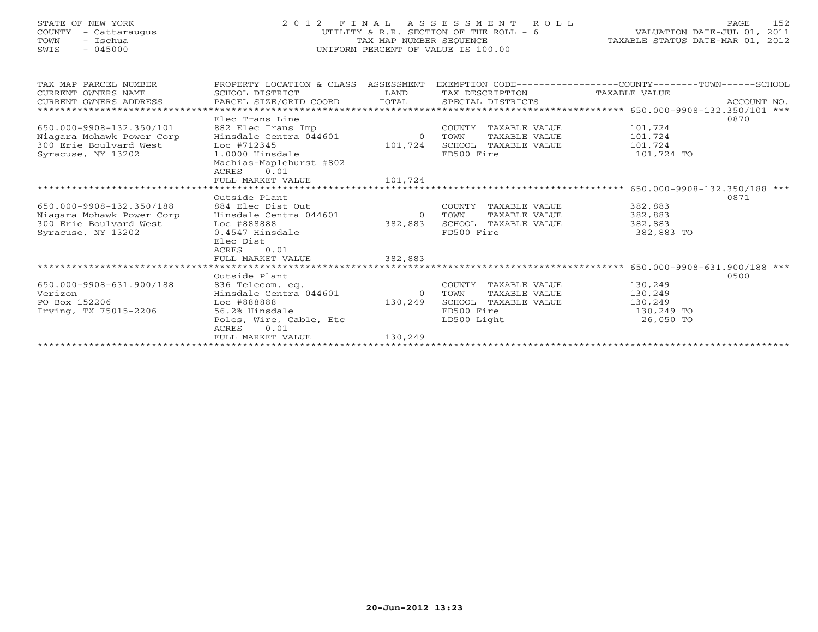### STATE OF NEW YORK 2 0 1 2 F I N A L A S S E S S M E N T R O L L PAGE 152 COUNTY - Cattaraugus UTILITY & R.R. SECTION OF THE ROLL - 6 VALUATION DATE-JUL 01, 2011 TOWN - Ischua TAX MAP NUMBER SEQUENCE TAXABLE STATUS DATE-MAR 01, 2012 SWIS - 045000 UNIFORM PERCENT OF VALUE IS 100.00UNIFORM PERCENT OF VALUE IS 100.00

| TAX MAP PARCEL NUMBER     | PROPERTY LOCATION & CLASS ASSESSMENT |                | EXEMPTION CODE-----------------COUNTY-------TOWN-----SCHOOL |                                                       |
|---------------------------|--------------------------------------|----------------|-------------------------------------------------------------|-------------------------------------------------------|
| CURRENT OWNERS NAME       | SCHOOL DISTRICT                      | LAND           | TAX DESCRIPTION                                             | TAXABLE VALUE                                         |
| CURRENT OWNERS ADDRESS    | PARCEL SIZE/GRID COORD               |                | TOTAL SPECIAL DISTRICTS                                     | ACCOUNT NO.                                           |
|                           |                                      |                |                                                             | ************************ 650.000-9908-132.350/101 *** |
|                           | Elec Trans Line                      |                |                                                             | 0870                                                  |
| 650.000-9908-132.350/101  | 882 Elec Trans Imp                   |                | COUNTY TAXABLE VALUE                                        | 101,724                                               |
| Niagara Mohawk Power Corp | Hinsdale Centra 044601               | $\overline{0}$ | TAXABLE VALUE<br>TOWN                                       | 101,724                                               |
| 300 Erie Boulvard West    | Loc #712345                          | 101,724        | SCHOOL TAXABLE VALUE                                        | 101,724                                               |
| Syracuse, NY 13202        | 1.0000 Hinsdale                      |                | FD500 Fire                                                  | 101,724 TO                                            |
|                           | Machias-Maplehurst #802              |                |                                                             |                                                       |
|                           | 0.01<br>ACRES                        |                |                                                             |                                                       |
|                           | FULL MARKET VALUE                    | 101,724        |                                                             |                                                       |
|                           |                                      |                |                                                             |                                                       |
|                           | Outside Plant                        |                |                                                             | 0871                                                  |
| 650.000-9908-132.350/188  | 884 Elec Dist Out                    |                | COUNTY TAXABLE VALUE                                        | 382,883                                               |
| Niagara Mohawk Power Corp | Hinsdale Centra 044601               | $\overline{0}$ | TAXABLE VALUE<br>TOWN                                       | 382,883                                               |
| 300 Erie Boulvard West    | Loc #888888                          | 382,883        | SCHOOL TAXABLE VALUE                                        | 382,883                                               |
|                           | 0.4547 Hinsdale                      |                | FD500 Fire                                                  |                                                       |
| Syracuse, NY 13202        |                                      |                |                                                             | 382,883 TO                                            |
|                           | Elec Dist                            |                |                                                             |                                                       |
|                           | 0.01<br>ACRES                        |                |                                                             |                                                       |
|                           | FULL MARKET VALUE                    | 382,883        |                                                             |                                                       |
|                           |                                      |                |                                                             |                                                       |
|                           | Outside Plant                        |                |                                                             | 0500                                                  |
| 650.000-9908-631.900/188  | 836 Telecom. eq.                     |                | COUNTY TAXABLE VALUE                                        | 130,249                                               |
| Verizon                   | Hinsdale Centra 044601               | $\overline{0}$ | TAXABLE VALUE<br>TOWN                                       | 130,249                                               |
| PO Box 152206             | Loc #888888                          | 130,249        | SCHOOL TAXABLE VALUE                                        | 130,249                                               |
| Irving, TX 75015-2206     | 56.2% Hinsdale                       |                | FD500 Fire                                                  | 130,249 TO                                            |
|                           | Poles, Wire, Cable, Etc              |                | LD500 Light                                                 | 26,050 TO                                             |
|                           | 0.01<br>ACRES                        |                |                                                             |                                                       |
|                           | FULL MARKET VALUE                    | 130,249        |                                                             |                                                       |
|                           |                                      |                |                                                             |                                                       |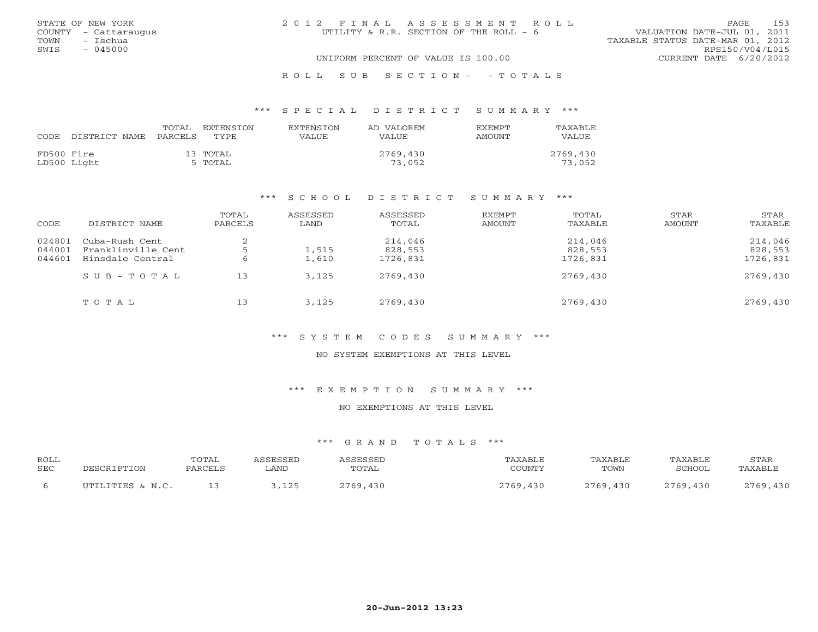|      | STATE OF NEW YORK    | 2012 FINAL ASSESSMENT ROLL             |                                  | PAGE | 153 |
|------|----------------------|----------------------------------------|----------------------------------|------|-----|
|      | COUNTY - Cattaraugus | UTILITY & R.R. SECTION OF THE ROLL - 6 | VALUATION DATE-JUL 01, 2011      |      |     |
| TOWN | – Ischua             |                                        | TAXABLE STATUS DATE-MAR 01, 2012 |      |     |
| SWIS | $-045000$            |                                        | RPS150/V04/L015                  |      |     |
|      |                      | UNIFORM PERCENT OF VALUE IS 100.00     | CURRENT DATE 6/20/2012           |      |     |
|      |                      |                                        |                                  |      |     |

### R O L L S U B S E C T I O N - - T O T A L S

### \*\*\* S P E C I A L D I S T R I C T S U M M A R Y \*\*\*

| CODE       | DISTRICT NAME | TOTAL<br>PARCELS | EXTENSTON<br><b>TYPE</b> | <b>EXTENSION</b><br>VALUE | AD VALOREM<br>VALUE | <b>FXFMPT</b><br><b>AMOUNT</b> | TAXABLE<br>VALUE   |
|------------|---------------|------------------|--------------------------|---------------------------|---------------------|--------------------------------|--------------------|
| FD500 Fire | LD500 Light   |                  | 13 ТОТАL<br>5 TOTAL      |                           | 2769,430<br>73,052  |                                | 2769,430<br>73,052 |

### \*\*\* S C H O O L D I S T R I C T S U M M A R Y \*\*\*

| CODE             | DISTRICT NAME                        | TOTAL<br>PARCELS | ASSESSED<br>LAND | ASSESSED<br>TOTAL  | EXEMPT<br>AMOUNT | TOTAL<br>TAXABLE   | STAR<br>AMOUNT | STAR<br>TAXABLE    |
|------------------|--------------------------------------|------------------|------------------|--------------------|------------------|--------------------|----------------|--------------------|
| 024801           | Cuba-Rush Cent<br>Franklinville Cent |                  | 1,515            | 214,046<br>828,553 |                  | 214,046<br>828,553 |                | 214,046<br>828,553 |
| 044001<br>044601 | Hinsdale Central                     |                  | 1,610            | 1726,831           |                  | 1726,831           |                | 1726,831           |
|                  | SUB-TOTAL                            | 13               | 3,125            | 2769,430           |                  | 2769,430           |                | 2769,430           |
|                  | TOTAL                                | 13               | 3,125            | 2769,430           |                  | 2769,430           |                | 2769,430           |

### \*\*\* S Y S T E M C O D E S S U M M A R Y \*\*\*

### NO SYSTEM EXEMPTIONS AT THIS LEVEL

### \*\*\* E X E M P T I O N S U M M A R Y \*\*\*

### NO EXEMPTIONS AT THIS LEVEL

| <b>ROLL</b><br><b>SEC</b> |                  | TOTAL<br>PARCEI | . AND       | CCFCCFT<br>TOTAL | AXABLI<br>COUNTY | TAXABLE<br>TOWN | TAXABL)<br>SCHOOL | STAR<br><b>TAXARLE</b> |
|---------------------------|------------------|-----------------|-------------|------------------|------------------|-----------------|-------------------|------------------------|
|                           | TITTLITTER & N C |                 | 1つに<br>---- | 2769             |                  | .430<br>2760    | 2769,430          | 130<br>つつよひ            |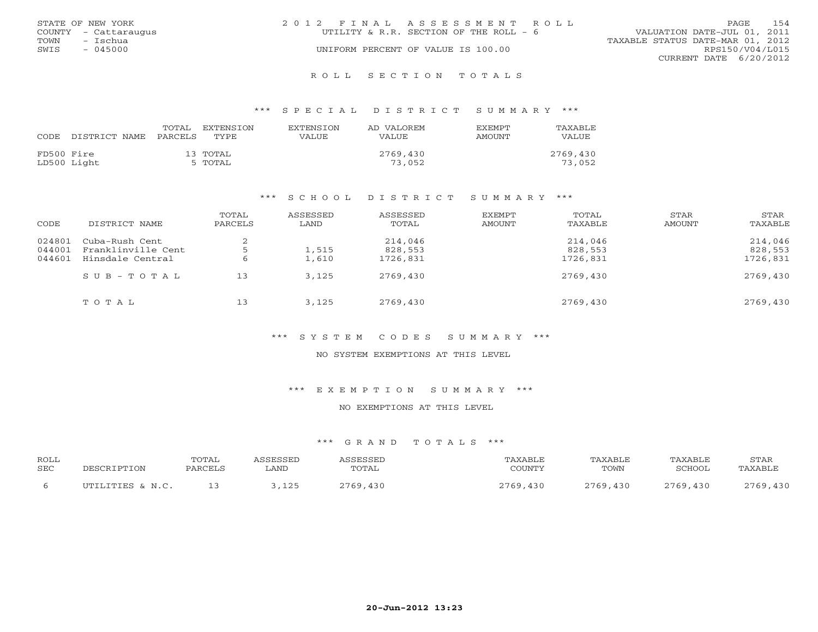| 154<br>PAGE                      |
|----------------------------------|
| VALUATION DATE-JUL 01, 2011      |
| TAXABLE STATUS DATE-MAR 01, 2012 |
| RPS150/V04/L015                  |
| CURRENT DATE 6/20/2012           |
|                                  |

R O L L S E C T I O N T O T A L S

### \*\*\* S P E C I A L D I S T R I C T S U M M A R Y \*\*\*

| CODE.      | DISTRICT NAME | TOTAL<br>PARCELS | EXTENSTON<br>TYPE.  | <b>EXTENSION</b><br>VALUE | AD VALOREM<br>VALUE | <b>EXEMPT</b><br>AMOUNT | TAXABLE<br>VALUE.  |
|------------|---------------|------------------|---------------------|---------------------------|---------------------|-------------------------|--------------------|
| FD500 Fire | LD500 Light   |                  | 13 TOTAL<br>5 TOTAL |                           | 2769,430<br>73,052  |                         | 2769,430<br>73,052 |

### \*\*\* S C H O O L D I S T R I C T S U M M A R Y \*\*\*

| CODE                       | DISTRICT NAME                                            | TOTAL<br>PARCELS | ASSESSED<br>LAND | ASSESSED<br>TOTAL              | EXEMPT<br>AMOUNT | TOTAL<br>TAXABLE               | STAR<br>AMOUNT | STAR<br>TAXABLE                |
|----------------------------|----------------------------------------------------------|------------------|------------------|--------------------------------|------------------|--------------------------------|----------------|--------------------------------|
| 024801<br>044001<br>044601 | Cuba-Rush Cent<br>Franklinville Cent<br>Hinsdale Central |                  | 1,515<br>1,610   | 214,046<br>828,553<br>1726,831 |                  | 214,046<br>828,553<br>1726,831 |                | 214,046<br>828,553<br>1726,831 |
|                            | SUB-TOTAL                                                | 13               | 3,125            | 2769,430                       |                  | 2769,430                       |                | 2769,430                       |
|                            | TOTAL                                                    | 13               | 3,125            | 2769,430                       |                  | 2769,430                       |                | 2769,430                       |

### \*\*\* S Y S T E M C O D E S S U M M A R Y \*\*\*

### NO SYSTEM EXEMPTIONS AT THIS LEVEL

### \*\*\* E X E M P T I O N S U M M A R Y \*\*\*

### NO EXEMPTIONS AT THIS LEVEL

| ROLL       | DESCRIPTION      | TOTAL   | ASSESSED | ASSESSED | TAXABLE  | TAXABLE  | TAXABLE  | STAR     |
|------------|------------------|---------|----------|----------|----------|----------|----------|----------|
| <b>SEC</b> |                  | PARCELS | LAND     | TOTAL    | COUNTY   | TOWN     | SCHOOL   | TAXABLE  |
|            | UTILITIES & N.C. |         | ,125     | 2769,430 | 2769,430 | 2769,430 | 2769,430 | 2769,430 |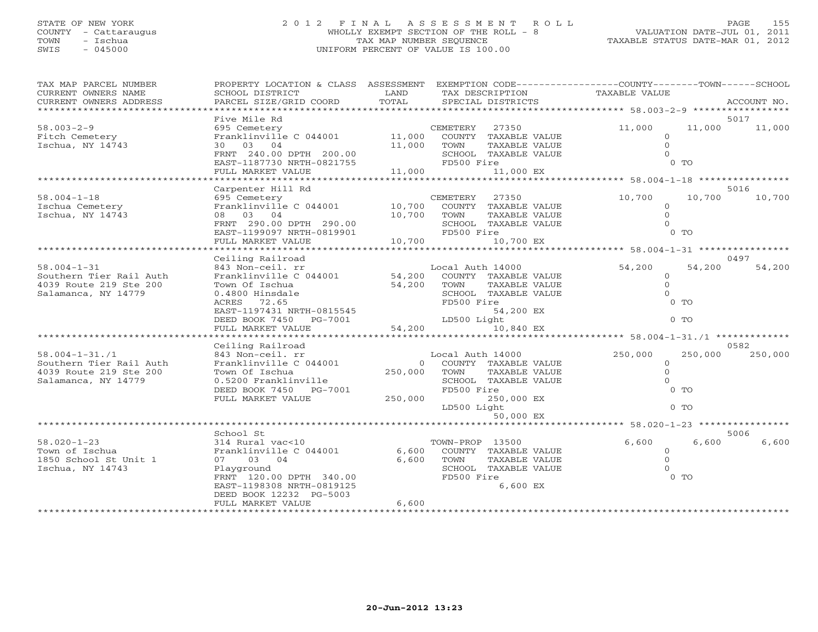# STATE OF NEW YORK 2 0 1 2 F I N A L A S S E S S M E N T R O L L PAGE 155 COUNTY - Cattaraugus WHOLLY EXEMPT SECTION OF THE ROLL - 8 VALUATION DATE-JUL 01, 2011 TOWN - Ischua TAX MAP NUMBER SEQUENCE TAXABLE STATUS DATE-MAR 01, 2012 SWIS - 045000 UNIFORM PERCENT OF VALUE IS 100.00

| TAX MAP PARCEL NUMBER<br>CURRENT OWNERS NAME<br>CURRENT OWNERS ADDRESS                                                                                                                            | PROPERTY LOCATION & CLASS ASSESSMENT<br>SCHOOL DISTRICT<br>PARCEL SIZE/GRID COORD                                                                                                                                                                                                                             | LAND<br>TOTAL                                           | TAX DESCRIPTION<br>SPECIAL DISTRICTS                                                                                                                                                                                                          | EXEMPTION CODE-----------------COUNTY-------TOWN------SCHOOL<br>TAXABLE VALUE                                                                                                       | ACCOUNT NO.                       |
|---------------------------------------------------------------------------------------------------------------------------------------------------------------------------------------------------|---------------------------------------------------------------------------------------------------------------------------------------------------------------------------------------------------------------------------------------------------------------------------------------------------------------|---------------------------------------------------------|-----------------------------------------------------------------------------------------------------------------------------------------------------------------------------------------------------------------------------------------------|-------------------------------------------------------------------------------------------------------------------------------------------------------------------------------------|-----------------------------------|
|                                                                                                                                                                                                   |                                                                                                                                                                                                                                                                                                               |                                                         |                                                                                                                                                                                                                                               |                                                                                                                                                                                     |                                   |
| $58.003 - 2 - 9$<br>Fitch Cemetery<br>Ischua, NY 14743                                                                                                                                            | Five Mile Rd<br>695 Cemetery<br>Franklinville C 044001<br>30 03 04<br>FRNT 240.00 DPTH 200.00<br>EAST-1187730 NRTH-0821755                                                                                                                                                                                    | 11,000<br>11,000                                        | 27350<br>CEMETERY<br>COUNTY TAXABLE VALUE<br>TOWN<br>TAXABLE VALUE<br>SCHOOL TAXABLE VALUE<br>FD500 Fire                                                                                                                                      | 11,000<br>11,000<br>$\circ$<br>$\Omega$<br>$\Omega$<br>$0$ TO                                                                                                                       | 5017<br>11,000                    |
|                                                                                                                                                                                                   | FULL MARKET VALUE                                                                                                                                                                                                                                                                                             | 11,000                                                  | 11,000 EX                                                                                                                                                                                                                                     |                                                                                                                                                                                     |                                   |
|                                                                                                                                                                                                   |                                                                                                                                                                                                                                                                                                               |                                                         |                                                                                                                                                                                                                                               |                                                                                                                                                                                     |                                   |
| $58.004 - 1 - 18$<br>Ischua Cemetery<br>Ischua, NY 14743                                                                                                                                          | Carpenter Hill Rd<br>695 Cemetery<br>Franklinville C 044001<br>08 03 04<br>FRNT 290.00 DPTH 290.00<br>EAST-1199097 NRTH-0819901<br>FULL MARKET VALUE                                                                                                                                                          | 10,700<br>10,700<br>10,700                              | <b>CEMETERY</b><br>27350<br>COUNTY TAXABLE VALUE<br>TOWN<br>TAXABLE VALUE<br>SCHOOL TAXABLE VALUE<br>FD500 Fire<br>10,700 EX                                                                                                                  | 10,700<br>10,700<br>$\circ$<br>$\Omega$<br>$\Omega$<br>$0$ TO                                                                                                                       | 5016<br>10,700                    |
|                                                                                                                                                                                                   |                                                                                                                                                                                                                                                                                                               |                                                         |                                                                                                                                                                                                                                               |                                                                                                                                                                                     |                                   |
| $58.004 - 1 - 31$<br>Southern Tier Rail Auth<br>4039 Route 219 Ste 200<br>Salamanca, NY 14779<br>$58.004 - 1 - 31.71$<br>Southern Tier Rail Auth<br>4039 Route 219 Ste 200<br>Salamanca, NY 14779 | Ceiling Railroad<br>843 Non-ceil. rr<br>Franklinville C 044001<br>Town Of Ischua<br>0.4800 Hinsdale<br>72.65<br>ACRES<br>EAST-1197431 NRTH-0815545<br>DEED BOOK 7450 PG-7001<br>FULL MARKET VALUE<br>Ceiling Railroad<br>843 Non-ceil. rr<br>Franklinville C 044001<br>Town Of Ischua<br>0.5200 Franklinville | 54,200<br>54,200<br>54,200<br>$\overline{0}$<br>250,000 | Local Auth 14000<br>COUNTY TAXABLE VALUE<br>TAXABLE VALUE<br>TOWN<br>SCHOOL TAXABLE VALUE<br>FD500 Fire<br>54,200 EX<br>LD500 Light<br>10,840 EX<br>Local Auth 14000<br>COUNTY TAXABLE VALUE<br>TAXABLE VALUE<br>TOWN<br>SCHOOL TAXABLE VALUE | 54,200<br>54,200<br>$\circ$<br>$\Omega$<br>$\Omega$<br>$0$ TO<br>$0$ TO<br>******************* 58.004-1-31./1 *******<br>250,000<br>250,000<br>$\mathbf{0}$<br>$\Omega$<br>$\Omega$ | 0497<br>54,200<br>0582<br>250,000 |
|                                                                                                                                                                                                   | DEED BOOK 7450<br>PG-7001<br>FULL MARKET VALUE                                                                                                                                                                                                                                                                | 250,000                                                 | FD500 Fire<br>250,000 EX<br>LD500 Light<br>50,000 EX                                                                                                                                                                                          | $0$ TO<br>$0$ TO                                                                                                                                                                    |                                   |
|                                                                                                                                                                                                   |                                                                                                                                                                                                                                                                                                               |                                                         |                                                                                                                                                                                                                                               | ********************************* 58.020-1-23 ****************                                                                                                                      |                                   |
| $58.020 - 1 - 23$<br>Town of Ischua<br>1850 School St Unit 1<br>Ischua, NY 14743                                                                                                                  | School St<br>314 Rural vac<10<br>Franklinville C 044001<br>07 03<br>04<br>Playground<br>FRNT 120.00 DPTH 340.00<br>EAST-1198308 NRTH-0819125<br>DEED BOOK 12232 PG-5003<br>FULL MARKET VALUE                                                                                                                  | 6,600<br>6,600<br>6,600                                 | TOWN-PROP 13500<br>COUNTY TAXABLE VALUE<br>TOWN<br>TAXABLE VALUE<br>SCHOOL TAXABLE VALUE<br>FD500 Fire<br>6,600 EX                                                                                                                            | 6,600<br>6,600<br>$\circ$<br>$\Omega$<br>$\Omega$<br>$0$ TO                                                                                                                         | 5006<br>6,600                     |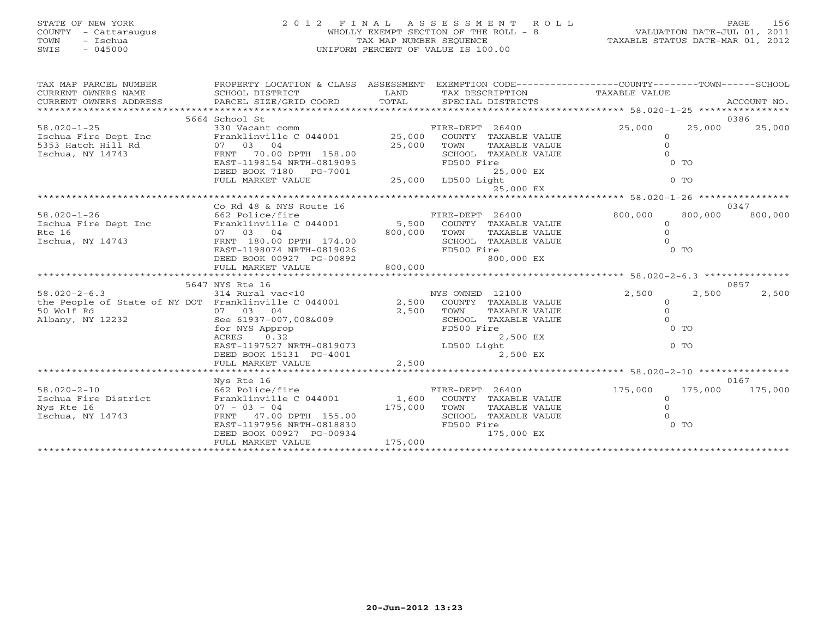# STATE OF NEW YORK 2 0 1 2 F I N A L A S S E S S M E N T R O L L PAGE 156 COUNTY - Cattaraugus WHOLLY EXEMPT SECTION OF THE ROLL - 8 VALUATION DATE-JUL 01, 2011 TOWN - Ischua TAX MAP NUMBER SEQUENCE TAXABLE STATUS DATE-MAR 01, 2012 SWIS - 045000 UNIFORM PERCENT OF VALUE IS 100.00

| TAX MAP PARCEL NUMBER                                                                                                                                                                                                                  | PROPERTY LOCATION & CLASS ASSESSMENT<br>" HIM HOWSEN MANE SOURCEL SURFICT LAND TAXAGEMENT OWNERS NAME SCHOOL DISTRICT SOURCEL LAND TAXA DESCRIPTION TAXABLE VALUE<br>ENT OWNERS ADDRESS PARCEL SIZE/GRID COORD TOTAL SPECIAL DISTRICTS ACCOUNT NO.<br>********************** |         | EXEMPTION CODE-----------------COUNTY-------TOWN------SCHOOL                                                               |                                                              |                |                         |
|----------------------------------------------------------------------------------------------------------------------------------------------------------------------------------------------------------------------------------------|------------------------------------------------------------------------------------------------------------------------------------------------------------------------------------------------------------------------------------------------------------------------------|---------|----------------------------------------------------------------------------------------------------------------------------|--------------------------------------------------------------|----------------|-------------------------|
|                                                                                                                                                                                                                                        | 5664 School St                                                                                                                                                                                                                                                               |         |                                                                                                                            |                                                              |                | 0386                    |
| 330 Vacant comm<br>1990 - 1991 - 25 130 Vacant comm<br>1990 - 1991 - 1991 - 1991 - 1991 - 1991 - 1991 - 1991 - 1991 - 1991 - 1991 - 1991 - 1991 - 1991 - 1991 - 199<br>1991 - 1991 - 1992 - 1992 - 1993 - 1993 - 1993 - 1994 - 1994    |                                                                                                                                                                                                                                                                              |         |                                                                                                                            | 25,000<br>$\circ$                                            | 25,000         | 25,000                  |
|                                                                                                                                                                                                                                        |                                                                                                                                                                                                                                                                              |         |                                                                                                                            | $\Omega$<br>$\Omega$                                         |                |                         |
|                                                                                                                                                                                                                                        | EAST-1198154 NRTH-0819095<br>DEED BOOK 7180 PG-7001<br>FULL MARKET VALUE                                                                                                                                                                                                     |         | FD500 Fire<br>25,000 EX<br>$25,000$ LD500 Light                                                                            | $0$ TO                                                       | $0$ TO         |                         |
|                                                                                                                                                                                                                                        |                                                                                                                                                                                                                                                                              |         | 25,000 EX                                                                                                                  |                                                              |                |                         |
|                                                                                                                                                                                                                                        |                                                                                                                                                                                                                                                                              |         |                                                                                                                            |                                                              |                |                         |
|                                                                                                                                                                                                                                        | Co Rd 48 & NYS Route 16                                                                                                                                                                                                                                                      |         |                                                                                                                            |                                                              |                | 0347                    |
| $58.020 - 1 - 26$<br>1991 Ischua Fire Dept Inc 16<br>Rte 16<br>1992 Ischua, NY 14743<br>1992 Ischua, NY 14743<br>1992 OU DPTH 174.00<br>1993 OU DPTH 174.00<br>1993 OU DPTH 174.00<br>1994 BOO,000<br>1990,000<br>SCHOOL TAXABLE VALUE | 662 Police/fire                                                                                                                                                                                                                                                              |         | FIRE-DEPT 26400                                                                                                            | 800,000<br>$\circ$<br>$\mathbf{0}$<br>$\Omega$               | 800,000        | 800,000                 |
|                                                                                                                                                                                                                                        | EAST-1198074 NRTH-0819026<br>DEED BOOK 00927 PG-00892<br>FULL MARKET VALUE                                                                                                                                                                                                   | 800,000 | FD500 Fire<br>800,000 EX                                                                                                   |                                                              | 0 <sub>T</sub> |                         |
|                                                                                                                                                                                                                                        |                                                                                                                                                                                                                                                                              |         |                                                                                                                            |                                                              |                |                         |
|                                                                                                                                                                                                                                        |                                                                                                                                                                                                                                                                              |         |                                                                                                                            |                                                              |                | 0857                    |
|                                                                                                                                                                                                                                        | ACRES 0.32 2,500 EAST-1197527 NRTH-0819073 LD500 Light                                                                                                                                                                                                                       |         | 2,500 EX                                                                                                                   | 2,500<br>$\circ$<br>$\Omega$<br>$\Omega$<br>$0$ TO<br>$0$ TO | 2,500          | 2,500                   |
|                                                                                                                                                                                                                                        | DEED BOOK 15131 PG-4001<br>FULL MARKET VALUE                                                                                                                                                                                                                                 | 2,500   |                                                                                                                            |                                                              |                |                         |
|                                                                                                                                                                                                                                        |                                                                                                                                                                                                                                                                              |         |                                                                                                                            |                                                              |                |                         |
| $58.020 - 2 - 10$<br>Ischua Fire District Franklinville C 044001<br>Nys Rte 16<br>Ischua, NY 14743                                                                                                                                     | Nys Rte 16<br>662 Police/fire<br>$1,600$<br>FRNT 47.00 DPTH 155.00<br>EAST-1197956 NPTH 0011<br>DEED BOOK 00927 PG-00934                                                                                                                                                     |         | FIRE-DEPT 26400<br>1,600 COUNTY TAXABLE VALUE<br>TOWN<br>TAXABLE VALUE<br>SCHOOL TAXABLE VALUE<br>FD500 Fire<br>175,000 EX | 175,000<br>$\circ$<br>$\Omega$<br>$0$ TO                     |                | 0167<br>175,000 175,000 |
|                                                                                                                                                                                                                                        | FULL MARKET VALUE                                                                                                                                                                                                                                                            | 175,000 |                                                                                                                            |                                                              |                |                         |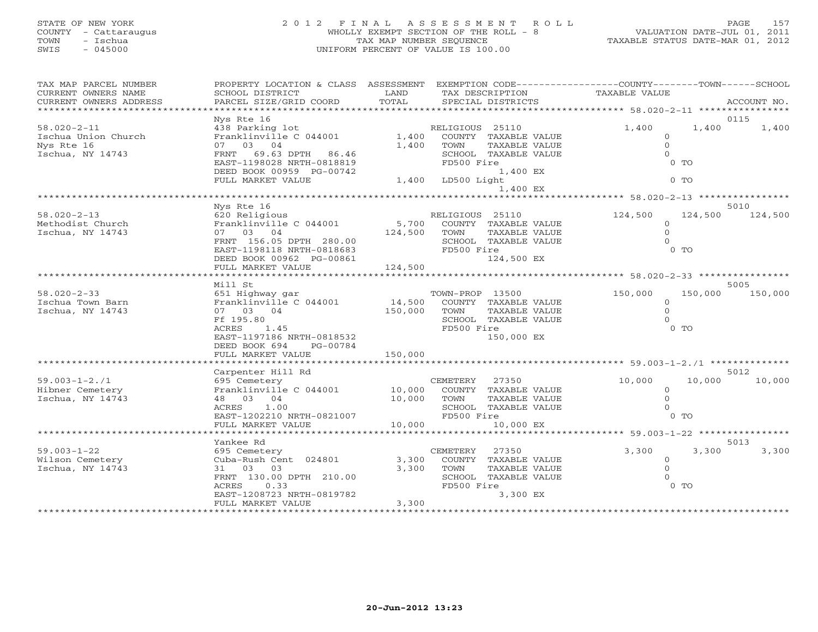# STATE OF NEW YORK 2 0 1 2 F I N A L A S S E S S M E N T R O L L PAGE 157 COUNTY - Cattaraugus WHOLLY EXEMPT SECTION OF THE ROLL - 8 VALUATION DATE-JUL 01, 2011 TOWN - Ischua TAX MAP NUMBER SEQUENCE TAXABLE STATUS DATE-MAR 01, 2012 SWIS - 045000 UNIFORM PERCENT OF VALUE IS 100.00

| TAX MAP PARCEL NUMBER  | PROPERTY LOCATION & CLASS ASSESSMENT                             |              |                             | EXEMPTION CODE-----------------COUNTY-------TOWN------SCHOOL |                    |
|------------------------|------------------------------------------------------------------|--------------|-----------------------------|--------------------------------------------------------------|--------------------|
| CURRENT OWNERS NAME    | SCHOOL DISTRICT                                                  | LAND         | TAX DESCRIPTION             | TAXABLE VALUE                                                |                    |
| CURRENT OWNERS ADDRESS | PARCEL SIZE/GRID COORD                                           | TOTAL        | SPECIAL DISTRICTS           |                                                              | ACCOUNT NO.        |
|                        | **********************                                           |              |                             |                                                              |                    |
|                        | Nys Rte 16                                                       |              |                             |                                                              | 0115               |
| $58.020 - 2 - 11$      | 438 Parking lot                                                  |              | RELIGIOUS 25110             | 1,400                                                        | 1,400<br>1,400     |
| Ischua Union Church    | Franklinville C 044001                                           | 1,400        | COUNTY TAXABLE VALUE        | $\Omega$                                                     |                    |
| Nys Rte 16             | 07 03 04                                                         | 1,400        | TOWN<br>TAXABLE VALUE       | $\circ$                                                      |                    |
| Ischua, NY 14743       | FRNT 69.63 DPTH 86.46                                            |              | SCHOOL TAXABLE VALUE        | $\Omega$                                                     |                    |
|                        | EAST-1198028 NRTH-0818819                                        |              | FD500 Fire                  | $0$ TO                                                       |                    |
|                        | DEED BOOK 00959 PG-00742                                         |              | 1,400 EX                    |                                                              |                    |
|                        | FULL MARKET VALUE                                                |              | 1,400 LD500 Light           | $0$ TO                                                       |                    |
|                        |                                                                  |              | 1,400 EX                    |                                                              |                    |
|                        |                                                                  |              |                             |                                                              |                    |
|                        | Nys Rte 16                                                       |              |                             |                                                              | 5010               |
| $58.020 - 2 - 13$      | 620 Religious                                                    |              | RELIGIOUS 25110             | 124,500                                                      | 124,500<br>124,500 |
| Methodist Church       | Franklinville C 044001                                           | 5,700        | COUNTY TAXABLE VALUE        | $\Omega$                                                     |                    |
| Ischua, NY 14743       | 07 03 04                                                         | 124,500 TOWN | TAXABLE VALUE               | $\Omega$                                                     |                    |
|                        | FRNT 156.05 DPTH 280.00                                          |              | SCHOOL TAXABLE VALUE        | $\cap$                                                       |                    |
|                        | EAST-1198118 NRTH-0818683                                        |              | FD500 Fire                  | $0$ TO                                                       |                    |
|                        | DEED BOOK 00962 PG-00861                                         |              | 124,500 EX                  |                                                              |                    |
|                        | FULL MARKET VALUE                                                | 124,500      |                             |                                                              |                    |
|                        | *******************                                              |              |                             |                                                              |                    |
|                        | Mill St                                                          |              |                             |                                                              | 5005               |
| $58.020 - 2 - 33$      | 651 Highway gar                                                  |              | TOWN-PROP 13500             | 150,000                                                      | 150,000<br>150,000 |
| Ischua Town Barn       | Franklinville C 044001                                           |              | 14,500 COUNTY TAXABLE VALUE | $\Omega$                                                     |                    |
| Ischua, NY 14743       | 07 03 04                                                         | 150,000      | TAXABLE VALUE<br>TOWN       | $\Omega$                                                     |                    |
|                        | Ff 195.80                                                        |              | SCHOOL TAXABLE VALUE        | $\Omega$                                                     |                    |
|                        | 1.45<br>ACRES                                                    |              | FD500 Fire                  | $0$ TO                                                       |                    |
|                        | EAST-1197186 NRTH-0818532                                        |              | 150,000 EX                  |                                                              |                    |
|                        | PG-00784                                                         |              |                             |                                                              |                    |
|                        | DEED BOOK 694                                                    |              |                             |                                                              |                    |
|                        | FULL MARKET VALUE                                                |              |                             |                                                              |                    |
|                        |                                                                  |              |                             |                                                              |                    |
|                        | Carpenter Hill Rd                                                |              |                             |                                                              | 5012               |
| $59.003 - 1 - 2.71$    | 695 Cemetery                                                     |              | CEMETERY<br>27350           | 10,000                                                       | 10,000<br>10,000   |
| Hibner Cemetery        | 833 Cemetery<br>Franklinville C 044001 10,000<br>18 03 04 10,000 |              | COUNTY TAXABLE VALUE        | $\circ$                                                      |                    |
| Ischua, NY 14743       |                                                                  |              | TOWN<br>TAXABLE VALUE       | $\Omega$                                                     |                    |
|                        | 1.00<br>ACRES                                                    |              | SCHOOL TAXABLE VALUE        | $\Omega$                                                     |                    |
|                        | EAST-1202210 NRTH-0821007                                        |              | FD500 Fire                  | $0$ TO                                                       |                    |
|                        | FULL MARKET VALUE                                                | 10,000       | 10,000 EX                   |                                                              |                    |
|                        | ********************                                             |              |                             |                                                              |                    |
|                        | Yankee Rd                                                        |              |                             |                                                              | 5013               |
| $59.003 - 1 - 22$      | 695 Cemetery                                                     |              | CEMETERY<br>27350           | 3,300                                                        | 3,300<br>3,300     |
| Wilson Cemetery        | Cuba-Rush Cent 024801                                            | 3,300        | COUNTY TAXABLE VALUE        | $\circ$                                                      |                    |
| Ischua, NY 14743       | 31 03 03                                                         | 3,300        | TAXABLE VALUE<br>TOWN       | $\Omega$                                                     |                    |
|                        | FRNT 130.00 DPTH 210.00                                          |              | SCHOOL TAXABLE VALUE        | $\Omega$                                                     |                    |
|                        | ACRES<br>0.33                                                    |              | FD500 Fire                  | $0$ TO                                                       |                    |
|                        | EAST-1208723 NRTH-0819782                                        |              | 3,300 EX                    |                                                              |                    |
|                        | FULL MARKET VALUE                                                | 3,300        |                             |                                                              |                    |
|                        |                                                                  |              |                             |                                                              |                    |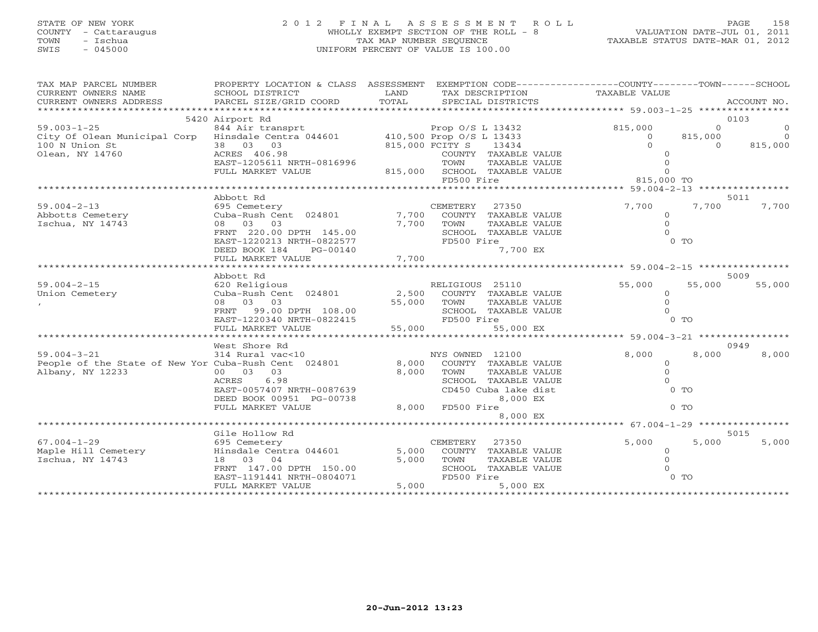# STATE OF NEW YORK 2 0 1 2 F I N A L A S S E S S M E N T R O L L PAGE 158 COUNTY - Cattaraugus WHOLLY EXEMPT SECTION OF THE ROLL - 8 VALUATION DATE-JUL 01, 2011 TOWN - Ischua TAX MAP NUMBER SEQUENCE TAXABLE STATUS DATE-MAR 01, 2012 SWIS - 045000 UNIFORM PERCENT OF VALUE IS 100.00

| TAX MAP PARCEL NUMBER<br>CURRENT OWNERS NAME                                        | PROPERTY LOCATION & CLASS ASSESSMENT<br>SCHOOL DISTRICT | LAND            |                  | TAX DESCRIPTION                  | EXEMPTION CODE-----------------COUNTY-------TOWN------SCHOOL<br>TAXABLE VALUE |                           |                |
|-------------------------------------------------------------------------------------|---------------------------------------------------------|-----------------|------------------|----------------------------------|-------------------------------------------------------------------------------|---------------------------|----------------|
| CURRENT OWNERS ADDRESS                                                              | PARCEL SIZE/GRID COORD                                  | TOTAL           |                  | SPECIAL DISTRICTS                |                                                                               |                           | ACCOUNT NO.    |
| *************************                                                           |                                                         |                 |                  |                                  |                                                                               |                           |                |
|                                                                                     | 5420 Airport Rd                                         |                 |                  |                                  |                                                                               |                           | 0103           |
| 99.003-1-25<br>City Of Olean Municipal Corp Hinsdale Centra 044601 Prop O/S L 13433 |                                                         |                 |                  |                                  | 815,000                                                                       | $\overline{0}$            | $\overline{0}$ |
|                                                                                     |                                                         |                 |                  |                                  | $\overline{0}$<br>$\bigcap$                                                   | 815,000<br>$\overline{0}$ |                |
| 100 N Union St                                                                      | 38 03 03<br>ACRES 406 98                                | 815,000 FCITY S |                  | 13434                            |                                                                               |                           | 815,000        |
| Olean, NY 14760                                                                     | ACRES 406.98                                            |                 |                  | COUNTY TAXABLE VALUE             |                                                                               |                           |                |
|                                                                                     | EAST-1205611 NRTH-0816996<br>FULL MARKET VALUE          |                 | TOWN             | TAXABLE VALUE                    | $\mathbf{O}$                                                                  |                           |                |
|                                                                                     |                                                         |                 | FD500 Fire       | 815,000 SCHOOL TAXABLE VALUE     | 815,000 TO                                                                    |                           |                |
|                                                                                     |                                                         |                 |                  |                                  |                                                                               |                           |                |
|                                                                                     | Abbott Rd                                               |                 |                  |                                  |                                                                               |                           | 5011           |
| $59.004 - 2 - 13$                                                                   | 695 Cemetery                                            |                 | CEMETERY         | 27350                            | 7,700                                                                         | 7,700                     | 7,700          |
| Abbotts Cemetery                                                                    | Cuba-Rush Cent 024801                                   | 7,700           |                  | COUNTY TAXABLE VALUE             | $\Omega$                                                                      |                           |                |
| Ischua, NY 14743                                                                    | 08 03 03                                                | 7,700           | TOWN             | TAXABLE VALUE                    | $\circ$                                                                       |                           |                |
|                                                                                     | FRNT 220.00 DPTH 145.00                                 |                 |                  | SCHOOL TAXABLE VALUE             | $\Omega$                                                                      |                           |                |
|                                                                                     | EAST-1220213 NRTH-0822577                               |                 | FD500 Fire       |                                  |                                                                               | $0$ TO                    |                |
|                                                                                     | DEED BOOK 184<br>PG-00140                               |                 |                  | 7,700 EX                         |                                                                               |                           |                |
|                                                                                     | FULL MARKET VALUE                                       | 7,700           |                  |                                  |                                                                               |                           |                |
|                                                                                     |                                                         |                 |                  |                                  |                                                                               |                           |                |
|                                                                                     | Abbott Rd                                               |                 |                  |                                  |                                                                               |                           | 5009           |
| $59.004 - 2 - 15$                                                                   | 620 Religious                                           |                 | RELIGIOUS 25110  |                                  | 55,000                                                                        | 55,000                    | 55,000         |
| Union Cemetery                                                                      | Cuba-Rush Cent 024801                                   | 2,500           |                  | COUNTY TAXABLE VALUE             | $\Omega$                                                                      |                           |                |
|                                                                                     | 08 03 03                                                | 55,000          | TOWN             | TAXABLE VALUE                    | $\circ$                                                                       |                           |                |
|                                                                                     | FRNT 99.00 DPTH 108.00                                  |                 |                  | SCHOOL TAXABLE VALUE             | $\Omega$                                                                      |                           |                |
|                                                                                     | EAST-1220340 NRTH-0822415                               |                 | FD500 Fire       |                                  |                                                                               | $0$ TO                    |                |
|                                                                                     | FULL MARKET VALUE                                       | 55,000          |                  | 55,000 EX                        |                                                                               |                           |                |
|                                                                                     |                                                         |                 |                  |                                  | ********************* 59.004-3-21 *****************                           |                           |                |
|                                                                                     | West Shore Rd                                           |                 |                  |                                  |                                                                               |                           | 0949           |
| $59.004 - 3 - 21$                                                                   | 314 Rural vac<10                                        |                 | NYS OWNED 12100  |                                  | 8,000                                                                         | 8,000                     | 8,000          |
| People of the State of New Yor Cuba-Rush Cent 024801                                |                                                         | 8,000           |                  | COUNTY TAXABLE VALUE             | $\circ$                                                                       |                           |                |
| Albany, NY 12233                                                                    | 00 03 03                                                | 8,000           | TOWN             | TAXABLE VALUE                    | $\circ$                                                                       |                           |                |
|                                                                                     | ACRES<br>6.98                                           |                 |                  | SCHOOL TAXABLE VALUE             |                                                                               | $0$ TO                    |                |
|                                                                                     | EAST-0057407 NRTH-0087639<br>DEED BOOK 00951 PG-00738   |                 |                  | CD450 Cuba lake dist<br>8,000 EX |                                                                               |                           |                |
|                                                                                     | FULL MARKET VALUE                                       |                 | 8,000 FD500 Fire |                                  |                                                                               | 0 <sub>0</sub>            |                |
|                                                                                     |                                                         |                 |                  | 8,000 EX                         |                                                                               |                           |                |
|                                                                                     |                                                         |                 |                  |                                  |                                                                               |                           |                |
|                                                                                     | Gile Hollow Rd                                          |                 |                  |                                  |                                                                               |                           | 5015           |
| $67.004 - 1 - 29$                                                                   | 695 Cemetery                                            |                 | CEMETERY         | 27350                            | 5,000                                                                         | 5,000                     | 5,000          |
| Maple Hill Cemetery                                                                 | Hinsdale Centra 044601                                  | 5,000           |                  | COUNTY TAXABLE VALUE             | $\circ$                                                                       |                           |                |
| Ischua, NY 14743                                                                    | 18 03 04                                                | 5,000           | TOWN             | TAXABLE VALUE                    | $\Omega$                                                                      |                           |                |
|                                                                                     | FRNT 147.00 DPTH 150.00                                 |                 |                  | SCHOOL TAXABLE VALUE             | $\Omega$                                                                      |                           |                |
|                                                                                     | EAST-1191441 NRTH-0804071                               |                 | FD500 Fire       |                                  |                                                                               | $0$ TO                    |                |
|                                                                                     | FULL MARKET VALUE                                       | 5,000           |                  | 5,000 EX                         |                                                                               |                           |                |
|                                                                                     |                                                         |                 |                  |                                  |                                                                               |                           |                |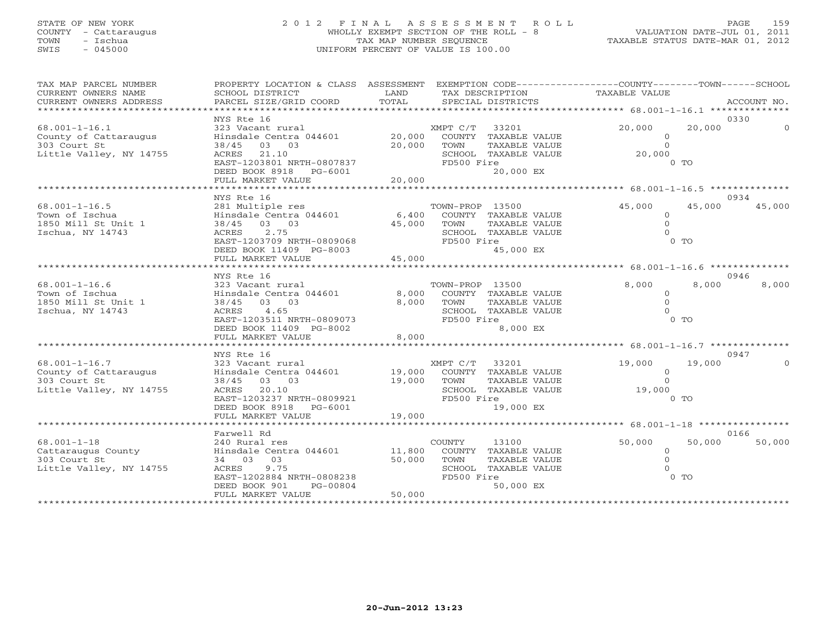# STATE OF NEW YORK 2 0 1 2 F I N A L A S S E S S M E N T R O L L PAGE 159 COUNTY - Cattaraugus WHOLLY EXEMPT SECTION OF THE ROLL - 8 VALUATION DATE-JUL 01, 2011 TOWN - Ischua TAX MAP NUMBER SEQUENCE TAXABLE STATUS DATE-MAR 01, 2012 SWIS - 045000 UNIFORM PERCENT OF VALUE IS 100.00

| TAX MAP PARCEL NUMBER<br>CURRENT OWNERS NAME<br>CURRENT OWNERS ADDRESS | PROPERTY LOCATION & CLASS ASSESSMENT<br>SCHOOL DISTRICT<br>PARCEL SIZE/GRID COORD | LAND<br>TOTAL | TAX DESCRIPTION<br>SPECIAL DISTRICTS | EXEMPTION CODE-----------------COUNTY-------TOWN------SCHOOL<br>TAXABLE VALUE | ACCOUNT NO.        |
|------------------------------------------------------------------------|-----------------------------------------------------------------------------------|---------------|--------------------------------------|-------------------------------------------------------------------------------|--------------------|
|                                                                        | NYS Rte 16                                                                        |               |                                      |                                                                               | 0330               |
| $68.001 - 1 - 16.1$                                                    | 323 Vacant rural                                                                  |               | XMPT C/T 33201                       | 20,000                                                                        | 20,000<br>$\Omega$ |
| County of Cattaraugus                                                  | Hinsdale Centra 044601                                                            | 20,000        | COUNTY TAXABLE VALUE                 |                                                                               | $\Omega$           |
| 303 Court St                                                           | 38/45 03 03                                                                       | 20,000        | TOWN<br>TAXABLE VALUE                |                                                                               | $\circ$            |
| Little Valley, NY 14755                                                | 21.10<br>ACRES                                                                    |               | SCHOOL TAXABLE VALUE                 | 20,000                                                                        |                    |
|                                                                        | EAST-1203801 NRTH-0807837                                                         |               | FD500 Fire                           |                                                                               | $0$ TO             |
|                                                                        | DEED BOOK 8918 PG-6001<br>FULL MARKET VALUE                                       | 20,000        | 20,000 EX                            |                                                                               |                    |
|                                                                        | ************************                                                          |               |                                      |                                                                               |                    |
|                                                                        | NYS Rte 16                                                                        |               |                                      |                                                                               | 0934               |
| $68.001 - 1 - 16.5$                                                    | 281 Multiple res                                                                  |               | TOWN-PROP 13500                      | 45,000                                                                        | 45,000<br>45,000   |
| Town of Ischua                                                         | Hinsdale Centra 044601                                                            | 6,400         | COUNTY TAXABLE VALUE                 |                                                                               | $\circ$            |
| 1850 Mill St Unit 1                                                    | 38/45 03 03                                                                       | 45,000        | TOWN<br>TAXABLE VALUE                |                                                                               | $\Omega$           |
| Ischua, NY 14743                                                       | ACRES<br>2.75                                                                     |               | SCHOOL TAXABLE VALUE                 |                                                                               | $\Omega$           |
|                                                                        | EAST-1203709 NRTH-0809068                                                         |               | FD500 Fire                           |                                                                               | 0 <sub>T</sub>     |
|                                                                        | DEED BOOK 11409 PG-8003                                                           |               | 45,000 EX                            |                                                                               |                    |
|                                                                        | FULL MARKET VALUE                                                                 | 45,000        |                                      |                                                                               |                    |
|                                                                        |                                                                                   |               |                                      |                                                                               |                    |
|                                                                        | NYS Rte 16                                                                        |               |                                      |                                                                               | 0946               |
| $68.001 - 1 - 16.6$                                                    | 323 Vacant rural                                                                  |               | TOWN-PROP 13500                      | 8,000                                                                         | 8,000<br>8,000     |
| Town of Ischua                                                         | Hinsdale Centra 044601                                                            | 8,000         | COUNTY TAXABLE VALUE                 |                                                                               | $\Omega$           |
| 1850 Mill St Unit 1                                                    | 38/45 03 03                                                                       | 8,000         | TAXABLE VALUE<br>TOWN                |                                                                               | $\Omega$           |
| Ischua, NY 14743                                                       | 4.65<br>ACRES                                                                     |               | SCHOOL TAXABLE VALUE                 |                                                                               | $\Omega$           |
|                                                                        | EAST-1203511 NRTH-0809073                                                         |               | FD500 Fire                           |                                                                               | 0 <sub>T</sub>     |
|                                                                        | DEED BOOK 11409 PG-8002                                                           |               | 8,000 EX                             |                                                                               |                    |
|                                                                        | FULL MARKET VALUE                                                                 | 8,000         |                                      |                                                                               |                    |
|                                                                        |                                                                                   |               |                                      |                                                                               |                    |
|                                                                        | NYS Rte 16                                                                        |               |                                      |                                                                               | 0947               |
| $68.001 - 1 - 16.7$                                                    | 323 Vacant rural                                                                  |               | XMPT C/T 33201                       | 19,000                                                                        | 19,000<br>$\Omega$ |
| County of Cattaraugus                                                  | Hinsdale Centra 044601                                                            | 19,000        | COUNTY TAXABLE VALUE                 |                                                                               | $\circ$            |
| 303 Court St                                                           | 38/45 03 03                                                                       | 19,000        | TOWN<br>TAXABLE VALUE                |                                                                               | $\Omega$           |
| Little Valley, NY 14755                                                | ACRES 20.10<br>EAST-1203237 NRTH-0809921                                          |               | SCHOOL TAXABLE VALUE<br>FD500 Fire   | 19,000                                                                        | $0$ TO             |
|                                                                        | DEED BOOK 8918 PG-6001                                                            |               | 19,000 EX                            |                                                                               |                    |
|                                                                        | FULL MARKET VALUE                                                                 | 19,000        |                                      |                                                                               |                    |
|                                                                        |                                                                                   |               |                                      |                                                                               |                    |
|                                                                        | Farwell Rd                                                                        |               |                                      |                                                                               | 0166               |
| $68.001 - 1 - 18$                                                      | 240 Rural res                                                                     |               | COUNTY<br>13100                      | 50,000                                                                        | 50,000<br>50,000   |
| Cattaraugus County                                                     | Hinsdale Centra 044601                                                            | 11,800        | COUNTY TAXABLE VALUE                 |                                                                               | $\circ$            |
| 303 Court St                                                           | 34 03 03                                                                          | 50,000        | TOWN<br>TAXABLE VALUE                |                                                                               | $\Omega$           |
| Little Valley, NY 14755                                                | ACRES<br>9.75                                                                     |               | SCHOOL TAXABLE VALUE                 |                                                                               | $\cap$             |
|                                                                        | EAST-1202884 NRTH-0808238                                                         |               | FD500 Fire                           |                                                                               | $0$ TO             |
|                                                                        | DEED BOOK 901<br>PG-00804                                                         |               | 50,000 EX                            |                                                                               |                    |
|                                                                        | FULL MARKET VALUE                                                                 | 50,000        |                                      |                                                                               |                    |
|                                                                        |                                                                                   |               |                                      |                                                                               |                    |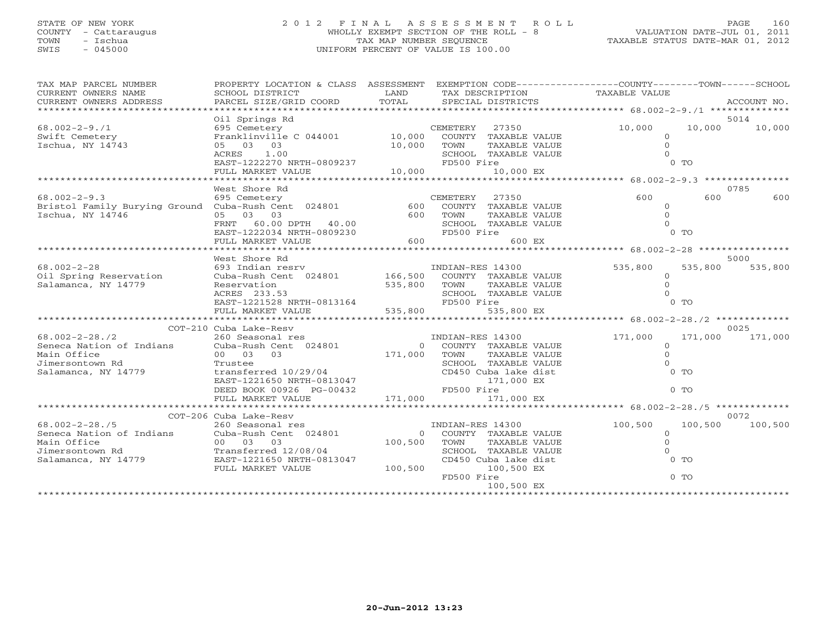# STATE OF NEW YORK 2 0 1 2 F I N A L A S S E S S M E N T R O L L PAGE 160 COUNTY - Cattaraugus WHOLLY EXEMPT SECTION OF THE ROLL - 8 VALUATION DATE-JUL 01, 2011 TOWN - Ischua TAX MAP NUMBER SEQUENCE TAXABLE STATUS DATE-MAR 01, 2012 SWIS - 045000 UNIFORM PERCENT OF VALUE IS 100.00

| TAX MAP PARCEL NUMBER                                   | PROPERTY LOCATION & CLASS ASSESSMENT EXEMPTION CODE---------------COUNTY-------TOWN------SCHOOL |                     |                               |                         |             |
|---------------------------------------------------------|-------------------------------------------------------------------------------------------------|---------------------|-------------------------------|-------------------------|-------------|
| CURRENT OWNERS NAME                                     | SCHOOL DISTRICT                                                                                 | LAND                | TAX DESCRIPTION TAXABLE VALUE |                         |             |
| CURRENT OWNERS ADDRESS                                  | PARCEL SIZE/GRID COORD                                                                          | TOTAL               | SPECIAL DISTRICTS             |                         | ACCOUNT NO. |
|                                                         |                                                                                                 |                     |                               |                         |             |
|                                                         | Oil Springs Rd                                                                                  |                     |                               |                         | 5014        |
| $68.002 - 2 - 9.71$                                     | 695 Cemetery                                                                                    |                     | CEMETERY<br>27350             | 10,000<br>10,000        | 10,000      |
| Swift Cemetery                                          | Franklinville C 044001 10,000                                                                   |                     | COUNTY TAXABLE VALUE          | $\Omega$                |             |
| Ischua, NY 14743                                        | 05 03 03                                                                                        | 10,000              | TOWN<br>TAXABLE VALUE         | $\Omega$                |             |
|                                                         | ACRES 1.00                                                                                      |                     | SCHOOL TAXABLE VALUE          |                         |             |
|                                                         | EAST-1222270 NRTH-0809237                                                                       |                     | FD500 Fire                    | $0$ TO                  |             |
|                                                         | FULL MARKET VALUE                                                                               | 10,000              | 10,000 EX                     |                         |             |
|                                                         |                                                                                                 |                     |                               |                         |             |
|                                                         | West Shore Rd                                                                                   |                     |                               |                         | 0785        |
| $68.002 - 2 - 9.3$                                      | 695 Cemetery                                                                                    |                     | 27350<br>CEMETERY             | 600<br>600              | 600         |
| Bristol Family Burying Ground Cuba-Rush Cent 024801     |                                                                                                 | 600                 | COUNTY TAXABLE VALUE          | $\circ$                 |             |
| Ischua, NY 14746                                        | 05 03 03                                                                                        | 600                 | TOWN<br>TAXABLE VALUE         | $\Omega$                |             |
|                                                         | 60.00 DPTH 40.00<br>FRNT                                                                        |                     | SCHOOL TAXABLE VALUE          |                         |             |
|                                                         | EAST-1222034 NRTH-0809230                                                                       |                     | FD500 Fire                    | $0$ TO                  |             |
|                                                         | FULL MARKET VALUE                                                                               | 600                 | 600 EX                        |                         |             |
|                                                         |                                                                                                 |                     |                               |                         |             |
|                                                         | West Shore Rd                                                                                   |                     |                               |                         | 5000        |
| $68.002 - 2 - 28$                                       |                                                                                                 |                     | INDIAN-RES 14300              | 535,800<br>535,800      | 535,800     |
| Oil Spring Reservation                                  | 693 Indian resrv<br>Cuba-Rush Cent 024801 166,500                                               |                     | COUNTY TAXABLE VALUE          | $\Omega$                |             |
| Salamanca, NY 14779                                     | Reservation                                                                                     | 535,800             | TOWN<br>TAXABLE VALUE         | $\Omega$                |             |
|                                                         | ACRES 233.53                                                                                    |                     | SCHOOL TAXABLE VALUE          |                         |             |
|                                                         | EAST-1221528 NRTH-0813164                                                                       |                     | FD500 Fire                    | $0$ TO                  |             |
|                                                         | FULL MARKET VALUE                                                                               | 535,800             | 535,800 EX                    |                         |             |
|                                                         | *****************************                                                                   |                     |                               |                         |             |
|                                                         | COT-210 Cuba Lake-Resv                                                                          |                     |                               |                         | 0025        |
| $68.002 - 2 - 28.72$                                    | 260 Seasonal res                                                                                |                     | INDIAN-RES 14300              | 171,000<br>171,000      | 171,000     |
| Seneca Nation of Indians                                | Cuba-Rush Cent 024801                                                                           | $\overline{0}$      | COUNTY TAXABLE VALUE          | $\circ$                 |             |
| Main Office                                             | 03<br>00 03                                                                                     | 171,000             | TOWN<br>TAXABLE VALUE         | $\Omega$                |             |
| Jimersontown Rd                                         | Trustee                                                                                         |                     | SCHOOL TAXABLE VALUE          | $\Omega$                |             |
| Salamanca, NY 14779                                     | transferred 10/29/04                                                                            |                     | CD450 Cuba lake dist          | $0$ TO                  |             |
|                                                         | EAST-1221650 NRTH-0813047                                                                       |                     | 171,000 EX                    |                         |             |
|                                                         | DEED BOOK 00926 PG-00432                                                                        |                     | FD500 Fire                    | $0$ TO                  |             |
|                                                         | FULL MARKET VALUE                                                                               | 171,000             | 171,000 EX                    |                         |             |
|                                                         |                                                                                                 |                     |                               |                         |             |
|                                                         | COT-206 Cuba Lake-Resv                                                                          |                     |                               |                         | 0072        |
| $68.002 - 2 - 28.75$                                    | 260 Seasonal res                                                                                |                     | INDIAN-RES 14300              | 100,500<br>100,500      | 100,500     |
|                                                         |                                                                                                 |                     |                               |                         |             |
| Seneca Nation of Indians<br>Main Office                 | Cuba-Rush Cent 024801                                                                           | $\Omega$<br>100,500 | COUNTY TAXABLE VALUE          | $\circ$<br>$\mathbf{0}$ |             |
|                                                         | 00 03 03                                                                                        |                     | TOWN<br>TAXABLE VALUE         | $\Omega$                |             |
| ------ >----><br>Jimersontown Rd<br>Salamanca, NY 14779 | Transferred 12/08/04                                                                            |                     | SCHOOL TAXABLE VALUE          |                         |             |
|                                                         | EAST-1221650 NRTH-0813047                                                                       |                     | CD450 Cuba lake dist          | $0$ TO                  |             |
|                                                         | FULL MARKET VALUE                                                                               | 100,500             | 100,500 EX                    |                         |             |
|                                                         |                                                                                                 |                     | FD500 Fire                    | $0$ TO                  |             |
|                                                         |                                                                                                 |                     | 100,500 EX                    |                         |             |
|                                                         |                                                                                                 |                     |                               |                         |             |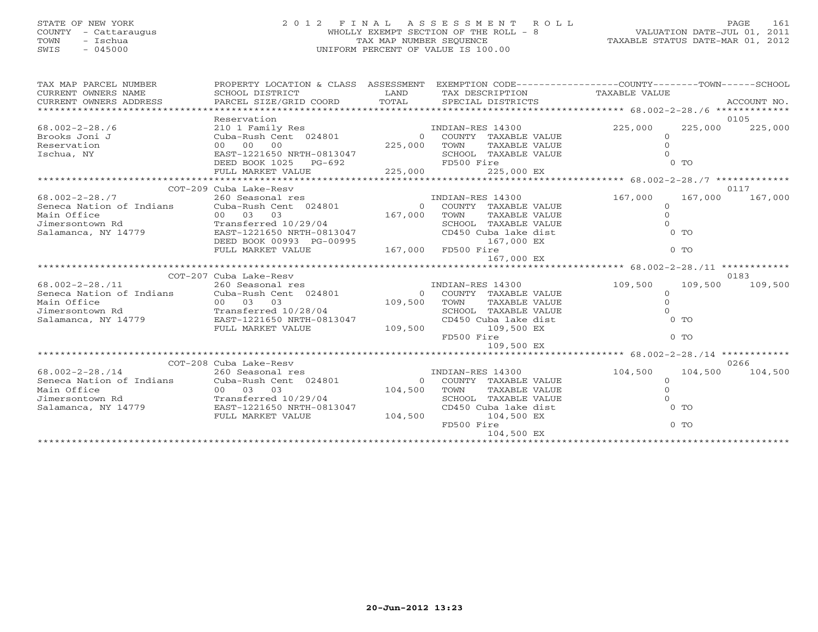# STATE OF NEW YORK 2 0 1 2 F I N A L A S S E S S M E N T R O L L PAGE 161 COUNTY - Cattaraugus WHOLLY EXEMPT SECTION OF THE ROLL - 8 VALUATION DATE-JUL 01, 2011 TOWN - Ischua TAX MAP NUMBER SEQUENCE TAXABLE STATUS DATE-MAR 01, 2012 SWIS - 045000 UNIFORM PERCENT OF VALUE IS 100.00

| TAX MAP PARCEL NUMBER<br>CURRENT OWNERS NAME<br>CURRENT OWNERS ADDRESS | PROPERTY LOCATION & CLASS ASSESSMENT EXEMPTION CODE---------------COUNTY-------TOWN------SCHOOL<br>SCHOOL DISTRICT<br>PARCEL SIZE/GRID COORD | LAND<br>TOTAL            | TAX DESCRIPTION TAXABLE VALUE<br>SPECIAL DISTRICTS            |                |                | ACCOUNT NO.     |
|------------------------------------------------------------------------|----------------------------------------------------------------------------------------------------------------------------------------------|--------------------------|---------------------------------------------------------------|----------------|----------------|-----------------|
|                                                                        | Reservation                                                                                                                                  |                          |                                                               |                |                | 0105            |
| $68.002 - 2 - 28.76$                                                   | 210 1 Family Res                                                                                                                             |                          | INDIAN-RES 14300                                              | 225,000        | 225,000        | 225,000         |
| Brooks Joni J                                                          | Cuba-Rush Cent 024801                                                                                                                        | $\Omega$                 | COUNTY TAXABLE VALUE                                          | $\Omega$       |                |                 |
| Reservation                                                            | 00 00 00                                                                                                                                     | 225,000                  | TOWN<br>TAXABLE VALUE                                         | $\mathbf{0}$   |                |                 |
| Ischua, NY                                                             | EAST-1221650 NRTH-0813047                                                                                                                    |                          | SCHOOL TAXABLE VALUE                                          |                |                |                 |
|                                                                        | DEED BOOK 1025 PG-692                                                                                                                        |                          | FD500 Fire                                                    |                | $0$ TO         |                 |
|                                                                        | FULL MARKET VALUE                                                                                                                            | 225,000<br>************* | 225,000 EX                                                    |                |                |                 |
|                                                                        |                                                                                                                                              |                          |                                                               |                |                |                 |
| $68.002 - 2 - 28.77$                                                   | COT-209 Cuba Lake-Resy<br>260 Seasonal res                                                                                                   |                          | INDIAN-RES 14300                                              | 167,000        | 167,000        | 0117<br>167,000 |
| Seneca Nation of Indians                                               | Cuba-Rush Cent 024801                                                                                                                        | $\overline{0}$           | COUNTY TAXABLE VALUE                                          | $\Omega$       |                |                 |
| Main Office                                                            | 00 03 03                                                                                                                                     |                          | TOWN<br>TAXABLE VALUE                                         | $\Omega$       |                |                 |
| Jimersontown Rd                                                        | Transferred 10/29/04                                                                                                                         | 167,000                  | SCHOOL TAXABLE VALUE                                          | $\Omega$       |                |                 |
| Salamanca, NY 14779                                                    | EAST-1221650 NRTH-0813047                                                                                                                    |                          | CD450 Cuba lake dist                                          |                | $0$ TO         |                 |
|                                                                        | DEED BOOK 00993 PG-00995                                                                                                                     |                          | 167,000 EX                                                    |                |                |                 |
|                                                                        | FULL MARKET VALUE                                                                                                                            | 167,000                  | FD500 Fire                                                    |                | $0$ TO         |                 |
|                                                                        |                                                                                                                                              |                          | 167,000 EX                                                    |                |                |                 |
|                                                                        |                                                                                                                                              |                          | ******************************** 68.002-2-28./11 ************ |                |                |                 |
|                                                                        | COT-207 Cuba Lake-Resy                                                                                                                       |                          |                                                               |                |                | 0183            |
| $68.002 - 2 - 28.711$                                                  | 260 Seasonal res                                                                                                                             |                          | INDIAN-RES 14300                                              | 109,500        | 109,500        | 109,500         |
| Seneca Nation of Indians                                               | Cuba-Rush Cent 024801                                                                                                                        | $\Omega$                 | COUNTY TAXABLE VALUE                                          | $\overline{0}$ |                |                 |
| Main Office                                                            | 00 03 03                                                                                                                                     | 109,500                  | TOWN<br>TAXABLE VALUE                                         | $\Omega$       |                |                 |
| Jimersontown Rd                                                        | Transferred 10/28/04                                                                                                                         |                          | SCHOOL TAXABLE VALUE                                          |                |                |                 |
| Salamanca, NY 14779                                                    | EAST-1221650 NRTH-0813047                                                                                                                    |                          | CD450 Cuba lake dist                                          |                | $0$ TO         |                 |
|                                                                        | FULL MARKET VALUE                                                                                                                            | 109,500                  | 109,500 EX                                                    |                |                |                 |
|                                                                        |                                                                                                                                              |                          | FD500 Fire                                                    |                | 0 <sub>0</sub> |                 |
|                                                                        |                                                                                                                                              |                          | 109,500 EX                                                    |                |                |                 |
|                                                                        |                                                                                                                                              |                          |                                                               |                |                |                 |
|                                                                        | COT-208 Cuba Lake-Resy                                                                                                                       |                          |                                                               |                |                | 0266            |
| $68.002 - 2 - 28.714$                                                  | 260 Seasonal res                                                                                                                             |                          | INDIAN-RES 14300                                              | 104,500        | 104,500        | 104,500         |
| Seneca Nation of Indians                                               | Cuba-Rush Cent 024801                                                                                                                        |                          | 0 COUNTY TAXABLE VALUE                                        | $\circ$        |                |                 |
| Main Office                                                            | 00 03 03                                                                                                                                     | 104,500                  | TAXABLE VALUE<br>TOWN                                         | $\Omega$       |                |                 |
| Jimersontown Rd                                                        | Transferred 10/29/04                                                                                                                         |                          | SCHOOL TAXABLE VALUE                                          |                |                |                 |
| Salamanca, NY 14779                                                    | EAST-1221650 NRTH-0813047                                                                                                                    |                          | CD450 Cuba lake dist                                          |                | $0$ To         |                 |
|                                                                        | FULL MARKET VALUE                                                                                                                            | 104,500                  | 104,500 EX                                                    |                |                |                 |
|                                                                        |                                                                                                                                              |                          | FD500 Fire                                                    |                | $0$ TO         |                 |
|                                                                        |                                                                                                                                              |                          | 104,500 EX                                                    |                |                |                 |
|                                                                        |                                                                                                                                              |                          |                                                               |                |                |                 |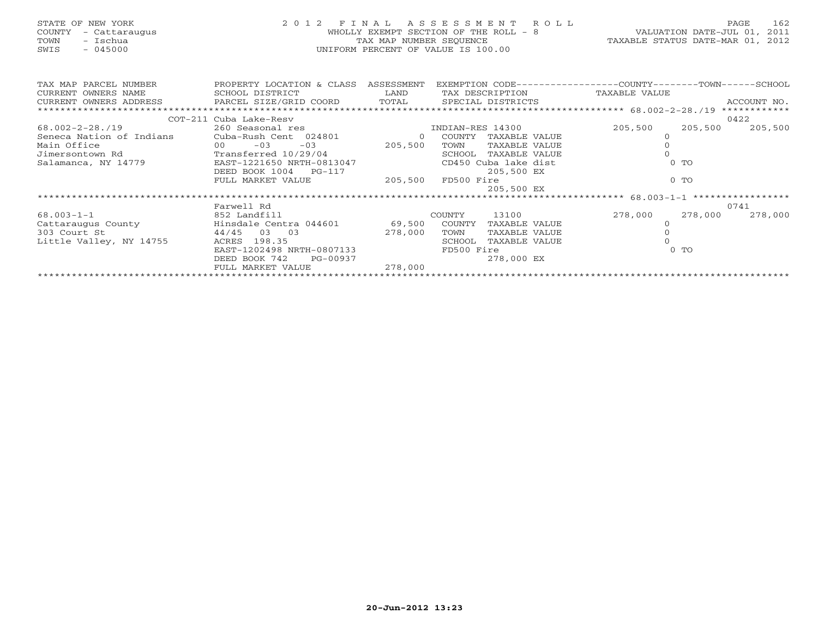| STATE OF NEW YORK<br>COUNTY<br>- Cattaraugus<br>- Ischua<br>TOWN<br>$-045000$<br>SWIS | 2 0 1 2                   | F T N A L<br>TAX MAP NUMBER SEQUENCE | A S S E S S M E N T<br>R O L L<br>WHOLLY EXEMPT SECTION OF THE ROLL - 8<br>UNIFORM PERCENT OF VALUE IS 100.00 | 162<br>PAGE<br>2011<br>VALUATION DATE-JUL 01,<br>TAXABLE STATUS DATE-MAR 01,<br>2012 |
|---------------------------------------------------------------------------------------|---------------------------|--------------------------------------|---------------------------------------------------------------------------------------------------------------|--------------------------------------------------------------------------------------|
| TAX MAP PARCEL NUMBER                                                                 | PROPERTY LOCATION & CLASS | ASSESSMENT                           |                                                                                                               | EXEMPTION CODE----------------COUNTY-------TOWN------SCHOOL                          |
| CURRENT OWNERS NAME                                                                   | SCHOOL DISTRICT           | LAND                                 | TAX DESCRIPTION                                                                                               | TAXABLE VALUE                                                                        |
| CURRENT OWNERS ADDRESS                                                                | PARCEL SIZE/GRID COORD    | TOTAL                                | SPECIAL DISTRICTS                                                                                             | ACCOUNT NO.                                                                          |
|                                                                                       |                           |                                      |                                                                                                               | ************                                                                         |
|                                                                                       | COT-211 Cuba Lake-Resy    |                                      |                                                                                                               | 0422                                                                                 |
| $68.002 - 2 - 28.719$                                                                 | 260 Seasonal res          |                                      | INDIAN-RES 14300                                                                                              | 205,500<br>205,500<br>205,500                                                        |
| Seneca Nation of Indians                                                              | Cuba-Rush Cent 024801     | $\Omega$                             | COUNTY<br>TAXABLE VALUE                                                                                       |                                                                                      |
| Main Office                                                                           | $-03$<br>00<br>$-03$      | 205,500                              | TOWN<br>TAXABLE VALUE                                                                                         |                                                                                      |
| Jimersontown Rd                                                                       | Transferred 10/29/04      |                                      | SCHOOL<br>TAXABLE VALUE                                                                                       |                                                                                      |
| Salamanca, NY 14779                                                                   | EAST-1221650 NRTH-0813047 |                                      | CD450 Cuba lake dist                                                                                          | $0$ TO                                                                               |
|                                                                                       | DEED BOOK 1004<br>PG-117  |                                      | 205,500 EX                                                                                                    |                                                                                      |
|                                                                                       | FULL MARKET VALUE         | 205,500                              | FD500 Fire                                                                                                    | $0$ TO                                                                               |
|                                                                                       |                           |                                      | 205,500 EX                                                                                                    |                                                                                      |
|                                                                                       |                           |                                      |                                                                                                               |                                                                                      |

|                         |                           |         |               |               | $     -$ |         |         |
|-------------------------|---------------------------|---------|---------------|---------------|----------|---------|---------|
|                         | Farwell Rd                |         |               |               |          |         | 0741    |
| $68.003 - 1 - 1$        | 852 Landfill              |         | <b>COUNTY</b> | 13100         | 278,000  | 278,000 | 278,000 |
| Cattaraugus County      | Hinsdale Centra 044601    | 69,500  | COUNTY        | TAXABLE VALUE |          |         |         |
| 303 Court St            | 44/45<br>- 0.3<br>03      | 278,000 | TOWN          | TAXABLE VALUE |          |         |         |
| Little Valley, NY 14755 | ACRES 198.35              |         | SCHOOL        | TAXABLE VALUE |          |         |         |
|                         | EAST-1202498 NRTH-0807133 |         | FD500 Fire    |               |          | $0$ TO  |         |
|                         | DEED BOOK 742<br>PG-00937 |         |               | 278,000 EX    |          |         |         |
|                         | FULL MARKET VALUE         | 278,000 |               |               |          |         |         |
|                         |                           |         |               |               |          |         |         |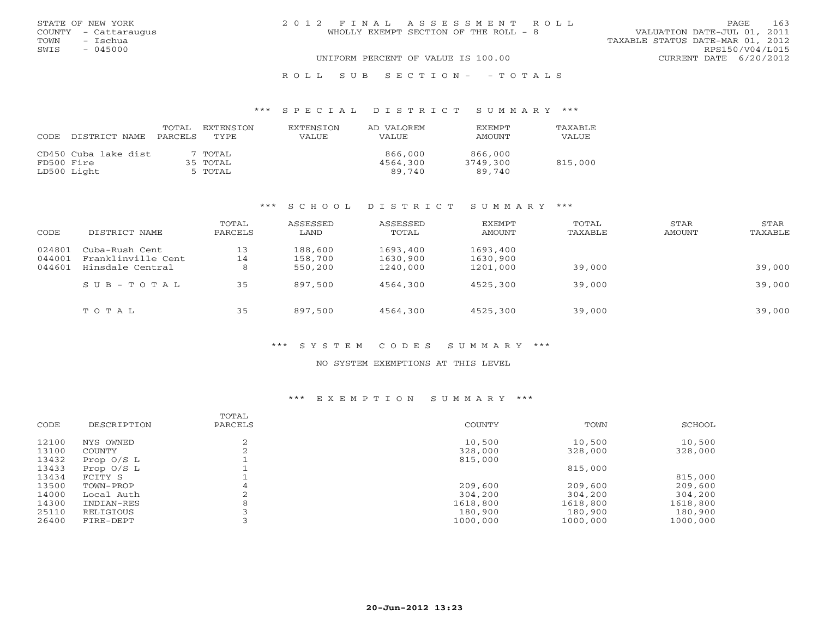| STATE OF NEW YORK<br>COUNTY - Cattaraugus<br>– Ischua<br>TOWN | 2012 FINAL ASSESSMENT ROLL<br>WHOLLY EXEMPT SECTION OF THE ROLL - 8 | 163<br><b>PAGE</b><br>VALUATION DATE-JUL 01, 2011<br>TAXABLE STATUS DATE-MAR 01, 2012 |
|---------------------------------------------------------------|---------------------------------------------------------------------|---------------------------------------------------------------------------------------|
| - 045000<br>SWIS                                              | UNIFORM PERCENT OF VALUE IS 100.00                                  | RPS150/V04/L015<br>CURRENT DATE 6/20/2012                                             |

#### R O L L S U B S E C T I O N - - T O T A L S

### \*\*\* S P E C I A L D I S T R I C T S U M M A R Y \*\*\*

| CODE       | DISTRICT NAME        | TOTAL<br>PARCELS | <b>EXTENSION</b><br>TYPE | <b>EXTENSION</b><br><b>VALUE</b> | AD VALOREM<br><b>VALUE</b> | EXEMPT<br><b>AMOUNT</b> | <b>TAXABLE</b><br>VALUE |
|------------|----------------------|------------------|--------------------------|----------------------------------|----------------------------|-------------------------|-------------------------|
|            | CD450 Cuba lake dist |                  | 7 TOTAL                  |                                  | 866,000                    | 866,000                 |                         |
| FD500 Fire |                      |                  | 35 TOTAL                 |                                  | 4564,300                   | 3749,300                | 815,000                 |
|            | LD500 Light          |                  | 5 TOTAL                  |                                  | 89,740                     | 89,740                  |                         |

### \*\*\* S C H O O L D I S T R I C T S U M M A R Y \*\*\*

| CODE   | DISTRICT NAME           | TOTAL<br>PARCELS | ASSESSED<br>LAND | ASSESSED<br>TOTAL | EXEMPT<br>AMOUNT | TOTAL<br>TAXABLE | STAR<br>AMOUNT | STAR<br>TAXABLE |
|--------|-------------------------|------------------|------------------|-------------------|------------------|------------------|----------------|-----------------|
| 024801 | Cuba-Rush Cent          | 13               | 188,600          | 1693,400          | 1693,400         |                  |                |                 |
| 044001 | Franklinville Cent      | 14               | 158,700          | 1630,900          | 1630,900         |                  |                |                 |
| 044601 | Hinsdale Central        | 8                | 550,200          | 1240,000          | 1201,000         | 39,000           |                | 39,000          |
|        | $S \cup B - T \cup T A$ | 35               | 897,500          | 4564,300          | 4525,300         | 39,000           |                | 39,000          |
|        | TOTAL                   | 35               | 897,500          | 4564,300          | 4525,300         | 39,000           |                | 39,000          |

### \*\*\* S Y S T E M C O D E S S U M M A R Y \*\*\*

### NO SYSTEM EXEMPTIONS AT THIS LEVEL

### \*\*\* E X E M P T I O N S U M M A R Y \*\*\*

|       |              | TOTAL   |               |          |          |
|-------|--------------|---------|---------------|----------|----------|
| CODE  | DESCRIPTION  | PARCELS | <b>COUNTY</b> | TOWN     | SCHOOL   |
| 12100 | NYS OWNED    | ↷       | 10,500        | 10,500   | 10,500   |
| 13100 | COUNTY       |         | 328,000       | 328,000  | 328,000  |
| 13432 | Prop $0/S$ L |         | 815,000       |          |          |
| 13433 | Prop 0/S L   |         |               | 815,000  |          |
| 13434 | FCITY S      |         |               |          | 815,000  |
| 13500 | TOWN-PROP    | 4       | 209,600       | 209,600  | 209,600  |
| 14000 | Local Auth   |         | 304,200       | 304,200  | 304,200  |
| 14300 | INDIAN-RES   | 8       | 1618,800      | 1618,800 | 1618,800 |
| 25110 | RELIGIOUS    |         | 180,900       | 180,900  | 180,900  |
| 26400 | FIRE-DEPT    |         | 1000,000      | 1000,000 | 1000,000 |
|       |              |         |               |          |          |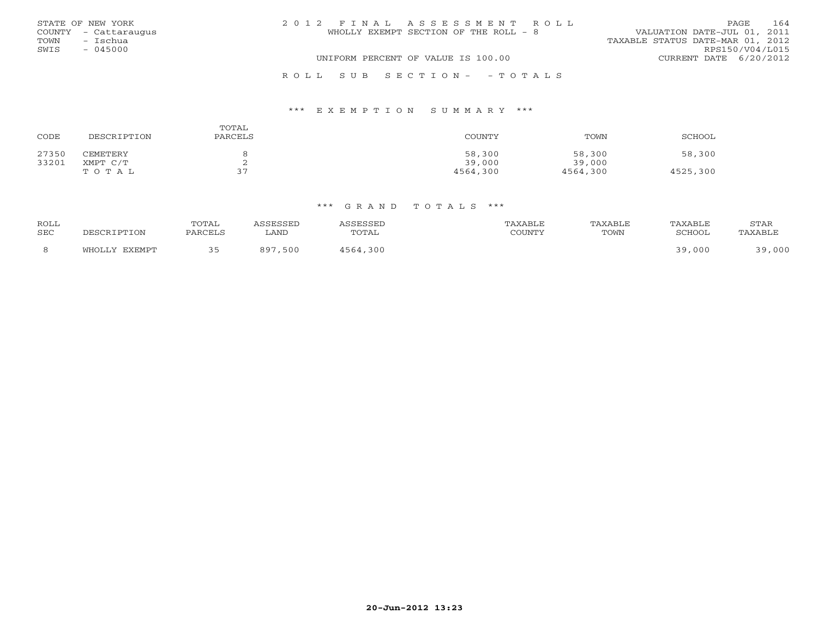|      | STATE OF NEW YORK    | 2012 FINAL ASSESSMENT ROLL            | 164<br><b>PAGE</b>               |
|------|----------------------|---------------------------------------|----------------------------------|
|      | COUNTY - Cattaraugus | WHOLLY EXEMPT SECTION OF THE ROLL - 8 | VALUATION DATE-JUL 01, 2011      |
| TOWN | - Ischua             |                                       | TAXABLE STATUS DATE-MAR 01, 2012 |
| SWIS | $-045000$            |                                       | RPS150/V04/L015                  |
|      |                      | UNIFORM PERCENT OF VALUE IS 100.00    | CURRENT DATE 6/20/2012           |
|      |                      | ROLL SUB SECTION- - TOTALS            |                                  |

### \*\*\* E X E M P T I O N S U M M A R Y \*\*\*

| CODE  | DESCRIPTION | TOTAL<br>PARCELS | COUNTY   | TOWN     | SCHOOL   |
|-------|-------------|------------------|----------|----------|----------|
| 27350 | CEMETERY    |                  | 58,300   | 58,300   | 58,300   |
| 33201 | XMPT C/T    | ▵                | 39,000   | 39,000   |          |
|       | TOTAL       | 37               | 4564,300 | 4564,300 | 4525,300 |

| <b>ROLL</b><br><b>SEC</b> |         | UTAL | ∟AND | $\Box$ חר $\Box$ | TOWN |     | STAR |
|---------------------------|---------|------|------|------------------|------|-----|------|
|                           | ר דוויי |      | 500  | n c              |      | nni | 000  |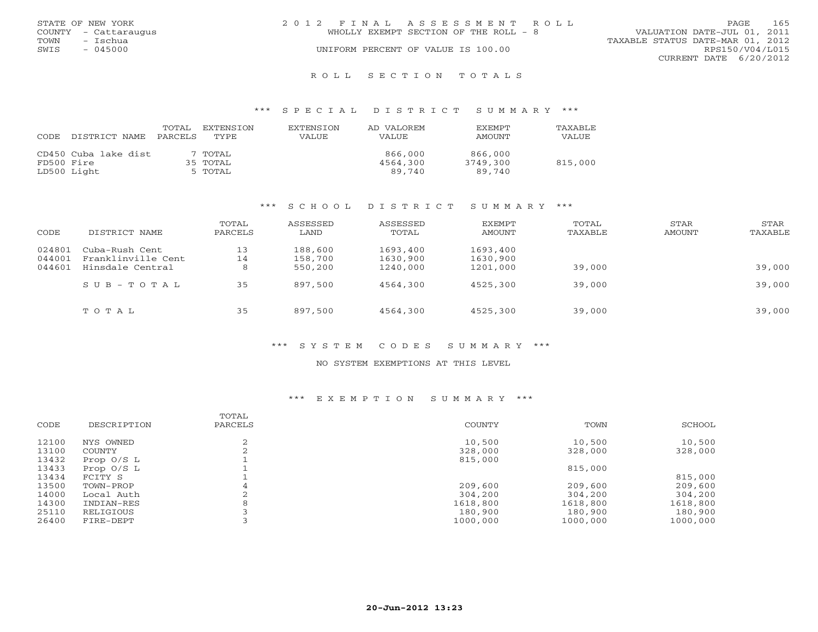|      | STATE OF NEW YORK    | 2012 FINAL ASSESSMENT ROLL |                                       |                                  | PAGE.                  | 165 |
|------|----------------------|----------------------------|---------------------------------------|----------------------------------|------------------------|-----|
|      | COUNTY - Cattaraugus |                            | WHOLLY EXEMPT SECTION OF THE ROLL - 8 | VALUATION DATE-JUL 01, 2011      |                        |     |
| TOWN | - Ischua             |                            |                                       | TAXABLE STATUS DATE-MAR 01, 2012 |                        |     |
| SWIS | $-045000$            |                            | UNIFORM PERCENT OF VALUE IS 100.00    |                                  | RPS150/V04/L015        |     |
|      |                      |                            |                                       |                                  | CURRENT DATE 6/20/2012 |     |
|      |                      |                            |                                       |                                  |                        |     |

### R O L L S E C T I O N T O T A L S

### \*\*\* S P E C I A L D I S T R I C T S U M M A R Y \*\*\*

| CODE       | DISTRICT NAME        | TOTAL<br>PARCELS | EXTENSTON<br>TYPE | EXTENSION<br>VALUE | AD VALOREM<br><b>VALUE</b> | <b>EXEMPT</b><br>AMOUNT | TAXABLE<br>VALUE |
|------------|----------------------|------------------|-------------------|--------------------|----------------------------|-------------------------|------------------|
|            | CD450 Cuba lake dist |                  | 7 TOTAL           |                    | 866,000                    | 866,000                 |                  |
| FD500 Fire |                      |                  | 35 TOTAL          |                    | 4564,300                   | 3749,300                | 815,000          |
|            | LD500 Light          |                  | 5 TOTAL           |                    | 89,740                     | 89,740                  |                  |

### \*\*\* S C H O O L D I S T R I C T S U M M A R Y \*\*\*

| CODE   | DISTRICT NAME           | TOTAL<br>PARCELS | ASSESSED<br>LAND | ASSESSED<br>TOTAL | EXEMPT<br>AMOUNT | TOTAL<br>TAXABLE | STAR<br>AMOUNT | STAR<br>TAXABLE |
|--------|-------------------------|------------------|------------------|-------------------|------------------|------------------|----------------|-----------------|
| 024801 | Cuba-Rush Cent          | 13               | 188,600          | 1693,400          | 1693,400         |                  |                |                 |
| 044001 | Franklinville Cent      | 14               | 158,700          | 1630,900          | 1630,900         |                  |                |                 |
| 044601 | Hinsdale Central        | 8                | 550,200          | 1240,000          | 1201,000         | 39,000           |                | 39,000          |
|        | $S \cup B - T \cup T A$ | 35               | 897,500          | 4564,300          | 4525,300         | 39,000           |                | 39,000          |
|        | TOTAL                   | 35               | 897,500          | 4564,300          | 4525,300         | 39,000           |                | 39,000          |

### \*\*\* S Y S T E M C O D E S S U M M A R Y \*\*\*

### NO SYSTEM EXEMPTIONS AT THIS LEVEL

### \*\*\* E X E M P T I O N S U M M A R Y \*\*\*

|       |              | TOTAL   |          |          |          |
|-------|--------------|---------|----------|----------|----------|
| CODE  | DESCRIPTION  | PARCELS | COUNTY   | TOWN     | SCHOOL   |
| 12100 | NYS OWNED    | ⌒       | 10,500   | 10,500   | 10,500   |
| 13100 | COUNTY       |         | 328,000  | 328,000  | 328,000  |
| 13432 | Prop $0/S$ L |         | 815,000  |          |          |
| 13433 | Prop $0/S$ L |         |          | 815,000  |          |
| 13434 | FCITY S      |         |          |          | 815,000  |
| 13500 | TOWN-PROP    | 4       | 209,600  | 209,600  | 209,600  |
| 14000 | Local Auth   |         | 304,200  | 304,200  | 304,200  |
| 14300 | INDIAN-RES   | 8       | 1618,800 | 1618,800 | 1618,800 |
| 25110 | RELIGIOUS    |         | 180,900  | 180,900  | 180,900  |
| 26400 | FIRE-DEPT    |         | 1000,000 | 1000,000 | 1000,000 |
|       |              |         |          |          |          |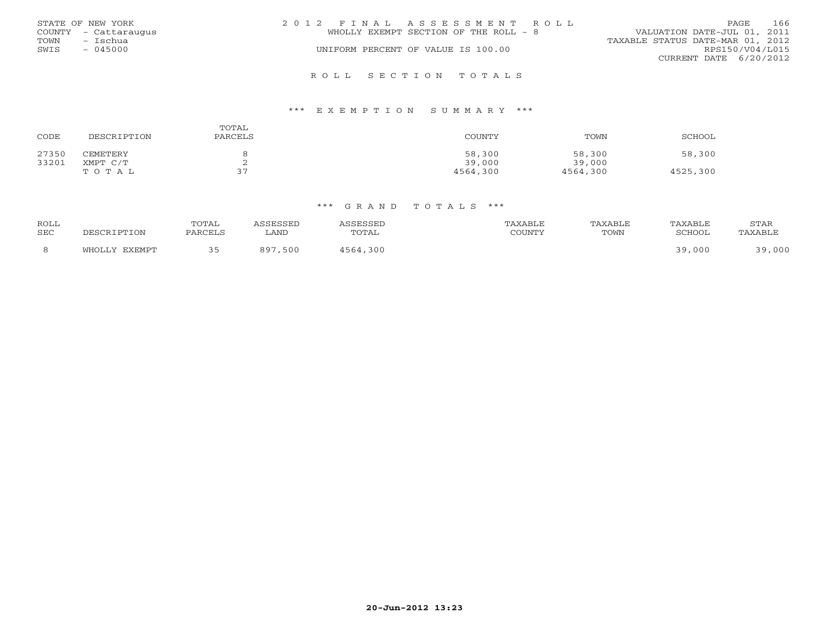|      | STATE OF NEW YORK    | 2012 FINAL ASSESSMENT ROLL            | PAGE.                            | 166 |
|------|----------------------|---------------------------------------|----------------------------------|-----|
|      | COUNTY - Cattaraugus | WHOLLY EXEMPT SECTION OF THE ROLL - 8 | VALUATION DATE-JUL 01, 2011      |     |
| TOWN | – Ischua             |                                       | TAXABLE STATUS DATE-MAR 01, 2012 |     |
| SWIS | $-045000$            | UNIFORM PERCENT OF VALUE IS 100.00    | RPS150/V04/L015                  |     |
|      |                      |                                       | CURRENT DATE 6/20/2012           |     |
|      |                      |                                       |                                  |     |

### R O L L S E C T I O N T O T A L S

### \*\*\* E X E M P T I O N S U M M A R Y \*\*\*

| CODE  | DESCRIPTION | TOTAL<br>PARCELS | COUNTY   | TOWN     | SCHOOL   |
|-------|-------------|------------------|----------|----------|----------|
| 27350 | CEMETERY    |                  | 58,300   | 58,300   | 58,300   |
| 33201 | XMPT C/T    | ▵                | 39,000   | 39,000   |          |
|       | TOTAL       | 37               | 4564,300 | 4564,300 | 4525,300 |

| <b>ROLL</b> |               | TOTAL   | ASSESSED    | ASSESSED | TAXABLE | TAXABLE | TAXABLE | STAR    |
|-------------|---------------|---------|-------------|----------|---------|---------|---------|---------|
| <b>SEC</b>  | DESCRIPTION   | PARCELS | LAND        | TOTAL    | COUNTY  | TOWN    | SCHOOL  | TAXABLE |
| -8          | WHOLLY EXEMPT |         | ,500<br>897 | 4564,300 |         |         | 39,000  | ,000    |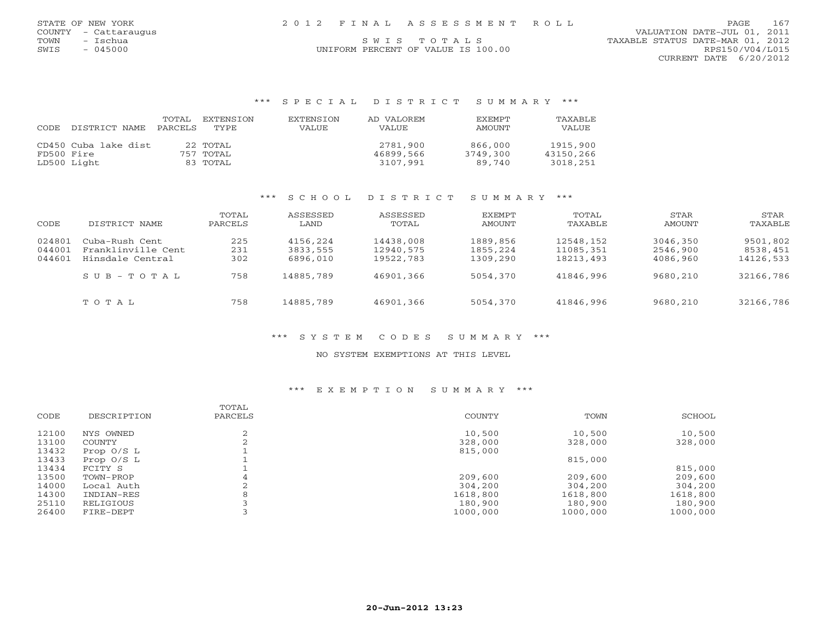|      | STATE OF NEW YORK    |  | 2012 FINAL ASSESSMENT ROLL |                                  | PAGE | 167 |
|------|----------------------|--|----------------------------|----------------------------------|------|-----|
|      | COUNTY - Cattaraugus |  |                            | VALUATION DATE-JUL 01, 2011      |      |     |
| TOWN | ™schua               |  | SWTS TOTALS                | TAXABLE STATUS DATE-MAR 01, 2012 |      |     |

SWIS - 045000 CONTRORM PERCENT OF VALUE IS 100.00 CONTRORM PERCENT OF VALUE IS 100.00 CURRENT DATE 6/20/2012

### \*\*\* S P E C I A L D I S T R I C T S U M M A R Y \*\*\*

| CODE       | DISTRICT NAME        | TOTAL<br>PARCELS | EXTENSTON<br>TYPE | <b>EXTENSION</b><br><b>VALUE</b> | AD VALOREM<br><b>VALUE</b> | <b>EXEMPT</b><br>AMOUNT | TAXABLE<br>VALUE |
|------------|----------------------|------------------|-------------------|----------------------------------|----------------------------|-------------------------|------------------|
|            | CD450 Cuba lake dist |                  | 22 TOTAL          |                                  | 2781,900                   | 866,000                 | 1915,900         |
| FD500 Fire |                      |                  | 757 TOTAL         |                                  | 46899,566                  | 3749,300                | 43150,266        |
|            | LD500 Light          |                  | 83 TOTAL          |                                  | 3107,991                   | 89.740                  | 3018,251         |

### \*\*\* S C H O O L D I S T R I C T S U M M A R Y \*\*\*

| CODE   | DISTRICT NAME      | TOTAL<br>PARCELS | ASSESSED<br>LAND | ASSESSED<br>TOTAL | EXEMPT<br>AMOUNT | TOTAL<br>TAXABLE | STAR<br>AMOUNT | STAR<br>TAXABLE |
|--------|--------------------|------------------|------------------|-------------------|------------------|------------------|----------------|-----------------|
| 024801 | Cuba-Rush Cent     | 225              | 4156,224         | 14438,008         | 1889,856         | 12548,152        | 3046,350       | 9501,802        |
| 044001 | Franklinville Cent | 231              | 3833,555         | 12940,575         | 1855,224         | 11085,351        | 2546,900       | 8538,451        |
| 044601 | Hinsdale Central   | 302              | 6896,010         | 19522,783         | 1309,290         | 18213,493        | 4086,960       | 14126,533       |
|        | SUB-TOTAL          | 758              | 14885,789        | 46901,366         | 5054,370         | 41846,996        | 9680,210       | 32166,786       |
|        | TOTAL              | 758              | 14885,789        | 46901,366         | 5054,370         | 41846,996        | 9680,210       | 32166,786       |

### \*\*\* S Y S T E M C O D E S S U M M A R Y \*\*\*

### NO SYSTEM EXEMPTIONS AT THIS LEVEL

### \*\*\* E X E M P T I O N S U M M A R Y \*\*\*

| CODE  | DESCRIPTION  | TOTAL<br>PARCELS | <b>COUNTY</b> | TOWN     | SCHOOL   |
|-------|--------------|------------------|---------------|----------|----------|
| 12100 | NYS OWNED    |                  | 10,500        | 10,500   | 10,500   |
| 13100 | COUNTY       |                  | 328,000       | 328,000  | 328,000  |
| 13432 | Prop $0/S$ L |                  | 815,000       |          |          |
| 13433 | Prop $0/S$ L |                  |               | 815,000  |          |
| 13434 | FCITY S      |                  |               |          | 815,000  |
| 13500 | TOWN-PROP    | 4                | 209,600       | 209,600  | 209,600  |
| 14000 | Local Auth   |                  | 304,200       | 304,200  | 304,200  |
| 14300 | INDIAN-RES   |                  | 1618,800      | 1618,800 | 1618,800 |
| 25110 | RELIGIOUS    |                  | 180,900       | 180,900  | 180,900  |
| 26400 | FIRE-DEPT    |                  | 1000,000      | 1000,000 | 1000,000 |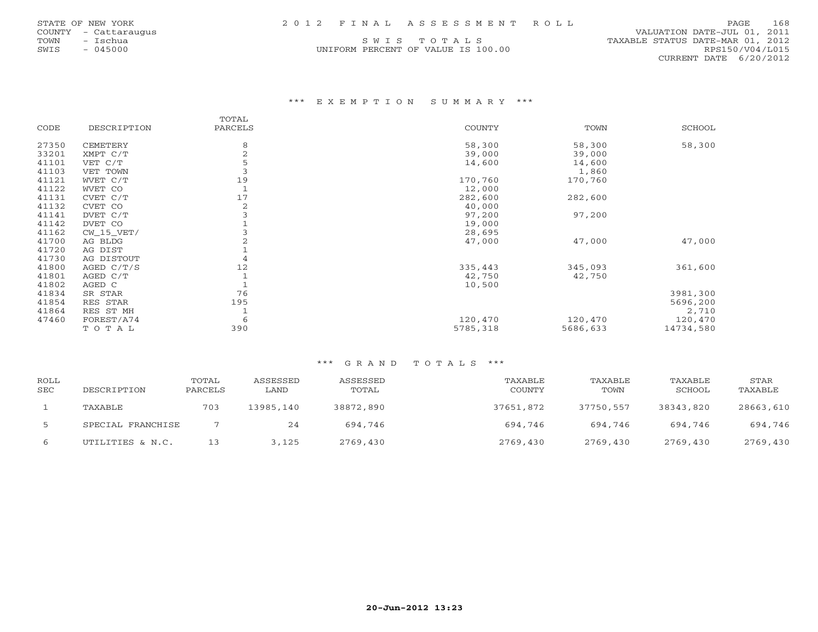| STATE OF NEW YORK    |  | 2012 FINAL ASSESSMENT ROLL | PAGE                        | 168 |
|----------------------|--|----------------------------|-----------------------------|-----|
| COUNTY - Cattaraugus |  |                            | VALUATION DATE-JUL 01, 2011 |     |

TOWN - ISChua S W I S T O T A L S<br>
SWIS - 045000 - SWIS - 045000 - SWIS - 045000 - SWIS - 045000 - SWIS - 045000 - SWIS - 045000 - SWIS - 045000 UNIFORM PERCENT OF VALUE IS 100.00 RPS150/V04/L015 CURRENT DATE 6/20/2012

### \*\*\* E X E M P T I O N S U M M A R Y \*\*\*

|       |              | TOTAL          |               |          |               |
|-------|--------------|----------------|---------------|----------|---------------|
| CODE  | DESCRIPTION  | PARCELS        | <b>COUNTY</b> | TOWN     | <b>SCHOOL</b> |
| 27350 | CEMETERY     | 8              | 58,300        | 58,300   | 58,300        |
| 33201 | XMPT C/T     | $\overline{2}$ | 39,000        | 39,000   |               |
| 41101 | VET C/T      | 5              | 14,600        | 14,600   |               |
| 41103 | VET TOWN     |                |               | 1,860    |               |
| 41121 | WVET C/T     | 19             | 170,760       | 170,760  |               |
| 41122 | WVET CO      |                | 12,000        |          |               |
| 41131 | CVET C/T     | 17             | 282,600       | 282,600  |               |
| 41132 | CVET CO      | 2              | 40,000        |          |               |
| 41141 | DVET C/T     |                | 97,200        | 97,200   |               |
| 41142 | DVET CO      |                | 19,000        |          |               |
| 41162 | $CW_15_VET/$ |                | 28,695        |          |               |
| 41700 | AG BLDG      | 2              | 47,000        | 47,000   | 47,000        |
| 41720 | AG DIST      |                |               |          |               |
| 41730 | AG DISTOUT   | 4              |               |          |               |
| 41800 | AGED C/T/S   | 12             | 335,443       | 345,093  | 361,600       |
| 41801 | AGED C/T     |                | 42,750        | 42,750   |               |
| 41802 | AGED C       |                | 10,500        |          |               |
| 41834 | SR STAR      | 76             |               |          | 3981,300      |
| 41854 | RES STAR     | 195            |               |          | 5696,200      |
| 41864 | RES ST MH    |                |               |          | 2,710         |
| 47460 | FOREST/A74   | 6              | 120,470       | 120,470  | 120,470       |
|       | TOTAL        | 390            | 5785,318      | 5686,633 | 14734,580     |

| ROLL<br><b>SEC</b> | DESCRIPTION       | TOTAL<br>PARCELS | ASSESSED<br>LAND | ASSESSED<br>TOTAL | TAXABLE<br><b>COUNTY</b> | TAXABLE<br>TOWN | TAXABLE<br>SCHOOL | STAR<br>TAXABLE |
|--------------------|-------------------|------------------|------------------|-------------------|--------------------------|-----------------|-------------------|-----------------|
|                    | TAXABLE           | 703              | 13985,140        | 38872,890         | 37651,872                | 37750,557       | 38343,820         | 28663,610       |
|                    | SPECIAL FRANCHISE |                  | 24               | 694,746           | 694,746                  | 694.746         | 694,746           | 694,746         |
| 6                  | UTILITIES & N.C.  |                  | 3.125            | 2769,430          | 2769,430                 | 2769,430        | 2769,430          | 2769,430        |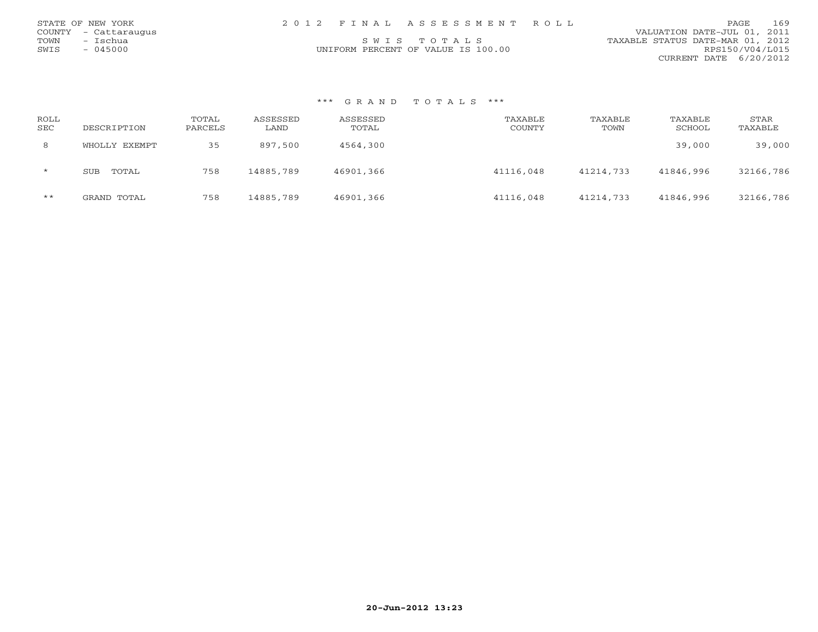| STATE OF NEW YORK    | 2012 FINAL ASSESSMENT ROLL         | 169<br>PAGE.                     |
|----------------------|------------------------------------|----------------------------------|
| COUNTY - Cattaraugus |                                    | VALUATION DATE-JUL 01, 2011      |
| TOWN - Ischua        | SWIS TOTALS                        | TAXABLE STATUS DATE-MAR 01, 2012 |
| SWIS<br>- 045000     | UNIFORM PERCENT OF VALUE IS 100.00 | RPS150/V04/L015                  |
|                      |                                    | CURRENT DATE 6/20/2012           |

| ROLL<br><b>SEC</b> | DESCRIPTION         | TOTAL<br>PARCELS | ASSESSED<br>LAND | ASSESSED<br>TOTAL | TAXABLE<br><b>COUNTY</b> | TAXABLE<br>TOWN | TAXABLE<br>SCHOOL | STAR<br>TAXABLE |
|--------------------|---------------------|------------------|------------------|-------------------|--------------------------|-----------------|-------------------|-----------------|
| 8                  | WHOLLY EXEMPT       | 35               | 897,500          | 4564,300          |                          |                 | 39,000            | 39,000          |
| $\star$            | TOTAL<br><b>SUB</b> | 758              | 14885,789        | 46901,366         | 41116,048                | 41214,733       | 41846,996         | 32166,786       |
| $***$              | GRAND TOTAL         | 758              | 14885,789        | 46901,366         | 41116,048                | 41214,733       | 41846,996         | 32166,786       |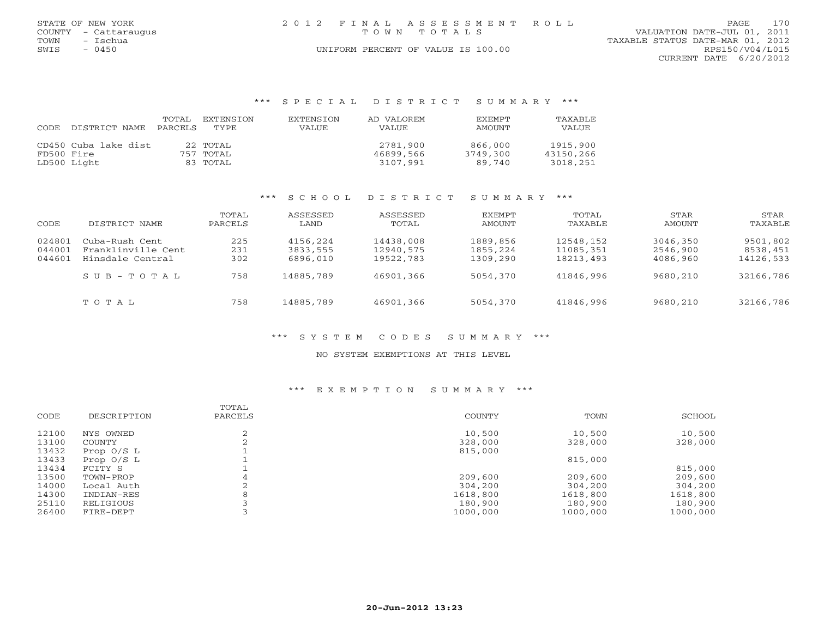|      | STATE OF NEW YORK    | 2012 FINAL ASSESSMENT ROLL         | 170<br>PAGE                      |
|------|----------------------|------------------------------------|----------------------------------|
|      | COUNTY - Cattaraugus | TOWN TOTALS                        | VALUATION DATE-JUL 01, 2011      |
| TOWN | – Tschua             |                                    | TAXABLE STATUS DATE-MAR 01, 2012 |
| SWIS | $-0450$              | UNIFORM PERCENT OF VALUE IS 100.00 | RPS150/V04/L015                  |
|      |                      |                                    | CURRENT DATE 6/20/2012           |
|      |                      |                                    |                                  |

### \*\*\* S P E C I A L D I S T R I C T S U M M A R Y \*\*\*

| CODE       | DISTRICT NAME        | TOTAL<br>PARCELS | EXTENSION<br>TYPE. | EXTENSION<br>VALUE | AD VALOREM<br>VALUE | <b>EXEMPT</b><br>AMOUNT | TAXABLE<br>VALUE |
|------------|----------------------|------------------|--------------------|--------------------|---------------------|-------------------------|------------------|
|            | CD450 Cuba lake dist |                  | 22 TOTAL           |                    | 2781,900            | 866,000                 | 1915,900         |
| FD500 Fire |                      |                  | 757 TOTAL          |                    | 46899,566           | 3749,300                | 43150,266        |
|            | LD500 Light          |                  | 83 TOTAL           |                    | 3107,991            | 89.740                  | 3018,251         |

### \*\*\* S C H O O L D I S T R I C T S U M M A R Y \*\*\*

| CODE   | DISTRICT NAME           | TOTAL<br>PARCELS | ASSESSED<br>LAND | ASSESSED<br>TOTAL | EXEMPT<br>AMOUNT | TOTAL<br>TAXABLE | STAR<br>AMOUNT | STAR<br>TAXABLE |
|--------|-------------------------|------------------|------------------|-------------------|------------------|------------------|----------------|-----------------|
| 024801 | Cuba-Rush Cent          | 225              | 4156,224         | 14438,008         | 1889,856         | 12548,152        | 3046,350       | 9501,802        |
| 044001 | Franklinville Cent      | 231              | 3833,555         | 12940,575         | 1855,224         | 11085,351        | 2546,900       | 8538,451        |
| 044601 | Hinsdale Central        | 302              | 6896,010         | 19522,783         | 1309,290         | 18213, 493       | 4086,960       | 14126,533       |
|        | $S \cup B - T \cup T A$ | 758              | 14885,789        | 46901,366         | 5054,370         | 41846,996        | 9680,210       | 32166,786       |
|        | TOTAL                   | 758              | 14885,789        | 46901,366         | 5054,370         | 41846,996        | 9680,210       | 32166,786       |

### \*\*\* S Y S T E M C O D E S S U M M A R Y \*\*\*

### NO SYSTEM EXEMPTIONS AT THIS LEVEL

### \*\*\* E X E M P T I O N S U M M A R Y \*\*\*

| CODE  | DESCRIPTION  | TOTAL<br>PARCELS | COUNTY   | TOWN     | SCHOOL   |
|-------|--------------|------------------|----------|----------|----------|
| 12100 | NYS OWNED    |                  | 10,500   | 10,500   | 10,500   |
| 13100 | COUNTY       |                  | 328,000  | 328,000  | 328,000  |
| 13432 | Prop $0/S$ L |                  | 815,000  |          |          |
| 13433 | Prop $0/S$ L |                  |          | 815,000  |          |
| 13434 | FCITY S      |                  |          |          | 815,000  |
| 13500 | TOWN-PROP    |                  | 209,600  | 209,600  | 209,600  |
| 14000 | Local Auth   |                  | 304,200  | 304,200  | 304,200  |
| 14300 | INDIAN-RES   |                  | 1618,800 | 1618,800 | 1618,800 |
| 25110 | RELIGIOUS    |                  | 180,900  | 180,900  | 180,900  |
| 26400 | FIRE-DEPT    |                  | 1000,000 | 1000,000 | 1000,000 |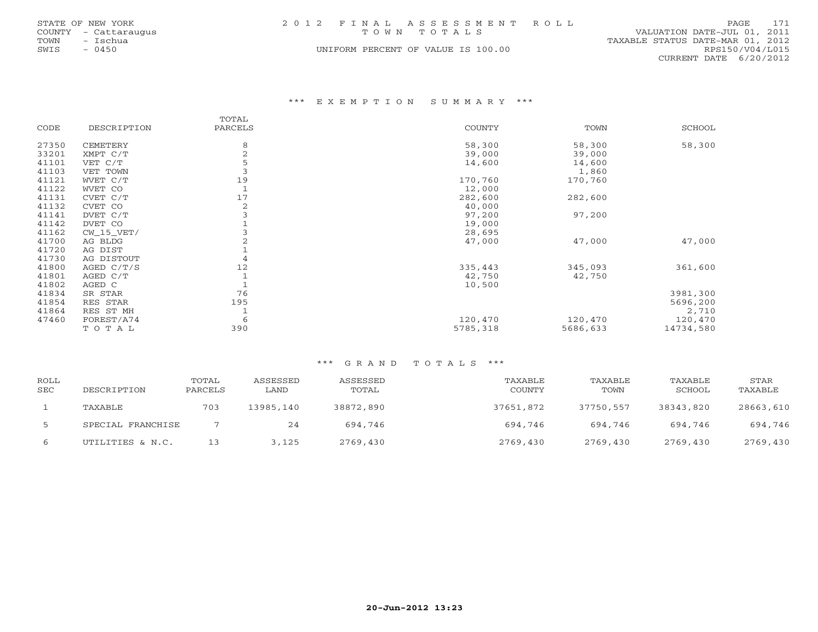|      | STATE OF NEW YORK    | 2012 FINAL ASSESSMENT ROLL         | 171<br>PAGE                      |
|------|----------------------|------------------------------------|----------------------------------|
|      | COUNTY - Cattaraugus | TOWN TOTALS                        | VALUATION DATE-JUL 01, 2011      |
| TOWN | - Ischua             |                                    | TAXABLE STATUS DATE-MAR 01, 2012 |
| SWIS | $-0450$              | UNIFORM PERCENT OF VALUE IS 100.00 | RPS150/V04/L015                  |
|      |                      |                                    | CURRENT DATE 6/20/2012           |

### \*\*\* E X E M P T I O N S U M M A R Y \*\*\*

|       |              | TOTAL   |               |          |           |
|-------|--------------|---------|---------------|----------|-----------|
| CODE  | DESCRIPTION  | PARCELS | <b>COUNTY</b> | TOWN     | SCHOOL    |
| 27350 | CEMETERY     | 8       | 58,300        | 58,300   | 58,300    |
| 33201 | XMPT C/T     | 2       | 39,000        | 39,000   |           |
| 41101 | VET C/T      | 5       | 14,600        | 14,600   |           |
| 41103 | VET TOWN     |         |               | 1,860    |           |
| 41121 | WVET C/T     | 19      | 170,760       | 170,760  |           |
| 41122 | WVET CO      |         | 12,000        |          |           |
| 41131 | CVET C/T     | 17      | 282,600       | 282,600  |           |
| 41132 | CVET CO      | 2       | 40,000        |          |           |
| 41141 | DVET C/T     |         | 97,200        | 97,200   |           |
| 41142 | DVET CO      |         | 19,000        |          |           |
| 41162 | $CW_15_VET/$ |         | 28,695        |          |           |
| 41700 | AG BLDG      |         | 47,000        | 47,000   | 47,000    |
| 41720 | AG DIST      |         |               |          |           |
| 41730 | AG DISTOUT   | 4       |               |          |           |
| 41800 | AGED $C/T/S$ | 12      | 335,443       | 345,093  | 361,600   |
| 41801 | AGED C/T     |         | 42,750        | 42,750   |           |
| 41802 | AGED C       |         | 10,500        |          |           |
| 41834 | SR STAR      | 76      |               |          | 3981,300  |
| 41854 | RES STAR     | 195     |               |          | 5696,200  |
| 41864 | RES ST MH    |         |               |          | 2,710     |
| 47460 | FOREST/A74   | 6       | 120,470       | 120,470  | 120,470   |
|       | TOTAL        | 390     | 5785,318      | 5686,633 | 14734,580 |

| ROLL<br><b>SEC</b> | DESCRIPTION       | TOTAL<br>PARCELS | ASSESSED<br>LAND | ASSESSED<br>TOTAL | TAXABLE<br>COUNTY | TAXABLE<br>TOWN | TAXABLE<br>SCHOOL | STAR<br>TAXABLE |
|--------------------|-------------------|------------------|------------------|-------------------|-------------------|-----------------|-------------------|-----------------|
|                    | TAXABLE           | 703              | 13985,140        | 38872,890         | 37651,872         | 37750,557       | 38343,820         | 28663,610       |
| -5                 | SPECIAL FRANCHISE |                  | 24               | 694,746           | 694,746           | 694,746         | 694,746           | 694,746         |
| 6                  | UTILITIES & N.C.  | 13               | 3,125            | 2769,430          | 2769,430          | 2769,430        | 2769,430          | 2769,430        |